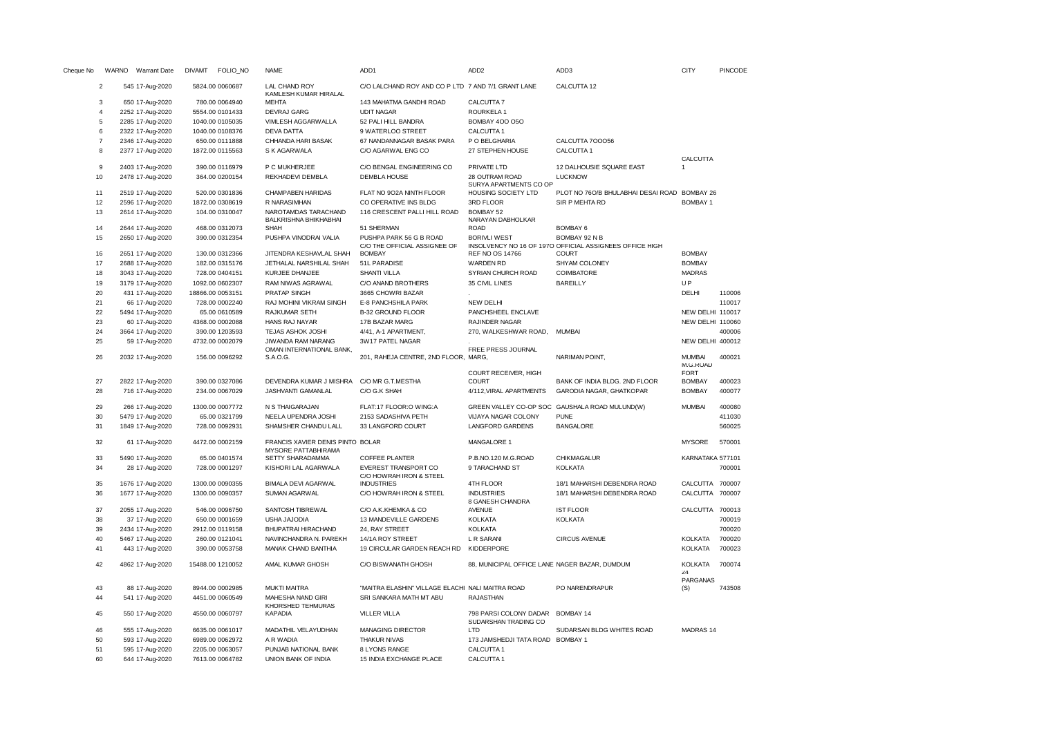| Cheque No      |                |                  | WARNO Warrant Date | <b>DIVAMT</b> | FOLIO_NO         | <b>NAME</b>                                    | ADD1                                                    | ADD <sub>2</sub>                              | ADD3                                                                     | <b>CITY</b>                              | PINCODE |
|----------------|----------------|------------------|--------------------|---------------|------------------|------------------------------------------------|---------------------------------------------------------|-----------------------------------------------|--------------------------------------------------------------------------|------------------------------------------|---------|
|                | $\overline{2}$ |                  | 545 17-Aug-2020    |               | 5824.00 0060687  | <b>LAL CHAND ROY</b><br>KAMLESH KUMAR HIRALAL  | C/O LALCHAND ROY AND CO P LTD 7 AND 7/1 GRANT LANE      |                                               | CALCUTTA 12                                                              |                                          |         |
|                | 3              |                  | 650 17-Aug-2020    |               | 780.00 0064940   | <b>MEHTA</b>                                   | 143 MAHATMA GANDHI ROAD                                 | CALCUTTA 7                                    |                                                                          |                                          |         |
| $\overline{4}$ |                | 2252 17-Aug-2020 |                    |               | 5554.00 0101433  | <b>DEVRAJ GARG</b>                             | <b>UDIT NAGAR</b>                                       | ROURKELA 1                                    |                                                                          |                                          |         |
|                | 5              | 2285 17-Aug-2020 |                    |               | 1040.00 0105035  | VIMLESH AGGARWALLA                             | 52 PALI HILL BANDRA                                     | <b>BOMBAY 400 050</b>                         |                                                                          |                                          |         |
|                | 6              | 2322 17-Aug-2020 |                    |               | 1040.00 0108376  | DEVA DATTA                                     | 9 WATERLOO STREET                                       | CALCUTTA 1                                    |                                                                          |                                          |         |
|                | $\overline{7}$ | 2346 17-Aug-2020 |                    |               | 650.00 0111888   | CHHANDA HARI BASAK                             | 67 NANDANNAGAR BASAK PARA                               | P O BELGHARIA                                 | CALCUTTA 700056                                                          |                                          |         |
|                | 8              | 2377 17-Aug-2020 |                    |               | 1872.00 0115563  | S K AGARWALA                                   | C/O AGARWAL ENG CO                                      | 27 STEPHEN HOUSE                              | CALCUTTA 1                                                               |                                          |         |
|                |                |                  |                    |               |                  |                                                |                                                         |                                               |                                                                          | CALCUTTA                                 |         |
| 9              |                | 2403 17-Aug-2020 |                    |               | 390.00 0116979   | P C MUKHERJEE                                  | C/O BENGAL ENGINEERING CO                               | PRIVATE LTD                                   | 12 DALHOUSIE SQUARE EAST                                                 | -1                                       |         |
| 10             |                | 2478 17-Aug-2020 |                    |               | 364.00 0200154   | REKHADEVI DEMBLA                               | <b>DEMBLA HOUSE</b>                                     | 28 OUTRAM ROAD                                | <b>LUCKNOW</b>                                                           |                                          |         |
|                |                |                  |                    |               |                  |                                                |                                                         | SURYA APARTMENTS CO OP                        |                                                                          |                                          |         |
| 11             |                | 2519 17-Aug-2020 |                    |               | 520.00 0301836   | CHAMPABEN HARIDAS                              | FLAT NO 902A NINTH FLOOR                                | HOUSING SOCIETY LTD                           | PLOT NO 760/B BHULABHAI DESAI ROAD BOMBAY 26                             |                                          |         |
| 12             |                | 2596 17-Aug-2020 |                    |               | 1872.00 0308619  | R NARASIMHAN                                   | CO OPERATIVE INS BLDG                                   | 3RD FLOOR                                     | SIR P MEHTA RD                                                           | <b>BOMBAY 1</b>                          |         |
| 13             |                | 2614 17-Aug-2020 |                    |               | 104.00 0310047   | NAROTAMDAS TARACHAND<br>BALKRISHNA BHIKHABHAI  | 116 CRESCENT PALLI HILL ROAD                            | BOMBAY 52<br>NARAYAN DABHOLKAR                |                                                                          |                                          |         |
| 14             |                | 2644 17-Aug-2020 |                    |               | 468.00 0312073   | SHAH                                           | 51 SHERMAN                                              | <b>ROAD</b>                                   | <b>BOMBAY 6</b>                                                          |                                          |         |
| 15             |                | 2650 17-Aug-2020 |                    |               | 390.00 0312354   | PUSHPA VINODRAI VALIA                          | PUSHPA PARK 56 G B ROAD<br>C/O THE OFFICIAL ASSIGNEE OF | <b>BORIVLI WEST</b>                           | BOMBAY 92 N B<br>INSOLVENCY NO 16 OF 1970 OFFICIAL ASSIGNEES OFFICE HIGH |                                          |         |
| 16             |                | 2651 17-Aug-2020 |                    |               | 130.00 0312366   | JITENDRA KESHAVLAL SHAH                        | <b>BOMBAY</b>                                           | REF NO OS 14766                               | <b>COURT</b>                                                             | <b>BOMBAY</b>                            |         |
| 17             |                | 2688 17-Aug-2020 |                    |               | 182.00 0315176   | JETHALAL NARSHILAL SHAH                        | 51L PARADISE                                            | <b>WARDEN RD</b>                              | SHYAM COLONEY                                                            | <b>BOMBAY</b>                            |         |
| 18             |                | 3043 17-Aug-2020 |                    |               | 728.00 0404151   | KURJEE DHANJEE                                 | <b>SHANTI VILLA</b>                                     | SYRIAN CHURCH ROAD                            | COIMBATORE                                                               | <b>MADRAS</b>                            |         |
| 19             |                | 3179 17-Aug-2020 |                    |               | 1092.00 0602307  | RAM NIWAS AGRAWAL                              | C/O ANAND BROTHERS                                      | 35 CIVIL LINES                                | <b>BAREILLY</b>                                                          | UP                                       |         |
| 20             |                |                  | 431 17-Aug-2020    |               | 18866.00 0053151 | PRATAP SINGH                                   | 3665 CHOWRI BAZAR                                       |                                               |                                                                          | DELHI                                    | 110006  |
| 21             |                |                  | 66 17-Aug-2020     |               | 728.00 0002240   | RAJ MOHINI VIKRAM SINGH                        | E-8 PANCHSHILA PARK                                     | <b>NEW DELHI</b>                              |                                                                          |                                          | 110017  |
| 22             |                | 5494 17-Aug-2020 |                    |               | 65.00 0610589    | RAJKUMAR SETH                                  | <b>B-32 GROUND FLOOR</b>                                | PANCHSHEEL ENCLAVE                            |                                                                          | NEW DELHI 110017                         |         |
| 23             |                |                  | 60 17-Aug-2020     |               | 4368.00 0002088  | HANS RAJ NAYAR                                 | 17B BAZAR MARG                                          | <b>RAJINDER NAGAR</b>                         |                                                                          | NEW DELHI 110060                         |         |
| 24             |                | 3664 17-Aug-2020 |                    |               | 390.00 1203593   | TEJAS ASHOK JOSHI                              | 4/41, A-1 APARTMENT,                                    | 270, WALKESHWAR ROAD,                         | <b>MUMBAI</b>                                                            |                                          | 400006  |
|                |                |                  |                    |               |                  |                                                |                                                         |                                               |                                                                          |                                          |         |
| 25             |                |                  | 59 17-Aug-2020     |               | 4732.00 0002079  | JIWANDA RAM NARANG<br>OMAN INTERNATIONAL BANK, | 3W17 PATEL NAGAR                                        | FREE PRESS JOURNAL                            |                                                                          | NEW DELHI 400012                         |         |
| 26             |                |                  | 2032 17-Aug-2020   |               | 156.00 0096292   | S.A.O.G.                                       | 201, RAHEJA CENTRE, 2ND FLOOR, MARG,                    | COURT RECEIVER, HIGH                          | NARIMAN POINT,                                                           | <b>MUMBAI</b><br>M.G.ROAD<br><b>FORT</b> | 400021  |
| 27             |                | 2822 17-Aug-2020 |                    |               | 390.00 0327086   | DEVENDRA KUMAR J MISHRA                        | C/O MR G.T.MESTHA                                       | <b>COURT</b>                                  | BANK OF INDIA BLDG. 2ND FLOOR                                            | <b>BOMBAY</b>                            | 400023  |
| 28             |                |                  | 716 17-Aug-2020    |               | 234.00 0067029   | JASHVANTI GAMANLAL                             | C/O G.K SHAH                                            | 4/112, VIRAL APARTMENTS                       | GARODIA NAGAR, GHATKOPAR                                                 | <b>BOMBAY</b>                            | 400077  |
| 29             |                |                  | 266 17-Aug-2020    |               | 1300.00 0007772  | N S THAIGARAJAN                                | FLAT:17 FLOOR:O WING:A                                  |                                               | GREEN VALLEY CO-OP SOC GAUSHALA ROAD MULUND(W)                           | <b>MUMBAI</b>                            | 400080  |
| 30             |                | 5479 17-Aug-2020 |                    |               | 65.00 0321799    | NEELA UPENDRA JOSHI                            | 2153 SADASHIVA PETH                                     | VIJAYA NAGAR COLONY                           | <b>PUNE</b>                                                              |                                          | 411030  |
| 31             |                |                  | 1849 17-Aug-2020   |               | 728.00 0092931   | SHAMSHER CHANDU LALL                           | 33 LANGFORD COURT                                       | <b>LANGFORD GARDENS</b>                       | <b>BANGALORE</b>                                                         |                                          | 560025  |
| 32             |                |                  | 61 17-Aug-2020     |               | 4472.00 0002159  | FRANCIS XAVIER DENIS PINTO BOLAR               |                                                         | MANGALORE 1                                   |                                                                          | <b>MYSORE</b>                            | 570001  |
|                |                |                  |                    |               |                  | MYSORE PATTABHIRAMA                            |                                                         |                                               |                                                                          |                                          |         |
| 33             |                | 5490 17-Aug-2020 |                    |               | 65.00 0401574    | SETTY SHARADAMMA                               | <b>COFFEE PLANTER</b>                                   | P.B.NO.120 M.G.ROAD                           | CHIKMAGALUR                                                              | KARNATAKA 577101                         |         |
| 34             |                |                  | 28 17-Aug-2020     |               | 728.00 0001297   | KISHORI LAL AGARWALA                           | EVEREST TRANSPORT CO                                    | 9 TARACHAND ST                                | <b>KOLKATA</b>                                                           |                                          | 700001  |
|                |                |                  |                    |               |                  |                                                | C/O HOWRAH IRON & STEEL                                 |                                               |                                                                          |                                          |         |
| 35             |                | 1676 17-Aug-2020 |                    |               | 1300.00 0090355  | <b>BIMALA DEVI AGARWAL</b>                     | <b>INDUSTRIES</b>                                       | 4TH FLOOR                                     | 18/1 MAHARSHI DEBENDRA ROAD                                              | CALCUTTA 700007                          |         |
| 36             |                | 1677 17-Aug-2020 |                    |               | 1300.00 0090357  | SUMAN AGARWAL                                  | C/O HOWRAH IRON & STEEL                                 | <b>INDUSTRIES</b><br>8 GANESH CHANDRA         | 18/1 MAHARSHI DEBENDRA ROAD                                              | CALCUTTA 700007                          |         |
| 37             |                | 2055 17-Aug-2020 |                    |               | 546.00 0096750   | SANTOSH TIBREWAL                               | C/O A.K.KHEMKA & CO                                     | <b>AVENUE</b>                                 | <b>IST FLOOR</b>                                                         | CALCUTTA 700013                          |         |
| 38             |                |                  | 37 17-Aug-2020     |               | 650.00 0001659   | USHA JAJODIA                                   | 13 MANDEVILLE GARDENS                                   | <b>KOLKATA</b>                                | <b>KOLKATA</b>                                                           |                                          | 700019  |
| 39             |                | 2434 17-Aug-2020 |                    |               | 2912.00 0119158  | BHUPATRAI HIRACHAND                            | 24, RAY STREET                                          | <b>KOLKATA</b>                                |                                                                          |                                          | 700020  |
| 40             |                | 5467 17-Aug-2020 |                    |               | 260.00 0121041   | NAVINCHANDRA N. PAREKH                         | 14/1A ROY STREET                                        | L R SARANI                                    | <b>CIRCUS AVENUE</b>                                                     | <b>KOLKATA</b>                           | 700020  |
| 41             |                |                  | 443 17-Aug-2020    |               | 390.00 0053758   | MANAK CHAND BANTHIA                            | 19 CIRCULAR GARDEN REACH RD                             | KIDDERPORE                                    |                                                                          | KOLKATA                                  | 700023  |
| 42             |                | 4862 17-Aug-2020 |                    |               | 15488.00 1210052 | AMAL KUMAR GHOSH                               | C/O BISWANATH GHOSH                                     | 88, MUNICIPAL OFFICE LANE NAGER BAZAR, DUMDUM |                                                                          | KOLKATA<br>74<br>PARGANAS                | 700074  |
| 43             |                |                  | 88 17-Aug-2020     |               | 8944.00 0002985  | <b>MUKTI MAITRA</b>                            | "MAITRA ELASHIN" VILLAGE ELACHI NALI MAITRA ROAD        |                                               | PO NARENDRAPUR                                                           | (S)                                      | 743508  |
| 44             |                |                  | 541 17-Aug-2020    |               | 4451.00 0060549  | MAHESHA NAND GIRI                              | SRI SANKARA MATH MT ABU                                 | <b>RAJASTHAN</b>                              |                                                                          |                                          |         |
| 45             |                |                  | 550 17-Aug-2020    |               | 4550.00 0060797  | KHORSHED TEHMURAS<br><b>KAPADIA</b>            | <b>VILLER VILLA</b>                                     | 798 PARSI COLONY DADAR                        | <b>BOMBAY 14</b>                                                         |                                          |         |
|                |                |                  |                    |               |                  |                                                |                                                         | SUDARSHAN TRADING CO                          |                                                                          |                                          |         |
| 46             |                |                  | 555 17-Aug-2020    |               | 6635.00 0061017  | MADATHIL VELAYUDHAN                            | <b>MANAGING DIRECTOR</b>                                | LTD                                           | SUDARSAN BLDG WHITES ROAD                                                | MADRAS 14                                |         |
| 50             |                |                  | 593 17-Aug-2020    |               | 6989.00 0062972  | A R WADIA                                      | <b>THAKUR NIVAS</b>                                     | 173 JAMSHEDJI TATA ROAD BOMBAY 1              |                                                                          |                                          |         |
| 51             |                |                  | 595 17-Aug-2020    |               | 2205.00 0063057  | PUNJAB NATIONAL BANK                           | 8 LYONS RANGE                                           | CALCUTTA 1                                    |                                                                          |                                          |         |
| 60             |                |                  | 644 17-Aug-2020    |               | 7613.00 0064782  | UNION BANK OF INDIA                            | 15 INDIA EXCHANGE PLACE                                 | CALCUTTA 1                                    |                                                                          |                                          |         |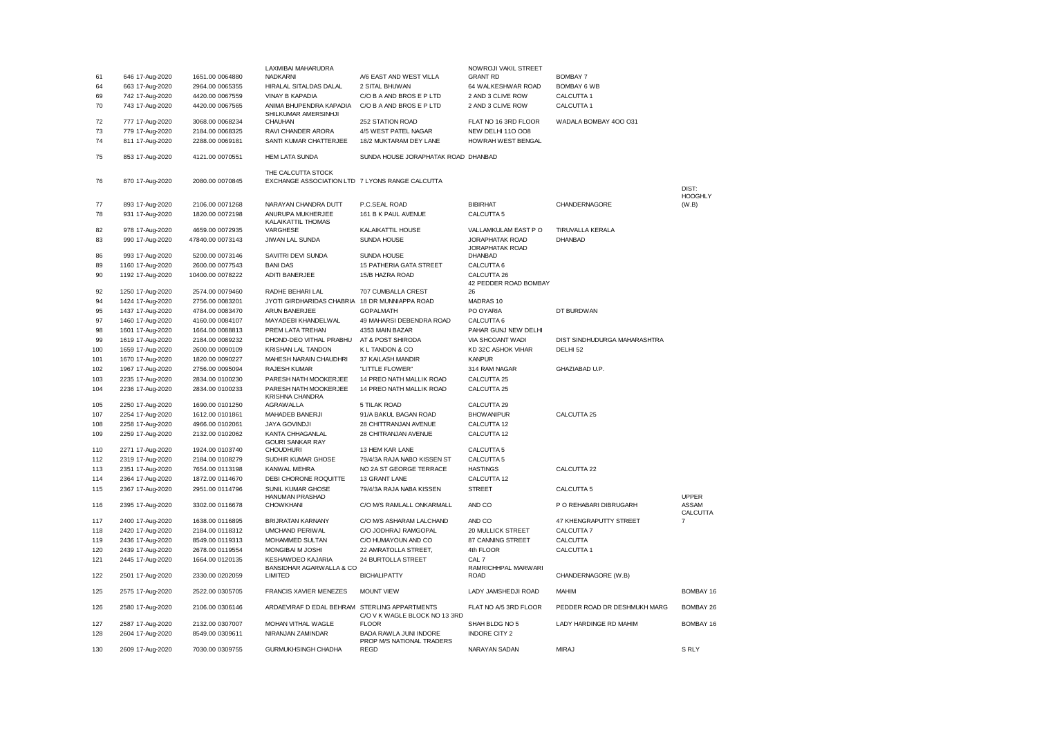|     |                  |                  | LAXMIBAI MAHARUDRA                                                    |                                                     | NOWROJI VAKIL STREET               |                              |                         |
|-----|------------------|------------------|-----------------------------------------------------------------------|-----------------------------------------------------|------------------------------------|------------------------------|-------------------------|
| 61  | 646 17-Aug-2020  | 1651.00 0064880  | <b>NADKARNI</b>                                                       | A/6 EAST AND WEST VILLA                             | <b>GRANT RD</b>                    | <b>BOMBAY 7</b>              |                         |
| 64  | 663 17-Aug-2020  | 2964.00 0065355  | HIRALAL SITALDAS DALAL                                                | 2 SITAL BHUWAN                                      | 64 WALKESHWAR ROAD                 | <b>BOMBAY 6 WB</b>           |                         |
| 69  | 742 17-Aug-2020  | 4420.00 0067559  | <b>VINAY B KAPADIA</b>                                                | C/O B A AND BROS E P LTD                            | 2 AND 3 CLIVE ROW                  | CALCUTTA 1                   |                         |
| 70  | 743 17-Aug-2020  | 4420.00 0067565  | ANIMA BHUPENDRA KAPADIA<br>SHILKUMAR AMERSINHJI                       | C/O B A AND BROS E P LTD                            | 2 AND 3 CLIVE ROW                  | CALCUTTA 1                   |                         |
| 72  | 777 17-Aug-2020  | 3068.00 0068234  | CHAUHAN                                                               | 252 STATION ROAD                                    | FLAT NO 16 3RD FLOOR               | WADALA BOMBAY 400 031        |                         |
| 73  | 779 17-Aug-2020  | 2184.00 0068325  | RAVI CHANDER ARORA                                                    | 4/5 WEST PATEL NAGAR                                | <b>NEW DELHI 110 008</b>           |                              |                         |
| 74  | 811 17-Aug-2020  | 2288.00 0069181  | SANTI KUMAR CHATTERJEE                                                | 18/2 MUKTARAM DEY LANE                              | HOWRAH WEST BENGAL                 |                              |                         |
| 75  | 853 17-Aug-2020  | 4121.00 0070551  | <b>HEM LATA SUNDA</b>                                                 | SUNDA HOUSE JORAPHATAK ROAD DHANBAD                 |                                    |                              |                         |
| 76  | 870 17-Aug-2020  | 2080.00 0070845  | THE CALCUITA STOCK<br>EXCHANGE ASSOCIATION LTD 7 LYONS RANGE CALCUTTA |                                                     |                                    |                              | DIST:                   |
| 77  | 893 17-Aug-2020  | 2106.00 0071268  | NARAYAN CHANDRA DUTT                                                  | P.C.SEAL ROAD                                       | <b>BIBIRHAT</b>                    | CHANDERNAGORE                | <b>HOOGHLY</b><br>(W.B) |
| 78  | 931 17-Aug-2020  | 1820.00 0072198  | ANURUPA MUKHERJEE<br>KALAIKATTIL THOMAS                               | 161 B K PAUL AVENUE                                 | CALCUTTA <sub>5</sub>              |                              |                         |
| 82  | 978 17-Aug-2020  | 4659.00 0072935  | VARGHESE                                                              | KALAIKATTIL HOUSE                                   | VALLAMKULAM EAST PO                | TIRUVALLA KERALA             |                         |
| 83  | 990 17-Aug-2020  | 47840.00 0073143 | JIWAN LAL SUNDA                                                       | SUNDA HOUSE                                         | <b>JORAPHATAK ROAD</b>             | <b>DHANBAD</b>               |                         |
| 86  | 993 17-Aug-2020  | 5200.00 0073146  | SAVITRI DEVI SUNDA                                                    | <b>SUNDA HOUSE</b>                                  | JORAPHATAK ROAD<br><b>DHANBAD</b>  |                              |                         |
| 89  | 1160 17-Aug-2020 | 2600.00 0077543  | <b>BANI DAS</b>                                                       | 15 PATHERIA GATA STREET                             | CALCUTTA 6                         |                              |                         |
| 90  | 1192 17-Aug-2020 | 10400.00 0078222 | <b>ADITI BANERJEE</b>                                                 | 15/B HAZRA ROAD                                     | CALCUTTA 26                        |                              |                         |
|     |                  |                  |                                                                       |                                                     | 42 PEDDER ROAD BOMBAY              |                              |                         |
| 92  | 1250 17-Aug-2020 | 2574.00 0079460  | RADHE BEHARI LAL                                                      | 707 CUMBALLA CREST                                  | 26                                 |                              |                         |
| 94  | 1424 17-Aug-2020 | 2756.00 0083201  | JYOTI GIRDHARIDAS CHABRIA                                             | 18 DR MUNNIAPPA ROAD                                | MADRAS 10                          |                              |                         |
| 95  | 1437 17-Aug-2020 | 4784.00 0083470  | ARUN BANERJEE                                                         | <b>GOPALMATH</b>                                    | PO OYARIA                          | DT BURDWAN                   |                         |
| 97  | 1460 17-Aug-2020 | 4160.00 0084107  | MAYADEBI KHANDELWAL                                                   | 49 MAHARSI DEBENDRA ROAD                            | CALCUTTA 6                         |                              |                         |
| 98  | 1601 17-Aug-2020 | 1664.00 0088813  | PREM LATA TREHAN                                                      | 4353 MAIN BAZAR                                     | PAHAR GUNJ NEW DELHI               |                              |                         |
| 99  | 1619 17-Aug-2020 | 2184.00 0089232  | DHOND-DEO VITHAL PRABHU                                               | AT & POST SHIRODA                                   | VIA SHCOANT WADI                   | DIST SINDHUDURGA MAHARASHTRA |                         |
| 100 | 1659 17-Aug-2020 | 2600.00 0090109  | KRISHAN LAL TANDON                                                    | K L TANDON & CO                                     | KD 32C ASHOK VIHAR                 | DELHI 52                     |                         |
| 101 | 1670 17-Aug-2020 | 1820.00 0090227  | MAHESH NARAIN CHAUDHRI                                                | 37 KAILASH MANDIR                                   | <b>KANPUR</b>                      |                              |                         |
| 102 | 1967 17-Aug-2020 | 2756.00 0095094  | RAJESH KUMAR                                                          | "LITTLE FLOWER"                                     | 314 RAM NAGAR                      | GHAZIABAD U.P.               |                         |
| 103 | 2235 17-Aug-2020 | 2834.00 0100230  | PARESH NATH MOOKERJEE                                                 | 14 PREO NATH MALLIK ROAD                            | CALCUTTA 25                        |                              |                         |
| 104 | 2236 17-Aug-2020 | 2834.00 0100233  | PARESH NATH MOOKERJEE<br>KRISHNA CHANDRA                              | 14 PREO NATH MALLIK ROAD                            | CALCUTTA 25                        |                              |                         |
| 105 | 2250 17-Aug-2020 | 1690.00 0101250  | <b>AGRAWALLA</b>                                                      | 5 TILAK ROAD                                        | CALCUTTA 29                        |                              |                         |
| 107 | 2254 17-Aug-2020 | 1612.00 0101861  | MAHADEB BANERJI                                                       | 91/A BAKUL BAGAN ROAD                               | <b>BHOW ANIPUR</b>                 | CALCUTTA 25                  |                         |
| 108 | 2258 17-Aug-2020 | 4966.00 0102061  | <b>JAYA GOVINDJI</b>                                                  | 28 CHITTRANJAN AVENUE                               | CALCUTTA 12                        |                              |                         |
| 109 | 2259 17-Aug-2020 | 2132.00 0102062  | KANTA CHHAGANLAL<br><b>GOURI SANKAR RAY</b>                           | 28 CHITRANJAN AVENUE                                | CALCUTTA 12                        |                              |                         |
| 110 | 2271 17-Aug-2020 | 1924.00 0103740  | <b>CHOUDHURI</b>                                                      | 13 HEM KAR LANE                                     | CALCUTTA <sub>5</sub>              |                              |                         |
| 112 | 2319 17-Aug-2020 | 2184.00 0108279  | SUDHIR KUMAR GHOSE                                                    | 79/4/3A RAJA NABO KISSEN ST                         | CALCUTTA <sub>5</sub>              |                              |                         |
| 113 | 2351 17-Aug-2020 | 7654.00 0113198  | KANWAL MEHRA                                                          | NO 2A ST GEORGE TERRACE                             | <b>HASTINGS</b>                    | CALCUTTA 22                  |                         |
| 114 | 2364 17-Aug-2020 | 1872.00 0114670  | DEBI CHORONE ROQUITTE                                                 | 13 GRANT LANE                                       | CALCUTTA 12                        |                              |                         |
| 115 | 2367 17-Aug-2020 | 2951.00 0114796  | SUNIL KUMAR GHOSE<br>HANUMAN PRASHAD                                  | 79/4/3A RAJA NABA KISSEN                            | <b>STREET</b>                      | CALCUTTA <sub>5</sub>        | UPPER                   |
| 116 | 2395 17-Aug-2020 | 3302.00 0116678  | <b>CHOWKHANI</b>                                                      | C/O M/S RAMLALL ONKARMALL                           | AND CO                             | P O REHABARI DIBRUGARH       | ASSAM<br>CALCUTTA       |
| 117 | 2400 17-Aug-2020 | 1638.00 0116895  | <b>BRIJRATAN KARNANY</b>                                              | C/O M/S ASHARAM LALCHAND                            | AND CO                             | 47 KHENGRAPUTTY STREET       | $\overline{7}$          |
| 118 | 2420 17-Aug-2020 | 2184.00 0118312  | UMCHAND PERIWAL                                                       | C/O JODHRAJ RAMGOPAL                                | 20 MULLICK STREET                  | CALCUTTA 7                   |                         |
| 119 | 2436 17-Aug-2020 | 8549.00 0119313  | MOHAMMED SULTAN                                                       | C/O HUMAYOUN AND CO                                 | 87 CANNING STREET                  | CALCUTTA                     |                         |
| 120 | 2439 17-Aug-2020 | 2678.00 0119554  | MONGIBAI M JOSHI                                                      | 22 AMRATOLLA STREET,                                | 4th FLOOR                          | CALCUTTA 1                   |                         |
| 121 | 2445 17-Aug-2020 | 1664.00 0120135  | KESHAWDEO KAJARIA                                                     | 24 BURTOLLA STREET                                  | CAL 7                              |                              |                         |
| 122 | 2501 17-Aug-2020 | 2330.00 0202059  | BANSIDHAR AGARWALLA & CO<br>LIMITED                                   | <b>BICHALIPATTY</b>                                 | RAMRICHHPAL MARWARI<br><b>ROAD</b> | CHANDERNAGORE (W.B)          |                         |
| 125 | 2575 17-Aug-2020 | 2522.00 0305705  | <b>FRANCIS XAVIER MENEZES</b>                                         | <b>MOUNT VIEW</b>                                   | LADY JAMSHEDJI ROAD                | MAHIM                        | BOMBAY 16               |
| 126 | 2580 17-Aug-2020 | 2106.00 0306146  | ARDAEVIRAF D EDAL BEHRAM STERLING APPARTMENTS                         |                                                     | FLAT NO A/5 3RD FLOOR              | PEDDER ROAD DR DESHMUKH MARG | BOMBAY 26               |
|     |                  |                  |                                                                       | C/O V K WAGLE BLOCK NO 13 3RD                       |                                    |                              |                         |
| 127 | 2587 17-Aug-2020 | 2132.00 0307007  | MOHAN VITHAL WAGLE                                                    | <b>FLOOR</b>                                        | SHAH BLDG NO 5                     | LADY HARDINGE RD MAHIM       | BOMBAY 16               |
| 128 | 2604 17-Aug-2020 | 8549.00 0309611  | NIRANJAN ZAMINDAR                                                     | BADA RAWLA JUNI INDORE<br>PROP M/S NATIONAL TRADERS | <b>INDORE CITY 2</b>               |                              |                         |
| 130 | 2609 17-Aug-2020 | 7030.00 0309755  | <b>GURMUKHSINGH CHADHA</b>                                            | <b>REGD</b>                                         | NARAYAN SADAN                      | <b>MIRAJ</b>                 | S RLY                   |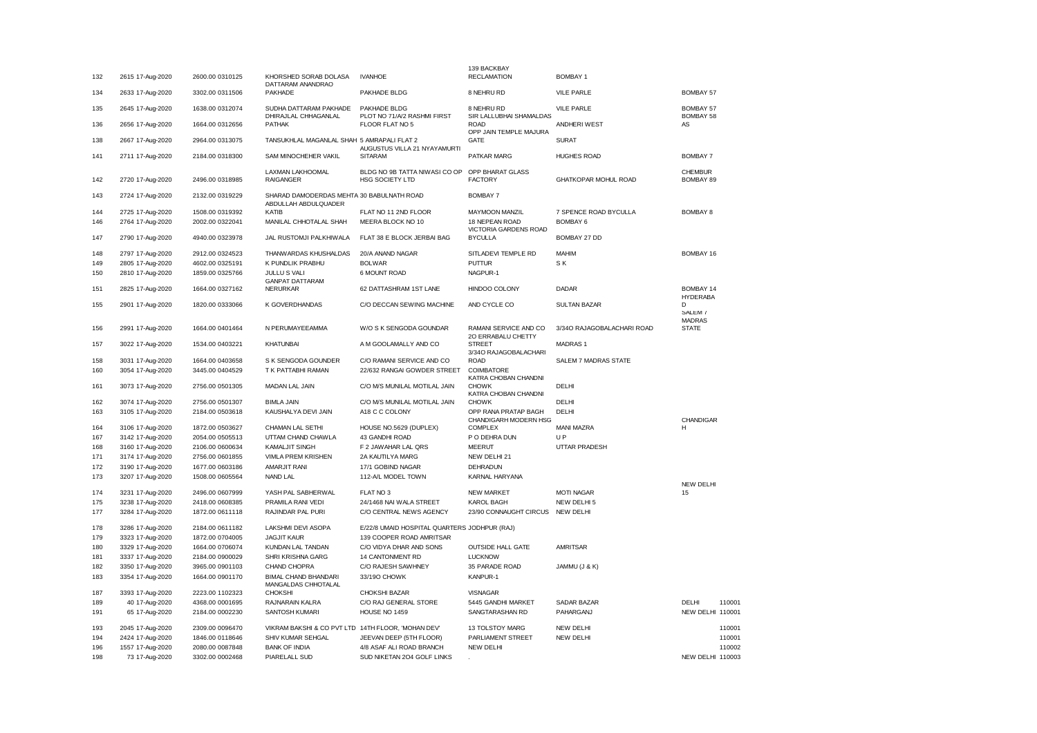|     |                                    |                 |                                                    |                                                         | 139 BACKBAY                                   |                             |                               |
|-----|------------------------------------|-----------------|----------------------------------------------------|---------------------------------------------------------|-----------------------------------------------|-----------------------------|-------------------------------|
| 132 | 2615 17-Aug-2020                   | 2600.00 0310125 | KHORSHED SORAB DOLASA<br>DATTARAM ANANDRAO         | <b>IVANHOE</b>                                          | <b>RECLAMATION</b>                            | <b>BOMBAY 1</b>             |                               |
| 134 | 2633 17-Aug-2020                   | 3302.00 0311506 | PAKHADE                                            | PAKHADE BLDG                                            | 8 NEHRU RD                                    | <b>VILE PARLE</b>           | <b>BOMBAY 57</b>              |
|     |                                    |                 |                                                    |                                                         |                                               |                             |                               |
| 135 | 2645 17-Aug-2020                   | 1638.00 0312074 | SUDHA DATTARAM PAKHADE<br>DHIRAJLAL CHHAGANLAL     | PAKHADE BLDG<br>PLOT NO 71/A/2 RASHMI FIRST             | 8 NEHRU RD<br>SIR LALLUBHAI SHAMALDAS         | <b>VILE PARLE</b>           | <b>BOMBAY 57</b><br>BOMBAY 58 |
| 136 | 2656 17-Aug-2020                   | 1664.00 0312656 | <b>PATHAK</b>                                      | FLOOR FLAT NO 5                                         | <b>ROAD</b>                                   | ANDHERI WEST                | AS                            |
|     |                                    |                 |                                                    |                                                         | OPP JAIN TEMPLE MAJURA                        |                             |                               |
| 138 | 2667 17-Aug-2020                   | 2964.00 0313075 | TANSUKHLAL MAGANLAL SHAH 5 AMRAPALI FLAT 2         |                                                         | <b>GATE</b>                                   | <b>SURAT</b>                |                               |
| 141 | 2711 17-Aug-2020                   | 2184.00 0318300 | SAM MINOCHEHER VAKIL                               | AUGUSTUS VILLA 21 NYAYAMURTI<br><b>SITARAM</b>          | PATKAR MARG                                   | <b>HUGHES ROAD</b>          | <b>BOMBAY 7</b>               |
|     |                                    |                 |                                                    |                                                         |                                               |                             |                               |
| 142 | 2720 17-Aug-2020                   | 2496.00 0318985 | <b>LAXMAN LAKHOOMAL</b><br><b>RAIGANGER</b>        | BLDG NO 9B TATTA NIWASI CO OP<br><b>HSG SOCIETY LTD</b> | OPP BHARAT GLASS<br><b>FACTORY</b>            | <b>GHATKOPAR MOHUL ROAD</b> | <b>CHEMBUR</b><br>BOMBAY 89   |
|     |                                    |                 |                                                    |                                                         |                                               |                             |                               |
| 143 | 2724 17-Aug-2020                   | 2132.00 0319229 | SHARAD DAMODERDAS MEHTA 30 BABULNATH ROAD          |                                                         | <b>BOMBAY 7</b>                               |                             |                               |
| 144 | 2725 17-Aug-2020                   | 1508.00 0319392 | ABDULLAH ABDULQUADER<br><b>KATIB</b>               | FLAT NO 11 2ND FLOOR                                    | <b>MAYMOON MANZIL</b>                         | 7 SPENCE ROAD BYCULLA       | <b>BOMBAY 8</b>               |
| 146 | 2764 17-Aug-2020                   | 2002.00 0322041 | MANILAL CHHOTALAL SHAH                             | MEERA BLOCK NO 10                                       | 18 NEPEAN ROAD                                | <b>BOMBAY 6</b>             |                               |
|     |                                    |                 |                                                    |                                                         | VICTORIA GARDENS ROAD                         |                             |                               |
| 147 | 2790 17-Aug-2020                   | 4940.00 0323978 | JAL RUSTOMJI PALKHIWALA                            | FLAT 38 E BLOCK JERBAI BAG                              | <b>BYCULLA</b>                                | BOMBAY 27 DD                |                               |
| 148 | 2797 17-Aug-2020                   | 2912.00 0324523 | THANWARDAS KHUSHALDAS                              | 20/A ANAND NAGAR                                        | SITLADEVI TEMPLE RD                           | MAHIM                       | <b>BOMBAY 16</b>              |
| 149 | 2805 17-Aug-2020                   | 4602.00 0325191 | K PUNDLIK PRABHU                                   | <b>BOLWAR</b>                                           | <b>PUTTUR</b>                                 | SK.                         |                               |
| 150 | 2810 17-Aug-2020                   | 1859.00 0325766 | JULLU S VALI                                       | 6 MOUNT ROAD                                            | NAGPUR-1                                      |                             |                               |
|     |                                    |                 | <b>GANPAT DATTARAM</b>                             |                                                         |                                               |                             |                               |
| 151 | 2825 17-Aug-2020                   | 1664.00 0327162 | <b>NERURKAR</b>                                    | 62 DATTASHRAM 1ST LANE                                  | HINDOO COLONY                                 | DADAR                       | <b>BOMBAY 14</b>              |
| 155 | 2901 17-Aug-2020                   | 1820.00 0333066 | K GOVERDHANDAS                                     | C/O DECCAN SEWING MACHINE                               | AND CYCLE CO                                  | <b>SULTAN BAZAR</b>         | <b>HYDERABA</b><br>D          |
|     |                                    |                 |                                                    |                                                         |                                               |                             | SALEM <sub>7</sub>            |
|     |                                    |                 |                                                    |                                                         |                                               |                             | <b>MADRAS</b>                 |
| 156 | 2991 17-Aug-2020                   | 1664.00 0401464 | N PERUMAYEEAMMA                                    | W/O S K SENGODA GOUNDAR                                 | RAMANI SERVICE AND CO<br>20 ERRABALU CHETTY   | 3/340 RAJAGOBALACHARI ROAD  | <b>STATE</b>                  |
| 157 | 3022 17-Aug-2020                   | 1534.00 0403221 | <b>KHATUNBAI</b>                                   | A M GOOLAMALLY AND CO                                   | <b>STREET</b>                                 | <b>MADRAS1</b>              |                               |
|     |                                    |                 |                                                    |                                                         | 3/340 RAJAGOBALACHARI                         |                             |                               |
| 158 | 3031 17-Aug-2020                   | 1664.00 0403658 | S K SENGODA GOUNDER                                | C/O RAMANI SERVICE AND CO                               | <b>ROAD</b>                                   | SALEM 7 MADRAS STATE        |                               |
| 160 | 3054 17-Aug-2020                   | 3445.00 0404529 | T K PATTABHI RAMAN                                 | 22/632 RANGAI GOWDER STREET                             | COIMBATORE<br>KATRA CHOBAN CHANDNI            |                             |                               |
| 161 | 3073 17-Aug-2020                   | 2756.00 0501305 | MADAN LAL JAIN                                     | C/O M/S MUNILAL MOTILAL JAIN                            | <b>CHOWK</b>                                  | DELHI                       |                               |
|     |                                    |                 |                                                    |                                                         | KATRA CHOBAN CHANDNI                          |                             |                               |
| 162 | 3074 17-Aug-2020                   | 2756.00 0501307 | <b>BIMLA JAIN</b>                                  | C/O M/S MUNILAL MOTILAL JAIN                            | <b>CHOWK</b>                                  | DELHI                       |                               |
| 163 | 3105 17-Aug-2020                   | 2184.00 0503618 | KAUSHALYA DEVI JAIN                                | A18 C C COLONY                                          | OPP RANA PRATAP BAGH<br>CHANDIGARH MODERN HSG | DELHI                       | CHANDIGAR                     |
| 164 | 3106 17-Aug-2020                   | 1872.00 0503627 | CHAMAN LAL SETHI                                   | HOUSE NO.5629 (DUPLEX)                                  | <b>COMPLEX</b>                                | <b>MANI MAZRA</b>           | н                             |
| 167 | 3142 17-Aug-2020                   | 2054.00 0505513 | UTTAM CHAND CHAWLA                                 | 43 GANDHI ROAD                                          | P O DEHRA DUN                                 | UP                          |                               |
| 168 | 3160 17-Aug-2020                   | 2106.00 0600634 | <b>KAMALJIT SINGH</b>                              | F 2 JAWAHAR LAL QRS                                     | <b>MEERUT</b>                                 | UTTAR PRADESH               |                               |
| 171 | 3174 17-Aug-2020                   | 2756.00 0601855 | VIMLA PREM KRISHEN                                 | 2A KAUTILYA MARG                                        | NEW DELHI 21                                  |                             |                               |
| 172 | 3190 17-Aug-2020                   | 1677.00 0603186 | AMARJIT RANI                                       | 17/1 GOBIND NAGAR                                       | DEHRADUN                                      |                             |                               |
| 173 | 3207 17-Aug-2020                   | 1508.00 0605564 | <b>NAND LAL</b>                                    | 112-A/L MODEL TOWN                                      | KARNAL HARYANA                                |                             |                               |
|     |                                    |                 |                                                    |                                                         |                                               |                             | <b>NEW DELHI</b>              |
| 174 | 3231 17-Aug-2020                   | 2496.00 0607999 | YASH PAL SABHERWAL                                 | FLAT NO 3                                               | <b>NEW MARKET</b>                             | <b>MOTI NAGAR</b>           | 15                            |
| 175 | 3238 17-Aug-2020                   | 2418.00 0608385 | PRAMILA RANI VEDI                                  | 24/1468 NAI WALA STREET                                 | KAROL BAGH                                    | NEW DELHI 5                 |                               |
| 177 | 3284 17-Aug-2020                   | 1872.00 0611118 | RAJINDAR PAL PURI                                  | C/O CENTRAL NEWS AGENCY                                 | 23/90 CONNAUGHT CIRCUS                        | <b>NEW DELHI</b>            |                               |
| 178 | 3286 17-Aug-2020                   | 2184.00 0611182 | LAKSHMI DEVI ASOPA                                 | E/22/8 UMAID HOSPITAL QUARTERS JODHPUR (RAJ)            |                                               |                             |                               |
| 179 | 3323 17-Aug-2020                   | 1872.00 0704005 | <b>JAGJIT KAUR</b>                                 | 139 COOPER ROAD AMRITSAR                                |                                               |                             |                               |
| 180 | 3329 17-Aug-2020                   | 1664.00 0706074 | KUNDAN LAL TANDAN                                  | C/O VIDYA DHAR AND SONS                                 | <b>OUTSIDE HALL GATE</b>                      | <b>AMRITSAR</b>             |                               |
| 181 | 3337 17-Aug-2020                   | 2184.00 0900029 | SHRI KRISHNA GARG                                  | 14 CANTONMENT RD                                        | <b>LUCKNOW</b>                                |                             |                               |
| 182 | 3350 17-Aug-2020                   | 3965.00 0901103 | CHAND CHOPRA                                       | C/O RAJESH SAWHNEY                                      | 35 PARADE ROAD                                | JAMMU (J & K)               |                               |
| 183 | 3354 17-Aug-2020                   | 1664.00 0901170 | <b>BIMAL CHAND BHANDARI</b>                        | 33/19O CHOWK                                            | KANPUR-1                                      |                             |                               |
| 187 |                                    | 2223.00 1102323 | MANGALDAS CHHOTALAL<br><b>CHOKSHI</b>              | <b>CHOKSHI BAZAR</b>                                    | <b>VISNAGAR</b>                               |                             |                               |
| 189 | 3393 17-Aug-2020<br>40 17-Aug-2020 | 4368.00 0001695 | RAJNARAIN KALRA                                    | C/O RAJ GENERAL STORE                                   | 5445 GANDHI MARKET                            | SADAR BAZAR                 | DELHI<br>110001               |
| 191 | 65 17-Aug-2020                     | 2184.00 0002230 | SANTOSH KUMARI                                     | HOUSE NO 1459                                           | SANGTARASHAN RD                               | PAHARGANJ                   | NEW DELHI 110001              |
|     |                                    |                 |                                                    |                                                         |                                               |                             |                               |
| 193 | 2045 17-Aug-2020                   | 2309.00 0096470 | VIKRAM BAKSHI & CO PVT LTD 14TH FLOOR, 'MOHAN DEV' |                                                         | 13 TOLSTOY MARG                               | NEW DELHI                   | 110001                        |
| 194 | 2424 17-Aug-2020                   | 1846.00 0118646 | SHIV KUMAR SEHGAL                                  | JEEVAN DEEP (5TH FLOOR)                                 | PARLIAMENT STREET                             | NEW DELHI                   | 110001                        |
| 196 | 1557 17-Aug-2020                   | 2080.00 0087848 | <b>BANK OF INDIA</b>                               | 4/8 ASAF ALI ROAD BRANCH                                | <b>NEW DELHI</b>                              |                             | 110002                        |
| 198 | 73 17-Aug-2020                     | 3302.00 0002468 | PIARELALL SUD                                      | SUD NIKETAN 204 GOLF LINKS                              |                                               |                             | NEW DELHI 110003              |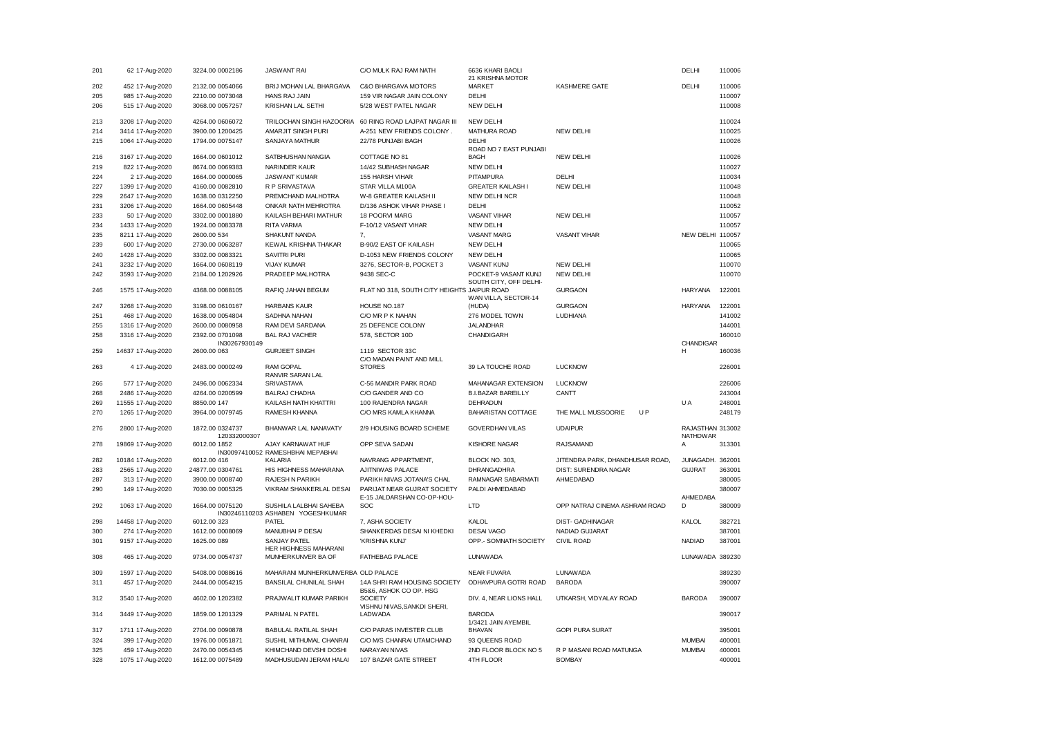| 201 | 62 17-Aug-2020    | 3224.00 0002186                 | <b>JASWANT RAI</b>                    | C/O MULK RAJ RAM NATH                       | 6636 KHARI BAOLI<br>21 KRISHNA MOTOR |                                 | DELHI                               | 110006 |
|-----|-------------------|---------------------------------|---------------------------------------|---------------------------------------------|--------------------------------------|---------------------------------|-------------------------------------|--------|
| 202 | 452 17-Aug-2020   | 2132.00 0054066                 | BRIJ MOHAN LAL BHARGAVA               | <b>C&amp;O BHARGAVA MOTORS</b>              | <b>MARKET</b>                        | <b>KASHMERE GATE</b>            | <b>DELHI</b>                        | 110006 |
| 205 | 985 17-Aug-2020   | 2210.00 0073048                 | HANS RAJ JAIN                         | 159 VIR NAGAR JAIN COLONY                   | DELHI                                |                                 |                                     | 110007 |
| 206 | 515 17-Aug-2020   | 3068.00 0057257                 | <b>KRISHAN LAL SETHI</b>              | 5/28 WEST PATEL NAGAR                       | <b>NEW DELHI</b>                     |                                 |                                     | 110008 |
|     |                   |                                 |                                       |                                             |                                      |                                 |                                     |        |
| 213 | 3208 17-Aug-2020  | 4264.00 0606072                 | TRILOCHAN SINGH HAZOORIA              | 60 RING ROAD LAJPAT NAGAR III               | <b>NEW DELHI</b>                     |                                 |                                     | 110024 |
| 214 | 3414 17-Aug-2020  | 3900.00 1200425                 | AMARJIT SINGH PURI                    | A-251 NEW FRIENDS COLONY.                   | MATHURA ROAD                         | NEW DELHI                       |                                     | 110025 |
| 215 | 1064 17-Aug-2020  | 1794.00 0075147                 | SANJAYA MATHUR                        | 22/78 PUNJABI BAGH                          | DELHI                                |                                 |                                     | 110026 |
|     |                   |                                 |                                       |                                             | ROAD NO 7 EAST PUNJABI               |                                 |                                     |        |
| 216 | 3167 17-Aug-2020  | 1664.00 0601012                 | SATBHUSHAN NANGIA                     | COTTAGE NO 81                               | <b>BAGH</b>                          | NEW DELHI                       |                                     | 110026 |
| 219 | 822 17-Aug-2020   | 8674.00 0069383                 | NARINDER KAUR                         | 14/42 SUBHASH NAGAR                         | <b>NEW DELHI</b>                     |                                 |                                     | 110027 |
| 224 | 2 17-Aug-2020     | 1664.00 0000065                 | <b>JASWANT KUMAR</b>                  | 155 HARSH VIHAR                             | PITAMPURA                            | DELHI                           |                                     | 110034 |
| 227 | 1399 17-Aug-2020  | 4160.00 0082810                 | R P SRIVASTAVA                        | STAR VILLA M100A                            | <b>GREATER KAILASH I</b>             | NEW DELHI                       |                                     | 110048 |
| 229 | 2647 17-Aug-2020  | 1638.00 0312250                 | PREMCHAND MALHOTRA                    | W-8 GREATER KAILASH II                      | NEW DELHI NCR                        |                                 |                                     | 110048 |
| 231 | 3206 17-Aug-2020  | 1664.00 0605448                 | ONKAR NATH MEHROTRA                   | D/136 ASHOK VIHAR PHASE I                   | DELHI                                |                                 |                                     | 110052 |
| 233 | 50 17-Aug-2020    | 3302.00 0001880                 | KAILASH BEHARI MATHUR                 | 18 POORVI MARG                              | <b>VASANT VIHAR</b>                  | NEW DELHI                       |                                     | 110057 |
| 234 | 1433 17-Aug-2020  | 1924.00 0083378                 | <b>RITA VARMA</b>                     | F-10/12 VASANT VIHAR                        | <b>NEW DELHI</b>                     |                                 |                                     | 110057 |
|     |                   |                                 |                                       |                                             |                                      |                                 |                                     |        |
| 235 | 8211 17-Aug-2020  | 2600.00 534                     | SHAKUNT NANDA                         | 7.                                          | <b>VASANT MARG</b>                   | <b>VASANT VIHAR</b>             | NEW DELHI 110057                    |        |
| 239 | 600 17-Aug-2020   | 2730.00 0063287                 | KEWAL KRISHNA THAKAR                  | B-90/2 EAST OF KAILASH                      | <b>NEW DELHI</b>                     |                                 |                                     | 110065 |
| 240 | 1428 17-Aug-2020  | 3302.00 0083321                 | <b>SAVITRI PURI</b>                   | D-1053 NEW FRIENDS COLONY                   | <b>NEW DELHI</b>                     |                                 |                                     | 110065 |
| 241 | 3232 17-Aug-2020  | 1664.00 0608119                 | <b>VIJAY KUMAR</b>                    | 3276, SECTOR-B, POCKET 3                    | <b>VASANT KUNJ</b>                   | NEW DELHI                       |                                     | 110070 |
| 242 | 3593 17-Aug-2020  | 2184.00 1202926                 | PRADEEP MALHOTRA                      | 9438 SEC-C                                  | POCKET-9 VASANT KUNJ                 | NEW DELHI                       |                                     | 110070 |
| 246 | 1575 17-Aug-2020  | 4368.00 0088105                 | RAFIQ JAHAN BEGUM                     | FLAT NO 318, SOUTH CITY HEIGHTS JAIPUR ROAD | SOUTH CITY, OFF DELHI-               | <b>GURGAON</b>                  | <b>HARYANA</b>                      | 122001 |
|     |                   |                                 |                                       |                                             | WAN VILLA, SECTOR-14                 |                                 |                                     |        |
| 247 | 3268 17-Aug-2020  | 3198.00 0610167                 | <b>HARBANS KAUR</b>                   | HOUSE NO.187                                | (HUDA)                               | <b>GURGAON</b>                  | <b>HARYANA</b>                      | 122001 |
| 251 | 468 17-Aug-2020   | 1638.00 0054804                 | SADHNA NAHAN                          | C/O MR P K NAHAN                            | 276 MODEL TOWN                       | LUDHIANA                        |                                     | 141002 |
| 255 | 1316 17-Aug-2020  | 2600.00 0080958                 | RAM DEVI SARDANA                      | 25 DEFENCE COLONY                           | <b>JALANDHAR</b>                     |                                 |                                     | 144001 |
| 258 | 3316 17-Aug-2020  | 2392.00 0701098                 | <b>BAL RAJ VACHER</b>                 | 578, SECTOR 10D                             | CHANDIGARH                           |                                 |                                     | 160010 |
|     |                   | IN30267930149                   |                                       |                                             |                                      |                                 | CHANDIGAR                           |        |
| 259 | 14637 17-Aug-2020 | 2600.00 063                     | <b>GURJEET SINGH</b>                  | 1119 SECTOR 33C                             |                                      |                                 | н                                   | 160036 |
| 263 |                   | 2483.00 0000249                 | RAM GOPAL                             | C/O MADAN PAINT AND MILL<br><b>STORES</b>   | 39 LA TOUCHE ROAD                    | <b>LUCKNOW</b>                  |                                     | 226001 |
|     | 4 17-Aug-2020     |                                 | RANVIR SARAN LAL                      |                                             |                                      |                                 |                                     |        |
| 266 | 577 17-Aug-2020   | 2496.00 0062334                 | SRIVASTAVA                            | C-56 MANDIR PARK ROAD                       | <b>MAHANAGAR EXTENSION</b>           | <b>LUCKNOW</b>                  |                                     | 226006 |
| 268 | 2486 17-Aug-2020  | 4264.00 0200599                 | <b>BALRAJ CHADHA</b>                  | C/O GANDER AND CO                           | <b>B.I.BAZAR BAREILLY</b>            | CANTT                           |                                     | 243004 |
| 269 | 11555 17-Aug-2020 | 8850.00 147                     | KAILASH NATH KHATTRI                  | 100 RAJENDRA NAGAR                          | DEHRADUN                             |                                 | U A                                 | 248001 |
| 270 |                   | 3964.00 0079745                 | RAMESH KHANNA                         | C/O MRS KAMLA KHANNA                        | <b>BAHARISTAN COTTAGE</b>            | <b>UP</b><br>THE MALL MUSSOORIE |                                     | 248179 |
|     | 1265 17-Aug-2020  |                                 |                                       |                                             |                                      |                                 |                                     |        |
| 276 | 2800 17-Aug-2020  | 1872.00 0324737<br>120332000307 | BHANWAR LAL NANAVATY                  | 2/9 HOUSING BOARD SCHEME                    | <b>GOVERDHAN VILAS</b>               | <b>UDAIPUR</b>                  | RAJASTHAN 313002<br><b>NATHDWAR</b> |        |
| 278 | 19869 17-Aug-2020 | 6012.00 1852                    | AJAY KARNAWAT HUF                     | OPP SEVA SADAN                              | <b>KISHORE NAGAR</b>                 | <b>RAJSAMAND</b>                | А                                   | 313301 |
|     |                   |                                 | IN30097410052 RAMESHBHAI MEPABHAI     |                                             |                                      |                                 |                                     |        |
| 282 | 10184 17-Aug-2020 | 6012.00 416                     | <b>KALARIA</b>                        | NAVRANG APPARTMENT,                         | BLOCK NO. 303,                       | JITENDRA PARK, DHANDHUSAR ROAD, | JUNAGADH.                           | 362001 |
| 283 | 2565 17-Aug-2020  | 24877.00 0304761                | HIS HIGHNESS MAHARANA                 | AJITNIWAS PALACE                            | DHRANGADHRA                          | DIST: SURENDRA NAGAR            | <b>GUJRAT</b>                       | 363001 |
| 287 | 313 17-Aug-2020   | 3900.00 0008740                 | RAJESH N PARIKH                       | PARIKH NIVAS JOTANA'S CHAL                  | RAMNAGAR SABARMATI                   | AHMEDABAD                       |                                     | 380005 |
| 290 | 149 17-Aug-2020   | 7030.00 0005325                 | VIKRAM SHANKERLAL DESAI               | PARIJAT NEAR GUJRAT SOCIETY                 | PALDI AHMEDABAD                      |                                 |                                     | 380007 |
|     |                   |                                 |                                       | E-15 JALDARSHAN CO-OP-HOU-                  |                                      |                                 | AHMEDABA                            |        |
| 292 | 1063 17-Aug-2020  | 1664.00 0075120                 | SUSHILA LALBHAI SAHEBA                | <b>SOC</b>                                  | LTD                                  | OPP NATRAJ CINEMA ASHRAM ROAD   | D                                   | 380009 |
|     |                   |                                 | IN30246110203 ASHABEN YOGESHKUMAR     |                                             |                                      |                                 |                                     |        |
| 298 | 14458 17-Aug-2020 | 6012.00 323                     | PATEL                                 | 7, ASHA SOCIETY                             | KALOL                                | <b>DIST- GADHINAGAR</b>         | <b>KALOL</b>                        | 382721 |
| 300 | 274 17-Aug-2020   | 1612.00 0008069                 | MANUBHAI P DESAI                      | SHANKERDAS DESAI NI KHEDKI                  | <b>DESAI VAGO</b>                    | NADIAD GUJARAT                  |                                     | 387001 |
| 301 | 9157 17-Aug-2020  | 1625.00 089                     | SANJAY PATEL<br>HER HIGHNESS MAHARANI | 'KRISHNA KUNJ'                              | OPP.- SOMNATH SOCIETY                | <b>CIVIL ROAD</b>               | <b>NADIAD</b>                       | 387001 |
| 308 | 465 17-Aug-2020   | 9734.00 0054737                 | MUNHERKUNVER BA OF                    | <b>FATHEBAG PALACE</b>                      | <b>LUNAWADA</b>                      |                                 | LUNAWADA 389230                     |        |
|     |                   |                                 |                                       |                                             |                                      |                                 |                                     |        |
| 309 | 1597 17-Aug-2020  | 5408.00 0088616                 | MAHARANI MUNHERKUNVERBA OLD PALACE    |                                             | <b>NEAR FUVARA</b>                   | <b>LUNAWADA</b>                 |                                     | 389230 |
| 311 | 457 17-Aug-2020   | 2444.00 0054215                 | <b>BANSILAL CHUNILAL SHAH</b>         | 14A SHRI RAM HOUSING SOCIETY                | ODHAVPURA GOTRI ROAD                 | <b>BARODA</b>                   |                                     | 390007 |
| 312 | 3540 17-Aug-2020  | 4602.00 1202382                 | PRAJWALIT KUMAR PARIKH                | B5&6, ASHOK CO OP. HSG<br><b>SOCIETY</b>    | DIV. 4, NEAR LIONS HALL              | UTKARSH, VIDYALAY ROAD          | <b>BARODA</b>                       | 390007 |
|     |                   |                                 |                                       | VISHNU NIVAS, SANKDI SHERI,                 |                                      |                                 |                                     |        |
| 314 | 3449 17-Aug-2020  | 1859.00 1201329                 | PARIMAL N PATEL                       | LADWADA                                     | <b>BARODA</b><br>1/3421 JAIN AYEMBIL |                                 |                                     | 390017 |
| 317 | 1711 17-Aug-2020  | 2704.00 0090878                 | <b>BABULAL RATILAL SHAH</b>           | C/O PARAS INVESTER CLUB                     | <b>BHAVAN</b>                        | <b>GOPI PURA SURAT</b>          |                                     | 395001 |
| 324 | 399 17-Aug-2020   | 1976.00 0051871                 | SUSHIL MITHUMAL CHANRAI               | C/O M/S CHANRAI UTAMCHAND                   | 93 QUEENS ROAD                       |                                 | <b>MUMBAI</b>                       | 400001 |
| 325 |                   |                                 |                                       | NARAYAN NIVAS                               |                                      |                                 | <b>MUMBAI</b>                       | 400001 |
|     | 459 17-Aug-2020   | 2470.00 0054345                 | KHIMCHAND DEVSHI DOSHI                |                                             | 2ND FLOOR BLOCK NO 5                 | R P MASANI ROAD MATUNGA         |                                     |        |
| 328 | 1075 17-Aug-2020  | 1612.00 0075489                 | MADHUSUDAN JERAM HALAI                | 107 BAZAR GATE STREET                       | 4TH FLOOR                            | <b>BOMBAY</b>                   |                                     | 400001 |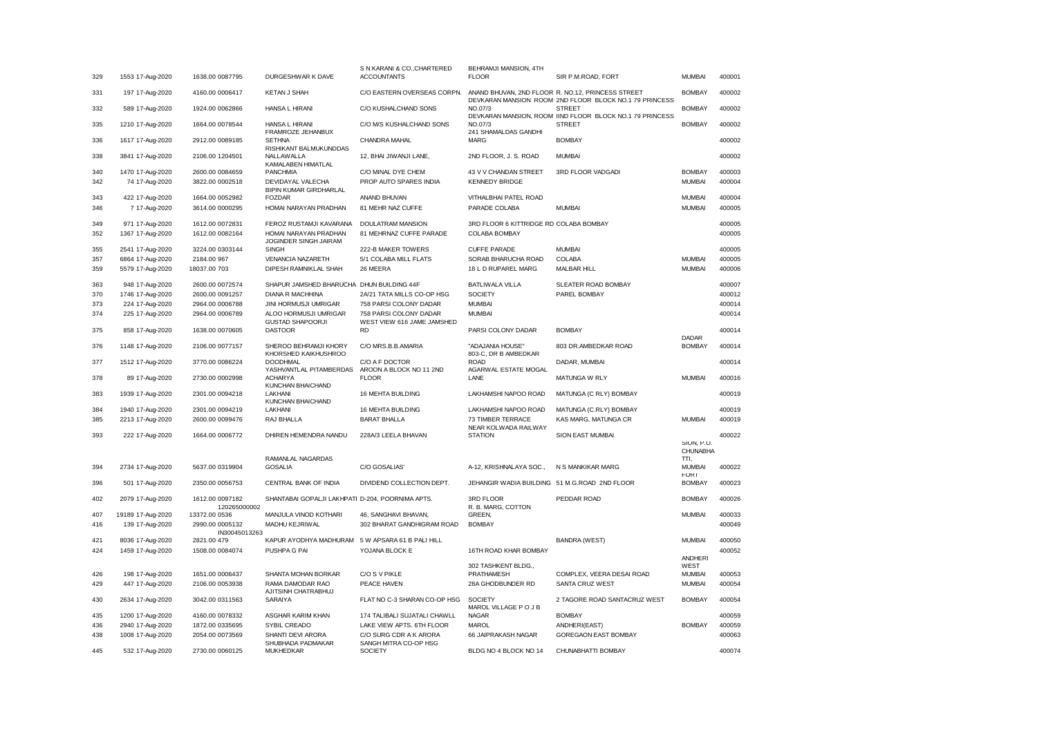| 329        | 1553 17-Aug-2020  | 1638.00 0087795                    | DURGESHWAR K DAVE                                                  | S N KARANI & CO., CHARTERED<br><b>ACCOUNTANTS</b>                 | BEHRAMJI MANSION, 4TH<br><b>FLOOR</b>         | SIR P.M.ROAD, FORT                                                                                          | <b>MUMBAI</b>                  | 400001           |
|------------|-------------------|------------------------------------|--------------------------------------------------------------------|-------------------------------------------------------------------|-----------------------------------------------|-------------------------------------------------------------------------------------------------------------|--------------------------------|------------------|
| 331        | 197 17-Aug-2020   | 4160.00 0006417                    | KETAN J SHAH                                                       | C/O EASTERN OVERSEAS CORPN.                                       |                                               | ANAND BHUVAN, 2ND FLOOR R. NO.12, PRINCESS STREET<br>DEVKARAN MANSION ROOM 2ND FLOOR BLOCK NO.1 79 PRINCESS | <b>BOMBAY</b>                  | 400002           |
| 332        | 589 17-Aug-2020   | 1924.00 0062866                    | HANSA L HIRANI                                                     | C/O KUSHALCHAND SONS                                              | NO.07/3                                       | <b>STREET</b><br>DEVKARAN MANSION, ROOM IIND FLOOR BLOCK NO.1 79 PRINCESS                                   | <b>BOMBAY</b>                  | 400002           |
| 335        | 1210 17-Aug-2020  | 1664.00 0078544                    | HANSA L HIRANI<br>FRAMROZE JEHANBUX                                | C/O M/S KUSHALCHAND SONS                                          | NO.07/3<br>241 SHAMALDAS GANDHI               | <b>STREET</b>                                                                                               | <b>BOMBAY</b>                  | 400002           |
| 336        | 1617 17-Aug-2020  | 2912.00 0089185                    | <b>SETHNA</b>                                                      | CHANDRA MAHAL                                                     | <b>MARG</b>                                   | <b>BOMBAY</b>                                                                                               |                                | 400002           |
| 338        | 3841 17-Aug-2020  | 2106.00 1204501                    | RISHIKANT BALMUKUNDDAS<br><b>NALLAWALLA</b><br>KAMALABEN HIMATLAL  | 12, BHAI JIWANJI LANE,                                            | 2ND FLOOR, J. S. ROAD                         | <b>MUMBAI</b>                                                                                               |                                | 400002           |
| 340        | 1470 17-Aug-2020  | 2600.00 0084659                    | <b>PANCHMIA</b>                                                    | C/O MINAL DYE CHEM                                                | 43 V V CHANDAN STREET                         | 3RD FLOOR VADGADI                                                                                           | <b>BOMBAY</b>                  | 400003           |
| 342        | 74 17-Aug-2020    | 3822.00 0002518                    | DEVIDAYAL VALECHA<br><b>BIPIN KUMAR GIRDHARLAL</b>                 | PROP AUTO SPARES INDIA                                            | <b>KENNEDY BRIDGE</b>                         |                                                                                                             | <b>MUMBAI</b>                  | 400004           |
| 343        | 422 17-Aug-2020   | 1664.00 0052982                    | <b>FOZDAR</b>                                                      | <b>ANAND BHUVAN</b>                                               | VITHALBHAI PATEL ROAD                         |                                                                                                             | <b>MUMBAI</b>                  | 400004           |
| 346        | 7 17-Aug-2020     | 3614.00 0000295                    | HOMAI NARAYAN PRADHAN                                              | 81 MEHR NAZ CUFFE                                                 | PARADE COLABA                                 | <b>MUMBAI</b>                                                                                               | <b>MUMBAI</b>                  | 400005           |
| 349        | 971 17-Aug-2020   | 1612.00 0072831                    | FEROZ RUSTAMJI KAVARANA                                            | DOULATRAM MANSION                                                 | 3RD FLOOR 6 KITTRIDGE RD COLABA BOMBAY        |                                                                                                             |                                | 400005           |
| 352        | 1367 17-Aug-2020  | 1612.00 0082164                    | HOMAI NARAYAN PRADHAN<br>JOGINDER SINGH JAIRAM                     | 81 MEHRNAZ CUFFE PARADE                                           | <b>COLABA BOMBAY</b>                          |                                                                                                             |                                | 400005           |
| 355        | 2541 17-Aug-2020  | 3224.00 0303144                    | SINGH                                                              | 222-B MAKER TOWERS                                                | <b>CUFFE PARADE</b>                           | <b>MUMBAI</b>                                                                                               |                                | 400005           |
| 357        | 6864 17-Aug-2020  | 2184.00 967                        | <b>VENANCIA NAZARETH</b>                                           | 5/1 COLABA MILL FLATS                                             | SORAB BHARUCHA ROAD                           | <b>COLABA</b>                                                                                               | <b>MUMBAI</b>                  | 400005           |
| 359        | 5579 17-Aug-2020  | 18037.00 703                       | DIPESH RAMNIKLAL SHAH                                              | 26 MEERA                                                          | 18 L D RUPAREL MARG                           | MALBAR HILL                                                                                                 | <b>MUMBAI</b>                  | 400006           |
| 363        | 948 17-Aug-2020   | 2600.00 0072574                    | SHAPUR JAMSHED BHARUCHA DHUN BUILDING 44F                          |                                                                   | <b>BATLIWALA VILLA</b>                        | SLEATER ROAD BOMBAY                                                                                         |                                | 400007           |
| 370        | 1746 17-Aug-2020  | 2600.00 0091257                    | DIANA R MACHHINA                                                   | 2A/21 TATA MILLS CO-OP HSG                                        | SOCIETY                                       | PAREL BOMBAY                                                                                                |                                | 400012           |
| 373        | 224 17-Aug-2020   | 2964.00 0006788                    | JINI HORMUSJI UMRIGAR                                              | 758 PARSI COLONY DADAR                                            | <b>MUMBAI</b>                                 |                                                                                                             |                                | 400014           |
| 374<br>375 | 225 17-Aug-2020   | 2964.00 0006789<br>1638.00 0070605 | ALOO HORMUSJI UMRIGAR<br><b>GUSTAD SHAPOORJI</b><br><b>DASTOOR</b> | 758 PARSI COLONY DADAR<br>WEST VIEW 616 JAME JAMSHED<br><b>RD</b> | <b>MUMBAI</b><br>PARSI COLONY DADAR           | <b>BOMBAY</b>                                                                                               |                                | 400014<br>400014 |
|            | 858 17-Aug-2020   |                                    |                                                                    |                                                                   |                                               |                                                                                                             | <b>DADAR</b>                   |                  |
| 376        | 1148 17-Aug-2020  | 2106.00 0077157                    | SHEROO BEHRAMJI KHORY<br>KHORSHED KAIKHUSHROO                      | C/O MRS.B.B.AMARIA                                                | "ADAJANIA HOUSE"<br>803-C, DR B AMBEDKAR      | 803 DR.AMBEDKAR ROAD                                                                                        | <b>BOMBAY</b>                  | 400014           |
| 377        | 1512 17-Aug-2020  | 3770.00 0086224                    | <b>DOODHMAL</b><br>YASHVANTLAL PITAMBERDAS                         | C/O A F DOCTOR<br>AROON A BLOCK NO 11 2ND                         | <b>ROAD</b><br>AGARWAL ESTATE MOGAL           | DADAR, MUMBAI                                                                                               |                                | 400014           |
| 378        | 89 17-Aug-2020    | 2730.00 0002998                    | <b>ACHARYA</b><br>KUNCHAN BHAICHAND                                | <b>FLOOR</b>                                                      | LANE                                          | MATUNGA W RLY                                                                                               | <b>MUMBAI</b>                  | 400016           |
| 383        | 1939 17-Aug-2020  | 2301.00 0094218                    | LAKHANI<br>KUNCHAN BHAICHAND                                       | 16 MEHTA BUILDING                                                 | LAKHAMSHI NAPOO ROAD                          | MATUNGA (C RLY) BOMBAY                                                                                      |                                | 400019           |
| 384        | 1940 17-Aug-2020  | 2301.00 0094219                    | LAKHANI                                                            | 16 MEHTA BUILDING                                                 | LAKHAMSHI NAPOO ROAD                          | MATUNGA (C.RLY) BOMBAY                                                                                      |                                | 400019           |
| 385        | 2213 17-Aug-2020  | 2600.00 0099476                    | RAJ BHALLA                                                         | <b>BARAT BHALLA</b>                                               | 73 TIMBER TERRACE<br>NEAR KOLWADA RAILWAY     | KAS MARG, MATUNGA CR                                                                                        | <b>MUMBAI</b>                  | 400019           |
| 393        | 222 17-Aug-2020   | 1664.00 0006772                    | DHIREN HEMENDRA NANDU                                              | 228A/3 LEELA BHAVAN                                               | <b>STATION</b>                                | SION EAST MUMBAI                                                                                            |                                | 400022           |
|            |                   |                                    | RAMANLAL NAGARDAS                                                  |                                                                   |                                               |                                                                                                             | SION, P.O.<br>CHUNABHA<br>TTI, |                  |
| 394        | 2734 17-Aug-2020  | 5637.00 0319904                    | <b>GOSALIA</b>                                                     | C/O GOSALIAS'                                                     | A-12, KRISHNALAYA SOC.,                       | N S MANKIKAR MARG                                                                                           | <b>MUMBAI</b><br><b>FORT</b>   | 400022           |
| 396        | 501 17-Aug-2020   | 2350.00 0056753                    | <b>CENTRAL BANK OF INDIA</b>                                       | DIVIDEND COLLECTION DEPT.                                         | JEHANGIR WADIA BUILDING 51 M.G.ROAD 2ND FLOOR |                                                                                                             | <b>BOMBAY</b>                  | 400023           |
| 402        | 2079 17-Aug-2020  | 1612.00 0097182<br>120265000002    | SHANTABAI GOPALJI LAKHPATI D-204, POORNIMA APTS.                   |                                                                   | 3RD FLOOR<br>R. B. MARG, COTTON               | PEDDAR ROAD                                                                                                 | <b>BOMBAY</b>                  | 400026           |
| 407        | 19189 17-Aug-2020 | 13372.00 0536                      | MANJULA VINOD KOTHARI                                              | 46, SANGHAVI BHAVAN,                                              | GREEN,                                        |                                                                                                             | <b>MUMBAI</b>                  | 400033           |
| 416        | 139 17-Aug-2020   | 2990.00 0005132<br>IN30045013263   | MADHU KEJRIWAL                                                     | 302 BHARAT GANDHIGRAM ROAD                                        | <b>BOMBAY</b>                                 |                                                                                                             |                                | 400049           |
| 421        | 8036 17-Aug-2020  | 2821.00 479                        | KAPUR AYODHYA MADHURAM 5 W APSARA 61 B PALI HILL                   |                                                                   |                                               | <b>BANDRA (WEST)</b>                                                                                        | <b>MUMBAI</b>                  | 400050           |
| 424        | 1459 17-Aug-2020  | 1508.00 0084074                    | PUSHPA G PAI                                                       | YOJANA BLOCK E                                                    | 16TH ROAD KHAR BOMBAY                         |                                                                                                             |                                | 400052           |
|            |                   |                                    |                                                                    |                                                                   | 302 TASHKENT BLDG.,                           |                                                                                                             | <b>ANDHERI</b><br>WEST         |                  |
| 426        | 198 17-Aug-2020   | 1651.00 0006437                    | SHANTA MOHAN BORKAR                                                | C/O S V PIKLE                                                     | PRATHAMESH                                    | COMPLEX, VEERA DESAI ROAD                                                                                   | <b>MUMBAI</b>                  | 400053           |
| 429        | 447 17-Aug-2020   | 2106.00 0053938                    | RAMA DAMODAR RAO                                                   | PEACE HAVEN                                                       | 28A GHODBUNDER RD                             | SANTA CRUZ WEST                                                                                             | <b>MUMBAI</b>                  | 400054           |
|            |                   |                                    | AJITSINH CHATRABHUJ                                                |                                                                   |                                               |                                                                                                             |                                |                  |
| 430        | 2634 17-Aug-2020  | 3042.00 0311563                    | SARAIYA                                                            | FLAT NO C-3 SHARAN CO-OP HSG                                      | <b>SOCIETY</b><br>MAROL VILLAGE P O J B       | 2 TAGORE ROAD SANTACRUZ WEST                                                                                | <b>BOMBAY</b>                  | 400054           |
| 435        | 1200 17-Aug-2020  | 4160.00 0078332                    | ASGHAR KARIM KHAN                                                  | 174 TALIBALI SUJATALI CHAWLL                                      | <b>NAGAR</b>                                  | <b>BOMBAY</b>                                                                                               |                                | 400059           |
| 436        | 2940 17-Aug-2020  | 1872.00 0335695                    | SYBIL CREADO                                                       | LAKE VIEW APTS. 6TH FLOOR                                         | <b>MAROL</b>                                  | ANDHERI(EAST)                                                                                               | <b>BOMBAY</b>                  | 400059           |
| 438        | 1008 17-Aug-2020  | 2054.00 0073569                    | SHANTI DEVI ARORA<br>SHUBHADA PADMAKAR                             | C/O SURG CDR A K ARORA<br>SANGH MITRA CO-OP HSG                   | 66 JAIPRAKASH NAGAR                           | GOREGAON EAST BOMBAY                                                                                        |                                | 400063           |
| 445        | 532 17-Aug-2020   | 2730.00 0060125                    | <b>MUKHEDKAR</b>                                                   | <b>SOCIETY</b>                                                    | BLDG NO 4 BLOCK NO 14                         | CHUNABHATTI BOMBAY                                                                                          |                                | 400074           |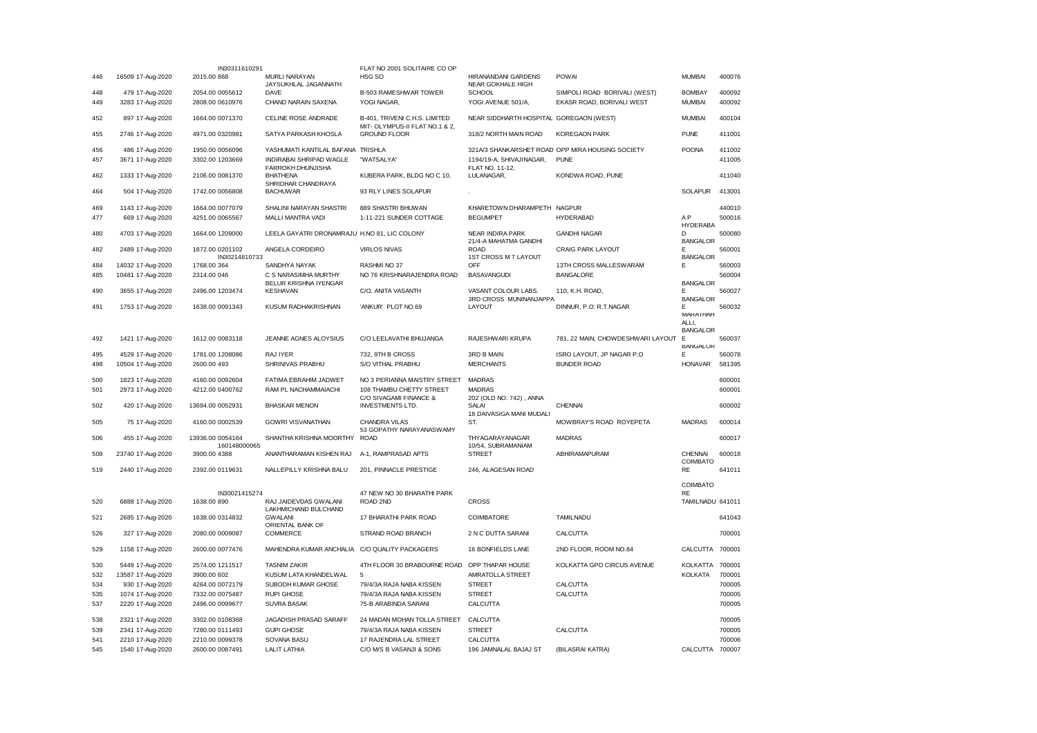|     |                   | IN30311610291                    |                                               | FLAT NO 2001 SOLITAIRE CO OP                          |                                                  |                                                  |                        |        |
|-----|-------------------|----------------------------------|-----------------------------------------------|-------------------------------------------------------|--------------------------------------------------|--------------------------------------------------|------------------------|--------|
| 446 | 16509 17-Aug-2020 | 2015.00 868                      | MURLI NARAYAN                                 | HSG SO                                                | HIRANANDANI GARDENS                              | <b>POWAI</b>                                     | <b>MUMBAI</b>          | 400076 |
|     |                   |                                  | JAYSUKHLAL JAGANNATH                          |                                                       | NEAR GOKHALE HIGH                                |                                                  |                        |        |
| 448 | 479 17-Aug-2020   | 2054.00 0055612                  | <b>DAVE</b>                                   | B-503 RAMESHWAR TOWER                                 | <b>SCHOOL</b>                                    | SIMPOLI ROAD BORIVALI (WEST)                     | <b>BOMBAY</b>          | 400092 |
| 449 | 3283 17-Aug-2020  | 2808.00 0610976                  | CHAND NARAIN SAXENA                           | YOGI NAGAR,                                           | YOGI AVENUE 501/A,                               | EKASR ROAD, BORIVALI WEST                        | <b>MUMBAI</b>          | 400092 |
| 452 | 897 17-Aug-2020   | 1664.00 0071370                  | CELINE ROSE ANDRADE                           | B-401, TRIVENI C.H.S. LIMITED                         | NEAR SIDDHARTH HOSPITAL GOREGAON (WEST)          |                                                  | <b>MUMBAI</b>          | 400104 |
| 455 | 2746 17-Aug-2020  | 4971.00 0320981                  | SATYA PARKASH KHOSLA                          | MIT- OLYMPUS-II FLAT NO.1 & 2,<br><b>GROUND FLOOR</b> | 318/2 NORTH MAIN ROAD                            | <b>KOREGAON PARK</b>                             | <b>PUNE</b>            | 411001 |
| 456 | 486 17-Aug-2020   | 1950.00 0056096                  | YASHUMATI KANTILAL BAFANA                     | <b>TRISHLA</b>                                        |                                                  | 321A/3 SHANKARSHET ROAD OPP MIRA HOUSING SOCIETY | <b>POONA</b>           | 411002 |
| 457 | 3671 17-Aug-2020  | 3302.00 1203669                  | INDIRABAI SHRIPAD WAGLE                       | "WATSALYA"                                            | 1194/19-A, SHIVAJINAGAR,                         | PUNE                                             |                        | 411005 |
|     |                   |                                  | FARROKH DHUNJISHA                             |                                                       | FLAT NO. 11-12,                                  |                                                  |                        |        |
| 462 | 1333 17-Aug-2020  | 2106.00 0081370                  | <b>BHATHENA</b><br>SHRIDHAR CHANDRAYA         | KUBERA PARK, BLDG NO C 10,                            | LULANAGAR,                                       | KONDWA ROAD, PUNE                                |                        | 411040 |
| 464 | 504 17-Aug-2020   | 1742.00 0056808                  | <b>BACHUWAR</b>                               | 93 RLY LINES SOLAPUR                                  |                                                  |                                                  | <b>SOLAPUR</b>         | 413001 |
| 469 | 1143 17-Aug-2020  | 1664.00 0077079                  | SHALINI NARAYAN SHASTRI                       | 889 SHASTRI BHUWAN                                    | KHARETOWN DHARAMPETH NAGPUR                      |                                                  |                        | 440010 |
| 477 | 669 17-Aug-2020   | 4251.00 0065567                  | MALLI MANTRA VADI                             | 1-11-221 SUNDER COTTAGE                               | <b>BEGUMPET</b>                                  | <b>HYDERABAD</b>                                 | A <sub>P</sub>         | 500016 |
|     |                   |                                  |                                               |                                                       |                                                  |                                                  | <b>HYDERABA</b>        |        |
| 480 | 4703 17-Aug-2020  | 1664.00 1209000                  | LEELA GAYATRI DRONAMRAJU H.NO 81, LIC COLONY  |                                                       | <b>NEAR INDIRA PARK</b><br>21/4-A MAHATMA GANDHI | <b>GANDHI NAGAR</b>                              | D<br><b>BANGALOR</b>   | 500080 |
| 482 | 2489 17-Aug-2020  | 1872.00 0201102<br>IN30214810733 | ANGELA CORDEIRO                               | <b>VIRLOS NIVAS</b>                                   | <b>ROAD</b><br><b>1ST CROSS M T LAYOUT</b>       | CRAIG PARK LAYOUT                                | E.<br><b>BANGALOR</b>  | 560001 |
| 484 | 14032 17-Aug-2020 | 1768.00 364                      | SANDHYA NAYAK                                 | RASHMI NO 37                                          | OFF                                              | 13TH CROSS MALLESWARAM                           | Е                      | 560003 |
| 485 | 10481 17-Aug-2020 | 2314.00 046                      | C S NARASIMHA MURTHY<br>BELUR KRISHNA IYENGAR | NO 76 KRISHNARAJENDRA ROAD                            | <b>BASAVANGUDI</b>                               | <b>BANGALORE</b>                                 | <b>BANGALOR</b>        | 560004 |
| 490 | 3655 17-Aug-2020  | 2496.00 1203474                  | <b>KESHAVAN</b>                               | C/O. ANITA VASANTH                                    | VASANT COLOUR LABS.<br>3RD CROSS MUNINANJAPPA    | 110, K.H. ROAD,                                  | Е<br><b>BANGALOR</b>   | 560027 |
| 491 | 1753 17-Aug-2020  | 1638.00 0091343                  | KUSUM RADHAKRISHNAN                           | 'ANKUR' PLOT NO.69                                    | LAYOUT                                           | DINNUR, P.O: R.T.NAGAR                           | Е                      | 560032 |
|     |                   |                                  |                                               |                                                       |                                                  |                                                  | MARATHAH               |        |
|     |                   |                                  |                                               |                                                       |                                                  |                                                  | ALL I                  |        |
|     |                   |                                  |                                               |                                                       |                                                  |                                                  | <b>BANGALOR</b>        |        |
| 492 | 1421 17-Aug-2020  | 1612.00 0083118                  | JEANNE AGNES ALOYSIUS                         | C/O LEELAVATHI BHUJANGA                               | RAJESHWARI KRUPA                                 | 781, 22 MAIN, CHOWDESHWARI LAYOUT                | Е<br><b>BANGALOR</b>   | 560037 |
| 495 | 4529 17-Aug-2020  | 1781.00 1208086                  | RAJ IYER                                      | 732, 9TH B CROSS                                      | 3RD B MAIN                                       | ISRO LAYOUT, JP NAGAR P.O                        | Е                      | 560078 |
| 498 | 10504 17-Aug-2020 | 2600.00 493                      | SHRINIVAS PRABHU                              | S/O VITHAL PRABHU                                     | <b>MERCHANTS</b>                                 | <b>BUNDER ROAD</b>                               | <b>HONAVAR</b>         | 581395 |
|     |                   |                                  |                                               |                                                       |                                                  |                                                  |                        |        |
| 500 | 1823 17-Aug-2020  | 4160.00 0092604                  | FATIMA EBRAHIM JADWET                         | NO 3 PERIANNA MAISTRY STREET                          | MADRAS                                           |                                                  |                        | 600001 |
| 501 | 2973 17-Aug-2020  | 4212.00 0400762                  | RAM PL NACHAMMAIACHI                          | 108 THAMBU CHETTY STREET                              | <b>MADRAS</b>                                    |                                                  |                        | 600001 |
|     |                   |                                  |                                               | C/O SIVAGAMI FINANCE &                                | 202 (OLD NO. 742), ANNA                          |                                                  |                        |        |
| 502 | 420 17-Aug-2020   | 13694.00 0052931                 | <b>BHASKAR MENON</b>                          | <b>INVESTMENTS LTD.</b>                               | SALAI                                            | <b>CHENNAI</b>                                   |                        | 600002 |
| 505 | 75 17-Aug-2020    | 4160.00 0002539                  | <b>GOWRI VISVANATHAN</b>                      | <b>CHANDRA VILAS</b>                                  | 18 DAIVASIGA MANI MUDALI<br>ST.                  | MOWBRAY'S ROAD ROYEPETA                          | <b>MADRAS</b>          | 600014 |
|     |                   |                                  |                                               | 53 GOPATHY NARAYANASWAMY                              |                                                  |                                                  |                        |        |
| 506 | 455 17-Aug-2020   | 13936.00 0054164<br>160148000065 | SHANTHA KRISHNA MOORTHY                       | <b>ROAD</b>                                           | THYAGARAYANAGAR                                  | <b>MADRAS</b>                                    |                        | 600017 |
| 508 | 23740 17-Aug-2020 |                                  |                                               |                                                       |                                                  |                                                  |                        |        |
|     |                   | 3900.00 4388                     | ANANTHARAMAN KISHEN RAJ                       | A-1, RAMPRASAD APTS                                   | 10/54, SUBRAMANIAM<br><b>STREET</b>              | ABHIRAMAPURAM                                    | <b>CHENNAI</b>         | 600018 |
| 519 |                   |                                  |                                               |                                                       |                                                  |                                                  | <b>COIMBATO</b>        |        |
|     | 2440 17-Aug-2020  | 2392.00 0119631                  | NALLEPILLY KRISHNA BALU                       | 201, PINNACLE PRESTIGE                                | 246, ALAGESAN ROAD                               |                                                  | RE                     | 641011 |
|     |                   |                                  |                                               |                                                       |                                                  |                                                  |                        |        |
|     |                   |                                  |                                               |                                                       |                                                  |                                                  | COIMBATO               |        |
| 520 | 6888 17-Aug-2020  | IN30021415274<br>1638.00 890     | RAJ JAIDEVDAS GWALANI                         | 47 NEW NO 30 BHARATHI PARK<br>ROAD 2ND                | <b>CROSS</b>                                     |                                                  | RE<br>TAMILNADU 641011 |        |
| 521 | 2685 17-Aug-2020  | 1638.00 0314832                  | LAKHMICHAND BULCHAND<br><b>GWALANI</b>        | 17 BHARATHI PARK ROAD                                 | COIMBATORE                                       | <b>TAMILNADU</b>                                 |                        | 641043 |
|     |                   |                                  | ORIENTAL BANK OF                              |                                                       |                                                  |                                                  |                        |        |
| 526 | 327 17-Aug-2020   | 2080.00 0009087                  | COMMERCE                                      | STRAND ROAD BRANCH                                    | 2 N C DUTTA SARANI                               | CALCUTTA                                         |                        | 700001 |
| 529 | 1158 17-Aug-2020  | 2600.00 0077476                  | MAHENDRA KUMAR ANCHALIA C/O QUALITY PACKAGERS |                                                       | 16 BONFIELDS LANE                                | 2ND FLOOR, ROOM NO.84                            | CALCUTTA 700001        |        |
|     |                   |                                  |                                               |                                                       |                                                  |                                                  |                        |        |
| 530 | 5449 17-Aug-2020  | 2574.00 1211517                  | <b>TASNIM ZAKIR</b>                           | 4TH FLOOR 30 BRABOURNE ROAD                           | OPP THAPAR HOUSE                                 | KOLKATTA GPO CIRCUS AVENUE                       | KOLKATTA 700001        |        |
| 532 | 13587 17-Aug-2020 | 3900.00 602                      | KUSUM LATA KHANDELWAL                         | 5                                                     | AMRATOLLA STREET                                 |                                                  | <b>KOLKATA</b>         | 700001 |
| 534 | 930 17-Aug-2020   | 4264.00 0072179                  | SUBODH KUMAR GHOSE                            | 79/4/3A RAJA NABA KISSEN                              | <b>STREET</b>                                    | CALCUTTA                                         |                        | 700005 |
| 535 | 1074 17-Aug-2020  | 7332.00 0075487                  | <b>RUPI GHOSE</b>                             | 79/4/3A RAJA NABA KISSEN                              | <b>STREET</b>                                    | CALCUTTA                                         |                        | 700005 |
| 537 | 2220 17-Aug-2020  | 2496.00 0099677                  | <b>SUVRA BASAK</b>                            | 75-B ARABINDA SARANI                                  | CALCUTTA                                         |                                                  |                        | 700005 |
| 538 | 2321 17-Aug-2020  | 3302.00 0108368                  | JAGADISH PRASAD SARAFF                        | 24 MADAN MOHAN TOLLA STREET                           | CALCUTTA                                         |                                                  |                        | 700005 |
| 539 | 2341 17-Aug-2020  | 7280.00 0111493                  | <b>GUPI GHOSE</b>                             | 79/4/3A RAJA NABA KISSEN                              | <b>STREET</b>                                    | CALCUTTA                                         |                        | 700005 |
| 541 | 2210 17-Aug-2020  | 2210.00 0099378                  | SOVANA BASU                                   | 17 RAJENDRA LAL STREET                                | CALCUTTA                                         |                                                  |                        | 700006 |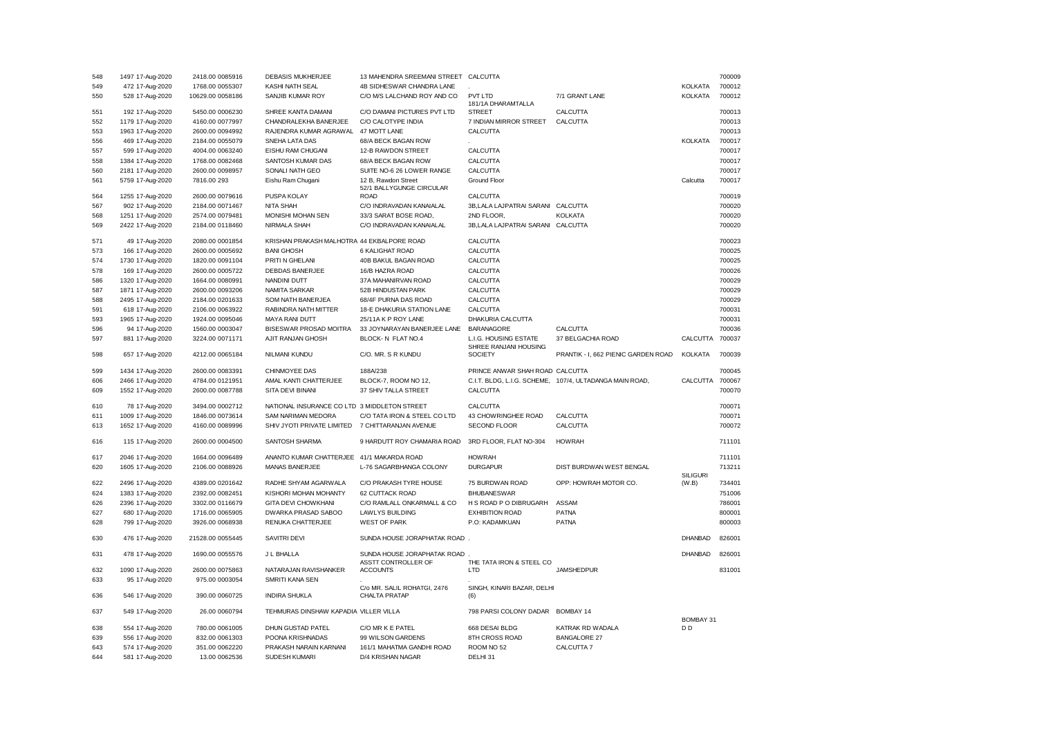| 548 | 1497 17-Aug-2020                   | 2418.00 0085916                 | <b>DEBASIS MUKHERJEE</b>                     | 13 MAHENDRA SREEMANI STREET CALCUTTA               |                                    |                                                         |                                    | 700009 |
|-----|------------------------------------|---------------------------------|----------------------------------------------|----------------------------------------------------|------------------------------------|---------------------------------------------------------|------------------------------------|--------|
| 549 | 472 17-Aug-2020                    | 1768.00 0055307                 | <b>KASHI NATH SEAL</b>                       | 4B SIDHESWAR CHANDRA LANE                          |                                    |                                                         | <b>KOLKATA</b>                     | 700012 |
| 550 | 528 17-Aug-2020                    | 10629.00 0058186                | SANJIB KUMAR ROY                             | C/O M/S LALCHAND ROY AND CO                        | PVT LTD                            | 7/1 GRANT LANE                                          | <b>KOLKATA</b>                     | 700012 |
|     |                                    |                                 |                                              |                                                    | 181/1A DHARAMTALLA                 |                                                         |                                    |        |
| 551 | 192 17-Aug-2020                    | 5450.00 0006230                 | SHREE KANTA DAMANI                           | C/O DAMANI PICTURES PVT LTD                        | <b>STREET</b>                      | CALCUTTA                                                |                                    | 700013 |
| 552 | 1179 17-Aug-2020                   | 4160.00 0077997                 | CHANDRALEKHA BANERJEE                        | C/O CALOTYPE INDIA                                 | 7 INDIAN MIRROR STREET             | CALCUTTA                                                |                                    | 700013 |
| 553 | 1963 17-Aug-2020                   | 2600.00 0094992                 | RAJENDRA KUMAR AGRAWAL                       | 47 MOTT LANE                                       | CALCUTTA                           |                                                         |                                    | 700013 |
| 556 | 469 17-Aug-2020                    | 2184.00 0055079                 | SNEHA LATA DAS                               | 68/A BECK BAGAN ROW                                |                                    |                                                         | <b>KOLKATA</b>                     | 700017 |
| 557 | 599 17-Aug-2020                    | 4004.00 0063240                 | EISHU RAM CHUGANI                            | 12-B RAWDON STREET                                 | CALCUTTA                           |                                                         |                                    | 700017 |
| 558 | 1384 17-Aug-2020                   | 1768.00 0082468                 | SANTOSH KUMAR DAS                            | 68/A BECK BAGAN ROW                                | CALCUTTA                           |                                                         |                                    | 700017 |
| 560 | 2181 17-Aug-2020                   | 2600.00 0098957                 | SONALI NATH GEO                              | SUITE NO-6 26 LOWER RANGE                          | CALCUTTA                           |                                                         |                                    | 700017 |
| 561 | 5759 17-Aug-2020                   | 7816.00 293                     | Eishu Ram Chugani                            | 12 B, Rawdon Street                                | Ground Floor                       |                                                         | Calcutta                           | 700017 |
|     |                                    |                                 |                                              | 52/1 BALLYGUNGE CIRCULAR                           |                                    |                                                         |                                    |        |
| 564 | 1255 17-Aug-2020                   | 2600.00 0079616                 | PUSPA KOLAY                                  | <b>ROAD</b>                                        | CALCUTTA                           |                                                         |                                    | 700019 |
| 567 | 902 17-Aug-2020                    | 2184.00 0071467                 | NITA SHAH                                    | C/O INDRAVADAN KANAIALAL                           | 3B, LALA LAJPATRAI SARANI CALCUTTA |                                                         |                                    | 700020 |
| 568 | 1251 17-Aug-2020                   | 2574.00 0079481                 | MONISHI MOHAN SEN                            | 33/3 SARAT BOSE ROAD,                              | 2ND FLOOR,                         | <b>KOLKATA</b>                                          |                                    | 700020 |
| 569 | 2422 17-Aug-2020                   | 2184.00 0118460                 | NIRMALA SHAH                                 | C/O INDRAVADAN KANAIALAL                           | 3B, LALA LAJPATRAI SARANI CALCUTTA |                                                         |                                    | 700020 |
|     |                                    |                                 |                                              |                                                    |                                    |                                                         |                                    |        |
| 571 | 49 17-Aug-2020                     | 2080.00 0001854                 | KRISHAN PRAKASH MALHOTRA 44 EKBALPORE ROAD   |                                                    | CALCUTTA                           |                                                         |                                    | 700023 |
| 573 | 166 17-Aug-2020                    | 2600.00 0005692                 | <b>BANI GHOSH</b>                            | 6 KALIGHAT ROAD                                    | CALCUTTA                           |                                                         |                                    | 700025 |
| 574 | 1730 17-Aug-2020                   | 1820.00 0091104                 | PRITI N GHELANI                              | 40B BAKUL BAGAN ROAD                               | CALCUTTA                           |                                                         |                                    | 700025 |
| 578 | 169 17-Aug-2020                    | 2600.00 0005722                 | DEBDAS BANERJEE                              | 16/B HAZRA ROAD                                    | CALCUTTA                           |                                                         |                                    | 700026 |
| 586 | 1320 17-Aug-2020                   | 1664.00 0080991                 | NANDINI DUTT                                 | 37A MAHANIRVAN ROAD                                | CALCUTTA                           |                                                         |                                    | 700029 |
| 587 | 1871 17-Aug-2020                   | 2600.00 0093206                 | NAMITA SARKAR                                | 52B HINDUSTAN PARK                                 | CALCUTTA                           |                                                         |                                    | 700029 |
| 588 | 2495 17-Aug-2020                   | 2184.00 0201633                 | SOM NATH BANERJEA                            | 68/4F PURNA DAS ROAD                               | CALCUTTA                           |                                                         |                                    | 700029 |
| 591 | 618 17-Aug-2020                    | 2106.00 0063922                 | RABINDRA NATH MITTER                         | 18-E DHAKURIA STATION LANE                         | CALCUTTA                           |                                                         |                                    | 700031 |
| 593 | 1965 17-Aug-2020                   | 1924.00 0095046                 | <b>MAYA RANI DUTT</b>                        | 25/11A K P ROY LANE                                | DHAKURIA CALCUTTA                  |                                                         |                                    | 700031 |
| 596 | 94 17-Aug-2020                     | 1560.00 0003047                 | BISESWAR PROSAD MOITRA                       | 33 JOYNARAYAN BANERJEE LANE                        | <b>BARANAGORE</b>                  | CALCUTTA                                                |                                    | 700036 |
| 597 | 881 17-Aug-2020                    | 3224.00 0071171                 | AJIT RANJAN GHOSH                            | BLOCK- N FLAT NO.4                                 | L.I.G. HOUSING ESTATE              | 37 BELGACHIA ROAD                                       | CALCUTTA 700037                    |        |
|     |                                    |                                 |                                              |                                                    | SHREE RANJANI HOUSING              |                                                         |                                    |        |
| 598 | 657 17-Aug-2020                    | 4212.00 0065184                 | NILMANI KUNDU                                | C/O. MR. S R KUNDU                                 | <b>SOCIETY</b>                     | PRANTIK - I, 662 PIENIC GARDEN ROAD                     | <b>KOLKATA</b>                     | 700039 |
|     |                                    |                                 |                                              |                                                    |                                    |                                                         |                                    |        |
| 599 | 1434 17-Aug-2020                   | 2600.00 0083391                 | CHINMOYEE DAS                                | 188A/238                                           | PRINCE ANWAR SHAH ROAD CALCUTTA    |                                                         |                                    | 700045 |
| 606 | 2466 17-Aug-2020                   | 4784.00 0121951                 | AMAL KANTI CHATTERJEE                        | BLOCK-7, ROOM NO 12,                               |                                    | C.I.T. BLDG, L.I.G. SCHEME, 107/4, ULTADANGA MAIN ROAD, | CALCUTTA 700067                    |        |
| 609 | 1552 17-Aug-2020                   | 2600.00 0087788                 | SITA DEVI BINANI                             | 37 SHIV TALLA STREET                               | CALCUTTA                           |                                                         |                                    | 700070 |
|     |                                    |                                 |                                              |                                                    |                                    |                                                         |                                    |        |
| 610 | 78 17-Aug-2020                     | 3494.00 0002712                 | NATIONAL INSURANCE CO LTD 3 MIDDLETON STREET |                                                    | CALCUTTA                           |                                                         |                                    | 700071 |
| 611 | 1009 17-Aug-2020                   | 1846.00 0073614                 | SAM NARIMAN MEDORA                           | C/O TATA IRON & STEEL CO LTD                       | 43 CHOWRINGHEE ROAD                | CALCUTTA                                                |                                    | 700071 |
| 613 | 1652 17-Aug-2020                   | 4160.00 0089996                 | SHIV JYOTI PRIVATE LIMITED                   | 7 CHITTARANJAN AVENUE                              | SECOND FLOOR                       | CALCUTTA                                                |                                    | 700072 |
| 616 | 115 17-Aug-2020                    | 2600.00 0004500                 | <b>SANTOSH SHARMA</b>                        | 9 HARDUTT ROY CHAMARIA ROAD                        | 3RD FLOOR, FLAT NO-304             | <b>HOWRAH</b>                                           |                                    | 711101 |
|     |                                    |                                 |                                              |                                                    |                                    |                                                         |                                    |        |
| 617 | 2046 17-Aug-2020                   | 1664.00 0096489                 | ANANTO KUMAR CHATTERJEE 41/1 MAKARDA ROAD    |                                                    | <b>HOWRAH</b>                      |                                                         |                                    | 711101 |
| 620 | 1605 17-Aug-2020                   | 2106.00 0088926                 | MANAS BANERJEE                               | L-76 SAGARBHANGA COLONY                            | <b>DURGAPUR</b>                    | DIST BURDWAN WEST BENGAL                                |                                    | 713211 |
|     |                                    |                                 |                                              |                                                    |                                    |                                                         | <b>SILIGURI</b>                    |        |
| 622 | 2496 17-Aug-2020                   | 4389.00 0201642                 | RADHE SHYAM AGARWALA                         | C/O PRAKASH TYRE HOUSE                             | 75 BURDWAN ROAD                    | OPP: HOWRAH MOTOR CO.                                   | (W.B)                              | 734401 |
| 624 | 1383 17-Aug-2020                   | 2392.00 0082451                 | KISHORI MOHAN MOHANTY                        | 62 CUTTACK ROAD                                    | <b>BHUBANESWAR</b>                 |                                                         |                                    | 751006 |
| 626 | 2396 17-Aug-2020                   | 3302.00 0116679                 | GITA DEVI CHOWKHANI                          | C/O RAMLALL ONKARMALL & CO                         | H S ROAD P O DIBRUGARH             | ASSAM                                                   |                                    | 786001 |
| 627 | 680 17-Aug-2020                    | 1716.00 0065905                 | DWARKA PRASAD SABOO                          | <b>LAWLYS BUILDING</b>                             | <b>EXHIBITION ROAD</b>             | <b>PATNA</b>                                            |                                    | 800001 |
| 628 | 799 17-Aug-2020                    | 3926.00 0068938                 | RENUKA CHATTERJEE                            | <b>WEST OF PARK</b>                                | P.O: KADAMKUAN                     | <b>PATNA</b>                                            |                                    | 800003 |
|     |                                    |                                 |                                              |                                                    |                                    |                                                         |                                    |        |
| 630 | 476 17-Aug-2020                    | 21528.00 0055445                | <b>SAVITRI DEVI</b>                          | SUNDA HOUSE JORAPHATAK ROAD.                       |                                    |                                                         | <b>DHANBAD</b>                     | 826001 |
|     |                                    |                                 | J L BHALLA                                   |                                                    |                                    |                                                         | <b>DHANBAD</b>                     | 826001 |
| 631 | 478 17-Aug-2020                    | 1690.00 0055576                 |                                              | SUNDA HOUSE JORAPHATAK ROAD<br>ASSTT CONTROLLER OF | THE TATA IRON & STEEL CO           |                                                         |                                    |        |
| 632 | 1090 17-Aug-2020                   | 2600.00 0075863                 | NATARAJAN RAVISHANKER                        | <b>ACCOUNTS</b>                                    | LTD                                | <b>JAMSHEDPUR</b>                                       |                                    | 831001 |
| 633 | 95 17-Aug-2020                     | 975.00 0003054                  | SMRITI KANA SEN                              |                                                    |                                    |                                                         |                                    |        |
|     |                                    |                                 |                                              | C/o MR. SALIL ROHATGI, 2476                        | SINGH, KINARI BAZAR, DELHI         |                                                         |                                    |        |
| 636 | 546 17-Aug-2020                    | 390.00 0060725                  | <b>INDIRA SHUKLA</b>                         | <b>CHALTA PRATAP</b>                               | (6)                                |                                                         |                                    |        |
|     |                                    |                                 |                                              |                                                    |                                    |                                                         |                                    |        |
| 637 | 549 17-Aug-2020                    | 26.00 0060794                   | TEHMURAS DINSHAW KAPADIA VILLER VILLA        |                                                    | 798 PARSI COLONY DADAR BOMBAY 14   |                                                         |                                    |        |
|     | 554 17-Aug-2020                    | 780.00 0061005                  | DHUN GUSTAD PATEL                            | C/O MR K E PATEL                                   | 668 DESAI BLDG                     | KATRAK RD WADALA                                        | <b>BOMBAY 31</b><br>D <sub>D</sub> |        |
| 638 |                                    |                                 |                                              |                                                    |                                    |                                                         |                                    |        |
| 639 | 556 17-Aug-2020                    | 832.00 0061303                  | POONA KRISHNADAS                             | 99 WILSON GARDENS                                  | 8TH CROSS ROAD                     | <b>BANGALORE 27</b>                                     |                                    |        |
| 643 | 574 17-Aug-2020<br>581 17-Aug-2020 | 351.00 0062220<br>13.00 0062536 | PRAKASH NARAIN KARNANI<br>SUDESH KUMARI      | 161/1 MAHATMA GANDHI ROAD                          | ROOM NO 52<br>DELHI 31             | CALCUTTA 7                                              |                                    |        |
| 644 |                                    |                                 |                                              | D/4 KRISHAN NAGAR                                  |                                    |                                                         |                                    |        |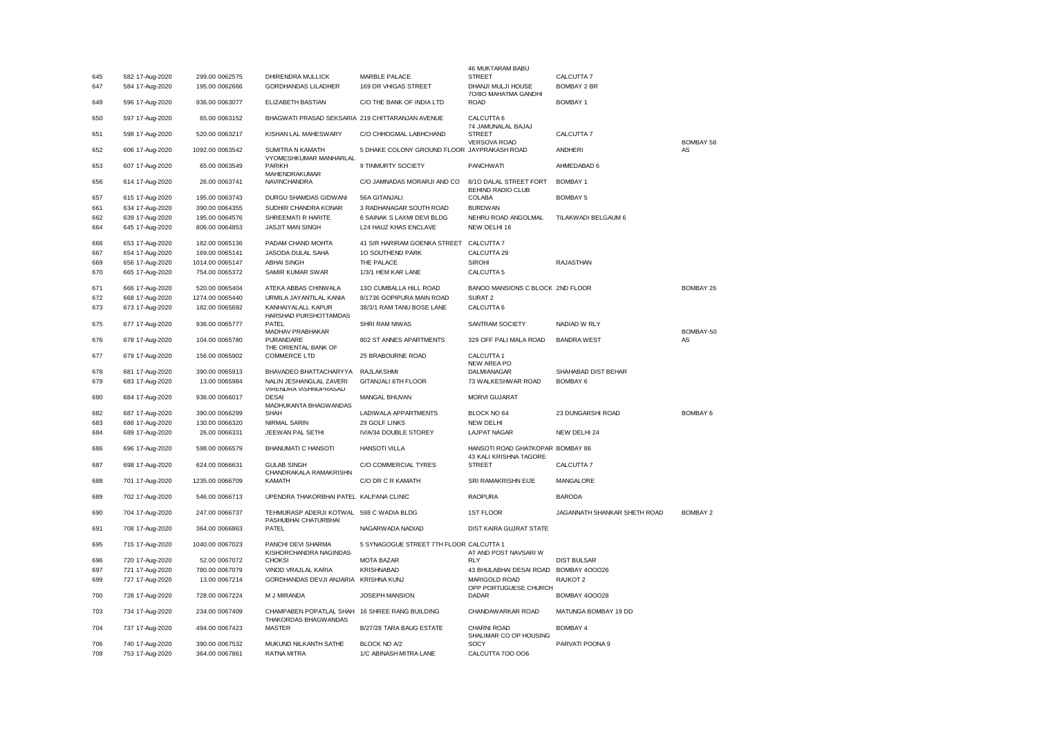|     |                 |                 |                                                                  |                                             | 46 MUKTARAM BABU                                           |                              |                 |
|-----|-----------------|-----------------|------------------------------------------------------------------|---------------------------------------------|------------------------------------------------------------|------------------------------|-----------------|
| 645 | 582 17-Aug-2020 | 299.00 0062575  | DHIRENDRA MULLICK                                                | MARBLE PALACE                               | <b>STREET</b>                                              | CALCUTTA 7                   |                 |
| 647 | 584 17-Aug-2020 | 195.00 0062666  | <b>GORDHANDAS LILADHER</b>                                       | 169 DR VHIGAS STREET                        | DHANJI MULJI HOUSE<br>70/80 MAHATMA GANDHI                 | <b>BOMBAY 2 BR</b>           |                 |
| 649 | 596 17-Aug-2020 | 936.00 0063077  | ELIZABETH BASTIAN                                                | C/O THE BANK OF INDIA LTD                   | <b>ROAD</b>                                                | <b>BOMBAY 1</b>              |                 |
| 650 | 597 17-Aug-2020 | 65.00 0063152   | BHAGWATI PRASAD SEKSARIA 219 CHITTARANJAN AVENUE                 |                                             | CALCUTTA 6<br>74 JAMUNALAL BAJAJ                           |                              |                 |
| 651 | 598 17-Aug-2020 | 520.00 0063217  | KISHAN LAL MAHESWARY                                             | C/O CHHOGMAL LABHCHAND                      | <b>STREET</b><br><b>VERSOVA ROAD</b>                       | CALCUTTA 7                   | BOMBAY 58       |
| 652 | 606 17-Aug-2020 | 1092.00 0063542 | SUMITRA N KAMATH<br><b>VYOMESHKUMAR MANHARLAL</b>                | 5 DHAKE COLONY GROUND FLOOR JAYPRAKASH ROAD |                                                            | <b>ANDHERI</b>               | AS              |
| 653 | 607 17-Aug-2020 | 65.00 0063549   | <b>PARIKH</b><br>MAHENDRAKUMAR                                   | 9 TINMURTY SOCIETY                          | <b>PANCHWATI</b>                                           | AHMEDABAD 6                  |                 |
| 656 | 614 17-Aug-2020 | 26.00 0063741   | <b>NAVINCHANDRA</b>                                              | C/O JAMNADAS MORARJI AND CO                 | 8/10 DALAL STREET FORT<br><b>BEHIND RADIO CLUB</b>         | <b>BOMBAY 1</b>              |                 |
| 657 | 615 17-Aug-2020 | 195.00 0063743  | DURGU SHAMDAS GIDWANI                                            | 56A GITANJALI                               | COLABA                                                     | <b>BOMBAY 5</b>              |                 |
| 661 | 634 17-Aug-2020 | 390.00 0064355  | SUDHIR CHANDRA KONAR                                             | 3 RADHANAGAR SOUTH ROAD                     | <b>BURDWAN</b>                                             |                              |                 |
| 662 | 639 17-Aug-2020 | 195.00 0064576  | SHREEMATI R HARITE                                               | 6 SAINAK S LAXMI DEVI BLDG                  | NEHRU ROAD ANGOLMAL                                        | TILAKWADI BELGAUM 6          |                 |
| 664 | 645 17-Aug-2020 | 806.00 0064853  | <b>JASJIT MAN SINGH</b>                                          | L24 HAUZ KHAS ENCLAVE                       | NEW DELHI 16                                               |                              |                 |
| 666 | 653 17-Aug-2020 | 182.00 0065136  | PADAM CHAND MOHTA                                                | 41 SIR HARIRAM GOENKA STREET                | CALCUTTA 7                                                 |                              |                 |
| 667 | 654 17-Aug-2020 | 169.00 0065141  | JASODA DULAL SAHA                                                | 10 SOUTHEND PARK                            | CALCUTTA 29                                                |                              |                 |
| 669 | 656 17-Aug-2020 | 1014.00 0065147 | ABHAI SINGH                                                      | THE PALACE                                  | <b>SIROHI</b>                                              | <b>RAJASTHAN</b>             |                 |
| 670 | 665 17-Aug-2020 | 754.00 0065372  | SAMIR KUMAR SWAR                                                 | 1/3/1 HEM KAR LANE                          | CALCUTTA <sub>5</sub>                                      |                              |                 |
| 671 | 666 17-Aug-2020 | 520.00 0065404  | ATEKA ABBAS CHINWALA                                             | 130 CUMBALLA HILL ROAD                      | BANOO MANSIONS C BLOCK 2ND FLOOR                           |                              | BOMBAY 26       |
| 672 | 668 17-Aug-2020 | 1274.00 0065440 | URMILA JAYANTILAL KANIA                                          | 8/1736 GOPIPURA MAIN ROAD                   | SURAT <sub>2</sub>                                         |                              |                 |
| 673 | 673 17-Aug-2020 | 182.00 0065692  | KANHAIYALALL KAPUR<br>HARSHAD PURSHOTTAMDAS                      | 38/3/1 RAM TANU BOSE LANE                   | CALCUTTA 6                                                 |                              |                 |
| 675 | 677 17-Aug-2020 | 936.00 0065777  | PATEL<br>MADHAV PRABHAKAR                                        | SHRI RAM NIWAS                              | SANTRAM SOCIETY                                            | NADIAD W RLY                 | BOMBAY-50       |
| 676 | 678 17-Aug-2020 | 104.00 0065780  | PURANDARE<br>THE ORIENTAL BANK OF                                | 802 ST ANNES APARTMENTS                     | 329 OFF PALI MALA ROAD                                     | <b>BANDRA WEST</b>           | AS              |
| 677 | 679 17-Aug-2020 | 156.00 0065902  | <b>COMMERCE LTD</b>                                              | 25 BRABOURNE ROAD                           | CALCUTTA 1<br><b>NEW AREA PO</b>                           |                              |                 |
| 678 | 681 17-Aug-2020 | 390.00 0065913  | BHAVADEO BHATTACHARYYA                                           | RAJLAKSHMI                                  | DALMIANAGAR                                                | SHAHABAD DIST BEHAR          |                 |
| 679 | 683 17-Aug-2020 | 13.00 0065984   | NALIN JESHANGLAL ZAVERI<br>VIRENDRA VISHNUPRASAD                 | GITANJALI 6TH FLOOR                         | 73 WALKESHWAR ROAD                                         | <b>BOMBAY 6</b>              |                 |
| 680 | 684 17-Aug-2020 | 936.00 0066017  | <b>DESA</b><br>MADHUKANTA BHAGWANDAS                             | MANGAL BHUVAN                               | <b>MORVI GUJARAT</b>                                       |                              |                 |
| 682 | 687 17-Aug-2020 | 390.00 0066299  | SHAH                                                             | LADIWALA APPARTMENTS                        | BLOCK NO 64                                                | 23 DUNGARSHI ROAD            | <b>BOMBAY 6</b> |
| 683 | 688 17-Aug-2020 | 130.00 0066320  | NIRMAL SARIN                                                     | 29 GOLF LINKS                               | <b>NEW DELHI</b>                                           |                              |                 |
| 684 | 689 17-Aug-2020 | 26.00 0066331   | JEEWAN PAL SETHI                                                 | IV/A/34 DOUBLE STOREY                       | <b>LAJPAT NAGAR</b>                                        | NEW DELHI 24                 |                 |
| 686 | 696 17-Aug-2020 | 598.00 0066579  | <b>BHANUMATI C HANSOTI</b>                                       | <b>HANSOTI VILLA</b>                        | HANSOTI ROAD GHATKOPAR BOMBAY 86<br>43 KALI KRISHNA TAGORE |                              |                 |
| 687 | 698 17-Aug-2020 | 624.00 0066631  | <b>GULAB SINGH</b><br>CHANDRAKALA RAMAKRISHN                     | C/O COMMERCIAL TYRES                        | <b>STREET</b>                                              | CALCUTTA 7                   |                 |
| 688 | 701 17-Aug-2020 | 1235.00 0066709 | <b>KAMATH</b>                                                    | C/O DR C R KAMATH                           | SRI RAMAKRISHN EIJE                                        | MANGALORE                    |                 |
| 689 | 702 17-Aug-2020 | 546.00 0066713  | UPENDRA THAKORBHAI PATEL KALPANA CLINIC                          |                                             | <b>RAOPURA</b>                                             | <b>BARODA</b>                |                 |
| 690 | 704 17-Aug-2020 | 247.00 0066737  | TEHMURASP ADERJI KOTWAL 598 C WADIA BLDG<br>PASHUBHAI CHATURBHAI |                                             | <b>1ST FLOOR</b>                                           | JAGANNATH SHANKAR SHETH ROAD | <b>BOMBAY 2</b> |
| 691 | 708 17-Aug-2020 | 364.00 0066863  | PATEL                                                            | NAGARWADA NADIAD                            | DIST KAIRA GWRAT STATE                                     |                              |                 |
| 695 | 715 17-Aug-2020 | 1040.00 0067023 | PANCHI DEVI SHARMA<br>KISHORCHANDRA NAGINDAS                     | 5 SYNAGOGUE STREET 7TH FLOOR CALCUTTA 1     | AT AND POST NAVSARI W                                      |                              |                 |
| 696 | 720 17-Aug-2020 | 52.00 0067072   | <b>CHOKSI</b>                                                    | <b>MOTA BAZAR</b>                           | RLY                                                        | <b>DIST BULSAR</b>           |                 |
| 697 | 721 17-Aug-2020 | 780.00 0067079  | VINOD VRAJLAL KARIA                                              | <b>KRISHNABAD</b>                           | 43 BHULABHAI DESAI ROAD BOMBAY 400026                      |                              |                 |
| 699 | 727 17-Aug-2020 | 13.00 0067214   | GORDHANDAS DEVJI ANJARIA                                         | <b>KRISHNA KUNJ</b>                         | MARIGOLD ROAD<br>OPP PORTUGUESE CHURCH                     | RAJKOT <sub>2</sub>          |                 |
| 700 | 728 17-Aug-2020 | 728.00 0067224  | M J MIRANDA                                                      | JOSEPH MANSION                              | DADAR                                                      | <b>BOMBAY 400028</b>         |                 |
| 703 | 734 17-Aug-2020 | 234.00.0067409  | CHAMPABEN POPATLAL SHAH<br>THAKORDAS BHAGWANDAS                  | 16 SHREE RANG BUILDING                      | CHANDAWARKAR ROAD                                          | MATUNGA BOMBAY 19 DD         |                 |
| 704 | 737 17-Aug-2020 | 494.00 0067423  | <b>MASTER</b>                                                    | B/27/28 TARA BAUG ESTATE                    | CHARNI ROAD<br>SHALIMAR CO OP HOUSING                      | <b>BOMBAY 4</b>              |                 |
| 706 | 740 17-Aug-2020 | 390.00 0067532  | MUKUND NILKANTH SATHE                                            | BLOCK NO A/2                                | SOCY                                                       | PARVATI POONA 9              |                 |
| 708 | 753 17-Aug-2020 | 364.00 0067861  | RATNA MITRA                                                      | 1/C ABINASH MITRA LANE                      | CALCUTTA 700 006                                           |                              |                 |
|     |                 |                 |                                                                  |                                             |                                                            |                              |                 |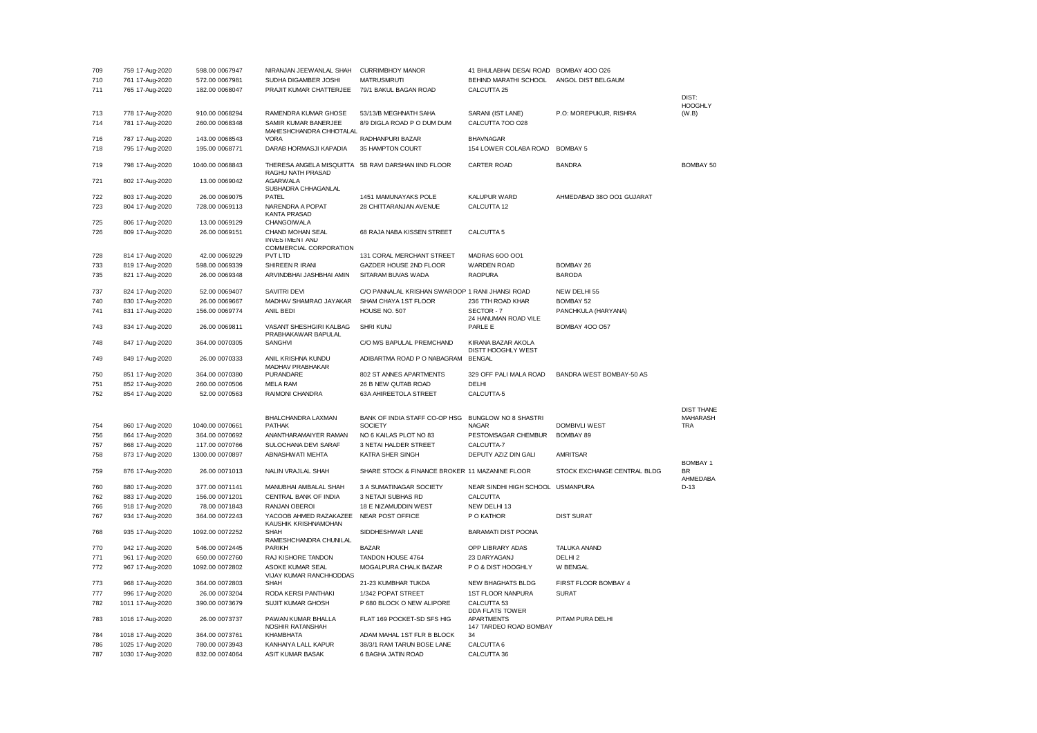| 709 | 759 17-Aug-2020  | 598.00 0067947  | NIRANJAN JEEWANLAL SHAH                         | <b>CURRIMBHOY MANOR</b>                             | 41 BHULABHAI DESAI ROAD                  | <b>BOMBAY 400 026</b>       |                                      |
|-----|------------------|-----------------|-------------------------------------------------|-----------------------------------------------------|------------------------------------------|-----------------------------|--------------------------------------|
| 710 | 761 17-Aug-2020  | 572.00 0067981  | SUDHA DIGAMBER JOSHI                            | <b>MATRUSMRUTI</b>                                  | BEHIND MARATHI SCHOOL                    | ANGOL DIST BELGAUM          |                                      |
| 711 | 765 17-Aug-2020  | 182.00 0068047  | PRAJIT KUMAR CHATTERJEE                         | 79/1 BAKUL BAGAN ROAD                               | CALCUTTA 25                              |                             |                                      |
|     |                  |                 |                                                 |                                                     |                                          |                             | $DISI$ :                             |
|     |                  |                 |                                                 |                                                     |                                          |                             | <b>HOOGHLY</b>                       |
| 713 | 778 17-Aug-2020  | 910.00 0068294  | RAMENDRA KUMAR GHOSE                            | 53/13/B MEGHNATH SAHA                               | SARANI (IST LANE)                        | P.O: MOREPUKUR, RISHRA      | (W.B)                                |
| 714 | 781 17-Aug-2020  | 260.00 0068348  | SAMIR KUMAR BANERJEE<br>MAHESHCHANDRA CHHOTALAL | 8/9 DIGLA ROAD P O DUM DUM                          | CALCUTTA 700 028                         |                             |                                      |
| 716 | 787 17-Aug-2020  | 143.00 0068543  | <b>VORA</b>                                     | RADHANPURI BAZAR                                    | <b>BHAVNAGAR</b>                         |                             |                                      |
| 718 | 795 17-Aug-2020  | 195.00 0068771  | DARAB HORMASJI KAPADIA                          | 35 HAMPTON COURT                                    | 154 LOWER COLABA ROAD                    | <b>BOMBAY 5</b>             |                                      |
| 719 | 798 17-Aug-2020  | 1040.00 0068843 | RAGHU NATH PRASAD                               | THERESA ANGELA MISQUITTA 5B RAVI DARSHAN IIND FLOOR | <b>CARTER ROAD</b>                       | <b>BANDRA</b>               | <b>BOMBAY 50</b>                     |
| 721 | 802 17-Aug-2020  | 13.00 0069042   | <b>AGARWALA</b><br>SUBHADRA CHHAGANLAL          |                                                     |                                          |                             |                                      |
| 722 | 803 17-Aug-2020  | 26.00 0069075   | PATEL                                           | 1451 MAMUNAYAKS POLE                                | <b>KALUPUR WARD</b>                      | AHMEDABAD 380 001 GUJARAT   |                                      |
| 723 | 804 17-Aug-2020  | 728.00 0069113  | NARENDRA A POPAT                                | 28 CHITTARANJAN AVENUE                              | CALCUTTA 12                              |                             |                                      |
| 725 | 806 17-Aug-2020  | 13.00 0069129   | <b>KANTA PRASAD</b><br>CHANGOIWALA              |                                                     |                                          |                             |                                      |
| 726 | 809 17-Aug-2020  | 26.00 0069151   | CHAND MOHAN SEAL                                | 68 RAJA NABA KISSEN STREET                          | CALCUTTA <sub>5</sub>                    |                             |                                      |
|     |                  |                 | <b>INVESTMENT AND</b><br>COMMERCIAL CORPORATION |                                                     |                                          |                             |                                      |
| 728 | 814 17-Aug-2020  | 42.00 0069229   | <b>PVT LTD</b>                                  | 131 CORAL MERCHANT STREET                           | MADRAS 600 001                           |                             |                                      |
| 733 | 819 17-Aug-2020  | 598.00 0069339  | SHIREEN R IRANI                                 | GAZDER HOUSE 2ND FLOOR                              | <b>WARDEN ROAD</b>                       | <b>BOMBAY 26</b>            |                                      |
| 735 | 821 17-Aug-2020  | 26.00 0069348   | ARVINDBHAI JASHBHAI AMIN                        | SITARAM BUVAS WADA                                  | <b>RAOPURA</b>                           | <b>BARODA</b>               |                                      |
| 737 | 824 17-Aug-2020  | 52.00 0069407   | <b>SAVITRI DEVI</b>                             | C/O PANNALAL KRISHAN SWAROOP 1 RANI JHANSI ROAD     |                                          | NEW DELHI 55                |                                      |
| 740 | 830 17-Aug-2020  | 26.00 0069667   | MADHAV SHAMRAO JAYAKAR                          | SHAM CHAYA 1ST FLOOR                                | 236 7TH ROAD KHAR                        | <b>BOMBAY 52</b>            |                                      |
| 741 |                  | 156.00 0069774  | ANIL BEDI                                       | HOUSE NO. 507                                       | SECTOR-7                                 |                             |                                      |
|     | 831 17-Aug-2020  |                 |                                                 |                                                     | 24 HANUMAN ROAD VILE                     | PANCHKULA (HARYANA)         |                                      |
| 743 | 834 17-Aug-2020  | 26.00 0069811   | VASANT SHESHGIRI KALBAG<br>PRABHAKAWAR BAPULAL  | <b>SHRI KUNJ</b>                                    | PARLE E                                  | <b>BOMBAY 400 057</b>       |                                      |
| 748 | 847 17-Aug-2020  | 364.00 0070305  | <b>SANGHVI</b>                                  | C/O M/S BAPULAL PREMCHAND                           | KIRANA BAZAR AKOLA<br>DISTT HOOGHLY WEST |                             |                                      |
| 749 | 849 17-Aug-2020  | 26.00 0070333   | ANIL KRISHNA KUNDU<br>MADHAV PRABHAKAR          | ADIBARTMA ROAD P O NABAGRAM                         | <b>BENGAL</b>                            |                             |                                      |
| 750 | 851 17-Aug-2020  | 364.00 0070380  | PURANDARE                                       | 802 ST ANNES APARTMENTS                             | 329 OFF PALI MALA ROAD                   | BANDRA WEST BOMBAY-50 AS    |                                      |
| 751 | 852 17-Aug-2020  | 260.00 0070506  | <b>MELA RAM</b>                                 | 26 B NEW QUTAB ROAD                                 | DELHI                                    |                             |                                      |
| 752 | 854 17-Aug-2020  | 52.00 0070563   | RAIMONI CHANDRA                                 | 63A AHIREETOLA STREET                               | CALCUTTA-5                               |                             |                                      |
|     |                  |                 |                                                 |                                                     |                                          |                             |                                      |
|     |                  |                 | BHALCHANDRA LAXMAN                              | BANK OF INDIA STAFF CO-OP HSG                       | BUNGLOW NO 8 SHASTRI                     |                             | <b>DIST THANE</b><br><b>MAHARASH</b> |
| 754 | 860 17-Aug-2020  | 1040.00 0070661 | <b>PATHAK</b>                                   | <b>SOCIETY</b>                                      | <b>NAGAR</b>                             | <b>DOMBIVLI WEST</b>        | <b>TRA</b>                           |
| 756 | 864 17-Aug-2020  | 364.00 0070692  | ANANTHARAMAIYER RAMAN                           | NO 6 KAILAS PLOT NO 83                              | PESTOMSAGAR CHEMBUR                      | <b>BOMBAY 89</b>            |                                      |
| 757 | 868 17-Aug-2020  | 117.00 0070766  | SULOCHANA DEVI SARAF                            | 3 NETAI HALDER STREET                               | CALCUTTA-7                               |                             |                                      |
| 758 | 873 17-Aug-2020  | 1300.00 0070897 | ABNASHWATI MEHTA                                | KATRA SHER SINGH                                    | DEPUTY AZIZ DIN GALI                     | <b>AMRITSAR</b>             |                                      |
|     |                  |                 |                                                 |                                                     |                                          |                             | <b>BOMBAY 1</b>                      |
| 759 | 876 17-Aug-2020  | 26.00 0071013   | NALIN VRAJLAL SHAH                              | SHARE STOCK & FINANCE BROKER 11 MAZANINE FLOOR      |                                          | STOCK EXCHANGE CENTRAL BLDG | <b>BR</b><br>AHMEDABA                |
| 760 | 880 17-Aug-2020  | 377.00 0071141  | MANUBHAI AMBALAL SHAH                           | 3 A SUMATINAGAR SOCIETY                             | NEAR SINDHI HIGH SCHOOL USMANPURA        |                             | $D-13$                               |
| 762 | 883 17-Aug-2020  | 156.00 0071201  | CENTRAL BANK OF INDIA                           | 3 NETAJI SUBHAS RD                                  | CALCUTTA                                 |                             |                                      |
| 766 | 918 17-Aug-2020  | 78.00 0071843   | RANJAN OBEROI                                   | 18 E NIZAMUDDIN WEST                                | NEW DELHI 13                             |                             |                                      |
| 767 | 934 17-Aug-2020  | 364.00 0072243  | YACOOB AHMED RAZAKAZEE<br>KAUSHIK KRISHNAMOHAN  | NEAR POST OFFICE                                    | P O KATHOR                               | <b>DIST SURAT</b>           |                                      |
| 768 | 935 17-Aug-2020  | 1092.00 0072252 | <b>SHAH</b><br>RAMESHCHANDRA CHUNILAL           | SIDDHESHWAR LANE                                    | <b>BARAMATI DIST POONA</b>               |                             |                                      |
| 770 | 942 17-Aug-2020  | 546.00 0072445  | <b>PARIKH</b>                                   | <b>BAZAR</b>                                        | OPP LIBRARY ADAS                         | <b>TALUKA ANAND</b>         |                                      |
| 771 | 961 17-Aug-2020  | 650.00 0072760  | RAJ KISHORE TANDON                              | TANDON HOUSE 4764                                   | 23 DARYAGANJ                             | DELHI <sub>2</sub>          |                                      |
| 772 | 967 17-Aug-2020  | 1092.00 0072802 | ASOKE KUMAR SEAL                                | MOGALPURA CHALK BAZAR                               | P O & DIST HOOGHLY                       | W BENGAL                    |                                      |
|     |                  |                 | VIJAY KUMAR RANCHHODDAS                         |                                                     |                                          | FIRST FLOOR BOMBAY 4        |                                      |
| 773 | 968 17-Aug-2020  | 364.00 0072803  | <b>SHAH</b>                                     | 21-23 KUMBHAR TUKDA                                 | <b>NEW BHAGHATS BLDG</b>                 |                             |                                      |
| 777 | 996 17-Aug-2020  | 26.00 0073204   | RODA KERSI PANTHAKI                             | 1/342 POPAT STREET                                  | 1ST FLOOR NANPURA                        | <b>SURAT</b>                |                                      |
| 782 | 1011 17-Aug-2020 | 390.00 0073679  | <b>SUJIT KUMAR GHOSH</b>                        | P 680 BLOCK O NEW ALIPORE                           | CALCUTTA 53<br>DDA FLATS TOWER           |                             |                                      |
| 783 | 1016 17-Aug-2020 | 26.00 0073737   | PAWAN KUMAR BHALLA<br>NOSHIR RATANSHAH          | FLAT 169 POCKET-SD SFS HIG                          | APARTMENTS<br>147 TARDEO ROAD BOMBAY     | PITAM PURA DELHI            |                                      |
| 784 | 1018 17-Aug-2020 | 364.00 0073761  | KHAMBHATA                                       | ADAM MAHAL 1ST FLR B BLOCK                          | 34                                       |                             |                                      |
| 786 | 1025 17-Aug-2020 | 780.00 0073943  | KANHAIYA LALL KAPUR                             | 38/3/1 RAM TARUN BOSE LANE                          | CALCUTTA 6                               |                             |                                      |
| 787 | 1030 17-Aug-2020 | 832.00 0074064  | <b>ASIT KUMAR BASAK</b>                         | 6 BAGHA JATIN ROAD                                  | CALCUTTA 36                              |                             |                                      |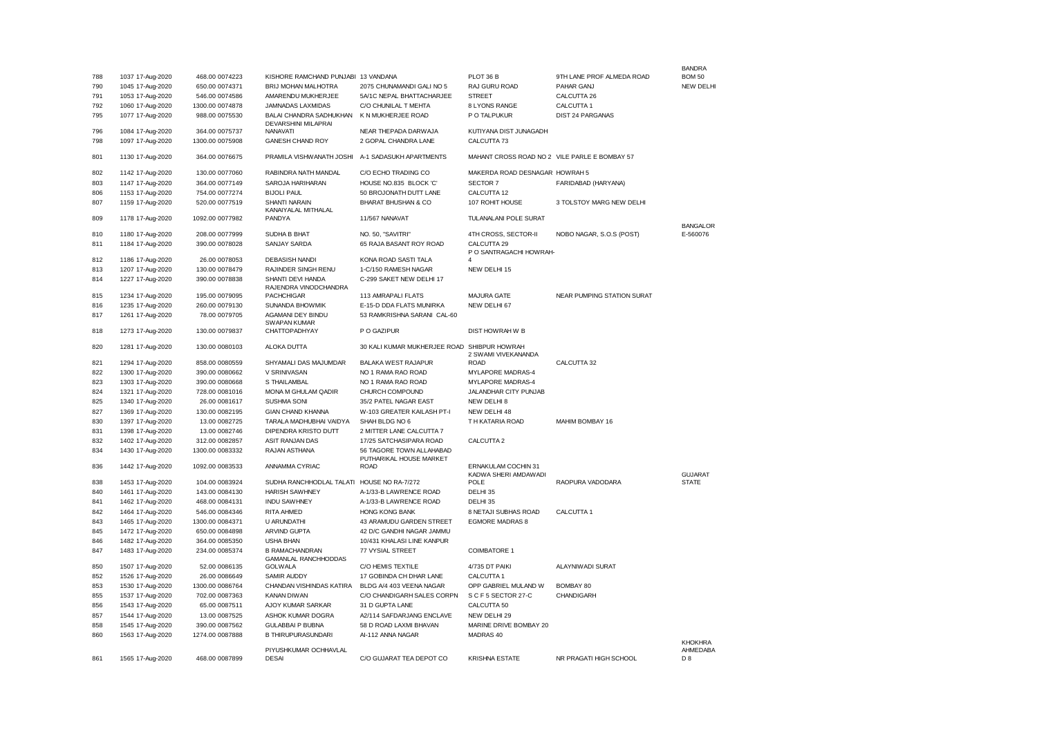| 788 | 1037 17-Aug-2020 | 468.00 0074223  | KISHORE RAMCHAND PUNJABI 13 VANDANA                   |                                                     | PLOT 36 B                                     | 9TH LANE PROF ALMEDA ROAD  | <b>BANDRA</b><br><b>BOM 50</b> |
|-----|------------------|-----------------|-------------------------------------------------------|-----------------------------------------------------|-----------------------------------------------|----------------------------|--------------------------------|
| 790 | 1045 17-Aug-2020 | 650.00 0074371  | BRIJ MOHAN MALHOTRA                                   | 2075 CHUNAMANDI GALI NO 5                           | RAJ GURU ROAD                                 | PAHAR GANJ                 | <b>NEW DELHI</b>               |
| 791 | 1053 17-Aug-2020 | 546.00 0074586  | AMARENDU MUKHERJEE                                    | 5A/1C NEPAL BHATTACHARJEE                           | <b>STREET</b>                                 | CALCUTTA 26                |                                |
| 792 | 1060 17-Aug-2020 | 1300.00 0074878 | JAMNADAS LAXMIDAS                                     | C/O CHUNILAL T MEHTA                                | 8 LYONS RANGE                                 | CALCUTTA 1                 |                                |
| 795 | 1077 17-Aug-2020 | 988.00 0075530  | BALAI CHANDRA SADHUKHAN<br><b>DEVARSHINI MILAPRAI</b> | K N MUKHERJEE ROAD                                  | P O TALPUKUR                                  | DIST 24 PARGANAS           |                                |
| 796 | 1084 17-Aug-2020 | 364.00 0075737  | NANAVATI                                              | NEAR THEPADA DARWAJA                                | KUTIYANA DIST JUNAGADH                        |                            |                                |
| 798 | 1097 17-Aug-2020 | 1300.00 0075908 | GANESH CHAND ROY                                      | 2 GOPAL CHANDRA LANE                                | CALCUTTA 73                                   |                            |                                |
| 801 | 1130 17-Aug-2020 | 364.00 0076675  | PRAMILA VISHWANATH JOSHI                              | A-1 SADASUKH APARTMENTS                             | MAHANT CROSS ROAD NO 2 VILE PARLE E BOMBAY 57 |                            |                                |
| 802 | 1142 17-Aug-2020 | 130.00 0077060  | RABINDRA NATH MANDAL                                  | C/O ECHO TRADING CO                                 | MAKERDA ROAD DESNAGAR HOWRAH 5                |                            |                                |
| 803 | 1147 17-Aug-2020 | 364.00 0077149  | SAROJA HARIHARAN                                      | HOUSE NO.835 BLOCK 'C'                              | SECTOR 7                                      | FARIDABAD (HARYANA)        |                                |
| 806 | 1153 17-Aug-2020 | 754.00 0077274  | <b>BIJOLI PAUL</b>                                    | 50 BROJONATH DUTT LANE                              | CALCUTTA 12                                   |                            |                                |
| 807 | 1159 17-Aug-2020 | 520.00 0077519  | <b>SHANTI NARAIN</b>                                  | BHARAT BHUSHAN & CO                                 | 107 ROHIT HOUSE                               | 3 TOLSTOY MARG NEW DELHI   |                                |
| 809 | 1178 17-Aug-2020 | 1092.00 0077982 | KANAIYALAL MITHALAL<br>PANDYA                         | 11/567 NANAVAT                                      | TULANALANI POLE SURAT                         |                            | <b>BANGALOR</b>                |
| 810 | 1180 17-Aug-2020 | 208.00 0077999  | SUDHA B BHAT                                          | NO. 50. "SAVITRI"                                   | 4TH CROSS, SECTOR-II                          | NOBO NAGAR, S.O.S (POST)   | E-560076                       |
| 811 | 1184 17-Aug-2020 | 390.00 0078028  | <b>SANJAY SARDA</b>                                   | 65 RAJA BASANT ROY ROAD                             | CALCUTTA 29<br>P O SANTRAGACHI HOWRAH-        |                            |                                |
| 812 | 1186 17-Aug-2020 | 26.00 0078053   | <b>DEBASISH NANDI</b>                                 | KONA ROAD SASTI TALA                                | $\Delta$                                      |                            |                                |
| 813 | 1207 17-Aug-2020 | 130.00 0078479  | RAJINDER SINGH RENU                                   | 1-C/150 RAMESH NAGAR                                | NEW DELHI 15                                  |                            |                                |
| 814 | 1227 17-Aug-2020 | 390.00 0078838  | SHANTI DEVI HANDA<br>RAJENDRA VINODCHANDRA            | C-299 SAKET NEW DELHI 17                            |                                               |                            |                                |
| 815 | 1234 17-Aug-2020 | 195.00 0079095  | PACHCHIGAR                                            | 113 AMRAPALI FLATS                                  | <b>MAJURA GATE</b>                            | NEAR PUMPING STATION SURAT |                                |
| 816 | 1235 17-Aug-2020 | 260.00 0079130  | SUNANDA BHOWMIK                                       | E-15-D DDA FLATS MUNIRKA                            | NEW DELHI 67                                  |                            |                                |
| 817 | 1261 17-Aug-2020 | 78.00 0079705   | AGAMANI DEY BINDU<br><b>SWAPAN KUMAR</b>              | 53 RAMKRISHNA SARANI CAL-60                         |                                               |                            |                                |
| 818 | 1273 17-Aug-2020 | 130.00 0079837  | CHATTOPADHYAY                                         | P O GAZIPUR                                         | <b>DIST HOWRAH W B</b>                        |                            |                                |
| 820 | 1281 17-Aug-2020 | 130.00 0080103  | ALOKA DUTTA                                           | 30 KALI KUMAR MUKHERJEE ROAD SHIBPUR HOWRAH         | 2 SWAMI VIVEKANANDA                           |                            |                                |
| 821 | 1294 17-Aug-2020 | 858.00.0080559  | SHYAMALI DAS MAJUMDAR                                 | BALAKA WEST RAJAPUR                                 | <b>ROAD</b>                                   | CALCUTTA 32                |                                |
| 822 | 1300 17-Aug-2020 | 390.00 0080662  | V SRINIVASAN                                          | NO 1 RAMA RAO ROAD                                  | <b>MYLAPORE MADRAS-4</b>                      |                            |                                |
| 823 | 1303 17-Aug-2020 | 390.00 0080668  | S THAILAMBAL                                          | NO 1 RAMA RAO ROAD                                  | MYLAPORE MADRAS-4                             |                            |                                |
| 824 | 1321 17-Aug-2020 | 728.00 0081016  | MONA M GHULAM QADIR                                   | CHURCH COMPOUND                                     | JALANDHAR CITY PUNJAB                         |                            |                                |
| 825 | 1340 17-Aug-2020 | 26.00 0081617   | <b>SUSHMA SONI</b>                                    | 35/2 PATEL NAGAR EAST                               | NEW DELHI 8                                   |                            |                                |
| 827 | 1369 17-Aug-2020 | 130.00 0082195  | <b>GIAN CHAND KHANNA</b>                              | W-103 GREATER KAILASH PT-I                          | NEW DELHI 48                                  |                            |                                |
| 830 | 1397 17-Aug-2020 | 13.00 0082725   | TARALA MADHUBHAI VAIDYA                               | SHAH BLDG NO 6                                      | T H KATARIA ROAD                              | MAHIM BOMBAY 16            |                                |
| 831 | 1398 17-Aug-2020 | 13.00 0082746   | DIPENDRA KRISTO DUTT                                  | 2 MITTER LANE CALCUTTA 7                            |                                               |                            |                                |
| 832 | 1402 17-Aug-2020 | 312.00 0082857  | ASIT RANJAN DAS                                       | 17/25 SATCHASIPARA ROAD                             | CALCUTTA 2                                    |                            |                                |
| 834 | 1430 17-Aug-2020 | 1300.00 0083332 | RAJAN ASTHANA                                         | 56 TAGORE TOWN ALLAHABAD<br>PUTHARIKAL HOUSE MARKET |                                               |                            |                                |
| 836 | 1442 17-Aug-2020 | 1092.00 0083533 | ANNAMMA CYRIAC                                        | <b>ROAD</b>                                         | ERNAKULAM COCHIN 31<br>KADWA SHERI AMDAWADI   |                            | <b>GUJARAT</b>                 |
| 838 | 1453 17-Aug-2020 | 104.00 0083924  | SUDHA RANCHHODLAL TALATI HOUSE NO RA-7/272            |                                                     | POLE                                          | RAOPURA VADODARA           | <b>STATE</b>                   |
| 840 | 1461 17-Aug-2020 | 143.00 0084130  | <b>HARISH SAWHNEY</b>                                 | A-1/33-B LAWRENCE ROAD                              | DELHI 35                                      |                            |                                |
| 841 | 1462 17-Aug-2020 | 468.00 0084131  | <b>INDU SAWHNEY</b>                                   | A-1/33-B LAWRENCE ROAD                              | DELHI 35                                      |                            |                                |
| 842 | 1464 17-Aug-2020 | 546.00 0084346  | <b>RITA AHMED</b>                                     | <b>HONG KONG BANK</b>                               | 8 NETAJI SUBHAS ROAD                          | CALCUTTA 1                 |                                |
| 843 | 1465 17-Aug-2020 | 1300.00 0084371 | U ARUNDATHI                                           | 43 ARAMUDU GARDEN STREET                            | <b>EGMORE MADRAS 8</b>                        |                            |                                |
| 845 | 1472 17-Aug-2020 | 650.00 0084898  | ARVIND GUPTA                                          | 42 D/C GANDHI NAGAR JAMMU                           |                                               |                            |                                |
| 846 | 1482 17-Aug-2020 | 364.00 0085350  | <b>USHA BHAN</b>                                      | 10/431 KHALASI LINE KANPUR                          |                                               |                            |                                |
| 847 | 1483 17-Aug-2020 | 234.00 0085374  | <b>B RAMACHANDRAN</b><br><b>GAMANLAL RANCHHODDAS</b>  | 77 VYSIAL STREET                                    | <b>COIMBATORE 1</b>                           |                            |                                |
| 850 | 1507 17-Aug-2020 | 52.00 0086135   | GOLWALA                                               | C/O HEMIS TEXTILE                                   | 4/735 DT PAIKI                                | ALAYNIWADI SURAT           |                                |
| 852 | 1526 17-Aug-2020 | 26.00 0086649   | SAMIR AUDDY                                           | 17 GOBINDA CH DHAR LANE                             | CALCUTTA 1                                    |                            |                                |
| 853 | 1530 17-Aug-2020 | 1300.00 0086764 | CHANDAN VISHINDAS KATIRA                              | BLDG A/4 403 VEENA NAGAR                            | OPP GABRIEL MULAND W                          | BOMBAY 80                  |                                |
| 855 | 1537 17-Aug-2020 | 702.00 0087363  | <b>KANAN DIWAN</b>                                    | C/O CHANDIGARH SALES CORPN                          | S C F 5 SECTOR 27-C                           | CHANDIGARH                 |                                |
| 856 | 1543 17-Aug-2020 | 65.00 0087511   | AJOY KUMAR SARKAR                                     | 31 D GUPTA LANE                                     | CALCUTTA 50                                   |                            |                                |
| 857 | 1544 17-Aug-2020 | 13.00 0087525   | ASHOK KUMAR DOGRA                                     | A2/114 SAFDARJANG ENCLAVE                           | NEW DELHI 29                                  |                            |                                |
| 858 | 1545 17-Aug-2020 | 390.00 0087562  | <b>GULABBAI P BUBNA</b>                               | 58 D ROAD LAXMI BHAVAN                              | MARINE DRIVE BOMBAY 20                        |                            |                                |
| 860 | 1563 17-Aug-2020 | 1274.00 0087888 | <b>B THIRUPURASUNDARI</b>                             | AI-112 ANNA NAGAR                                   | MADRAS 40                                     |                            |                                |
|     |                  |                 |                                                       |                                                     |                                               |                            | <b>KHOKHRA</b>                 |
| 861 | 1565 17-Aug-2020 | 468.00 0087899  | PIYUSHKUMAR OCHHAVLAL<br><b>DESAI</b>                 | C/O GUJARAT TEA DEPOT CO                            | <b>KRISHNA ESTATE</b>                         | NR PRAGATI HIGH SCHOOL     | AHMEDABA<br>D <sub>8</sub>     |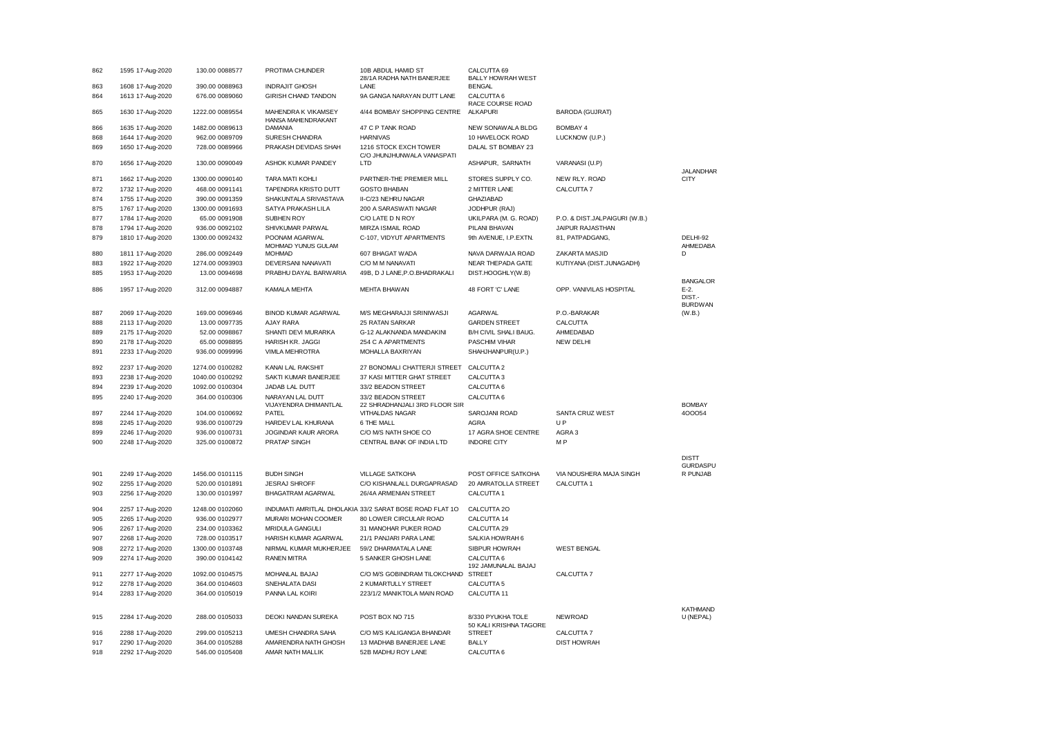| 862 | 1595 17-Aug-2020 | 130.00 0088577  | PROTIMA CHUNDER                           | 10B ABDUL HAMID ST<br>28/1A RADHA NATH BANERJEE         | CALCUTTA 69<br><b>BALLY HOWRAH WEST</b>     |                               |                                     |
|-----|------------------|-----------------|-------------------------------------------|---------------------------------------------------------|---------------------------------------------|-------------------------------|-------------------------------------|
| 863 | 1608 17-Aug-2020 | 390.00 0088963  | <b>INDRAJIT GHOSH</b>                     | LANE                                                    | <b>BENGAL</b>                               |                               |                                     |
| 864 | 1613 17-Aug-2020 | 676.00 0089060  | GIRISH CHAND TANDON                       | 9A GANGA NARAYAN DUTT LANE                              | CALCUTTA 6<br>RACE COURSE ROAD              |                               |                                     |
| 865 | 1630 17-Aug-2020 | 1222.00 0089554 | MAHENDRA K VIKAMSEY<br>HANSA MAHENDRAKANT | 4/44 BOMBAY SHOPPING CENTRE                             | <b>ALKAPURI</b>                             | <b>BARODA (GUJRAT)</b>        |                                     |
| 866 | 1635 17-Aug-2020 | 1482.00 0089613 | DAMANIA                                   | 47 C P TANK ROAD                                        | NEW SONAWALA BLDG                           | BOMBAY 4                      |                                     |
| 868 | 1644 17-Aug-2020 | 962.00 0089709  | SURESH CHANDRA                            | <b>HARNIVAS</b>                                         | 10 HAVELOCK ROAD                            | LUCKNOW (U.P.)                |                                     |
| 869 | 1650 17-Aug-2020 | 728.00 0089966  | PRAKASH DEVIDAS SHAH                      | 1216 STOCK EXCH TOWER<br>C/O JHUNJHUNWALA VANASPATI     | DALAL ST BOMBAY 23                          |                               |                                     |
| 870 | 1656 17-Aug-2020 | 130.00 0090049  | ASHOK KUMAR PANDEY                        | LTD                                                     | ASHAPUR, SARNATH                            | VARANASI (U.P)                | <b>JALANDHAR</b>                    |
| 871 | 1662 17-Aug-2020 | 1300.00 0090140 | <b>TARA MATI KOHLI</b>                    | PARTNER-THE PREMIER MILL                                | STORES SUPPLY CO.                           | NEW RLY. ROAD                 | <b>CITY</b>                         |
| 872 | 1732 17-Aug-2020 | 468.00 0091141  | TAPENDRA KRISTO DUTT                      | <b>GOSTO BHABAN</b>                                     | 2 MITTER LANE                               | CALCUTTA 7                    |                                     |
| 874 | 1755 17-Aug-2020 | 390.00 0091359  | SHAKUNTALA SRIVASTAVA                     | II-C/23 NEHRU NAGAR                                     | <b>GHAZIABAD</b>                            |                               |                                     |
| 875 | 1767 17-Aug-2020 | 1300.00 0091693 | SATYA PRAKASH LILA                        | 200 A SARASWATI NAGAR                                   | JODHPUR (RAJ)                               |                               |                                     |
| 877 | 1784 17-Aug-2020 | 65.00 0091908   | SUBHEN ROY                                | C/O LATE D N ROY                                        | UKILPARA (M. G. ROAD)                       | P.O. & DIST.JALPAIGURI (W.B.) |                                     |
| 878 | 1794 17-Aug-2020 | 936.00 0092102  | SHIVKUMAR PARWAL                          | MIRZA ISMAIL ROAD                                       | PILANI BHAVAN                               | JAIPUR RAJASTHAN              |                                     |
| 879 | 1810 17-Aug-2020 | 1300.00 0092432 | POONAM AGARWAL<br>MOHMAD YUNUS GULAM      | C-107, VIDYUT APARTMENTS                                | 9th AVENUE, I.P.EXTN.                       | 81, PATPADGANG,               | DELHI-92<br>AHMEDABA                |
| 880 | 1811 17-Aug-2020 | 286.00 0092449  | <b>MOHMAD</b>                             | 607 BHAGAT WADA                                         | NAVA DARWAJA ROAD                           | ZAKARTA MASJID                | D                                   |
| 883 | 1922 17-Aug-2020 | 1274.00 0093903 | DEVERSANI NANAVATI                        | C/O M M NANAVATI                                        | NEAR THEPADA GATE                           | KUTIYANA (DIST.JUNAGADH)      |                                     |
| 885 | 1953 17-Aug-2020 | 13.00 0094698   | PRABHU DAYAL BARWARIA                     | 49B, D J LANE, P.O.BHADRAKALI                           | DIST.HOOGHLY(W.B)                           |                               | <b>BANGALOR</b>                     |
| 886 | 1957 17-Aug-2020 | 312.00 0094887  | KAMALA MEHTA                              | MEHTA BHAWAN                                            | 48 FORT 'C' LANE                            | OPP. VANIVILAS HOSPITAL       | $E-2$ .<br>DIST.-<br><b>BURDWAN</b> |
| 887 | 2069 17-Aug-2020 | 169.00 0096946  | <b>BINOD KUMAR AGARWAL</b>                | M/S MEGHARAJJI SRINIWASJI                               | <b>AGARWAL</b>                              | P.O.-BARAKAR                  | (W.B.)                              |
| 888 | 2113 17-Aug-2020 | 13.00 0097735   | AJAY RARA                                 | 25 RATAN SARKAR                                         | <b>GARDEN STREET</b>                        | CALCUTTA                      |                                     |
| 889 | 2175 17-Aug-2020 | 52.00 0098867   | SHANTI DEVI MURARKA                       | G-12 ALAKNANDA MANDAKINI                                | B/H CIVIL SHALI BAUG.                       | AHMEDABAD                     |                                     |
| 890 | 2178 17-Aug-2020 | 65.00 0098895   | HARISH KR. JAGGI                          | 254 C A APARTMENTS                                      | <b>PASCHIM VIHAR</b>                        | <b>NEW DELHI</b>              |                                     |
| 891 | 2233 17-Aug-2020 | 936.00 0099996  | VIMLA MEHROTRA                            | MOHALLA BAXRIYAN                                        | SHAHJHANPUR(U.P.)                           |                               |                                     |
|     |                  |                 |                                           |                                                         |                                             |                               |                                     |
| 892 | 2237 17-Aug-2020 | 1274.00 0100282 | KANAI LAL RAKSHIT                         | 27 BONOMALI CHATTERJI STREET                            | CALCUTTA 2                                  |                               |                                     |
| 893 | 2238 17-Aug-2020 | 1040.00 0100292 | SAKTI KUMAR BANERJEE                      | 37 KASI MITTER GHAT STREET                              | CALCUTTA 3                                  |                               |                                     |
| 894 | 2239 17-Aug-2020 | 1092.00 0100304 | JADAB LAL DUTT                            | 33/2 BEADON STREET                                      | CALCUTTA 6                                  |                               |                                     |
| 895 | 2240 17-Aug-2020 | 364.00 0100306  | NARAYAN LAL DUTT<br>VIJAYENDRA DHIMANTLAL | 33/2 BEADON STREET<br>22 SHRADHANJALI 3RD FLOOR SIR     | CALCUTTA 6                                  |                               | <b>BOMBAY</b>                       |
| 897 | 2244 17-Aug-2020 | 104.00 0100692  | PATEL                                     | VITHALDAS NAGAR                                         | SAROJANI ROAD                               | SANTA CRUZ WEST               | 400054                              |
| 898 | 2245 17-Aug-2020 | 936.00 0100729  | HARDEV LAL KHURANA                        | 6 THE MALL                                              | AGRA                                        | $\sqcup$ P                    |                                     |
| 899 | 2246 17-Aug-2020 | 936.00 0100731  | JOGINDAR KAUR ARORA                       | C/O M/S NATH SHOE CO                                    | 17 AGRA SHOE CENTRE                         | AGRA 3                        |                                     |
| 900 | 2248 17-Aug-2020 | 325.00 0100872  | PRATAP SINGH                              | CENTRAL BANK OF INDIA LTD                               | <b>INDORE CITY</b>                          | M <sub>P</sub>                |                                     |
|     |                  |                 |                                           |                                                         |                                             |                               | <b>DISTT</b><br><b>GURDASPU</b>     |
| 901 | 2249 17-Aug-2020 | 1456.00 0101115 | <b>BUDH SINGH</b>                         | <b>VILLAGE SATKOHA</b>                                  | POST OFFICE SATKOHA                         | VIA NOUSHERA MAJA SINGH       | R PUNJAB                            |
| 902 | 2255 17-Aug-2020 | 520.00 0101891  | <b>JESRAJ SHROFF</b>                      | C/O KISHANLALL DURGAPRASAD                              | 20 AMRATOLLA STREET                         | CALCUTTA 1                    |                                     |
| 903 | 2256 17-Aug-2020 | 130.00 0101997  | BHAGATRAM AGARWAL                         | 26/4A ARMENIAN STREET                                   | CALCUTTA 1                                  |                               |                                     |
| 904 | 2257 17-Aug-2020 | 1248.00 0102060 |                                           | INDUMATI AMRITLAL DHOLAKIA 33/2 SARAT BOSE ROAD FLAT 1O | CALCUTTA 2O                                 |                               |                                     |
| 905 | 2265 17-Aug-2020 | 936.00 0102977  | MURARI MOHAN COOMER                       | 80 LOWER CIRCULAR ROAD                                  | CALCUTTA 14                                 |                               |                                     |
| 906 | 2267 17-Aug-2020 | 234.00 0103362  | <b>MRIDULA GANGULI</b>                    | 31 MANOHAR PUKER ROAD                                   | CALCUTTA 29                                 |                               |                                     |
| 907 | 2268 17-Aug-2020 | 728.00 0103517  | HARISH KUMAR AGARWAL                      | 21/1 PANJARI PARA LANE                                  | SALKIA HOWRAH 6                             |                               |                                     |
| 908 | 2272 17-Aug-2020 | 1300.00 0103748 | NIRMAL KUMAR MUKHERJEE                    | 59/2 DHARMATALA LANE                                    | SIBPUR HOWRAH                               | <b>WEST BENGAL</b>            |                                     |
| 909 | 2274 17-Aug-2020 | 390.00 0104142  | <b>RANEN MITRA</b>                        | 5 SANKER GHOSH LANE                                     | CALCUTTA 6                                  |                               |                                     |
| 911 | 2277 17-Aug-2020 | 1092.00 0104575 | MOHANLAL BAJAJ                            | C/O M/S GOBINDRAM TILOKCHAND STREET                     | 192 JAMUNALAL BAJAJ                         | CALCUTTA 7                    |                                     |
| 912 | 2278 17-Aug-2020 | 364.00 0104603  | SNEHALATA DASI                            | 2 KUMARTULLY STREET                                     | CALCUTTA <sub>5</sub>                       |                               |                                     |
|     |                  |                 |                                           |                                                         |                                             |                               |                                     |
| 914 | 2283 17-Aug-2020 | 364.00 0105019  | PANNA LAL KOIRI                           | 223/1/2 MANIKTOLA MAIN ROAD                             | CALCUTTA 11                                 |                               | <b>KATHMAND</b>                     |
| 915 | 2284 17-Aug-2020 | 288.00 0105033  | DEOKI NANDAN SUREKA                       | POST BOX NO 715                                         | 8/330 PYUKHA TOLE<br>50 KALI KRISHNA TAGORE | NEWROAD                       | U (NEPAL)                           |
| 916 | 2288 17-Aug-2020 | 299.00 0105213  | UMESH CHANDRA SAHA                        | C/O M/S KALIGANGA BHANDAR                               | <b>STREET</b>                               | CALCUTTA 7                    |                                     |
| 917 | 2290 17-Aug-2020 | 364.00 0105288  | AMARENDRA NATH GHOSH                      | 13 MADHAB BANERJEE LANE                                 | <b>BALLY</b>                                | <b>DIST HOWRAH</b>            |                                     |
| 918 | 2292 17-Aug-2020 | 546.00 0105408  | AMAR NATH MALLIK                          | 52B MADHU ROY LANE                                      | CALCUTTA 6                                  |                               |                                     |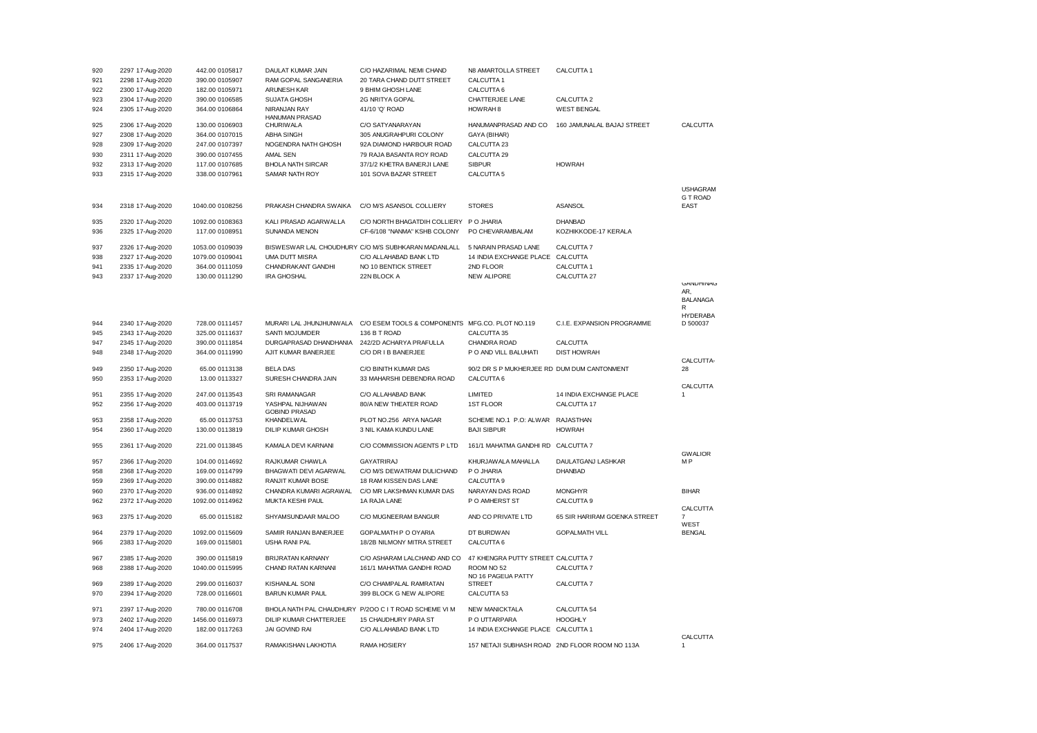| 920 | 2297 17-Aug-2020 | 442.00 0105817  | DAULAT KUMAR JAIN        | C/O HAZARIMAL NEMI CHAND                              | N8 AMARTOLLA STREET                         | CALCUTTA 1                                     |                       |
|-----|------------------|-----------------|--------------------------|-------------------------------------------------------|---------------------------------------------|------------------------------------------------|-----------------------|
| 921 | 2298 17-Aug-2020 | 390.00 0105907  | RAM GOPAL SANGANERIA     | 20 TARA CHAND DUTT STREET                             | CALCUTTA 1                                  |                                                |                       |
| 922 | 2300 17-Aug-2020 | 182.00 0105971  | ARUNESH KAR              | 9 BHIM GHOSH LANE                                     | CALCUTTA 6                                  |                                                |                       |
| 923 | 2304 17-Aug-2020 | 390.00 0106585  | <b>SUJATA GHOSH</b>      | 2G NRITYA GOPAL                                       | CHATTERJEE LANE                             | CALCUTTA 2                                     |                       |
| 924 | 2305 17-Aug-2020 | 364.00 0106864  | NIRANJAN RAY             | 41/10 'Q' ROAD                                        | HOWRAH <sub>8</sub>                         | <b>WEST BENGAL</b>                             |                       |
|     |                  |                 | <b>HANUMAN PRASAD</b>    |                                                       |                                             |                                                |                       |
| 925 | 2306 17-Aug-2020 | 130.00 0106903  | <b>CHURIWALA</b>         | C/O SATYANARAYAN                                      | HANUMANPRASAD AND CO                        | 160 JAMUNALAL BAJAJ STREET                     | CALCUTTA              |
| 927 | 2308 17-Aug-2020 | 364.00 0107015  | <b>ABHA SINGH</b>        | 305 ANUGRAHPURI COLONY                                | GAYA (BIHAR)                                |                                                |                       |
| 928 | 2309 17-Aug-2020 | 247.00 0107397  | NOGENDRA NATH GHOSH      | 92A DIAMOND HARBOUR ROAD                              | CALCUTTA 23                                 |                                                |                       |
| 930 | 2311 17-Aug-2020 | 390.00 0107455  | <b>AMAL SEN</b>          | 79 RAJA BASANTA ROY ROAD                              | CALCUTTA 29                                 |                                                |                       |
| 932 | 2313 17-Aug-2020 | 117.00 0107685  | <b>BHOLA NATH SIRCAR</b> | 37/1/2 KHETRA BANERJI LANE                            | <b>SIBPUR</b>                               | <b>HOWRAH</b>                                  |                       |
| 933 |                  | 338.00 0107961  |                          |                                                       | CALCUTTA <sub>5</sub>                       |                                                |                       |
|     | 2315 17-Aug-2020 |                 | SAMAR NATH ROY           | 101 SOVA BAZAR STREET                                 |                                             |                                                |                       |
|     |                  |                 |                          |                                                       |                                             |                                                | <b>USHAGRAM</b>       |
|     |                  |                 |                          |                                                       |                                             |                                                | <b>G T ROAD</b>       |
| 934 | 2318 17-Aug-2020 | 1040.00 0108256 | PRAKASH CHANDRA SWAIKA   | C/O M/S ASANSOL COLLIERY                              | <b>STORES</b>                               | <b>ASANSOL</b>                                 | <b>EAST</b>           |
|     |                  |                 |                          |                                                       |                                             |                                                |                       |
| 935 | 2320 17-Aug-2020 | 1092.00 0108363 | KALI PRASAD AGARWALLA    | C/O NORTH BHAGATDIH COLLIERY                          | P O JHARIA                                  | <b>DHANBAD</b>                                 |                       |
| 936 | 2325 17-Aug-2020 | 117.00 0108951  | SUNANDA MENON            | CF-6/108 "NANMA" KSHB COLONY                          | PO CHEVARAMBALAM                            | KOZHIKKODE-17 KERALA                           |                       |
| 937 | 2326 17-Aug-2020 | 1053.00 0109039 |                          | BISWESWAR LAL CHOUDHURY C/O M/S SUBHKARAN MADANLALL   | 5 NARAIN PRASAD LANE                        | CALCUTTA 7                                     |                       |
|     |                  |                 |                          |                                                       |                                             |                                                |                       |
| 938 | 2327 17-Aug-2020 | 1079.00 0109041 | UMA DUTT MISRA           | C/O ALLAHABAD BANK LTD                                | 14 INDIA EXCHANGE PLACE CALCUTTA            |                                                |                       |
| 941 | 2335 17-Aug-2020 | 364.00 0111059  | CHANDRAKANT GANDHI       | NO 10 BENTICK STREET                                  | 2ND FLOOR                                   | CALCUTTA 1                                     |                       |
| 943 | 2337 17-Aug-2020 | 130.00 0111290  | <b>IRA GHOSHAL</b>       | 22N BLOCK A                                           | <b>NEW ALIPORE</b>                          | CALCUTTA 27                                    | <b>GANDHINAG</b>      |
|     |                  |                 |                          |                                                       |                                             |                                                | AR.                   |
|     |                  |                 |                          |                                                       |                                             |                                                | <b>BALANAGA</b>       |
|     |                  |                 |                          |                                                       |                                             |                                                | R                     |
|     |                  |                 |                          |                                                       |                                             |                                                | <b>HYDERABA</b>       |
| 944 | 2340 17-Aug-2020 | 728.00 0111457  | MURARI LAL JHUNJHUNWALA  | C/O ESEM TOOLS & COMPONENTS                           | MFG.CO. PLOT NO.119                         | C.I.E. EXPANSION PROGRAMME                     | D 500037              |
| 945 | 2343 17-Aug-2020 | 325.00 0111637  | SANTI MOJUMDER           | 136 B T ROAD                                          | CALCUTTA 35                                 |                                                |                       |
| 947 | 2345 17-Aug-2020 | 390.00 0111854  | DURGAPRASAD DHANDHANIA   | 242/2D ACHARYA PRAFULLA                               | CHANDRA ROAD                                | CALCUTTA                                       |                       |
| 948 | 2348 17-Aug-2020 | 364.00 0111990  | AJIT KUMAR BANERJEE      | C/O DR I B BANERJEE                                   | P O AND VILL BALUHATI                       | <b>DIST HOWRAH</b>                             |                       |
|     |                  |                 |                          |                                                       |                                             |                                                | CALCUTTA-             |
| 949 | 2350 17-Aug-2020 | 65.00 0113138   | <b>BELA DAS</b>          | C/O BINITH KUMAR DAS                                  | 90/2 DR S P MUKHERJEE RD DUM DUM CANTONMENT |                                                | 28                    |
| 950 | 2353 17-Aug-2020 | 13.00 0113327   | SURESH CHANDRA JAIN      | 33 MAHARSHI DEBENDRA ROAD                             | CALCUTTA 6                                  |                                                |                       |
| 951 | 2355 17-Aug-2020 | 247.00 0113543  | SRI RAMANAGAR            | C/O ALLAHABAD BANK                                    | LIMITED                                     | 14 INDIA EXCHANGE PLACE                        | CALCUTTA              |
| 952 | 2356 17-Aug-2020 | 403.00 0113719  | YASHPAL NIJHAWAN         | 80/A NEW THEATER ROAD                                 | <b>1ST FLOOR</b>                            | CALCUTTA 17                                    |                       |
|     |                  |                 | <b>GOBIND PRASAD</b>     |                                                       |                                             |                                                |                       |
| 953 | 2358 17-Aug-2020 | 65.00 0113753   | KHANDELWAL               | PLOT NO.256 ARYA NAGAR                                | SCHEME NO.1 P.O: ALWAR RAJASTHAN            |                                                |                       |
| 954 | 2360 17-Aug-2020 | 130.00 0113819  | DILIP KUMAR GHOSH        | 3 NIL KAMA KUNDU LANE                                 | <b>BAJI SIBPUR</b>                          | <b>HOWRAH</b>                                  |                       |
|     |                  |                 |                          |                                                       |                                             |                                                |                       |
| 955 | 2361 17-Aug-2020 | 221.00 0113845  | KAMALA DEVI KARNANI      | C/O COMMISSION AGENTS P LTD                           | 161/1 MAHATMA GANDHI RD CALCUTTA 7          |                                                |                       |
|     |                  |                 |                          |                                                       |                                             |                                                | <b>GWALIOR</b>        |
| 957 | 2366 17-Aug-2020 | 104.00 0114692  | RAJKUMAR CHAWLA          | <b>GAYATRIRAJ</b>                                     | KHURJAWALA MAHALLA                          | DAULATGANJ LASHKAR                             | МP                    |
| 958 | 2368 17-Aug-2020 | 169.00 0114799  | BHAGWATI DEVI AGARWAL    | C/O M/S DEWATRAM DULICHAND                            | P O JHARIA                                  | <b>DHANBAD</b>                                 |                       |
| 959 | 2369 17-Aug-2020 | 390.00 0114882  | <b>RANJIT KUMAR BOSE</b> | 18 RAM KISSEN DAS LANE                                | CALCUTTA 9                                  |                                                |                       |
| 960 | 2370 17-Aug-2020 | 936.00 0114892  | CHANDRA KUMARI AGRAWAL   | C/O MR LAKSHMAN KUMAR DAS                             | NARAYAN DAS ROAD                            | <b>MONGHYR</b>                                 | <b>BIHAR</b>          |
| 962 | 2372 17-Aug-2020 | 1092.00 0114962 | MUKTA KESHI PAUL         | 1A RAJA LANE                                          | P O AMHERST ST                              | CALCUTTA 9                                     |                       |
|     |                  |                 |                          |                                                       |                                             |                                                | CALCUTTA              |
| 963 | 2375 17-Aug-2020 | 65.00 0115182   | SHYAMSUNDAAR MALOO       | C/O MUGNEERAM BANGUR                                  | AND CO PRIVATE LTD                          | 65 SIR HARIRAM GOENKA STREET                   | 7                     |
|     |                  |                 | SAMIR RANJAN BANERJEE    | GOPALMATH P O OYARIA                                  | DT BURDWAN                                  | <b>GOPALMATH VILL</b>                          | WEST<br><b>BENGAL</b> |
| 964 | 2379 17-Aug-2020 | 1092.00 0115609 |                          |                                                       |                                             |                                                |                       |
| 966 | 2383 17-Aug-2020 | 169.00 0115801  | <b>USHA RANI PAL</b>     | 18/2B NILMONY MITRA STREET                            | CALCUTTA 6                                  |                                                |                       |
| 967 | 2385 17-Aug-2020 | 390.00 0115819  | BRIJRATAN KARNANY        | C/O ASHARAM LALCHAND AND CO                           | 47 KHENGRA PUTTY STREET CALCUTTA 7          |                                                |                       |
| 968 | 2388 17-Aug-2020 | 1040.00 0115995 | CHAND RATAN KARNANI      | 161/1 MAHATMA GANDHI ROAD                             | ROOM NO 52                                  | CALCUTTA 7                                     |                       |
|     |                  |                 |                          |                                                       | NO 16 PAGEUA PATTY                          |                                                |                       |
| 969 | 2389 17-Aug-2020 | 299.00 0116037  | <b>KISHANLAL SONI</b>    | C/O CHAMPALAL RAMRATAN                                | <b>STREET</b>                               | CALCUTTA 7                                     |                       |
| 970 | 2394 17-Aug-2020 | 728.00 0116601  | <b>BARUN KUMAR PAUL</b>  | 399 BLOCK G NEW ALIPORE                               | CALCUTTA 53                                 |                                                |                       |
|     |                  |                 |                          |                                                       |                                             |                                                |                       |
| 971 | 2397 17-Aug-2020 | 780.00 0116708  |                          | BHOLA NATH PAL CHAUDHURY P/200 C I T ROAD SCHEME VI M | <b>NEW MANICKTALA</b>                       | CALCUTTA 54                                    |                       |
| 973 | 2402 17-Aug-2020 | 1456.00 0116973 | DILIP KUMAR CHATTERJEE   | 15 CHAUDHURY PARA ST                                  | P O UTTARPARA                               | <b>HOOGHLY</b>                                 |                       |
| 974 | 2404 17-Aug-2020 | 182.00 0117263  | JAI GOVIND RAI           | C/O ALLAHABAD BANK LTD                                | 14 INDIA EXCHANGE PLACE CALCUTTA 1          |                                                |                       |
|     |                  |                 |                          |                                                       |                                             |                                                | CALCUTTA              |
| 975 | 2406 17-Aug-2020 | 364.00 0117537  | RAMAKISHAN LAKHOTIA      | RAMA HOSIERY                                          |                                             | 157 NETAJI SUBHASH ROAD 2ND FLOOR ROOM NO 113A |                       |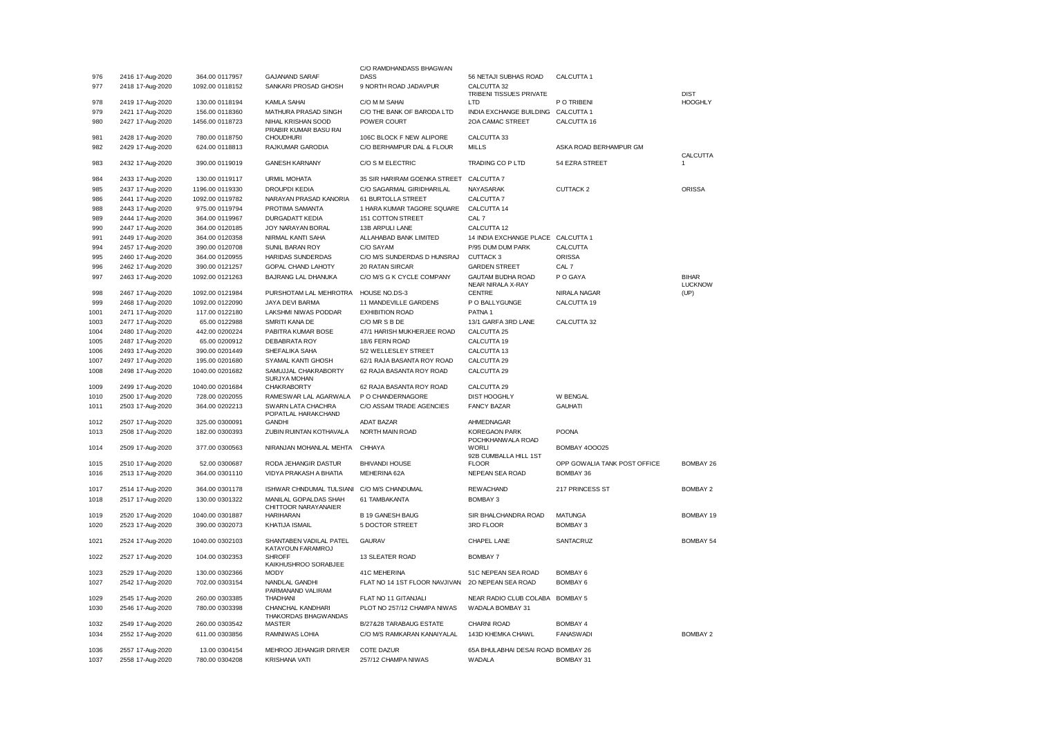|      |                  |                 |                                               | C/O RAMDHANDASS BHAGWAN       |                                               |                              |                                |
|------|------------------|-----------------|-----------------------------------------------|-------------------------------|-----------------------------------------------|------------------------------|--------------------------------|
| 976  | 2416 17-Aug-2020 | 364.00 0117957  | <b>GAJANAND SARAF</b>                         | DASS                          | 56 NETAJI SUBHAS ROAD                         | CALCUTTA 1                   |                                |
| 977  | 2418 17-Aug-2020 | 1092.00 0118152 | SANKARI PROSAD GHOSH                          | 9 NORTH ROAD JADAVPUR         | CALCUTTA 32<br>TRIBENI TISSUES PRIVATE        |                              | <b>DIST</b>                    |
| 978  | 2419 17-Aug-2020 | 130.00 0118194  | <b>KAMLA SAHAI</b>                            | C/O M M SAHAI                 | LTD                                           | P O TRIBENI                  | <b>HOOGHLY</b>                 |
| 979  | 2421 17-Aug-2020 | 156.00 0118360  | MATHURA PRASAD SINGH                          | C/O THE BANK OF BARODA LTD    | INDIA EXCHANGE BUILDING                       | CALCUTTA 1                   |                                |
| 980  | 2427 17-Aug-2020 | 1456.00 0118723 | NIHAL KRISHAN SOOD<br>PRABIR KUMAR BASU RAI   | POWER COURT                   | 2OA CAMAC STREET                              | CALCUTTA 16                  |                                |
| 981  | 2428 17-Aug-2020 | 780.00 0118750  | <b>CHOUDHURI</b>                              | 106C BLOCK F NEW ALIPORE      | CALCUTTA 33                                   |                              |                                |
| 982  | 2429 17-Aug-2020 | 624.00 0118813  | RAJKUMAR GARODIA                              | C/O BERHAMPUR DAL & FLOUR     | <b>MILLS</b>                                  | ASKA ROAD BERHAMPUR GM       | CALCUTTA                       |
| 983  | 2432 17-Aug-2020 | 390.00 0119019  | <b>GANESH KARNANY</b>                         | C/O S M ELECTRIC              | TRADING CO P LTD                              | 54 EZRA STREET               | 1                              |
| 984  | 2433 17-Aug-2020 | 130.00 0119117  | <b>URMIL MOHATA</b>                           | 35 SIR HARIRAM GOENKA STREET  | CALCUTTA 7                                    |                              |                                |
| 985  | 2437 17-Aug-2020 | 1196.00 0119330 | <b>DROUPDI KEDIA</b>                          | C/O SAGARMAL GIRIDHARILAL     | NAYASARAK                                     | CUTTACK 2                    | <b>ORISSA</b>                  |
| 986  | 2441 17-Aug-2020 | 1092.00 0119782 | NARAYAN PRASAD KANORIA                        | 61 BURTOLLA STREET            | CALCUTTA 7                                    |                              |                                |
| 988  | 2443 17-Aug-2020 | 975.00 0119794  | PROTIMA SAMANTA                               | 1 HARA KUMAR TAGORE SQUARE    | CALCUTTA 14                                   |                              |                                |
| 989  | 2444 17-Aug-2020 | 364.00 0119967  | <b>DURGADATT KEDIA</b>                        | 151 COTTON STREET             | CAL 7                                         |                              |                                |
| 990  | 2447 17-Aug-2020 | 364.00 0120185  | JOY NARAYAN BORAL                             | 13B ARPULI LANE               | CALCUTTA 12                                   |                              |                                |
| 991  | 2449 17-Aug-2020 | 364.00 0120358  | NIRMAL KANTI SAHA                             | ALLAHABAD BANK LIMITED        | 14 INDIA EXCHANGE PLACE CALCUTTA 1            |                              |                                |
| 994  | 2457 17-Aug-2020 | 390.00 0120708  | SUNIL BARAN ROY                               | C/O SAYAM                     | P/95 DUM DUM PARK                             | CALCUTTA                     |                                |
| 995  | 2460 17-Aug-2020 | 364.00 0120955  | HARIDAS SUNDERDAS                             | C/O M/S SUNDERDAS D HUNSRAJ   | CUTTACK 3                                     | <b>ORISSA</b>                |                                |
| 996  | 2462 17-Aug-2020 | 390.00 0121257  | GOPAL CHAND LAHOTY                            | 20 RATAN SIRCAR               | <b>GARDEN STREET</b>                          | CAL 7                        |                                |
| 997  | 2463 17-Aug-2020 | 1092.00 0121263 | BAJRANG LAL DHANUKA                           | C/O M/S G K CYCLE COMPANY     | <b>GAUTAM BUDHA ROAD</b><br>NEAR NIRALA X-RAY | P O GAYA                     | <b>BIHAR</b><br><b>LUCKNOW</b> |
| 998  | 2467 17-Aug-2020 | 1092.00 0121984 | PURSHOTAM LAL MEHROTRA                        | HOUSE NO.DS-3                 | <b>CENTRE</b>                                 | NIRALA NAGAR                 | (UP)                           |
| 999  | 2468 17-Aug-2020 | 1092.00 0122090 | JAYA DEVI BARMA                               | 11 MANDEVILLE GARDENS         | P O BALLYGUNGE                                | CALCUTTA 19                  |                                |
| 1001 | 2471 17-Aug-2020 | 117.00 0122180  | LAKSHMI NIWAS PODDAR                          | <b>EXHIBITION ROAD</b>        | PATNA <sub>1</sub>                            |                              |                                |
| 1003 | 2477 17-Aug-2020 | 65.00 0122988   | SMRITI KANA DE                                | C/O MR S B DE                 | 13/1 GARFA 3RD LANE                           | CALCUTTA 32                  |                                |
| 1004 | 2480 17-Aug-2020 | 442.00 0200224  | PABITRA KUMAR BOSE                            | 47/1 HARISH MUKHERJEE ROAD    | CALCUTTA 25                                   |                              |                                |
| 1005 | 2487 17-Aug-2020 | 65.00 0200912   | DEBABRATA ROY                                 | 18/6 FERN ROAD                | CALCUTTA 19                                   |                              |                                |
| 1006 | 2493 17-Aug-2020 | 390.00 0201449  | SHEFALIKA SAHA                                | 5/2 WELLESLEY STREET          | CALCUTTA 13                                   |                              |                                |
| 1007 | 2497 17-Aug-2020 | 195.00 0201680  | SYAMAL KANTI GHOSH                            | 62/1 RAJA BASANTA ROY ROAD    | CALCUTTA 29                                   |                              |                                |
| 1008 | 2498 17-Aug-2020 | 1040.00 0201682 | SAMUJJAL CHAKRABORTY<br><b>SURJYA MOHAN</b>   | 62 RAJA BASANTA ROY ROAD      | CALCUTTA 29                                   |                              |                                |
| 1009 | 2499 17-Aug-2020 | 1040.00 0201684 | <b>CHAKRABORTY</b>                            | 62 RAJA BASANTA ROY ROAD      | CALCUTTA 29                                   |                              |                                |
| 1010 | 2500 17-Aug-2020 | 728.00 0202055  | RAMESWAR LAL AGARWALA                         | P O CHANDERNAGORE             | DIST HOOGHLY                                  | W BENGAL                     |                                |
| 1011 | 2503 17-Aug-2020 | 364.00 0202213  | SWARN LATA CHACHRA<br>POPATLAL HARAKCHAND     | C/O ASSAM TRADE AGENCIES      | <b>FANCY BAZAR</b>                            | <b>GAUHATI</b>               |                                |
| 1012 | 2507 17-Aug-2020 | 325.00 0300091  | <b>GANDHI</b>                                 | <b>ADAT BAZAR</b>             | AHMEDNAGAR                                    |                              |                                |
| 1013 | 2508 17-Aug-2020 | 182.00 0300393  | ZUBIN RUINTAN KOTHAVALA                       | NORTH MAIN ROAD               | <b>KOREGAON PARK</b><br>POCHKHANWALA ROAD     | <b>POONA</b>                 |                                |
| 1014 | 2509 17-Aug-2020 | 377.00 0300563  | NIRANJAN MOHANLAL MEHTA                       | CHHAYA                        | <b>WORLI</b><br>92B CUMBALLA HILL 1ST         | <b>BOMBAY 400025</b>         |                                |
| 1015 | 2510 17-Aug-2020 | 52.00 0300687   | RODA JEHANGIR DASTUR                          | <b>BHIVANDI HOUSE</b>         | <b>FLOOR</b>                                  | OPP GOWALIA TANK POST OFFICE | <b>BOMBAY 26</b>               |
| 1016 | 2513 17-Aug-2020 | 364.00 0301110  | VIDYA PRAKASH A BHATIA                        | MEHERINA 62A                  | NEPEAN SEA ROAD                               | <b>BOMBAY 36</b>             |                                |
| 1017 | 2514 17-Aug-2020 | 364.00 0301178  | ISHWAR CHNDUMAL TULSIANI                      | C/O M/S CHANDUMAL             | <b>REWACHAND</b>                              | 217 PRINCESS ST              | BOMBAY 2                       |
| 1018 | 2517 17-Aug-2020 | 130.00 0301322  | MANILAL GOPALDAS SHAH<br>CHITTOOR NARAYANAIER | 61 TAMBAKANTA                 | <b>BOMBAY 3</b>                               |                              |                                |
| 1019 | 2520 17-Aug-2020 | 1040.00 0301887 | <b>HARIHARAN</b>                              | <b>B 19 GANESH BAUG</b>       | SIR BHALCHANDRA ROAD                          | <b>MATUNGA</b>               | BOMBAY 19                      |
| 1020 | 2523 17-Aug-2020 | 390.00 0302073  | KHATIJA ISMAIL                                | 5 DOCTOR STREET               | 3RD FLOOR                                     | <b>BOMBAY 3</b>              |                                |
| 1021 | 2524 17-Aug-2020 | 1040.00 0302103 | SHANTABEN VADILAL PATEL<br>KATAYOUN FARAMROJ  | <b>GAURAV</b>                 | CHAPEL LANE                                   | SANTACRUZ                    | BOMBAY 54                      |
| 1022 | 2527 17-Aug-2020 | 104.00 0302353  | <b>SHROFF</b><br>KAIKHUSHROO SORABJEE         | 13 SLEATER ROAD               | <b>BOMBAY 7</b>                               |                              |                                |
| 1023 | 2529 17-Aug-2020 | 130.00 0302366  | <b>MODY</b>                                   | 41C MEHERINA                  | 51C NEPEAN SEA ROAD                           | <b>BOMBAY 6</b>              |                                |
| 1027 | 2542 17-Aug-2020 | 702.00 0303154  | NANDLAL GANDHI<br>PARMANAND VALIRAM           | FLAT NO 14 1ST FLOOR NAVJIVAN | 20 NEPEAN SEA ROAD                            | BOMBAY 6                     |                                |
| 1029 | 2545 17-Aug-2020 | 260.00 0303385  | <b>THADHANI</b>                               | FLAT NO 11 GITANJALI          | NEAR RADIO CLUB COLABA                        | <b>BOMBAY 5</b>              |                                |
| 1030 | 2546 17-Aug-2020 | 780.00 0303398  | CHANCHAL KANDHARI<br>THAKORDAS BHAGWANDAS     | PLOT NO 257/12 CHAMPA NIWAS   | WADALA BOMBAY 31                              |                              |                                |
| 1032 | 2549 17-Aug-2020 | 260.00 0303542  | <b>MASTER</b>                                 | B/27&28 TARABAUG ESTATE       | CHARNI ROAD                                   | BOMBAY 4                     |                                |
| 1034 | 2552 17-Aug-2020 | 611.00 0303856  | RAMNIWAS LOHIA                                | C/O M/S RAMKARAN KANAIYALAL   | 143D KHEMKA CHAWL                             | <b>FANASWADI</b>             | <b>BOMBAY 2</b>                |
| 1036 | 2557 17-Aug-2020 | 13.00 0304154   | MEHROO JEHANGIR DRIVER                        | <b>COTE DAZUR</b>             | 65A BHULABHAI DESAI ROAD BOMBAY 26            |                              |                                |
| 1037 | 2558 17-Aug-2020 | 780.00 0304208  | <b>KRISHANA VATI</b>                          | 257/12 CHAMPA NIWAS           | WADALA                                        | <b>BOMBAY 31</b>             |                                |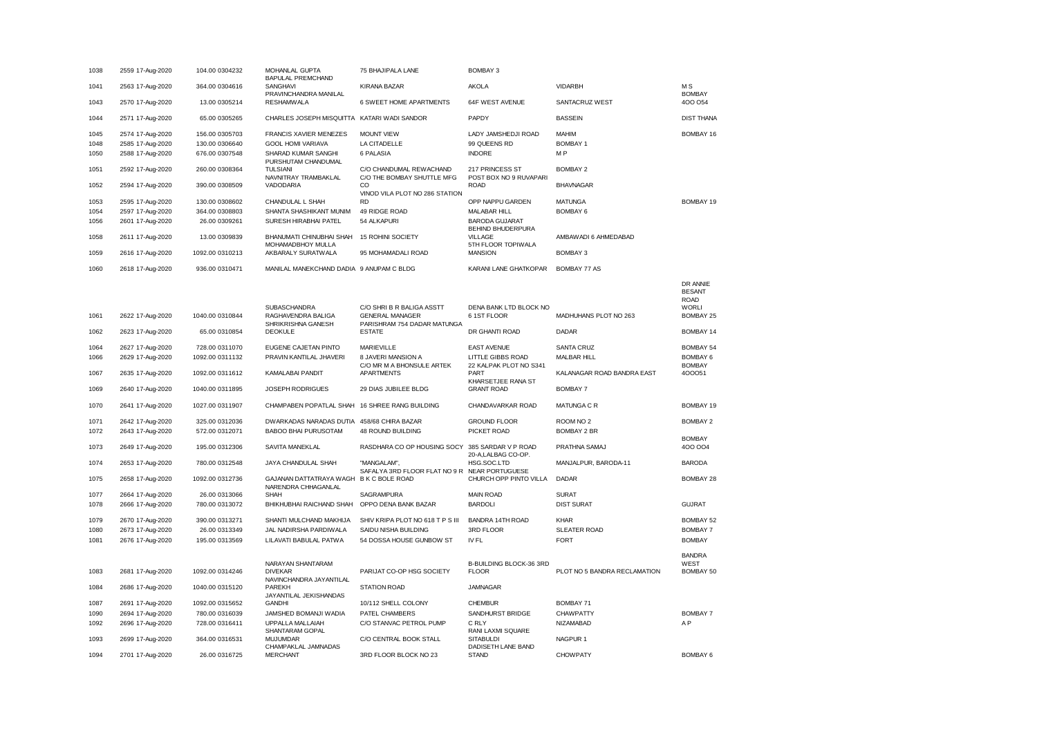| 1038 | 2559 17-Aug-2020 | 104.00 0304232  | MOHANLAL GUPTA                                                 | 75 BHAJIPALA LANE                                     | BOMBAY 3                                   |                              |                                                          |
|------|------------------|-----------------|----------------------------------------------------------------|-------------------------------------------------------|--------------------------------------------|------------------------------|----------------------------------------------------------|
| 1041 | 2563 17-Aug-2020 | 364.00 0304616  | <b>BAPULAL PREMCHAND</b><br>SANGHAVI<br>PRAVINCHANDRA MANILAL  | <b>KIRANA BAZAR</b>                                   | <b>AKOLA</b>                               | VIDARBH                      | M.S<br><b>BOMBAY</b>                                     |
| 1043 | 2570 17-Aug-2020 | 13.00 0305214   | <b>RESHAMWALA</b>                                              | 6 SWEET HOME APARTMENTS                               | 64F WEST AVENUE                            | SANTACRUZ WEST               | 400 054                                                  |
| 1044 | 2571 17-Aug-2020 | 65.00 0305265   | CHARLES JOSEPH MISQUITTA KATARI WADI SANDOR                    |                                                       | PAPDY                                      | <b>BASSEIN</b>               | <b>DIST THANA</b>                                        |
| 1045 | 2574 17-Aug-2020 | 156.00 0305703  | <b>FRANCIS XAVIER MENEZES</b>                                  | <b>MOUNT VIEW</b>                                     | LADY JAMSHEDJI ROAD                        | MAHIM                        | BOMBAY 16                                                |
| 1048 | 2585 17-Aug-2020 | 130.00 0306640  | <b>GOOL HOMI VARIAVA</b>                                       | LA CITADELLE                                          | 99 QUEENS RD                               | <b>BOMBAY 1</b>              |                                                          |
| 1050 | 2588 17-Aug-2020 | 676.00 0307548  | SHARAD KUMAR SANGHI<br>PURSHUTAM CHANDUMAL                     | 6 PALASIA                                             | <b>INDORE</b>                              | M <sub>P</sub>               |                                                          |
| 1051 | 2592 17-Aug-2020 | 260.00 0308364  | <b>TULSIANI</b><br>NAVNITRAY TRAMBAKLAL                        | C/O CHANDUMAL REWACHAND<br>C/O THE BOMBAY SHUTTLE MFG | 217 PRINCESS ST<br>POST BOX NO 9 RUVAPARI  | <b>BOMBAY 2</b>              |                                                          |
| 1052 | 2594 17-Aug-2020 | 390.00 0308509  | VADODARIA                                                      | CO<br>VINOD VILA PLOT NO 286 STATION                  | <b>ROAD</b>                                | <b>BHAVNAGAR</b>             |                                                          |
| 1053 | 2595 17-Aug-2020 | 130.00 0308602  | CHANDULAL L SHAH                                               | <b>RD</b>                                             | OPP NAPPU GARDEN                           | <b>MATUNGA</b>               | BOMBAY 19                                                |
| 1054 | 2597 17-Aug-2020 | 364.00 0308803  | SHANTA SHASHIKANT MUNIM                                        | 49 RIDGE ROAD                                         | MALABAR HILL                               | <b>BOMBAY 6</b>              |                                                          |
| 1056 | 2601 17-Aug-2020 | 26.00 0309261   | SURESH HIRABHAI PATEL                                          | 54 ALKAPURI                                           | <b>BARODA GUJARAT</b><br>BEHIND BHUDERPURA |                              |                                                          |
| 1058 | 2611 17-Aug-2020 | 13.00 0309839   | BHANUMATI CHINUBHAI SHAH<br>MOHAMADBHOY MULLA                  | 15 ROHINI SOCIETY                                     | <b>VILLAGE</b><br>5TH FLOOR TOPIWALA       | AMBAWADI 6 AHMEDABAD         |                                                          |
| 1059 | 2616 17-Aug-2020 | 1092.00 0310213 | AKBARALY SURATWALA                                             | 95 MOHAMADALI ROAD                                    | <b>MANSION</b>                             | <b>BOMBAY 3</b>              |                                                          |
| 1060 | 2618 17-Aug-2020 | 936.00 0310471  | MANILAL MANEKCHAND DADIA 9 ANUPAM C BLDG                       |                                                       | KARANI LANE GHATKOPAR                      | BOMBAY 77 AS                 |                                                          |
|      |                  |                 | SUBASCHANDRA                                                   | C/O SHRI B R BALIGA ASSTT                             | DENA BANK LTD BLOCK NO                     |                              | DR ANNIE<br><b>BESANT</b><br><b>ROAD</b><br><b>WORLI</b> |
| 1061 | 2622 17-Aug-2020 | 1040.00 0310844 | RAGHAVENDRA BALIGA<br>SHRIKRISHNA GANESH                       | <b>GENERAL MANAGER</b><br>PARISHRAM 754 DADAR MATUNGA | 6 1ST FLOOR                                | MADHUHANS PLOT NO 263        | BOMBAY 25                                                |
| 1062 | 2623 17-Aug-2020 | 65.00 0310854   | <b>DEOKULE</b>                                                 | <b>ESTATE</b>                                         | DR GHANTI ROAD                             | <b>DADAR</b>                 | BOMBAY 14                                                |
| 1064 | 2627 17-Aug-2020 | 728.00 0311070  | EUGENE CAJETAN PINTO                                           | MARIEVILLE                                            | <b>EAST AVENUE</b>                         | <b>SANTA CRUZ</b>            | BOMBAY 54                                                |
| 1066 | 2629 17-Aug-2020 | 1092.00 0311132 | PRAVIN KANTILAL JHAVERI                                        | 8 JAVERI MANSION A                                    | LITTLE GIBBS ROAD                          | <b>MALBAR HILL</b>           | <b>BOMBAY 6</b>                                          |
| 1067 | 2635 17-Aug-2020 | 1092.00 0311612 | KAMALABAI PANDIT                                               | C/O MR M A BHONSULE ARTEK<br><b>APARTMENTS</b>        | 22 KALPAK PLOT NO S341<br>PART             | KALANAGAR ROAD BANDRA EAST   | <b>BOMBAY</b><br>400051                                  |
| 1069 | 2640 17-Aug-2020 | 1040.00 0311895 | <b>JOSEPH RODRIGUES</b>                                        | 29 DIAS JUBILEE BLDG                                  | KHARSETJEE RANA ST<br><b>GRANT ROAD</b>    | <b>BOMBAY 7</b>              |                                                          |
| 1070 | 2641 17-Aug-2020 | 1027.00 0311907 | CHAMPABEN POPATLAL SHAH 16 SHREE RANG BUILDING                 |                                                       | CHANDAVARKAR ROAD                          | MATUNGA C R                  | BOMBAY 19                                                |
| 1071 | 2642 17-Aug-2020 | 325.00 0312036  | DWARKADAS NARADAS DUTIA                                        | 458/68 CHIRA BAZAR                                    | <b>GROUND FLOOR</b>                        | ROOM NO <sub>2</sub>         | <b>BOMBAY 2</b>                                          |
| 1072 | 2643 17-Aug-2020 | 572.00 0312071  | <b>BABOO BHAI PURUSOTAM</b>                                    | 48 ROUND BUILDING                                     | PICKET ROAD                                | <b>BOMBAY 2 BR</b>           |                                                          |
| 1073 | 2649 17-Aug-2020 | 195.00 0312306  | SAVITA MANEKLAL                                                | RASDHARA CO OP HOUSING SOCY                           | 385 SARDAR V P ROAD                        | PRATHNA SAMAJ                | <b>BOMBAY</b><br>400 004                                 |
|      |                  |                 |                                                                |                                                       | 20-A,LALBAG CO-OP.                         |                              |                                                          |
| 1074 | 2653 17-Aug-2020 | 780.00 0312548  | JAYA CHANDULAL SHAH                                            | "MANGALAM",<br>SAFALYA 3RD FLOOR FLAT NO 9 R          | HSG.SOC.LTD<br><b>NEAR PORTUGUESE</b>      | MANJALPUR, BARODA-11         | <b>BARODA</b>                                            |
| 1075 | 2658 17-Aug-2020 | 1092.00 0312736 | GAJANAN DATTATRAYA WAGH B K C BOLE ROAD<br>NARENDRA CHHAGANLAL |                                                       | CHURCH OPP PINTO VILLA                     | DADAR                        | BOMBAY 28                                                |
| 1077 | 2664 17-Aug-2020 | 26.00 0313066   | <b>SHAH</b>                                                    | SAGRAMPURA                                            | <b>MAIN ROAD</b>                           | <b>SURAT</b>                 |                                                          |
| 1078 | 2666 17-Aug-2020 | 780.00 0313072  | BHIKHUBHAI RAICHAND SHAH                                       | OPPO DENA BANK BAZAR                                  | <b>BARDOLI</b>                             | <b>DIST SURAT</b>            | <b>GUJRAT</b>                                            |
| 1079 | 2670 17-Aug-2020 | 390.00 0313271  | SHANTI MULCHAND MAKHIJA                                        | SHIV KRIPA PLOT NO 618 T P S III                      | BANDRA 14TH ROAD                           | <b>KHAR</b>                  | BOMBAY 52                                                |
| 1080 | 2673 17-Aug-2020 | 26.00 0313349   | JAL NADIRSHA PARDIWALA                                         | SAIDU NISHA BUILDING                                  | 3RD FLOOR                                  | <b>SLEATER ROAD</b>          | <b>BOMBAY 7</b>                                          |
| 1081 | 2676 17-Aug-2020 | 195.00 0313569  | LILAVATI BABULAL PATWA                                         | 54 DOSSA HOUSE GUNBOW ST                              | IV FL                                      | <b>FORT</b>                  | <b>BOMBAY</b>                                            |
| 1083 | 2681 17-Aug-2020 | 1092.00 0314246 | NARAYAN SHANTARAM<br><b>DIVEKAR</b>                            | PARIJAT CO-OP HSG SOCIETY                             | B-BUILDING BLOCK-36 3RD<br><b>FLOOR</b>    | PLOT NO 5 BANDRA RECLAMATION | <b>BANDRA</b><br>WEST<br>BOMBAY 50                       |
| 1084 | 2686 17-Aug-2020 | 1040.00 0315120 | NAVINCHANDRA JAYANTILAL<br>PAREKH                              | <b>STATION ROAD</b>                                   | <b>JAMNAGAR</b>                            |                              |                                                          |
|      |                  |                 | JAYANTILAL JEKISHANDAS                                         |                                                       |                                            |                              |                                                          |
| 1087 | 2691 17-Aug-2020 | 1092.00 0315652 | <b>GANDHI</b>                                                  | 10/112 SHELL COLONY                                   | <b>CHEMBUR</b>                             | BOMBAY 71                    |                                                          |
| 1090 | 2694 17-Aug-2020 | 780.00 0316039  | JAMSHED BOMANJI WADIA                                          | PATEL CHAMBERS                                        | SANDHURST BRIDGE                           | <b>CHAWPATTY</b>             | <b>BOMBAY 7</b>                                          |
| 1092 | 2696 17-Aug-2020 | 728.00 0316411  | UPPALLA MALLAIAH<br>SHANTARAM GOPAL                            | C/O STANVAC PETROL PUMP                               | C RLY<br>RANI LAXMI SQUARE                 | NIZAMABAD                    | A <sub>P</sub>                                           |
| 1093 | 2699 17-Aug-2020 | 364.00 0316531  | <b>MUJUMDAR</b><br>CHAMPAKLAL JAMNADAS                         | C/O CENTRAL BOOK STALL                                | <b>SITABULDI</b><br>DADISETH LANE BAND     | NAGPUR <sub>1</sub>          |                                                          |
| 1094 | 2701 17-Aug-2020 | 26.00 0316725   | <b>MERCHANT</b>                                                | 3RD FLOOR BLOCK NO 23                                 | <b>STAND</b>                               | <b>CHOWPATY</b>              | <b>BOMBAY 6</b>                                          |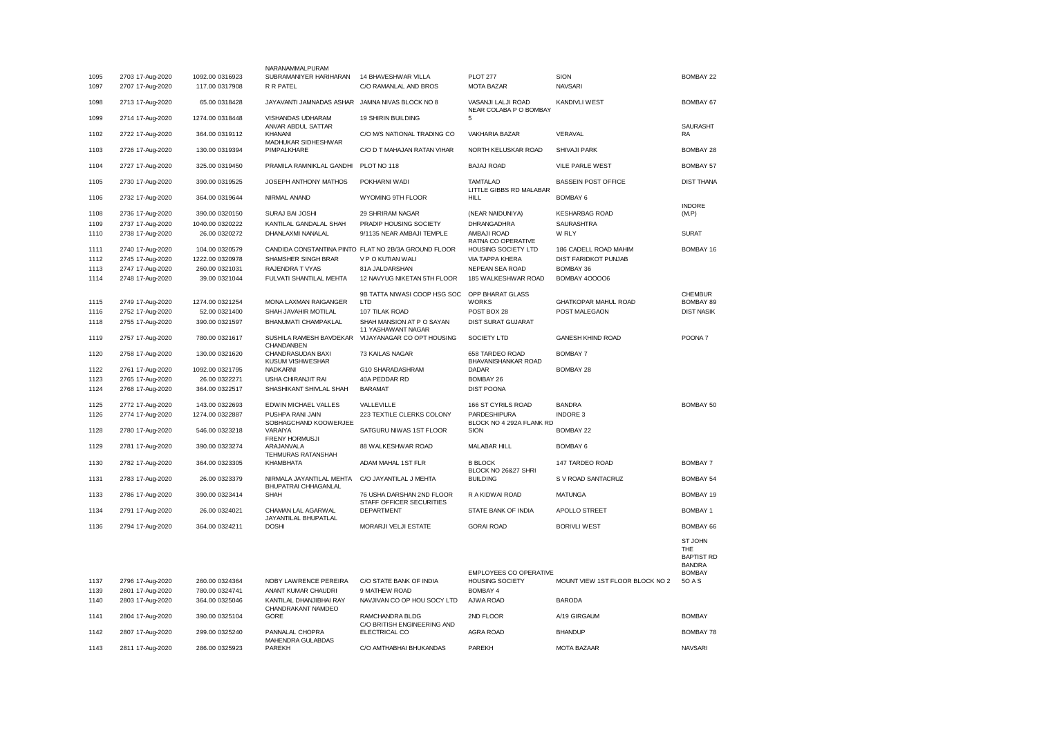|      |                  |                 | NARANAMMALPURAM                                         |                                                       |                                                         |                                 |                                                      |
|------|------------------|-----------------|---------------------------------------------------------|-------------------------------------------------------|---------------------------------------------------------|---------------------------------|------------------------------------------------------|
| 1095 | 2703 17-Aug-2020 | 1092.00 0316923 | SUBRAMANIYER HARIHARAN                                  | 14 BHAVESHWAR VILLA                                   | <b>PLOT 277</b>                                         | SION                            | <b>BOMBAY 22</b>                                     |
| 1097 | 2707 17-Aug-2020 | 117.00 0317908  | R R PATEL                                               | C/O RAMANLAL AND BROS                                 | <b>MOTA BAZAR</b>                                       | <b>NAVSARI</b>                  |                                                      |
| 1098 | 2713 17-Aug-2020 | 65.00 0318428   | JAYAVANTI JAMNADAS ASHAR JAMNA NIVAS BLOCK NO 8         |                                                       | VASANJI LALJI ROAD<br>NEAR COLABA P O BOMBAY            | <b>KANDIVLI WEST</b>            | <b>BOMBAY 67</b>                                     |
| 1099 | 2714 17-Aug-2020 | 1274.00 0318448 | VISHANDAS UDHARAM<br>ANVAR ABDUL SATTAR                 | <b>19 SHIRIN BUILDING</b>                             | 5                                                       |                                 | <b>SAURASHT</b>                                      |
| 1102 | 2722 17-Aug-2020 | 364.00 0319112  | KHANANI<br>MADHUKAR SIDHESHWAR                          | C/O M/S NATIONAL TRADING CO                           | VAKHARIA BAZAR                                          | VERAVAL                         | RA                                                   |
| 1103 | 2726 17-Aug-2020 | 130.00 0319394  | PIMPALKHARE                                             | C/O D T MAHAJAN RATAN VIHAR                           | NORTH KELUSKAR ROAD                                     | SHIVAJI PARK                    | BOMBAY 28                                            |
| 1104 | 2727 17-Aug-2020 | 325.00 0319450  | PRAMILA RAMNIKLAL GANDHI                                | PLOT NO 118                                           | <b>BAJAJ ROAD</b>                                       | VILE PARLE WEST                 | <b>BOMBAY 57</b>                                     |
| 1105 | 2730 17-Aug-2020 | 390.00 0319525  | JOSEPH ANTHONY MATHOS                                   | POKHARNI WADI                                         | <b>TAMTALAO</b><br>LITTLE GIBBS RD MALABAR              | <b>BASSEIN POST OFFICE</b>      | <b>DIST THANA</b>                                    |
| 1106 | 2732 17-Aug-2020 | 364.00 0319644  | NIRMAL ANAND                                            | WYOMING 9TH FLOOR                                     | HILL                                                    | <b>BOMBAY 6</b>                 | <b>INDORE</b>                                        |
| 1108 | 2736 17-Aug-2020 | 390.00 0320150  | SURAJ BAI JOSHI                                         | 29 SHRIRAM NAGAR                                      | (NEAR NAIDUNIYA)                                        | <b>KESHARBAG ROAD</b>           | (M.P)                                                |
| 1109 | 2737 17-Aug-2020 | 1040.00 0320222 | KANTILAL GANDALAL SHAH                                  | PRADIP HOUSING SOCIETY                                | DHRANGADHRA                                             | <b>SAURASHTRA</b>               |                                                      |
| 1110 | 2738 17-Aug-2020 | 26.00 0320272   | DHANLAXMI NANALAL                                       | 9/1135 NEAR AMBAJI TEMPLE                             | AMBAJI ROAD                                             | W RLY                           | <b>SURAT</b>                                         |
| 1111 | 2740 17-Aug-2020 | 104.00 0320579  |                                                         | CANDIDA CONSTANTINA PINTO FLAT NO 2B/3A GROUND FLOOR  | RATNA CO OPERATIVE<br>HOUSING SOCIETY LTD               | 186 CADELL ROAD MAHIM           | BOMBAY 16                                            |
| 1112 | 2745 17-Aug-2020 | 1222.00 0320978 | SHAMSHER SINGH BRAR                                     | V P O KUTIAN WALI                                     | VIA TAPPA KHERA                                         | DIST FARIDKOT PUNJAB            |                                                      |
| 1113 | 2747 17-Aug-2020 | 260.00 0321031  | RAJENDRA T VYAS                                         | 81A JALDARSHAN                                        | NEPEAN SEA ROAD                                         | BOMBAY 36                       |                                                      |
| 1114 | 2748 17-Aug-2020 | 39.00 0321044   | FULVATI SHANTILAL MEHTA                                 | 12 NAVYUG NIKETAN 5TH FLOOR                           | 185 WALKESHWAR ROAD                                     | <b>BOMBAY 400006</b>            |                                                      |
|      |                  |                 |                                                         |                                                       |                                                         |                                 |                                                      |
|      |                  |                 |                                                         | 9B TATTA NIWASI COOP HSG SOC                          | OPP BHARAT GLASS                                        |                                 | <b>CHEMBUR</b>                                       |
| 1115 | 2749 17-Aug-2020 | 1274.00 0321254 | MONA LAXMAN RAIGANGER                                   | LTD                                                   | <b>WORKS</b>                                            | GHATKOPAR MAHUL ROAD            | <b>BOMBAY 89</b>                                     |
| 1116 | 2752 17-Aug-2020 | 52.00 0321400   | SHAH JAVAHIR MOTILAL                                    | 107 TILAK ROAD                                        | POST BOX 28                                             | POST MALEGAON                   | <b>DIST NASIK</b>                                    |
| 1118 | 2755 17-Aug-2020 | 390.00 0321597  | BHANUMATI CHAMPAKLAL                                    | SHAH MANSION AT P O SAYAN<br>11 YASHAWANT NAGAR       | DIST SURAT GUJARAT                                      |                                 |                                                      |
| 1119 | 2757 17-Aug-2020 | 780.00 0321617  | CHANDANBEN                                              | SUSHILA RAMESH BAVDEKAR VIJAYANAGAR CO OPT HOUSING    | SOCIETY LTD                                             | GANESH KHIND ROAD               | POONA <sub>7</sub>                                   |
| 1120 | 2758 17-Aug-2020 | 130.00 0321620  | CHANDRASUDAN BAXI<br>KUSUM VISHWESHAR                   | 73 KAILAS NAGAR                                       | 658 TARDEO ROAD<br>BHAVANISHANKAR ROAD                  | <b>BOMBAY 7</b>                 |                                                      |
| 1122 | 2761 17-Aug-2020 | 1092.00 0321795 | <b>NADKARNI</b>                                         | G10 SHARADASHRAM                                      | DADAR                                                   | BOMBAY 28                       |                                                      |
| 1123 | 2765 17-Aug-2020 | 26.00 0322271   | USHA CHIRANJIT RAI                                      | 40A PEDDAR RD                                         | BOMBAY 26                                               |                                 |                                                      |
| 1124 | 2768 17-Aug-2020 | 364.00 0322517  | SHASHIKANT SHIVLAL SHAH                                 | <b>BARAMAT</b>                                        | <b>DIST POONA</b>                                       |                                 |                                                      |
|      |                  |                 |                                                         |                                                       |                                                         |                                 |                                                      |
| 1125 | 2772 17-Aug-2020 | 143.00 0322693  | EDWIN MICHAEL VALLES                                    | VALLEVILLE                                            | 166 ST CYRILS ROAD                                      | <b>BANDRA</b>                   | BOMBAY 50                                            |
| 1126 | 2774 17-Aug-2020 | 1274.00 0322887 | PUSHPA RANI JAIN<br>SOBHAGCHAND KOOWERJEE               | 223 TEXTILE CLERKS COLONY                             | PARDESHIPURA<br>BLOCK NO 4 292A FLANK RD                | <b>INDORE 3</b>                 |                                                      |
| 1128 | 2780 17-Aug-2020 | 546.00 0323218  | VARAIYA<br><b>FRENY HORMUSJI</b>                        | SATGURU NIWAS 1ST FLOOR                               | SION                                                    | <b>BOMBAY 22</b>                |                                                      |
| 1129 | 2781 17-Aug-2020 | 390.00 0323274  | ARAJANVALA<br>TEHMURAS RATANSHAH                        | 88 WALKESHWAR ROAD                                    | MALABAR HILL                                            | <b>BOMBAY 6</b>                 |                                                      |
| 1130 | 2782 17-Aug-2020 | 364.00 0323305  | KHAMBHATA                                               | ADAM MAHAL 1ST FLR                                    | <b>B BLOCK</b><br>BLOCK NO 26&27 SHRI                   | 147 TARDEO ROAD                 | <b>BOMBAY 7</b>                                      |
| 1131 | 2783 17-Aug-2020 | 26.00 0323379   | NIRMALA JAYANTILAL MEHTA<br><b>BHUPATRAI CHHAGANLAL</b> | C/O JAYANTILAL J MEHTA                                | <b>BUILDING</b>                                         | S V ROAD SANTACRUZ              | <b>BOMBAY 54</b>                                     |
| 1133 | 2786 17-Aug-2020 | 390.00 0323414  | SHAH                                                    | 76 USHA DARSHAN 2ND FLOOR<br>STAFF OFFICER SECURITIES | R A KIDWAI ROAD                                         | <b>MATUNGA</b>                  | BOMBAY 19                                            |
| 1134 | 2791 17-Aug-2020 | 26.00 0324021   | CHAMAN LAL AGARWAL<br>JAYANTILAL BHUPATLAL              | <b>DEPARTMENT</b>                                     | STATE BANK OF INDIA                                     | APOLLO STREET                   | BOMBAY 1                                             |
| 1136 | 2794 17-Aug-2020 | 364.00 0324211  | <b>DOSHI</b>                                            | MORARJI VELJI ESTATE                                  | <b>GORAI ROAD</b>                                       | <b>BORIVLI WEST</b>             | BOMBAY 66                                            |
|      |                  |                 |                                                         |                                                       |                                                         |                                 | ST JOHN<br>THE<br><b>BAPTIST RD</b><br><b>BANDRA</b> |
| 1137 | 2796 17-Aug-2020 | 260.00 0324364  | NOBY LAWRENCE PEREIRA                                   | C/O STATE BANK OF INDIA                               | <b>EMPLOYEES CO OPERATIVE</b><br><b>HOUSING SOCIETY</b> | MOUNT VIEW 1ST FLOOR BLOCK NO 2 | <b>BOMBAY</b><br>50 A S                              |
| 1139 | 2801 17-Aug-2020 | 780.00 0324741  | ANANT KUMAR CHAUDRI                                     | 9 MATHEW ROAD                                         | <b>BOMBAY 4</b>                                         |                                 |                                                      |
| 1140 | 2803 17-Aug-2020 | 364.00 0325046  | KANTILAL DHANJIBHAI RAY<br>CHANDRAKANT NAMDEO           | NAVJIVAN CO OP HOU SOCY LTD                           | AJWA ROAD                                               | <b>BARODA</b>                   |                                                      |
| 1141 | 2804 17-Aug-2020 | 390.00 0325104  | GORE                                                    | RAMCHANDRA BLDG<br>C/O BRITISH ENGINEERING AND        | 2ND FLOOR                                               | A/19 GIRGAUM                    | <b>BOMBAY</b>                                        |
| 1142 | 2807 17-Aug-2020 | 299.00 0325240  | PANNALAL CHOPRA<br>MAHENDRA GULABDAS                    | ELECTRICAL CO                                         | <b>AGRA ROAD</b>                                        | <b>BHANDUP</b>                  | BOMBAY 78                                            |
| 1143 | 2811 17-Aug-2020 | 286.00 0325923  | <b>PAREKH</b>                                           | C/O AMTHABHAI BHUKANDAS                               | <b>PAREKH</b>                                           | <b>MOTA BAZAAR</b>              | <b>NAVSARI</b>                                       |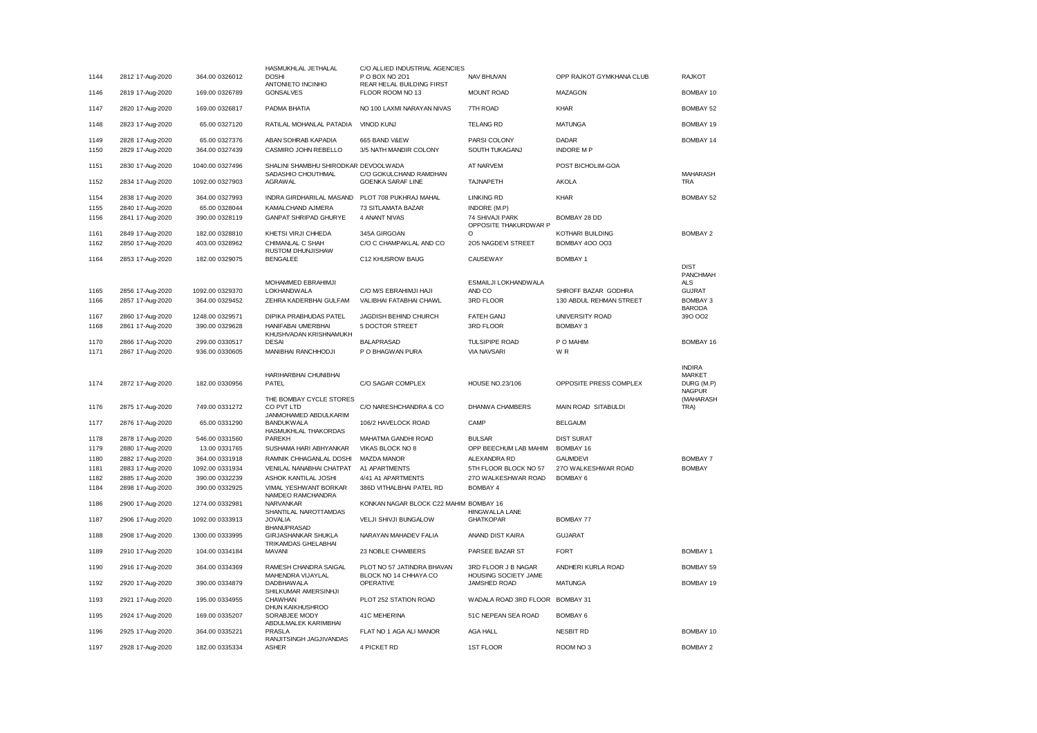|      |                  |                 | HASMUKHLAL JETHALAL                                              | C/O ALLIED INDUSTRIAL AGENCIES              |                                           |                          |                                  |
|------|------------------|-----------------|------------------------------------------------------------------|---------------------------------------------|-------------------------------------------|--------------------------|----------------------------------|
| 1144 | 2812 17-Aug-2020 | 364.00 0326012  | <b>DOSHI</b><br>ANTONIETO INCINHO                                | P O BOX NO 201<br>REAR HELAL BUILDING FIRST | NAV BHUVAN                                | OPP RAJKOT GYMKHANA CLUB | <b>RAJKOT</b>                    |
| 1146 | 2819 17-Aug-2020 | 169.00 0326789  | <b>GONSALVES</b>                                                 | FLOOR ROOM NO 13                            | <b>MOUNT ROAD</b>                         | <b>MAZAGON</b>           | BOMBAY 10                        |
| 1147 | 2820 17-Aug-2020 | 169.00 0326817  | PADMA BHATIA                                                     | NO 100 LAXMI NARAYAN NIVAS                  | 7TH ROAD                                  | <b>KHAR</b>              | <b>BOMBAY 52</b>                 |
| 1148 | 2823 17-Aug-2020 | 65.00 0327120   | RATILAL MOHANLAL PATADIA                                         | <b>VINOD KUNJ</b>                           | <b>TELANG RD</b>                          | <b>MATUNGA</b>           | BOMBAY 19                        |
| 1149 | 2828 17-Aug-2020 | 65.00 0327376   | ABAN SOHRAB KAPADIA                                              | 665 BAND V&EW                               | PARSI COLONY                              | DADAR                    | BOMBAY 14                        |
| 1150 | 2829 17-Aug-2020 | 364.00 0327439  | CASMIRO JOHN REBELLO                                             | 3/5 NATH MANDIR COLONY                      | SOUTH TUKAGANJ                            | <b>INDORE MP</b>         |                                  |
| 1151 | 2830 17-Aug-2020 | 1040.00 0327496 | SHALINI SHAMBHU SHIRODKAR DEVOOLWADA<br>SADASHIO CHOUTHMAL       | C/O GOKULCHAND RAMDHAN                      | AT NARVEM                                 | POST BICHOLIM-GOA        | <b>MAHARASH</b>                  |
| 1152 | 2834 17-Aug-2020 | 1092.00 0327903 | <b>AGRAWAL</b>                                                   | GOENKA SARAF LINE                           | TAJNAPETH                                 | <b>AKOLA</b>             | <b>TRA</b>                       |
| 1154 | 2838 17-Aug-2020 | 364.00 0327993  | INDRA GIRDHARILAL MASAND                                         | PLOT 708 PUKHRAJ MAHAL                      | <b>LINKING RD</b>                         | <b>KHAR</b>              | BOMBAY 52                        |
| 1155 | 2840 17-Aug-2020 | 65.00 0328044   | KAMALCHAND AJMERA                                                | 73 SITLAMATA BAZAR                          | INDORE (M.P)                              |                          |                                  |
| 1156 | 2841 17-Aug-2020 | 390.00 0328119  | <b>GANPAT SHRIPAD GHURYE</b>                                     | 4 ANANT NIVAS                               | 74 SHIVAJI PARK<br>OPPOSITE THAKURDWAR P  | BOMBAY 28 DD             |                                  |
| 1161 | 2849 17-Aug-2020 | 182.00 0328810  | KHETSI VIRJI CHHEDA                                              | 345A GIRGOAN                                |                                           | KOTHARI BUILDING         | <b>BOMBAY 2</b>                  |
| 1162 | 2850 17-Aug-2020 | 403.00 0328962  | CHIMANLAL C SHAH<br>RUSTOM DHUNJISHAW                            | C/O C CHAMPAKLAL AND CO                     | 205 NAGDEVI STREET                        | BOMBAY 400 003           |                                  |
| 1164 | 2853 17-Aug-2020 | 182.00 0329075  | <b>BENGALEE</b>                                                  | C12 KHUSROW BAUG                            | CAUSEWAY                                  | <b>BOMBAY 1</b>          |                                  |
|      |                  |                 |                                                                  |                                             |                                           |                          | <b>DISI</b><br>PANCHMAH          |
|      |                  |                 | MOHAMMED EBRAHIMJI                                               |                                             | ESMAILJI LOKHANDWALA                      |                          | <b>ALS</b>                       |
| 1165 | 2856 17-Aug-2020 | 1092.00 0329370 | <b>LOKHANDWALA</b>                                               | C/O M/S EBRAHIMJI HAJI                      | AND CO                                    | SHROFF BAZAR GODHRA      | <b>GUJRAT</b>                    |
| 1166 | 2857 17-Aug-2020 | 364.00 0329452  | ZEHRA KADERBHAI GULFAM                                           | VALIBHAI FATABHAI CHAWL                     | 3RD FLOOR                                 | 130 ABDUL REHMAN STREET  | <b>BOMBAY 3</b><br><b>BARODA</b> |
| 1167 | 2860 17-Aug-2020 | 1248.00 0329571 | DIPIKA PRABHUDAS PATEL                                           | JAGDISH BEHIND CHURCH                       | <b>FATEH GANJ</b>                         | <b>UNIVERSITY ROAD</b>   | 390 002                          |
| 1168 | 2861 17-Aug-2020 | 390.00 0329628  | HANIFABAI UMERBHAI<br>KHUSHVADAN KRISHNAMUKH                     | 5 DOCTOR STREET                             | 3RD FLOOR                                 | <b>BOMBAY 3</b>          |                                  |
| 1170 | 2866 17-Aug-2020 | 299.00 0330517  | <b>DESAI</b>                                                     | <b>BALAPRASAD</b>                           | <b>TULSIPIPE ROAD</b>                     | P O MAHIM                | BOMBAY 16                        |
| 1171 | 2867 17-Aug-2020 | 936.00 0330605  | MANIBHAI RANCHHODJI                                              | P O BHAGWAN PURA                            | <b>VIA NAVSARI</b>                        | W <sub>R</sub>           |                                  |
|      |                  |                 |                                                                  |                                             |                                           |                          |                                  |
|      |                  |                 |                                                                  |                                             |                                           |                          |                                  |
|      |                  |                 |                                                                  |                                             |                                           |                          | <b>INDIRA</b>                    |
| 1174 | 2872 17-Aug-2020 | 182.00 0330956  | HARIHARBHAI CHUNIBHAI<br>PATEL                                   | C/O SAGAR COMPLEX                           | <b>HOUSE NO.23/106</b>                    | OPPOSITE PRESS COMPLEX   | <b>MARKET</b><br>DURG (M.P)      |
|      |                  |                 |                                                                  |                                             |                                           |                          | <b>NAGPUR</b>                    |
| 1176 | 2875 17-Aug-2020 | 749.00 0331272  | THE BOMBAY CYCLE STORES<br>CO PVT LTD                            | C/O NARESHCHANDRA & CO                      | DHANWA CHAMBERS                           | MAIN ROAD SITABULDI      | (MAHARASH<br>TRA)                |
|      |                  |                 | JANMOHAMED ABDULKARIM                                            |                                             |                                           |                          |                                  |
| 1177 | 2876 17-Aug-2020 | 65.00 0331290   | <b>BANDUKWALA</b><br>HASMUKHLAL THAKORDAS                        | 106/2 HAVELOCK ROAD                         | CAMP                                      | <b>BELGAUM</b>           |                                  |
| 1178 | 2878 17-Aug-2020 | 546.00 0331560  | PAREKH                                                           | MAHATMA GANDHI ROAD                         | <b>BULSAR</b>                             | <b>DIST SURAT</b>        |                                  |
| 1179 | 2880 17-Aug-2020 | 13.00 0331765   | SUSHAMA HARI ABHYANKAR                                           | VIKAS BLOCK NO 8                            | OPP BEECHUM LAB MAHIM                     | <b>BOMBAY 16</b>         |                                  |
| 1180 | 2882 17-Aug-2020 | 364.00 0331918  | RAMNIK CHHAGANLAL DOSHI                                          | <b>MAZDA MANOR</b>                          | ALEXANDRA RD                              | <b>GAUMDEVI</b>          | <b>BOMBAY 7</b>                  |
| 1181 | 2883 17-Aug-2020 | 1092.00 0331934 | VENILAL NANABHAI CHATPAT                                         | A1 APARTMENTS                               | 5TH FLOOR BLOCK NO 57                     | 27O WALKESHWAR ROAD      | <b>BOMBAY</b>                    |
| 1182 | 2885 17-Aug-2020 | 390.00 0332239  | ASHOK KANTILAL JOSHI                                             | 4/41 A1 APARTMENTS                          | 27O WALKESHWAR ROAD                       | <b>BOMBAY 6</b>          |                                  |
| 1184 | 2898 17-Aug-2020 | 390.00 0332925  | VIMAL YESHWANT BORKAR                                            | 386D VITHALBHAI PATEL RD                    | <b>BOMBAY 4</b>                           |                          |                                  |
| 1186 | 2900 17-Aug-2020 | 1274.00 0332981 | NAMDEO RAMCHANDRA<br>NARVANKAR                                   | KONKAN NAGAR BLOCK C22 MAHIM BOMBAY 16      |                                           |                          |                                  |
| 1187 | 2906 17-Aug-2020 | 1092.00 0333913 | SHANTILAL NAROTTAMDAS<br><b>JOVALIA</b>                          | VELJI SHIVJI BUNGALOW                       | <b>HINGWALLA LANE</b><br><b>GHATKOPAR</b> | <b>BOMBAY 77</b>         |                                  |
| 1188 | 2908 17-Aug-2020 | 1300.00 0333995 | <b>BHANUPRASAD</b><br><b>GIRJASHANKAR SHUKLA</b>                 | NARAYAN MAHADEV FALIA                       | ANAND DIST KAIRA                          | <b>GUJARAT</b>           |                                  |
| 1189 | 2910 17-Aug-2020 | 104.00 0334184  | TRIKAMDAS GHELABHAI<br><b>MAVANI</b>                             | 23 NOBLE CHAMBERS                           | PARSEE BAZAR ST                           | <b>FORT</b>              | <b>BOMBAY 1</b>                  |
| 1190 | 2916 17-Aug-2020 | 364.00 0334369  | RAMESH CHANDRA SAIGAL                                            | PLOT NO 57 JATINDRA BHAVAN                  | 3RD FLOOR J B NAGAR                       | ANDHERI KURLA ROAD       | BOMBAY 59                        |
| 1192 | 2920 17-Aug-2020 | 390.00 0334879  | MAHENDRA VIJAYLAL<br>DADBHAWALA                                  | BLOCK NO 14 CHHAYA CO<br><b>OPERATIVE</b>   | HOUSING SOCIETY JAME<br>JAMSHED ROAD      | <b>MATUNGA</b>           | BOMBAY 19                        |
| 1193 | 2921 17-Aug-2020 | 195.00 0334955  | SHILKUMAR AMERSINHJI<br>CHAWHAN                                  | PLOT 252 STATION ROAD                       | WADALA ROAD 3RD FLOOR BOMBAY 31           |                          |                                  |
| 1195 | 2924 17-Aug-2020 | 169.00 0335207  | <b>DHUN KAIKHUSHROO</b><br>SORABJEE MODY                         | 41C MEHERINA                                | 51C NEPEAN SEA ROAD                       | <b>BOMBAY 6</b>          |                                  |
| 1196 | 2925 17-Aug-2020 | 364.00 0335221  | ABDULMALEK KARIMBHAI<br><b>PRASLA</b><br>RANJITSINGH JAGJIVANDAS | FLAT NO 1 AGA ALI MANOR                     | <b>AGA HALL</b>                           | <b>NESBIT RD</b>         | BOMBAY 10                        |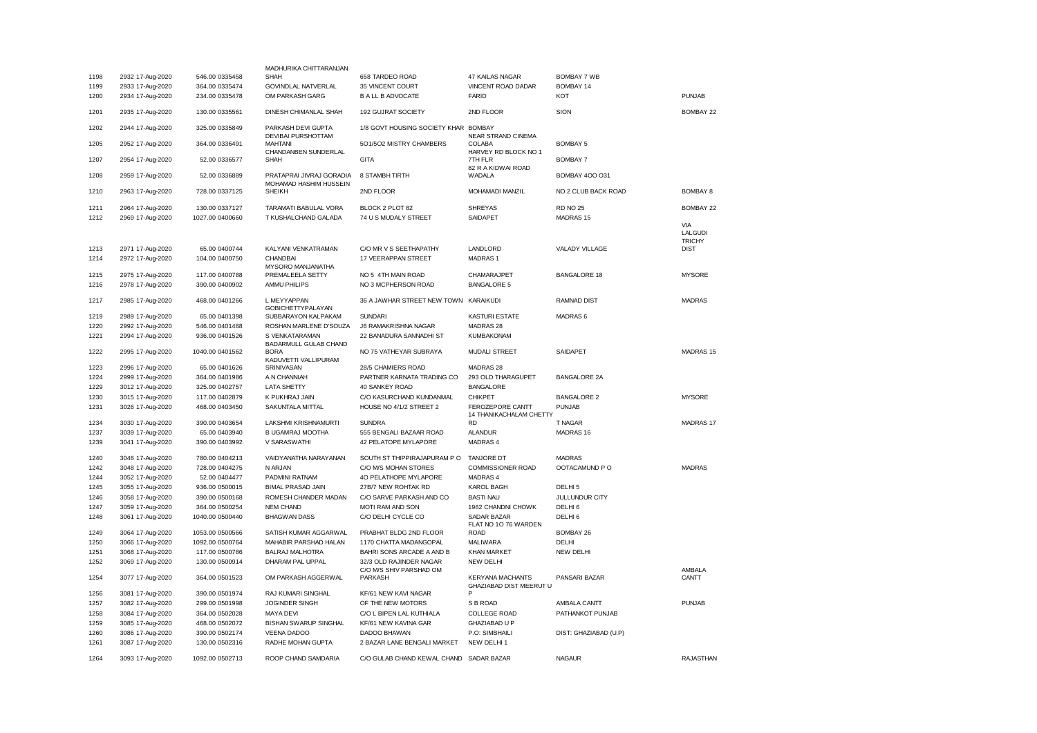|      |                  |                 | MADHURIKA CHITTARANJAN                             |                                                    |                                                    |                       |                              |
|------|------------------|-----------------|----------------------------------------------------|----------------------------------------------------|----------------------------------------------------|-----------------------|------------------------------|
| 1198 | 2932 17-Aug-2020 | 546.00 0335458  | SHAH                                               | 658 TARDEO ROAD                                    | 47 KAILAS NAGAR                                    | <b>BOMBAY 7 WB</b>    |                              |
| 1199 | 2933 17-Aug-2020 | 364.00 0335474  | GOVINDLAL NATVERLAL                                | 35 VINCENT COURT                                   | VINCENT ROAD DADAR                                 | BOMBAY 14             |                              |
| 1200 | 2934 17-Aug-2020 | 234.00 0335478  | OM PARKASH GARG                                    | <b>B A LL B ADVOCATE</b>                           | FARID                                              | KOT                   | <b>PUNJAB</b>                |
| 1201 | 2935 17-Aug-2020 | 130.00 0335561  | DINESH CHIMANLAL SHAH                              | 192 GUJRAT SOCIETY                                 | 2ND FLOOR                                          | SION                  | BOMBAY 22                    |
| 1202 | 2944 17-Aug-2020 | 325.00 0335849  | PARKASH DEVI GUPTA<br>DEVIBAI PURSHOTTAM           | 1/8 GOVT HOUSING SOCIETY KHAR BOMBAY               | <b>NEAR STRAND CINEMA</b>                          |                       |                              |
| 1205 | 2952 17-Aug-2020 | 364.00 0336491  | <b>MAHTANI</b><br>CHANDANBEN SUNDERLAL             | 5O1/5O2 MISTRY CHAMBERS                            | <b>COLABA</b><br>HARVEY RD BLOCK NO 1              | <b>BOMBAY 5</b>       |                              |
| 1207 | 2954 17-Aug-2020 | 52.00 0336577   | <b>SHAH</b>                                        | <b>GITA</b>                                        | 7TH FLR<br>82 R A KIDWAI ROAD                      | <b>BOMBAY 7</b>       |                              |
| 1208 | 2959 17-Aug-2020 | 52.00 0336889   | PRATAPRAI JIVRAJ GORADIA<br>MOHAMAD HASHIM HUSSEIN | 8 STAMBH TIRTH                                     | WADALA                                             | <b>BOMBAY 400 031</b> |                              |
| 1210 | 2963 17-Aug-2020 | 728.00 0337125  | <b>SHEIKH</b>                                      | 2ND FLOOR                                          | MOHAMADI MANZIL                                    | NO 2 CLUB BACK ROAD   | <b>BOMBAY 8</b>              |
| 1211 | 2964 17-Aug-2020 | 130.00 0337127  | TARAMATI BABULAL VORA                              | BLOCK 2 PLOT 82                                    | <b>SHREYAS</b>                                     | <b>RD NO 25</b>       | BOMBAY 22                    |
| 1212 | 2969 17-Aug-2020 | 1027.00 0400660 | T KUSHALCHAND GALADA                               | 74 U S MUDALY STREET                               | SAIDAPET                                           | MADRAS 15             |                              |
|      |                  |                 |                                                    |                                                    |                                                    |                       | VIA                          |
|      |                  |                 |                                                    |                                                    |                                                    |                       | <b>LALGUDI</b>               |
| 1213 | 2971 17-Aug-2020 | 65.00 0400744   | KALYANI VENKATRAMAN                                | C/O MR V S SEETHAPATHY                             | LANDLORD                                           | VALADY VILLAGE        | <b>TRICHY</b><br><b>DIST</b> |
| 1214 | 2972 17-Aug-2020 | 104.00 0400750  | CHANDBAI                                           | 17 VEERAPPAN STREET                                | <b>MADRAS1</b>                                     |                       |                              |
|      |                  |                 | MYSORO MANJANATHA                                  |                                                    |                                                    |                       |                              |
| 1215 | 2975 17-Aug-2020 | 117.00 0400788  | PREMALEELA SETTY                                   | NO 5 4TH MAIN ROAD                                 | CHAMARAJPET                                        | <b>BANGALORE 18</b>   | <b>MYSORE</b>                |
| 1216 | 2978 17-Aug-2020 | 390.00 0400902  | AMMU PHILIPS                                       | NO 3 MCPHERSON ROAD                                | <b>BANGALORE 5</b>                                 |                       |                              |
| 1217 | 2985 17-Aug-2020 | 468.00 0401266  | L MEYYAPPAN<br><b>GOBICHETTYPALAYAN</b>            | 36 A JAWHAR STREET NEW TOWN KARAIKUDI              |                                                    | <b>RAMNAD DIST</b>    | <b>MADRAS</b>                |
| 1219 | 2989 17-Aug-2020 | 65.00 0401398   | SUBBARAYON KALPAKAM                                | <b>SUNDARI</b>                                     | <b>KASTURI ESTATE</b>                              | MADRAS <sub>6</sub>   |                              |
| 1220 | 2992 17-Aug-2020 | 546.00 0401468  | ROSHAN MARLENE D'SOUZA                             | <b>J6 RAMAKRISHNA NAGAR</b>                        | MADRAS 28                                          |                       |                              |
| 1221 | 2994 17-Aug-2020 | 936.00 0401526  | S VENKATARAMAN                                     | 22 BANADURA SANNADHI ST                            | <b>KUMBAKONAM</b>                                  |                       |                              |
|      |                  |                 | BADARMULL GULAB CHAND                              |                                                    |                                                    |                       |                              |
| 1222 | 2995 17-Aug-2020 | 1040.00 0401562 | <b>BORA</b><br>KADUVETTI VALLIPURAM                | NO 75 VATHEYAR SUBRAYA                             | <b>MUDALI STREET</b>                               | SAIDAPET              | MADRAS <sub>15</sub>         |
| 1223 | 2996 17-Aug-2020 | 65.00 0401626   | SRINIVASAN                                         | 28/5 CHAMIERS ROAD                                 | MADRAS 28                                          |                       |                              |
| 1224 | 2999 17-Aug-2020 | 364.00 0401986  | A N CHANNIAH                                       | PARTNER KARNATA TRADING CO                         | 293 OLD THARAGUPET                                 | <b>BANGALORE 2A</b>   |                              |
| 1229 | 3012 17-Aug-2020 | 325.00 0402757  | <b>LATA SHETTY</b>                                 | 40 SANKEY ROAD                                     | <b>BANGALORE</b>                                   |                       |                              |
| 1230 | 3015 17-Aug-2020 | 117.00 0402879  | K PUKHRAJ JAIN                                     | C/O KASURCHAND KUNDANMAL                           | <b>CHIKPET</b>                                     | <b>BANGALORE 2</b>    | <b>MYSORE</b>                |
| 1231 | 3026 17-Aug-2020 | 468.00 0403450  | SAKUNTALA MITTAL                                   | HOUSE NO 4/1/2 STREET 2                            | FEROZEPORE CANTT<br>14 THANIKACHALAM CHETTY        | <b>PUNJAB</b>         |                              |
| 1234 | 3030 17-Aug-2020 | 390.00 0403654  | LAKSHMI KRISHNAMURTI                               | <b>SUNDRA</b>                                      | <b>RD</b>                                          | T NAGAR               | MADRAS 17                    |
| 1237 | 3039 17-Aug-2020 | 65.00 0403940   | B UGAMRAJ MOOTHA                                   | 555 BENGALI BAZAAR ROAD                            | <b>ALANDUR</b>                                     | MADRAS 16             |                              |
| 1239 | 3041 17-Aug-2020 | 390.00 0403992  | V SARASWATHI                                       | 42 PELATOPE MYLAPORE                               | MADRAS 4                                           |                       |                              |
| 1240 | 3046 17-Aug-2020 | 780.00 0404213  | VAIDYANATHA NARAYANAN                              | SOUTH ST THIPPIRAJAPURAM PO                        | TANJORE DT                                         | <b>MADRAS</b>         |                              |
| 1242 | 3048 17-Aug-2020 | 728.00 0404275  | N ARJAN                                            | C/O M/S MOHAN STORES                               | COMMISSIONER ROAD                                  | OOTACAMUND PO         | <b>MADRAS</b>                |
| 1244 | 3052 17-Aug-2020 | 52.00 0404477   | PADMINI RATNAM                                     | 4O PELATHOPE MYLAPORE                              | MADRAS 4                                           |                       |                              |
| 1245 | 3055 17-Aug-2020 | 936.00 0500015  | BIMAL PRASAD JAIN                                  | 27B/7 NEW ROHTAK RD                                | <b>KAROL BAGH</b>                                  | DELHI <sub>5</sub>    |                              |
| 1246 | 3058 17-Aug-2020 | 390.00 0500168  | ROMESH CHANDER MADAN                               | C/O SARVE PARKASH AND CO                           | <b>BASTI NAU</b>                                   | JULLUNDUR CITY        |                              |
| 1247 | 3059 17-Aug-2020 | 364.00 0500254  | <b>NEM CHAND</b>                                   | MOTI RAM AND SON                                   | 1962 CHANDNI CHOWK                                 | DELHI <sub>6</sub>    |                              |
| 1248 | 3061 17-Aug-2020 | 1040.00 0500440 | <b>BHAGWAN DASS</b>                                | C/O DELHI CYCLE CO                                 | SADAR BAZAR                                        | DELHI <sub>6</sub>    |                              |
|      |                  |                 |                                                    |                                                    | FLAT NO 1O 76 WARDEN                               |                       |                              |
| 1249 | 3064 17-Aug-2020 | 1053.00 0500566 | SATISH KUMAR AGGARWAL                              | PRABHAT BLDG 2ND FLOOR                             | <b>ROAD</b>                                        | BOMBAY 26             |                              |
| 1250 | 3066 17-Aug-2020 | 1092.00 0500764 | MAHABIR PARSHAD HALAN                              | 1170 CHATTA MADANGOPAL                             | <b>MALIWARA</b>                                    | DELHI                 |                              |
| 1251 | 3068 17-Aug-2020 | 117.00 0500786  | <b>BALRAJ MALHOTRA</b>                             | BAHRI SONS ARCADE A AND B                          | <b>KHAN MARKET</b>                                 | <b>NEW DELHI</b>      |                              |
| 1252 | 3069 17-Aug-2020 | 130.00 0500914  | DHARAM PAL UPPAL                                   | 32/3 OLD RAJINDER NAGAR<br>C/O M/S SHIV PARSHAD OM | <b>NEW DELHI</b>                                   |                       | AMBALA                       |
| 1254 | 3077 17-Aug-2020 | 364.00 0501523  | OM PARKASH AGGERWAL                                | PARKASH                                            | <b>KERYANA MACHANTS</b><br>GHAZIABAD DIST MEERUT U | PANSARI BAZAR         | CANTT                        |
| 1256 | 3081 17-Aug-2020 | 390.00 0501974  | RAJ KUMARI SINGHAL                                 | KF/61 NEW KAVI NAGAR                               | P                                                  |                       |                              |
| 1257 | 3082 17-Aug-2020 | 299.00 0501998  | <b>JOGINDER SINGH</b>                              | OF THE NEW MOTORS                                  | S B ROAD                                           | AMBALA CANTT          | <b>PUNJAB</b>                |
| 1258 | 3084 17-Aug-2020 | 364.00 0502028  | <b>MAYA DEVI</b>                                   | C/O L BIPEN LAL KUTHIALA                           | <b>COLLEGE ROAD</b>                                | PATHANKOT PUNJAB      |                              |
| 1259 | 3085 17-Aug-2020 | 468.00 0502072  | <b>BISHAN SWARUP SINGHAL</b>                       | KF/61 NEW KAVINA GAR                               | GHAZIABAD U P                                      |                       |                              |
| 1260 | 3086 17-Aug-2020 | 390.00 0502174  | <b>VEENA DADOO</b>                                 | DADOO BHAWAN                                       | P.O: SIMBHAILI                                     | DIST: GHAZIABAD (U.P) |                              |
| 1261 | 3087 17-Aug-2020 | 130.00 0502316  | RADHE MOHAN GUPTA                                  | 2 BAZAR LANE BENGALI MARKET                        | NEW DELHI 1                                        |                       |                              |
|      |                  |                 |                                                    |                                                    |                                                    |                       |                              |
| 1264 | 3093 17-Aug-2020 | 1092.00 0502713 | ROOP CHAND SAMDARIA                                | C/O GULAB CHAND KEWAL CHAND SADAR BAZAR            |                                                    | <b>NAGAUR</b>         | <b>RAJASTHAN</b>             |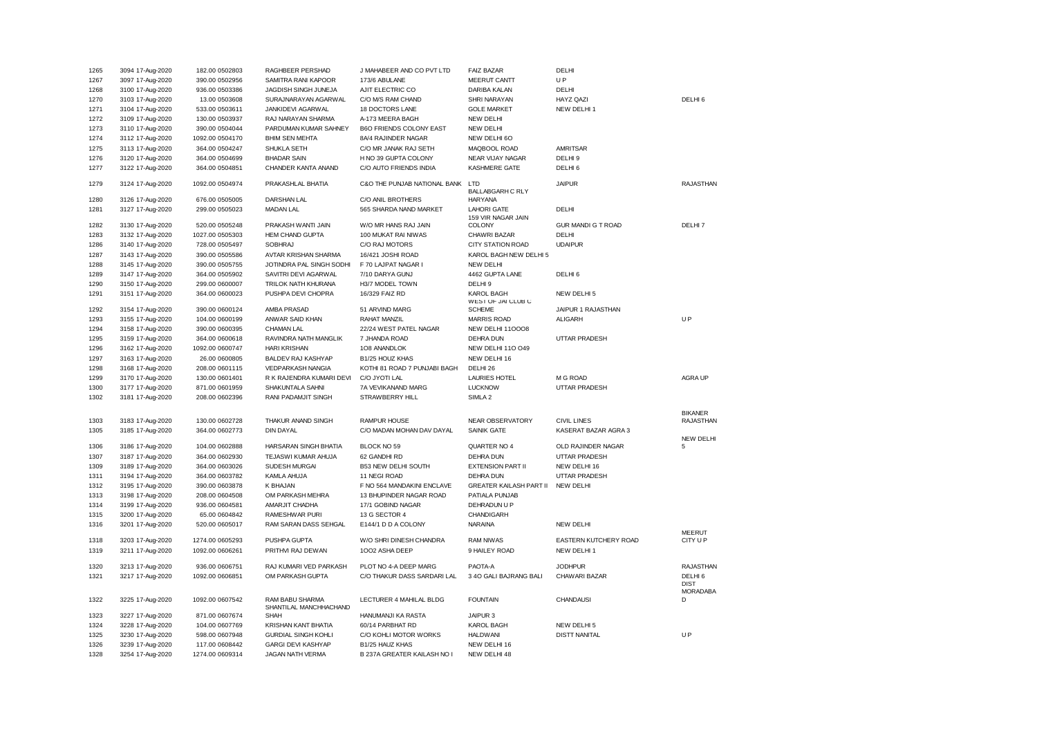| 1265 | 3094 17-Aug-2020 | 182.00 0502803  | RAGHBEER PERSHAD           | J MAHABEER AND CO PVT LTD      | <b>FAIZ BAZAR</b>                       | DELHI                     |                    |
|------|------------------|-----------------|----------------------------|--------------------------------|-----------------------------------------|---------------------------|--------------------|
| 1267 | 3097 17-Aug-2020 | 390.00 0502956  | SAMITRA RANI KAPOOR        | 173/6 ABULANE                  | MEERUT CANTT                            | UP                        |                    |
| 1268 | 3100 17-Aug-2020 | 936.00 0503386  | JAGDISH SINGH JUNEJA       | AJIT ELECTRIC CO               | DARIBA KALAN                            | DELHI                     |                    |
| 1270 | 3103 17-Aug-2020 | 13.00 0503608   | SURAJNARAYAN AGARWAL       | C/O M/S RAM CHAND              | SHRI NARAYAN                            | HAYZ QAZI                 | DELHI <sub>6</sub> |
| 1271 | 3104 17-Aug-2020 | 533.00 0503611  | JANKIDEVI AGARWAL          | 18 DOCTORS LANE                | <b>GOLE MARKET</b>                      | NEW DELHI 1               |                    |
| 1272 | 3109 17-Aug-2020 | 130.00 0503937  | RAJ NARAYAN SHARMA         | A-173 MEERA BAGH               | <b>NEW DELHI</b>                        |                           |                    |
| 1273 | 3110 17-Aug-2020 | 390.00 0504044  | PARDUMAN KUMAR SAHNEY      | <b>B6O FRIENDS COLONY EAST</b> | <b>NEW DELHI</b>                        |                           |                    |
| 1274 | 3112 17-Aug-2020 | 1092.00 0504170 | <b>BHIM SEN MEHTA</b>      | 8A/4 RAJINDER NAGAR            | NEW DELHI 60                            |                           |                    |
| 1275 | 3113 17-Aug-2020 | 364.00 0504247  | SHUKLA SETH                | C/O MR JANAK RAJ SETH          | MAQBOOL ROAD                            | <b>AMRITSAR</b>           |                    |
| 1276 | 3120 17-Aug-2020 | 364.00 0504699  | <b>BHADAR SAIN</b>         | H NO 39 GUPTA COLONY           | <b>NEAR VIJAY NAGAR</b>                 | DELHI <sub>9</sub>        |                    |
| 1277 | 3122 17-Aug-2020 | 364.00 0504851  | CHANDER KANTA ANAND        | C/O AUTO FRIENDS INDIA         | KASHMERE GATE                           | DELHI <sub>6</sub>        |                    |
|      |                  |                 |                            |                                |                                         |                           |                    |
| 1279 | 3124 17-Aug-2020 | 1092.00 0504974 | PRAKASHLAL BHATIA          | C&O THE PUNJAB NATIONAL BANK   | LTD                                     | <b>JAIPUR</b>             | <b>RAJASTHAN</b>   |
|      |                  |                 |                            |                                | <b>BALLABGARH C RLY</b>                 |                           |                    |
| 1280 | 3126 17-Aug-2020 | 676.00 0505005  | <b>DARSHAN LAL</b>         | C/O ANIL BROTHERS              | <b>HARYANA</b>                          |                           |                    |
| 1281 | 3127 17-Aug-2020 | 299.00 0505023  | <b>MADAN LAL</b>           | 565 SHARDA NAND MARKET         | <b>LAHORI GATE</b>                      | DELHI                     |                    |
| 1282 | 3130 17-Aug-2020 | 520.00 0505248  | PRAKASH WANTI JAIN         | W/O MR HANS RAJ JAIN           | 159 VIR NAGAR JAIN<br><b>COLONY</b>     | <b>GUR MANDI G T ROAD</b> | DELHI 7            |
| 1283 | 3132 17-Aug-2020 | 1027.00 0505303 | <b>HEM CHAND GUPTA</b>     | 100 MUKAT RAI NIWAS            | CHAWRI BAZAR                            | DELHI                     |                    |
| 1286 | 3140 17-Aug-2020 | 728.00 0505497  | <b>SOBHRAJ</b>             | C/O RAJ MOTORS                 | <b>CITY STATION ROAD</b>                | <b>UDAIPUR</b>            |                    |
| 1287 | 3143 17-Aug-2020 | 390.00 0505586  | AVTAR KRISHAN SHARMA       | 16/421 JOSHI ROAD              | KAROL BAGH NEW DELHI 5                  |                           |                    |
|      |                  |                 |                            |                                |                                         |                           |                    |
| 1288 | 3145 17-Aug-2020 | 390.00 0505755  | JOTINDRA PAL SINGH SODHI   | F 70 LAJPAT NAGAR I            | <b>NEW DELHI</b>                        |                           |                    |
| 1289 | 3147 17-Aug-2020 | 364.00 0505902  | SAVITRI DEVI AGARWAL       | 7/10 DARYA GUNJ                | 4462 GUPTA LANE                         | DELHI <sub>6</sub>        |                    |
| 1290 | 3150 17-Aug-2020 | 299.00 0600007  | TRILOK NATH KHURANA        | H3/7 MODEL TOWN                | DELHI <sub>9</sub>                      |                           |                    |
| 1291 | 3151 17-Aug-2020 | 364.00 0600023  | PUSHPA DEVI CHOPRA         | 16/329 FAIZ RD                 | <b>KAROL BAGH</b><br>WEST OF JAI CLUB C | NEW DELHI 5               |                    |
| 1292 | 3154 17-Aug-2020 | 390.00 0600124  | AMBA PRASAD                | 51 ARVIND MARG                 | <b>SCHEME</b>                           | JAIPUR 1 RAJASTHAN        |                    |
| 1293 | 3155 17-Aug-2020 | 104.00 0600199  | ANWAR SAID KHAN            | RAHAT MANZIL                   | <b>MARRIS ROAD</b>                      | <b>ALIGARH</b>            | <b>UP</b>          |
| 1294 | 3158 17-Aug-2020 | 390.00 0600395  | CHAMAN LAL                 | 22/24 WEST PATEL NAGAR         | NEW DELHI 110008                        |                           |                    |
| 1295 | 3159 17-Aug-2020 | 364.00 0600618  | RAVINDRA NATH MANGLIK      | 7 JHANDA ROAD                  | <b>DEHRA DUN</b>                        | UTTAR PRADESH             |                    |
| 1296 | 3162 17-Aug-2020 | 1092.00 0600747 | <b>HARI KRISHAN</b>        | 108 ANANDLOK                   | NEW DELHI 11O O49                       |                           |                    |
| 1297 | 3163 17-Aug-2020 | 26.00 0600805   | BALDEV RAJ KASHYAP         | B1/25 HOUZ KHAS                | NEW DELHI 16                            |                           |                    |
| 1298 | 3168 17-Aug-2020 | 208.00 0601115  | VEDPARKASH NANGIA          | KOTHI 81 ROAD 7 PUNJABI BAGH   | DELHI 26                                |                           |                    |
| 1299 | 3170 17-Aug-2020 | 130.00 0601401  | R K RAJENDRA KUMARI DEVI   | C/O JYOTI LAL                  | <b>LAURIES HOTEL</b>                    | M G ROAD                  | AGRA UP            |
|      |                  |                 |                            |                                |                                         |                           |                    |
| 1300 | 3177 17-Aug-2020 | 871.00 0601959  | SHAKUNTALA SAHNI           | 7A VEVIKANAND MARG             | <b>LUCKNOW</b>                          | UTTAR PRADESH             |                    |
| 1302 | 3181 17-Aug-2020 | 208.00 0602396  | RANI PADAMJIT SINGH        | STRAWBERRY HILL                | SIMLA <sub>2</sub>                      |                           |                    |
|      |                  |                 |                            |                                |                                         |                           | <b>BIKANER</b>     |
| 1303 | 3183 17-Aug-2020 | 130.00 0602728  | THAKUR ANAND SINGH         | <b>RAMPUR HOUSE</b>            | NEAR OBSERVATORY                        | <b>CIVIL LINES</b>        | <b>RAJASTHAN</b>   |
| 1305 | 3185 17-Aug-2020 | 364.00 0602773  | <b>DIN DAYAL</b>           | C/O MADAN MOHAN DAV DAYAL      | <b>SAINIK GATE</b>                      | KASERAT BAZAR AGRA 3      |                    |
|      |                  |                 |                            |                                |                                         |                           | <b>NEW DELHI</b>   |
| 1306 | 3186 17-Aug-2020 | 104.00 0602888  | HARSARAN SINGH BHATIA      | BLOCK NO 59                    | QUARTER NO 4                            | OLD RAJINDER NAGAR        | 5                  |
| 1307 | 3187 17-Aug-2020 | 364.00 0602930  | TEJASWI KUMAR AHUJA        | 62 GANDHI RD                   | <b>DEHRA DUN</b>                        | UTTAR PRADESH             |                    |
| 1309 | 3189 17-Aug-2020 | 364.00 0603026  | SUDESH MURGAI              | <b>B53 NEW DELHI SOUTH</b>     | <b>EXTENSION PART II</b>                | NEW DELHI 16              |                    |
| 1311 | 3194 17-Aug-2020 | 364.00 0603782  | KAMLA AHUJA                | 11 NEGI ROAD                   | <b>DEHRA DUN</b>                        | UTTAR PRADESH             |                    |
| 1312 | 3195 17-Aug-2020 | 390.00 0603878  | K BHAJAN                   | F NO 564 MANDAKINI ENCLAVE     | <b>GREATER KAILASH PART II</b>          | <b>NEW DELHI</b>          |                    |
| 1313 | 3198 17-Aug-2020 | 208.00 0604508  | OM PARKASH MEHRA           | 13 BHUPINDER NAGAR ROAD        | PATIALA PUNJAB                          |                           |                    |
| 1314 | 3199 17-Aug-2020 | 936.00 0604581  | AMARJIT CHADHA             | 17/1 GOBIND NAGAR              | DEHRADUN U P                            |                           |                    |
| 1315 | 3200 17-Aug-2020 | 65.00 0604842   | RAMESHWAR PURI             | 13 G SECTOR 4                  | CHANDIGARH                              |                           |                    |
| 1316 | 3201 17-Aug-2020 | 520.00 0605017  | RAM SARAN DASS SEHGAL      | E144/1 D D A COLONY            | NARAINA                                 | NEW DELHI                 |                    |
|      |                  |                 |                            |                                |                                         |                           | <b>MEERUT</b>      |
| 1318 | 3203 17-Aug-2020 | 1274.00 0605293 | PUSHPA GUPTA               | W/O SHRI DINESH CHANDRA        | <b>RAM NIWAS</b>                        | EASTERN KUTCHERY ROAD     | CITY U P           |
| 1319 | 3211 17-Aug-2020 | 1092.00 0606261 | PRITHVI RAJ DEWAN          | 1002 ASHA DEEP                 | 9 HAILEY ROAD                           | NEW DELHI 1               |                    |
| 1320 | 3213 17-Aug-2020 | 936.00 0606751  | RAJ KUMARI VED PARKASH     | PLOT NO 4-A DEEP MARG          | PAOTA-A                                 | <b>JODHPUR</b>            | <b>RAJASTHAN</b>   |
| 1321 | 3217 17-Aug-2020 | 1092.00 0606851 | OM PARKASH GUPTA           | C/O THAKUR DASS SARDARI LAL    | 3 4O GALI BAJRANG BALI                  | CHAWARI BAZAR             | DELHI <sub>6</sub> |
|      |                  |                 |                            |                                |                                         |                           | <b>DIST</b>        |
|      |                  |                 |                            |                                |                                         |                           | <b>MORADABA</b>    |
| 1322 | 3225 17-Aug-2020 | 1092.00 0607542 | RAM BABU SHARMA            | LECTURER 4 MAHILAL BLDG        | <b>FOUNTAIN</b>                         | <b>CHANDAUSI</b>          | D                  |
|      |                  |                 | SHANTILAL MANCHHACHAND     |                                |                                         |                           |                    |
| 1323 | 3227 17-Aug-2020 | 871.00 0607674  | SHAH                       | HANUMANJI KA RASTA             | JAIPUR 3                                |                           |                    |
| 1324 | 3228 17-Aug-2020 | 104.00 0607769  | KRISHAN KANT BHATIA        | 60/14 PARBHAT RD               | <b>KAROL BAGH</b>                       | NEW DELHI 5               |                    |
| 1325 | 3230 17-Aug-2020 | 598.00 0607948  | <b>GURDIAL SINGH KOHLI</b> | C/O KOHLI MOTOR WORKS          | <b>HALDWANI</b>                         | <b>DISTT NANITAL</b>      | UP                 |
| 1326 | 3239 17-Aug-2020 | 117.00 0608442  | <b>GARGI DEVI KASHYAP</b>  | B1/25 HAUZ KHAS                | NEW DELHI 16                            |                           |                    |
| 1328 | 3254 17-Aug-2020 | 1274.00 0609314 | JAGAN NATH VERMA           | B 237A GREATER KAILASH NO I    | NEW DELHI 48                            |                           |                    |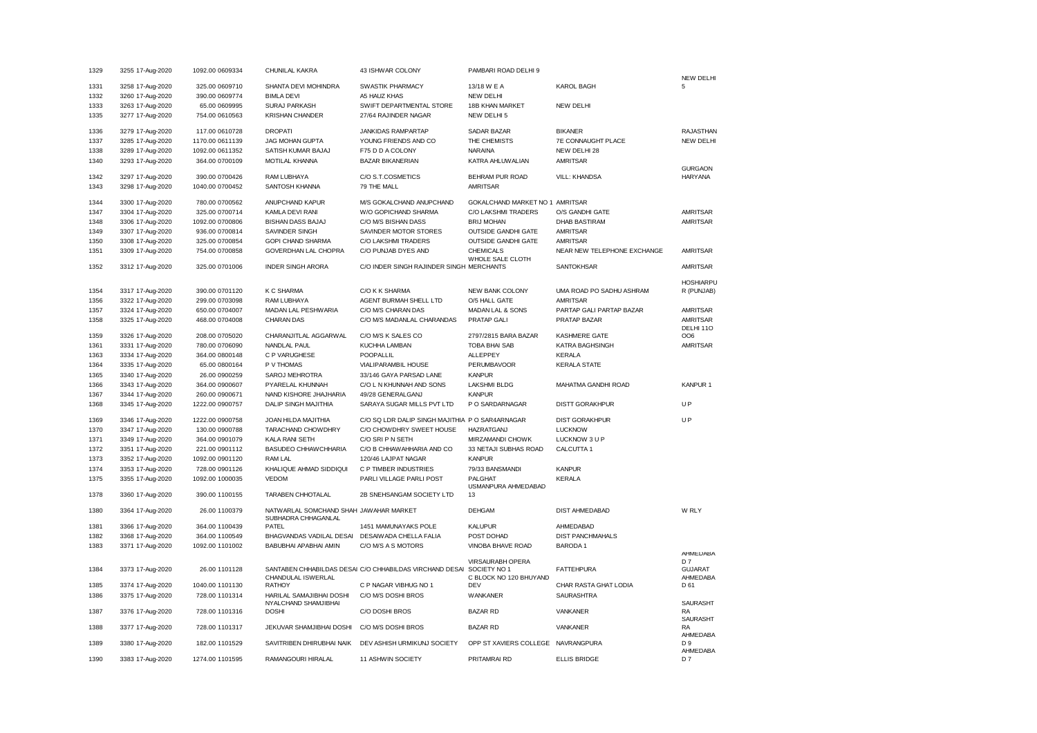| 1329 | 3255 17-Aug-2020 | 1092.00 0609334 | CHUNILAL KAKRA                                   | 43 ISHWAR COLONY                                                     | PAMBARI ROAD DELHI 9            |                             |                                  |
|------|------------------|-----------------|--------------------------------------------------|----------------------------------------------------------------------|---------------------------------|-----------------------------|----------------------------------|
| 1331 | 3258 17-Aug-2020 | 325.00 0609710  | SHANTA DEVI MOHINDRA                             | SWASTIK PHARMACY                                                     | 13/18 W E A                     | <b>KAROL BAGH</b>           | <b>NEW DELHI</b><br>5            |
| 1332 | 3260 17-Aug-2020 | 390.00 0609774  | <b>BIMLA DEVI</b>                                | A5 HAUZ KHAS                                                         | <b>NEW DELHI</b>                |                             |                                  |
| 1333 | 3263 17-Aug-2020 | 65.00 0609995   | <b>SURAJ PARKASH</b>                             | SWIFT DEPARTMENTAL STORE                                             | 18B KHAN MARKET                 | NEW DELHI                   |                                  |
| 1335 | 3277 17-Aug-2020 | 754.00 0610563  | <b>KRISHAN CHANDER</b>                           | 27/64 RAJINDER NAGAR                                                 | NEW DELHI 5                     |                             |                                  |
|      |                  |                 |                                                  |                                                                      |                                 |                             |                                  |
| 1336 | 3279 17-Aug-2020 | 117.00 0610728  | <b>DROPATI</b>                                   | JANKIDAS RAMPARTAP                                                   | SADAR BAZAR                     | <b>BIKANER</b>              | <b>RAJASTHAN</b>                 |
| 1337 | 3285 17-Aug-2020 | 1170.00 0611139 | <b>JAG MOHAN GUPTA</b>                           | YOUNG FRIENDS AND CO                                                 | THE CHEMISTS                    | 7E CONNAUGHT PLACE          | <b>NEW DELHI</b>                 |
| 1338 | 3289 17-Aug-2020 | 1092.00 0611352 | SATISH KUMAR BAJAJ                               | F75 D D A COLONY                                                     | NARAINA                         | NEW DELHI 28                |                                  |
| 1340 | 3293 17-Aug-2020 | 364.00 0700109  | MOTILAL KHANNA                                   | <b>BAZAR BIKANERIAN</b>                                              | KATRA AHLUWALIAN                | <b>AMRITSAR</b>             |                                  |
| 1342 | 3297 17-Aug-2020 | 390.00 0700426  | RAM LUBHAYA                                      | C/O S.T.COSMETICS                                                    | BEHRAM PUR ROAD                 | <b>VILL: KHANDSA</b>        | <b>GURGAON</b><br><b>HARYANA</b> |
| 1343 | 3298 17-Aug-2020 | 1040.00 0700452 | SANTOSH KHANNA                                   | 79 THE MALL                                                          | <b>AMRITSAR</b>                 |                             |                                  |
|      |                  |                 |                                                  |                                                                      |                                 |                             |                                  |
| 1344 | 3300 17-Aug-2020 | 780.00 0700562  | ANUPCHAND KAPUR                                  | M/S GOKALCHAND ANUPCHAND                                             | GOKALCHAND MARKET NO 1 AMRITSAR |                             |                                  |
| 1347 | 3304 17-Aug-2020 | 325.00 0700714  | KAMLA DEVI RANI                                  | W/O GOPICHAND SHARMA                                                 | C/O LAKSHMI TRADERS             | O/S GANDHI GATE             | <b>AMRITSAR</b>                  |
| 1348 | 3306 17-Aug-2020 | 1092.00 0700806 | BISHAN DASS BAJAJ                                | C/O M/S BISHAN DASS                                                  | <b>BRIJ MOHAN</b>               | <b>DHAB BASTIRAM</b>        | AMRITSAR                         |
| 1349 | 3307 17-Aug-2020 | 936.00 0700814  | SAVINDER SINGH                                   | SAVINDER MOTOR STORES                                                | <b>OUTSIDE GANDHI GATE</b>      | <b>AMRITSAR</b>             |                                  |
| 1350 | 3308 17-Aug-2020 | 325.00 0700854  | <b>GOPI CHAND SHARMA</b>                         | C/O LAKSHMI TRADERS                                                  | <b>OUTSIDE GANDHI GATE</b>      | <b>AMRITSAR</b>             |                                  |
| 1351 | 3309 17-Aug-2020 | 754.00 0700858  | GOVERDHAN LAL CHOPRA                             | C/O PUNJAB DYES AND                                                  | <b>CHEMICALS</b>                | NEAR NEW TELEPHONE EXCHANGE | <b>AMRITSAR</b>                  |
|      |                  |                 |                                                  |                                                                      | WHOLE SALE CLOTH                |                             |                                  |
| 1352 | 3312 17-Aug-2020 | 325.00 0701006  | <b>INDER SINGH ARORA</b>                         | C/O INDER SINGH RAJINDER SINGH MERCHANTS                             |                                 | <b>SANTOKHSAR</b>           | <b>AMRITSAR</b>                  |
|      |                  |                 |                                                  |                                                                      |                                 |                             | <b>HOSHIARPU</b>                 |
| 1354 | 3317 17-Aug-2020 | 390.00 0701120  | K C SHARMA                                       | C/O K K SHARMA                                                       | NEW BANK COLONY                 | UMA ROAD PO SADHU ASHRAM    | R (PUNJAB)                       |
| 1356 | 3322 17-Aug-2020 | 299.00 0703098  | RAM LUBHAYA                                      | AGENT BURMAH SHELL LTD                                               | O/5 HALL GATE                   | <b>AMRITSAR</b>             |                                  |
| 1357 | 3324 17-Aug-2020 | 650.00 0704007  | MADAN LAL PESHWARIA                              | C/O M/S CHARAN DAS                                                   | MADAN LAL & SONS                | PARTAP GALI PARTAP BAZAR    | <b>AMRITSAR</b>                  |
| 1358 | 3325 17-Aug-2020 | 468.00 0704008  | <b>CHARAN DAS</b>                                | C/O M/S MADANLAL CHARANDAS                                           | PRATAP GALI                     | PRATAP BAZAR                | AMRITSAR                         |
|      |                  |                 |                                                  |                                                                      |                                 |                             | DELHI 110                        |
| 1359 | 3326 17-Aug-2020 | 208.00 0705020  | CHARANJITLAL AGGARWAL                            | C/O M/S K SALES CO                                                   | 2797/2815 BARA BAZAR            | <b>KASHMERE GATE</b>        | OO6                              |
| 1361 | 3331 17-Aug-2020 | 780.00 0706090  | NANDLAL PAUL                                     | KUCHHA LAMBAN                                                        | TOBA BHAI SAB                   | KATRA BAGHSINGH             | <b>AMRITSAR</b>                  |
| 1363 | 3334 17-Aug-2020 | 364.00 0800148  | C P VARUGHESE                                    | <b>POOPALLIL</b>                                                     | <b>ALLEPPEY</b>                 | <b>KERALA</b>               |                                  |
| 1364 | 3335 17-Aug-2020 | 65.00 0800164   | P V THOMAS                                       | <b>VIALIPARAMBIL HOUSE</b>                                           | <b>PERUMBAVOOR</b>              | <b>KERALA STATE</b>         |                                  |
| 1365 | 3340 17-Aug-2020 | 26.00 0900259   | SAROJ MEHROTRA                                   | 33/146 GAYA PARSAD LANE                                              | <b>KANPUR</b>                   |                             |                                  |
| 1366 | 3343 17-Aug-2020 | 364.00 0900607  | PYARELAL KHUNNAH                                 | C/O L N KHUNNAH AND SONS                                             | <b>LAKSHMI BLDG</b>             | MAHATMA GANDHI ROAD         | <b>KANPUR 1</b>                  |
| 1367 | 3344 17-Aug-2020 | 260.00 0900671  | NAND KISHORE JHAJHARIA                           | 49/28 GENERALGANJ                                                    | <b>KANPUR</b>                   |                             |                                  |
| 1368 | 3345 17-Aug-2020 | 1222.00 0900757 | DALIP SINGH MAJITHIA                             | SARAYA SUGAR MILLS PVT LTD                                           | P O SARDARNAGAR                 | <b>DISTT GORAKHPUR</b>      | UP                               |
|      |                  |                 |                                                  |                                                                      |                                 |                             |                                  |
| 1369 | 3346 17-Aug-2020 | 1222.00 0900758 | JOAN HILDA MAJITHIA                              | C/O SQ LDR DALIP SINGH MAJITHIA P O SAR4ARNAGAR                      |                                 | <b>DIST GORAKHPUR</b>       | UP                               |
| 1370 | 3347 17-Aug-2020 | 130.00 0900788  | TARACHAND CHOWDHRY                               | C/O CHOWDHRY SWEET HOUSE                                             | <b>HAZRATGANJ</b>               | <b>LUCKNOW</b>              |                                  |
| 1371 | 3349 17-Aug-2020 | 364.00 0901079  | KALA RANI SETH                                   | C/O SRI P N SETH                                                     | MIRZAMANDI CHOWK                | LUCKNOW 3 U P               |                                  |
| 1372 | 3351 17-Aug-2020 | 221.00 0901112  | <b>BASUDEO CHHAWCHHARIA</b>                      | C/O B CHHAWAHHARIA AND CO                                            | 33 NETAJI SUBHAS ROAD           | CALCUTTA 1                  |                                  |
| 1373 | 3352 17-Aug-2020 | 1092.00 0901120 | RAM LAL                                          | 120/46 LAJPAT NAGAR                                                  | <b>KANPUR</b>                   |                             |                                  |
| 1374 | 3353 17-Aug-2020 | 728.00 0901126  | KHALIQUE AHMAD SIDDIQUI                          | C P TIMBER INDUSTRIES                                                | 79/33 BANSMANDI                 | <b>KANPUR</b>               |                                  |
| 1375 | 3355 17-Aug-2020 | 1092.00 1000035 | VEDOM                                            | PARLI VILLAGE PARLI POST                                             | PALGHAT<br>USMANPURA AHMEDABAD  | <b>KERALA</b>               |                                  |
| 1378 | 3360 17-Aug-2020 | 390.00 1100155  | <b>TARABEN CHHOTALAL</b>                         | 2B SNEHSANGAM SOCIETY LTD                                            | 13                              |                             |                                  |
|      |                  |                 |                                                  |                                                                      |                                 |                             |                                  |
| 1380 | 3364 17-Aug-2020 | 26.00 1100379   | NATWARLAL SOMCHAND SHAH JAWAHAR MARKET           |                                                                      | <b>DEHGAM</b>                   | DIST AHMEDABAD              | W RLY                            |
| 1381 | 3366 17-Aug-2020 | 364.00 1100439  | SUBHADRA CHHAGANLAL<br>PATFL                     | 1451 MAMUNAYAKS POLE                                                 | <b>KALUPUR</b>                  | AHMEDABAD                   |                                  |
| 1382 | 3368 17-Aug-2020 | 364.00 1100549  | BHAGVANDAS VADILAL DESAI                         | DESAIWADA CHELLA FALIA                                               | POST DOHAD                      | <b>DIST PANCHMAHALS</b>     |                                  |
| 1383 | 3371 17-Aug-2020 |                 | BABUBHAI APABHAI AMIN                            | C/O M/S A S MOTORS                                                   | VINOBA BHAVE ROAD               | <b>BARODA1</b>              |                                  |
|      |                  | 1092.00 1101002 |                                                  |                                                                      |                                 |                             | AHMEDABA                         |
|      |                  |                 |                                                  |                                                                      | VIRSAURABH OPERA                |                             | D <sub>7</sub>                   |
| 1384 | 3373 17-Aug-2020 | 26.00 1101128   |                                                  | SANTABEN CHHABILDAS DESAI C/O CHHABILDAS VIRCHAND DESAI SOCIETY NO 1 |                                 | <b>FATTEHPURA</b>           | <b>GUJARAT</b>                   |
|      |                  |                 | CHANDULAL ISWERLAL                               |                                                                      | C BLOCK NO 120 BHUYAND          |                             | AHMEDABA                         |
| 1385 | 3374 17-Aug-2020 | 1040.00 1101130 | <b>RATHOY</b>                                    | C P NAGAR VIBHUG NO 1                                                | <b>DEV</b>                      | CHAR RASTA GHAT LODIA       | D 61                             |
| 1386 | 3375 17-Aug-2020 | 728.00 1101314  | HARILAL SAMAJIBHAI DOSHI<br>NYALCHAND SHAMJIBHAI | C/O M/S DOSHI BROS                                                   | <b>WANKANER</b>                 | <b>SAURASHTRA</b>           | <b>SAURASHT</b>                  |
| 1387 | 3376 17-Aug-2020 | 728.00 1101316  | <b>DOSHI</b>                                     | C/O DOSHI BROS                                                       | <b>BAZAR RD</b>                 | VANKANER                    | <b>RA</b>                        |
|      |                  |                 |                                                  |                                                                      |                                 |                             | SAURASHT                         |
| 1388 | 3377 17-Aug-2020 | 728.00 1101317  | JEKUVAR SHAMJIBHAI DOSHI                         | C/O M/S DOSHI BROS                                                   | <b>BAZAR RD</b>                 | VANKANER                    | RA                               |
|      |                  |                 |                                                  |                                                                      |                                 |                             | AHMEDABA                         |
| 1389 | 3380 17-Aug-2020 | 182.00 1101529  | SAVITRIBEN DHIRUBHAI NAIK                        | DEV ASHISH URMIKUNJ SOCIETY                                          | OPP ST XAVIERS COLLEGE          | NAVRANGPURA                 | D 9<br>AHMEDABA                  |
| 1390 | 3383 17-Aug-2020 | 1274.00 1101595 | RAMANGOURI HIRALAL                               | 11 ASHWIN SOCIETY                                                    | PRITAMRAI RD                    | <b>ELLIS BRIDGE</b>         | D <sub>7</sub>                   |
|      |                  |                 |                                                  |                                                                      |                                 |                             |                                  |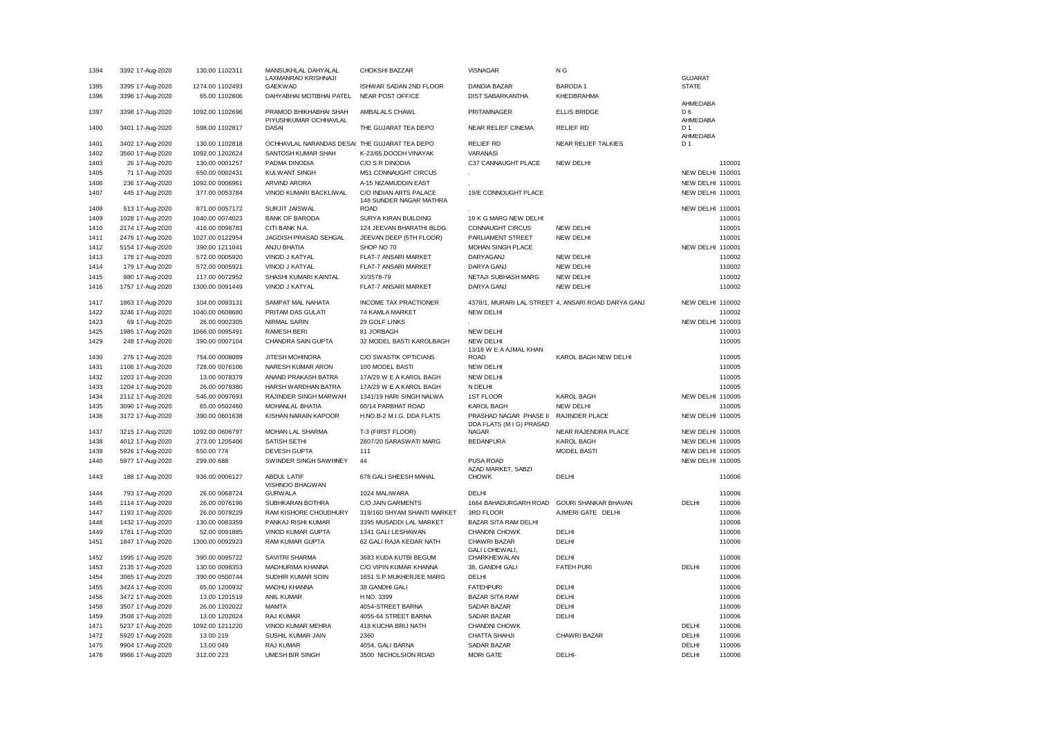| 1394 | 3392 17-Aug-2020 | 130.00 1102311  | MANSUKHLAL DAHYALAL<br>LAXMANRAO KRISHNAJI    | CHOKSHI BAZZAR                                    | <b>VISNAGAR</b>                                    | N G                                                 | <b>GUJARAT</b>             |        |
|------|------------------|-----------------|-----------------------------------------------|---------------------------------------------------|----------------------------------------------------|-----------------------------------------------------|----------------------------|--------|
| 1395 | 3395 17-Aug-2020 | 1274.00 1102493 | <b>GAEKWAD</b>                                | ISHWAR SADAN 2ND FLOOR                            | <b>DANDIA BAZAR</b>                                | <b>BARODA1</b>                                      | <b>STATE</b>               |        |
| 1396 | 3396 17-Aug-2020 | 65.00 1102606   | DAHYABHAI MOTIBHAI PATEL                      | <b>NEAR POST OFFICE</b>                           | <b>DIST SABARKANTHA</b>                            | KHEDBRAHMA                                          |                            |        |
| 1397 | 3398 17-Aug-2020 | 1092.00 1102696 | PRAMOD BHIKHABHAI SHAH                        | AMBALALS CHAWL                                    | PRITAMNAGER                                        | <b>ELLIS BRIDGE</b>                                 | AHMEDABA<br>D <sub>6</sub> |        |
| 1400 | 3401 17-Aug-2020 | 598.00 1102817  | PIYUSHKUMAR OCHHAVLAL<br><b>DASAI</b>         | THE GUJARAT TEA DEPO                              | <b>NEAR RELIEF CINEMA</b>                          | <b>RELIEF RD</b>                                    | AHMEDABA<br>D <sub>1</sub> |        |
| 1401 | 3402 17-Aug-2020 | 130.00 1102818  | OCHHAVLAL NARANDAS DESAI THE GUJARAT TEA DEPO |                                                   | <b>RELIEF RD</b>                                   | NEAR RELIEF TALKIES                                 | AHMEDABA<br>D <sub>1</sub> |        |
| 1402 | 3560 17-Aug-2020 | 1092.00 1202624 | SANTOSH KUMAR SHAH                            | K-23/65.DOODH VINAYAK                             | VARANASI                                           |                                                     |                            |        |
| 1403 | 26 17-Aug-2020   | 130.00 0001257  | PADMA DINODIA                                 | C/O S R DINODIA                                   | C37 CANNAUGHT PLACE                                | NEW DELHI                                           |                            | 110001 |
| 1405 | 71 17-Aug-2020   | 650.00 0002431  | <b>KULWANT SINGH</b>                          | M51 CONNAUGHT CIRCUS                              |                                                    |                                                     | NEW DELHI 110001           |        |
| 1406 | 236 17-Aug-2020  | 1092.00 0006961 | ARVIND ARORA                                  | A-15 NIZAMUDDIN EAST                              |                                                    |                                                     | NEW DELHI 110001           |        |
|      |                  |                 |                                               |                                                   |                                                    |                                                     |                            |        |
| 1407 | 445 17-Aug-2020  | 377.00 0053784  | VINOD KUMARI BACKLIWAL                        | C/O INDIAN ARTS PALACE<br>148 SUNDER NAGAR MATHRA | 19/E CONNOUGHT PLACE                               |                                                     | NEW DELHI 110001           |        |
| 1408 | 513 17-Aug-2020  | 871.00 0057172  | SURJIT JAISWAL                                | <b>ROAD</b>                                       |                                                    |                                                     | NEW DELHI 110001           |        |
| 1409 | 1028 17-Aug-2020 | 1040.00 0074023 | <b>BANK OF BARODA</b>                         | SURYA KIRAN BUILDING                              | 19 K G MARG NEW DELHI                              |                                                     |                            | 110001 |
| 1410 | 2174 17-Aug-2020 | 416.00 0098783  | CITI BANK N.A.                                | 124 JEEVAN BHARATHI BLDG.                         | <b>CONNAUGHT CIRCUS</b>                            | <b>NEW DELHI</b>                                    |                            | 110001 |
| 1411 | 2476 17-Aug-2020 | 1027.00 0122954 | JAGDISH PRASAD SEHGAL                         | JEEVAN DEEP (5TH FLOOR)                           | PARLIAMENT STREET                                  | NEW DELHI                                           |                            | 110001 |
| 1412 | 5154 17-Aug-2020 | 390.00 1211041  | ANJU BHATIA                                   | SHOP NO 70                                        | MOHAN SINGH PLACE                                  |                                                     | NEW DELHI 110001           |        |
| 1413 | 178 17-Aug-2020  | 572.00 0005920  | VINOD J KATYAL                                | FLAT-7 ANSARI MARKET                              | DARYAGANJ                                          | NEW DELHI                                           |                            | 110002 |
| 1414 | 179 17-Aug-2020  | 572.00 0005921  | VINOD J KATYAL                                | FLAT-7 ANSARI MARKET                              | DARYA GANJ                                         | NEW DELHI                                           |                            | 110002 |
| 1415 | 980 17-Aug-2020  | 117.00 0072952  | SHASHI KUMARI KAINTAL                         | XI/3578-79                                        | NETAJI SUBHASH MARG                                | NEW DELHI                                           |                            | 110002 |
| 1416 | 1757 17-Aug-2020 | 1300.00 0091449 | VINOD J KATYAL                                | FLAT-7 ANSARI MARKET                              | DARYA GANJ                                         | NEW DELHI                                           |                            | 110002 |
| 1417 | 1863 17-Aug-2020 | 104.00 0093131  | <b>SAMPAT MAL NAHATA</b>                      | <b>INCOME TAX PRACTIONER</b>                      |                                                    | 4378/1, MURARI LAL STREET 4, ANSARI ROAD DARYA GANJ | NEW DELHI 110002           |        |
| 1422 | 3246 17-Aug-2020 | 1040.00 0608680 | PRITAM DAS GULATI                             | 74 KAMLA MARKET                                   | <b>NEW DELHI</b>                                   |                                                     |                            | 110002 |
| 1423 | 69 17-Aug-2020   | 26.00 0002305   | <b>NIRMAL SARIN</b>                           | 29 GOLF LINKS                                     |                                                    |                                                     | NEW DELHI 110003           |        |
| 1425 | 1985 17-Aug-2020 | 1066.00 0095491 | <b>RAMESH BERI</b>                            | 81 JORBAGH                                        | <b>NEW DELHI</b>                                   |                                                     |                            | 110003 |
| 1429 | 248 17-Aug-2020  | 390.00 0007104  | CHANDRA SAIN GUPTA                            | 32 MODEL BASTI KAROLBAGH                          | <b>NEW DELHI</b><br>13/18 W E A AJMAL KHAN         |                                                     |                            | 110005 |
| 1430 | 276 17-Aug-2020  | 754.00 0008089  | JITESH MOHINDRA                               | C/O SWASTIK OPTICIANS                             | <b>ROAD</b>                                        | KAROL BAGH NEW DELHI                                |                            | 110005 |
| 1431 | 1106 17-Aug-2020 | 728.00 0076106  | NARESH KUMAR ARON                             | 100 MODEL BASTI                                   | <b>NEW DELHI</b>                                   |                                                     |                            | 110005 |
| 1432 | 1203 17-Aug-2020 | 13.00 0078379   | ANAND PRAKASH BATRA                           | 17A/29 W E A KAROL BAGH                           | <b>NEW DELHI</b>                                   |                                                     |                            | 110005 |
| 1433 | 1204 17-Aug-2020 | 26.00 0078380   | HARSH WARDHAN BATRA                           | 17A/29 W E A KAROL BAGH                           | N DELHI                                            |                                                     |                            | 110005 |
| 1434 | 2112 17-Aug-2020 | 546.00 0097693  | RAJINDER SINGH MARWAH                         | 1341/19 HARI SINGH NALWA                          | <b>1ST FLOOR</b>                                   | <b>KAROL BAGH</b>                                   | <b>NEW DELHI 110005</b>    |        |
| 1435 | 3090 17-Aug-2020 | 65.00 0502460   | MOHANLAL BHATIA                               | 60/14 PARBHAT ROAD                                | <b>KAROL BAGH</b>                                  | NEW DELHI                                           |                            | 110005 |
| 1436 | 3172 17-Aug-2020 | 390.00 0601638  | KISHAN NARAIN KAPOOR                          | H.NO.B-2 M.I.G. DDA FLATS                         | PRASHAD NAGAR PHASE II<br>DDA FLATS (M I G) PRASAD | RAJINDER PLACE                                      | <b>NEW DELHI 110005</b>    |        |
| 1437 | 3215 17-Aug-2020 | 1092.00 0606797 | MOHAN LAL SHARMA                              | T-3 (FIRST FLOOR)                                 | <b>NAGAR</b>                                       | NEAR RAJENDRA PLACE                                 | NEW DELHI 110005           |        |
| 1438 | 4012 17-Aug-2020 | 273.00 1205406  | SATISH SETHI                                  | 2807/20 SARASWATI MARG                            | <b>BEDANPURA</b>                                   | <b>KAROL BAGH</b>                                   | NEW DELHI 110005           |        |
| 1439 | 5926 17-Aug-2020 | 650.00 774      | <b>DEVESH GUPTA</b>                           | 111                                               |                                                    | <b>MODEL BASTI</b>                                  | NEW DELHI 110005           |        |
| 1440 | 5977 17-Aug-2020 | 299.00 688      | SWINDER SINGH SAWHNEY                         | 44                                                | PUSA ROAD                                          |                                                     | <b>NEW DELHI 110005</b>    |        |
| 1443 | 188 17-Aug-2020  | 936.00 0006127  | <b>ABDUL LATIF</b><br>VISHNOO BHAGWAN         | 678 GALI SHEESH MAHAL                             | AZAD MARKET, SABZI<br><b>CHOWK</b>                 | DELHI                                               |                            | 110006 |
| 1444 | 793 17-Aug-2020  | 26.00 0068724   | <b>GURWALA</b>                                | 1024 MALIWARA                                     | DELHI                                              |                                                     |                            | 110006 |
| 1445 | 1114 17-Aug-2020 | 26.00 0076196   | SUBHKARAN BOTHRA                              | C/O JAIN GARMENTS                                 | 1664 BAHADURGARH ROAD                              | <b>GOURI SHANKAR BHAVAN</b>                         | DELHI                      | 110006 |
| 1447 | 1193 17-Aug-2020 | 26.00 0078229   | RAM KISHORE CHOUDHURY                         | 319/160 SHYAM SHANTI MARKET                       | 3RD FLOOR                                          | AJMERI GATE DELHI                                   |                            | 110006 |
| 1448 | 1432 17-Aug-2020 | 130.00 0083359  | PANKAJ RISHI KUMAR                            | 3395 MUSADDI LAL MARKET                           | BAZAR SITA RAM DELHI                               |                                                     |                            | 110006 |
| 1449 | 1781 17-Aug-2020 | 52.00 0091885   | VINOD KUMAR GUPTA                             | 1341 GALI LESHAWAN                                | CHANDNI CHOWK                                      | DELHI                                               |                            | 110006 |
| 1451 | 1847 17-Aug-2020 | 1300.00 0092923 | RAM KUMAR GUPTA                               | 62 GALI RAJA KEDAR NATH                           | CHAWRI BAZAR                                       | DELHI                                               |                            | 110006 |
| 1452 | 1995 17-Aug-2020 | 390.00 0095722  | <b>SAVITRI SHARMA</b>                         | 3683 KUDA KUTBI BEGUM                             | GALI LOHEWALI,<br>CHARKHEWALAN                     | DELHI                                               |                            | 110006 |
| 1453 | 2135 17-Aug-2020 | 130.00 0098353  | MADHURIMA KHANNA                              | C/O VIPIN KUMAR KHANNA                            | 38, GANDHI GALI                                    | <b>FATEH PURI</b>                                   | DELHI                      | 110006 |
| 1454 | 3065 17-Aug-2020 | 390.00 0500744  | SUDHIR KUMAR SOIN                             | 1651 S.P.MUKHERJEE MARG                           | DELHI                                              |                                                     |                            | 110006 |
| 1455 | 3424 17-Aug-2020 | 65.00 1200932   | MADHU KHANNA                                  | 38 GANDHI GALI                                    | <b>FATEHPURI</b>                                   | DELHI                                               |                            | 110006 |
| 1456 | 3472 17-Aug-2020 | 13.00 1201519   | ANIL KUMAR                                    | H NO. 3399                                        | <b>BAZAR SITA RAM</b>                              | DELHI                                               |                            | 110006 |
| 1458 | 3507 17-Aug-2020 | 26.00 1202022   | <b>MAMTA</b>                                  | 4054-STREET BARNA                                 | <b>SADAR BAZAR</b>                                 | DELHI                                               |                            | 110006 |
| 1459 | 3508 17-Aug-2020 | 13.00 1202024   | RAJ KUMAR                                     | 4055-64 STREET BARNA                              | <b>SADAR BAZAR</b>                                 | DELHI                                               |                            | 110006 |
| 1471 | 5237 17-Aug-2020 | 1092.00 1211220 | VINOD KUMAR MEHRA                             | 418 KUCHA BRIJ NATH                               | <b>CHANDNI CHOWK</b>                               |                                                     | DELHI                      | 110006 |
| 1472 | 5920 17-Aug-2020 | 13.00 219       | SUSHIL KUMAR JAIN                             | 2360                                              | CHATTA SHAHJI                                      | CHAWRI BAZAR                                        | DELHI                      | 110006 |
| 1475 | 9904 17-Aug-2020 | 13.00 049       | <b>RAJ KUMAR</b>                              | 4054, GALI BARNA                                  | <b>SADAR BAZAR</b>                                 |                                                     | DELHI                      | 110006 |
| 1476 | 9966 17-Aug-2020 | 312.00 223      | <b>UMESH BIR SINGH</b>                        | 3500 NICHOLSION ROAD                              | <b>MORI GATE</b>                                   | DELHI-                                              | DELHI                      | 110006 |
|      |                  |                 |                                               |                                                   |                                                    |                                                     |                            |        |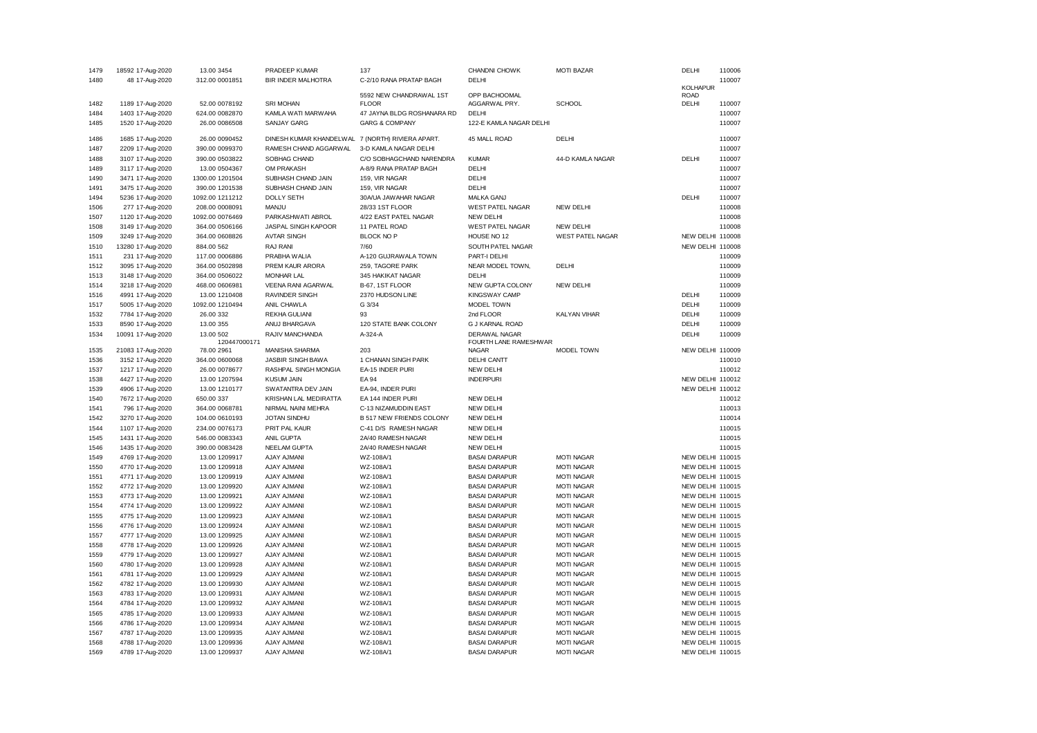| 1479 | 18592 17-Aug-2020 | 13.00 3454      | PRADEEP KUMAR                                    | 137                             | CHANDNI CHOWK           | <b>MOTI BAZAR</b>       | DELHI            | 110006 |
|------|-------------------|-----------------|--------------------------------------------------|---------------------------------|-------------------------|-------------------------|------------------|--------|
| 1480 | 48 17-Aug-2020    | 312.00 0001851  | BIR INDER MALHOTRA                               | C-2/10 RANA PRATAP BAGH         | DELHI                   |                         |                  | 110007 |
|      |                   |                 |                                                  |                                 |                         |                         | <b>KOLHAPUR</b>  |        |
|      |                   |                 |                                                  | 5592 NEW CHANDRAWAL 1ST         | OPP BACHOOMAL           |                         | <b>ROAD</b>      |        |
| 1482 | 1189 17-Aug-2020  | 52.00 0078192   | <b>SRI MOHAN</b>                                 | <b>FLOOR</b>                    | AGGARWAL PRY.           | <b>SCHOOL</b>           | DELHI            | 110007 |
| 1484 | 1403 17-Aug-2020  | 624.00 0082870  | KAMLA WATI MARWAHA                               | 47 JAYNA BLDG ROSHANARA RD      | DELHI                   |                         |                  | 110007 |
| 1485 | 1520 17-Aug-2020  | 26.00 0086508   | <b>SANJAY GARG</b>                               | <b>GARG &amp; COMPANY</b>       | 122-E KAMLA NAGAR DELHI |                         |                  | 110007 |
| 1486 | 1685 17-Aug-2020  | 26.00 0090452   | DINESH KUMAR KHANDELWAL 7 (NORTH) RIVIERA APART. |                                 | 45 MALL ROAD            | DELHI                   |                  | 110007 |
| 1487 | 2209 17-Aug-2020  | 390.00 0099370  | RAMESH CHAND AGGARWAL                            | 3-D KAMLA NAGAR DELHI           |                         |                         |                  | 110007 |
| 1488 | 3107 17-Aug-2020  | 390.00 0503822  | SOBHAG CHAND                                     | C/O SOBHAGCHAND NARENDRA        | <b>KUMAR</b>            | 44-D KAMLA NAGAR        | DELHI            | 110007 |
| 1489 | 3117 17-Aug-2020  | 13.00 0504367   | OM PRAKASH                                       | A-8/9 RANA PRATAP BAGH          | DELHI                   |                         |                  | 110007 |
| 1490 | 3471 17-Aug-2020  | 1300.00 1201504 | SUBHASH CHAND JAIN                               | 159, VIR NAGAR                  | DELHI                   |                         |                  | 110007 |
| 1491 |                   | 390.00 1201538  | SUBHASH CHAND JAIN                               | 159, VIR NAGAR                  | DELHI                   |                         |                  | 110007 |
|      | 3475 17-Aug-2020  |                 |                                                  |                                 |                         |                         | DELHI            |        |
| 1494 | 5236 17-Aug-2020  | 1092.00 1211212 | <b>DOLLY SETH</b>                                | 30A/UA JAWAHAR NAGAR            | MALKA GANJ              |                         |                  | 110007 |
| 1506 | 277 17-Aug-2020   | 208.00 0008091  | MANJU                                            | 28/33 1ST FLOOR                 | <b>WEST PATEL NAGAR</b> | <b>NEW DELHI</b>        |                  | 110008 |
| 1507 | 1120 17-Aug-2020  | 1092.00 0076469 | PARKASHWATI ABROL                                | 4/22 EAST PATEL NAGAR           | <b>NEW DELHI</b>        |                         |                  | 110008 |
| 1508 | 3149 17-Aug-2020  | 364.00 0506166  | JASPAL SINGH KAPOOR                              | 11 PATEL ROAD                   | <b>WEST PATEL NAGAR</b> | <b>NEW DELHI</b>        |                  | 110008 |
| 1509 | 3249 17-Aug-2020  | 364.00 0608826  | <b>AVTAR SINGH</b>                               | <b>BLOCK NO P</b>               | HOUSE NO 12             | <b>WEST PATEL NAGAR</b> | NEW DELHI 110008 |        |
| 1510 | 13280 17-Aug-2020 | 884.00 562      | RAJ RANI                                         | 7/60                            | SOUTH PATEL NAGAR       |                         | NEW DELHI        | 110008 |
| 1511 | 231 17-Aug-2020   | 117.00 0006886  | PRABHA WALIA                                     | A-120 GUJRAWALA TOWN            | PART-I DELHI            |                         |                  | 110009 |
| 1512 | 3095 17-Aug-2020  | 364.00 0502898  | PREM KAUR ARORA                                  | 259, TAGORE PARK                | NEAR MODEL TOWN,        | DELHI                   |                  | 110009 |
| 1513 | 3148 17-Aug-2020  | 364.00 0506022  | <b>MONHAR LAL</b>                                | 345 HAKIKAT NAGAR               | DELHI                   |                         |                  | 110009 |
| 1514 | 3218 17-Aug-2020  | 468.00 0606981  | VEENA RANI AGARWAL                               | B-67, 1ST FLOOR                 | NEW GUPTA COLONY        | <b>NEW DELHI</b>        |                  | 110009 |
| 1516 | 4991 17-Aug-2020  | 13.00 1210408   | <b>RAVINDER SINGH</b>                            | 2370 HUDSON LINE                | <b>KINGSWAY CAMP</b>    |                         | DELHI            | 110009 |
| 1517 | 5005 17-Aug-2020  | 1092.00 1210494 | ANIL CHAWLA                                      | G 3/34                          | MODEL TOWN              |                         | DELHI            | 110009 |
| 1532 | 7784 17-Aug-2020  | 26.00 332       | <b>REKHA GULIANI</b>                             | 93                              | 2nd FLOOR               | KALYAN VIHAR            | DELHI            | 110009 |
| 1533 | 8590 17-Aug-2020  | 13.00 355       | ANUJ BHARGAVA                                    | 120 STATE BANK COLONY           | <b>G J KARNAL ROAD</b>  |                         | DELHI            | 110009 |
| 1534 | 10091 17-Aug-2020 | 13.00 502       | RAJIV MANCHANDA                                  | A-324-A                         | DERAWAL NAGAR           |                         | DELHI            | 110009 |
|      |                   | 120447000171    |                                                  |                                 | FOURTH LANE RAMESHWAR   |                         |                  |        |
| 1535 | 21083 17-Aug-2020 | 78.00 2961      | MANISHA SHARMA                                   | 203                             | <b>NAGAR</b>            | MODEL TOWN              | NEW DELHI        | 110009 |
| 1536 | 3152 17-Aug-2020  | 364.00 0600068  | JASBIR SINGH BAWA                                | 1 CHANAN SINGH PARK             | DELHI CANTT             |                         |                  | 110010 |
| 1537 | 1217 17-Aug-2020  | 26.00 0078677   | RASHPAL SINGH MONGIA                             | EA-15 INDER PURI                | <b>NEW DELHI</b>        |                         |                  | 110012 |
| 1538 | 4427 17-Aug-2020  | 13.00 1207594   | <b>KUSUM JAIN</b>                                | <b>EA 94</b>                    | <b>INDERPURI</b>        |                         | NEW DELHI 110012 |        |
| 1539 | 4906 17-Aug-2020  | 13.00 1210177   | SWATANTRA DEV JAIN                               | EA-94. INDER PURI               |                         |                         | NEW DELHI        | 110012 |
| 1540 | 7672 17-Aug-2020  | 650.00 337      | KRISHAN LAL MEDIRATTA                            | EA 144 INDER PURI               | <b>NEW DELHI</b>        |                         |                  | 110012 |
| 1541 | 796 17-Aug-2020   | 364.00 0068781  | NIRMAL NAINI MEHRA                               | C-13 NIZAMUDDIN EAST            | <b>NEW DELHI</b>        |                         |                  | 110013 |
| 1542 | 3270 17-Aug-2020  | 104.00 0610193  | <b>JOTAN SINDHU</b>                              | <b>B 517 NEW FRIENDS COLONY</b> | <b>NEW DELHI</b>        |                         |                  | 110014 |
| 1544 | 1107 17-Aug-2020  | 234.00 0076173  | PRIT PAL KAUR                                    | C-41 D/S RAMESH NAGAR           | <b>NEW DELHI</b>        |                         |                  | 110015 |
| 1545 | 1431 17-Aug-2020  | 546.00 0083343  | ANIL GUPTA                                       | 2A/40 RAMESH NAGAR              | NEW DELHI               |                         |                  | 110015 |
| 1546 | 1435 17-Aug-2020  | 390.00 0083428  | NEELAM GUPTA                                     | 2A/40 RAMESH NAGAR              | <b>NEW DELHI</b>        |                         |                  | 110015 |
| 1549 | 4769 17-Aug-2020  | 13.00 1209917   | AJAY AJMANI                                      | WZ-108A/1                       | <b>BASAI DARAPUR</b>    | <b>MOTI NAGAR</b>       | NEW DELHI 110015 |        |
| 1550 | 4770 17-Aug-2020  |                 | AJAY AJMANI                                      | WZ-108A/1                       | <b>BASAI DARAPUR</b>    | <b>MOTI NAGAR</b>       | NEW DELHI 110015 |        |
|      |                   | 13.00 1209918   |                                                  |                                 |                         |                         |                  |        |
| 1551 | 4771 17-Aug-2020  | 13.00 1209919   | AJAY AJMANI                                      | WZ-108A/1                       | <b>BASAI DARAPUR</b>    | <b>MOTI NAGAR</b>       | NEW DELHI 110015 |        |
| 1552 | 4772 17-Aug-2020  | 13.00 1209920   | AJAY AJMANI                                      | WZ-108A/1                       | <b>BASAI DARAPUR</b>    | <b>MOTI NAGAR</b>       | NEW DELHI        | 110015 |
| 1553 | 4773 17-Aug-2020  | 13.00 1209921   | AJAY AJMANI                                      | WZ-108A/1                       | <b>BASAI DARAPUR</b>    | <b>MOTI NAGAR</b>       | NEW DELHI 110015 |        |
| 1554 | 4774 17-Aug-2020  | 13.00 1209922   | AJAY AJMANI                                      | WZ-108A/1                       | <b>BASAI DARAPUR</b>    | <b>MOTI NAGAR</b>       | NEW DELHI        | 110015 |
| 1555 | 4775 17-Aug-2020  | 13.00 1209923   | AJAY AJMANI                                      | WZ-108A/1                       | <b>BASAI DARAPUR</b>    | <b>MOTI NAGAR</b>       | NEW DELHI 110015 |        |
| 1556 | 4776 17-Aug-2020  | 13.00 1209924   | <b>AJAY AJMANI</b>                               | WZ-108A/1                       | <b>BASAI DARAPUR</b>    | <b>MOTI NAGAR</b>       | NEW DELHI 110015 |        |
| 1557 | 4777 17-Aug-2020  | 13.00 1209925   | AJAY AJMANI                                      | WZ-108A/1                       | <b>BASAI DARAPUR</b>    | <b>MOTI NAGAR</b>       | NEW DELHI 110015 |        |
| 1558 | 4778 17-Aug-2020  | 13.00 1209926   | AJAY AJMANI                                      | WZ-108A/1                       | <b>BASAI DARAPUR</b>    | <b>MOTI NAGAR</b>       | NEW DELHI 110015 |        |
| 1559 | 4779 17-Aug-2020  | 13.00 1209927   | AJAY AJMANI                                      | WZ-108A/1                       | <b>BASAI DARAPUR</b>    | <b>MOTI NAGAR</b>       | NEW DELHI 110015 |        |
| 1560 | 4780 17-Aug-2020  | 13.00 1209928   | AJAY AJMANI                                      | WZ-108A/1                       | <b>BASAI DARAPUR</b>    | <b>MOTI NAGAR</b>       | NEW DELHI 110015 |        |
| 1561 | 4781 17-Aug-2020  | 13.00 1209929   | AJAY AJMANI                                      | WZ-108A/1                       | <b>BASAI DARAPUR</b>    | <b>MOTI NAGAR</b>       | NEW DELHI 110015 |        |
| 1562 | 4782 17-Aug-2020  | 13.00 1209930   | AJAY AJMANI                                      | WZ-108A/1                       | <b>BASAI DARAPUR</b>    | <b>MOTI NAGAR</b>       | NEW DELHI 110015 |        |
| 1563 | 4783 17-Aug-2020  | 13.00 1209931   | AJAY AJMANI                                      | WZ-108A/1                       | <b>BASAI DARAPUR</b>    | <b>MOTI NAGAR</b>       | NEW DELHI        | 110015 |
| 1564 | 4784 17-Aug-2020  | 13.00 1209932   | <b>AJAY AJMANI</b>                               | WZ-108A/1                       | <b>BASAI DARAPUR</b>    | <b>MOTI NAGAR</b>       | NEW DELHI 110015 |        |
| 1565 | 4785 17-Aug-2020  | 13.00 1209933   | AJAY AJMANI                                      | WZ-108A/1                       | <b>BASAI DARAPUR</b>    | <b>MOTI NAGAR</b>       | NEW DELHI        | 110015 |
| 1566 | 4786 17-Aug-2020  | 13.00 1209934   | <b>AJAY AJMANI</b>                               | WZ-108A/1                       | <b>BASAI DARAPUR</b>    | <b>MOTI NAGAR</b>       | NEW DELHI 110015 |        |
| 1567 | 4787 17-Aug-2020  | 13.00 1209935   | AJAY AJMANI                                      | WZ-108A/1                       | <b>BASAI DARAPUR</b>    | <b>MOTI NAGAR</b>       | NEW DELHI        | 110015 |
| 1568 | 4788 17-Aug-2020  | 13.00 1209936   | AJAY AJMANI                                      | WZ-108A/1                       | <b>BASAI DARAPUR</b>    | <b>MOTI NAGAR</b>       | NEW DELHI 110015 |        |
| 1569 | 4789 17-Aug-2020  | 13.00 1209937   | AJAY AJMANI                                      | WZ-108A/1                       | <b>BASAI DARAPUR</b>    | <b>MOTI NAGAR</b>       | NEW DELHI 110015 |        |
|      |                   |                 |                                                  |                                 |                         |                         |                  |        |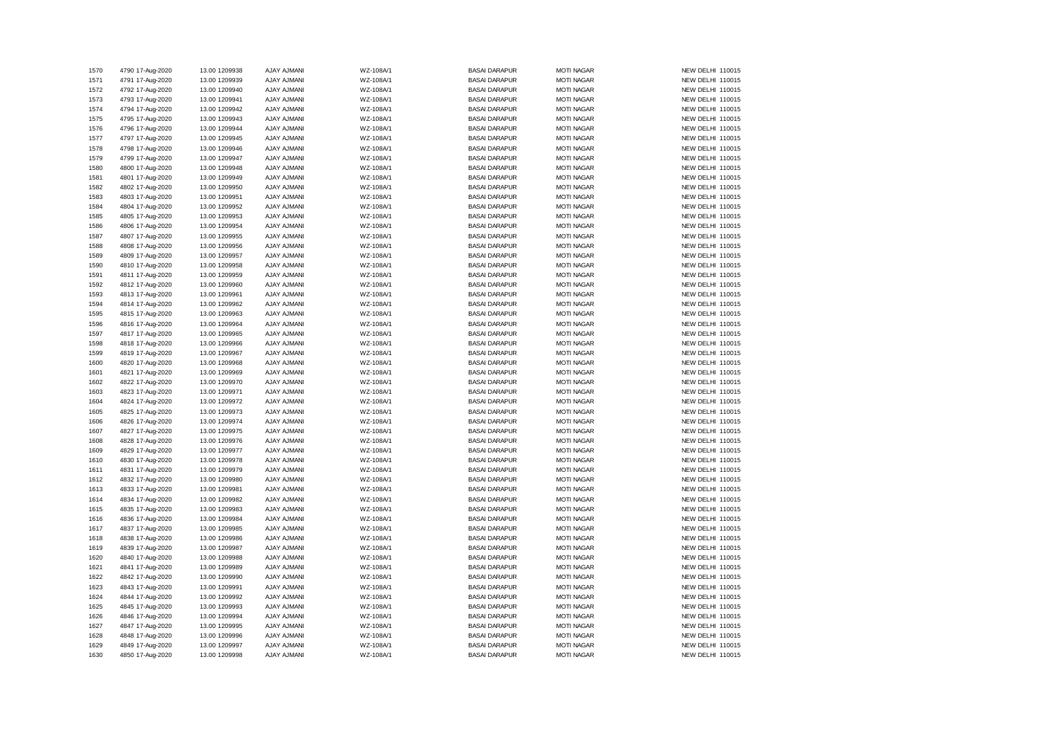| 1570 | 4790 17-Aug-2020 | 13.00 1209938 | AJAY AJMANI        | WZ-108A/1 | <b>BASAI DARAPUR</b> | <b>MOTI NAGAR</b> | NEW DELHI 110015 |
|------|------------------|---------------|--------------------|-----------|----------------------|-------------------|------------------|
| 1571 | 4791 17-Aug-2020 | 13.00 1209939 | AJAY AJMANI        | WZ-108A/1 | <b>BASAI DARAPUR</b> | <b>MOTI NAGAR</b> | NEW DELHI 110015 |
| 1572 | 4792 17-Aug-2020 | 13.00 1209940 | AJAY AJMANI        | WZ-108A/1 | <b>BASAI DARAPUR</b> | <b>MOTI NAGAR</b> | NEW DELHI 110015 |
| 1573 | 4793 17-Aug-2020 | 13.00 1209941 | AJAY AJMANI        | WZ-108A/1 | <b>BASAI DARAPUR</b> | <b>MOTI NAGAR</b> | NEW DELHI 110015 |
| 1574 | 4794 17-Aug-2020 | 13.00 1209942 | AJAY AJMANI        | WZ-108A/1 | <b>BASAI DARAPUR</b> | <b>MOTI NAGAR</b> | NEW DELHI 110015 |
| 1575 | 4795 17-Aug-2020 | 13.00 1209943 | AJAY AJMANI        | WZ-108A/1 | <b>BASAI DARAPUR</b> | <b>MOTI NAGAR</b> | NEW DELHI 110015 |
| 1576 | 4796 17-Aug-2020 | 13.00 1209944 | AJAY AJMANI        | WZ-108A/1 | <b>BASAI DARAPUR</b> | <b>MOTI NAGAR</b> | NEW DELHI 110015 |
| 1577 | 4797 17-Aug-2020 | 13.00 1209945 | AJAY AJMANI        | WZ-108A/1 | <b>BASAI DARAPUR</b> | <b>MOTI NAGAR</b> | NEW DELHI 110015 |
| 1578 | 4798 17-Aug-2020 | 13.00 1209946 | AJAY AJMANI        | WZ-108A/1 | <b>BASAI DARAPUR</b> | <b>MOTI NAGAR</b> | NEW DELHI 110015 |
| 1579 | 4799 17-Aug-2020 | 13.00 1209947 | AJAY AJMANI        | WZ-108A/1 | <b>BASAI DARAPUR</b> | <b>MOTI NAGAR</b> | NEW DELHI 110015 |
| 1580 | 4800 17-Aug-2020 | 13.00 1209948 | AJAY AJMANI        | WZ-108A/1 | <b>BASAI DARAPUR</b> | <b>MOTI NAGAR</b> | NEW DELHI 110015 |
| 1581 | 4801 17-Aug-2020 | 13.00 1209949 | AJAY AJMANI        | WZ-108A/1 | <b>BASAI DARAPUR</b> | <b>MOTI NAGAR</b> | NEW DELHI 110015 |
| 1582 | 4802 17-Aug-2020 | 13.00 1209950 | AJAY AJMANI        | WZ-108A/1 | <b>BASAI DARAPUR</b> | <b>MOTI NAGAR</b> | NEW DELHI 110015 |
| 1583 | 4803 17-Aug-2020 | 13.00 1209951 | AJAY AJMANI        | WZ-108A/1 | <b>BASAI DARAPUR</b> | <b>MOTI NAGAR</b> | NEW DELHI 110015 |
| 1584 | 4804 17-Aug-2020 | 13.00 1209952 | AJAY AJMANI        | WZ-108A/1 | <b>BASAI DARAPUR</b> | <b>MOTI NAGAR</b> | NEW DELHI 110015 |
| 1585 | 4805 17-Aug-2020 | 13.00 1209953 | AJAY AJMANI        | WZ-108A/1 | <b>BASAI DARAPUR</b> | <b>MOTI NAGAR</b> | NEW DELHI 110015 |
| 1586 | 4806 17-Aug-2020 | 13.00 1209954 | AJAY AJMANI        | WZ-108A/1 | <b>BASAI DARAPUR</b> | <b>MOTI NAGAR</b> | NEW DELHI 110015 |
| 1587 | 4807 17-Aug-2020 | 13.00 1209955 | AJAY AJMANI        | WZ-108A/1 | <b>BASAI DARAPUR</b> | <b>MOTI NAGAR</b> | NEW DELHI 110015 |
| 1588 | 4808 17-Aug-2020 | 13.00 1209956 | AJAY AJMANI        | WZ-108A/1 | <b>BASAI DARAPUR</b> | <b>MOTI NAGAR</b> | NEW DELHI 110015 |
| 1589 | 4809 17-Aug-2020 | 13.00 1209957 | AJAY AJMANI        | WZ-108A/1 | <b>BASAI DARAPUR</b> | <b>MOTI NAGAR</b> | NEW DELHI 110015 |
| 1590 | 4810 17-Aug-2020 | 13.00 1209958 | AJAY AJMANI        | WZ-108A/1 | <b>BASAI DARAPUR</b> | <b>MOTI NAGAR</b> | NEW DELHI 110015 |
| 1591 | 4811 17-Aug-2020 | 13.00 1209959 | AJAY AJMANI        | WZ-108A/1 | <b>BASAI DARAPUR</b> | <b>MOTI NAGAR</b> | NEW DELHI 110015 |
| 1592 | 4812 17-Aug-2020 | 13.00 1209960 | AJAY AJMANI        | WZ-108A/1 | <b>BASAI DARAPUR</b> | <b>MOTI NAGAR</b> | NEW DELHI 110015 |
| 1593 | 4813 17-Aug-2020 | 13.00 1209961 | AJAY AJMANI        | WZ-108A/1 | <b>BASAI DARAPUR</b> | <b>MOTI NAGAR</b> | NEW DELHI 110015 |
| 1594 | 4814 17-Aug-2020 | 13.00 1209962 | AJAY AJMANI        | WZ-108A/1 | <b>BASAI DARAPUR</b> | <b>MOTI NAGAR</b> | NEW DELHI 110015 |
| 1595 | 4815 17-Aug-2020 | 13.00 1209963 | AJAY AJMANI        | WZ-108A/1 | <b>BASAI DARAPUR</b> | <b>MOTI NAGAR</b> | NEW DELHI 110015 |
| 1596 | 4816 17-Aug-2020 | 13.00 1209964 | AJAY AJMANI        | WZ-108A/1 | <b>BASAI DARAPUR</b> | <b>MOTI NAGAR</b> | NEW DELHI 110015 |
| 1597 | 4817 17-Aug-2020 | 13.00 1209965 | AJAY AJMANI        | WZ-108A/1 | <b>BASAI DARAPUR</b> | <b>MOTI NAGAR</b> | NEW DELHI 110015 |
| 1598 | 4818 17-Aug-2020 | 13.00 1209966 | AJAY AJMANI        | WZ-108A/1 | <b>BASAI DARAPUR</b> | <b>MOTI NAGAR</b> | NEW DELHI 110015 |
| 1599 | 4819 17-Aug-2020 | 13.00 1209967 | AJAY AJMANI        | WZ-108A/1 | <b>BASAI DARAPUR</b> | <b>MOTI NAGAR</b> | NEW DELHI 110015 |
| 1600 | 4820 17-Aug-2020 | 13.00 1209968 | AJAY AJMANI        | WZ-108A/1 | <b>BASAI DARAPUR</b> | <b>MOTI NAGAR</b> | NEW DELHI 110015 |
| 1601 | 4821 17-Aug-2020 | 13.00 1209969 | AJAY AJMANI        | WZ-108A/1 | <b>BASAI DARAPUR</b> | <b>MOTI NAGAR</b> | NEW DELHI 110015 |
| 1602 | 4822 17-Aug-2020 | 13.00 1209970 | AJAY AJMANI        | WZ-108A/1 | <b>BASAI DARAPUR</b> | <b>MOTI NAGAR</b> | NEW DELHI 110015 |
| 1603 | 4823 17-Aug-2020 | 13.00 1209971 | AJAY AJMANI        | WZ-108A/1 | <b>BASAI DARAPUR</b> | <b>MOTI NAGAR</b> | NEW DELHI 110015 |
| 1604 | 4824 17-Aug-2020 | 13.00 1209972 | AJAY AJMANI        | WZ-108A/1 | <b>BASAI DARAPUR</b> | <b>MOTI NAGAR</b> | NEW DELHI 110015 |
| 1605 | 4825 17-Aug-2020 | 13.00 1209973 | AJAY AJMANI        | WZ-108A/1 | <b>BASAI DARAPUR</b> | <b>MOTI NAGAR</b> | NEW DELHI 110015 |
| 1606 | 4826 17-Aug-2020 | 13.00 1209974 | AJAY AJMANI        | WZ-108A/1 | <b>BASAI DARAPUR</b> | <b>MOTI NAGAR</b> | NEW DELHI 110015 |
| 1607 | 4827 17-Aug-2020 | 13.00 1209975 | AJAY AJMANI        | WZ-108A/1 | <b>BASAI DARAPUR</b> | <b>MOTI NAGAR</b> | NEW DELHI 110015 |
| 1608 | 4828 17-Aug-2020 | 13.00 1209976 | AJAY AJMANI        | WZ-108A/1 | <b>BASAI DARAPUR</b> | <b>MOTI NAGAR</b> | NEW DELHI 110015 |
| 1609 | 4829 17-Aug-2020 | 13.00 1209977 | AJAY AJMANI        | WZ-108A/1 | <b>BASAI DARAPUR</b> | <b>MOTI NAGAR</b> | NEW DELHI 110015 |
| 1610 | 4830 17-Aug-2020 | 13.00 1209978 | AJAY AJMANI        | WZ-108A/1 | <b>BASAI DARAPUR</b> | <b>MOTI NAGAR</b> | NEW DELHI 110015 |
| 1611 | 4831 17-Aug-2020 | 13.00 1209979 | AJAY AJMANI        | WZ-108A/1 | <b>BASAI DARAPUR</b> | <b>MOTI NAGAR</b> | NEW DELHI 110015 |
| 1612 | 4832 17-Aug-2020 | 13.00 1209980 | AJAY AJMANI        | WZ-108A/1 | <b>BASAI DARAPUR</b> | <b>MOTI NAGAR</b> | NEW DELHI 110015 |
| 1613 | 4833 17-Aug-2020 | 13.00 1209981 | AJAY AJMANI        | WZ-108A/1 | <b>BASAI DARAPUR</b> | <b>MOTI NAGAR</b> | NEW DELHI 110015 |
| 1614 | 4834 17-Aug-2020 | 13.00 1209982 | AJAY AJMANI        | WZ-108A/1 | <b>BASAI DARAPUR</b> | <b>MOTI NAGAR</b> | NEW DELHI 110015 |
| 1615 | 4835 17-Aug-2020 | 13.00 1209983 | AJAY AJMANI        | WZ-108A/1 | <b>BASAI DARAPUR</b> | <b>MOTI NAGAR</b> | NEW DELHI 110015 |
| 1616 | 4836 17-Aug-2020 | 13.00 1209984 | AJAY AJMANI        | WZ-108A/1 | <b>BASAI DARAPUR</b> | <b>MOTI NAGAR</b> | NEW DELHI 110015 |
| 1617 | 4837 17-Aug-2020 | 13.00 1209985 | <b>AJAY AJMANI</b> | WZ-108A/1 | <b>BASAI DARAPUR</b> | <b>MOTI NAGAR</b> | NEW DELHI 110015 |
| 1618 | 4838 17-Aug-2020 | 13.00 1209986 | AJAY AJMANI        | WZ-108A/1 | <b>BASAI DARAPUR</b> | <b>MOTI NAGAR</b> | NEW DELHI 110015 |
| 1619 | 4839 17-Aug-2020 | 13.00 1209987 | AJAY AJMANI        | WZ-108A/1 | <b>BASAI DARAPUR</b> | <b>MOTI NAGAR</b> | NEW DELHI 110015 |
| 1620 | 4840 17-Aug-2020 | 13.00 1209988 | AJAY AJMANI        | WZ-108A/1 | <b>BASAI DARAPUR</b> | <b>MOTI NAGAR</b> | NEW DELHI 110015 |
| 1621 | 4841 17-Aug-2020 | 13.00 1209989 | AJAY AJMANI        | WZ-108A/1 | <b>BASAI DARAPUR</b> | <b>MOTI NAGAR</b> | NEW DELHI 110015 |
| 1622 | 4842 17-Aug-2020 | 13.00 1209990 | AJAY AJMANI        | WZ-108A/1 | <b>BASAI DARAPUR</b> | <b>MOTI NAGAR</b> | NEW DELHI 110015 |
| 1623 | 4843 17-Aug-2020 | 13.00 1209991 | AJAY AJMANI        | WZ-108A/1 | <b>BASAI DARAPUR</b> | <b>MOTI NAGAR</b> | NEW DELHI 110015 |
| 1624 | 4844 17-Aug-2020 | 13.00 1209992 | AJAY AJMANI        | WZ-108A/1 | <b>BASAI DARAPUR</b> | <b>MOTI NAGAR</b> | NEW DELHI 110015 |
| 1625 | 4845 17-Aug-2020 | 13.00 1209993 | AJAY AJMANI        | WZ-108A/1 | <b>BASAI DARAPUR</b> | <b>MOTI NAGAR</b> | NEW DELHI 110015 |
| 1626 | 4846 17-Aug-2020 | 13.00 1209994 | AJAY AJMANI        | WZ-108A/1 | <b>BASAI DARAPUR</b> | <b>MOTI NAGAR</b> | NEW DELHI 110015 |
| 1627 | 4847 17-Aug-2020 | 13.00 1209995 | AJAY AJMANI        | WZ-108A/1 | <b>BASAI DARAPUR</b> | <b>MOTI NAGAR</b> | NEW DELHI 110015 |
| 1628 | 4848 17-Aug-2020 | 13.00 1209996 | AJAY AJMANI        | WZ-108A/1 | <b>BASAI DARAPUR</b> | <b>MOTI NAGAR</b> | NEW DELHI 110015 |
| 1629 | 4849 17-Aug-2020 | 13.00 1209997 | AJAY AJMANI        | WZ-108A/1 | <b>BASAI DARAPUR</b> | <b>MOTI NAGAR</b> | NEW DELHI 110015 |
| 1630 | 4850 17-Aug-2020 | 13.00 1209998 | AJAY AJMANI        | WZ-108A/1 | <b>BASAI DARAPUR</b> | <b>MOTI NAGAR</b> | NEW DELHI 110015 |
|      |                  |               |                    |           |                      |                   |                  |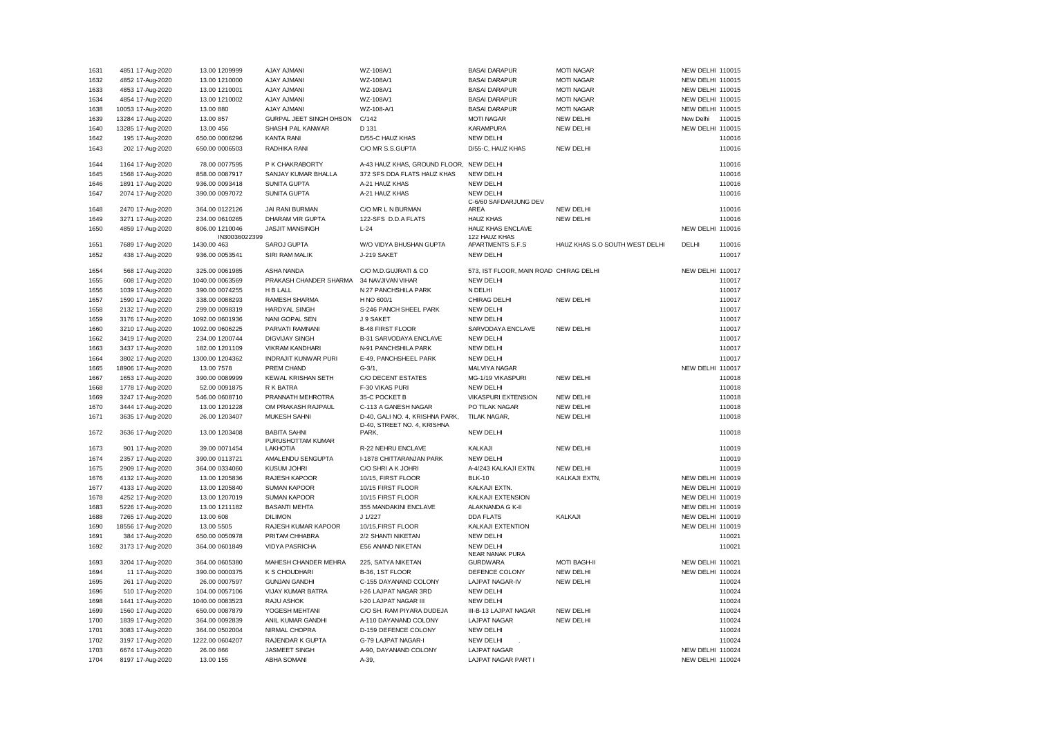| 1631 | 4851 17-Aug-2020  | 13.00 1209999                | AJAY AJMANI                 | WZ-108A/1                                                      | <b>BASAI DARAPUR</b>                   | <b>MOTI NAGAR</b>              | NEW DELHI 110015        |        |
|------|-------------------|------------------------------|-----------------------------|----------------------------------------------------------------|----------------------------------------|--------------------------------|-------------------------|--------|
| 1632 | 4852 17-Aug-2020  | 13.00 1210000                | <b>AJAY AJMANI</b>          | WZ-108A/1                                                      | <b>BASAI DARAPUR</b>                   | <b>MOTI NAGAR</b>              | NEW DELHI 110015        |        |
| 1633 | 4853 17-Aug-2020  | 13.00 1210001                | <b>AJAY AJMAN</b>           | WZ-108A/1                                                      | <b>BASAI DARAPUR</b>                   | <b>MOTI NAGAR</b>              | NEW DELHI 110015        |        |
| 1634 | 4854 17-Aug-2020  | 13.00 1210002                | <b>AJAY AJMANI</b>          | WZ-108A/1                                                      | <b>BASAI DARAPUR</b>                   | <b>MOTI NAGAR</b>              | NEW DELHI 110015        |        |
| 1638 | 10053 17-Aug-2020 | 13.00 880                    | AJAY AJMANI                 | WZ-108-A/1                                                     | <b>BASAI DARAPUR</b>                   | <b>MOTI NAGAR</b>              | NEW DELHI 110015        |        |
| 1639 | 13284 17-Aug-2020 | 13.00 857                    | GURPAL JEET SINGH OHSON     | C/142                                                          | <b>MOTI NAGAR</b>                      | NEW DELHI                      | New Delhi               | 110015 |
| 1640 | 13285 17-Aug-2020 | 13.00 456                    | SHASHI PAL KANWAR           | D 131                                                          | <b>KARAMPURA</b>                       | NEW DELHI                      | NEW DELHI 110015        |        |
| 1642 | 195 17-Aug-2020   | 650.00 0006296               | <b>KANTA RANI</b>           | D/55-C HAUZ KHAS                                               | NEW DELHI                              |                                |                         | 110016 |
| 1643 | 202 17-Aug-2020   | 650.00 0006503               | RADHIKA RANI                | C/O MR S.S.GUPTA                                               | D/55-C, HAUZ KHAS                      | <b>NEW DELHI</b>               |                         | 110016 |
|      |                   |                              |                             |                                                                |                                        |                                |                         |        |
| 1644 | 1164 17-Aug-2020  | 78.00 0077595                | P K CHAKRABORTY             | A-43 HAUZ KHAS, GROUND FLOOR, NEW DELHI                        |                                        |                                |                         | 110016 |
| 1645 | 1568 17-Aug-2020  | 858.00 0087917               | SANJAY KUMAR BHALLA         | 372 SFS DDA FLATS HAUZ KHAS                                    | <b>NEW DELHI</b>                       |                                |                         | 110016 |
| 1646 | 1891 17-Aug-2020  | 936.00 0093418               | <b>SUNITA GUPTA</b>         | A-21 HAUZ KHAS                                                 | <b>NEW DELHI</b>                       |                                |                         | 110016 |
| 1647 | 2074 17-Aug-2020  | 390.00 0097072               | <b>SUNITA GUPTA</b>         | A-21 HAUZ KHAS                                                 | <b>NEW DELHI</b>                       |                                |                         | 110016 |
|      |                   |                              |                             |                                                                | C-6/60 SAFDARJUNG DEV                  |                                |                         |        |
| 1648 | 2470 17-Aug-2020  | 364.00 0122126               | JAI RANI BURMAN             | C/O MR L N BURMAN                                              | AREA                                   | NEW DELHI                      |                         | 110016 |
| 1649 | 3271 17-Aug-2020  | 234.00 0610265               | DHARAM VIR GUPTA            | 122-SFS D.D.A FLATS                                            | <b>HAUZ KHAS</b>                       | NEW DELHI                      |                         | 110016 |
| 1650 | 4859 17-Aug-2020  | 806.00 1210046               | <b>JASJIT MANSINGH</b>      | $L-24$                                                         | <b>HAUZ KHAS ENCLAVE</b>               |                                | <b>NEW DELHI 110016</b> |        |
| 1651 | 7689 17-Aug-2020  | IN30036022399<br>1430.00 463 | SAROJ GUPTA                 | W/O VIDYA BHUSHAN GUPTA                                        | 122 HAUZ KHAS<br>APARTMENTS S.F.S      | HAUZ KHAS S.O SOUTH WEST DELHI | DELHI                   | 110016 |
| 1652 | 438 17-Aug-2020   | 936.00 0053541               | SIRI RAM MALIK              | J-219 SAKET                                                    | NEW DELHI                              |                                |                         | 110017 |
|      |                   |                              |                             |                                                                |                                        |                                |                         |        |
| 1654 | 568 17-Aug-2020   | 325.00 0061985               | <b>ASHA NANDA</b>           | C/O M.D.GUJRATI & CO                                           | 573, IST FLOOR, MAIN ROAD CHIRAG DELHI |                                | NEW DELHI 110017        |        |
| 1655 | 608 17-Aug-2020   | 1040.00 0063569              | PRAKASH CHANDER SHARMA      | 34 NAVJIVAN VIHAR                                              | <b>NEW DELHI</b>                       |                                |                         | 110017 |
| 1656 | 1039 17-Aug-2020  | 390.00 0074255               | H B LALL                    | N 27 PANCHSHILA PARK                                           | N DELHI                                |                                |                         | 110017 |
| 1657 | 1590 17-Aug-2020  | 338.00 0088293               | RAMESH SHARMA               | H NO 600/1                                                     | CHIRAG DELHI                           | NEW DELHI                      |                         | 110017 |
| 1658 | 2132 17-Aug-2020  | 299.00 0098319               | HARDYAL SINGH               | S-246 PANCH SHEEL PARK                                         | <b>NEW DELHI</b>                       |                                |                         | 110017 |
| 1659 | 3176 17-Aug-2020  | 1092.00 0601936              | NANI GOPAL SEN              | J 9 SAKET                                                      | <b>NEW DELHI</b>                       |                                |                         | 110017 |
| 1660 | 3210 17-Aug-2020  | 1092.00 0606225              | PARVATI RAMNANI             | <b>B-48 FIRST FLOOR</b>                                        | SARVODAYA ENCLAVE                      | <b>NEW DELHI</b>               |                         | 110017 |
| 1662 | 3419 17-Aug-2020  | 234.00 1200744               | <b>DIGVIJAY SINGH</b>       | B-31 SARVODAYA ENCLAVE                                         | <b>NEW DELHI</b>                       |                                |                         | 110017 |
| 1663 | 3437 17-Aug-2020  | 182.00 1201109               | <b>VIKRAM KANDHARI</b>      | N-91 PANCHSHILA PARK                                           | <b>NEW DELHI</b>                       |                                |                         | 110017 |
| 1664 | 3802 17-Aug-2020  | 1300.00 1204362              | <b>INDRAJIT KUNWAR PURI</b> | E-49. PANCHSHEEL PARK                                          | <b>NEW DELHI</b>                       |                                |                         | 110017 |
| 1665 | 18906 17-Aug-2020 | 13.00 7578                   | PREM CHAND                  | $G-3/1$ ,                                                      | MALVIYA NAGAR                          |                                | NEW DELHI 110017        |        |
| 1667 | 1653 17-Aug-2020  | 390.00 0089999               | KEWAL KRISHAN SETH          | <b>C/O DECENT ESTATES</b>                                      | MG-1/19 VIKASPURI                      | NEW DELHI                      |                         | 110018 |
| 1668 | 1778 17-Aug-2020  | 52.00 0091875                | R K BATRA                   | F-30 VIKAS PURI                                                | <b>NEW DELHI</b>                       |                                |                         | 110018 |
| 1669 | 3247 17-Aug-2020  | 546.00 0608710               | PRANNATH MEHROTRA           | 35-C POCKET B                                                  | <b>VIKASPURI EXTENSION</b>             | NEW DELHI                      |                         | 110018 |
| 1670 | 3444 17-Aug-2020  | 13.00 1201228                | OM PRAKASH RAJPAUL          | C-113 A GANESH NAGAR                                           | PO TILAK NAGAR                         | NEW DELHI                      |                         | 110018 |
|      |                   |                              |                             |                                                                |                                        |                                |                         |        |
| 1671 | 3635 17-Aug-2020  | 26.00 1203407                | <b>MUKESH SAHNI</b>         | D-40, GALI NO. 4, KRISHNA PARK,<br>D-40, STREET NO. 4, KRISHNA | TILAK NAGAR,                           | NEW DELHI                      |                         | 110018 |
| 1672 | 3636 17-Aug-2020  | 13.00 1203408                | <b>BABITA SAHNI</b>         | PARK,                                                          | <b>NEW DELHI</b>                       |                                |                         | 110018 |
|      |                   |                              | PURUSHOTTAM KUMAR           |                                                                |                                        |                                |                         |        |
| 1673 | 901 17-Aug-2020   | 39.00 0071454                | <b>LAKHOTIA</b>             | R-22 NEHRU ENCLAVE                                             | KALKAJI                                | <b>NEW DELHI</b>               |                         | 110019 |
| 1674 | 2357 17-Aug-2020  | 390.00 0113721               | AMALENDU SENGUPTA           | I-1878 CHITTARANJAN PARK                                       | <b>NEW DELHI</b>                       |                                |                         | 110019 |
| 1675 | 2909 17-Aug-2020  | 364.00 0334060               | <b>KUSUM JOHRI</b>          | C/O SHRI A K JOHRI                                             | A-4/243 KALKAJI EXTN.                  | NEW DELHI                      |                         | 110019 |
| 1676 | 4132 17-Aug-2020  | 13.00 1205836                | RAJESH KAPOOR               | 10/15, FIRST FLOOR                                             | <b>BLK-10</b>                          | KALKAJI EXTN,                  | NEW DELHI 110019        |        |
| 1677 | 4133 17-Aug-2020  | 13.00 1205840                | <b>SUMAN KAPOOR</b>         | 10/15 FIRST FLOOR                                              | KALKAJI EXTN.                          |                                | NEW DELHI 110019        |        |
| 1678 | 4252 17-Aug-2020  | 13.00 1207019                | <b>SUMAN KAPOOR</b>         | 10/15 FIRST FLOOR                                              | KALKAJI EXTENSION                      |                                | NEW DELHI 110019        |        |
| 1683 | 5226 17-Aug-2020  | 13.00 1211182                | <b>BASANTI MEHTA</b>        | 355 MANDAKINI ENCLAVE                                          | ALAKNANDA G K-II                       |                                | NEW DELHI 110019        |        |
| 1688 | 7265 17-Aug-2020  | 13.00 608                    | <b>DILIMON</b>              | J 1/227                                                        | <b>DDA FLATS</b>                       | KALKAJI                        | NEW DELHI 110019        |        |
| 1690 | 18556 17-Aug-2020 | 13.00 5505                   | RAJESH KUMAR KAPOOR         | 10/15, FIRST FLOOR                                             | KALKAJI EXTENTION                      |                                | NEW DELHI 110019        |        |
| 1691 | 384 17-Aug-2020   | 650.00 0050978               | PRITAM CHHABRA              | 2/2 SHANTI NIKETAN                                             | NEW DELHI                              |                                |                         | 110021 |
| 1692 | 3173 17-Aug-2020  | 364.00 0601849               | <b>VIDYA PASRICHA</b>       | E56 ANAND NIKETAN                                              | <b>NEW DELHI</b>                       |                                |                         | 110021 |
|      |                   |                              |                             |                                                                | <b>NEAR NANAK PURA</b>                 |                                |                         |        |
| 1693 | 3204 17-Aug-2020  | 364.00 0605380               | MAHESH CHANDER MEHRA        | 225, SATYA NIKETAN                                             | <b>GURDWARA</b>                        | <b>MOTI BAGH-II</b>            | NEW DELHI 110021        |        |
| 1694 | 11 17-Aug-2020    | 390.00 0000375               | K S CHOUDHARI               | B-36, 1ST FLOOR                                                | DEFENCE COLONY                         | NEW DELHI                      | NEW DELHI 110024        |        |
| 1695 | 261 17-Aug-2020   | 26.00 0007597                | <b>GUNJAN GANDHI</b>        | C-155 DAYANAND COLONY                                          | <b>LAJPAT NAGAR-IV</b>                 | NEW DELHI                      |                         | 110024 |
| 1696 | 510 17-Aug-2020   | 104.00 0057106               | VIJAY KUMAR BATRA           | I-26 LAJPAT NAGAR 3RD                                          | <b>NEW DELHI</b>                       |                                |                         | 110024 |
| 1698 | 1441 17-Aug-2020  | 1040.00 0083523              | RAJU ASHOK                  | <b>I-20 LAJPAT NAGAR III</b>                                   | <b>NEW DELHI</b>                       |                                |                         | 110024 |
| 1699 | 1560 17-Aug-2020  | 650.00 0087879               | YOGESH MEHTANI              | C/O SH. RAM PIYARA DUDEJA                                      | III-B-13 LAJPAT NAGAR                  | <b>NEW DELHI</b>               |                         | 110024 |
| 1700 | 1839 17-Aug-2020  | 364.00 0092839               | ANIL KUMAR GANDHI           | A-110 DAYANAND COLONY                                          | <b>LAJPAT NAGAR</b>                    | NEW DELHI                      |                         | 110024 |
| 1701 | 3083 17-Aug-2020  | 364.00 0502004               | <b>NIRMAL CHOPRA</b>        | D-159 DEFENCE COLONY                                           | <b>NEW DELHI</b>                       |                                |                         | 110024 |
| 1702 | 3197 17-Aug-2020  | 1222.00 0604207              | RAJENDAR K GUPTA            | <b>G-79 LAJPAT NAGAR-I</b>                                     | <b>NEW DELHI</b>                       |                                |                         | 110024 |
| 1703 | 6674 17-Aug-2020  | 26.00 866                    | <b>JASMEET SINGH</b>        | A-90, DAYANAND COLONY                                          | <b>LAJPAT NAGAR</b>                    |                                | NEW DELHI 110024        |        |
| 1704 | 8197 17-Aug-2020  | 13.00 155                    | ABHA SOMANI                 | A-39,                                                          | LAJPAT NAGAR PART I                    |                                | NEW DELHI 110024        |        |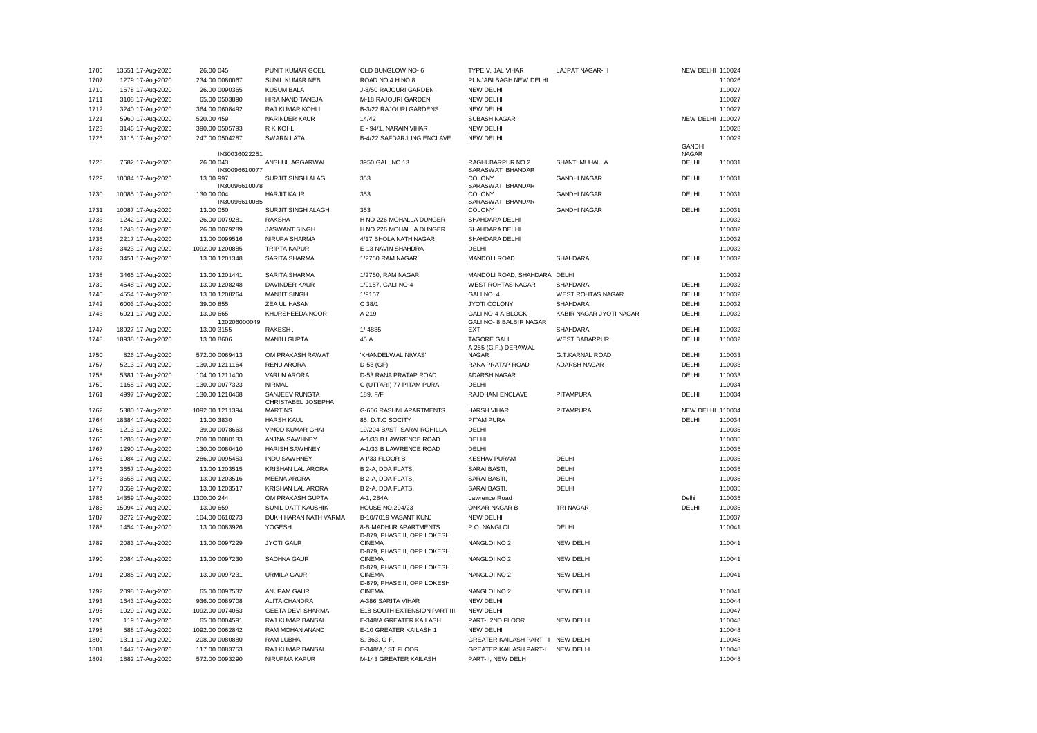| 1706 | 13551 17-Aug-2020 | 26.00 045                  | PUNIT KUMAR GOEL                     | OLD BUNGLOW NO- 6                            | TYPE V, JAL VIHAR                    | <b>LAJPAT NAGAR- II</b>  | NEW DELHI 110024 |        |
|------|-------------------|----------------------------|--------------------------------------|----------------------------------------------|--------------------------------------|--------------------------|------------------|--------|
| 1707 | 1279 17-Aug-2020  | 234.00 0080067             | SUNIL KUMAR NEB                      | ROAD NO 4 H NO 8                             | PUNJABI BAGH NEW DELHI               |                          |                  | 110026 |
| 1710 | 1678 17-Aug-2020  | 26.00 0090365              | <b>KUSUM BALA</b>                    | J-8/50 RAJOURI GARDEN                        | <b>NEW DELHI</b>                     |                          |                  | 110027 |
| 1711 | 3108 17-Aug-2020  | 65.00 0503890              | HIRA NAND TANEJA                     | M-18 RAJOURI GARDEN                          | NEW DELHI                            |                          |                  | 110027 |
| 1712 | 3240 17-Aug-2020  | 364.00 0608492             | RAJ KUMAR KOHLI                      | B-3/22 RAJOURI GARDENS                       | <b>NEW DELHI</b>                     |                          |                  | 110027 |
| 1721 | 5960 17-Aug-2020  | 520.00 459                 | NARINDER KAUR                        | 14/42                                        | <b>SUBASH NAGAR</b>                  |                          | NEW DELHI 110027 |        |
| 1723 | 3146 17-Aug-2020  | 390.00 0505793             | R K KOHLI                            | E - 94/1, NARAIN VIHAR                       | <b>NEW DELHI</b>                     |                          |                  | 110028 |
| 1726 | 3115 17-Aug-2020  | 247.00 0504287             | <b>SWARN LATA</b>                    | B-4/22 SAFDARJUNG ENCLAVE                    | <b>NEW DELHI</b>                     |                          |                  | 110029 |
|      |                   |                            |                                      |                                              |                                      |                          | <b>GANDHI</b>    |        |
|      |                   | IN30036022251              |                                      |                                              |                                      |                          | <b>NAGAR</b>     |        |
| 1728 | 7682 17-Aug-2020  | 26.00 043                  | ANSHUL AGGARWAL                      | 3950 GALI NO 13                              | RAGHUBARPUR NO 2                     | SHANTI MUHALLA           | DELHI            | 110031 |
| 1729 | 10084 17-Aug-2020 | IN30096610077<br>13.00 997 | <b>SURJIT SINGH ALAG</b>             | 353                                          | SARASWATI BHANDAR<br>COLONY          | <b>GANDHI NAGAR</b>      | DELHI            | 110031 |
|      |                   | IN30096610078              |                                      |                                              | SARASWATI BHANDAR                    |                          |                  |        |
| 1730 | 10085 17-Aug-2020 | 130.00 004                 | <b>HARJIT KAUR</b>                   | 353                                          | COLONY                               | <b>GANDHI NAGAR</b>      | DELHI            | 110031 |
|      |                   | IN30096610085              |                                      |                                              | SARASWATI BHANDAR                    |                          |                  |        |
| 1731 | 10087 17-Aug-2020 | 13.00 050                  | SURJIT SINGH ALAGH                   | 353                                          | COLONY                               | <b>GANDHI NAGAR</b>      | DELHI            | 110031 |
| 1733 | 1242 17-Aug-2020  | 26.00 0079281              | <b>RAKSHA</b>                        | H NO 226 MOHALLA DUNGER                      | SHAHDARA DELHI                       |                          |                  | 110032 |
| 1734 | 1243 17-Aug-2020  | 26.00 0079289              | <b>JASWANT SINGH</b>                 | H NO 226 MOHALLA DUNGER                      | SHAHDARA DELHI                       |                          |                  | 110032 |
| 1735 | 2217 17-Aug-2020  | 13.00 0099516              | NIRUPA SHARMA                        | 4/17 BHOLA NATH NAGAR                        | SHAHDARA DELHI                       |                          |                  | 110032 |
| 1736 | 3423 17-Aug-2020  | 1092.00 1200885            | <b>TRIPTA KAPUR</b>                  | E-13 NAVIN SHAHDRA                           | DELHI                                |                          |                  | 110032 |
| 1737 | 3451 17-Aug-2020  | 13.00 1201348              | SARITA SHARMA                        | 1/2750 RAM NAGAR                             | MANDOLI ROAD                         | <b>SHAHDARA</b>          | DELHI            | 110032 |
|      |                   |                            |                                      |                                              |                                      |                          |                  |        |
| 1738 | 3465 17-Aug-2020  | 13.00 1201441              | SARITA SHARMA                        | 1/2750, RAM NAGAR                            | MANDOLI ROAD, SHAHDARA               | DELHI                    |                  | 110032 |
| 1739 | 4548 17-Aug-2020  | 13.00 1208248              | <b>DAVINDER KAUR</b>                 | 1/9157, GALI NO-4                            | <b>WEST ROHTAS NAGAR</b>             | SHAHDARA                 | DELHI            | 110032 |
| 1740 | 4554 17-Aug-2020  | 13.00 1208264              | <b>MANJIT SINGH</b>                  | 1/9157                                       | GALI NO. 4                           | <b>WEST ROHTAS NAGAR</b> | DELHI            | 110032 |
| 1742 | 6003 17-Aug-2020  | 39.00 855                  | ZEA UL HASAN                         | C 38/1                                       | <b>JYOTI COLONY</b>                  | <b>SHAHDARA</b>          | DELHI            | 110032 |
| 1743 | 6021 17-Aug-2020  | 13.00 665                  | KHURSHEEDA NOOR                      | A-219                                        | GALI NO-4 A-BLOCK                    | KABIR NAGAR JYOTI NAGAR  | DELHI            | 110032 |
|      |                   | 120206000049               |                                      |                                              | GALI NO- 8 BALBIR NAGAR              |                          |                  |        |
| 1747 | 18927 17-Aug-2020 | 13.00 3155                 | RAKESH.                              | 1/4885                                       | <b>EXT</b>                           | <b>SHAHDARA</b>          | DELHI            | 110032 |
| 1748 | 18938 17-Aug-2020 | 13.00 8606                 | MANJU GUPTA                          | 45 A                                         | <b>TAGORE GALI</b>                   | <b>WEST BABARPUR</b>     | DELHI            | 110032 |
| 1750 |                   | 572.00 0069413             | OM PRAKASH RAWAT                     | 'KHANDELWAL NIWAS'                           | A-255 (G.F.) DERAWAL<br><b>NAGAR</b> | G.T.KARNAL ROAD          | DELHI            | 110033 |
|      | 826 17-Aug-2020   |                            |                                      |                                              |                                      |                          |                  |        |
| 1757 | 5213 17-Aug-2020  | 130.00 1211164             | <b>RENU ARORA</b>                    | D-53 (GF)                                    | RANA PRATAP ROAD                     | ADARSH NAGAR             | DELHI            | 110033 |
| 1758 | 5381 17-Aug-2020  | 104.00 1211400             | <b>VARUN ARORA</b>                   | D-53 RANA PRATAP ROAD                        | ADARSH NAGAR                         |                          | DELHI            | 110033 |
| 1759 | 1155 17-Aug-2020  | 130.00 0077323             | <b>NIRMAL</b>                        | C (UTTARI) 77 PITAM PURA                     | <b>DELHI</b>                         |                          |                  | 110034 |
| 1761 | 4997 17-Aug-2020  | 130.00 1210468             | SANJEEV RUNGTA<br>CHRISTABEL JOSEPHA | 189, F/F                                     | RAJDHANI ENCLAVE                     | PITAMPURA                | DELHI            | 110034 |
| 1762 | 5380 17-Aug-2020  | 1092.00 1211394            | <b>MARTINS</b>                       | G-606 RASHMI APARTMENTS                      | <b>HARSH VIHAR</b>                   | PITAMPURA                | NEW DELHI 110034 |        |
| 1764 | 18384 17-Aug-2020 | 13.00 3830                 | <b>HARSH KAUL</b>                    | 85, D.T.C SOCITY                             | PITAM PURA                           |                          | DELHI            | 110034 |
| 1765 | 1213 17-Aug-2020  | 39.00 0078663              | VINOD KUMAR GHAI                     | 19/204 BASTI SARAI ROHILLA                   | DELHI                                |                          |                  | 110035 |
| 1766 | 1283 17-Aug-2020  | 260.00 0080133             | ANJNA SAWHNEY                        | A-1/33 B LAWRENCE ROAD                       | DELHI                                |                          |                  | 110035 |
|      |                   |                            |                                      |                                              |                                      |                          |                  |        |
| 1767 | 1290 17-Aug-2020  | 130.00 0080410             | <b>HARISH SAWHNEY</b>                | A-1/33 B LAWRENCE ROAD                       | DELHI                                |                          |                  | 110035 |
| 1768 | 1984 17-Aug-2020  | 286.00 0095453             | <b>INDU SAWHNEY</b>                  | A-I/33 FLOOR B                               | <b>KESHAV PURAM</b>                  | DELHI                    |                  | 110035 |
| 1775 | 3657 17-Aug-2020  | 13.00 1203515              | KRISHAN LAL ARORA                    | B 2-A, DDA FLATS,                            | SARAI BASTI,                         | DELHI                    |                  | 110035 |
| 1776 | 3658 17-Aug-2020  | 13.00 1203516              | <b>MEENA ARORA</b>                   | B 2-A, DDA FLATS,                            | SARAI BASTI,                         | DELHI                    |                  | 110035 |
| 1777 | 3659 17-Aug-2020  | 13.00 1203517              | KRISHAN LAL ARORA                    | B 2-A, DDA FLATS,                            | SARAI BASTI,                         | DELHI                    |                  | 110035 |
| 1785 | 14359 17-Aug-2020 | 1300.00 244                | OM PRAKASH GUPTA                     | A-1, 284A                                    | Lawrence Road                        |                          | Delhi            | 110035 |
| 1786 | 15094 17-Aug-2020 | 13.00 659                  | SUNIL DATT KAUSHIK                   | <b>HOUSE NO.294/23</b>                       | ONKAR NAGAR B                        | TRI NAGAR                | DELHI            | 110035 |
| 1787 | 3272 17-Aug-2020  | 104.00 0610273             | DUKH HARAN NATH VARMA                | B-10/7019 VASANT KUNJ                        | NEW DELHI                            |                          |                  | 110037 |
| 1788 | 1454 17-Aug-2020  | 13.00 0083926              | YOGESH                               | 8-B MADHUR APARTMENTS                        | P.O. NANGLOI                         | DELHI                    |                  | 110041 |
|      |                   |                            |                                      | D-879, PHASE II, OPP LOKESH                  |                                      |                          |                  |        |
| 1789 | 2083 17-Aug-2020  | 13.00 0097229              | <b>JYOTI GAUR</b>                    | <b>CINEMA</b><br>D-879, PHASE II, OPP LOKESH | NANGLOI NO 2                         | NEW DELHI                |                  | 110041 |
| 1790 | 2084 17-Aug-2020  | 13.00 0097230              | SADHNA GAUR                          | <b>CINEMA</b>                                | NANGLOI NO 2                         | NEW DELHI                |                  | 110041 |
|      |                   |                            |                                      | D-879, PHASE II, OPP LOKESH                  |                                      |                          |                  |        |
| 1791 | 2085 17-Aug-2020  | 13.00 0097231              | <b>URMILA GAUR</b>                   | <b>CINEMA</b>                                | NANGLOI NO 2                         | NEW DELHI                |                  | 110041 |
|      |                   |                            |                                      | D-879, PHASE II, OPP LOKESH                  |                                      |                          |                  |        |
| 1792 | 2098 17-Aug-2020  | 65.00 0097532              | ANUPAM GAUR                          | <b>CINEMA</b>                                | NANGLOI NO 2                         | NEW DELHI                |                  | 110041 |
| 1793 | 1643 17-Aug-2020  | 936.00 0089708             | ALITA CHANDRA                        | A-386 SARITA VIHAR                           | <b>NEW DELHI</b>                     |                          |                  | 110044 |
| 1795 | 1029 17-Aug-2020  | 1092.00 0074053            | <b>GEETA DEVI SHARMA</b>             | E18 SOUTH EXTENSION PART III                 | <b>NEW DELHI</b>                     |                          |                  | 110047 |
| 1796 | 119 17-Aug-2020   | 65.00 0004591              | RAJ KUMAR BANSAL                     | E-348/A GREATER KAILASH                      | PART-I 2ND FLOOR                     | <b>NEW DELHI</b>         |                  | 110048 |
| 1798 | 588 17-Aug-2020   | 1092.00 0062842            | RAM MOHAN ANAND                      | E-10 GREATER KAILASH 1                       | <b>NEW DELHI</b>                     |                          |                  | 110048 |
| 1800 | 1311 17-Aug-2020  | 208.00 0080880             | <b>RAM LUBHAI</b>                    | S, 363, G-F,                                 | <b>GREATER KAILASH PART - I</b>      | <b>NEW DELHI</b>         |                  | 110048 |
| 1801 | 1447 17-Aug-2020  | 117.00 0083753             | RAJ KUMAR BANSAL                     | E-348/A,1ST FLOOR                            | <b>GREATER KAILASH PART-I</b>        | <b>NEW DELHI</b>         |                  | 110048 |
| 1802 | 1882 17-Aug-2020  | 572.00 0093290             | NIRUPMA KAPUR                        | M-143 GREATER KAILASH                        | PART-II, NEW DELH                    |                          |                  | 110048 |
|      |                   |                            |                                      |                                              |                                      |                          |                  |        |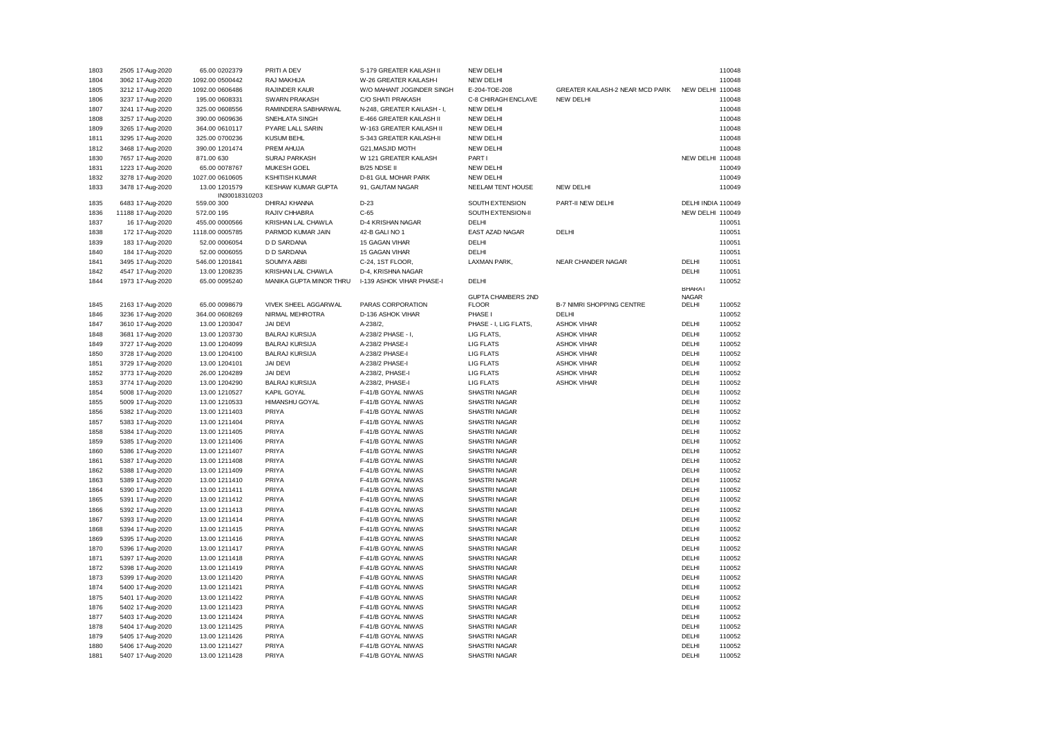| 1803 | 2505 17-Aug-2020  | 65.00 0202379   | PRITI A DEV             | S-179 GREATER KAILASH II    | <b>NEW DELHI</b>      |                                  |                    | 110048 |
|------|-------------------|-----------------|-------------------------|-----------------------------|-----------------------|----------------------------------|--------------------|--------|
| 1804 | 3062 17-Aug-2020  | 1092.00 0500442 | RAJ MAKHIJA             | W-26 GREATER KAILASH-I      | <b>NEW DELHI</b>      |                                  |                    | 110048 |
| 1805 | 3212 17-Aug-2020  | 1092.00 0606486 | <b>RAJINDER KAUR</b>    | W/O MAHANT JOGINDER SINGH   | E-204-TOE-208         | GREATER KAILASH-2 NEAR MCD PARK  | <b>NEW DELHI</b>   | 110048 |
| 1806 | 3237 17-Aug-2020  | 195.00 0608331  | SWARN PRAKASH           | C/O SHATI PRAKASH           | C-8 CHIRAGH ENCLAVE   | NEW DELHI                        |                    | 110048 |
| 1807 | 3241 17-Aug-2020  | 325.00 0608556  | RAMINDERA SABHARWAL     | N-248, GREATER KAILASH - I, | <b>NEW DELHI</b>      |                                  |                    | 110048 |
| 1808 | 3257 17-Aug-2020  | 390.00 0609636  | SNEHLATA SINGH          | E-466 GREATER KAILASH II    | <b>NEW DELHI</b>      |                                  |                    | 110048 |
| 1809 | 3265 17-Aug-2020  | 364.00 0610117  | PYARE LALL SARIN        | W-163 GREATER KAILASH II    | NEW DELHI             |                                  |                    | 110048 |
| 1811 | 3295 17-Aug-2020  | 325.00 0700236  | <b>KUSUM BEHL</b>       | S-343 GREATER KAILASH-II    | <b>NEW DELHI</b>      |                                  |                    | 110048 |
| 1812 | 3468 17-Aug-2020  | 390.00 1201474  | PREM AHUJA              | G21, MASJID MOTH            | NEW DELHI             |                                  |                    | 110048 |
| 1830 | 7657 17-Aug-2020  | 871.00 630      | <b>SURAJ PARKASH</b>    | W 121 GREATER KAILASH       | PART I                |                                  | NEW DELHI 110048   |        |
| 1831 | 1223 17-Aug-2020  | 65.00 0078767   | MUKESH GOEL             | B/25 NDSE II                | <b>NEW DELHI</b>      |                                  |                    | 110049 |
| 1832 | 3278 17-Aug-2020  | 1027.00 0610605 | <b>KSHITISH KUMAR</b>   | D-81 GUL MOHAR PARK         | <b>NEW DELHI</b>      |                                  |                    | 110049 |
| 1833 | 3478 17-Aug-2020  | 13.00 1201579   | KESHAW KUMAR GUPTA      | 91, GAUTAM NAGAR            | NEELAM TENT HOUSE     | NEW DELHI                        |                    | 110049 |
|      |                   | IN30018310203   |                         |                             |                       |                                  |                    |        |
| 1835 | 6483 17-Aug-2020  | 559.00 300      | DHIRAJ KHANNA           | $D-23$                      | SOUTH EXTENSION       | PART-II NEW DELHI                | DELHI INDIA 110049 |        |
| 1836 | 11188 17-Aug-2020 | 572.00 195      | RAJIV CHHABRA           | $C-65$                      | SOUTH EXTENSION-II    |                                  | NEW DELHI 110049   |        |
| 1837 | 16 17-Aug-2020    | 455.00 0000566  | KRISHAN LAL CHAWLA      | D-4 KRISHAN NAGAR           | DELHI                 |                                  |                    | 110051 |
| 1838 | 172 17-Aug-2020   | 1118.00 0005785 | PARMOD KUMAR JAIN       | 42-B GALI NO 1              | EAST AZAD NAGAR       | DELHI                            |                    | 110051 |
| 1839 | 183 17-Aug-2020   | 52.00 0006054   | D D SARDANA             | 15 GAGAN VIHAR              | DELHI                 |                                  |                    | 110051 |
| 1840 | 184 17-Aug-2020   | 52.00 0006055   | D D SARDANA             | 15 GAGAN VIHAR              | DELHI                 |                                  |                    | 110051 |
| 1841 | 3495 17-Aug-2020  | 546.00 1201841  | SOUMYA ABBI             | C-24, 1ST FLOOR,            | LAXMAN PARK,          | <b>NEAR CHANDER NAGAR</b>        | DELHI              | 110051 |
| 1842 | 4547 17-Aug-2020  | 13.00 1208235   | KRISHAN LAL CHAWLA      | D-4, KRISHNA NAGAR          |                       |                                  | DELHI              | 110051 |
| 1844 | 1973 17-Aug-2020  | 65.00 0095240   | MANIKA GUPTA MINOR THRU | I-139 ASHOK VIHAR PHASE-I   | DELHI                 |                                  |                    | 110052 |
|      |                   |                 |                         |                             |                       |                                  | <b>BHARAI</b>      |        |
|      |                   |                 |                         |                             | GUPTA CHAMBERS 2ND    |                                  | <b>NAGAR</b>       |        |
| 1845 | 2163 17-Aug-2020  | 65.00 0098679   | VIVEK SHEEL AGGARWAL    | PARAS CORPORATION           | <b>FLOOR</b>          | <b>B-7 NIMRI SHOPPING CENTRE</b> | DELHI              | 110052 |
| 1846 | 3236 17-Aug-2020  | 364.00 0608269  | NIRMAL MEHROTRA         | D-136 ASHOK VIHAR           | PHASE I               | DELHI                            |                    | 110052 |
| 1847 | 3610 17-Aug-2020  | 13.00 1203047   | JAI DEVI                | A-238/2,                    | PHASE - I, LIG FLATS, | <b>ASHOK VIHAR</b>               | DELHI              | 110052 |
| 1848 | 3681 17-Aug-2020  | 13.00 1203730   | <b>BALRAJ KURSIJA</b>   | A-238/2 PHASE - I,          | LIG FLATS,            | <b>ASHOK VIHAR</b>               | DELHI              | 110052 |
| 1849 | 3727 17-Aug-2020  | 13.00 1204099   | <b>BALRAJ KURSIJA</b>   | A-238/2 PHASE-I             | <b>LIG FLATS</b>      | <b>ASHOK VIHAR</b>               | DELHI              | 110052 |
| 1850 | 3728 17-Aug-2020  | 13.00 1204100   | <b>BALRAJ KURSIJA</b>   | A-238/2 PHASE-I             | <b>LIG FLATS</b>      | <b>ASHOK VIHAR</b>               | DELHI              | 110052 |
| 1851 | 3729 17-Aug-2020  | 13.00 1204101   | JAI DEVI                | A-238/2 PHASE-I             | <b>LIG FLATS</b>      | <b>ASHOK VIHAR</b>               | DELHI              | 110052 |
| 1852 | 3773 17-Aug-2020  | 26.00 1204289   | JAI DEVI                | A-238/2, PHASE-I            | <b>LIG FLATS</b>      | <b>ASHOK VIHAR</b>               | DELHI              | 110052 |
| 1853 | 3774 17-Aug-2020  | 13.00 1204290   | <b>BALRAJ KURSIJA</b>   | A-238/2, PHASE-I            | LIG FLATS             | <b>ASHOK VIHAR</b>               | DELHI              | 110052 |
| 1854 | 5008 17-Aug-2020  | 13.00 1210527   | KAPIL GOYAL             | F-41/B GOYAL NIWAS          | SHASTRI NAGAR         |                                  | DELHI              | 110052 |
| 1855 | 5009 17-Aug-2020  | 13.00 1210533   | HIMANSHU GOYAL          | F-41/B GOYAL NIWAS          | SHASTRI NAGAR         |                                  | DELHI              | 110052 |
| 1856 | 5382 17-Aug-2020  | 13.00 1211403   | PRIYA                   | F-41/B GOYAL NIWAS          | SHASTRI NAGAR         |                                  | DELHI              | 110052 |
| 1857 | 5383 17-Aug-2020  | 13.00 1211404   | PRIYA                   | F-41/B GOYAL NIWAS          | SHASTRI NAGAR         |                                  | DELHI              | 110052 |
| 1858 | 5384 17-Aug-2020  | 13.00 1211405   | PRIYA                   | F-41/B GOYAL NIWAS          | SHASTRI NAGAR         |                                  | DELHI              | 110052 |
| 1859 | 5385 17-Aug-2020  | 13.00 1211406   | PRIYA                   | F-41/B GOYAL NIWAS          | SHASTRI NAGAR         |                                  | DELHI              | 110052 |
| 1860 | 5386 17-Aug-2020  | 13.00 1211407   | PRIYA                   | F-41/B GOYAL NIWAS          | SHASTRI NAGAR         |                                  | DELHI              | 110052 |
| 1861 | 5387 17-Aug-2020  | 13.00 1211408   | PRIYA                   | F-41/B GOYAL NIWAS          | SHASTRI NAGAR         |                                  | DELHI              | 110052 |
| 1862 | 5388 17-Aug-2020  | 13.00 1211409   | PRIYA                   | F-41/B GOYAL NIWAS          | SHASTRI NAGAR         |                                  | DELHI              | 110052 |
| 1863 | 5389 17-Aug-2020  | 13.00 1211410   | PRIYA                   | F-41/B GOYAL NIWAS          | SHASTRI NAGAR         |                                  | DELHI              | 110052 |
| 1864 | 5390 17-Aug-2020  | 13.00 1211411   | PRIYA                   | F-41/B GOYAL NIWAS          | SHASTRI NAGAR         |                                  | DELHI              | 110052 |
| 1865 | 5391 17-Aug-2020  | 13.00 1211412   | PRIYA                   | F-41/B GOYAL NIWAS          | SHASTRI NAGAR         |                                  | DELHI              | 110052 |
| 1866 | 5392 17-Aug-2020  | 13.00 1211413   | PRIYA                   | F-41/B GOYAL NIWAS          | SHASTRI NAGAR         |                                  | DELHI              | 110052 |
| 1867 | 5393 17-Aug-2020  | 13.00 1211414   | PRIYA                   | F-41/B GOYAL NIWAS          | SHASTRI NAGAR         |                                  | DELHI              | 110052 |
| 1868 | 5394 17-Aug-2020  | 13.00 1211415   | PRIYA                   | F-41/B GOYAL NIWAS          | SHASTRI NAGAR         |                                  | DELHI              | 110052 |
| 1869 | 5395 17-Aug-2020  | 13.00 1211416   | PRIYA                   | F-41/B GOYAL NIWAS          | SHASTRI NAGAR         |                                  | DELHI              | 110052 |
| 1870 | 5396 17-Aug-2020  | 13.00 1211417   | PRIYA                   | F-41/B GOYAL NIWAS          | SHASTRI NAGAR         |                                  | DELHI              | 110052 |
| 1871 | 5397 17-Aug-2020  | 13.00 1211418   | PRIYA                   | F-41/B GOYAL NIWAS          | SHASTRI NAGAR         |                                  | DELHI              | 110052 |
| 1872 | 5398 17-Aug-2020  | 13.00 1211419   | PRIYA                   | F-41/B GOYAL NIWAS          | SHASTRI NAGAR         |                                  | DELHI              | 110052 |
| 1873 | 5399 17-Aug-2020  | 13.00 1211420   | PRIYA                   | F-41/B GOYAL NIWAS          | SHASTRI NAGAR         |                                  | DELHI              | 110052 |
| 1874 | 5400 17-Aug-2020  | 13.00 1211421   | PRIYA                   | F-41/B GOYAL NIWAS          | SHASTRI NAGAR         |                                  | DELHI              | 110052 |
|      |                   |                 | PRIYA                   |                             |                       |                                  | DELHI              |        |
| 1875 | 5401 17-Aug-2020  | 13.00 1211422   |                         | F-41/B GOYAL NIWAS          | SHASTRI NAGAR         |                                  | DELHI              | 110052 |
| 1876 | 5402 17-Aug-2020  | 13.00 1211423   | PRIYA                   | F-41/B GOYAL NIWAS          | <b>SHASTRI NAGAR</b>  |                                  |                    | 110052 |
| 1877 | 5403 17-Aug-2020  | 13.00 1211424   | PRIYA                   | F-41/B GOYAL NIWAS          | SHASTRI NAGAR         |                                  | DELHI              | 110052 |
| 1878 | 5404 17-Aug-2020  | 13.00 1211425   | PRIYA                   | F-41/B GOYAL NIWAS          | <b>SHASTRI NAGAR</b>  |                                  | DELHI              | 110052 |
| 1879 | 5405 17-Aug-2020  | 13.00 1211426   | PRIYA                   | F-41/B GOYAL NIWAS          | SHASTRI NAGAR         |                                  | DELHI              | 110052 |
| 1880 | 5406 17-Aug-2020  | 13.00 1211427   | PRIYA                   | F-41/B GOYAL NIWAS          | SHASTRI NAGAR         |                                  | DELHI              | 110052 |
| 1881 | 5407 17-Aug-2020  | 13.00 1211428   | PRIYA                   | F-41/B GOYAL NIWAS          | SHASTRI NAGAR         |                                  | DELHI              | 110052 |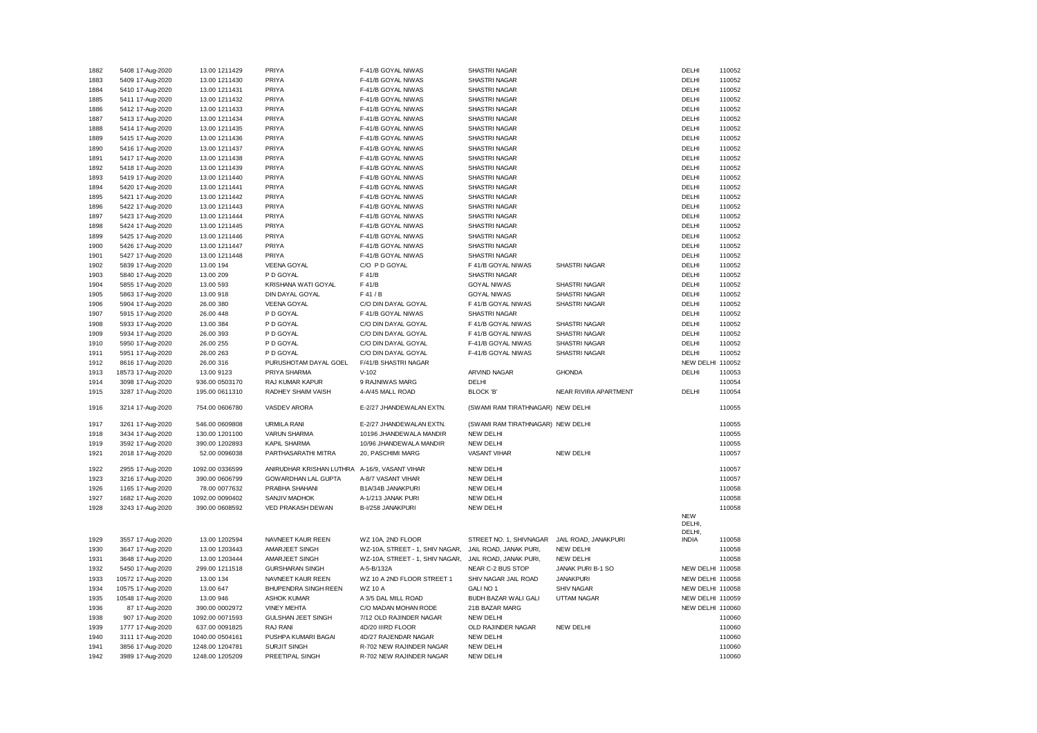| 1882 | 5408 17-Aug-2020                     | 13.00 1211429   | PRIYA                                         | F-41/B GOYAL NIWAS              | SHASTRI NAGAR                     |                       | DELHI            | 110052 |
|------|--------------------------------------|-----------------|-----------------------------------------------|---------------------------------|-----------------------------------|-----------------------|------------------|--------|
| 1883 | 5409 17-Aug-2020                     | 13.00 1211430   | PRIYA                                         | F-41/B GOYAL NIWAS              | SHASTRI NAGAR                     |                       | DELHI            | 110052 |
| 1884 | 5410 17-Aug-2020                     | 13.00 1211431   | PRIYA                                         | F-41/B GOYAL NIWAS              | SHASTRI NAGAR                     |                       | DELHI            | 110052 |
| 1885 | 5411 17-Aug-2020                     | 13.00 1211432   | PRIYA                                         | F-41/B GOYAL NIWAS              | SHASTRI NAGAR                     |                       | DELHI            | 110052 |
| 1886 | 5412 17-Aug-2020                     | 13.00 1211433   | PRIYA                                         | F-41/B GOYAL NIWAS              | SHASTRI NAGAR                     |                       | DELHI            | 110052 |
| 1887 | 5413 17-Aug-2020                     | 13.00 1211434   | PRIYA                                         | F-41/B GOYAL NIWAS              | SHASTRI NAGAR                     |                       | DELHI            | 110052 |
| 1888 | 5414 17-Aug-2020                     | 13.00 1211435   | PRIYA                                         | F-41/B GOYAL NIWAS              | SHASTRI NAGAR                     |                       | DELHI            | 110052 |
| 1889 | 5415 17-Aug-2020                     | 13.00 1211436   | PRIYA                                         | F-41/B GOYAL NIWAS              | SHASTRI NAGAR                     |                       | DELHI            | 110052 |
| 1890 | 5416 17-Aug-2020                     | 13.00 1211437   | PRIYA                                         | F-41/B GOYAL NIWAS              | SHASTRI NAGAR                     |                       | DELHI            | 110052 |
| 1891 | 5417 17-Aug-2020                     | 13.00 1211438   | PRIYA                                         | F-41/B GOYAL NIWAS              | SHASTRI NAGAR                     |                       | DELHI            | 110052 |
| 1892 | 5418 17-Aug-2020                     | 13.00 1211439   | PRIYA                                         | F-41/B GOYAL NIWAS              | SHASTRI NAGAR                     |                       | DELHI            | 110052 |
| 1893 | 5419 17-Aug-2020                     | 13.00 1211440   | PRIYA                                         | F-41/B GOYAL NIWAS              | SHASTRI NAGAR                     |                       | DELHI            | 110052 |
| 1894 | 5420 17-Aug-2020                     | 13.00 1211441   | PRIYA                                         | F-41/B GOYAL NIWAS              | SHASTRI NAGAR                     |                       | DELHI            | 110052 |
| 1895 | 5421 17-Aug-2020                     | 13.00 1211442   | PRIYA                                         | F-41/B GOYAL NIWAS              | SHASTRI NAGAR                     |                       | DELHI            | 110052 |
| 1896 | 5422 17-Aug-2020                     | 13.00 1211443   | PRIYA                                         | F-41/B GOYAL NIWAS              | SHASTRI NAGAR                     |                       | DELHI            | 110052 |
| 1897 | 5423 17-Aug-2020                     | 13.00 1211444   | PRIYA                                         | F-41/B GOYAL NIWAS              | SHASTRI NAGAR                     |                       | DELHI            | 110052 |
| 1898 | 5424 17-Aug-2020                     | 13.00 1211445   | PRIYA                                         | F-41/B GOYAL NIWAS              | SHASTRI NAGAR                     |                       | DELHI            | 110052 |
| 1899 | 5425 17-Aug-2020                     | 13.00 1211446   | PRIYA                                         | F-41/B GOYAL NIWAS              | SHASTRI NAGAR                     |                       | DELHI            | 110052 |
| 1900 | 5426 17-Aug-2020                     | 13.00 1211447   | PRIYA                                         | F-41/B GOYAL NIWAS              | SHASTRI NAGAR                     |                       | DELHI            | 110052 |
| 1901 |                                      | 13.00 1211448   | PRIYA                                         | F-41/B GOYAL NIWAS              | SHASTRI NAGAR                     |                       | DELHI            | 110052 |
|      | 5427 17-Aug-2020                     |                 |                                               |                                 |                                   |                       |                  |        |
| 1902 | 5839 17-Aug-2020                     | 13.00 194       | VEENA GOYAL                                   | C/O P D GOYAL                   | F 41/B GOYAL NIWAS                | SHASTRI NAGAR         | DELHI            | 110052 |
| 1903 | 5840 17-Aug-2020                     | 13.00 209       | P D GOYAL                                     | F 41/B                          | SHASTRI NAGAR                     |                       | DELHI            | 110052 |
| 1904 | 5855 17-Aug-2020                     | 13.00 593       | KRISHANA WATI GOYAL                           | F 41/B                          | <b>GOYAL NIWAS</b>                | SHASTRI NAGAR         | DELHI            | 110052 |
| 1905 | 5863 17-Aug-2020                     | 13.00 918       | DIN DAYAL GOYAL                               | F 41 / B                        | <b>GOYAL NIWAS</b>                | SHASTRI NAGAR         | DELHI            | 110052 |
| 1906 | 5904 17-Aug-2020                     | 26.00 380       | <b>VEENA GOYAL</b>                            | C/O DIN DAYAL GOYAL             | F 41/B GOYAL NIWAS                | SHASTRI NAGAR         | DELHI            | 110052 |
| 1907 | 5915 17-Aug-2020                     | 26.00 448       | P D GOYAL                                     | F 41/B GOYAL NIWAS              | SHASTRI NAGAR                     |                       | DELHI            | 110052 |
| 1908 | 5933 17-Aug-2020                     | 13.00 384       | P D GOYAL                                     | C/O DIN DAYAL GOYAL             | F 41/B GOYAL NIWAS                | SHASTRI NAGAR         | DELHI            | 110052 |
| 1909 | 5934 17-Aug-2020                     | 26.00 393       | P D GOYAL                                     | C/O DIN DAYAL GOYAL             | F 41/B GOYAL NIWAS                | <b>SHASTRI NAGAR</b>  | DELHI            | 110052 |
| 1910 | 5950 17-Aug-2020                     | 26.00 255       | P D GOYAL                                     | C/O DIN DAYAL GOYAL             | F-41/B GOYAL NIWAS                | SHASTRI NAGAR         | DELHI            | 110052 |
| 1911 | 5951 17-Aug-2020                     | 26.00 263       | P D GOYAL                                     | C/O DIN DAYAL GOYAL             | F-41/B GOYAL NIWAS                | SHASTRI NAGAR         | DELHI            | 110052 |
| 1912 | 8616 17-Aug-2020                     | 26.00 316       | PURUSHOTAM DAYAL GOEL                         | F/41/B SHASTRI NAGAR            |                                   |                       | NEW DELHI 110052 |        |
| 1913 | 18573 17-Aug-2020                    | 13.00 9123      | PRIYA SHARMA                                  | $V - 102$                       | ARVIND NAGAR                      | <b>GHONDA</b>         | DELHI            | 110053 |
| 1914 | 3098 17-Aug-2020                     | 936.00 0503170  | RAJ KUMAR KAPUR                               | 9 RAJNIWAS MARG                 | DELHI                             |                       |                  | 110054 |
| 1915 | 3287 17-Aug-2020                     | 195.00 0611310  | RADHEY SHAIM VAISH                            | 4-A/45 MALL ROAD                | <b>BLOCK 'B'</b>                  | NEAR RIVIRA APARTMENT | DELHI            | 110054 |
|      |                                      |                 |                                               |                                 |                                   |                       |                  |        |
| 1916 | 3214 17-Aug-2020                     | 754.00 0606780  | <b>VASDEV ARORA</b>                           | E-2/27 JHANDEWALAN EXTN.        | (SWAMI RAM TIRATHNAGAR) NEW DELHI |                       |                  | 110055 |
| 1917 | 3261 17-Aug-2020                     | 546.00 0609808  | <b>URMILA RANI</b>                            | E-2/27 JHANDEWALAN EXTN.        | (SWAMI RAM TIRATHNAGAR) NEW DELHI |                       |                  | 110055 |
| 1918 | 3434 17-Aug-2020                     | 130.00 1201100  | <b>VARUN SHARMA</b>                           | 10196 JHANDEWALA MANDIR         | <b>NEW DELHI</b>                  |                       |                  | 110055 |
| 1919 | 3592 17-Aug-2020                     | 390.00 1202893  | <b>KAPIL SHARMA</b>                           | 10/96 JHANDEWALA MANDIR         | <b>NEW DELHI</b>                  |                       |                  | 110055 |
| 1921 |                                      | 52.00 0096038   | PARTHASARATHI MITRA                           | 20, PASCHIMI MARG               | <b>VASANT VIHAR</b>               | <b>NEW DELHI</b>      |                  | 110057 |
|      | 2018 17-Aug-2020                     |                 |                                               |                                 |                                   |                       |                  |        |
| 1922 | 2955 17-Aug-2020                     | 1092.00 0336599 | ANIRUDHAR KRISHAN LUTHRA A-16/9, VASANT VIHAR |                                 | <b>NEW DELHI</b>                  |                       |                  | 110057 |
| 1923 | 3216 17-Aug-2020                     | 390.00 0606799  | <b>GOWARDHAN LAL GUPTA</b>                    | A-8/7 VASANT VIHAR              | <b>NEW DELHI</b>                  |                       |                  | 110057 |
| 1926 | 1165 17-Aug-2020                     | 78.00 0077632   | PRABHA SHAHANI                                | B1A/34B JANAKPURI               | <b>NEW DELHI</b>                  |                       |                  | 110058 |
| 1927 | 1682 17-Aug-2020                     | 1092.00 0090402 | SANJIV MADHOK                                 | A-1/213 JANAK PURI              | <b>NEW DELHI</b>                  |                       |                  | 110058 |
| 1928 | 3243 17-Aug-2020                     | 390.00 0608592  | VED PRAKASH DEWAN                             | B-I/258 JANAKPURI               | <b>NEW DELHI</b>                  |                       |                  | 110058 |
|      |                                      |                 |                                               |                                 |                                   |                       | <b>NEW</b>       |        |
|      |                                      |                 |                                               |                                 |                                   |                       | DELHI,           |        |
|      |                                      |                 |                                               |                                 |                                   |                       | DELHI.           |        |
| 1929 |                                      |                 |                                               |                                 |                                   |                       |                  |        |
| 1930 | 3557 17-Aug-2020                     | 13.00 1202594   | NAVNEET KAUR REEN                             | WZ 10A, 2ND FLOOR               | STREET NO. 1, SHIVNAGAR           | JAIL ROAD, JANAKPURI  | <b>INDIA</b>     | 110058 |
|      | 3647 17-Aug-2020                     | 13.00 1203443   | AMARJEET SINGH                                | WZ-10A, STREET - 1, SHIV NAGAR, | JAIL ROAD, JANAK PURI,            | NEW DELHI             |                  | 110058 |
| 1931 | 3648 17-Aug-2020                     | 13.00 1203444   | AMARJEET SINGH                                | WZ-10A, STREET - 1, SHIV NAGAR, | JAIL ROAD, JANAK PURI,            | NEW DELHI             |                  | 110058 |
| 1932 | 5450 17-Aug-2020                     | 299.00 1211518  | <b>GURSHARAN SINGH</b>                        | A-5-B/132A                      | NEAR C-2 BUS STOP                 | JANAK PURI B-1 SO     | NEW DELHI        | 110058 |
| 1933 | 10572 17-Aug-2020                    | 13.00 134       | NAVNEET KAUR REEN                             | WZ 10 A 2ND FLOOR STREET 1      | SHIV NAGAR JAIL ROAD              | <b>JANAKPURI</b>      | NEW DELHI        | 110058 |
| 1934 | 10575 17-Aug-2020                    | 13.00 647       | BHUPENDRA SINGH REEN                          | <b>WZ 10 A</b>                  | GALI NO 1                         | SHIV NAGAR            | NEW DELHI        | 110058 |
| 1935 | 10548 17-Aug-2020                    | 13.00 946       | <b>ASHOK KUMAR</b>                            | A 3/5 DAL MILL ROAD             | BUDH BAZAR WALI GALI              | UTTAM NAGAR           | NEW DELHI 110059 |        |
| 1936 | 87 17-Aug-2020                       | 390.00 0002972  | <b>VINEY MEHTA</b>                            | C/O MADAN MOHAN RODE            | 21B BAZAR MARG                    |                       | NEW DELHI 110060 |        |
| 1938 | 907 17-Aug-2020                      | 1092.00 0071593 | <b>GULSHAN JEET SINGH</b>                     | 7/12 OLD RAJINDER NAGAR         | <b>NEW DELHI</b>                  |                       |                  | 110060 |
| 1939 | 1777 17-Aug-2020                     | 637.00 0091825  | RAJ RANI                                      | 4D/20 IIIRD FLOOR               | OLD RAJINDER NAGAR                | NEW DELHI             |                  | 110060 |
| 1940 | 3111 17-Aug-2020                     | 1040.00 0504161 | PUSHPA KUMARI BAGAI                           | 4D/27 RAJENDAR NAGAR            | <b>NEW DELHI</b>                  |                       |                  | 110060 |
| 1941 |                                      | 1248.00 1204781 | <b>SURJIT SINGH</b>                           | R-702 NEW RAJINDER NAGAR        | <b>NEW DELHI</b>                  |                       |                  | 110060 |
| 1942 | 3856 17-Aug-2020<br>3989 17-Aug-2020 | 1248.00 1205209 | PREETIPAL SINGH                               | R-702 NEW RAJINDER NAGAR        | <b>NEW DELHI</b>                  |                       |                  | 110060 |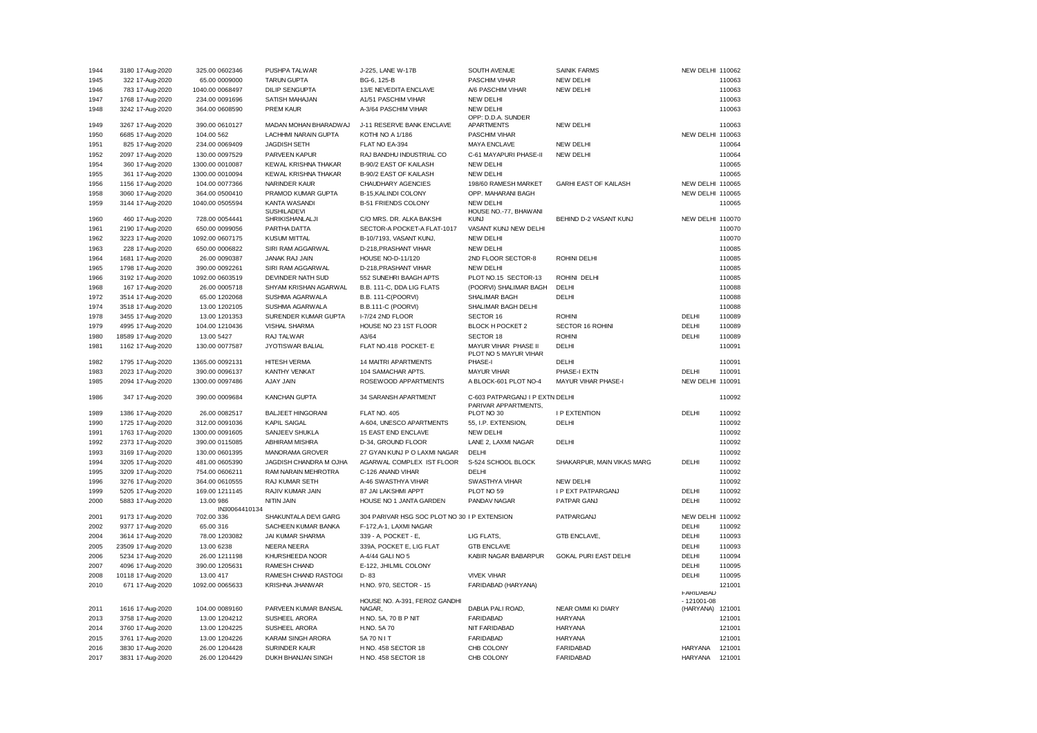| 1944 | 3180 17-Aug-2020  | 325.00 0602346  | PUSHPA TALWAR                       | J-225, LANE W-17B                            | SOUTH AVENUE                                  | <b>SAINIK FARMS</b>          | NEW DELHI 110062            |        |
|------|-------------------|-----------------|-------------------------------------|----------------------------------------------|-----------------------------------------------|------------------------------|-----------------------------|--------|
| 1945 | 322 17-Aug-2020   | 65.00 0009000   | <b>TARUN GUPTA</b>                  | BG-6, 125-B                                  | <b>PASCHIM VIHAR</b>                          | NEW DELHI                    |                             | 110063 |
| 1946 |                   |                 | <b>DILIP SENGUPTA</b>               |                                              |                                               | NEW DELHI                    |                             | 110063 |
|      | 783 17-Aug-2020   | 1040.00 0068497 |                                     | 13/E NEVEDITA ENCLAVE                        | A/6 PASCHIM VIHAR                             |                              |                             |        |
| 1947 | 1768 17-Aug-2020  | 234.00 0091696  | SATISH MAHAJAN                      | A1/51 PASCHIM VIHAR                          | <b>NEW DELHI</b>                              |                              |                             | 110063 |
| 1948 | 3242 17-Aug-2020  | 364.00 0608590  | <b>PREM KAUR</b>                    | A-3/64 PASCHIM VIHAR                         | <b>NEW DELHI</b><br>OPP: D.D.A. SUNDER        |                              |                             | 110063 |
| 1949 | 3267 17-Aug-2020  | 390.00 0610127  | MADAN MOHAN BHARADWAJ               | J-11 RESERVE BANK ENCLAVE                    | <b>APARTMENTS</b>                             | <b>NEW DELHI</b>             |                             | 110063 |
| 1950 | 6685 17-Aug-2020  | 104.00 562      | <b>LACHHMI NARAIN GUPTA</b>         | KOTHI NO A 1/186                             | <b>PASCHIM VIHAR</b>                          |                              | NEW DELHI                   | 110063 |
| 1951 | 825 17-Aug-2020   | 234.00 0069409  | <b>JAGDISH SETH</b>                 | FLAT NO EA-394                               | <b>MAYA ENCLAVE</b>                           | <b>NEW DELHI</b>             |                             | 110064 |
| 1952 | 2097 17-Aug-2020  | 130.00 0097529  | PARVEEN KAPUR                       | RAJ BANDHU INDUSTRIAL CO                     | C-61 MAYAPURI PHASE-II                        | <b>NEW DELHI</b>             |                             | 110064 |
| 1954 | 360 17-Aug-2020   | 1300.00 0010087 | KEWAL KRISHNA THAKAR                | B-90/2 EAST OF KAILASH                       | <b>NEW DELHI</b>                              |                              |                             | 110065 |
| 1955 | 361 17-Aug-2020   | 1300.00 0010094 | KEWAL KRISHNA THAKAR                | B-90/2 EAST OF KAILASH                       | <b>NEW DELHI</b>                              |                              |                             | 110065 |
| 1956 | 1156 17-Aug-2020  | 104.00 0077366  | <b>NARINDER KAUR</b>                | CHAUDHARY AGENCIES                           | 198/60 RAMESH MARKET                          | <b>GARHI EAST OF KAILASH</b> | NEW DELHI 110065            |        |
|      |                   |                 |                                     |                                              |                                               |                              |                             |        |
| 1958 | 3060 17-Aug-2020  | 364.00 0500410  | PRAMOD KUMAR GUPTA                  | B-15, KALINDI COLONY                         | OPP. MAHARANI BAGH                            |                              | NEW DELHI                   | 110065 |
| 1959 | 3144 17-Aug-2020  | 1040.00 0505594 | <b>KANTA WASANDI</b><br>SUSHILADEVI | <b>B-51 FRIENDS COLONY</b>                   | <b>NEW DELHI</b><br>HOUSE NO.-77, BHAWANI     |                              |                             | 110065 |
| 1960 | 460 17-Aug-2020   | 728.00 0054441  | SHRIKISHANLALJI                     | C/O MRS. DR. ALKA BAKSHI                     | <b>KUNJ</b>                                   | BEHIND D-2 VASANT KUNJ       | NEW DELHI 110070            |        |
| 1961 | 2190 17-Aug-2020  | 650.00 0099056  | PARTHA DATTA                        | SECTOR-A POCKET-A FLAT-1017                  | VASANT KUNJ NEW DELHI                         |                              |                             | 110070 |
| 1962 | 3223 17-Aug-2020  | 1092.00 0607175 | <b>KUSUM MITTAL</b>                 | B-10/7193, VASANT KUNJ,                      | <b>NEW DELHI</b>                              |                              |                             | 110070 |
| 1963 | 228 17-Aug-2020   | 650.00 0006822  | SIRI RAM AGGARWAL                   | D-218, PRASHANT VIHAR                        | <b>NEW DELHI</b>                              |                              |                             | 110085 |
| 1964 | 1681 17-Aug-2020  | 26.00 0090387   | <b>JANAK RAJ JAIN</b>               | HOUSE NO-D-11/120                            | 2ND FLOOR SECTOR-8                            | <b>ROHINI DELHI</b>          |                             | 110085 |
| 1965 | 1798 17-Aug-2020  | 390.00 0092261  | SIRI RAM AGGARWAL                   | D-218, PRASHANT VIHAR                        | <b>NEW DELHI</b>                              |                              |                             | 110085 |
| 1966 | 3192 17-Aug-2020  | 1092.00 0603519 | DEVINDER NATH SUD                   | 552 SUNEHRI BAAGH APTS                       | PLOT NO.15 SECTOR-13                          | ROHINI DELHI                 |                             | 110085 |
| 1968 | 167 17-Aug-2020   | 26.00 0005718   | SHYAM KRISHAN AGARWAL               | B.B. 111-C, DDA LIG FLATS                    | (POORVI) SHALIMAR BAGH                        | DELHI                        |                             | 110088 |
|      |                   |                 |                                     | B.B. 111-C(POORVI)                           |                                               | DELHI                        |                             | 110088 |
| 1972 | 3514 17-Aug-2020  | 65.00 1202068   | SUSHMA AGARWALA                     |                                              | SHALIMAR BAGH                                 |                              |                             |        |
| 1974 | 3518 17-Aug-2020  | 13.00 1202105   | SUSHMA AGARWALA                     | B.B.111-C (POORVI)                           | SHALIMAR BAGH DELHI                           |                              |                             | 110088 |
| 1978 | 3455 17-Aug-2020  | 13.00 1201353   | SURENDER KUMAR GUPTA                | I-7/24 2ND FLOOR                             | SECTOR 16                                     | <b>ROHINI</b>                | DELHI                       | 110089 |
| 1979 | 4995 17-Aug-2020  | 104.00 1210436  | VISHAL SHARMA                       | HOUSE NO 23 1ST FLOOR                        | BLOCK H POCKET 2                              | SECTOR 16 ROHINI             | DELHI                       | 110089 |
| 1980 | 18589 17-Aug-2020 | 13.00 5427      | RAJ TALWAR                          | A3/64                                        | SECTOR 18                                     | <b>ROHINI</b>                | DELHI                       | 110089 |
| 1981 | 1162 17-Aug-2020  | 130.00 0077587  | JYOTISWAR BALIAL                    | FLAT NO.418 POCKET- E                        | MAYUR VIHAR PHASE II<br>PLOT NO 5 MAYUR VIHAR | DELHI                        |                             | 110091 |
| 1982 | 1795 17-Aug-2020  | 1365.00 0092131 | <b>HITESH VERMA</b>                 | 14 MAITRI APARTMENTS                         | PHASE-I                                       | DELHI                        |                             | 110091 |
| 1983 | 2023 17-Aug-2020  | 390.00 0096137  | <b>KANTHY VENKAT</b>                | 104 SAMACHAR APTS.                           | <b>MAYUR VIHAR</b>                            | PHASE-I EXTN                 | DELHI                       | 110091 |
| 1985 | 2094 17-Aug-2020  | 1300.00 0097486 | AJAY JAIN                           | ROSEWOOD APPARTMENTS                         | A BLOCK-601 PLOT NO-4                         | <b>MAYUR VIHAR PHASE-I</b>   | <b>NEW DELHI 110091</b>     |        |
| 1986 | 347 17-Aug-2020   | 390.00 0009684  | <b>KANCHAN GUPTA</b>                | 34 SARANSH APARTMENT                         | C-603 PATPARGANJ I P EXTN DELHI               |                              |                             | 110092 |
|      |                   |                 |                                     |                                              | PARIVAR APPARTMENTS.                          |                              |                             |        |
| 1989 | 1386 17-Aug-2020  | 26.00 0082517   | <b>BALJEET HINGORANI</b>            | <b>FLAT NO. 405</b>                          | PLOT NO 30                                    | <b>I P EXTENTION</b>         | DELHI                       | 110092 |
| 1990 | 1725 17-Aug-2020  | 312.00 0091036  | <b>KAPIL SAIGAL</b>                 | A-604, UNESCO APARTMENTS                     | 55, I.P. EXTENSION,                           | DELHI                        |                             | 110092 |
| 1991 | 1763 17-Aug-2020  | 1300.00 0091605 | SANJEEV SHUKLA                      | 15 EAST END ENCLAVE                          | <b>NEW DELHI</b>                              |                              |                             | 110092 |
| 1992 | 2373 17-Aug-2020  | 390.00 0115085  | ABHIRAM MISHRA                      | D-34, GROUND FLOOR                           | LANE 2, LAXMI NAGAR                           | DELHI                        |                             | 110092 |
| 1993 | 3169 17-Aug-2020  | 130.00 0601395  | MANORAMA GROVER                     | 27 GYAN KUNJ P O LAXMI NAGAR                 | DELHI                                         |                              |                             | 110092 |
| 1994 | 3205 17-Aug-2020  | 481.00 0605390  | JAGDISH CHANDRA M OJHA              | AGARWAL COMPLEX IST FLOOR                    | S-524 SCHOOL BLOCK                            | SHAKARPUR, MAIN VIKAS MARG   | DELHI                       | 110092 |
| 1995 | 3209 17-Aug-2020  | 754.00 0606211  | RAM NARAIN MEHROTRA                 | C-126 ANAND VIHAR                            | DELHI                                         |                              |                             | 110092 |
| 1996 | 3276 17-Aug-2020  | 364.00 0610555  | RAJ KUMAR SETH                      | A-46 SWASTHYA VIHAR                          | SWASTHYA VIHAR                                | <b>NEW DELHI</b>             |                             | 110092 |
| 1999 | 5205 17-Aug-2020  | 169.00 1211145  | RAJIV KUMAR JAIN                    | 87 JAI LAKSHMI APPT                          | PLOT NO 59                                    | <b>I P EXT PATPARGANJ</b>    | DELHI                       | 110092 |
| 2000 | 5883 17-Aug-2020  | 13.00 986       | <b>NITIN JAIN</b>                   | HOUSE NO 1 JANTA GARDEN                      | PANDAV NAGAR                                  | PATPAR GANJ                  | DELHI                       | 110092 |
|      |                   | IN30064410134   |                                     |                                              |                                               |                              |                             |        |
| 2001 | 9173 17-Aug-2020  | 702.00 336      | SHAKUNTALA DEVI GARG                | 304 PARIVAR HSG SOC PLOT NO 30 I P EXTENSION |                                               | PATPARGANJ                   | NEW DELHI 110092            |        |
| 2002 | 9377 17-Aug-2020  | 65.00 316       | SACHEEN KUMAR BANKA                 | F-172, A-1, LAXMI NAGAR                      |                                               |                              | DELHI                       | 110092 |
| 2004 | 3614 17-Aug-2020  | 78.00 1203082   | <b>JAI KUMAR SHARMA</b>             | 339 - A, POCKET - E,                         | LIG FLATS.                                    | <b>GTB ENCLAVE.</b>          | DELHI                       | 110093 |
| 2005 | 23509 17-Aug-2020 | 13.00 6238      | NEERA NEERA                         | 339A, POCKET E, LIG FLAT                     | <b>GTB ENCLAVE</b>                            |                              | DELHI                       | 110093 |
|      |                   |                 |                                     |                                              |                                               |                              |                             |        |
| 2006 | 5234 17-Aug-2020  | 26.00 1211198   | KHURSHEEDA NOOR                     | A-4/44 GALI NO 5                             | KABIR NAGAR BABARPUR                          | GOKAL PURI EAST DELHI        | DELHI                       | 110094 |
| 2007 | 4096 17-Aug-2020  | 390.00 1205631  | <b>RAMESH CHAND</b>                 | E-122, JHILMIL COLONY                        |                                               |                              | DELHI                       | 110095 |
| 2008 | 10118 17-Aug-2020 | 13.00 417       | RAMESH CHAND RASTOGI                | $D - 83$                                     | <b>VIVEK VIHAR</b>                            |                              | DELHI                       | 110095 |
| 2010 | 671 17-Aug-2020   | 1092.00 0065633 | KRISHNA JHANWAR                     | H.NO. 970, SECTOR - 15                       | FARIDABAD (HARYANA)                           |                              |                             | 121001 |
|      |                   |                 |                                     |                                              |                                               |                              | <b>FARIDABAD</b>            |        |
|      | 1616 17-Aug-2020  | 104.00 0089160  | PARVEEN KUMAR BANSAL                | HOUSE NO. A-391, FEROZ GANDHI<br>NAGAR,      | DABUA PALI ROAD,                              | NEAR OMMI KI DIARY           | $-121001 - 08$<br>(HARYANA) | 121001 |
| 2011 |                   |                 |                                     |                                              |                                               |                              |                             |        |
| 2013 | 3758 17-Aug-2020  | 13.00 1204212   | SUSHEEL ARORA                       | H NO. 5A, 70 B P NIT                         | <b>FARIDABAD</b>                              | <b>HARYANA</b>               |                             | 121001 |
| 2014 | 3760 17-Aug-2020  | 13.00 1204225   | SUSHEEL ARORA                       | H.NO. 5A 70                                  | NIT FARIDABAD                                 | <b>HARYANA</b>               |                             | 121001 |
| 2015 | 3761 17-Aug-2020  | 13.00 1204226   | <b>KARAM SINGH ARORA</b>            | 5A 70 N I T                                  | <b>FARIDABAD</b>                              | <b>HARYANA</b>               |                             | 121001 |
| 2016 | 3830 17-Aug-2020  | 26.00 1204428   | <b>SURINDER KAUR</b>                | H NO. 458 SECTOR 18                          | CHB COLONY                                    | <b>FARIDABAD</b>             | <b>HARYANA</b>              | 121001 |
| 2017 | 3831 17-Aug-2020  | 26.00 1204429   | DUKH BHANJAN SINGH                  | H NO. 458 SECTOR 18                          | CHB COLONY                                    | FARIDABAD                    | <b>HARYANA</b>              | 121001 |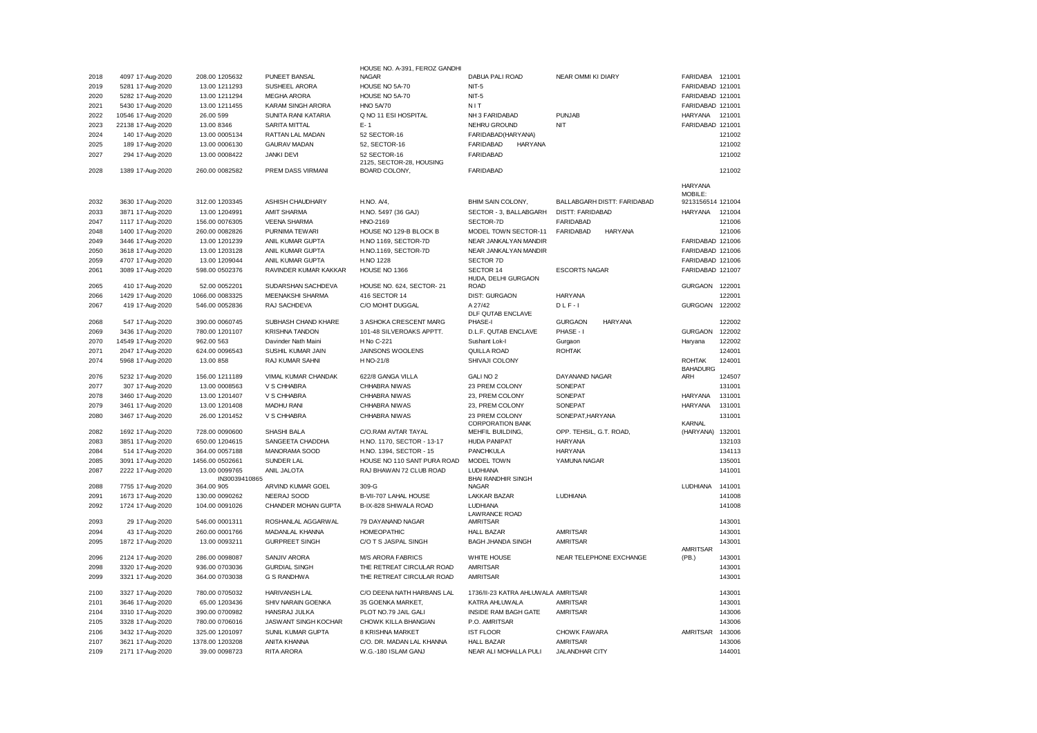|      |                   |                 |                          | HOUSE NO. A-391, FEROZ GANDHI |                                    |                                    |                          |        |
|------|-------------------|-----------------|--------------------------|-------------------------------|------------------------------------|------------------------------------|--------------------------|--------|
| 2018 | 4097 17-Aug-2020  | 208.00 1205632  | PUNEET BANSAL            | <b>NAGAR</b>                  | DABUA PALI ROAD                    | NEAR OMMI KI DIARY                 | FARIDABA                 | 121001 |
| 2019 | 5281 17-Aug-2020  | 13.00 1211293   | SUSHEEL ARORA            | HOUSE NO 5A-70                | $NIT-5$                            |                                    | FARIDABAD 121001         |        |
| 2020 | 5282 17-Aug-2020  | 13.00 1211294   | <b>MEGHA ARORA</b>       | HOUSE NO 5A-70                | $NIT-5$                            |                                    | FARIDABAD 121001         |        |
| 2021 | 5430 17-Aug-2020  | 13.00 1211455   | <b>KARAM SINGH ARORA</b> | <b>HNO 5A/70</b>              | NIT                                |                                    | FARIDABAD 121001         |        |
| 2022 | 10546 17-Aug-2020 | 26.00 599       | SUNITA RANI KATARIA      | Q NO 11 ESI HOSPITAL          | NH 3 FARIDABAD                     | PUNJAB                             | <b>HARYANA</b>           | 121001 |
| 2023 | 22138 17-Aug-2020 | 13.00 8346      | SARITA MITTAL            | $E - 1$                       | NEHRU GROUND                       | NIT                                | FARIDABAD 121001         |        |
| 2024 | 140 17-Aug-2020   | 13.00 0005134   | RATTAN LAL MADAN         | 52 SECTOR-16                  | FARIDABAD(HARYANA)                 |                                    |                          | 121002 |
| 2025 | 189 17-Aug-2020   | 13.00 0006130   | <b>GAURAV MADAN</b>      | 52, SECTOR-16                 | <b>FARIDABAD</b><br><b>HARYANA</b> |                                    |                          | 121002 |
| 2027 | 294 17-Aug-2020   | 13.00 0008422   | <b>JANKI DEVI</b>        | 52 SECTOR-16                  | <b>FARIDABAD</b>                   |                                    |                          | 121002 |
|      |                   |                 |                          | 2125, SECTOR-28, HOUSING      |                                    |                                    |                          |        |
| 2028 | 1389 17-Aug-2020  | 260.00 0082582  | PREM DASS VIRMANI        | BOARD COLONY,                 | <b>FARIDABAD</b>                   |                                    |                          | 121002 |
|      |                   |                 |                          |                               |                                    |                                    | <b>HARYANA</b>           |        |
|      |                   |                 |                          |                               |                                    |                                    | MOBILE:                  |        |
| 2032 | 3630 17-Aug-2020  | 312.00 1203345  | ASHISH CHAUDHARY         | H.NO. A/4,                    | BHIM SAIN COLONY,                  | BALLABGARH DISTT: FARIDABAD        | 9213156514 121004        |        |
| 2033 | 3871 17-Aug-2020  | 13.00 1204991   | <b>AMIT SHARMA</b>       | H.NO. 5497 (36 GAJ)           | SECTOR - 3, BALLABGARH             | <b>DISTT: FARIDABAD</b>            | <b>HARYANA</b>           | 121004 |
| 2047 | 1117 17-Aug-2020  | 156.00 0076305  | <b>VEENA SHARMA</b>      | HNO-2169                      | SECTOR-7D                          | <b>FARIDABAD</b>                   |                          | 121006 |
| 2048 | 1400 17-Aug-2020  | 260.00 0082826  | PURNIMA TEWARI           | HOUSE NO 129-B BLOCK B        | MODEL TOWN SECTOR-11               | <b>FARIDABAD</b><br><b>HARYANA</b> |                          | 121006 |
| 2049 | 3446 17-Aug-2020  | 13.00 1201239   | ANIL KUMAR GUPTA         | H.NO 1169, SECTOR-7D          | NEAR JANKALYAN MANDIR              |                                    | FARIDABAD 121006         |        |
| 2050 | 3618 17-Aug-2020  | 13.00 1203128   | ANIL KUMAR GUPTA         | H.NO.1169, SECTOR-7D          | NEAR JANKALYAN MANDIR              |                                    | FARIDABAD 121006         |        |
| 2059 | 4707 17-Aug-2020  | 13.00 1209044   | ANIL KUMAR GUPTA         | H.NO 1228                     | <b>SECTOR 7D</b>                   |                                    | FARIDABAD 121006         |        |
|      |                   |                 |                          |                               |                                    | <b>ESCORTS NAGAR</b>               | FARIDABAD 121007         |        |
| 2061 | 3089 17-Aug-2020  | 598.00 0502376  | RAVINDER KUMAR KAKKAR    | HOUSE NO 1366                 | SECTOR 14<br>HUDA, DELHI GURGAON   |                                    |                          |        |
| 2065 | 410 17-Aug-2020   | 52.00 0052201   | SUDARSHAN SACHDEVA       | HOUSE NO. 624, SECTOR- 21     | <b>ROAD</b>                        |                                    | <b>GURGAON</b>           | 122001 |
| 2066 | 1429 17-Aug-2020  | 1066.00 0083325 | <b>MEENAKSHI SHARMA</b>  | 416 SECTOR 14                 | <b>DIST: GURGAON</b>               | <b>HARYANA</b>                     |                          | 122001 |
| 2067 | 419 17-Aug-2020   | 546.00 0052836  | RAJ SACHDEVA             | C/O MOHIT DUGGAL              | A 27/42                            | $DLF-I$                            | <b>GURGOAN</b>           | 122002 |
|      |                   |                 |                          |                               | DLF QUTAB ENCLAVE                  |                                    |                          |        |
| 2068 | 547 17-Aug-2020   | 390.00 0060745  | SUBHASH CHAND KHARE      | 3 ASHOKA CRESCENT MARG        | PHASE-I                            | <b>GURGAON</b><br><b>HARYANA</b>   |                          | 122002 |
| 2069 | 3436 17-Aug-2020  | 780.00 1201107  | <b>KRISHNA TANDON</b>    | 101-48 SILVEROAKS APPTT.      | D.L.F. QUTAB ENCLAVE               | PHASE - I                          | <b>GURGAON</b>           | 122002 |
| 2070 | 14549 17-Aug-2020 | 962.00 563      | Davinder Nath Maini      | H No C-221                    | Sushant Lok-I                      | Gurgaon                            | Haryana                  | 122002 |
| 2071 | 2047 17-Aug-2020  | 624.00 0096543  | SUSHIL KUMAR JAIN        | <b>JAINSONS WOOLENS</b>       | QUILLA ROAD                        | <b>ROHTAK</b>                      |                          | 124001 |
| 2074 | 5968 17-Aug-2020  | 13.00 858       | RAJ KUMAR SAHNI          | H NO-21/8                     | SHIVAJI COLONY                     |                                    | <b>ROHTAK</b>            | 124001 |
|      |                   |                 |                          |                               |                                    |                                    | <b>BAHADURG</b>          |        |
| 2076 | 5232 17-Aug-2020  | 156.00 1211189  | VIMAL KUMAR CHANDAK      | 622/8 GANGA VILLA             | GALI NO <sub>2</sub>               | DAYANAND NAGAR                     | ARH                      | 124507 |
| 2077 | 307 17-Aug-2020   | 13.00 0008563   | V S CHHABRA              | CHHABRA NIWAS                 | 23 PREM COLONY                     | SONEPAT                            |                          | 131001 |
| 2078 | 3460 17-Aug-2020  | 13.00 1201407   | V S CHHABRA              | CHHABRA NIWAS                 | 23, PREM COLONY                    | SONEPAT                            | <b>HARYANA</b>           | 131001 |
| 2079 | 3461 17-Aug-2020  | 13.00 1201408   | <b>MADHU RANI</b>        | CHHABRA NIWAS                 | 23, PREM COLONY                    | SONEPAT                            | <b>HARYANA</b>           | 131001 |
| 2080 | 3467 17-Aug-2020  | 26.00 1201452   | V S CHHABRA              | CHHABRA NIWAS                 | 23 PREM COLONY                     | SONEPAT, HARYANA                   |                          | 131001 |
|      |                   |                 |                          |                               | <b>CORPORATION BANK</b>            |                                    | <b>KARNAL</b>            |        |
| 2082 | 1692 17-Aug-2020  | 728.00 0090600  | SHASHI BALA              | C/O.RAM AVTAR TAYAL           | MEHFIL BUILDING,                   | OPP. TEHSIL, G.T. ROAD,            | (HARYANA)                | 132001 |
| 2083 | 3851 17-Aug-2020  | 650.00 1204615  | SANGEETA CHADDHA         | H.NO. 1170, SECTOR - 13-17    | <b>HUDA PANIPAT</b>                | <b>HARYANA</b>                     |                          | 132103 |
| 2084 | 514 17-Aug-2020   | 364.00 0057188  | MANORAMA SOOD            | H.NO. 1394, SECTOR - 15       | PANCHKULA                          | <b>HARYANA</b>                     |                          | 134113 |
| 2085 | 3091 17-Aug-2020  | 1456.00 0502661 | <b>SUNDER LAL</b>        | HOUSE NO 110 SANT PURA ROAD   | <b>MODEL TOWN</b>                  | YAMUNA NAGAR                       |                          | 135001 |
| 2087 | 2222 17-Aug-2020  | 13.00 0099765   | ANIL JALOTA              | RAJ BHAWAN 72 CLUB ROAD       | <b>LUDHIANA</b>                    |                                    |                          | 141001 |
|      |                   | IN30039410865   |                          |                               | <b>BHAI RANDHIR SINGH</b>          |                                    |                          |        |
| 2088 | 7755 17-Aug-2020  | 364.00 905      | ARVIND KUMAR GOEL        | 309-G                         | <b>NAGAR</b>                       |                                    | LUDHIANA                 | 141001 |
| 2091 | 1673 17-Aug-2020  | 130.00 0090262  | NEERAJ SOOD              | B-VII-707 LAHAL HOUSE         | <b>LAKKAR BAZAR</b>                | LUDHIANA                           |                          | 141008 |
| 2092 | 1724 17-Aug-2020  | 104.00 0091026  | CHANDER MOHAN GUPTA      | B-IX-828 SHIWALA ROAD         | <b>LUDHIANA</b>                    |                                    |                          | 141008 |
|      |                   |                 |                          |                               | <b>LAWRANCE ROAD</b>               |                                    |                          |        |
| 2093 | 29 17-Aug-2020    | 546.00 0001311  | ROSHANLAL AGGARWAL       | 79 DAYANAND NAGAR             | <b>AMRITSAR</b>                    |                                    |                          | 143001 |
| 2094 | 43 17-Aug-2020    | 260.00 0001766  | MADANLAL KHANNA          | <b>HOMEOPATHIC</b>            | <b>HALL BAZAR</b>                  | <b>AMRITSAR</b>                    |                          | 143001 |
| 2095 | 1872 17-Aug-2020  | 13.00 0093211   | <b>GURPREET SINGH</b>    | C/O T S JASPAL SINGH          | <b>BAGH JHANDA SINGH</b>           | <b>AMRITSAR</b>                    |                          | 143001 |
| 2096 | 2124 17-Aug-2020  | 286.00 0098087  | <b>SANJIV ARORA</b>      | <b>M/S ARORA FABRICS</b>      | WHITE HOUSE                        | NEAR TELEPHONE EXCHANGE            | <b>AMRITSAR</b><br>(PB.) | 143001 |
|      |                   |                 |                          |                               |                                    |                                    |                          |        |
| 2098 | 3320 17-Aug-2020  | 936.00 0703036  | <b>GURDIAL SINGH</b>     | THE RETREAT CIRCULAR ROAD     | <b>AMRITSAR</b>                    |                                    |                          | 143001 |
| 2099 | 3321 17-Aug-2020  | 364.00 0703038  | <b>G S RANDHWA</b>       | THE RETREAT CIRCULAR ROAD     | <b>AMRITSAR</b>                    |                                    |                          | 143001 |
| 2100 | 3327 17-Aug-2020  | 780.00 0705032  | <b>HARIVANSH LAL</b>     | C/O DEENA NATH HARBANS LAL    | 1736/II-23 KATRA AHLUWALA AMRITSAR |                                    |                          | 143001 |
| 2101 | 3646 17-Aug-2020  | 65.00 1203436   | SHIV NARAIN GOENKA       | 35 GOENKA MARKET,             | KATRA AHLUWALA                     | <b>AMRITSAR</b>                    |                          | 143001 |
| 2104 | 3310 17-Aug-2020  | 390.00 0700982  | <b>HANSRAJ JULKA</b>     | PLOT NO.79 JAIL GALI          | INSIDE RAM BAGH GATE               | <b>AMRITSAR</b>                    |                          | 143006 |
|      |                   |                 |                          |                               | P.O. AMRITSAR                      |                                    |                          | 143006 |
| 2105 | 3328 17-Aug-2020  | 780.00 0706016  | JASWANT SINGH KOCHAR     | CHOWK KILLA BHANGIAN          |                                    |                                    |                          |        |
| 2106 | 3432 17-Aug-2020  | 325.00 1201097  | SUNIL KUMAR GUPTA        | 8 KRISHNA MARKET              | <b>IST FLOOR</b>                   | CHOWK FAWARA                       | <b>AMRITSAR</b>          | 143006 |
| 2107 | 3621 17-Aug-2020  | 1378.00 1203208 | ANITA KHANNA             | C/O. DR. MADAN LAL KHANNA     | <b>HALL BAZAR</b>                  | <b>AMRITSAR</b>                    |                          | 143006 |
| 2109 | 2171 17-Aug-2020  | 39.00 0098723   | RITA ARORA               | W.G.-180 ISLAM GANJ           | NEAR ALI MOHALLA PULI              | JALANDHAR CITY                     |                          | 144001 |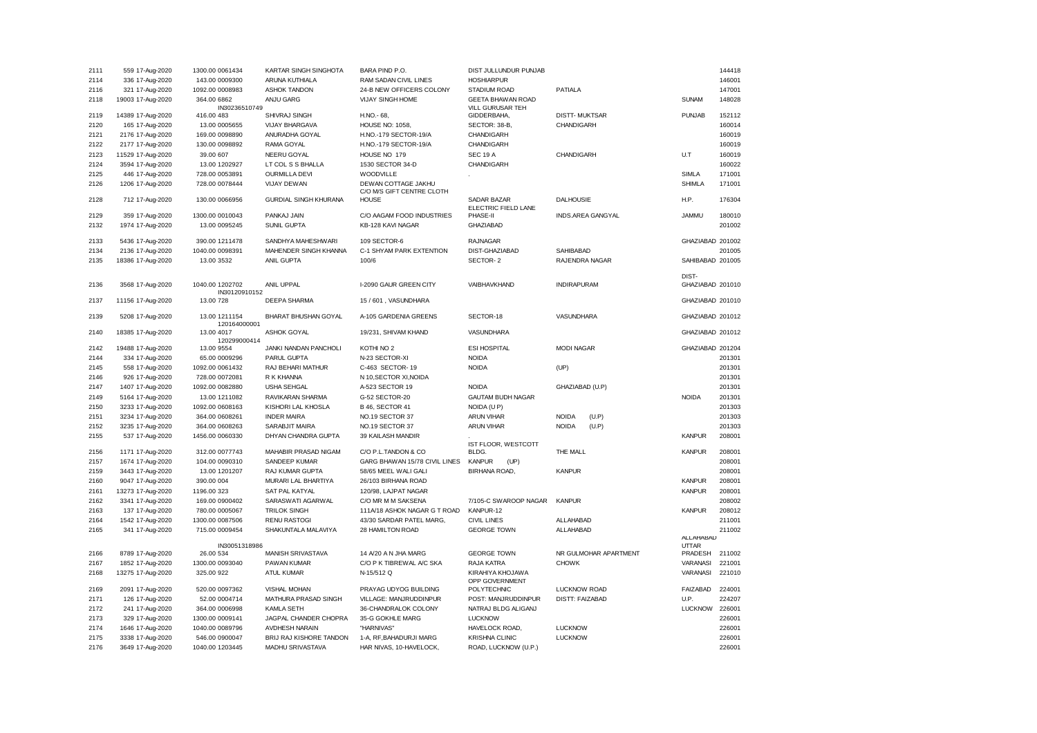| 2111 | 559 17-Aug-2020   | 1300.00 0061434 | KARTAR SINGH SINGHOTA        | BARA PIND P.O.                | DIST JULLUNDUR PUNJAB    |                        |                  | 144418 |
|------|-------------------|-----------------|------------------------------|-------------------------------|--------------------------|------------------------|------------------|--------|
| 2114 | 336 17-Aug-2020   | 143.00 0009300  | ARUNA KUTHIALA               | RAM SADAN CIVIL LINES         | <b>HOSHIARPUR</b>        |                        |                  | 146001 |
| 2116 | 321 17-Aug-2020   | 1092.00 0008983 | <b>ASHOK TANDON</b>          | 24-B NEW OFFICERS COLONY      | STADIUM ROAD             | PATIALA                |                  | 147001 |
| 2118 | 19003 17-Aug-2020 | 364.00 6862     | ANJU GARG                    | VIJAY SINGH HOME              | GEETA BHAWAN ROAD        |                        | <b>SUNAM</b>     | 148028 |
|      |                   | IN30236510749   |                              |                               | VILL GURUSAR TEH         |                        |                  |        |
| 2119 | 14389 17-Aug-2020 | 416.00 483      | SHIVRAJ SINGH                | H.NO.- 68.                    | GIDDERBAHA,              | <b>DISTT-MUKTSAR</b>   | <b>PUNJAB</b>    | 152112 |
| 2120 | 165 17-Aug-2020   | 13.00 0005655   | <b>VIJAY BHARGAVA</b>        | <b>HOUSE NO: 1058,</b>        | SECTOR: 38-B.            | CHANDIGARH             |                  | 160014 |
| 2121 | 2176 17-Aug-2020  | 169.00 0098890  | ANURADHA GOYAL               | H.NO.-179 SECTOR-19/A         | CHANDIGARH               |                        |                  | 160019 |
| 2122 | 2177 17-Aug-2020  | 130.00 0098892  | RAMA GOYAL                   | H.NO.-179 SECTOR-19/A         | CHANDIGARH               |                        |                  | 160019 |
| 2123 | 11529 17-Aug-2020 | 39.00 607       | NEERU GOYAL                  | HOUSE NO 179                  | <b>SEC 19 A</b>          | CHANDIGARH             | U.T              | 160019 |
| 2124 | 3594 17-Aug-2020  | 13.00 1202927   | LT COL S S BHALLA            | 1530 SECTOR 34-D              | CHANDIGARH               |                        |                  | 160022 |
| 2125 | 446 17-Aug-2020   | 728.00 0053891  | <b>OURMILLA DEVI</b>         | WOODVILLE                     |                          |                        | <b>SIMLA</b>     | 171001 |
| 2126 | 1206 17-Aug-2020  | 728.00 0078444  | <b>VIJAY DEWAN</b>           | DEWAN COTTAGE JAKHU           |                          |                        | <b>SHIMLA</b>    | 171001 |
|      |                   |                 |                              | C/O M/S GIFT CENTRE CLOTH     |                          |                        |                  |        |
| 2128 | 712 17-Aug-2020   | 130.00 0066956  | <b>GURDIAL SINGH KHURANA</b> | <b>HOUSE</b>                  | SADAR BAZAR              | <b>DALHOUSIE</b>       | H.P.             | 176304 |
|      |                   |                 |                              |                               | ELECTRIC FIELD LANE      |                        |                  |        |
| 2129 | 359 17-Aug-2020   | 1300.00 0010043 | PANKAJ JAIN                  | C/O AAGAM FOOD INDUSTRIES     | PHASE-II                 | INDS.AREA GANGYAL      | <b>JAMMU</b>     | 180010 |
| 2132 | 1974 17-Aug-2020  | 13.00 0095245   | SUNIL GUPTA                  | KB-128 KAVI NAGAR             | GHAZIABAD                |                        |                  | 201002 |
| 2133 | 5436 17-Aug-2020  | 390.00 1211478  | SANDHYA MAHESHWARI           | 109 SECTOR-6                  | <b>RAJNAGAR</b>          |                        | GHAZIABAD 201002 |        |
| 2134 | 2136 17-Aug-2020  | 1040.00 0098391 | MAHENDER SINGH KHANNA        | C-1 SHYAM PARK EXTENTION      | DIST-GHAZIABAD           | SAHIBABAD              |                  | 201005 |
| 2135 | 18386 17-Aug-2020 | 13.00 3532      | ANIL GUPTA                   | 100/6                         | SECTOR-2                 | RAJENDRA NAGAR         | SAHIBABAD 201005 |        |
|      |                   |                 |                              |                               |                          |                        |                  |        |
|      |                   |                 |                              |                               |                          |                        | DIST-            |        |
| 2136 | 3568 17-Aug-2020  | 1040.00 1202702 | ANIL UPPAL                   | I-2090 GAUR GREEN CITY        | VAIBHAVKHAND             | <b>INDIRAPURAM</b>     | GHAZIABAD 201010 |        |
|      |                   | IN30120910152   |                              |                               |                          |                        |                  |        |
| 2137 | 11156 17-Aug-2020 | 13.00 728       | <b>DEEPA SHARMA</b>          | 15 / 601, VASUNDHARA          |                          |                        | GHAZIABAD 201010 |        |
| 2139 | 5208 17-Aug-2020  | 13.00 1211154   | BHARAT BHUSHAN GOYAL         | A-105 GARDENIA GREENS         | SECTOR-18                | VASUNDHARA             | GHAZIABAD 201012 |        |
|      |                   | 120164000001    |                              |                               |                          |                        |                  |        |
| 2140 | 18385 17-Aug-2020 | 13.00 4017      | ASHOK GOYAL                  | 19/231, SHIVAM KHAND          | VASUNDHARA               |                        | GHAZIABAD 201012 |        |
|      |                   | 120299000414    |                              |                               |                          |                        |                  |        |
| 2142 | 19488 17-Aug-2020 | 13.00 9554      | JANKI NANDAN PANCHOLI        | KOTHI NO 2                    | <b>ESI HOSPITAL</b>      | <b>MODI NAGAR</b>      | GHAZIABAD 201204 |        |
| 2144 | 334 17-Aug-2020   | 65.00 0009296   | PARUL GUPTA                  | N-23 SECTOR-XI                | <b>NOIDA</b>             |                        |                  | 201301 |
| 2145 | 558 17-Aug-2020   | 1092.00 0061432 | RAJ BEHARI MATHUR            | C-463 SECTOR-19               | <b>NOIDA</b>             | (UP)                   |                  | 201301 |
| 2146 | 926 17-Aug-2020   | 728.00 0072081  | R K KHANNA                   | N 10, SECTOR XI, NOIDA        |                          |                        |                  | 201301 |
| 2147 | 1407 17-Aug-2020  | 1092.00 0082880 | <b>USHA SEHGAL</b>           | A-523 SECTOR 19               | <b>NOIDA</b>             | GHAZIABAD (U.P)        |                  | 201301 |
| 2149 | 5164 17-Aug-2020  | 13.00 1211082   | RAVIKARAN SHARMA             | G-52 SECTOR-20                | <b>GAUTAM BUDH NAGAR</b> |                        | <b>NOIDA</b>     | 201301 |
| 2150 | 3233 17-Aug-2020  | 1092.00 0608163 | KISHORI LAL KHOSLA           | <b>B 46, SECTOR 41</b>        | NOIDA (U P)              |                        |                  | 201303 |
| 2151 | 3234 17-Aug-2020  | 364.00 0608261  | <b>INDER MAIRA</b>           | NO.19 SECTOR 37               | ARUN VIHAR               | <b>NOIDA</b><br>(U.P)  |                  | 201303 |
| 2152 | 3235 17-Aug-2020  | 364.00 0608263  | SARABJIT MAIRA               | NO.19 SECTOR 37               | <b>ARUN VIHAR</b>        | <b>NOIDA</b><br>(U.P)  |                  | 201303 |
| 2155 | 537 17-Aug-2020   | 1456.00 0060330 | DHYAN CHANDRA GUPTA          | 39 KAILASH MANDIR             |                          |                        | <b>KANPUR</b>    | 208001 |
|      |                   |                 |                              |                               | IST FLOOR, WESTCOTT      |                        |                  |        |
| 2156 | 1171 17-Aug-2020  | 312.00 0077743  | MAHABIR PRASAD NIGAM         | C/O P.L.TANDON & CO           | BLDG.                    | THE MALL               | <b>KANPUR</b>    | 208001 |
| 2157 | 1674 17-Aug-2020  | 104.00 0090310  | SANDEEP KUMAR                | GARG BHAWAN 15/78 CIVIL LINES | <b>KANPUR</b><br>(UP)    |                        |                  | 208001 |
| 2159 | 3443 17-Aug-2020  | 13.00 1201207   | RAJ KUMAR GUPTA              | 58/65 MEEL WALI GALI          | <b>BIRHANA ROAD,</b>     | <b>KANPUR</b>          |                  | 208001 |
| 2160 | 9047 17-Aug-2020  | 390.00 004      | MURARI LAL BHARTIYA          | 26/103 BIRHANA ROAD           |                          |                        | <b>KANPUR</b>    | 208001 |
| 2161 | 13273 17-Aug-2020 | 1196.00 323     | SAT PAL KATYAL               | 120/98, LAJPAT NAGAR          |                          |                        | <b>KANPUR</b>    | 208001 |
| 2162 | 3341 17-Aug-2020  | 169.00 0900402  | SARASWATI AGARWAL            | C/O MR M M SAKSENA            | 7/105-C SWAROOP NAGAR    | <b>KANPUR</b>          |                  | 208002 |
| 2163 | 137 17-Aug-2020   | 780.00 0005067  | <b>TRILOK SINGH</b>          | 111A/18 ASHOK NAGAR G T ROAD  | KANPUR-12                |                        | <b>KANPUR</b>    | 208012 |
| 2164 | 1542 17-Aug-2020  | 1300.00 0087506 | <b>RENU RASTOGI</b>          | 43/30 SARDAR PATEL MARG,      | <b>CIVIL LINES</b>       | ALLAHABAD              |                  | 211001 |
| 2165 | 341 17-Aug-2020   | 715.00 0009454  | SHAKUNTALA MALAVIYA          | 28 HAMILTON ROAD              | <b>GEORGE TOWN</b>       | ALLAHABAD              |                  | 211002 |
|      |                   |                 |                              |                               |                          |                        | ALLAHABAD        |        |
|      |                   | IN30051318986   |                              |                               |                          |                        | <b>UTTAR</b>     |        |
| 2166 | 8789 17-Aug-2020  | 26.00 534       | MANISH SRIVASTAVA            | 14 A/20 A N JHA MARG          | <b>GEORGE TOWN</b>       | NR GULMOHAR APARTMENT  | PRADESH          | 211002 |
| 2167 | 1852 17-Aug-2020  | 1300.00 0093040 | PAWAN KUMAR                  | C/O P K TIBREWAL A/C SKA      | RAJA KATRA               | <b>CHOWK</b>           | VARANASI         | 221001 |
| 2168 | 13275 17-Aug-2020 | 325.00 922      | <b>ATUL KUMAR</b>            | N-15/512 Q                    | KIRAHIYA KHOJAWA         |                        | VARANASI         | 221010 |
|      |                   |                 |                              |                               | OPP GOVERNMENT           |                        |                  |        |
| 2169 | 2091 17-Aug-2020  | 520.00 0097362  | <b>VISHAL MOHAN</b>          | PRAYAG UDYOG BUILDING         | POLYTECHNIC              | <b>LUCKNOW ROAD</b>    | FAIZABAD         | 224001 |
| 2171 | 126 17-Aug-2020   | 52.00 0004714   | MATHURA PRASAD SINGH         | VILLAGE: MANJRUDDINPUR        | POST: MANJRUDDINPUR      | <b>DISTT: FAIZABAD</b> | U.P.             | 224207 |
| 2172 | 241 17-Aug-2020   | 364.00 0006998  | KAMLA SETH                   | 36-CHANDRALOK COLONY          | NATRAJ BLDG ALIGANJ      |                        | <b>LUCKNOW</b>   | 226001 |
| 2173 | 329 17-Aug-2020   | 1300.00 0009141 | JAGPAL CHANDER CHOPRA        | 35-G GOKHLE MARG              | <b>LUCKNOW</b>           |                        |                  | 226001 |
| 2174 | 1646 17-Aug-2020  | 1040.00 0089796 | AVDHESH NARAIN               | "HARNIVAS"                    | HAVELOCK ROAD,           | <b>LUCKNOW</b>         |                  | 226001 |
| 2175 | 3338 17-Aug-2020  | 546.00 0900047  | BRIJ RAJ KISHORE TANDON      | 1-A, RF, BAHADURJI MARG       | <b>KRISHNA CLINIC</b>    | LUCKNOW                |                  | 226001 |
| 2176 | 3649 17-Aug-2020  | 1040.00 1203445 | MADHU SRIVASTAVA             | HAR NIVAS, 10-HAVELOCK        | ROAD, LUCKNOW (U.P.)     |                        |                  | 226001 |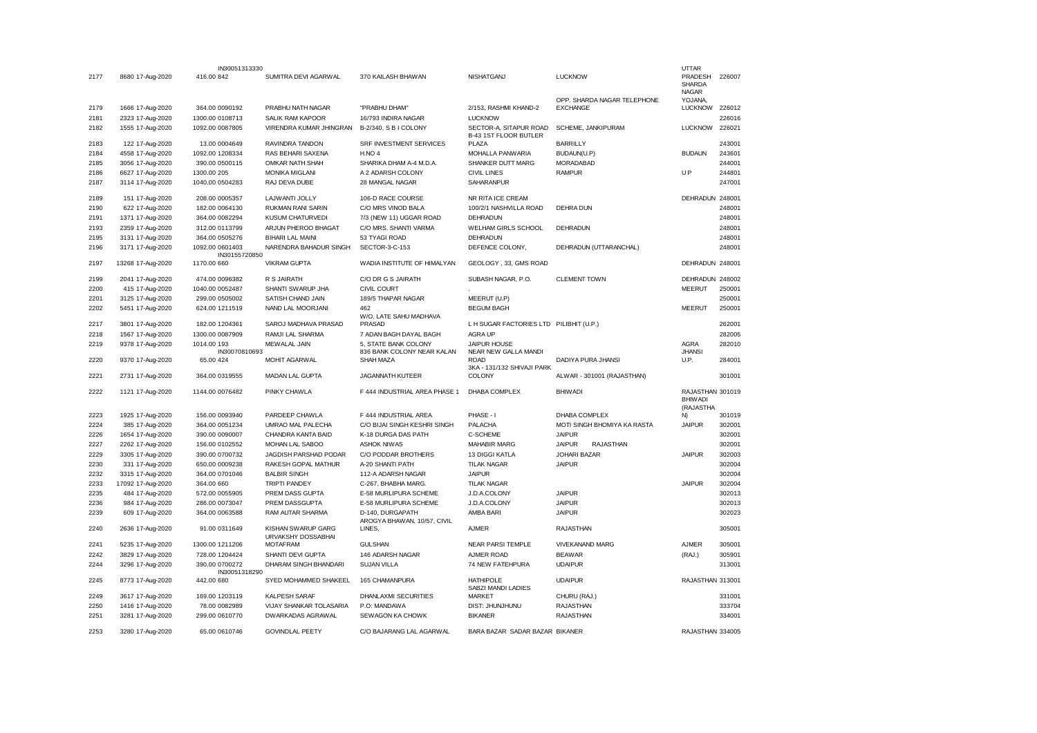|      |                   | IN30051313330                   |                                          |                                                 |                                                 |                                                | <b>UTTAR</b>                                    |        |
|------|-------------------|---------------------------------|------------------------------------------|-------------------------------------------------|-------------------------------------------------|------------------------------------------------|-------------------------------------------------|--------|
| 2177 | 8680 17-Aug-2020  | 416.00 842                      | SUMITRA DEVI AGARWAL                     | 370 KAILASH BHAWAN                              | NISHATGANJ                                      | <b>LUCKNOW</b>                                 | PRADESH<br><b>SHARDA</b>                        | 226007 |
| 2179 | 1666 17-Aug-2020  | 364.00 0090192                  | PRABHU NATH NAGAR                        | "PRABHU DHAM"                                   | 2/153, RASHMI KHAND-2                           | OPP. SHARDA NAGAR TELEPHONE<br><b>EXCHANGE</b> | <b>NAGAR</b><br>YOJANA,<br><b>LUCKNOW</b>       | 226012 |
| 2181 | 2323 17-Aug-2020  | 1300.00 0108713                 | SALIK RAM KAPOOR                         | 16/793 INDIRA NAGAR                             | <b>LUCKNOW</b>                                  |                                                |                                                 | 226016 |
| 2182 | 1555 17-Aug-2020  | 1092.00 0087805                 | VIRENDRA KUMAR JHINGRAN                  | B-2/340, S B I COLONY                           | SECTOR-A, SITAPUR ROAD<br>B-43 1ST FLOOR BUTLER | SCHEME, JANKIPURAM                             | <b>LUCKNOW</b>                                  | 226021 |
| 2183 | 122 17-Aug-2020   | 13.00 0004649                   | RAVINDRA TANDON                          | <b>SRF INVESTMENT SERVICES</b>                  | PLAZA                                           | <b>BARRILLY</b>                                |                                                 | 243001 |
| 2184 | 4558 17-Aug-2020  | 1092.00 1208334                 | RAS BEHARI SAXENA                        | $H.NO$ 4                                        | MOHALLA PANWARIA                                | BUDAUN(U.P)                                    | <b>BUDAUN</b>                                   | 243601 |
| 2185 | 3056 17-Aug-2020  | 390.00 0500115                  | OMKAR NATH SHAH                          | SHARIKA DHAM A-4 M.D.A.                         | SHANKER DUTT MARG                               | <b>MORADABAD</b>                               |                                                 | 244001 |
| 2186 | 6627 17-Aug-2020  | 1300.00 205                     | <b>MONIKA MIGLANI</b>                    | A 2 ADARSH COLONY                               | <b>CIVIL LINES</b>                              | <b>RAMPUR</b>                                  | UP                                              | 244801 |
| 2187 | 3114 17-Aug-2020  | 1040.00 0504283                 | RAJ DEVA DUBE                            | 28 MANGAL NAGAR                                 | SAHARANPUR                                      |                                                |                                                 | 247001 |
| 2189 | 151 17-Aug-2020   | 208.00 0005357                  | LAJWANTI JOLLY                           | 106-D RACE COURSE                               | NR RITA ICE CREAM                               |                                                | DEHRADUN 248001                                 |        |
| 2190 | 622 17-Aug-2020   | 182.00 0064130                  | <b>RUKMAN RANI SARIN</b>                 | C/O MRS VINOD BALA                              | 100/2/1 NASHVILLA ROAD                          | <b>DEHRA DUN</b>                               |                                                 | 248001 |
| 2191 | 1371 17-Aug-2020  | 364.00 0082294                  | <b>KUSUM CHATURVEDI</b>                  | 7/3 (NEW 11) UGGAR ROAD                         | <b>DEHRADUN</b>                                 |                                                |                                                 | 248001 |
| 2193 | 2359 17-Aug-2020  | 312.00 0113799                  | ARJUN PHEROO BHAGAT                      | C/O MRS. SHANTI VARMA                           | <b>WELHAM GIRLS SCHOOL</b>                      | <b>DEHRADUN</b>                                |                                                 | 248001 |
| 2195 | 3131 17-Aug-2020  | 364.00 0505276                  | <b>BIHARI LAL MAINI</b>                  | 53 TYAGI ROAD                                   | DEHRADUN                                        |                                                |                                                 | 248001 |
| 2196 | 3171 17-Aug-2020  | 1092.00 0601403                 | NARENDRA BAHADUR SINGH                   | SECTOR-3-C-153                                  | DEFENCE COLONY,                                 | DEHRADUN (UTTARANCHAL)                         |                                                 | 248001 |
| 2197 | 13268 17-Aug-2020 | IN30155720850<br>1170.00 660    | <b>VIKRAM GUPTA</b>                      | WADIA INSTITUTE OF HIMALYAN                     | GEOLOGY, 33, GMS ROAD                           |                                                | DEHRADUN 248001                                 |        |
| 2199 | 2041 17-Aug-2020  | 474.00 0096382                  | R S JAIRATH                              | C/O DR G S JAIRATH                              | SUBASH NAGAR, P.O.                              | <b>CLEMENT TOWN</b>                            | DEHRADUN 248002                                 |        |
| 2200 | 415 17-Aug-2020   | 1040.00 0052487                 | SHANTI SWARUP JHA                        | CIVIL COURT                                     |                                                 |                                                | <b>MEERUT</b>                                   | 250001 |
| 2201 | 3125 17-Aug-2020  | 299.00 0505002                  | SATISH CHAND JAIN                        | 189/5 THAPAR NAGAR                              | MEERUT (U.P)                                    |                                                |                                                 | 250001 |
| 2202 | 5451 17-Aug-2020  | 624.00 1211519                  | NAND LAL MOORJANI                        | 462                                             | <b>BEGUM BAGH</b>                               |                                                | <b>MEERUT</b>                                   | 250001 |
| 2217 | 3801 17-Aug-2020  | 182.00 1204361                  | SAROJ MADHAVA PRASAD                     | W/O. LATE SAHU MADHAVA<br>PRASAD                | L H SUGAR FACTORIES LTD PILIBHIT (U.P.)         |                                                |                                                 | 262001 |
| 2218 | 1567 17-Aug-2020  | 1300.00 0087909                 | RAMJI LAL SHARMA                         | 7 ADAN BAGH DAYAL BAGH                          | <b>AGRA UP</b>                                  |                                                |                                                 | 282005 |
| 2219 | 9378 17-Aug-2020  | 1014.00 193                     | MEWALAL JAIN                             | 5, STATE BANK COLONY                            | JAIPUR HOUSE                                    |                                                | <b>AGRA</b>                                     | 282010 |
| 2220 | 9370 17-Aug-2020  | IN30070810693<br>65.00 424      | MOHIT AGARWAL                            | 836 BANK COLONY NEAR KALAN<br>SHAH MAZA         | NEAR NEW GALLA MANDI<br><b>ROAD</b>             | DADIYA PURA JHANSI                             | <b>JHANSI</b><br>U.P.                           | 284001 |
| 2221 | 2731 17-Aug-2020  | 364.00 0319555                  | MADAN LAL GUPTA                          | <b>JAGANNATH KUTEER</b>                         | 3KA - 131/132 SHIVAJI PARK<br>COLONY            | ALWAR - 301001 (RAJASTHAN)                     |                                                 | 301001 |
|      |                   |                                 |                                          |                                                 |                                                 |                                                |                                                 |        |
| 2222 | 1121 17-Aug-2020  | 1144.00 0076482                 | PINKY CHAWLA                             | F 444 INDUSTRIAL AREA PHASE 1                   | <b>DHABA COMPLEX</b>                            | <b>BHIWADI</b>                                 | RAJASTHAN 301019<br><b>BHIWADI</b><br>(RAJASTHA |        |
| 2223 | 1925 17-Aug-2020  | 156.00 0093940                  | PARDEEP CHAWLA                           | F 444 INDUSTRIAL AREA                           | PHASE - I                                       | DHABA COMPLEX                                  | N)                                              | 301019 |
| 2224 | 385 17-Aug-2020   | 364.00 0051234                  | UMRAO MAL PALECHA                        | C/O BIJAI SINGH KESHRI SINGH                    | PALACHA                                         | MOTI SINGH BHOMIYA KA RASTA                    | <b>JAIPUR</b>                                   | 302001 |
| 2226 | 1654 17-Aug-2020  | 390.00 0090007                  | CHANDRA KANTA BAID                       | K-18 DURGA DAS PATH                             | C-SCHEME                                        | <b>JAIPUR</b>                                  |                                                 | 302001 |
| 2227 | 2262 17-Aug-2020  | 156.00 0102552                  | MOHAN LAL SABOO                          | <b>ASHOK NIWAS</b>                              | <b>MAHABIR MARG</b>                             | <b>JAIPUR</b><br><b>RAJASTHAN</b>              |                                                 | 302001 |
| 2229 | 3305 17-Aug-2020  | 390.00 0700732                  | JAGDISH PARSHAD PODAR                    | C/O PODDAR BROTHERS                             | 13 DIGGI KATLA                                  | <b>JOHARI BAZAR</b>                            | <b>JAIPUR</b>                                   | 302003 |
| 2230 | 331 17-Aug-2020   | 650.00 0009238                  | RAKESH GOPAL MATHUR                      | A-20 SHANTI PATH                                | <b>TILAK NAGAR</b>                              | <b>JAIPUR</b>                                  |                                                 | 302004 |
| 2232 | 3315 17-Aug-2020  | 364.00 0701046                  | <b>BALBIR SINGH</b>                      | 112-A ADARSH NAGAR                              | <b>JAIPUR</b>                                   |                                                |                                                 | 302004 |
| 2233 | 17092 17-Aug-2020 | 364.00 660                      | <b>TRIPTI PANDEY</b>                     | C-267, BHABHA MARG.                             | <b>TILAK NAGAR</b>                              |                                                | <b>JAIPUR</b>                                   | 302004 |
| 2235 | 484 17-Aug-2020   | 572.00 0055905                  | PREM DASS GUPTA                          | E-58 MURLIPURA SCHEME                           | J.D.A.COLONY                                    | <b>JAIPUR</b>                                  |                                                 | 302013 |
| 2236 | 984 17-Aug-2020   | 286.00 0073047                  | PREM DASSGUPTA                           | E-58 MURLIPURA SCHEME                           | J.D.A.COLONY                                    | <b>JAIPUR</b>                                  |                                                 | 302013 |
| 2239 | 609 17-Aug-2020   | 364.00 0063588                  | RAM AUTAR SHARMA                         | D-140, DURGAPATH<br>AROGYA BHAWAN, 10/57, CIVIL | AMBA BARI                                       | <b>JAIPUR</b>                                  |                                                 | 302023 |
| 2240 | 2636 17-Aug-2020  | 91.00 0311649                   | KISHAN SWARUP GARG<br>URVAKSHY DOSSABHAI | LINES,                                          | <b>AJMER</b>                                    | <b>RAJASTHAN</b>                               |                                                 | 305001 |
| 2241 | 5235 17-Aug-2020  | 1300.00 1211206                 | <b>MOTAFRAM</b>                          | <b>GULSHAN</b>                                  | <b>NEAR PARSI TEMPLE</b>                        | <b>VIVEKANAND MARG</b>                         | <b>AJMER</b>                                    | 305001 |
| 2242 | 3829 17-Aug-2020  | 728.00 1204424                  | SHANTI DEVI GUPTA                        | 146 ADARSH NAGAR                                | AJMER ROAD                                      | <b>BEAWAR</b>                                  | (RAJ.)                                          | 305901 |
| 2244 | 3296 17-Aug-2020  | 390.00 0700272<br>IN30051318290 | DHARAM SINGH BHANDARI                    | <b>SUJAN VILLA</b>                              | 74 NEW FATEHPURA                                | <b>UDAIPUR</b>                                 |                                                 | 313001 |
| 2245 | 8773 17-Aug-2020  | 442.00 680                      | SYED MOHAMMED SHAKEEL                    | 165 CHAMANPURA                                  | <b>HATHIPOLE</b><br>SABZI MANDI LADIES          | <b>UDAIPUR</b>                                 | RAJASTHAN 313001                                |        |
| 2249 | 3617 17-Aug-2020  | 169.00 1203119                  | <b>KALPESH SARAF</b>                     | DHANLAXMI SECURITIES                            | <b>MARKET</b>                                   | CHURU (RAJ.)                                   |                                                 | 331001 |
| 2250 | 1416 17-Aug-2020  | 78.00 0082989                   | <b>VIJAY SHANKAR TOLASARIA</b>           | P.O: MANDAWA                                    | DIST: JHUNJHUNU                                 | <b>RAJASTHAN</b>                               |                                                 | 333704 |
| 2251 | 3281 17-Aug-2020  | 299.00 0610770                  | <b>DWARKADAS AGRAWAL</b>                 | SEWAGON KA CHOWK                                | <b>BIKANER</b>                                  | <b>RAJASTHAN</b>                               |                                                 | 334001 |
| 2253 | 3280 17-Aug-2020  | 65.00 0610746                   | <b>GOVINDLAL PEETY</b>                   | C/O BAJARANG LAL AGARWAL                        | BARA BAZAR SADAR BAZAR BIKANER                  |                                                | RAJASTHAN 334005                                |        |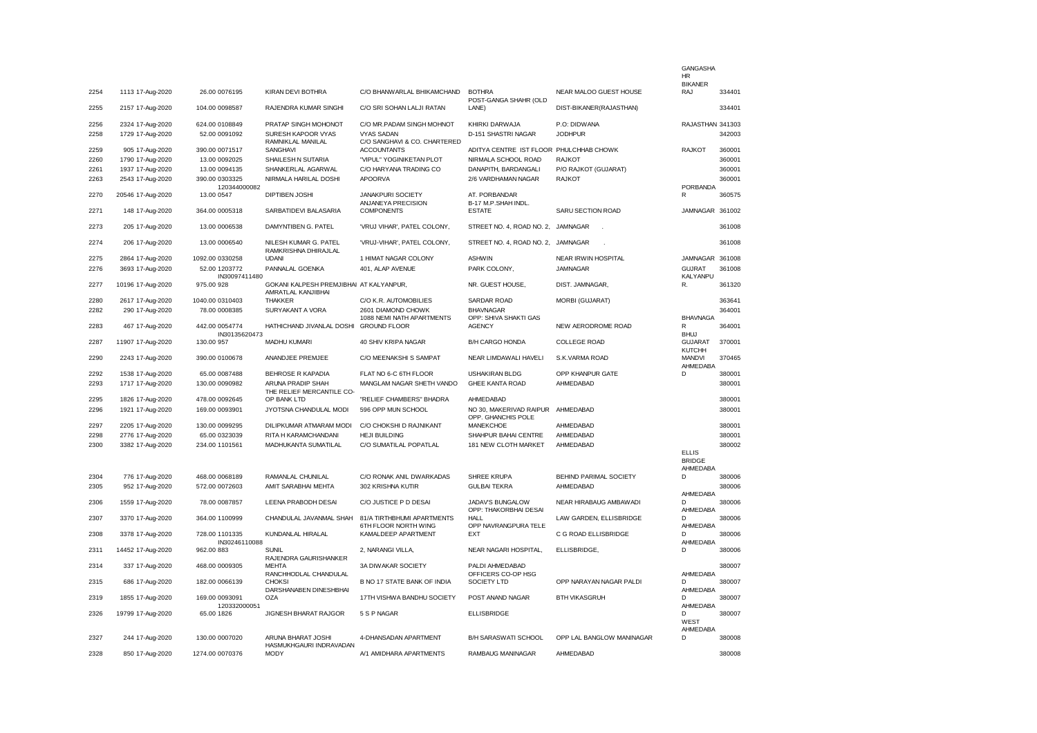|      |                   |                                 |                                                               |                                                    |                                                         |                           | <b>GANGASHA</b><br>HR                          |        |
|------|-------------------|---------------------------------|---------------------------------------------------------------|----------------------------------------------------|---------------------------------------------------------|---------------------------|------------------------------------------------|--------|
| 2254 | 1113 17-Aug-2020  | 26.00 0076195                   | KIRAN DEVI BOTHRA                                             | C/O BHANWARLAL BHIKAMCHAND                         | <b>BOTHRA</b>                                           | NEAR MALOO GUEST HOUSE    | <b>BIKANER</b><br>RAJ                          | 334401 |
| 2255 | 2157 17-Aug-2020  | 104.00 0098587                  | RAJENDRA KUMAR SINGHI                                         | C/O SRI SOHAN LALJI RATAN                          | POST-GANGA SHAHR (OLD<br>LANE)                          | DIST-BIKANER(RAJASTHAN)   |                                                | 334401 |
| 2256 | 2324 17-Aug-2020  | 624.00 0108849                  | PRATAP SINGH MOHONOT                                          | C/O MR.PADAM SINGH MOHNOT                          | KHIRKI DARWAJA                                          | P.O: DIDWANA              | RAJASTHAN 341303                               |        |
| 2258 | 1729 17-Aug-2020  | 52.00 0091092                   | SURESH KAPOOR VYAS<br>RAMNIKLAL MANILAL                       | <b>VYAS SADAN</b><br>C/O SANGHAVI & CO. CHARTERED  | D-151 SHASTRI NAGAR                                     | <b>JODHPUR</b>            |                                                | 342003 |
| 2259 | 905 17-Aug-2020   | 390.00 0071517                  | SANGHAVI                                                      | <b>ACCOUNTANTS</b>                                 | ADITYA CENTRE IST FLOOR PHULCHHAB CHOWK                 |                           | <b>RAJKOT</b>                                  | 360001 |
| 2260 | 1790 17-Aug-2020  | 13.00 0092025                   | SHAILESH N SUTARIA                                            | "VIPUL" YOGINIKETAN PLOT                           | NIRMALA SCHOOL ROAD                                     | <b>RAJKOT</b>             |                                                | 360001 |
| 2261 | 1937 17-Aug-2020  | 13.00 0094135                   | SHANKERLAL AGARWAL                                            | C/O HARYANA TRADING CO                             | DANAPITH, BARDANGALI                                    | P/O RAJKOT (GUJARAT)      |                                                | 360001 |
| 2263 | 2543 17-Aug-2020  | 390.00 0303325<br>120344000082  | NIRMALA HARILAL DOSHI                                         | <b>APOORVA</b>                                     | 2/6 VARDHAMAN NAGAR                                     | <b>RAJKOT</b>             | PORBANDA                                       | 360001 |
| 2270 | 20546 17-Aug-2020 | 13.00 0547                      | DIPTIBEN JOSHI                                                | JANAKPURI SOCIETY<br>ANJANEYA PRECISION            | AT. PORBANDAR<br>B-17 M.P.SHAH INDL.                    |                           | R                                              | 360575 |
| 2271 | 148 17-Aug-2020   | 364.00 0005318                  | SARBATIDEVI BALASARIA                                         | <b>COMPONENTS</b>                                  | <b>ESTATE</b>                                           | SARU SECTION ROAD         | <b>JAMNAGAR</b>                                | 361002 |
| 2273 | 205 17-Aug-2020   | 13.00 0006538                   | DAMYNTIBEN G. PATEL                                           | 'VRUJ VIHAR', PATEL COLONY,                        | STREET NO. 4, ROAD NO. 2,                               | JAMNAGAR                  |                                                | 361008 |
| 2274 | 206 17-Aug-2020   | 13.00 0006540                   | NILESH KUMAR G. PATEL<br>RAMKRISHNA DHIRAJLAL                 | 'VRUJ-VIHAR', PATEL COLONY,                        | STREET NO. 4, ROAD NO. 2, JAMNAGAR                      |                           |                                                | 361008 |
| 2275 | 2864 17-Aug-2020  | 1092.00 0330258                 | <b>UDAN</b>                                                   | 1 HIMAT NAGAR COLONY                               | <b>ASHWIN</b>                                           | NEAR IRWIN HOSPITAL       | <b>JAMNAGAR</b>                                | 361008 |
| 2276 | 3693 17-Aug-2020  | 52.00 1203772<br>IN30097411480  | PANNALAL GOENKA                                               | 401, ALAP AVENUE                                   | PARK COLONY,                                            | <b>JAMNAGAR</b>           | <b>GUJRAT</b><br>KALYANPU                      | 361008 |
| 2277 | 10196 17-Aug-2020 | 975.00 928                      | GOKANI KALPESH PREMJIBHAI AT KALYANPUR,<br>AMRATLAL KANJIBHAI |                                                    | NR. GUEST HOUSE,                                        | DIST. JAMNAGAR,           | R.                                             | 361320 |
| 2280 | 2617 17-Aug-2020  | 1040.00 0310403                 | <b>THAKKER</b>                                                | C/O K.R. AUTOMOBILIES                              | <b>SARDAR ROAD</b>                                      | MORBI (GUJARAT)           |                                                | 363641 |
| 2282 | 290 17-Aug-2020   | 78.00 0008385                   | SURYAKANT A VORA                                              | 2601 DIAMOND CHOWK                                 | <b>BHAVNAGAR</b>                                        |                           |                                                | 364001 |
| 2283 | 467 17-Aug-2020   | 442.00 0054774                  | HATHICHAND JIVANLAL DOSHI                                     | 1088 NEMI NATH APARTMENTS<br><b>GROUND FLOOR</b>   | OPP: SHIVA SHAKTI GAS<br><b>AGENCY</b>                  | NEW AERODROME ROAD        | <b>BHAVNAGA</b><br>R                           | 364001 |
| 2287 | 11907 17-Aug-2020 | IN30135620473<br>130.00 957     | <b>MADHU KUMARI</b>                                           | 40 SHIV KRIPA NAGAR                                | <b>B/H CARGO HONDA</b>                                  | <b>COLLEGE ROAD</b>       | <b>BHUJ</b><br><b>GUJARAT</b><br><b>KUTCHH</b> | 370001 |
| 2290 | 2243 17-Aug-2020  | 390.00 0100678                  | ANANDJEE PREMJEE                                              | C/O MEENAKSHI S SAMPAT                             | NEAR LIMDAWALI HAVELI                                   | S.K.VARMA ROAD            | <b>MANDVI</b><br>AHMEDABA                      | 370465 |
| 2292 | 1538 17-Aug-2020  | 65.00 0087488                   | BEHROSE R KAPADIA                                             | FLAT NO 6-C 6TH FLOOR                              | <b>USHAKIRAN BLDG</b>                                   | OPP KHANPUR GATE          | D                                              | 380001 |
| 2293 | 1717 17-Aug-2020  | 130.00 0090982                  | ARUNA PRADIP SHAH<br>THE RELIEF MERCANTILE CO-                | MANGLAM NAGAR SHETH VANDO                          | GHEE KANTA ROAD                                         | AHMEDABAD                 |                                                | 380001 |
| 2295 | 1826 17-Aug-2020  | 478.00 0092645                  | OP BANK LTD                                                   | "RELIEF CHAMBERS" BHADRA                           | AHMEDABAD                                               |                           |                                                | 380001 |
| 2296 | 1921 17-Aug-2020  | 169.00 0093901                  | JYOTSNA CHANDULAL MODI                                        | 596 OPP MUN SCHOOL                                 | NO 30, MAKERIVAD RAIPUR AHMEDABAD<br>OPP. GHANCHIS POLE |                           |                                                | 380001 |
| 2297 | 2205 17-Aug-2020  | 130.00 0099295                  | DILIPKUMAR ATMARAM MODI                                       | C/O CHOKSHI D RAJNIKANT                            | <b>MANEKCHOE</b>                                        | <b>AHMEDABAD</b>          |                                                | 380001 |
| 2298 | 2776 17-Aug-2020  | 65.00 0323039                   | RITA H KARAMCHANDANI                                          | <b>HEJI BUILDING</b>                               | SHAHPUR BAHAI CENTRE                                    | AHMEDABAD                 |                                                | 380001 |
| 2300 | 3382 17-Aug-2020  | 234.00 1101561                  | MADHUKANTA SUMATILAL                                          | C/O SUMATILAL POPATLAL                             | 181 NEW CLOTH MARKET                                    | AHMEDABAD                 |                                                | 380002 |
|      |                   |                                 |                                                               |                                                    |                                                         |                           | <b>ELLIS</b><br><b>BRIDGE</b>                  |        |
| 2304 | 776 17-Aug-2020   | 468.00 0068189                  | RAMANLAL CHUNILAL                                             | C/O RONAK ANIL DWARKADAS                           | SHREE KRUPA                                             | BEHIND PARIMAL SOCIETY    | AHMEDABA<br>D                                  | 380006 |
| 2305 | 952 17-Aug-2020   | 572.00 0072603                  | AMIT SARABHAI MEHTA                                           | 302 KRISHNA KUTIR                                  | <b>GULBAI TEKRA</b>                                     | AHMEDABAD                 |                                                | 380006 |
|      |                   |                                 |                                                               |                                                    |                                                         |                           | AHMEDABA                                       |        |
| 2306 | 1559 17-Aug-2020  | 78.00 0087857                   | LEENA PRABODH DESAI                                           | C/O JUSTICE P D DESAI                              | JADAV'S BUNGALOW<br>OPP: THAKORBHAI DESAI               | NEAR HIRABAUG AMBAWADI    | <sup>n</sup><br>AHMEDABA                       | 380006 |
| 2307 | 3370 17-Aug-2020  | 364.00 1100999                  | CHANDULAL JAVANMAL SHAH                                       | 81/A TIRTHBHUMI APARTMENTS<br>6TH FLOOR NORTH WING | HALL<br>OPP NAVRANGPURA TELE                            | LAW GARDEN, ELLISBRIDGE   | <sup>n</sup><br>AHMEDABA                       | 380006 |
| 2308 | 3378 17-Aug-2020  | 728.00 1101335<br>IN30246110088 | KUNDANLAL HIRALAL                                             | KAMALDEEP APARTMENT                                | <b>EXT</b>                                              | C G ROAD ELLISBRIDGE      | <sup>n</sup><br>AHMEDABA                       | 380006 |
| 2311 | 14452 17-Aug-2020 | 962.00 883                      | SUNIL<br>RAJENDRA GAURISHANKER                                | 2, NARANGI VILLA,                                  | NEAR NAGARI HOSPITAL,                                   | ELLISBRIDGE.              | D                                              | 380006 |
| 2314 | 337 17-Aug-2020   | 468.00 0009305                  | <b>MEHTA</b><br>RANCHHODLAL CHANDULAL                         | 3A DIWAKAR SOCIETY                                 | PALDI AHMEDABAD<br>OFFICERS CO-OP HSG                   |                           | AHMEDABA                                       | 380007 |
| 2315 | 686 17-Aug-2020   | 182.00 0066139                  | <b>CHOKSI</b><br>DARSHANABEN DINESHBHAI                       | B NO 17 STATE BANK OF INDIA                        | SOCIETY LTD                                             | OPP NARAYAN NAGAR PALDI   | D<br>AHMEDABA                                  | 380007 |
| 2319 | 1855 17-Aug-2020  | 169.00 0093091<br>120332000051  | <b>OZA</b>                                                    | 17TH VISHWA BANDHU SOCIETY                         | POST ANAND NAGAR                                        | <b>BTH VIKASGRUH</b>      | <sup>n</sup><br>AHMEDABA                       | 380007 |
| 2326 | 19799 17-Aug-2020 | 65.00 1826                      | JIGNESH BHARAT RAJGOR                                         | 5 S P NAGAR                                        | <b>ELLISBRIDGE</b>                                      |                           | <sup>n</sup><br><b>WEST</b>                    | 380007 |
| 2327 | 244 17-Aug-2020   | 130.00 0007020                  | ARUNA BHARAT JOSHI                                            | 4-DHANSADAN APARTMENT                              | B/H SARASWATI SCHOOL                                    | OPP LAL BANGLOW MANINAGAR | AHMEDABA<br><sup>n</sup>                       | 380008 |
| 2328 | 850 17-Aug-2020   | 1274.00 0070376                 | HASMUKHGAURI INDRAVADAN<br><b>MODY</b>                        | A/1 AMIDHARA APARTMENTS                            | RAMBAUG MANINAGAR                                       | AHMEDABAD                 |                                                | 380008 |
|      |                   |                                 |                                                               |                                                    |                                                         |                           |                                                |        |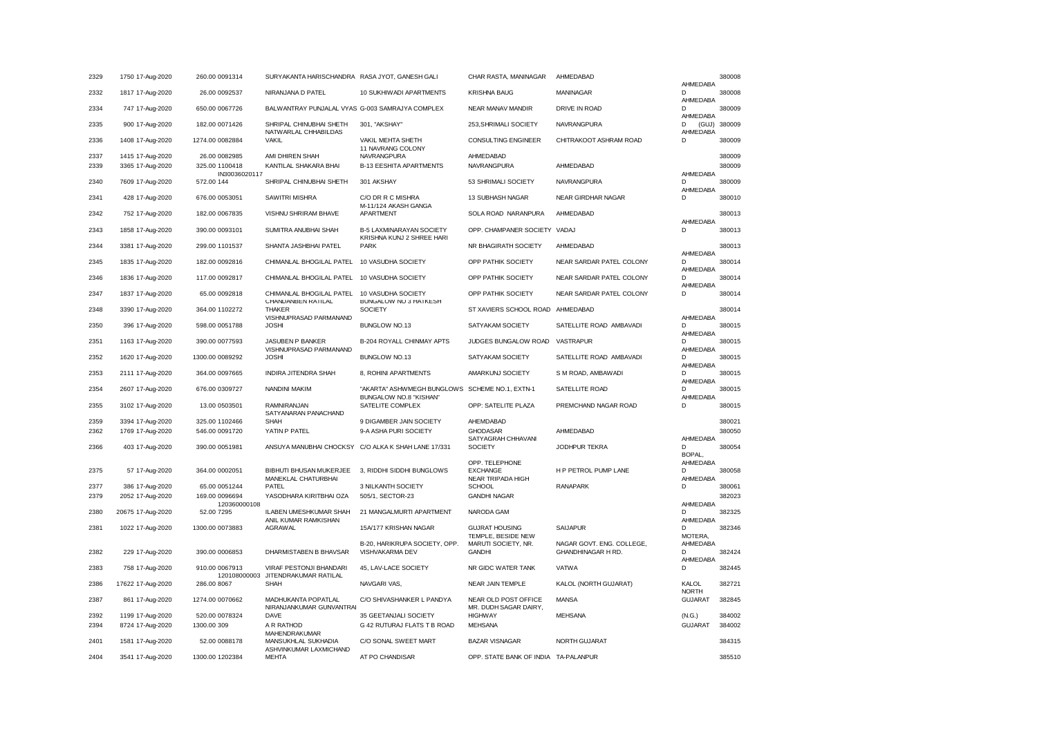| 2329 | 1750 17-Aug-2020  | 260.00 0091314              | SURYAKANTA HARISCHANDRA RASA JYOT, GANESH GALI                    |                                                                          | CHAR RASTA, MANINAGAR                   | AHMEDABAD                                       | AHMEDABA                       | 380008 |
|------|-------------------|-----------------------------|-------------------------------------------------------------------|--------------------------------------------------------------------------|-----------------------------------------|-------------------------------------------------|--------------------------------|--------|
| 2332 | 1817 17-Aug-2020  | 26.00 0092537               | NIRANJANA D PATEL                                                 | 10 SUKHIWADI APARTMENTS                                                  | <b>KRISHNA BAUG</b>                     | MANINAGAR                                       | D                              | 380008 |
| 2334 | 747 17-Aug-2020   | 650.00 0067726              | BALWANTRAY PUNJALAL VYAS G-003 SAMRAJYA COMPLEX                   |                                                                          | <b>NEAR MANAV MANDIR</b>                | <b>DRIVE IN ROAD</b>                            | AHMEDABA<br>D                  | 380009 |
| 2335 | 900 17-Aug-2020   | 182.00 0071426              | SHRIPAL CHINUBHAI SHETH                                           | 301, "AKSHAY"                                                            | 253, SHRIMALI SOCIETY                   | NAVRANGPURA                                     | AHMEDABA<br>D<br>(GUJ)         | 380009 |
| 2336 | 1408 17-Aug-2020  | 1274.00 0082884             | NATWARLAL CHHABILDAS<br><b>VAKIL</b>                              | VAKIL MEHTA SHETH                                                        | <b>CONSULTING ENGINEER</b>              | CHITRAKOOT ASHRAM ROAD                          | AHMEDABA<br>D                  | 380009 |
| 2337 | 1415 17-Aug-2020  | 26.00 0082985               | AMI DHIREN SHAH                                                   | 11 NAVRANG COLONY<br>NAVRANGPURA                                         | AHMEDABAD                               |                                                 |                                | 380009 |
| 2339 | 3365 17-Aug-2020  | 325.00 1100418              | KANTILAL SHAKARA BHAI                                             | <b>B-13 EESHITA APARTMENTS</b>                                           | NAVRANGPURA                             | AHMEDABAD                                       |                                | 380009 |
|      |                   | IN30036020117               |                                                                   |                                                                          |                                         |                                                 | AHMEDABA                       |        |
| 2340 | 7609 17-Aug-2020  | 572.00 144                  | SHRIPAL CHINUBHAI SHETH                                           | 301 AKSHAY                                                               | 53 SHRIMALI SOCIETY                     | NAVRANGPURA                                     | D<br>AHMEDABA                  | 380009 |
| 2341 | 428 17-Aug-2020   | 676.00 0053051              | SAWITRI MISHRA                                                    | C/O DR R C MISHRA<br>M-11/124 AKASH GANGA                                | 13 SUBHASH NAGAR                        | NEAR GIRDHAR NAGAR                              | D                              | 380010 |
| 2342 | 752 17-Aug-2020   | 182.00 0067835              | VISHNU SHRIRAM BHAVE                                              | APARTMENT                                                                | SOLA ROAD NARANPURA                     | AHMEDABAD                                       | AHMEDABA                       | 380013 |
| 2343 | 1858 17-Aug-2020  | 390.00 0093101              | SUMITRA ANUBHAI SHAH                                              | B-5 LAXMINARAYAN SOCIETY<br>KRISHNA KUNJ 2 SHREE HARI                    | OPP. CHAMPANER SOCIETY VADAJ            |                                                 | D                              | 380013 |
| 2344 | 3381 17-Aug-2020  | 299.00 1101537              | SHANTA JASHBHAI PATEL                                             | <b>PARK</b>                                                              | NR BHAGIRATH SOCIETY                    | AHMEDABAD                                       | AHMEDABA                       | 380013 |
| 2345 | 1835 17-Aug-2020  | 182.00 0092816              | CHIMANLAL BHOGILAL PATEL                                          | 10 VASUDHA SOCIETY                                                       | OPP PATHIK SOCIETY                      | NEAR SARDAR PATEL COLONY                        | D<br>AHMEDABA                  | 380014 |
| 2346 | 1836 17-Aug-2020  | 117.00 0092817              | CHIMANLAL BHOGILAL PATEL 10 VASUDHA SOCIETY                       |                                                                          | OPP PATHIK SOCIETY                      | NEAR SARDAR PATEL COLONY                        | D<br>AHMEDABA                  | 380014 |
| 2347 | 1837 17-Aug-2020  | 65.00 0092818               | CHIMANLAL BHOGILAL PATEL 10 VASUDHA SOCIETY<br>CHANDANBEN RATILAL | BUNGALOW NO 3 HATKESH                                                    | OPP PATHIK SOCIETY                      | NEAR SARDAR PATEL COLONY                        | D                              | 380014 |
| 2348 | 3390 17-Aug-2020  | 364.00 1102272              | <b>THAKER</b><br>VISHNUPRASAD PARMANAND                           | <b>SOCIETY</b>                                                           | ST XAVIERS SCHOOL ROAD                  | AHMEDABAD                                       | AHMEDABA                       | 380014 |
| 2350 | 396 17-Aug-2020   | 598.00 0051788              | <b>JOSHI</b>                                                      | BUNGLOW NO.13                                                            | SATYAKAM SOCIETY                        | SATELLITE ROAD AMBAVADI                         | D<br>AHMEDABA                  | 380015 |
| 2351 | 1163 17-Aug-2020  | 390.00 0077593              | <b>JASUBEN P BANKER</b>                                           | B-204 ROYALL CHINMAY APTS                                                | JUDGES BUNGALOW ROAD                    | <b>VASTRAPUR</b>                                | D<br>AHMEDABA                  | 380015 |
| 2352 | 1620 17-Aug-2020  | 1300.00 0089292             | VISHNUPRASAD PARMANAND<br><b>JOSHI</b>                            | BUNGLOW NO.13                                                            | SATYAKAM SOCIETY                        | SATELLITE ROAD AMBAVADI                         | D<br>AHMEDABA                  | 380015 |
| 2353 | 2111 17-Aug-2020  | 364.00 0097665              | INDIRA JITENDRA SHAH                                              | 8, ROHINI APARTMENTS                                                     | AMARKUNJ SOCIETY                        | S M ROAD, AMBAWADI                              | D<br>AHMEDABA                  | 380015 |
| 2354 | 2607 17-Aug-2020  | 676.00 0309727              | NANDINI MAKIM                                                     | "AKARTA" ASHWMEGH BUNGLOWS SCHEME NO.1, EXTN-1<br>BUNGALOW NO.8 "KISHAN" |                                         | SATELLITE ROAD                                  | D<br>AHMEDABA                  | 380015 |
| 2355 | 3102 17-Aug-2020  | 13.00 0503501               | <b>RAMNIRANJAN</b><br>SATYANARAN PANACHAND                        | SATELITE COMPLEX                                                         | OPP: SATELITE PLAZA                     | PREMCHAND NAGAR ROAD                            | D                              | 380015 |
| 2359 | 3394 17-Aug-2020  | 325.00 1102466              | <b>SHAH</b>                                                       | 9 DIGAMBER JAIN SOCIETY                                                  | AHEMDABAD                               |                                                 |                                | 380021 |
| 2362 | 1769 17-Aug-2020  | 546.00 0091720              | YATIN P PATEL                                                     | 9-A ASHA PURI SOCIETY                                                    | <b>GHODASAR</b>                         | AHMEDABAD                                       |                                | 380050 |
|      |                   |                             |                                                                   |                                                                          | SATYAGRAH CHHAVANI                      |                                                 | AHMEDABA                       |        |
| 2366 | 403 17-Aug-2020   | 390.00 0051981              | ANSUYA MANUBHAI CHOCKSY C/O ALKA K SHAH LANE 17/331               |                                                                          | SOCIETY                                 | JODHPUR TEKRA                                   | D<br>BOPAL,                    | 380054 |
|      |                   |                             |                                                                   |                                                                          | OPP. TELEPHONE                          |                                                 | AHMEDABA                       |        |
| 2375 | 57 17-Aug-2020    | 364.00 0002051              | BIBHUTI BHUSAN MUKERJEE                                           | 3, RIDDHI SIDDHI BUNGLOWS                                                | <b>EXCHANGE</b><br>NEAR TRIPADA HIGH    | H P PETROL PUMP LANE                            | D<br>AHMEDABA                  | 380058 |
| 2377 | 386 17-Aug-2020   | 65.00 0051244               | MANEKLAL CHATURBHAI<br>PATEL                                      | 3 NILKANTH SOCIETY                                                       | <b>SCHOOL</b>                           | <b>RANAPARK</b>                                 | D                              | 380061 |
| 2379 | 2052 17-Aug-2020  | 169.00 0096694              | YASODHARA KIRITBHAI OZA                                           | 505/1, SECTOR-23                                                         | <b>GANDHI NAGAR</b>                     |                                                 |                                | 382023 |
|      |                   | 120360000108                |                                                                   |                                                                          |                                         |                                                 | AHMEDABA                       |        |
| 2380 | 20675 17-Aug-2020 | 52.00 7295                  | ILABEN UMESHKUMAR SHAH                                            | 21 MANGALMURTI APARTMENT                                                 | NARODA GAM                              |                                                 | D                              | 382325 |
| 2381 | 1022 17-Aug-2020  | 1300.00 0073883             | ANIL KUMAR RAMKISHAN<br>AGRAWAL                                   | 15A/177 KRISHAN NAGAR                                                    | <b>GUJRAT HOUSING</b>                   | <b>SAIJAPUR</b>                                 | AHMEDABA<br>D                  | 382346 |
|      |                   |                             |                                                                   |                                                                          | TEMPLE, BESIDE NEW                      |                                                 | MOTERA,                        |        |
| 2382 | 229 17-Aug-2020   | 390.00 0006853              | DHARMISTABEN B BHAVSAR                                            | B-20, HARIKRUPA SOCIETY, OPP.<br>VISHVAKARMA DEV                         | MARUTI SOCIETY, NR.<br><b>GANDHI</b>    | NAGAR GOVT. ENG. COLLEGE,<br>GHANDHINAGAR H RD. | AHMEDABA<br>D                  | 382424 |
| 2383 | 758 17-Aug-2020   | 910.00 0067913              | <b>VIRAF PESTONJI BHANDARI</b>                                    | 45, LAV-LACE SOCIETY                                                     | NR GIDC WATER TANK                      | <b>VATWA</b>                                    | AHMEDABA<br>D                  | 382445 |
| 2386 | 17622 17-Aug-2020 | 120108000003<br>286.00 8067 | JITENDRAKUMAR RATILAL<br><b>SHAH</b>                              | NAVGARI VAS,                                                             | NEAR JAIN TEMPLE                        | KALOL (NORTH GUJARAT)                           | KALOL                          | 382721 |
| 2387 | 861 17-Aug-2020   | 1274.00 0070662             | MADHUKANTA POPATLAL<br>NIRANJANKUMAR GUNVANTRAI                   | C/O SHIVASHANKER L PANDYA                                                | NEAR OLD POST OFFICE                    | <b>MANSA</b>                                    | <b>NORTH</b><br><b>GUJARAT</b> | 382845 |
| 2392 | 1199 17-Aug-2020  | 520.00 0078324              | <b>DAVE</b>                                                       | 35 GEETANJALI SOCIETY                                                    | MR. DUDH SAGAR DAIRY,<br><b>HIGHWAY</b> | <b>MEHSANA</b>                                  | (N.G.)                         | 384002 |
| 2394 | 8724 17-Aug-2020  | 1300.00 309                 | A R RATHOD                                                        | G 42 RUTURAJ FLATS T B ROAD                                              | <b>MEHSANA</b>                          |                                                 | <b>GUJARAT</b>                 | 384002 |
|      |                   |                             | MAHENDRAKUMAR                                                     |                                                                          |                                         |                                                 |                                |        |
| 2401 | 1581 17-Aug-2020  | 52.00 0088178               | MANSUKHLAL SUKHADIA<br>ASHVINKUMAR LAXMICHAND                     | C/O SONAL SWEET MART                                                     | <b>BAZAR VISNAGAR</b>                   | NORTH GUJARAT                                   |                                | 384315 |
| 2404 | 3541 17-Aug-2020  | 1300.00 1202384             | <b>MEHTA</b>                                                      | AT PO CHANDISAR                                                          | OPP. STATE BANK OF INDIA TA-PALANPUR    |                                                 |                                | 385510 |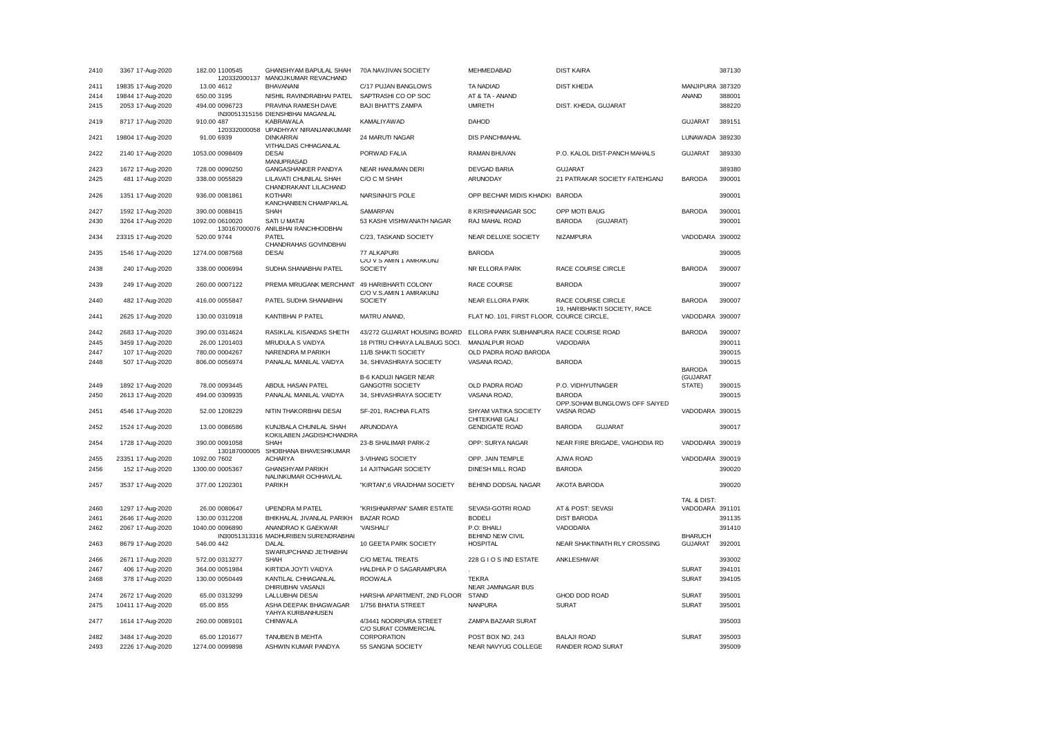| 2410         | 3367 17-Aug-2020                     | 182.00 1100545<br>120332000137  | GHANSHYAM BAPULAL SHAH<br>MANOJKUMAR REVACHAND                                | 70A NAVJIVAN SOCIETY                               | MEHMEDABAD                                | <b>DIST KAIRA</b>                                  |                  | 387130           |
|--------------|--------------------------------------|---------------------------------|-------------------------------------------------------------------------------|----------------------------------------------------|-------------------------------------------|----------------------------------------------------|------------------|------------------|
| 2411         | 19835 17-Aug-2020                    | 13.00 4612                      | <b>BHAVANANI</b>                                                              | C/17 PUJAN BANGLOWS                                | TA NADIAD                                 | <b>DIST KHEDA</b>                                  | MANJIPURA 387320 |                  |
| 2414         | 19844 17-Aug-2020                    | 650.00 3195                     | NISHIL RAVINDRABHAI PATEL                                                     | SAPTRASHI CO OP SOC                                | AT & TA - ANAND                           |                                                    | <b>ANAND</b>     | 388001           |
| 2415         | 2053 17-Aug-2020                     | 494.00 0096723                  | PRAVINA RAMESH DAVE<br>IN30051315156 DIENSHBHAI MAGANLAL                      | <b>BAJI BHATT'S ZAMPA</b>                          | <b>UMRETH</b>                             | DIST. KHEDA, GUJARAT                               |                  | 388220           |
| 2419         | 8717 17-Aug-2020                     | 910.00 487                      | KABRAWALA<br>120332000058 UPADHYAY NIRANJANKUMAR                              | KAMALIYAWAD                                        | <b>DAHOD</b>                              |                                                    | <b>GUJARAT</b>   | 389151           |
| 2421         | 19804 17-Aug-2020                    | 91.00 6939                      | <b>DINKARRAI</b><br>VITHALDAS CHHAGANLAL                                      | 24 MARUTI NAGAR                                    | <b>DIS PANCHMAHAL</b>                     |                                                    | LUNAWADA 389230  |                  |
| 2422         | 2140 17-Aug-2020                     | 1053.00 0098409                 | <b>DESAI</b><br>MANUPRASAD                                                    | PORWAD FALIA                                       | RAMAN BHUVAN                              | P.O. KALOL DIST-PANCH MAHALS                       | <b>GUJARAT</b>   | 389330           |
| 2423         | 1672 17-Aug-2020                     | 728.00 0090250                  | GANGASHANKER PANDYA                                                           | NEAR HANUMAN DERI                                  | DEVGAD BARIA                              | <b>GUJARAT</b>                                     |                  | 389380           |
| 2425         | 481 17-Aug-2020                      | 338.00 0055829                  | LILAVATI CHUNILAL SHAH<br>CHANDRAKANT LILACHAND                               | C/O C M SHAH                                       | ARUNODAY                                  | 21 PATRAKAR SOCIETY FATEHGANJ                      | <b>BARODA</b>    | 390001           |
| 2426         | 1351 17-Aug-2020                     | 936.00 0081861                  | KOTHARI<br>KANCHANBEN CHAMPAKLAL                                              | NARSINHJI'S POLE                                   | OPP BECHAR MIDIS KHADKI BARODA            |                                                    |                  | 390001           |
| 2427         | 1592 17-Aug-2020                     | 390.00 0088415                  | <b>SHAH</b>                                                                   | SAMARPAN                                           | 8 KRISHNANAGAR SOC                        | OPP MOTI BAUG                                      | <b>BARODA</b>    | 390001           |
| 2430         | 3264 17-Aug-2020                     | 1092.00 0610020                 | SATI U MATAI<br>130167000076 ANILBHAI RANCHHODBHAI                            | 53 KASHI VISHWANATH NAGAR                          | RAJ MAHAL ROAD                            | <b>BARODA</b><br>(GUJARAT)                         |                  | 390001           |
| 2434         | 23315 17-Aug-2020                    | 520.00 9744                     | PATEL<br>CHANDRAHAS GOVINDBHAI                                                | C/23, TASKAND SOCIETY                              | NEAR DELUXE SOCIETY                       | <b>NIZAMPURA</b>                                   | VADODARA 390002  |                  |
| 2435         | 1546 17-Aug-2020                     | 1274.00 0087568                 | <b>DESAI</b>                                                                  | 77 ALKAPURI<br>C/O V S AMIN 1 AMRAKUNJ             | <b>BARODA</b>                             |                                                    |                  | 390005           |
| 2438         | 240 17-Aug-2020                      | 338.00 0006994                  | SUDHA SHANABHAI PATEL                                                         | <b>SOCIETY</b>                                     | NR ELLORA PARK                            | RACE COURSE CIRCLE                                 | <b>BARODA</b>    | 390007           |
| 2439         | 249 17-Aug-2020                      | 260.00 0007122                  | PREMA MRUGANK MERCHANT                                                        | 49 HARIBHARTI COLONY<br>C/O V.S.AMIN 1 AMRAKUNJ    | RACE COURSE                               | <b>BARODA</b>                                      |                  | 390007           |
| 2440         | 482 17-Aug-2020                      | 416.00 0055847                  | PATEL SUDHA SHANABHAI                                                         | <b>SOCIETY</b>                                     | NEAR ELLORA PARK                          | RACE COURSE CIRCLE<br>19, HARIBHAKTI SOCIETY, RACE | <b>BARODA</b>    | 390007           |
| 2441         | 2625 17-Aug-2020                     | 130.00 0310918                  | <b>KANTIBHAI P PATEL</b>                                                      | MATRU ANAND,                                       | FLAT NO. 101, FIRST FLOOR, COURCE CIRCLE, |                                                    | VADODARA 390007  |                  |
| 2442         | 2683 17-Aug-2020                     | 390.00 0314624                  | RASIKLAL KISANDAS SHETH                                                       | 43/272 GUJARAT HOUSING BOARD                       | ELLORA PARK SUBHANPURA RACE COURSE ROAD   |                                                    | <b>BARODA</b>    | 390007           |
| 2445         | 3459 17-Aug-2020                     | 26.00 1201403                   | MRUDULA S VAIDYA                                                              | 18 PITRU CHHAYA LALBAUG SOCI.                      | MANJALPUR ROAD                            | VADODARA                                           |                  | 390011           |
| 2447         | 107 17-Aug-2020                      | 780.00 0004267                  | NARENDRA M PARIKH                                                             | 11/B SHAKTI SOCIETY                                | OLD PADRA ROAD BARODA                     |                                                    |                  | 390015           |
| 2448         | 507 17-Aug-2020                      | 806.00 0056974                  | PANALAL MANILAL VAIDYA                                                        | 34, SHIVASHRAYA SOCIETY                            | VASANA ROAD,                              | <b>BARODA</b>                                      |                  | 390015           |
|              |                                      |                                 |                                                                               |                                                    |                                           |                                                    | <b>BARODA</b>    |                  |
|              |                                      |                                 |                                                                               | <b>B-6 KADUJI NAGER NEAR</b>                       |                                           |                                                    | (GUJARAT         |                  |
| 2449<br>2450 | 1892 17-Aug-2020<br>2613 17-Aug-2020 | 78.00 0093445<br>494.00 0309935 | ABDUL HASAN PATEL<br>PANALAL MANILAL VAIDYA                                   | <b>GANGOTRI SOCIETY</b><br>34, SHIVASHRAYA SOCIETY | OLD PADRA ROAD<br>VASANA ROAD,            | P.O. VIDHYUTNAGER<br><b>BARODA</b>                 | STATE)           | 390015<br>390015 |
| 2451         | 4546 17-Aug-2020                     | 52.00 1208229                   | NITIN THAKORBHAI DESAI                                                        | SF-201, RACHNA FLATS                               | SHYAM VATIKA SOCIETY                      | OPP.SOHAM BUNGLOWS OFF SAIYED<br>VASNA ROAD        | VADODARA 390015  |                  |
| 2452         | 1524 17-Aug-2020                     | 13.00 0086586                   | KUNJBALA CHUNILAL SHAH                                                        | ARUNODAYA                                          | CHITEKHAB GALI<br><b>GENDIGATE ROAD</b>   | <b>BARODA</b><br><b>GUJARAT</b>                    |                  | 390017           |
| 2454         | 1728 17-Aug-2020                     | 390.00 0091058                  | KOKILABEN JAGDISHCHANDRA<br><b>SHAH</b><br>130187000005 SHOBHANA BHAVESHKUMAR | 23-B SHALIMAR PARK-2                               | OPP: SURYA NAGAR                          | NEAR FIRE BRIGADE, VAGHODIA RD                     | VADODARA 390019  |                  |
| 2455         | 23351 17-Aug-2020                    | 1092.00 7602                    | <b>ACHARYA</b>                                                                | 3-VIHANG SOCIETY                                   | OPP. JAIN TEMPLE                          | AJWA ROAD                                          | VADODARA 390019  |                  |
| 2456         | 152 17-Aug-2020                      | 1300.00 0005367                 | <b>GHANSHYAM PARIKH</b>                                                       | 14 AJITNAGAR SOCIETY                               | DINESH MILL ROAD                          | <b>BARODA</b>                                      |                  | 390020           |
| 2457         | 3537 17-Aug-2020                     | 377.00 1202301                  | NALINKUMAR OCHHAVLAL<br><b>PARIKH</b>                                         | "KIRTAN",6 VRAJDHAM SOCIETY                        | BEHIND DODSAL NAGAR                       | <b>AKOTA BARODA</b>                                |                  | 390020           |
|              |                                      |                                 |                                                                               |                                                    |                                           |                                                    |                  |                  |
|              |                                      |                                 |                                                                               |                                                    |                                           |                                                    | TAL & DIST:      |                  |
| 2460         | 1297 17-Aug-2020                     | 26.00 0080647                   | <b>UPENDRA M PATEL</b>                                                        | "KRISHNARPAN" SAMIR ESTATE                         | SEVASI-GOTRI ROAD                         | AT & POST: SEVASI                                  | VADODARA 391101  |                  |
| 2461         | 2646 17-Aug-2020                     | 130.00 0312208                  | BHIKHALAL JIVANLAL PARIKH                                                     | <b>BAZAR ROAD</b>                                  | <b>BODELI</b>                             | <b>DIST BARODA</b>                                 |                  | 391135           |
| 2462         | 2067 17-Aug-2020                     | 1040.00 0096890                 | ANANDRAO K GAEKWAR<br>IN30051313316 MADHURIBEN SURENDRABHAI                   | 'VAISHALI'                                         | P.O: BHAILI<br><b>BEHIND NEW CIVIL</b>    | VADODARA                                           | <b>BHARUCH</b>   | 391410           |
| 2463         | 8679 17-Aug-2020                     | 546.00 442                      | DALAL<br>SWARUPCHAND JETHABHAI                                                | 10 GEETA PARK SOCIETY                              | <b>HOSPITAL</b>                           | NEAR SHAKTINATH RLY CROSSING                       | <b>GUJARAT</b>   | 392001           |
| 2466         | 2671 17-Aug-2020                     | 572.00 0313277                  | <b>SHAH</b>                                                                   | C/O METAL TREATS                                   | 228 G I O S IND ESTATE                    | ANKLESHWAR                                         |                  | 393002           |
| 2467         | 406 17-Aug-2020                      | 364.00 0051984                  | KIRTIDA JOYTI VAIDYA                                                          | HALDHIA P O SAGARAMPURA                            |                                           |                                                    | <b>SURAT</b>     | 394101           |
| 2468         | 378 17-Aug-2020                      | 130.00 0050449                  | KANTILAL CHHAGANLAL<br>DHIRUBHAI VASANJI                                      | <b>ROOWALA</b>                                     | <b>TEKRA</b><br>NEAR JAMNAGAR BUS         |                                                    | <b>SURAT</b>     | 394105           |
| 2474         | 2672 17-Aug-2020                     | 65.00 0313299                   | <b>LALLUBHAI DESAI</b>                                                        | HARSHA APARTMENT, 2ND FLOOR                        | <b>STAND</b>                              | GHOD DOD ROAD                                      | <b>SURAT</b>     | 395001           |
| 2475         | 10411 17-Aug-2020                    | 65.00 855                       | ASHA DEEPAK BHAGWAGAR<br>YAHYA KURBANHUSEN                                    | 1/756 BHATIA STREET                                | <b>NANPURA</b>                            | <b>SURAT</b>                                       | <b>SURAT</b>     | 395001           |
| 2477         | 1614 17-Aug-2020                     | 260.00 0089101                  | <b>CHINWALA</b>                                                               | 4/3441 NOORPURA STREET<br>C/O SURAT COMMERCIAL     | ZAMPA BAZAAR SURAT                        |                                                    |                  | 395003           |
| 2482         | 3484 17-Aug-2020                     | 65.00 1201677                   | TANUBEN B MEHTA                                                               | CORPORATION                                        | POST BOX NO. 243                          | <b>BALAJI ROAD</b>                                 | <b>SURAT</b>     | 395003           |
| 2493         | 2226 17-Aug-2020                     | 1274.00 0099898                 | ASHWIN KUMAR PANDYA                                                           | 55 SANGNA SOCIETY                                  | NEAR NAVYUG COLLEGE                       | RANDER ROAD SURAT                                  |                  | 395009           |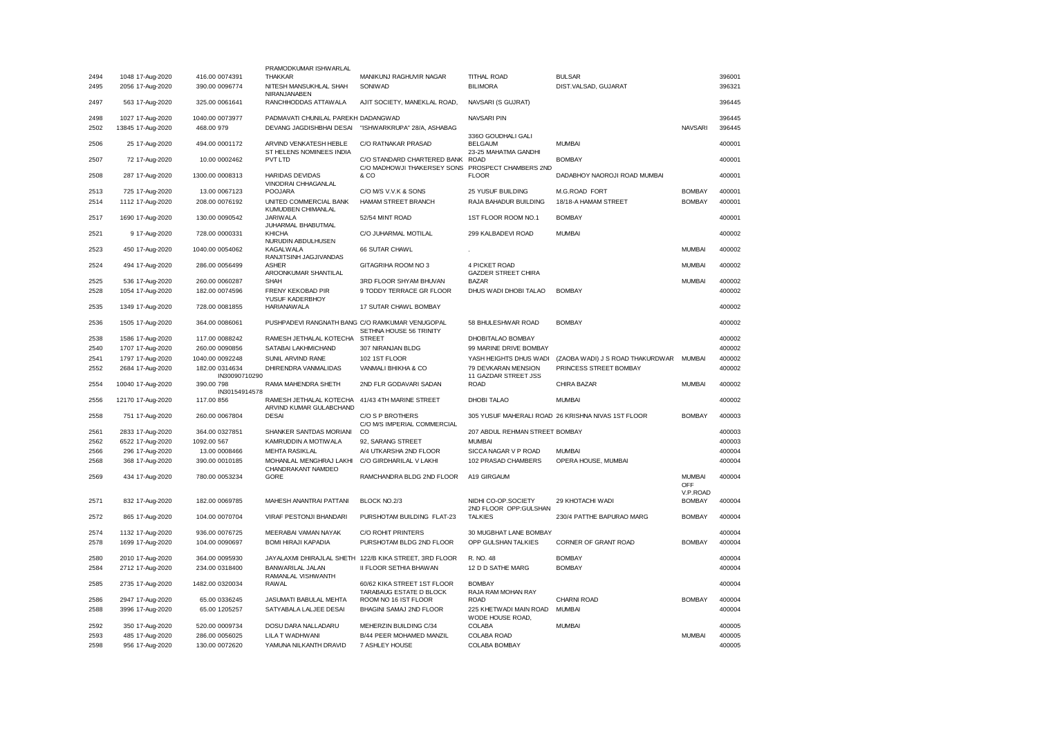|      |                   |                                 | PRAMODKUMAR ISHWARLAL                              |                                                            |                                              |                                                    |                           |        |
|------|-------------------|---------------------------------|----------------------------------------------------|------------------------------------------------------------|----------------------------------------------|----------------------------------------------------|---------------------------|--------|
| 2494 | 1048 17-Aug-2020  | 416.00 0074391                  | <b>THAKKAR</b>                                     | MANIKUNJ RAGHUVIR NAGAR                                    | <b>TITHAL ROAD</b>                           | <b>BULSAR</b>                                      |                           | 396001 |
| 2495 | 2056 17-Aug-2020  | 390.00 0096774                  | NITESH MANSUKHLAL SHAH<br>NIRANJANABEN             | SONIWAD                                                    | <b>BILIMORA</b>                              | DIST.VALSAD, GUJARAT                               |                           | 396321 |
| 2497 | 563 17-Aug-2020   | 325.00 0061641                  | RANCHHODDAS ATTAWALA                               | AJIT SOCIETY, MANEKLAL ROAD,                               | NAVSARI (S GUJRAT)                           |                                                    |                           | 396445 |
| 2498 | 1027 17-Aug-2020  | 1040.00 0073977                 | PADMAVATI CHUNILAL PAREKH DADANGWAD                |                                                            | NAVSARI PIN                                  |                                                    |                           | 396445 |
| 2502 | 13845 17-Aug-2020 | 468.00 979                      | DEVANG JAGDISHBHAI DESAI                           | "ISHWARKRUPA" 28/A, ASHABAG                                | 3360 GOUDHALI GALI                           |                                                    | <b>NAVSARI</b>            | 396445 |
| 2506 | 25 17-Aug-2020    | 494.00 0001172                  | ARVIND VENKATESH HEBLE<br>ST HELENS NOMINEES INDIA | C/O RATNAKAR PRASAD                                        | <b>BELGAUM</b><br>23-25 MAHATMA GANDHI       | <b>MUMBAI</b>                                      |                           | 400001 |
| 2507 | 72 17-Aug-2020    | 10.00 0002462                   | <b>PVT LTD</b>                                     | C/O STANDARD CHARTERED BANK<br>C/O MADHOWJI THAKERSEY SONS | ROAD<br>PROSPECT CHAMBERS 2ND                | <b>BOMBAY</b>                                      |                           | 400001 |
| 2508 | 287 17-Aug-2020   | 1300.00 0008313                 | HARIDAS DEVIDAS<br>VINODRAI CHHAGANLAL             | & CO                                                       | <b>FLOOR</b>                                 | DADABHOY NAOROJI ROAD MUMBAI                       |                           | 400001 |
| 2513 | 725 17-Aug-2020   | 13.00 0067123                   | POOJARA                                            | C/O M/S V.V.K & SONS                                       | 25 YUSUF BUILDING                            | M.G.ROAD FORT                                      | <b>BOMBAY</b>             | 400001 |
| 2514 | 1112 17-Aug-2020  | 208.00 0076192                  | UNITED COMMERCIAL BANK<br>KUMUDBEN CHIMANLAL       | HAMAM STREET BRANCH                                        | RAJA BAHADUR BUILDING                        | 18/18-A HAMAM STREET                               | <b>BOMBAY</b>             | 400001 |
| 2517 | 1690 17-Aug-2020  | 130.00 0090542                  | JARIWALA<br>JUHARMAL BHABUTMAL                     | 52/54 MINT ROAD                                            | 1ST FLOOR ROOM NO.1                          | <b>BOMBAY</b>                                      |                           | 400001 |
| 2521 | 9 17-Aug-2020     | 728.00 0000331                  | <b>KHICHA</b><br>NURUDIN ABDULHUSEN                | C/O JUHARMAL MOTILAL                                       | 299 KALBADEVI ROAD                           | <b>MUMBAI</b>                                      |                           | 400002 |
| 2523 | 450 17-Aug-2020   | 1040.00 0054062                 | KAGALWALA<br>RANJITSINH JAGJIVANDAS                | 66 SUTAR CHAWL                                             |                                              |                                                    | <b>MUMBAI</b>             | 400002 |
| 2524 | 494 17-Aug-2020   | 286.00 0056499                  | <b>ASHER</b><br>AROONKUMAR SHANTILAL               | GITAGRIHA ROOM NO 3                                        | 4 PICKET ROAD<br><b>GAZDER STREET CHIRA</b>  |                                                    | <b>MUMBAI</b>             | 400002 |
| 2525 | 536 17-Aug-2020   | 260.00 0060287                  | SHAH                                               | 3RD FLOOR SHYAM BHUVAN                                     | <b>BAZAR</b>                                 |                                                    | <b>MUMBAI</b>             | 400002 |
| 2528 | 1054 17-Aug-2020  | 182.00 0074596                  | FRENY KEKOBAD PIR<br>YUSUF KADERBHOY               | 9 TODDY TERRACE GR FLOOR                                   | DHUS WADI DHOBI TALAO                        | <b>BOMBAY</b>                                      |                           | 400002 |
| 2535 | 1349 17-Aug-2020  | 728.00 0081855                  | <b>HARIANAWALA</b>                                 | 17 SUTAR CHAWL BOMBAY                                      |                                              |                                                    |                           | 400002 |
| 2536 | 1505 17-Aug-2020  | 364.00 0086061                  | PUSHPADEVI RANGNATH BANG C/O RAMKUMAR VENUGOPAL    | SETHNA HOUSE 56 TRINITY                                    | 58 BHULESHWAR ROAD                           | <b>BOMBAY</b>                                      |                           | 400002 |
| 2538 | 1586 17-Aug-2020  | 117.00 0088242                  | RAMESH JETHALAL KOTECHA                            | <b>STREET</b>                                              | DHOBITALAO BOMBAY                            |                                                    |                           | 400002 |
| 2540 | 1707 17-Aug-2020  | 260.00 0090856                  | SATABAI LAKHMICHAND                                | 307 NIRANJAN BLDG                                          | 99 MARINE DRIVE BOMBAY                       |                                                    |                           | 400002 |
| 2541 | 1797 17-Aug-2020  | 1040.00 0092248                 | SUNIL ARVIND RANE                                  | 102 1ST FLOOR                                              | YASH HEIGHTS DHUS WADI                       | (ZAOBA WADI) J S ROAD THAKURDWAR                   | <b>MUMBAI</b>             | 400002 |
| 2552 | 2684 17-Aug-2020  | 182.00 0314634<br>IN30090710290 | DHIRENDRA VANMALIDAS                               | VANMALI BHIKHA & CO                                        | 79 DEVKARAN MENSION<br>11 GAZDAR STREET JSS  | PRINCESS STREET BOMBAY                             |                           | 400002 |
| 2554 | 10040 17-Aug-2020 | 390.00 798<br>IN30154914578     | RAMA MAHENDRA SHETH                                | 2ND FLR GODAVARI SADAN                                     | <b>ROAD</b>                                  | CHIRA BAZAR                                        | <b>MUMBAI</b>             | 400002 |
| 2556 | 12170 17-Aug-2020 | 117.00 856                      | RAMESH JETHALAL KOTECHA<br>ARVIND KUMAR GULABCHAND | 41/43 4TH MARINE STREET                                    | DHOBI TALAO                                  | <b>MUMBAI</b>                                      |                           | 400002 |
| 2558 | 751 17-Aug-2020   | 260.00 0067804                  | <b>DESAI</b>                                       | C/O S P BROTHERS<br>C/O M/S IMPERIAL COMMERCIAL            |                                              | 305 YUSUF MAHERALI ROAD 26 KRISHNA NIVAS 1ST FLOOR | <b>BOMBAY</b>             | 400003 |
| 2561 | 2833 17-Aug-2020  | 364.00 0327851                  | SHANKER SANTDAS MORIANI                            | CO                                                         | 207 ABDUL REHMAN STREET BOMBAY               |                                                    |                           | 400003 |
| 2562 | 6522 17-Aug-2020  | 1092.00 567                     | KAMRUDDIN A MOTIWALA                               | 92, SARANG STREET                                          | <b>MUMBAI</b>                                |                                                    |                           | 400003 |
| 2566 | 296 17-Aug-2020   | 13.00 0008466                   | <b>MEHTA RASIKLAL</b>                              | A/4 UTKARSHA 2ND FLOOR                                     | SICCA NAGAR V P ROAD                         | <b>MUMBAI</b>                                      |                           | 400004 |
| 2568 | 368 17-Aug-2020   | 390.00 0010185                  | MOHANLAL MENGHRAJ LAKHI<br>CHANDRAKANT NAMDEO      | C/O GIRDHARILAL V LAKHI                                    | 102 PRASAD CHAMBERS                          | OPERA HOUSE, MUMBAI                                |                           | 400004 |
| 2569 | 434 17-Aug-2020   | 780.00 0053234                  | <b>GORE</b>                                        | RAMCHANDRA BLDG 2ND FLOOR                                  | A19 GIRGAUM                                  |                                                    | <b>MUMBAI</b><br>OFF      | 400004 |
| 2571 | 832 17-Aug-2020   | 182.00 0069785                  | MAHESH ANANTRAI PATTANI                            | BLOCK NO.2/3                                               | NIDHI CO-OP.SOCIETY<br>2ND FLOOR OPP:GULSHAN | 29 KHOTACHI WADI                                   | V.P.ROAD<br><b>BOMBAY</b> | 400004 |
| 2572 | 865 17-Aug-2020   | 104.00 0070704                  | VIRAF PESTONJI BHANDARI                            | PURSHOTAM BUILDING FLAT-23                                 | <b>TALKIES</b>                               | 230/4 PATTHE BAPURAO MARG                          | <b>BOMBAY</b>             | 400004 |
| 2574 | 1132 17-Aug-2020  | 936.00 0076725                  | MEERABAI VAMAN NAYAK                               | C/O ROHIT PRINTERS                                         | 30 MUGBHAT LANE BOMBAY                       |                                                    |                           | 400004 |
| 2578 | 1699 17-Aug-2020  | 104.00 0090697                  | <b>BOMI HIRAJI KAPADIA</b>                         | PURSHOTAM BLDG 2ND FLOOR                                   | OPP GULSHAN TALKIES                          | CORNER OF GRANT ROAD                               | <b>BOMBAY</b>             | 400004 |
| 2580 | 2010 17-Aug-2020  | 364.00 0095930                  |                                                    | JAYALAXMI DHIRAJLAL SHETH 122/B KIKA STREET, 3RD FLOOR     | R. NO. 48                                    | <b>BOMBAY</b>                                      |                           | 400004 |
| 2584 | 2712 17-Aug-2020  | 234.00 0318400                  | <b>BANWARILAL JALAN</b><br>RAMANLAL VISHWANTH      | II FLOOR SETHIA BHAWAN                                     | 12 D D SATHE MARG                            | <b>BOMBAY</b>                                      |                           | 400004 |
| 2585 | 2735 17-Aug-2020  | 1482.00 0320034                 | <b>RAWAL</b>                                       | 60/62 KIKA STREET 1ST FLOOR<br>TARABAUG ESTATE D BLOCK     | <b>BOMBAY</b><br>RAJA RAM MOHAN RAY          |                                                    |                           | 400004 |
| 2586 | 2947 17-Aug-2020  | 65.00 0336245                   | JASUMATI BABULAL MEHTA                             | ROOM NO 16 IST FLOOR                                       | <b>ROAD</b>                                  | <b>CHARNI ROAD</b>                                 | <b>BOMBAY</b>             | 400004 |
| 2588 | 3996 17-Aug-2020  | 65.00 1205257                   | SATYABALA LALJEE DESAI                             | BHAGINI SAMAJ 2ND FLOOR                                    | 225 KHETWADI MAIN ROAD<br>WODE HOUSE ROAD,   | <b>MUMBAI</b>                                      |                           | 400004 |
| 2592 | 350 17-Aug-2020   | 520.00 0009734                  | DOSU DARA NALLADARU                                | MEHERZIN BUILDING C/34                                     | <b>COLABA</b>                                | <b>MUMBAI</b>                                      |                           | 400005 |
| 2593 | 485 17-Aug-2020   | 286.00 0056025                  | LILA T WADHWANI                                    | B/44 PEER MOHAMED MANZIL                                   | COLABA ROAD                                  |                                                    | <b>MUMBAI</b>             | 400005 |
| 2598 | 956 17-Aug-2020   | 130.00 0072620                  | YAMUNA NILKANTH DRAVID                             | 7 ASHLEY HOUSE                                             | COLABA BOMBAY                                |                                                    |                           | 400005 |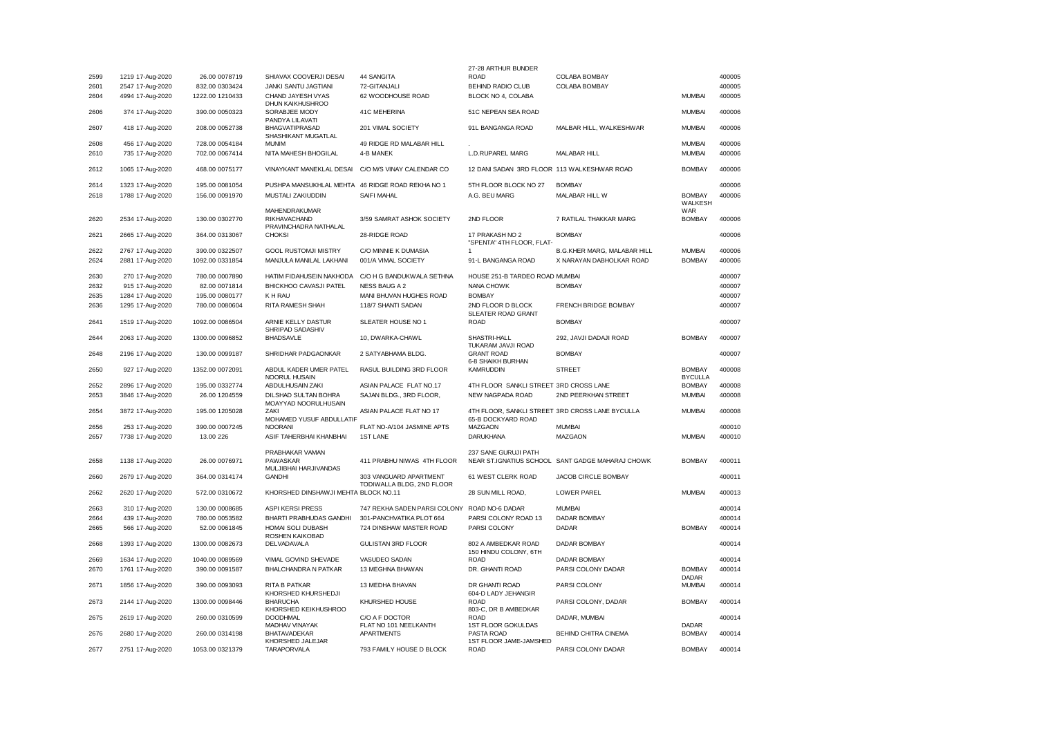|      |                  |                 |                                              |                                                     | 27-28 ARTHUR BUNDER                                                   |                                                  |                                 |        |
|------|------------------|-----------------|----------------------------------------------|-----------------------------------------------------|-----------------------------------------------------------------------|--------------------------------------------------|---------------------------------|--------|
| 2599 | 1219 17-Aug-2020 | 26.00 0078719   | SHIAVAX COOVERJI DESAI                       | 44 SANGITA                                          | <b>ROAD</b>                                                           | COLABA BOMBAY                                    |                                 | 400005 |
| 2601 | 2547 17-Aug-2020 | 832.00 0303424  | JANKI SANTU JAGTIANI                         | 72-GITANJALI                                        | BEHIND RADIO CLUB                                                     | COLABA BOMBAY                                    |                                 | 400005 |
| 2604 | 4994 17-Aug-2020 | 1222.00 1210433 | CHAND JAYESH VYAS<br>DHUN KAIKHUSHROO        | 62 WOODHOUSE ROAD                                   | BLOCK NO 4, COLABA                                                    |                                                  | <b>MUMBAI</b>                   | 400005 |
| 2606 | 374 17-Aug-2020  | 390.00 0050323  | SORABJEE MODY<br>PANDYA LILAVATI             | 41C MEHERINA                                        | 51C NEPEAN SEA ROAD                                                   |                                                  | <b>MUMBAI</b>                   | 400006 |
| 2607 | 418 17-Aug-2020  | 208.00 0052738  | BHAGVATIPRASAD<br>SHASHIKANT MUGATLAL        | 201 VIMAL SOCIETY                                   | 91L BANGANGA ROAD                                                     | MALBAR HILL, WALKESHWAR                          | <b>MUMBAI</b>                   | 400006 |
| 2608 | 456 17-Aug-2020  | 728.00 0054184  | <b>MUNIM</b>                                 | 49 RIDGE RD MALABAR HILL                            |                                                                       |                                                  | <b>MUMBAI</b>                   | 400006 |
| 2610 | 735 17-Aug-2020  | 702.00 0067414  | NITA MAHESH BHOGILAL                         | 4-B MANEK                                           | <b>L.D.RUPAREL MARG</b>                                               | MALABAR HILL                                     | <b>MUMBAI</b>                   | 400006 |
| 2612 | 1065 17-Aug-2020 | 468.00 0075177  | VINAYKANT MANEKLAL DESAI                     | C/O M/S VINAY CALENDAR CO                           | 12 DANI SADAN 3RD FLOOR 113 WALKESHWAR ROAD                           |                                                  | <b>BOMBAY</b>                   | 400006 |
| 2614 | 1323 17-Aug-2020 | 195.00 0081054  | PUSHPA MANSUKHLAL MEHTA                      | 46 RIDGE ROAD REKHA NO 1                            | 5TH FLOOR BLOCK NO 27                                                 | <b>BOMBAY</b>                                    |                                 | 400006 |
| 2618 | 1788 17-Aug-2020 | 156.00 0091970  | MUSTALI ZAKIUDDIN                            | SAIFI MAHAL                                         | A.G. BEU MARG                                                         | MALABAR HILL W                                   | <b>BOMBAY</b>                   | 400006 |
|      |                  |                 | MAHENDRAKUMAR                                |                                                     |                                                                       |                                                  | WALKESH<br><b>WAR</b>           |        |
| 2620 | 2534 17-Aug-2020 | 130.00 0302770  | <b>RIKHAVACHAND</b><br>PRAVINCHADRA NATHALAL | 3/59 SAMRAT ASHOK SOCIETY                           | 2ND FLOOR                                                             | 7 RATILAL THAKKAR MARG                           | <b>BOMBAY</b>                   | 400006 |
| 2621 | 2665 17-Aug-2020 | 364.00 0313067  | <b>CHOKSI</b>                                | 28-RIDGE ROAD                                       | 17 PRAKASH NO 2<br>"SPENTA" 4TH FLOOR, FLAT-                          | <b>BOMBAY</b>                                    |                                 | 400006 |
| 2622 | 2767 17-Aug-2020 | 390.00 0322507  | <b>GOOL RUSTOMJI MISTRY</b>                  | C/O MINNIE K DUMASIA                                | -1                                                                    | <b>B.G.KHER MARG, MALABAR HILL</b>               | <b>MUMBAI</b>                   | 400006 |
| 2624 | 2881 17-Aug-2020 | 1092.00 0331854 | MANJULA MANILAL LAKHANI                      | 001/A VIMAL SOCIETY                                 | 91-L BANGANGA ROAD                                                    | X NARAYAN DABHOLKAR ROAD                         | <b>BOMBAY</b>                   | 400006 |
| 2630 | 270 17-Aug-2020  | 780.00 0007890  | HATIM FIDAHUSEIN NAKHODA                     | C/O H G BANDUKWALA SETHNA                           | HOUSE 251-B TARDEO ROAD MUMBAI                                        |                                                  |                                 | 400007 |
| 2632 | 915 17-Aug-2020  | 82.00 0071814   | BHICKHOO CAVASJI PATEL                       | NESS BAUG A 2                                       | NANA CHOWK                                                            | <b>BOMBAY</b>                                    |                                 | 400007 |
| 2635 | 1284 17-Aug-2020 | 195.00 0080177  | K H RAU                                      | MANI BHUVAN HUGHES ROAD                             | <b>BOMBAY</b>                                                         |                                                  |                                 | 400007 |
| 2636 | 1295 17-Aug-2020 | 780.00 0080604  | RITA RAMESH SHAH                             | 118/7 SHANTI SADAN                                  | 2ND FLOOR D BLOCK                                                     | FRENCH BRIDGE BOMBAY                             |                                 | 400007 |
|      |                  |                 |                                              |                                                     | SLEATER ROAD GRANT                                                    |                                                  |                                 |        |
| 2641 | 1519 17-Aug-2020 | 1092.00 0086504 | ARNIE KELLY DASTUR<br>SHRIPAD SADASHIV       | SLEATER HOUSE NO 1                                  | <b>ROAD</b>                                                           | <b>BOMBAY</b>                                    |                                 | 400007 |
| 2644 | 2063 17-Aug-2020 | 1300.00 0096852 | <b>BHADSAVLE</b>                             | 10, DWARKA-CHAWL                                    | SHASTRI-HALL<br>TUKARAM JAVJI ROAD                                    | 292, JAVJI DADAJI ROAD                           | <b>BOMBAY</b>                   | 400007 |
| 2648 | 2196 17-Aug-2020 | 130.00 0099187  | SHRIDHAR PADGAONKAR                          | 2 SATYABHAMA BLDG.                                  | <b>GRANT ROAD</b><br>6-8 SHAIKH BURHAN                                | <b>BOMBAY</b>                                    |                                 | 400007 |
| 2650 | 927 17-Aug-2020  | 1352.00 0072091 | ABDUL KADER UMER PATEL<br>NOORUL HUSAIN      | RASUL BUILDING 3RD FLOOR                            | <b>KAMRUDDIN</b>                                                      | <b>STREET</b>                                    | <b>BOMBAY</b><br><b>BYCULLA</b> | 400008 |
| 2652 | 2896 17-Aug-2020 | 195.00 0332774  | ABDULHUSAIN ZAKI                             | ASIAN PALACE FLAT NO.17                             | 4TH FLOOR SANKLI STREET 3RD CROSS LANE                                |                                                  | <b>BOMBAY</b>                   | 400008 |
| 2653 | 3846 17-Aug-2020 | 26.00 1204559   | DILSHAD SULTAN BOHRA<br>MOAYYAD NOORULHUSAIN | SAJAN BLDG., 3RD FLOOR,                             | NEW NAGPADA ROAD                                                      | 2ND PEERKHAN STREET                              | <b>MUMBAI</b>                   | 400008 |
| 2654 | 3872 17-Aug-2020 | 195.00 1205028  | <b>ZAKI</b><br>MOHAMED YUSUF ABDULLATIF      | ASIAN PALACE FLAT NO 17                             | 4TH FLOOR, SANKLI STREET 3RD CROSS LANE BYCULLA<br>65-B DOCKYARD ROAD |                                                  | <b>MUMBAI</b>                   | 400008 |
| 2656 | 253 17-Aug-2020  | 390.00 0007245  | <b>NOORAN</b>                                | FLAT NO-A/104 JASMINE APTS                          | MAZGAON                                                               | <b>MUMBAI</b>                                    |                                 | 400010 |
| 2657 | 7738 17-Aug-2020 | 13.00 226       | ASIF TAHERBHAI KHANBHAI                      | 1ST LANE                                            | <b>DARUKHANA</b>                                                      | MAZGAON                                          | <b>MUMBAI</b>                   | 400010 |
|      |                  |                 |                                              |                                                     |                                                                       |                                                  |                                 |        |
| 2658 |                  | 26.00 0076971   | PRABHAKAR VAMAN<br>PAWASKAR                  | 411 PRABHU NIWAS 4TH FLOOR                          | 237 SANE GURUJI PATH                                                  | NEAR ST.IGNATIUS SCHOOL SANT GADGE MAHARAJ CHOWK | <b>BOMBAY</b>                   | 400011 |
|      | 1138 17-Aug-2020 |                 | MULJIBHAI HARJIVANDAS                        |                                                     |                                                                       |                                                  |                                 |        |
| 2660 | 2679 17-Aug-2020 | 364.00 0314174  | <b>GANDHI</b>                                | 303 VANGUARD APARTMENT<br>TODIWALLA BLDG, 2ND FLOOR | 61 WEST CLERK ROAD                                                    | JACOB CIRCLE BOMBAY                              |                                 | 400011 |
| 2662 | 2620 17-Aug-2020 | 572.00 0310672  | KHORSHED DINSHAWJI MEHTA BLOCK NO.11         |                                                     | 28 SUN MILL ROAD,                                                     | LOWER PAREL                                      | <b>MUMBAI</b>                   | 400013 |
| 2663 | 310 17-Aug-2020  | 130.00 0008685  | ASPI KERSI PRESS                             | 747 REKHA SADEN PARSI COLONY                        | ROAD NO-6 DADAR                                                       | <b>MUMBAI</b>                                    |                                 | 400014 |
| 2664 | 439 17-Aug-2020  | 780.00 0053582  | BHARTI PRABHUDAS GANDHI                      | 301-PANCHVATIKA PLOT 664                            | PARSI COLONY ROAD 13                                                  | <b>DADAR BOMBAY</b>                              |                                 | 400014 |
| 2665 | 566 17-Aug-2020  | 52.00 0061845   | HOMAI SOLI DUBASH                            | 724 DINSHAW MASTER ROAD                             | PARSI COLONY                                                          | <b>DADAR</b>                                     | <b>BOMBAY</b>                   | 400014 |
| 2668 | 1393 17-Aug-2020 | 1300.00 0082673 | ROSHEN KAIKOBAD<br>DELVADAVALA               | GULISTAN 3RD FLOOR                                  | 802 A AMBEDKAR ROAD                                                   | DADAR BOMBAY                                     |                                 | 400014 |
|      |                  |                 |                                              |                                                     | 150 HINDU COLONY, 6TH                                                 |                                                  |                                 |        |
| 2669 | 1634 17-Aug-2020 | 1040.00 0089569 | VIMAL GOVIND SHEVADE                         | VASUDEO SADAN                                       | <b>ROAD</b>                                                           | <b>DADAR BOMBAY</b>                              |                                 | 400014 |
| 2670 | 1761 17-Aug-2020 | 390.00 0091587  | BHALCHANDRA N PATKAR                         | 13 MEGHNA BHAWAN                                    | DR. GHANTI ROAD                                                       | PARSI COLONY DADAR                               | <b>BOMBAY</b><br><b>DADAR</b>   | 400014 |
| 2671 | 1856 17-Aug-2020 | 390.00 0093093  | <b>RITA B PATKAR</b><br>KHORSHED KHURSHEDJI  | 13 MEDHA BHAVAN                                     | DR GHANTI ROAD<br>604-D LADY JEHANGIR                                 | PARSI COLONY                                     | <b>MUMBAI</b>                   | 400014 |
| 2673 | 2144 17-Aug-2020 | 1300.00 0098446 | <b>BHARUCHA</b><br>KHORSHED KEIKHUSHROO      | KHURSHED HOUSE                                      | <b>ROAD</b><br>803-C, DR B AMBEDKAR                                   | PARSI COLONY, DADAR                              | <b>BOMBAY</b>                   | 400014 |
| 2675 | 2619 17-Aug-2020 | 260.00 0310599  | <b>DOODHMAL</b><br>MADHAV VINAYAK            | C/O A F DOCTOR<br>FLAT NO 101 NEELKANTH             | <b>ROAD</b><br>1ST FLOOR GOKULDAS                                     | DADAR, MUMBAI                                    | DADAR                           | 400014 |
| 2676 | 2680 17-Aug-2020 | 260.00 0314198  | <b>BHATAVADEKAR</b>                          | <b>APARTMENTS</b>                                   | PASTA ROAD                                                            | BEHIND CHITRA CINEMA                             | <b>BOMBAY</b>                   | 400014 |
| 2677 | 2751 17-Aug-2020 | 1053.00 0321379 | KHORSHED JALEJAR<br><b>TARAPORVALA</b>       | 793 FAMILY HOUSE D BLOCK                            | 1ST FLOOR JAME-JAMSHED<br><b>ROAD</b>                                 | PARSI COLONY DADAR                               | <b>BOMBAY</b>                   | 400014 |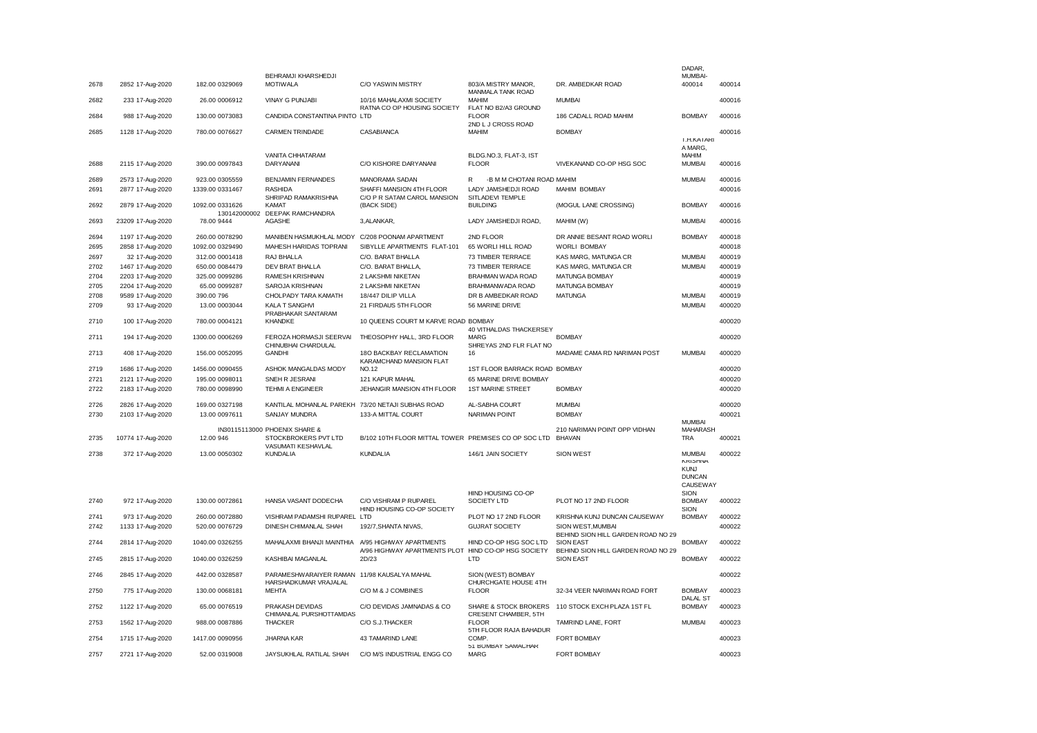|      |                   |                            |                                                                             |                                                                                |                                                            |                                                         | DADAR,                                                            |        |
|------|-------------------|----------------------------|-----------------------------------------------------------------------------|--------------------------------------------------------------------------------|------------------------------------------------------------|---------------------------------------------------------|-------------------------------------------------------------------|--------|
| 2678 | 2852 17-Aug-2020  | 182.00 0329069             | BEHRAMJI KHARSHEDJI<br><b>MOTIWALA</b>                                      | <b>C/O YASWIN MISTRY</b>                                                       | 803/A MISTRY MANOR.<br><b>MANMALA TANK ROAD</b>            | DR. AMBEDKAR ROAD                                       | MUMBAI-<br>400014                                                 | 400014 |
| 2682 | 233 17-Aug-2020   | 26.00 0006912              | <b>VINAY G PUNJABI</b>                                                      | 10/16 MAHALAXMI SOCIETY<br>RATNA CO OP HOUSING SOCIETY                         | MAHIM<br>FLAT NO B2/A3 GROUND                              | <b>MUMBAI</b>                                           |                                                                   | 400016 |
| 2684 | 988 17-Aug-2020   | 130.00 0073083             | CANDIDA CONSTANTINA PINTO LTD                                               |                                                                                | <b>FLOOR</b><br>2ND L J CROSS ROAD                         | 186 CADALL ROAD MAHIM                                   | <b>BOMBAY</b>                                                     | 400016 |
| 2685 | 1128 17-Aug-2020  | 780.00 0076627             | CARMEN TRINDADE                                                             | CASABIANCA                                                                     | <b>MAHIM</b>                                               | <b>BOMBAY</b>                                           | T.H.KATARI                                                        | 400016 |
| 2688 | 2115 17-Aug-2020  | 390.00 0097843             | VANITA CHHATARAM<br>DARYANANI                                               | C/O KISHORE DARYANANI                                                          | BLDG.NO.3. FLAT-3. IST<br><b>FLOOR</b>                     | VIVEKANAND CO-OP HSG SOC                                | A MARG,<br><b>MAHIM</b><br><b>MUMBAI</b>                          | 400016 |
| 2689 | 2573 17-Aug-2020  | 923.00 0305559             | <b>BENJAMIN FERNANDES</b>                                                   | MANORAMA SADAN                                                                 | -B M M CHOTANI ROAD MAHIM<br>R                             |                                                         | <b>MUMBAI</b>                                                     | 400016 |
| 2691 | 2877 17-Aug-2020  | 1339.00 0331467            | <b>RASHIDA</b>                                                              | SHAFFI MANSION 4TH FLOOR                                                       | LADY JAMSHEDJI ROAD                                        | MAHIM BOMBAY                                            |                                                                   | 400016 |
| 2692 | 2879 17-Aug-2020  | 1092.00 0331626            | SHRIPAD RAMAKRISHNA<br>KAMAT                                                | C/O P R SATAM CAROL MANSION<br>(BACK SIDE)                                     | SITLADEVI TEMPLE<br><b>BUILDING</b>                        | (MOGUL LANE CROSSING)                                   | <b>BOMBAY</b>                                                     | 400016 |
| 2693 | 23209 17-Aug-2020 | 130142000002<br>78.00 9444 | DEEPAK RAMCHANDRA<br><b>AGASHE</b>                                          | 3, ALANKAR,                                                                    | LADY JAMSHEDJI ROAD,                                       | MAHIM (W)                                               | <b>MUMBAI</b>                                                     | 400016 |
| 2694 | 1197 17-Aug-2020  | 260.00 0078290             | MANIBEN HASMUKHLAL MODY C/208 POONAM APARTMENT                              |                                                                                | 2ND FLOOR                                                  | DR ANNIE BESANT ROAD WORLI                              | <b>BOMBAY</b>                                                     | 400018 |
| 2695 | 2858 17-Aug-2020  | 1092.00 0329490            | MAHESH HARIDAS TOPRANI                                                      | SIBYLLE APARTMENTS FLAT-101                                                    | 65 WORLI HILL ROAD                                         | WORLI BOMBAY                                            |                                                                   | 400018 |
| 2697 | 32 17-Aug-2020    | 312.00 0001418             | RAJ BHALLA                                                                  | C/O. BARAT BHALLA                                                              | 73 TIMBER TERRACE                                          | KAS MARG, MATUNGA CR                                    | <b>MUMBAI</b>                                                     | 400019 |
| 2702 | 1467 17-Aug-2020  | 650.00 0084479             | DEV BRAT BHALLA                                                             | C/O. BARAT BHALLA,                                                             | 73 TIMBER TERRACE                                          | KAS MARG, MATUNGA CR                                    | MUMBAI                                                            | 400019 |
| 2704 | 2203 17-Aug-2020  | 325.00 0099286             | RAMESH KRISHNAN                                                             | 2 LAKSHMI NIKETAN                                                              | BRAHMAN WADA ROAD                                          | MATUNGA BOMBAY                                          |                                                                   | 400019 |
| 2705 | 2204 17-Aug-2020  | 65.00 0099287              | SAROJA KRISHNAN                                                             | 2 LAKSHMI NIKETAN                                                              | BRAHMANWADA ROAD                                           | MATUNGA BOMBAY                                          |                                                                   | 400019 |
| 2708 | 9589 17-Aug-2020  | 390.00 796                 | CHOLPADY TARA KAMATH                                                        | 18/447 DILIP VILLA                                                             | DR B AMBEDKAR ROAD                                         | <b>MATUNGA</b>                                          | <b>MUMBAI</b>                                                     | 400019 |
| 2709 | 93 17-Aug-2020    | 13.00 0003044              | <b>KALA T SANGHVI</b>                                                       | 21 FIRDAUS 5TH FLOOR                                                           | 56 MARINE DRIVE                                            |                                                         | <b>MUMBAI</b>                                                     | 400020 |
| 2710 | 100 17-Aug-2020   | 780.00 0004121             | PRABHAKAR SANTARAM<br><b>KHANDKE</b>                                        | 10 QUEENS COURT M KARVE ROAD BOMBAY                                            |                                                            |                                                         |                                                                   | 400020 |
| 2711 | 194 17-Aug-2020   | 1300.00 0006269            | FEROZA HORMASJI SEERVAI<br>CHINUBHAI CHARDULAL                              | THEOSOPHY HALL, 3RD FLOOR                                                      | 40 VITHALDAS THACKERSEY<br>MARG<br>SHREYAS 2ND FLR FLAT NO | <b>BOMBAY</b>                                           |                                                                   | 400020 |
| 2713 | 408 17-Aug-2020   | 156.00 0052095             | <b>GANDHI</b>                                                               | 18O BACKBAY RECLAMATION<br>KARAMCHAND MANSION FLAT                             | 16                                                         | MADAME CAMA RD NARIMAN POST                             | <b>MUMBAI</b>                                                     | 400020 |
| 2719 | 1686 17-Aug-2020  | 1456.00 0090455            | ASHOK MANGALDAS MODY                                                        | <b>NO.12</b>                                                                   | 1ST FLOOR BARRACK ROAD BOMBAY                              |                                                         |                                                                   | 400020 |
| 2721 | 2121 17-Aug-2020  | 195.00 0098011             | SNEH R JESRANI                                                              | 121 KAPUR MAHAL                                                                | 65 MARINE DRIVE BOMBAY                                     |                                                         |                                                                   | 400020 |
| 2722 | 2183 17-Aug-2020  | 780.00 0098990             | <b>TEHMI A ENGINEER</b>                                                     | JEHANGIR MANSION 4TH FLOOR                                                     | <b>1ST MARINE STREET</b>                                   | <b>BOMBAY</b>                                           |                                                                   | 400020 |
|      |                   |                            |                                                                             |                                                                                |                                                            |                                                         |                                                                   |        |
| 2726 | 2826 17-Aug-2020  | 169.00 0327198             | KANTILAL MOHANLAL PAREKH 73/20 NETAJI SUBHAS ROAD                           |                                                                                | AL-SABHA COURT                                             | <b>MUMBAI</b>                                           |                                                                   | 400020 |
| 2730 | 2103 17-Aug-2020  | 13.00 0097611              | SANJAY MUNDRA                                                               | 133-A MITTAL COURT                                                             | <b>NARIMAN POINT</b>                                       | <b>BOMBAY</b>                                           | <b>MUMBAI</b>                                                     | 400021 |
| 2735 | 10774 17-Aug-2020 | 12.00 946                  | IN30115113000 PHOENIX SHARE &<br>STOCKBROKERS PVT LTD<br>VASUMATI KESHAVLAL | B/102 10TH FLOOR MITTAL TOWER PREMISES CO OP SOC LTD                           |                                                            | 210 NARIMAN POINT OPP VIDHAN<br><b>BHAVAN</b>           | MAHARASH<br>TRA                                                   | 400021 |
| 2738 | 372 17-Aug-2020   | 13.00 0050302              | <b>KUNDALIA</b>                                                             | <b>KUNDALIA</b>                                                                | 146/1 JAIN SOCIETY                                         | SION WEST                                               | <b>MUMBAI</b>                                                     | 400022 |
|      |                   |                            |                                                                             |                                                                                |                                                            |                                                         | <b>KRISHNA</b><br><b>KUNJ</b><br><b>DUNCAN</b><br><b>CAUSEWAY</b> |        |
| 2740 | 972 17-Aug-2020   | 130.00 0072861             | HANSA VASANT DODECHA                                                        | C/O VISHRAM P RUPAREL<br>HIND HOUSING CO-OP SOCIETY                            | HIND HOUSING CO-OP<br>SOCIETY LTD                          | PLOT NO 17 2ND FLOOR                                    | SION<br><b>BOMBAY</b><br>SION                                     | 400022 |
| 2741 | 973 17-Aug-2020   | 260.00 0072880             | VISHRAM PADAMSHI RUPAREL LTD                                                |                                                                                | PLOT NO 17 2ND FLOOR                                       | KRISHNA KUNJ DUNCAN CAUSEWAY                            | <b>BOMBAY</b>                                                     | 400022 |
| 2742 | 1133 17-Aug-2020  | 520.00 0076729             | DINESH CHIMANLAL SHAH                                                       | 192/7, SHANTA NIVAS,                                                           | <b>GUJRAT SOCIETY</b>                                      | SION WEST, MUMBAI<br>BEHIND SION HILL GARDEN ROAD NO 29 |                                                                   | 400022 |
| 2744 | 2814 17-Aug-2020  | 1040.00 0326255            | MAHALAXMI BHANJI MAINTHIA                                                   | A/95 HIGHWAY APARTMENTS<br>A/96 HIGHWAY APARTMENTS PLOT HIND CO-OP HSG SOCIETY | HIND CO-OP HSG SOC LTD                                     | <b>SION EAST</b><br>BEHIND SION HILL GARDEN ROAD NO 29  | <b>BOMBAY</b>                                                     | 400022 |
| 2745 | 2815 17-Aug-2020  | 1040.00 0326259            | KASHIBAI MAGANLAL                                                           | 2D/23                                                                          | LTD                                                        | <b>SION EAST</b>                                        | <b>BOMBAY</b>                                                     | 400022 |
| 2746 | 2845 17-Aug-2020  | 442.00 0328587             | PARAMESHWARAIYER RAMAN 11/98 KAUSALYA MAHAL<br>HARSHADKUMAR VRAJALAL        |                                                                                | SION (WEST) BOMBAY<br>CHURCHGATE HOUSE 4TH                 |                                                         |                                                                   | 400022 |
| 2750 | 775 17-Aug-2020   | 130.00 0068181             | <b>MEHTA</b>                                                                | C/O M & J COMBINES                                                             | <b>FLOOR</b>                                               | 32-34 VEER NARIMAN ROAD FORT                            | <b>BOMBAY</b><br><b>DALAL ST</b>                                  | 400023 |
| 2752 | 1122 17-Aug-2020  | 65.00 0076519              | PRAKASH DEVIDAS<br>CHIMANLAL PURSHOTTAMDAS                                  | C/O DEVIDAS JAMNADAS & CO                                                      | CRESENT CHAMBER, 5TH                                       | SHARE & STOCK BROKERS 110 STOCK EXCH PLAZA 1ST FL       | <b>BOMBAY</b>                                                     | 400023 |
| 2753 | 1562 17-Aug-2020  | 988.00 0087886             | <b>THACKER</b>                                                              | C/O S.J.THACKER                                                                | <b>FLOOR</b><br>5TH FLOOR RAJA BAHADUR                     | TAMRIND LANE, FORT                                      | <b>MUMBAI</b>                                                     | 400023 |
| 2754 | 1715 17-Aug-2020  | 1417.00 0090956            | <b>JHARNA KAR</b>                                                           | 43 TAMARIND LANE                                                               | COMP.<br>51 BOMBAY SAMACHAR                                | <b>FORT BOMBAY</b>                                      |                                                                   | 400023 |
| 2757 | 2721 17-Aug-2020  | 52.00 0319008              | JAYSUKHLAL RATILAL SHAH                                                     | C/O M/S INDUSTRIAL ENGG CO                                                     | <b>MARG</b>                                                | <b>FORT BOMBAY</b>                                      |                                                                   | 400023 |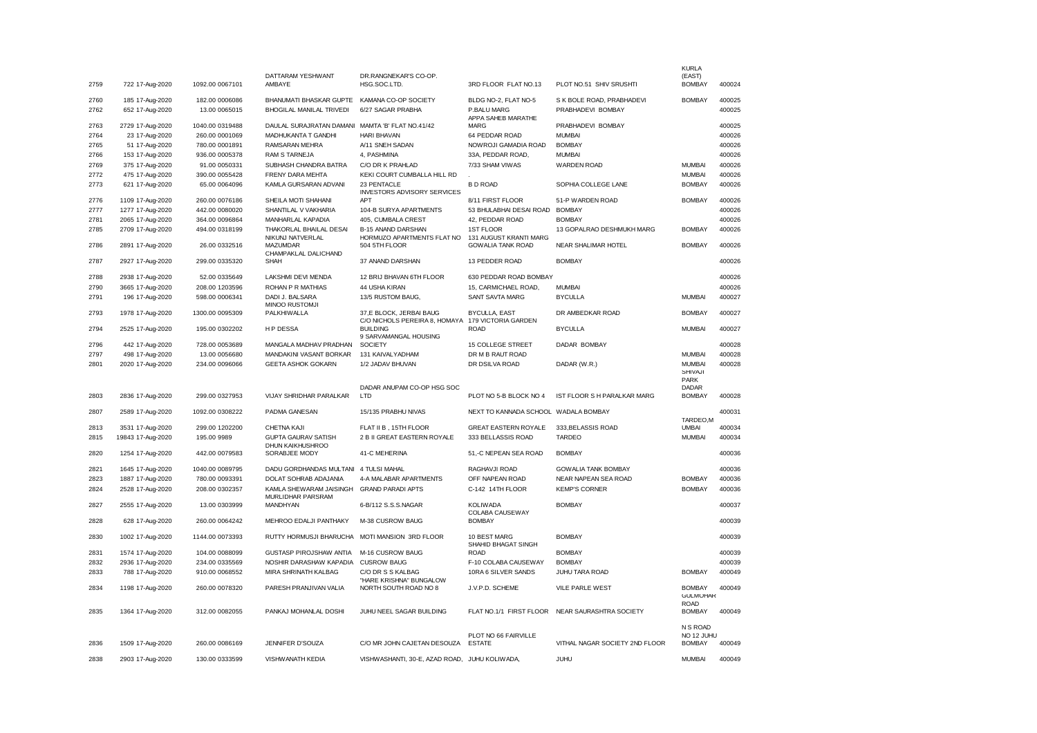| 2759         | 722 17-Aug-2020                      | 1092.00 0067101                   | DATTARAM YESHWANT<br>AMBAYE                                    | DR.RANGNEKAR'S CO-OP.<br>HSG.SOC.LTD.                                    | 3RD FLOOR FLAT NO.13                                            | PLOT NO.51 SHIV SRUSHTI                          | <b>KURLA</b><br>(EAST)<br><b>BOMBAY</b>          | 400024           |
|--------------|--------------------------------------|-----------------------------------|----------------------------------------------------------------|--------------------------------------------------------------------------|-----------------------------------------------------------------|--------------------------------------------------|--------------------------------------------------|------------------|
|              |                                      |                                   |                                                                |                                                                          |                                                                 |                                                  |                                                  | 400025           |
| 2760<br>2762 | 185 17-Aug-2020<br>652 17-Aug-2020   | 182.00 0006086<br>13.00 0065015   | BHANUMATI BHASKAR GUPTE<br><b>BHOGILAL MANILAL TRIVEDI</b>     | KAMANA CO-OP SOCIETY<br>6/27 SAGAR PRABHA                                | BLDG NO-2, FLAT NO-5<br>P.BALU MARG<br>APPA SAHEB MARATHE       | S K BOLE ROAD, PRABHADEVI<br>PRABHADEVI BOMBAY   | <b>BOMBAY</b>                                    | 400025           |
| 2763         | 2729 17-Aug-2020                     | 1040.00 0319488                   | DAULAL SURAJRATAN DAMANI                                       | MAMTA 'B' FLAT NO.41/42                                                  | <b>MARG</b>                                                     | PRABHADEVI BOMBAY                                |                                                  | 400025           |
| 2764         | 23 17-Aug-2020                       | 260.00 0001069                    | MADHUKANTA T GANDHI                                            | <b>HARI BHAVAN</b>                                                       | 64 PEDDAR ROAD                                                  | <b>MUMBAI</b>                                    |                                                  | 400026           |
| 2765         | 51 17-Aug-2020                       | 780.00 0001891                    | RAMSARAN MEHRA                                                 | A/11 SNEH SADAN                                                          | NOWROJI GAMADIA ROAD                                            | <b>BOMBAY</b>                                    |                                                  | 400026           |
| 2766         | 153 17-Aug-2020                      | 936.00 0005378                    | RAM S TARNEJA                                                  | 4, PASHMINA                                                              | 33A, PEDDAR ROAD,                                               | <b>MUMBAI</b>                                    |                                                  | 400026           |
| 2769         | 375 17-Aug-2020                      | 91.00 0050331                     | SUBHASH CHANDRA BATRA                                          | C/O DR K PRAHLAD                                                         | 7/33 SHAM VIWAS                                                 | <b>WARDEN ROAD</b>                               | <b>MUMBAI</b>                                    | 400026           |
| 2772         | 475 17-Aug-2020                      | 390.00 0055428                    | FRENY DARA MEHTA                                               | KEKI COURT CUMBALLA HILL RD                                              |                                                                 |                                                  | <b>MUMBAI</b>                                    | 400026           |
| 2773         | 621 17-Aug-2020                      | 65.00 0064096                     | KAMLA GURSARAN ADVANI                                          | 23 PENTACLE<br>INVESTORS ADVISORY SERVICES                               | <b>BD ROAD</b>                                                  | SOPHIA COLLEGE LANE                              | <b>BOMBAY</b>                                    | 400026           |
| 2776         | 1109 17-Aug-2020                     | 260.00 0076186                    | SHEILA MOTI SHAHANI                                            | <b>APT</b>                                                               | 8/11 FIRST FLOOR                                                | 51-P WARDEN ROAD                                 | <b>BOMBAY</b>                                    | 400026           |
| 2777         | 1277 17-Aug-2020                     | 442.00 0080020                    | SHANTILAL V VAKHARIA                                           | 104-B SURYA APARTMENTS                                                   | 53 BHULABHAI DESAI ROAD                                         | <b>BOMBAY</b>                                    |                                                  | 400026           |
| 2781         | 2065 17-Aug-2020                     | 364.00 0096864                    | MANHARLAL KAPADIA                                              | 405, CUMBALA CREST                                                       | 42, PEDDAR ROAD                                                 | <b>BOMBAY</b>                                    |                                                  | 400026           |
| 2785<br>2786 | 2709 17-Aug-2020<br>2891 17-Aug-2020 | 494.00 0318199<br>26.00 0332516   | THAKORLAL BHAILAL DESAI<br>NIKUNJ NATVERLAL<br><b>MAZUMDAR</b> | <b>B-15 ANAND DARSHAN</b><br>HORMUZO APARTMENTS FLAT NO<br>504 5TH FLOOR | 1ST FLOOR<br>131 AUGUST KRANTI MARG<br><b>GOWALIA TANK ROAD</b> | 13 GOPALRAO DESHMUKH MARG<br>NEAR SHALIMAR HOTEL | <b>BOMBAY</b><br><b>BOMBAY</b>                   | 400026<br>400026 |
| 2787         | 2927 17-Aug-2020                     | 299.00 0335320                    | CHAMPAKLAL DALICHAND<br><b>SHAH</b>                            | 37 ANAND DARSHAN                                                         | 13 PEDDER ROAD                                                  | <b>BOMBAY</b>                                    |                                                  | 400026           |
|              |                                      |                                   |                                                                |                                                                          |                                                                 |                                                  |                                                  |                  |
| 2788         | 2938 17-Aug-2020                     | 52.00 0335649                     | LAKSHMI DEVI MENDA                                             | 12 BRIJ BHAVAN 6TH FLOOR                                                 | 630 PEDDAR ROAD BOMBAY                                          |                                                  |                                                  | 400026           |
| 2790         | 3665 17-Aug-2020                     | 208.00 1203596                    | ROHAN P R MATHIAS                                              | 44 USHA KIRAN                                                            | 15, CARMICHAEL ROAD,                                            | <b>MUMBAI</b>                                    |                                                  | 400026           |
| 2791<br>2793 | 196 17-Aug-2020<br>1978 17-Aug-2020  | 598.00 0006341<br>1300.00 0095309 | DADI J. BALSARA<br>MINOO RUSTOMJI<br>PALKHIWALLA               | 13/5 RUSTOM BAUG.<br>37,E BLOCK, JERBAI BAUG                             | <b>SANT SAVTA MARG</b><br><b>BYCULLA, EAST</b>                  | <b>BYCULLA</b><br>DR AMBEDKAR ROAD               | <b>MUMBAI</b><br><b>BOMBAY</b>                   | 400027<br>400027 |
| 2794         | 2525 17-Aug-2020                     | 195.00 0302202                    | <b>HP DESSA</b>                                                | C/O NICHOLS PEREIRA 8, HOMAYA<br><b>BUILDING</b>                         | 179 VICTORIA GARDEN<br><b>ROAD</b>                              | <b>BYCULLA</b>                                   | <b>MUMBAI</b>                                    | 400027           |
|              |                                      |                                   |                                                                | 9 SARVAMANGAL HOUSING                                                    |                                                                 |                                                  |                                                  |                  |
| 2796         | 442 17-Aug-2020                      | 728.00 0053689                    | MANGALA MADHAV PRADHAN                                         | SOCIETY                                                                  | 15 COLLEGE STREET                                               | DADAR BOMBAY                                     |                                                  | 400028           |
| 2797         | 498 17-Aug-2020                      | 13.00 0056680                     | MANDAKINI VASANT BORKAR                                        | 131 KAIVALYADHAM                                                         | DR M B RAUT ROAD                                                |                                                  | <b>MUMBAI</b>                                    | 400028           |
| 2801         | 2020 17-Aug-2020                     | 234.00 0096066                    | <b>GEETA ASHOK GOKARN</b>                                      | 1/2 JADAV BHUVAN<br>DADAR ANUPAM CO-OP HSG SOC                           | DR DSILVA ROAD                                                  | DADAR (W.R.)                                     | <b>MUMBAI</b><br>SHIVAJI<br><b>PARK</b><br>DADAR | 400028           |
| 2803         | 2836 17-Aug-2020                     | 299.00 0327953                    | VIJAY SHRIDHAR PARALKAR                                        | LTD                                                                      | PLOT NO 5-B BLOCK NO 4                                          | IST FLOOR S H PARALKAR MARG                      | <b>BOMBAY</b>                                    | 400028           |
| 2807         | 2589 17-Aug-2020                     | 1092.00 0308222                   | PADMA GANESAN                                                  | 15/135 PRABHU NIVAS                                                      | NEXT TO KANNADA SCHOOL WADALA BOMBAY                            |                                                  | TARDEO, M                                        | 400031           |
| 2813         | 3531 17-Aug-2020                     | 299.00 1202200                    | CHETNA KAJI                                                    | FLAT II B, 15TH FLOOR                                                    | <b>GREAT EASTERN ROYALE</b>                                     | 333, BELASSIS ROAD                               | <b>UMBAI</b>                                     | 400034           |
| 2815         | 19843 17-Aug-2020                    | 195.00 9989                       | <b>GUPTA GAURAV SATISH</b><br><b>DHUN KAIKHUSHROO</b>          | 2 B II GREAT EASTERN ROYALE                                              | 333 BELLASSIS ROAD                                              | <b>TARDEO</b>                                    | <b>MUMBAI</b>                                    | 400034           |
| 2820         | 1254 17-Aug-2020                     | 442.00 0079583                    | SORABJEE MODY                                                  | 41-C MEHERINA                                                            | 51,-C NEPEAN SEA ROAD                                           | <b>BOMBAY</b>                                    |                                                  | 400036           |
| 2821         | 1645 17-Aug-2020                     | 1040.00 0089795                   | DADU GORDHANDAS MULTANI 4 TULSI MAHAL                          |                                                                          | RAGHAVJI ROAD                                                   | <b>GOWALIA TANK BOMBAY</b>                       |                                                  | 400036           |
| 2823         | 1887 17-Aug-2020                     | 780.00 0093391                    | DOLAT SOHRAB ADAJANIA                                          | 4-A MALABAR APARTMENTS                                                   | OFF NAPEAN ROAD                                                 | NEAR NAPEAN SEA ROAD                             | <b>BOMBAY</b>                                    | 400036           |
| 2824         | 2528 17-Aug-2020                     | 208.00 0302357                    | KAMLA SHEWARAM JAISINGH<br>MURLIDHAR PARSRAM                   | <b>GRAND PARADI APTS</b>                                                 | C-142 14TH FLOOR                                                | <b>KEMP'S CORNER</b>                             | <b>BOMBAY</b>                                    | 400036           |
| 2827         | 2555 17-Aug-2020                     | 13.00 0303999                     | <b>MANDHYAN</b>                                                | 6-B/112 S.S.S.NAGAR                                                      | <b>KOLIWADA</b><br>COLABA CAUSEWAY                              | <b>BOMBAY</b>                                    |                                                  | 400037           |
| 2828         | 628 17-Aug-2020                      | 260.00 0064242                    | MEHROO EDALJI PANTHAKY                                         | M-38 CUSROW BAUG                                                         | <b>BOMBAY</b>                                                   |                                                  |                                                  | 400039           |
| 2830         | 1002 17-Aug-2020                     | 1144.00 0073393                   | RUTTY HORMUSJI BHARUCHA                                        | MOTI MANSION 3RD FLOOR                                                   | 10 BEST MARG<br>SHAHID BHAGAT SINGH                             | <b>BOMBAY</b>                                    |                                                  | 400039           |
| 2831         | 1574 17-Aug-2020                     | 104.00 0088099                    | GUSTASP PIROJSHAW ANTIA                                        | M-16 CUSROW BAUG                                                         | <b>ROAD</b>                                                     | <b>BOMBAY</b>                                    |                                                  | 400039           |
| 2832         | 2936 17-Aug-2020                     | 234.00 0335569                    | NOSHIR DARASHAW KAPADIA                                        | <b>CUSROW BAUG</b>                                                       | F-10 COLABA CAUSEWAY                                            | <b>BOMBAY</b>                                    |                                                  | 400039           |
| 2833         | 788 17-Aug-2020                      | 910.00 0068552                    | MIRA SHRINATH KALBAG                                           | C/O DR S S KALBAG<br>"HARE KRISHNA" BUNGALOW                             | 10RA 6 SILVER SANDS                                             | JUHU TARA ROAD                                   | <b>BOMBAY</b>                                    | 400049           |
| 2834         | 1198 17-Aug-2020                     | 260.00 0078320                    | PARESH PRANJIVAN VALIA                                         | NORTH SOUTH ROAD NO 8                                                    | J.V.P.D. SCHEME                                                 | VILE PARLE WEST                                  | <b>BOMBAY</b><br><b>GULMOHAR</b>                 | 400049           |
| 2835         | 1364 17-Aug-2020                     | 312.00 0082055                    | PANKAJ MOHANLAL DOSHI                                          | JUHU NEEL SAGAR BUILDING                                                 | FLAT NO.1/1 FIRST FLOOR                                         | NEAR SAURASHTRA SOCIETY                          | <b>ROAD</b><br><b>BOMBAY</b>                     | 400049           |
|              |                                      |                                   |                                                                |                                                                          |                                                                 |                                                  | N S ROAD                                         |                  |
| 2836         | 1509 17-Aug-2020                     | 260.00 0086169                    | <b>JENNIFER D'SOUZA</b>                                        | C/O MR JOHN CAJETAN DESOUZA                                              | PLOT NO 66 FAIRVILLE<br><b>ESTATE</b>                           | VITHAL NAGAR SOCIETY 2ND FLOOR                   | <b>NO 12 JUHU</b><br><b>BOMBAY</b>               | 400049           |
|              |                                      |                                   |                                                                |                                                                          |                                                                 |                                                  |                                                  |                  |
| 2838         | 2903 17-Aug-2020                     | 130.00 0333599                    | VISHWANATH KEDIA                                               | VISHWASHANTI, 30-E, AZAD ROAD, JUHU KOLIWADA,                            |                                                                 | JUHU                                             | <b>MUMBAI</b>                                    | 400049           |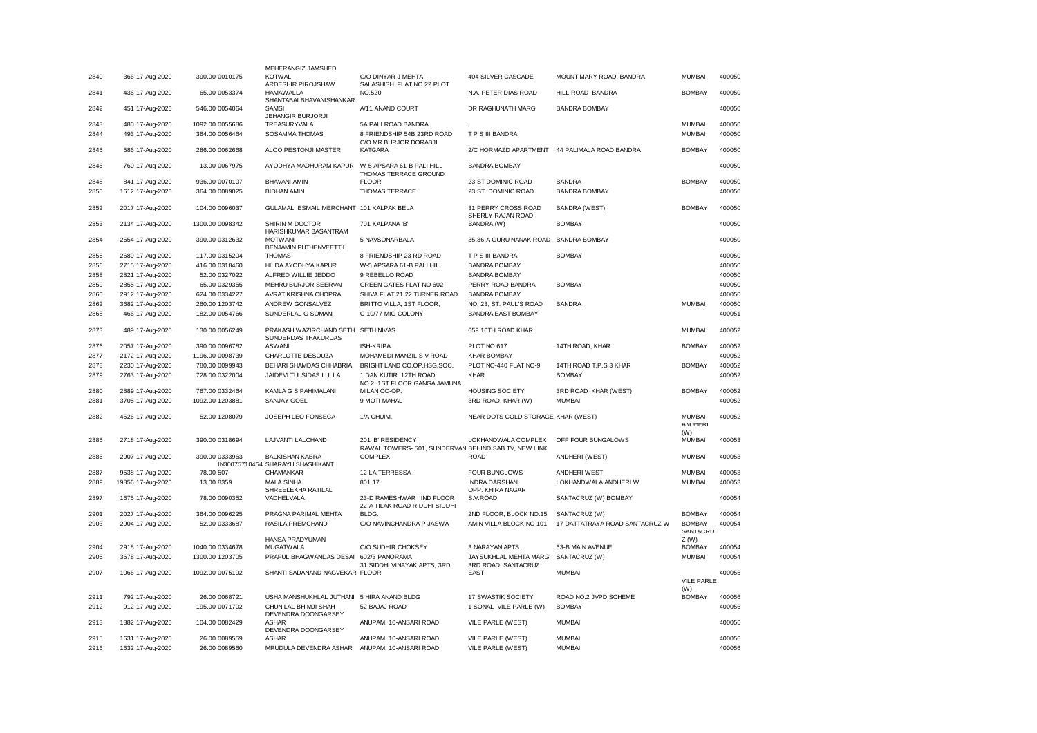| 366 17-Aug-2020   | 390.00 0010175                                                                                                                                                                                                                            | MEHERANGIZ JAMSHED<br>KOTWAL                                                                                                                                                                      | C/O DINYAR J MEHTA                                                                                                                                                                                                                                                                                                                                                                                   | 404 SILVER CASCADE                                                                                                                                                                                                                                                                                                                                                                                                                                                   | MOUNT MARY ROAD, BANDRA                                                                                                                                                                                                                                                                                                               | <b>MUMBAI</b>                                                                                                                                                                                                                                                                              | 400050                                                         |
|-------------------|-------------------------------------------------------------------------------------------------------------------------------------------------------------------------------------------------------------------------------------------|---------------------------------------------------------------------------------------------------------------------------------------------------------------------------------------------------|------------------------------------------------------------------------------------------------------------------------------------------------------------------------------------------------------------------------------------------------------------------------------------------------------------------------------------------------------------------------------------------------------|----------------------------------------------------------------------------------------------------------------------------------------------------------------------------------------------------------------------------------------------------------------------------------------------------------------------------------------------------------------------------------------------------------------------------------------------------------------------|---------------------------------------------------------------------------------------------------------------------------------------------------------------------------------------------------------------------------------------------------------------------------------------------------------------------------------------|--------------------------------------------------------------------------------------------------------------------------------------------------------------------------------------------------------------------------------------------------------------------------------------------|----------------------------------------------------------------|
| 436 17-Aug-2020   | 65.00 0053374                                                                                                                                                                                                                             | <b>HAMAWALLA</b>                                                                                                                                                                                  | NO.520                                                                                                                                                                                                                                                                                                                                                                                               | N.A. PETER DIAS ROAD                                                                                                                                                                                                                                                                                                                                                                                                                                                 | HILL ROAD BANDRA                                                                                                                                                                                                                                                                                                                      | <b>BOMBAY</b>                                                                                                                                                                                                                                                                              | 400050                                                         |
| 451 17-Aug-2020   | 546.00 0054064                                                                                                                                                                                                                            | SAMSI                                                                                                                                                                                             | A/11 ANAND COURT                                                                                                                                                                                                                                                                                                                                                                                     | DR RAGHUNATH MARG                                                                                                                                                                                                                                                                                                                                                                                                                                                    | <b>BANDRA BOMBAY</b>                                                                                                                                                                                                                                                                                                                  |                                                                                                                                                                                                                                                                                            | 400050                                                         |
|                   |                                                                                                                                                                                                                                           |                                                                                                                                                                                                   |                                                                                                                                                                                                                                                                                                                                                                                                      |                                                                                                                                                                                                                                                                                                                                                                                                                                                                      |                                                                                                                                                                                                                                                                                                                                       | <b>MUMBAI</b>                                                                                                                                                                                                                                                                              | 400050                                                         |
| 493 17-Aug-2020   | 364.00 0056464                                                                                                                                                                                                                            | SOSAMMA THOMAS                                                                                                                                                                                    | 8 FRIENDSHIP 54B 23RD ROAD                                                                                                                                                                                                                                                                                                                                                                           | TPS III BANDRA                                                                                                                                                                                                                                                                                                                                                                                                                                                       |                                                                                                                                                                                                                                                                                                                                       | <b>MUMBAI</b>                                                                                                                                                                                                                                                                              | 400050                                                         |
| 586 17-Aug-2020   | 286.00 0062668                                                                                                                                                                                                                            | ALOO PESTONJI MASTER                                                                                                                                                                              | <b>KATGARA</b>                                                                                                                                                                                                                                                                                                                                                                                       |                                                                                                                                                                                                                                                                                                                                                                                                                                                                      |                                                                                                                                                                                                                                                                                                                                       | <b>BOMBAY</b>                                                                                                                                                                                                                                                                              | 400050                                                         |
| 760 17-Aug-2020   | 13.00 0067975                                                                                                                                                                                                                             | AYODHYA MADHURAM KAPUR                                                                                                                                                                            | W-5 APSARA 61-B PALI HILL<br>THOMAS TERRACE GROUND                                                                                                                                                                                                                                                                                                                                                   | <b>BANDRA BOMBAY</b>                                                                                                                                                                                                                                                                                                                                                                                                                                                 |                                                                                                                                                                                                                                                                                                                                       |                                                                                                                                                                                                                                                                                            | 400050                                                         |
| 841 17-Aug-2020   | 936.00 0070107                                                                                                                                                                                                                            | <b>BHAVANI AMIN</b>                                                                                                                                                                               | <b>FLOOR</b>                                                                                                                                                                                                                                                                                                                                                                                         | 23 ST DOMINIC ROAD                                                                                                                                                                                                                                                                                                                                                                                                                                                   | <b>BANDRA</b>                                                                                                                                                                                                                                                                                                                         | <b>BOMBAY</b>                                                                                                                                                                                                                                                                              | 400050                                                         |
| 1612 17-Aug-2020  | 364.00 0089025                                                                                                                                                                                                                            | <b>BIDHAN AMIN</b>                                                                                                                                                                                | <b>THOMAS TERRACE</b>                                                                                                                                                                                                                                                                                                                                                                                | 23 ST. DOMINIC ROAD                                                                                                                                                                                                                                                                                                                                                                                                                                                  | <b>BANDRA BOMBAY</b>                                                                                                                                                                                                                                                                                                                  |                                                                                                                                                                                                                                                                                            | 400050                                                         |
| 2017 17-Aug-2020  | 104.00 0096037                                                                                                                                                                                                                            |                                                                                                                                                                                                   |                                                                                                                                                                                                                                                                                                                                                                                                      | 31 PERRY CROSS ROAD                                                                                                                                                                                                                                                                                                                                                                                                                                                  | <b>BANDRA (WEST)</b>                                                                                                                                                                                                                                                                                                                  | <b>BOMBAY</b>                                                                                                                                                                                                                                                                              | 400050                                                         |
| 2134 17-Aug-2020  | 1300.00 0098342                                                                                                                                                                                                                           | SHIRIN M DOCTOR                                                                                                                                                                                   | 701 KALPANA 'B'                                                                                                                                                                                                                                                                                                                                                                                      | BANDRA (W)                                                                                                                                                                                                                                                                                                                                                                                                                                                           | <b>BOMBAY</b>                                                                                                                                                                                                                                                                                                                         |                                                                                                                                                                                                                                                                                            | 400050                                                         |
| 2654 17-Aug-2020  | 390.00 0312632                                                                                                                                                                                                                            | <b>MOTWANI</b>                                                                                                                                                                                    | 5 NAVSONARBALA                                                                                                                                                                                                                                                                                                                                                                                       |                                                                                                                                                                                                                                                                                                                                                                                                                                                                      |                                                                                                                                                                                                                                                                                                                                       |                                                                                                                                                                                                                                                                                            | 400050                                                         |
|                   |                                                                                                                                                                                                                                           |                                                                                                                                                                                                   |                                                                                                                                                                                                                                                                                                                                                                                                      | T P S III BANDRA                                                                                                                                                                                                                                                                                                                                                                                                                                                     |                                                                                                                                                                                                                                                                                                                                       |                                                                                                                                                                                                                                                                                            | 400050                                                         |
|                   |                                                                                                                                                                                                                                           |                                                                                                                                                                                                   |                                                                                                                                                                                                                                                                                                                                                                                                      |                                                                                                                                                                                                                                                                                                                                                                                                                                                                      |                                                                                                                                                                                                                                                                                                                                       |                                                                                                                                                                                                                                                                                            | 400050                                                         |
|                   |                                                                                                                                                                                                                                           |                                                                                                                                                                                                   |                                                                                                                                                                                                                                                                                                                                                                                                      |                                                                                                                                                                                                                                                                                                                                                                                                                                                                      |                                                                                                                                                                                                                                                                                                                                       |                                                                                                                                                                                                                                                                                            | 400050                                                         |
|                   |                                                                                                                                                                                                                                           |                                                                                                                                                                                                   |                                                                                                                                                                                                                                                                                                                                                                                                      |                                                                                                                                                                                                                                                                                                                                                                                                                                                                      |                                                                                                                                                                                                                                                                                                                                       |                                                                                                                                                                                                                                                                                            | 400050                                                         |
|                   |                                                                                                                                                                                                                                           |                                                                                                                                                                                                   |                                                                                                                                                                                                                                                                                                                                                                                                      |                                                                                                                                                                                                                                                                                                                                                                                                                                                                      |                                                                                                                                                                                                                                                                                                                                       |                                                                                                                                                                                                                                                                                            | 400050                                                         |
|                   |                                                                                                                                                                                                                                           |                                                                                                                                                                                                   |                                                                                                                                                                                                                                                                                                                                                                                                      |                                                                                                                                                                                                                                                                                                                                                                                                                                                                      |                                                                                                                                                                                                                                                                                                                                       |                                                                                                                                                                                                                                                                                            | 400050                                                         |
|                   |                                                                                                                                                                                                                                           |                                                                                                                                                                                                   |                                                                                                                                                                                                                                                                                                                                                                                                      |                                                                                                                                                                                                                                                                                                                                                                                                                                                                      |                                                                                                                                                                                                                                                                                                                                       |                                                                                                                                                                                                                                                                                            | 400051                                                         |
|                   |                                                                                                                                                                                                                                           |                                                                                                                                                                                                   |                                                                                                                                                                                                                                                                                                                                                                                                      |                                                                                                                                                                                                                                                                                                                                                                                                                                                                      |                                                                                                                                                                                                                                                                                                                                       |                                                                                                                                                                                                                                                                                            | 400052                                                         |
|                   |                                                                                                                                                                                                                                           |                                                                                                                                                                                                   |                                                                                                                                                                                                                                                                                                                                                                                                      |                                                                                                                                                                                                                                                                                                                                                                                                                                                                      |                                                                                                                                                                                                                                                                                                                                       |                                                                                                                                                                                                                                                                                            |                                                                |
| 2057 17-Aug-2020  | 390.00 0096782                                                                                                                                                                                                                            | <b>ASWANI</b>                                                                                                                                                                                     | ISH-KRIPA                                                                                                                                                                                                                                                                                                                                                                                            | PLOT NO.617                                                                                                                                                                                                                                                                                                                                                                                                                                                          | 14TH ROAD, KHAR                                                                                                                                                                                                                                                                                                                       | <b>BOMBAY</b>                                                                                                                                                                                                                                                                              | 400052                                                         |
| 2172 17-Aug-2020  | 1196.00 0098739                                                                                                                                                                                                                           | CHARLOTTE DESOUZA                                                                                                                                                                                 | MOHAMEDI MANZIL S V ROAD                                                                                                                                                                                                                                                                                                                                                                             | <b>KHAR BOMBAY</b>                                                                                                                                                                                                                                                                                                                                                                                                                                                   |                                                                                                                                                                                                                                                                                                                                       |                                                                                                                                                                                                                                                                                            | 400052                                                         |
| 2230 17-Aug-2020  | 780.00 0099943                                                                                                                                                                                                                            | BEHARI SHAMDAS CHHABRIA                                                                                                                                                                           | BRIGHT LAND CO.OP.HSG.SOC.                                                                                                                                                                                                                                                                                                                                                                           | PLOT NO-440 FLAT NO-9                                                                                                                                                                                                                                                                                                                                                                                                                                                | 14TH ROAD T.P.S.3 KHAR                                                                                                                                                                                                                                                                                                                | <b>BOMBAY</b>                                                                                                                                                                                                                                                                              | 400052                                                         |
| 2763 17-Aug-2020  | 728.00 0322004                                                                                                                                                                                                                            | JAIDEVI TULSIDAS LULLA                                                                                                                                                                            | 1 DAN KUTIR 12TH ROAD<br>NO.2 1ST FLOOR GANGA JAMUNA                                                                                                                                                                                                                                                                                                                                                 | <b>KHAR</b>                                                                                                                                                                                                                                                                                                                                                                                                                                                          | <b>BOMBAY</b>                                                                                                                                                                                                                                                                                                                         |                                                                                                                                                                                                                                                                                            | 400052                                                         |
| 2889 17-Aug-2020  | 767.00 0332464                                                                                                                                                                                                                            | KAMLA G SIPAHIMALANI                                                                                                                                                                              | MILAN CO-OP.                                                                                                                                                                                                                                                                                                                                                                                         | <b>HOUSING SOCIETY</b>                                                                                                                                                                                                                                                                                                                                                                                                                                               | 3RD ROAD KHAR (WEST)                                                                                                                                                                                                                                                                                                                  | <b>BOMBAY</b>                                                                                                                                                                                                                                                                              | 400052                                                         |
| 3705 17-Aug-2020  | 1092.00 1203881                                                                                                                                                                                                                           | SANJAY GOEL                                                                                                                                                                                       | 9 MOTI MAHAL                                                                                                                                                                                                                                                                                                                                                                                         | 3RD ROAD, KHAR (W)                                                                                                                                                                                                                                                                                                                                                                                                                                                   | <b>MUMBAI</b>                                                                                                                                                                                                                                                                                                                         |                                                                                                                                                                                                                                                                                            | 400052                                                         |
| 4526 17-Aug-2020  | 52.00 1208079                                                                                                                                                                                                                             | JOSEPH LEO FONSECA                                                                                                                                                                                | 1/A CHUIM                                                                                                                                                                                                                                                                                                                                                                                            |                                                                                                                                                                                                                                                                                                                                                                                                                                                                      |                                                                                                                                                                                                                                                                                                                                       | <b>MUMBAI</b><br><b>ANDHERI</b>                                                                                                                                                                                                                                                            | 400052                                                         |
| 2718 17-Aug-2020  | 390.00 0318694                                                                                                                                                                                                                            | LAJVANTI LALCHAND                                                                                                                                                                                 | 201 'B' RESIDENCY                                                                                                                                                                                                                                                                                                                                                                                    | LOKHANDWALA COMPLEX                                                                                                                                                                                                                                                                                                                                                                                                                                                  | OFF FOUR BUNGALOWS                                                                                                                                                                                                                                                                                                                    | <b>MUMBAI</b>                                                                                                                                                                                                                                                                              | 400053                                                         |
| 2907 17-Aug-2020  | 390.00 0333963                                                                                                                                                                                                                            | <b>BALKISHAN KABRA</b>                                                                                                                                                                            | <b>COMPLEX</b>                                                                                                                                                                                                                                                                                                                                                                                       | <b>ROAD</b>                                                                                                                                                                                                                                                                                                                                                                                                                                                          | ANDHERI (WEST)                                                                                                                                                                                                                                                                                                                        | <b>MUMBAI</b>                                                                                                                                                                                                                                                                              | 400053                                                         |
| 9538 17-Aug-2020  | 78.00 507                                                                                                                                                                                                                                 | CHAMANKAR                                                                                                                                                                                         | 12 LA TERRESSA                                                                                                                                                                                                                                                                                                                                                                                       | <b>FOUR BUNGLOWS</b>                                                                                                                                                                                                                                                                                                                                                                                                                                                 | ANDHERI WEST                                                                                                                                                                                                                                                                                                                          | <b>MUMBAI</b>                                                                                                                                                                                                                                                                              | 400053                                                         |
| 19856 17-Aug-2020 | 13.00 8359                                                                                                                                                                                                                                | <b>MALA SINHA</b>                                                                                                                                                                                 | 801 17                                                                                                                                                                                                                                                                                                                                                                                               | <b>INDRA DARSHAN</b>                                                                                                                                                                                                                                                                                                                                                                                                                                                 | LOKHANDWALA ANDHERI W                                                                                                                                                                                                                                                                                                                 | <b>MUMBAI</b>                                                                                                                                                                                                                                                                              | 400053                                                         |
| 1675 17-Aug-2020  | 78.00 0090352                                                                                                                                                                                                                             | VADHELVALA                                                                                                                                                                                        | 23-D RAMESHWAR IIND FLOOR                                                                                                                                                                                                                                                                                                                                                                            | S.V.ROAD                                                                                                                                                                                                                                                                                                                                                                                                                                                             | SANTACRUZ (W) BOMBAY                                                                                                                                                                                                                                                                                                                  |                                                                                                                                                                                                                                                                                            | 400054                                                         |
|                   | 364.00 0096225                                                                                                                                                                                                                            | PRAGNA PARIMAL MEHTA                                                                                                                                                                              | <b>BLDG</b>                                                                                                                                                                                                                                                                                                                                                                                          |                                                                                                                                                                                                                                                                                                                                                                                                                                                                      |                                                                                                                                                                                                                                                                                                                                       | <b>BOMBAY</b>                                                                                                                                                                                                                                                                              | 400054                                                         |
|                   |                                                                                                                                                                                                                                           |                                                                                                                                                                                                   |                                                                                                                                                                                                                                                                                                                                                                                                      |                                                                                                                                                                                                                                                                                                                                                                                                                                                                      |                                                                                                                                                                                                                                                                                                                                       |                                                                                                                                                                                                                                                                                            | 400054                                                         |
|                   |                                                                                                                                                                                                                                           | <b>HANSA PRADYUMAN</b>                                                                                                                                                                            |                                                                                                                                                                                                                                                                                                                                                                                                      |                                                                                                                                                                                                                                                                                                                                                                                                                                                                      |                                                                                                                                                                                                                                                                                                                                       | SANTACRU                                                                                                                                                                                                                                                                                   |                                                                |
| 2918 17-Aug-2020  | 1040.00 0334678                                                                                                                                                                                                                           | <b>MUGATWALA</b>                                                                                                                                                                                  | C/O SUDHIR CHOKSEY                                                                                                                                                                                                                                                                                                                                                                                   | 3 NARAYAN APTS.                                                                                                                                                                                                                                                                                                                                                                                                                                                      | 63-B MAIN AVENUE                                                                                                                                                                                                                                                                                                                      | <b>BOMBAY</b>                                                                                                                                                                                                                                                                              | 400054                                                         |
| 3678 17-Aug-2020  | 1300.00 1203705                                                                                                                                                                                                                           | PRAFUL BHAGWANDAS DESAI                                                                                                                                                                           |                                                                                                                                                                                                                                                                                                                                                                                                      |                                                                                                                                                                                                                                                                                                                                                                                                                                                                      |                                                                                                                                                                                                                                                                                                                                       | <b>MUMBAI</b>                                                                                                                                                                                                                                                                              | 400054                                                         |
|                   |                                                                                                                                                                                                                                           |                                                                                                                                                                                                   | 31 SIDDHI VINAYAK APTS, 3RD                                                                                                                                                                                                                                                                                                                                                                          | 3RD ROAD, SANTACRUZ                                                                                                                                                                                                                                                                                                                                                                                                                                                  |                                                                                                                                                                                                                                                                                                                                       |                                                                                                                                                                                                                                                                                            |                                                                |
|                   |                                                                                                                                                                                                                                           |                                                                                                                                                                                                   |                                                                                                                                                                                                                                                                                                                                                                                                      |                                                                                                                                                                                                                                                                                                                                                                                                                                                                      |                                                                                                                                                                                                                                                                                                                                       | <b>VILE PARLE</b>                                                                                                                                                                                                                                                                          | 400055                                                         |
|                   |                                                                                                                                                                                                                                           |                                                                                                                                                                                                   |                                                                                                                                                                                                                                                                                                                                                                                                      |                                                                                                                                                                                                                                                                                                                                                                                                                                                                      |                                                                                                                                                                                                                                                                                                                                       | (W)                                                                                                                                                                                                                                                                                        |                                                                |
|                   |                                                                                                                                                                                                                                           |                                                                                                                                                                                                   |                                                                                                                                                                                                                                                                                                                                                                                                      |                                                                                                                                                                                                                                                                                                                                                                                                                                                                      |                                                                                                                                                                                                                                                                                                                                       |                                                                                                                                                                                                                                                                                            |                                                                |
| 792 17-Aug-2020   | 26.00 0068721                                                                                                                                                                                                                             | USHA MANSHUKHLAL JUTHANI 5 HIRA ANAND BLDG                                                                                                                                                        |                                                                                                                                                                                                                                                                                                                                                                                                      | 17 SWASTIK SOCIETY                                                                                                                                                                                                                                                                                                                                                                                                                                                   | ROAD NO.2 JVPD SCHEME                                                                                                                                                                                                                                                                                                                 | <b>BOMBAY</b>                                                                                                                                                                                                                                                                              | 400056                                                         |
| 912 17-Aug-2020   | 195.00 0071702                                                                                                                                                                                                                            | CHUNILAL BHIMJI SHAH<br>DEVENDRA DOONGARSEY                                                                                                                                                       | 52 BAJAJ ROAD                                                                                                                                                                                                                                                                                                                                                                                        | 1 SONAL VILE PARLE (W)                                                                                                                                                                                                                                                                                                                                                                                                                                               | <b>BOMBAY</b>                                                                                                                                                                                                                                                                                                                         |                                                                                                                                                                                                                                                                                            | 400056                                                         |
| 1382 17-Aug-2020  | 104.00 0082429                                                                                                                                                                                                                            | <b>ASHAR</b><br>DEVENDRA DOONGARSEY                                                                                                                                                               | ANUPAM, 10-ANSARI ROAD                                                                                                                                                                                                                                                                                                                                                                               | VILE PARLE (WEST)                                                                                                                                                                                                                                                                                                                                                                                                                                                    | <b>MUMBAI</b>                                                                                                                                                                                                                                                                                                                         |                                                                                                                                                                                                                                                                                            | 400056                                                         |
| 1631 17-Aug-2020  | 26.00 0089559                                                                                                                                                                                                                             | <b>ASHAR</b>                                                                                                                                                                                      | ANUPAM, 10-ANSARI ROAD                                                                                                                                                                                                                                                                                                                                                                               | VILE PARLE (WEST)                                                                                                                                                                                                                                                                                                                                                                                                                                                    | <b>MUMBAI</b>                                                                                                                                                                                                                                                                                                                         |                                                                                                                                                                                                                                                                                            | 400056                                                         |
|                   | 480 17-Aug-2020<br>2689 17-Aug-2020<br>2715 17-Aug-2020<br>2821 17-Aug-2020<br>2855 17-Aug-2020<br>2912 17-Aug-2020<br>3682 17-Aug-2020<br>466 17-Aug-2020<br>489 17-Aug-2020<br>2027 17-Aug-2020<br>2904 17-Aug-2020<br>1066 17-Aug-2020 | 1092.00 0055686<br>117.00 0315204<br>416.00 0318460<br>52.00 0327022<br>65.00 0329355<br>624.00 0334227<br>260.00 1203742<br>182.00 0054766<br>130.00 0056249<br>52.00 0333687<br>1092.00 0075192 | ARDESHIR PIROJSHAW<br>SHANTABAI BHAVANISHANKAR<br>JEHANGIR BURJORJI<br>TREASURYVALA<br>HARISHKUMAR BASANTRAM<br>BENJAMIN PUTHENVEETTIL<br><b>THOMAS</b><br>HILDA AYODHYA KAPUR<br>ALFRED WILLIE JEDDO<br>MEHRU BURJOR SEERVAI<br>AVRAT KRISHNA CHOPRA<br>ANDREW GONSALVEZ<br>SUNDERLAL G SOMANI<br>SUNDERDAS THAKURDAS<br>IN30075710454 SHARAYU SHASHIKANT<br>SHREELEKHA RATILAL<br>RASILA PREMCHAND | SAI ASHISH FLAT NO.22 PLOT<br>5A PALI ROAD BANDRA<br>C/O MR BURJOR DORABJI<br>GULAMALI ESMAIL MERCHANT 101 KALPAK BELA<br>8 FRIENDSHIP 23 RD ROAD<br>W-5 APSARA 61-B PALI HILL<br>9 REBELLO ROAD<br>GREEN GATES FLAT NO 602<br>SHIVA FLAT 21 22 TURNER ROAD<br>BRITTO VILLA, 1ST FLOOR,<br>C-10/77 MIG COLONY<br>PRAKASH WAZIRCHAND SETH SETH NIVAS<br>22-A TILAK ROAD RIDDHI SIDDHI<br>C/O NAVINCHANDRA P JASWA<br>602/3 PANORAMA<br>SHANTI SADANAND NAGVEKAR FLOOR | SHERLY RAJAN ROAD<br><b>BANDRA BOMBAY</b><br><b>BANDRA BOMBAY</b><br>PERRY ROAD BANDRA<br><b>BANDRA BOMBAY</b><br>NO. 23, ST. PAUL'S ROAD<br><b>BANDRA EAST BOMBAY</b><br>659 16TH ROAD KHAR<br>RAWAL TOWERS- 501, SUNDERVAN BEHIND SAB TV, NEW LINK<br>OPP. KHIRA NAGAR<br>2ND FLOOR, BLOCK NO.15<br>AMIN VILLA BLOCK NO 101<br>EAST | 2/C HORMAZD APARTMENT 44 PALIMALA ROAD BANDRA<br>35,36-A GURU NANAK ROAD BANDRA BOMBAY<br><b>BOMBAY</b><br><b>BOMBAY</b><br><b>BANDRA</b><br>NEAR DOTS COLD STORAGE KHAR (WEST)<br>SANTACRUZ (W)<br>17 DATTATRAYA ROAD SANTACRUZ W<br>JAYSUKHLAL MEHTA MARG SANTACRUZ (W)<br><b>MUMBAI</b> | <b>MUMBAI</b><br><b>MUMBAI</b><br>(W)<br><b>BOMBAY</b><br>Z(W) |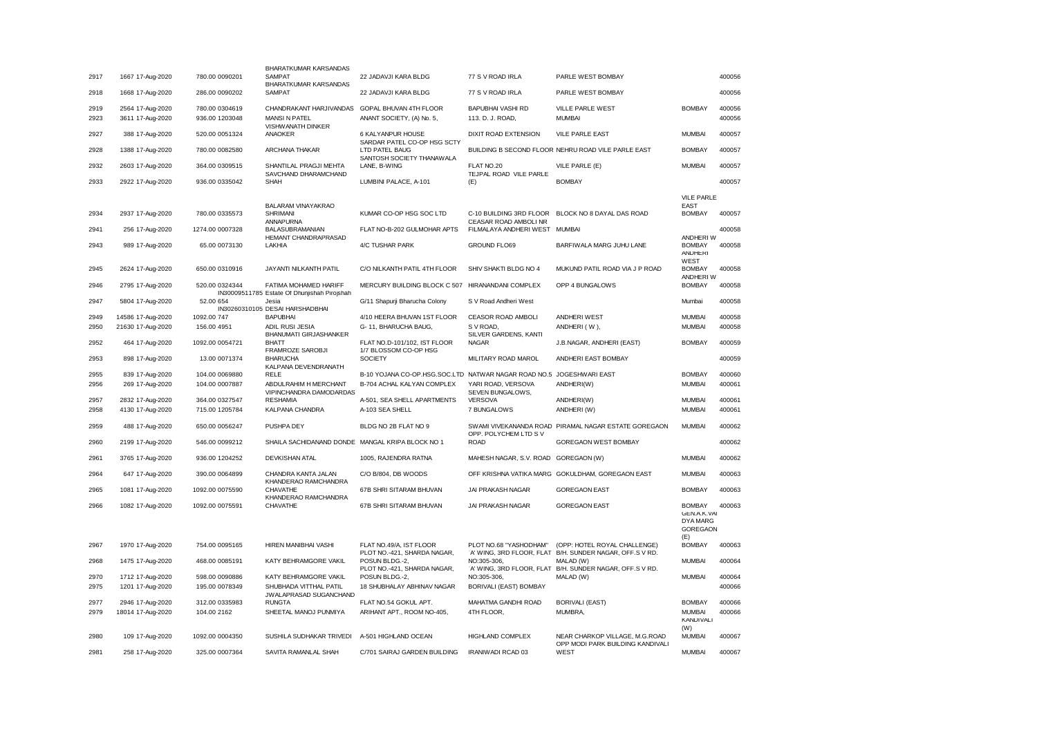| 2917 | 1667 17-Aug-2020  | 780.00 0090201  | BHARATKUMAR KARSANDAS<br><b>SAMPAT</b>                                | 22 JADAVJI KARA BLDG                                                 | 77 S V ROAD IRLA                                    | PARLE WEST BOMBAY                                                  |                                                                    | 400056 |
|------|-------------------|-----------------|-----------------------------------------------------------------------|----------------------------------------------------------------------|-----------------------------------------------------|--------------------------------------------------------------------|--------------------------------------------------------------------|--------|
|      |                   |                 | BHARATKUMAR KARSANDAS                                                 |                                                                      |                                                     |                                                                    |                                                                    |        |
| 2918 | 1668 17-Aug-2020  | 286.00 0090202  | <b>SAMPAT</b>                                                         | 22 JADAVJI KARA BLDG                                                 | 77 S V ROAD IRLA                                    | PARLE WEST BOMBAY                                                  |                                                                    | 400056 |
| 2919 | 2564 17-Aug-2020  | 780.00 0304619  | CHANDRAKANT HARJIVANDAS                                               | GOPAL BHUVAN 4TH FLOOR                                               | <b>BAPUBHAI VASHI RD</b>                            | VILLE PARLE WEST                                                   | <b>BOMBAY</b>                                                      | 400056 |
| 2923 | 3611 17-Aug-2020  | 936.00 1203048  | <b>MANSI N PATEL</b><br>VISHWANATH DINKER                             | ANANT SOCIETY, (A) No. 5,                                            | 113. D. J. ROAD,                                    | <b>MUMBAI</b>                                                      |                                                                    | 400056 |
| 2927 | 388 17-Aug-2020   | 520.00 0051324  | ANAOKER                                                               | 6 KALYANPUR HOUSE<br>SARDAR PATEL CO-OP HSG SCTY                     | DIXIT ROAD EXTENSION                                | VILE PARLE EAST                                                    | <b>MUMBAI</b>                                                      | 400057 |
| 2928 | 1388 17-Aug-2020  | 780.00 0082580  | ARCHANA THAKAR                                                        | LTD PATEL BAUG<br>SANTOSH SOCIETY THANAWALA                          |                                                     | BUILDING B SECOND FLOOR NEHRU ROAD VILE PARLE EAST                 | <b>BOMBAY</b>                                                      | 400057 |
| 2932 | 2603 17-Aug-2020  | 364.00 0309515  | SHANTILAL PRAGJI MEHTA<br>SAVCHAND DHARAMCHAND                        | LANE, B-WING                                                         | FLAT NO.20<br>TEJPAL ROAD VILE PARLE                | VILE PARLE (E)                                                     | <b>MUMBAI</b>                                                      | 400057 |
| 2933 | 2922 17-Aug-2020  | 936.00 0335042  | SHAH                                                                  | LUMBINI PALACE, A-101                                                | (E)                                                 | <b>BOMBAY</b>                                                      |                                                                    | 400057 |
|      |                   |                 |                                                                       |                                                                      |                                                     |                                                                    | <b>VILE PARLE</b>                                                  |        |
|      |                   |                 | BALARAM VINAYAKRAO                                                    |                                                                      |                                                     |                                                                    | <b>EAST</b>                                                        |        |
| 2934 | 2937 17-Aug-2020  | 780.00 0335573  | <b>SHRIMANI</b><br>ANNAPURNA                                          | KUMAR CO-OP HSG SOC LTD                                              | C-10 BUILDING 3RD FLOOR<br>CEASAR ROAD AMBOLI NR    | BLOCK NO 8 DAYAL DAS ROAD                                          | <b>BOMBAY</b>                                                      | 400057 |
| 2941 | 256 17-Aug-2020   | 1274.00 0007328 | <b>BALASUBRAMANIAN</b><br>HEMANT CHANDRAPRASAD                        | FLAT NO-B-202 GULMOHAR APTS                                          | FILMALAYA ANDHERI WEST                              | <b>MUMBAI</b>                                                      | ANDHERI W                                                          | 400058 |
| 2943 | 989 17-Aug-2020   | 65.00 0073130   | LAKHIA                                                                | 4/C TUSHAR PARK                                                      | <b>GROUND FLO69</b>                                 | BARFIWALA MARG JUHU LANE                                           | <b>BOMBAY</b><br><b>ANDHERI</b>                                    | 400058 |
| 2945 | 2624 17-Aug-2020  | 650.00 0310916  | JAYANTI NILKANTH PATIL                                                | C/O NILKANTH PATIL 4TH FLOOR                                         | SHIV SHAKTI BLDG NO 4                               | MUKUND PATIL ROAD VIA J P ROAD                                     | WEST<br><b>BOMBAY</b><br>ANDHERI W                                 | 400058 |
| 2946 | 2795 17-Aug-2020  | 520.00 0324344  | FATIMA MOHAMED HARIFF<br>IN30009511785 Estate Of Dhunjishah Pirojshah | MERCURY BUILDING BLOCK C 507 HIRANANDANI COMPLEX                     |                                                     | OPP 4 BUNGALOWS                                                    | <b>BOMBAY</b>                                                      | 400058 |
| 2947 | 5804 17-Aug-2020  | 52.00 654       | Jesia                                                                 | G/11 Shapurji Bharucha Colony                                        | S V Road Andheri West                               |                                                                    | Mumbai                                                             | 400058 |
| 2949 | 14586 17-Aug-2020 | 1092.00 747     | IN30260310105 DESAI HARSHADBHAI<br><b>BAPUBHAI</b>                    | 4/10 HEERA BHUVAN 1ST FLOOR                                          | <b>CEASOR ROAD AMBOLI</b>                           | ANDHERI WEST                                                       | <b>MUMBAI</b>                                                      | 400058 |
| 2950 | 21630 17-Aug-2020 | 156.00 4951     | ADIL RUSI JESIA                                                       | G-11, BHARUCHA BAUG,                                                 | S V ROAD,                                           | ANDHERI (W),                                                       | <b>MUMBAI</b>                                                      | 400058 |
| 2952 | 464 17-Aug-2020   | 1092.00 0054721 | <b>BHANUMATI GIRJASHANKER</b><br><b>BHATT</b>                         | FLAT NO.D-101/102, IST FLOOR                                         | SILVER GARDENS, KANTI<br><b>NAGAR</b>               | J.B.NAGAR, ANDHERI (EAST)                                          | <b>BOMBAY</b>                                                      | 400059 |
| 2953 | 898 17-Aug-2020   | 13.00 0071374   | FRAMROZE SAROBJI<br><b>BHARUCHA</b>                                   | 1/7 BLOSSOM CO-OP HSG<br><b>SOCIETY</b>                              | MILITARY ROAD MAROL                                 | ANDHERI EAST BOMBAY                                                |                                                                    | 400059 |
| 2955 | 839 17-Aug-2020   | 104.00 0069880  | KALPANA DEVENDRANATH<br><b>RFIF</b>                                   | B-10 YOJANA CO-OP.HSG.SOC.LTD NATWAR NAGAR ROAD NO.5 JOGESHWARI EAST |                                                     |                                                                    | <b>BOMBAY</b>                                                      | 400060 |
| 2956 | 269 17-Aug-2020   | 104.00 0007887  | ABDULRAHIM H MERCHANT<br>VIPINCHANDRA DAMODARDAS                      | B-704 ACHAL KALYAN COMPLEX                                           | YARI ROAD, VERSOVA<br>SEVEN BUNGALOWS,              | ANDHERI(W)                                                         | <b>MUMBAI</b>                                                      | 400061 |
| 2957 | 2832 17-Aug-2020  | 364.00 0327547  | <b>RESHAMIA</b>                                                       | A-501, SEA SHELL APARTMENTS                                          | <b>VERSOVA</b>                                      | ANDHERI(W)                                                         | <b>MUMBAI</b>                                                      | 400061 |
| 2958 | 4130 17-Aug-2020  | 715.00 1205784  | KALPANA CHANDRA                                                       | A-103 SEA SHELL                                                      | 7 BUNGALOWS                                         | ANDHERI (W)                                                        | <b>MUMBAI</b>                                                      | 400061 |
| 2959 | 488 17-Aug-2020   | 650.00 0056247  | PUSHPA DEY                                                            | BLDG NO 2B FLAT NO 9                                                 |                                                     | SWAMI VIVEKANANDA ROAD PIRAMAL NAGAR ESTATE GOREGAON               | <b>MUMBAI</b>                                                      | 400062 |
| 2960 | 2199 17-Aug-2020  | 546.00 0099212  | SHAILA SACHIDANAND DONDE MANGAL KRIPA BLOCK NO 1                      |                                                                      | OPP. POLYCHEM LTD SV<br><b>ROAD</b>                 | <b>GOREGAON WEST BOMBAY</b>                                        |                                                                    | 400062 |
| 2961 | 3765 17-Aug-2020  | 936.00 1204252  | <b>DEVKISHAN ATAL</b>                                                 | 1005, RAJENDRA RATNA                                                 | MAHESH NAGAR, S.V. ROAD GOREGAON (W)                |                                                                    | <b>MUMBAI</b>                                                      | 400062 |
| 2964 | 647 17-Aug-2020   | 390.00 0064899  | CHANDRA KANTA JALAN<br>KHANDERAO RAMCHANDRA                           | C/O B/804, DB WOODS                                                  |                                                     | OFF KRISHNA VATIKA MARG GOKULDHAM, GOREGAON EAST                   | <b>MUMBAI</b>                                                      | 400063 |
| 2965 | 1081 17-Aug-2020  | 1092.00 0075590 | CHAVATHE<br>KHANDERAO RAMCHANDRA                                      | 67B SHRI SITARAM BHUVAN                                              | JAI PRAKASH NAGAR                                   | <b>GOREGAON EAST</b>                                               | <b>BOMBAY</b>                                                      | 400063 |
| 2966 | 1082 17-Aug-2020  | 1092.00 0075591 | <b>CHAVATHE</b>                                                       | 67B SHRI SITARAM BHUVAN                                              | JAI PRAKASH NAGAR                                   | <b>GOREGAON EAST</b>                                               | <b>BOMBAY</b><br>GEN.A.K.VAI<br>DYA MARG<br><b>GOREGAON</b><br>(E) | 400063 |
| 2967 | 1970 17-Aug-2020  | 754.00 0095165  | HIREN MANIBHAI VASHI                                                  | FLAT NO.49/A, IST FLOOR<br>PLOT NO.-421, SHARDA NAGAR,               | PLOT NO.68 "YASHODHAM"<br>`A' WING, 3RD FLOOR, FLAT | (OPP: HOTEL ROYAL CHALLENGE)<br>B/H. SUNDER NAGAR, OFF.S V RD.     | <b>BOMBAY</b>                                                      | 400063 |
| 2968 | 1475 17-Aug-2020  | 468.00 0085191  | KATY BEHRAMGORE VAKIL                                                 | POSUN BLDG.-2,<br>PLOT NO.-421, SHARDA NAGAR,                        | NO:305-306<br>'A' WING, 3RD FLOOR, FLAT             | MALAD (W)<br>B/H. SUNDER NAGAR, OFF.S V RD.                        | <b>MUMBAI</b>                                                      | 400064 |
| 2970 | 1712 17-Aug-2020  | 598.00 0090886  | KATY BEHRAMGORE VAKIL                                                 | POSUN BLDG.-2,                                                       | NO:305-306,                                         | MALAD (W)                                                          | <b>MUMBAI</b>                                                      | 400064 |
| 2975 | 1201 17-Aug-2020  | 195.00 0078349  | SHUBHADA VITTHAL PATIL<br>JWALAPRASAD SUGANCHAND                      | 18 SHUBHALAY ABHINAV NAGAR                                           | BORIVALI (EAST) BOMBAY                              |                                                                    |                                                                    | 400066 |
| 2977 | 2946 17-Aug-2020  | 312.00 0335983  | <b>RUNGTA</b>                                                         | FLAT NO.54 GOKUL APT.                                                | MAHATMA GANDHI ROAD                                 | <b>BORIVALI (EAST)</b>                                             | <b>BOMBAY</b>                                                      | 400066 |
| 2979 | 18014 17-Aug-2020 | 104.00 2162     | SHEETAL MANOJ PUNMIYA                                                 | ARIHANT APT., ROOM NO-405,                                           | 4TH FLOOR,                                          | MUMBRA,                                                            | <b>MUMBAI</b><br>KANDIVALI<br>(W)                                  | 400066 |
| 2980 | 109 17-Aug-2020   | 1092.00 0004350 | SUSHILA SUDHAKAR TRIVEDI                                              | A-501 HIGHLAND OCEAN                                                 | <b>HIGHLAND COMPLEX</b>                             | NEAR CHARKOP VILLAGE, M.G.ROAD<br>OPP MODI PARK BUILDING KANDIVALI | <b>MUMBAI</b>                                                      | 400067 |
| 2981 | 258 17-Aug-2020   | 325.00 0007364  | SAVITA RAMANLAL SHAH                                                  | C/701 SAIRAJ GARDEN BUILDING                                         | IRANIWADI RCAD 03                                   | WEST                                                               | <b>MUMBAI</b>                                                      | 400067 |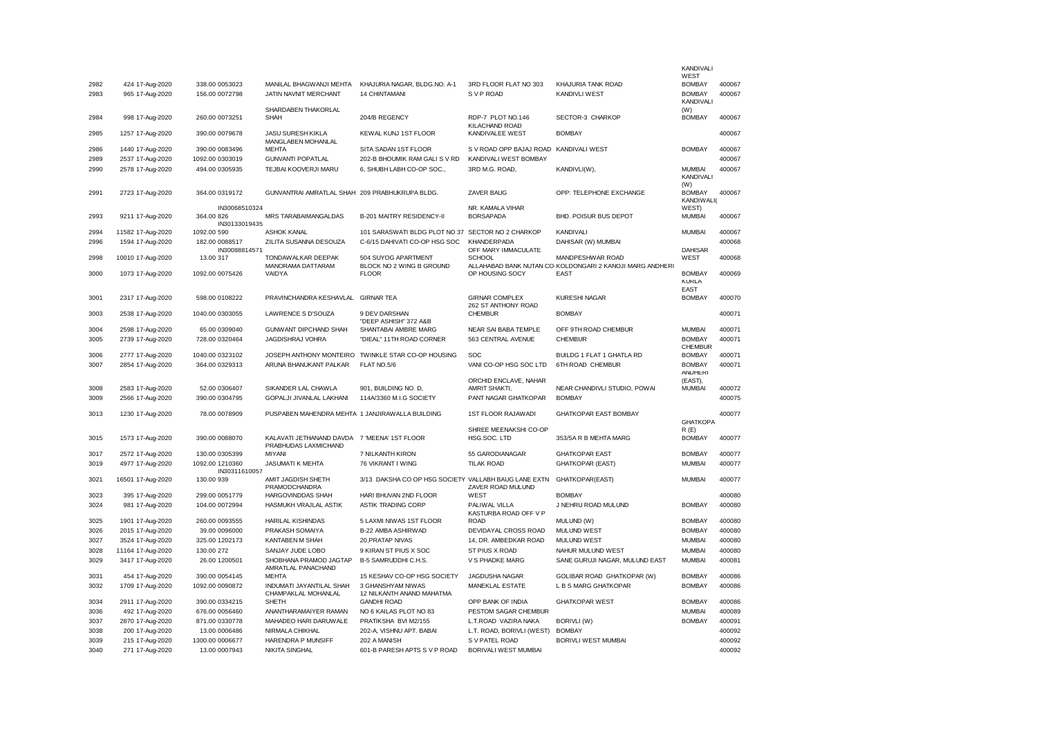|      |                                    |                                  |                                                                      |                                                      |                                                 |                                                                  | <b>KANDIVALI</b>                           |        |
|------|------------------------------------|----------------------------------|----------------------------------------------------------------------|------------------------------------------------------|-------------------------------------------------|------------------------------------------------------------------|--------------------------------------------|--------|
| 2982 |                                    |                                  | MANILAL BHAGWANJI MEHTA                                              | KHAJURIA NAGAR, BLDG.NO. A-1                         | 3RD FLOOR FLAT NO 303                           | KHAJURIA TANK ROAD                                               | WEST<br><b>BOMBAY</b>                      | 400067 |
| 2983 | 424 17-Aug-2020<br>965 17-Aug-2020 | 338.00 0053023<br>156.00 0072798 | JATIN NAVNIT MERCHANT                                                | 14 CHINTAMANI                                        | S V P ROAD                                      | <b>KANDIVLI WEST</b>                                             | <b>BOMBAY</b>                              | 400067 |
|      |                                    |                                  |                                                                      |                                                      |                                                 |                                                                  | KANDIVALI                                  |        |
| 2984 | 998 17-Aug-2020                    | 260.00 0073251                   | SHARDABEN THAKORLAL<br>SHAH                                          | 204/B REGENCY                                        | RDP-7 PLOT NO.146                               | <b>SECTOR-3 CHARKOP</b>                                          | (W)<br><b>BOMBAY</b>                       | 400067 |
| 2985 | 1257 17-Aug-2020                   | 390.00 0079678                   | JASU SURESH KIKLA<br>MANGLABEN MOHANLAL                              | KEWAL KUNJ 1ST FLOOR                                 | KILACHAND ROAD<br>KANDIVALEE WEST               | <b>ROMRAY</b>                                                    |                                            | 400067 |
| 2986 | 1440 17-Aug-2020                   | 390.00 0083496                   | <b>MEHTA</b>                                                         | SITA SADAN 1ST FLOOR                                 | S V ROAD OPP BAJAJ ROAD                         | <b>KANDIVALI WEST</b>                                            | <b>BOMBAY</b>                              | 400067 |
| 2989 | 2537 17-Aug-2020                   | 1092.00 0303019                  | <b>GUNVANTI POPATLAL</b>                                             | 202-B BHOUMIK RAM GALI S V RD                        | KANDIVALI WEST BOMBAY                           |                                                                  |                                            | 400067 |
| 2990 | 2578 17-Aug-2020                   | 494.00 0305935                   | TEJBAI KOOVERJI MARU                                                 | 6, SHUBH LABH CO-OP SOC.,                            | 3RD M.G. ROAD,                                  | KANDIVLI(W),                                                     | <b>MUMBAI</b><br>KANDIVALI                 | 400067 |
| 2991 | 2723 17-Aug-2020                   | 364.00 0319172                   | GUNVANTRAI AMRATLAL SHAH 209 PRABHUKRUPA BLDG.                       |                                                      | <b>ZAVER BAUG</b>                               | OPP: TELEPHONE EXCHANGE                                          | (W)<br><b>BOMBAY</b><br>KANDIWALI(         | 400067 |
|      |                                    | IN30068510324                    |                                                                      |                                                      | NR. KAMALA VIHAR                                |                                                                  | WEST)                                      |        |
| 2993 | 9211 17-Aug-2020                   | 364.00 826<br>IN30133019435      | MRS TARABAIMANGALDAS                                                 | B-201 MAITRY RESIDENCY-II                            | <b>BORSAPADA</b>                                | BHD. POISUR BUS DEPOT                                            | <b>MUMBAI</b>                              | 400067 |
| 2994 | 11582 17-Aug-2020                  | 1092.00 590                      | <b>ASHOK KANAL</b>                                                   | 101 SARASWATI BLDG PLOT NO 37 SECTOR NO 2 CHARKOP    |                                                 | KANDIVALI                                                        | <b>MUMBAI</b>                              | 400067 |
| 2996 | 1594 17-Aug-2020                   | 182.00 0088517<br>IN30088814571  | ZILITA SUSANNA DESOUZA                                               | C-6/15 DAHIVATI CO-OP HSG SOC                        | KHANDERPADA<br>OFF MARY IMMACULATE              | DAHISAR (W) MUMBAI                                               | <b>DAHISAR</b>                             | 400068 |
| 2998 | 10010 17-Aug-2020                  | 13.00 317                        | TONDAWALKAR DEEPAK                                                   | 504 SUYOG APARTMENT                                  | <b>SCHOOL</b>                                   | MANDPESHWAR ROAD                                                 | WEST                                       | 400068 |
| 3000 | 1073 17-Aug-2020                   | 1092.00 0075426                  | MANORAMA DATTARAM<br>VAIDYA                                          | BLOCK NO 2 WING B GROUND<br><b>FLOOR</b>             | OP HOUSING SOCY                                 | ALLAHABAD BANK NUTAN CO-KOLDONGARI 2 KANOJI MARG ANDHERI<br>EAST | <b>BOMBAY</b><br><b>KURLA</b>              | 400069 |
|      |                                    |                                  |                                                                      |                                                      |                                                 |                                                                  | <b>EAST</b>                                |        |
| 3001 | 2317 17-Aug-2020                   | 598.00 0108222                   | PRAVINCHANDRA KESHAVLAL GIRNAR TEA                                   |                                                      | <b>GIRNAR COMPLEX</b><br>262 ST ANTHONY ROAD    | <b>KURESHI NAGAR</b>                                             | <b>BOMBAY</b>                              | 400070 |
| 3003 | 2538 17-Aug-2020                   | 1040.00 0303055                  | <b>LAWRENCE S D'SOUZA</b>                                            | 9 DEV DARSHAN<br>"DEEP ASHISH" 372 A&B               | <b>CHEMBUR</b>                                  | <b>BOMBAY</b>                                                    |                                            | 400071 |
| 3004 | 2598 17-Aug-2020                   | 65.00 0309040                    | GUNWANT DIPCHAND SHAH                                                | SHANTABAI AMBRE MARG                                 | NEAR SAI BABA TEMPLE                            | OFF 9TH ROAD CHEMBUR                                             | <b>MUMBAI</b>                              | 400071 |
| 3005 | 2739 17-Aug-2020                   | 728.00 0320464                   | <b>JAGDISHRAJ VOHRA</b>                                              | "DIEAL" 11TH ROAD CORNER                             | 563 CENTRAL AVENUE                              | <b>CHEMBUR</b>                                                   | <b>BOMBAY</b><br><b>CHEMBUR</b>            | 400071 |
| 3006 | 2777 17-Aug-2020                   | 1040.00 0323102                  |                                                                      | JOSEPH ANTHONY MONTEIRO TWINKLE STAR CO-OP HOUSING   | SOC                                             | BUILDG 1 FLAT 1 GHATLA RD                                        | <b>BOMBAY</b>                              | 400071 |
| 3007 | 2854 17-Aug-2020                   | 364.00 0329313                   | ARUNA BHANUKANT PALKAR                                               | FLAT NO.5/6                                          | VANI CO-OP HSG SOC LTD<br>ORCHID ENCLAVE, NAHAR | 6TH ROAD CHEMBUR                                                 | <b>BOMBAY</b><br><b>ANDHERI</b><br>(EAST), | 400071 |
| 3008 | 2583 17-Aug-2020                   | 52.00 0306407                    | SIKANDER LAL CHAWLA                                                  | 901, BUILDING NO. D,                                 | AMRIT SHAKTI,                                   | NEAR CHANDIVLI STUDIO, POWAI                                     | <b>MUMBAI</b>                              | 400072 |
| 3009 | 2566 17-Aug-2020                   | 390.00 0304795                   | GOPALJI JIVANLAL LAKHANI                                             | 114A/3360 M.I.G SOCIETY                              | PANT NAGAR GHATKOPAR                            | <b>BOMBAY</b>                                                    |                                            | 400075 |
| 3013 | 1230 17-Aug-2020                   | 78.00 0078909                    | PUSPABEN MAHENDRA MEHTA 1 JANJIRAWALLA BUILDING                      |                                                      | 1ST FLOOR RAJAWADI                              | <b>GHATKOPAR EAST BOMBAY</b>                                     | <b>GHATKOPA</b>                            | 400077 |
|      |                                    |                                  |                                                                      |                                                      | SHREE MEENAKSHI CO-OP                           |                                                                  | R(E)                                       |        |
| 3015 | 1573 17-Aug-2020                   | 390.00 0088070                   | KALAVATI JETHANAND DAVDA 7 'MEENA' 1ST FLOOR<br>PRABHUDAS LAXMICHAND |                                                      | HSG.SOC. LTD                                    | 353/5A R B MEHTA MARG                                            | <b>BOMBAY</b>                              | 400077 |
| 3017 | 2572 17-Aug-2020                   | 130.00 0305399                   | <b>MIYANI</b>                                                        | 7 NILKANTH KIRON                                     | 55 GARODIANAGAR                                 | <b>GHATKOPAR EAST</b>                                            | <b>BOMBAY</b>                              | 400077 |
| 3019 | 4977 17-Aug-2020                   | 1092.00 1210360<br>IN30311610057 | <b>JASUMATI K MEHTA</b>                                              | 76 VIKRANT I WING                                    | <b>TILAK ROAD</b>                               | <b>GHATKOPAR (EAST)</b>                                          | <b>MUMBAI</b>                              | 400077 |
| 3021 | 16501 17-Aug-2020                  | 130.00 939                       | AMIT JAGDISH SHETH<br>PRAMODCHANDRA                                  | 3/13 DAKSHA CO OP HSG SOCIETY VALLABH BAUG LANE EXTN | ZAVER ROAD MULUND                               | GHATKOPAR(EAST)                                                  | <b>MUMBAI</b>                              | 400077 |
| 3023 | 395 17-Aug-2020                    | 299.00 0051779                   | HARGOVINDDAS SHAH                                                    | HARI BHUVAN 2ND FLOOR                                | WEST                                            | <b>BOMBAY</b>                                                    |                                            | 400080 |
| 3024 | 981 17-Aug-2020                    | 104.00 0072994                   | HASMUKH VRAJLAL ASTIK                                                | ASTIK TRADING CORP                                   | PALIWAL VILLA<br>KASTURBA ROAD OFF V P          | J NEHRU ROAD MULUND                                              | <b>BOMBAY</b>                              | 400080 |
| 3025 | 1901 17-Aug-2020                   | 260.00 0093555                   | HARILAL KISHINDAS                                                    | 5 LAXMI NIWAS 1ST FLOOR                              | <b>ROAD</b>                                     | MULUND (W)                                                       | <b>BOMBAY</b>                              | 400080 |
| 3026 | 2015 17-Aug-2020                   | 39.00 0096000                    | PRAKASH SOMAIYA                                                      | B-22 AMBA ASHIRWAD                                   | DEVIDAYAL CROSS ROAD                            | <b>MULUND WEST</b>                                               | <b>BOMBAY</b>                              | 400080 |
| 3027 | 3524 17-Aug-2020                   | 325.00 1202173                   | KANTABEN M SHAH                                                      | 20, PRATAP NIVAS                                     | 14, DR. AMBEDKAR ROAD                           | <b>MULUND WEST</b>                                               | <b>MUMBAI</b>                              | 400080 |
| 3028 | 11164 17-Aug-2020                  | 130.00 272                       | SANJAY JUDE LOBO                                                     | 9 KIRAN ST PIUS X SOC                                | ST PIUS X ROAD                                  | NAHUR MULUND WEST                                                | <b>MUMBAI</b>                              | 400080 |
| 3029 | 3417 17-Aug-2020                   | 26.00 1200501                    | SHOBHANA PRAMOD JAGTAP<br>AMRATLAL PANACHAND                         | B-5 SAMRUDDHI C.H.S.                                 | V S PHADKE MARG                                 | SANE GURUJI NAGAR, MULUND EAST                                   | <b>MUMBAI</b>                              | 400081 |
| 3031 | 454 17-Aug-2020                    | 390.00 0054145                   | <b>MEHTA</b>                                                         | 15 KESHAV CO-OP HSG SOCIETY                          | JAGDUSHA NAGAR                                  | GOLIBAR ROAD GHATKOPAR (W)                                       | <b>BOMBAY</b>                              | 400086 |
| 3032 | 1709 17-Aug-2020                   | 1092.00 0090872                  | INDUMATI JAYANTILAL SHAH<br>CHAMPAKLAL MOHANLAL                      | 3 GHANSHYAM NIWAS<br>12 NILKANTH ANAND MAHATMA       | MANEKLAL ESTATE                                 | L B S MARG GHATKOPAR                                             | <b>BOMBAY</b>                              | 400086 |
| 3034 | 2911 17-Aug-2020                   | 390.00 0334215                   | SHETH                                                                | <b>GANDHI ROAD</b>                                   | OPP BANK OF INDIA                               | <b>GHATKOPAR WEST</b>                                            | <b>BOMBAY</b>                              | 400086 |
| 3036 | 492 17-Aug-2020                    | 676.00 0056460                   | ANANTHARAMAIYER RAMAN                                                | NO 6 KAILAS PLOT NO 83                               | PESTOM SAGAR CHEMBUR                            |                                                                  | <b>MUMBAI</b>                              | 400089 |
| 3037 | 2870 17-Aug-2020                   | 871.00 0330778                   | MAHADEO HARI DARUWALE                                                | PRATIKSHA BVI M2/155                                 | L.T.ROAD VAZIRA NAKA                            | BORIVLI (W)                                                      | <b>BOMBAY</b>                              | 400091 |
| 3038 | 200 17-Aug-2020                    | 13.00 0006486                    | NIRMALA CHIKHAL                                                      | 202-A, VISHNU APT. BABAI                             | L.T. ROAD, BORIVLI (WEST)                       | <b>BOMBAY</b>                                                    |                                            | 400092 |
| 3039 | 215 17-Aug-2020                    | 1300.00 0006677                  | HARENDRA P MUNSIFF                                                   | 202 A MANISH                                         | S V PATEL ROAD                                  | <b>BORIVLI WEST MUMBAI</b>                                       |                                            | 400092 |
| 3040 | 271 17-Aug-2020                    | 13.00 0007943                    | <b>NIKITA SINGHAL</b>                                                | 601-B PARESH APTS S V P ROAD                         | BORIVALI WEST MUMBAI                            |                                                                  |                                            | 400092 |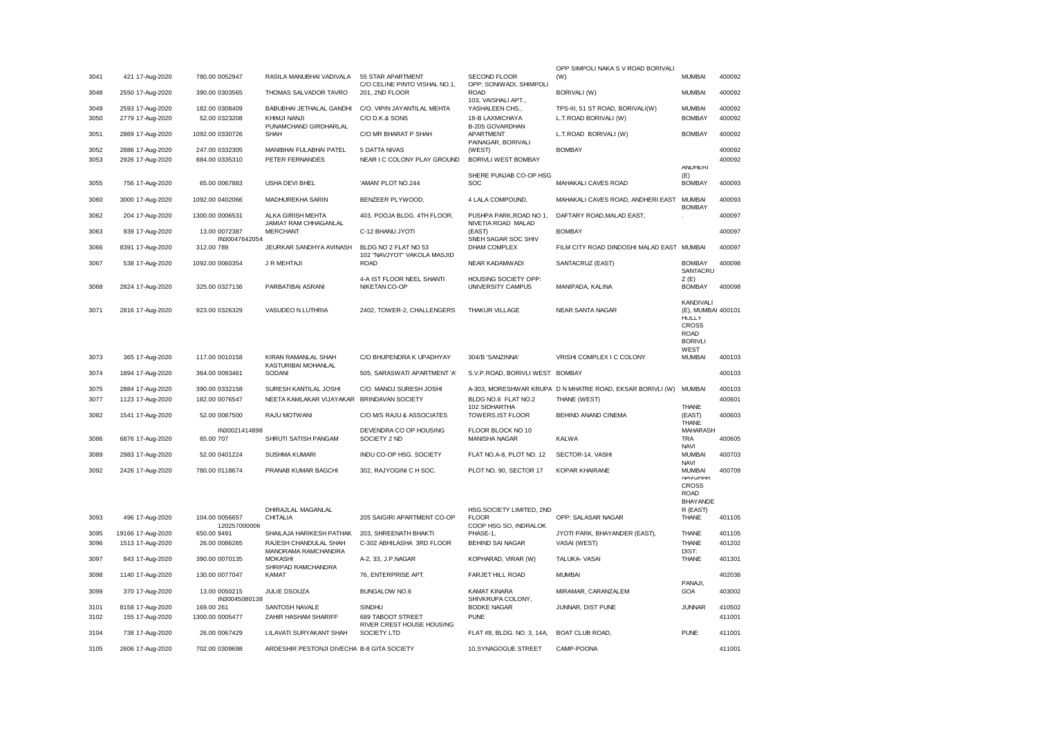|      |                   |                 |                                              |                                                     |                                                | OPP SIMPOLI NAKA S V ROAD BORIVALI                               |                                                                 |        |
|------|-------------------|-----------------|----------------------------------------------|-----------------------------------------------------|------------------------------------------------|------------------------------------------------------------------|-----------------------------------------------------------------|--------|
| 3041 | 421 17-Aug-2020   | 780.00 0052947  | RASILA MANUBHAI VADIVALA 55 STAR APARTMENT   | C/O CELINE PINTO VISHAL NO.1,                       | <b>SECOND FLOOR</b><br>OPP: SONIWADI, SHIMPOLI | (W)                                                              | <b>MUMBAI</b>                                                   | 400092 |
| 3048 | 2550 17-Aug-2020  | 390.00 0303565  | THOMAS SALVADOR TAVRO                        | 201, 2ND FLOOR                                      | <b>ROAD</b><br>103, VAISHALI APT.,             | <b>BORIVALI (W)</b>                                              | <b>MUMBAI</b>                                                   | 400092 |
| 3049 | 2593 17-Aug-2020  | 182.00 0308409  | BABUBHAI JETHALAL GANDHI                     | C/O. VIPIN JAYANTILAL MEHTA                         | YASHALEEN CHS.,                                | TPS-III, 51 ST ROAD, BORIVALI(W)                                 | <b>MUMBAI</b>                                                   | 400092 |
| 3050 | 2779 17-Aug-2020  | 52.00 0323208   | KHIMJI NANJI                                 | C/O D.K.& SONS                                      | 18-B LAXMICHAYA                                | L.T.ROAD BORIVALI (W)                                            | <b>BOMBAY</b>                                                   | 400092 |
| 3051 | 2869 17-Aug-2020  | 1092.00 0330726 | PUNAMCHAND GIRDHARLAL<br><b>SHAH</b>         | C/O MR BHARAT P SHAH                                | B-205 GOVARDHAN<br>APARTMENT                   | L.T.ROAD BORIVALI (W)                                            | <b>BOMBAY</b>                                                   | 400092 |
| 3052 | 2886 17-Aug-2020  | 247.00 0332305  | MANIBHAI FULABHAI PATEL                      | 5 DATTA NIVAS                                       | PAINAGAR, BORIVALI<br>(WEST)                   | <b>BOMBAY</b>                                                    |                                                                 | 400092 |
| 3053 | 2926 17-Aug-2020  | 884.00 0335310  | PETER FERNANDES                              | NEAR I C COLONY PLAY GROUND                         | BORIVLI WEST BOMBAY                            |                                                                  |                                                                 | 400092 |
|      |                   |                 |                                              |                                                     |                                                |                                                                  | <b>ANDHERI</b>                                                  |        |
|      |                   |                 |                                              |                                                     | SHERE PUNJAB CO-OP HSG                         |                                                                  | (E)                                                             |        |
| 3055 | 756 17-Aug-2020   | 65.00 0067883   | USHA DEVI BHEL                               | 'AMAN' PLOT NO.244                                  | <b>SOC</b>                                     | MAHAKALI CAVES ROAD                                              | <b>BOMBAY</b>                                                   | 400093 |
| 3060 | 3000 17-Aug-2020  | 1092.00 0402066 | MADHUREKHA SARIN                             | BENZEER PLYWOOD,                                    | 4 LALA COMPOUND,                               | MAHAKALI CAVES ROAD, ANDHERI EAST                                | <b>MUMBAI</b><br><b>BOMBAY</b>                                  | 400093 |
| 3062 | 204 17-Aug-2020   | 1300.00 0006531 | ALKA GIRISH MEHTA<br>JAMIAT RAM CHHAGANLAL   | 403, POOJA BLDG. 4TH FLOOR,                         | PUSHPA PARK, ROAD NO 1,<br>NIVETIA ROAD MALAD  | DAFTARY ROAD, MALAD EAST,                                        |                                                                 | 400097 |
| 3063 | 939 17-Aug-2020   | 13.00 0072387   | <b>MERCHANT</b>                              | C-12 BHANU JYOTI                                    | (EAST)                                         | <b>BOMBAY</b>                                                    |                                                                 | 400097 |
|      |                   | IN30047642054   |                                              |                                                     | SNEH SAGAR SOC SHIV                            |                                                                  |                                                                 |        |
| 3066 | 8391 17-Aug-2020  | 312.00 789      | JEURKAR SANDHYA AVINASH                      | BLDG NO 2 FLAT NO 53<br>102 "NAVJYOT" VAKOLA MASJID | DHAM COMPLEX                                   | FILM CITY ROAD DINDOSHI MALAD EAST MUMBAI                        |                                                                 | 400097 |
| 3067 | 538 17-Aug-2020   | 1092.00 0060354 | J R MEHTAJI                                  | <b>ROAD</b>                                         | NEAR KADAMWADI                                 | SANTACRUZ (EAST)                                                 | <b>BOMBAY</b><br>SANTACRU                                       | 400098 |
|      |                   |                 |                                              | 4-A IST FLOOR NEEL SHANTI                           | HOUSING SOCIETY OPP:                           |                                                                  | Z(E)                                                            |        |
| 3068 | 2824 17-Aug-2020  | 325.00 0327136  | PARBATIBAI ASRANI                            | NIKETAN CO-OP                                       | UNIVERSITY CAMPUS                              | MANIPADA, KALINA                                                 | <b>BOMBAY</b>                                                   | 400098 |
|      |                   |                 |                                              |                                                     |                                                |                                                                  |                                                                 |        |
| 3071 | 2816 17-Aug-2020  | 923.00 0326329  | VASUDEO N LUTHRIA                            | 2402, TOWER-2, CHALLENGERS                          | <b>THAKUR VILLAGE</b>                          | <b>NEAR SANTA NAGAR</b>                                          | KANDIVALI<br>(E), MUMBAI 400101<br><b>HULLY</b><br><b>CROSS</b> |        |
|      |                   |                 |                                              |                                                     |                                                |                                                                  | <b>ROAD</b><br><b>BORIVLI</b><br>WEST                           |        |
| 3073 | 365 17-Aug-2020   | 117.00 0010158  | KIRAN RAMANLAL SHAH<br>KASTURIBAI MOHANLAL   | C/O BHUPENDRA K UPADHYAY                            | 304/B 'SANZINNA'                               | VRISHI COMPLEX I C COLONY                                        | <b>MUMBAI</b>                                                   | 400103 |
| 3074 | 1894 17-Aug-2020  | 364.00 0093461  | SODANI                                       | 505, SARASWATI APARTMENT 'A'                        | S.V.P.ROAD, BORIVLI WEST BOMBAY                |                                                                  |                                                                 | 400103 |
| 3075 | 2884 17-Aug-2020  | 390.00 0332158  | SURESH KANTILAL JOSHI                        | C/O. MANOJ SURESH JOSHI                             |                                                | A-303, MORESHWAR KRUPA D N MHATRE ROAD, EKSAR BORIVLI (W) MUMBAI |                                                                 | 400103 |
| 3077 | 1123 17-Aug-2020  | 182.00 0076547  | NEETA KAMLAKAR VIJAYAKAR BRINDAVAN SOCIETY   |                                                     | BLDG NO.6 FLAT NO.2                            | THANE (WEST)                                                     |                                                                 | 400601 |
|      |                   |                 |                                              |                                                     | 102 SIDHARTHA                                  |                                                                  | THANE                                                           |        |
| 3082 | 1541 17-Aug-2020  | 52.00 0087500   | RAJU MOTWANI                                 | C/O M/S RAJU & ASSOCIATES                           | TOWERS, IST FLOOR                              | BEHIND ANAND CINEMA                                              | (EAST)<br><b>I HANL</b>                                         | 400603 |
|      |                   | IN30021414898   |                                              | DEVENDRA CO OP HOUSING                              | FLOOR BLOCK NO 10                              |                                                                  | <b>MAHARASH</b>                                                 |        |
| 3086 | 6876 17-Aug-2020  | 65.00 707       | SHRUTI SATISH PANGAM                         | SOCIETY 2 ND                                        | <b>MANISHA NAGAR</b>                           | <b>KALWA</b>                                                     | <b>TRA</b>                                                      | 400605 |
|      |                   |                 |                                              |                                                     |                                                |                                                                  | <b>NAVI</b>                                                     |        |
| 3089 | 2983 17-Aug-2020  | 52.00 0401224   | SUSHMA KUMARI                                | INDU CO-OP HSG. SOCIETY                             | FLAT NO.A-8, PLOT NO. 12                       | SECTOR-14, VASHI                                                 | <b>MUMBAI</b><br><b>NAVI</b>                                    | 400703 |
| 3092 | 2426 17-Aug-2020  | 780.00 0118674  | PRANAB KUMAR BAGCHI                          | 302, RAJYOGINI C H SOC.                             | PLOT NO. 90, SECTOR 17                         | <b>KOPAR KHAIRANE</b>                                            | <b>MUMBAI</b><br><b>NAVGHAR</b>                                 | 400709 |
|      |                   |                 |                                              |                                                     |                                                |                                                                  | <b>CROSS</b><br>ROAD                                            |        |
|      |                   |                 |                                              |                                                     |                                                |                                                                  | BHAYANDE                                                        |        |
| 3093 | 496 17-Aug-2020   | 104.00 0056657  | DHIRAJLAL MAGANLAL<br>CHITALIA               | 205 SAIGIRI APARTMENT CO-OP                         | HSG.SOCIETY LIMITED, 2ND<br><b>FLOOR</b>       | OPP: SALASAR NAGAR                                               | R (EAST)<br>THANE                                               | 401105 |
|      |                   | 120257000006    |                                              |                                                     | COOP HSG SO, INDRALOK                          |                                                                  |                                                                 |        |
| 3095 | 19166 17-Aug-2020 | 650.00 9491     | SHAILAJA HARIKESH PATHAK                     | 203, SHREENATH BHAKTI                               | PHASE-1,                                       | JYOTI PARK, BHAYANDER (EAST),                                    | THANE                                                           | 401105 |
| 3096 | 1513 17-Aug-2020  | 26.00 0086265   | RAJESH CHANDULAL SHAH<br>MANORAMA RAMCHANDRA | C-302 ABHILASHA 3RD FLOOR                           | <b>BEHIND SAI NAGAR</b>                        | VASAI (WEST)                                                     | THANE<br>DIST:                                                  | 401202 |
| 3097 | 843 17-Aug-2020   | 390.00 0070135  | <b>MOKASHI</b><br>SHRIPAD RAMCHANDRA         | A-2, 33, J.P.NAGAR                                  | KOPHARAD, VIRAR (W)                            | <b>TALUKA- VASAI</b>                                             | THANE                                                           | 401301 |
| 3098 | 1140 17-Aug-2020  | 130.00 0077047  | <b>KAMAT</b>                                 | 76. ENTERPRISE APT.                                 | <b>FARJET HILL ROAD</b>                        | <b>MUMBAI</b>                                                    |                                                                 | 402036 |
| 3099 | 370 17-Aug-2020   | 13.00 0050215   | <b>JULIE DSOUZA</b>                          | <b>BUNGALOW NO.6</b>                                | <b>KAMAT KINARA</b>                            | MIRAMAR, CARANZALEM                                              | PANAJI,<br>GOA                                                  | 403002 |
|      |                   | IN30045080138   |                                              |                                                     | SHIVKRUPA COLONY.                              |                                                                  |                                                                 |        |
| 3101 | 8158 17-Aug-2020  | 169.00 261      | SANTOSH NAVALE                               | SINDHU                                              | <b>BODKE NAGAR</b>                             | JUNNAR, DIST PUNE                                                | <b>JUNNAR</b>                                                   | 410502 |
| 3102 | 155 17-Aug-2020   | 1300.00 0005477 | ZAHIR HASHAM SHARIFF                         | 689 TABOOT STREET<br>RIVER CREST HOUSE HOUSING      | <b>PUNE</b>                                    |                                                                  |                                                                 | 411001 |
| 3104 | 738 17-Aug-2020   | 26.00 0067429   | LILAVATI SURYAKANT SHAH                      | SOCIETY LTD                                         | FLAT #8, BLDG. NO. 3, 14A,                     | <b>BOAT CLUB ROAD,</b>                                           | <b>PUNE</b>                                                     | 411001 |
| 3105 | 2606 17-Aug-2020  | 702.00 0309698  | ARDESHIR PESTONJI DIVECHA B-8 GITA SOCIETY   |                                                     | 10,SYNAGOGUE STREET                            | CAMP-POONA                                                       |                                                                 | 411001 |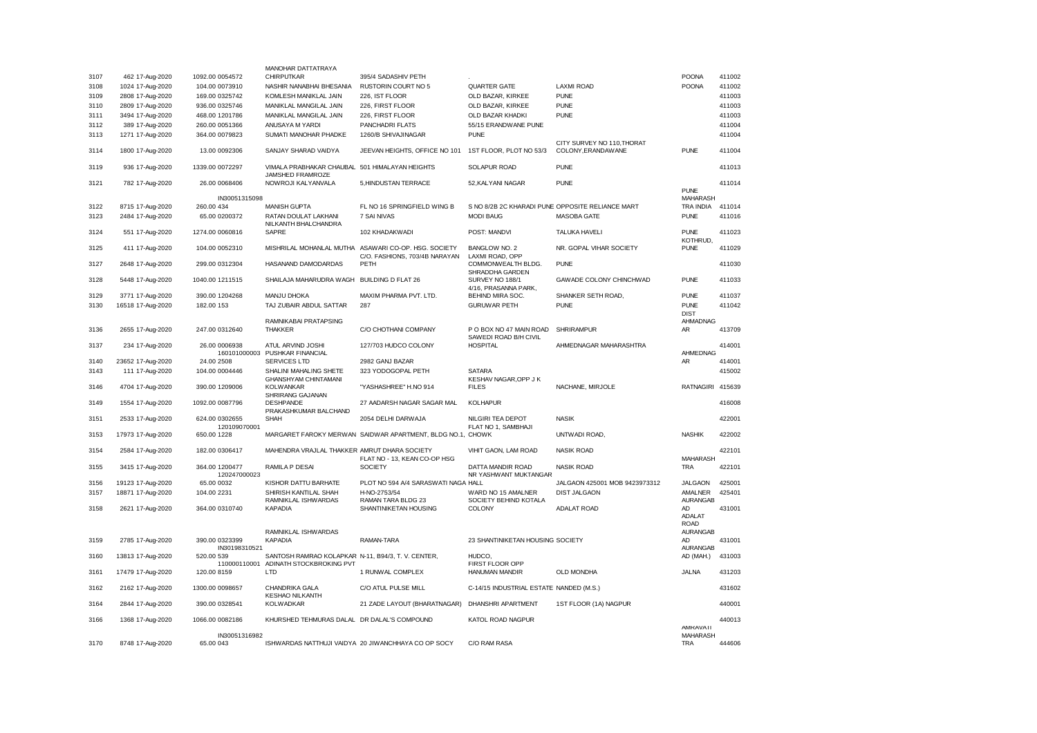|      |                   |                                | MANOHAR DATTATRAYA                                                 |                                                            |                                                  |                                                   |                              |        |
|------|-------------------|--------------------------------|--------------------------------------------------------------------|------------------------------------------------------------|--------------------------------------------------|---------------------------------------------------|------------------------------|--------|
| 3107 | 462 17-Aug-2020   | 1092.00 0054572                | <b>CHIRPUTKAR</b>                                                  | 395/4 SADASHIV PETH                                        |                                                  |                                                   | <b>POONA</b>                 | 411002 |
| 3108 | 1024 17-Aug-2020  | 104.00 0073910                 | NASHIR NANABHAI BHESANIA                                           | <b>RUSTORIN COURT NO 5</b>                                 | <b>QUARTER GATE</b>                              | <b>LAXMI ROAD</b>                                 | <b>POONA</b>                 | 411002 |
| 3109 | 2808 17-Aug-2020  | 169.00 0325742                 | KOMLESH MANIKLAL JAIN                                              | 226, IST FLOOR                                             | OLD BAZAR, KIRKEE                                | <b>PUNE</b>                                       |                              | 411003 |
| 3110 | 2809 17-Aug-2020  | 936.00 0325746                 | MANIKLAL MANGILAL JAIN                                             | 226, FIRST FLOOR                                           | OLD BAZAR, KIRKEE                                | <b>PUNE</b>                                       |                              | 411003 |
| 3111 | 3494 17-Aug-2020  | 468.00 1201786                 | MANIKLAL MANGILAL JAIN                                             | 226, FIRST FLOOR                                           | OLD BAZAR KHADKI                                 | <b>PUNE</b>                                       |                              | 411003 |
| 3112 | 389 17-Aug-2020   | 260.00 0051366                 | ANUSAYA M YARDI                                                    | PANCHADRI FLATS                                            | 55/15 ERANDWANE PUNE                             |                                                   |                              | 411004 |
| 3113 | 1271 17-Aug-2020  | 364.00 0079823                 | SUMATI MANOHAR PHADKE                                              | 1260/B SHIVAJINAGAR                                        | <b>PUNE</b>                                      |                                                   |                              | 411004 |
| 3114 | 1800 17-Aug-2020  | 13.00 0092306                  | SANJAY SHARAD VAIDYA                                               | JEEVAN HEIGHTS, OFFICE NO 101                              | 1ST FLOOR, PLOT NO 53/3                          | CITY SURVEY NO 110, THORAT<br>COLONY, ERANDAW ANE | <b>PUNE</b>                  | 411004 |
| 3119 | 936 17-Aug-2020   | 1339.00 0072297                | VIMALA PRABHAKAR CHAUBAL 501 HIMALAYAN HEIGHTS<br>JAMSHED FRAMROZE |                                                            | <b>SOLAPUR ROAD</b>                              | <b>PUNE</b>                                       |                              | 411013 |
| 3121 | 782 17-Aug-2020   | 26.00 0068406                  | NOWROJI KALYANVALA                                                 | 5, HINDUSTAN TERRACE                                       | 52, KALYANI NAGAR                                | <b>PUNE</b>                                       |                              | 411014 |
|      |                   |                                |                                                                    |                                                            |                                                  |                                                   | <b>PUNE</b>                  |        |
| 3122 | 8715 17-Aug-2020  | IN30051315098<br>260.00 434    | MANISH GUPTA                                                       | FL NO 16 SPRINGFIELD WING B                                | S NO 8/2B 2C KHARADI PUNE OPPOSITE RELIANCE MART |                                                   | <b>MAHARASH</b><br>TRA INDIA | 411014 |
| 3123 | 2484 17-Aug-2020  | 65.00 0200372                  | RATAN DOULAT LAKHANI                                               | 7 SAI NIVAS                                                | <b>MODI BAUG</b>                                 | MASOBA GATE                                       | <b>PUNE</b>                  | 411016 |
| 3124 | 551 17-Aug-2020   | 1274.00 0060816                | NILKANTH BHALCHANDRA<br>SAPRE                                      | 102 KHADAKWADI                                             | POST: MANDVI                                     | <b>TALUKA HAVELI</b>                              | <b>PUNE</b>                  | 411023 |
| 3125 | 411 17-Aug-2020   | 104.00 0052310                 |                                                                    | MISHRILAL MOHANLAL MUTHA ASAWARI CO-OP. HSG. SOCIETY       | <b>BANGLOW NO. 2</b>                             | NR. GOPAL VIHAR SOCIETY                           | KOTHRUD,<br><b>PUNE</b>      | 411029 |
|      |                   |                                |                                                                    | C/O. FASHIONS, 703/4B NARAYAN                              | LAXMI ROAD, OPP                                  |                                                   |                              |        |
| 3127 | 2648 17-Aug-2020  | 299.00 0312304                 | HASANAND DAMODARDAS                                                | PETH                                                       | COMMONWEALTH BLDG.<br>SHRADDHA GARDEN            | <b>PUNE</b>                                       |                              | 411030 |
| 3128 | 5448 17-Aug-2020  | 1040.00 1211515                | SHAILAJA MAHARUDRA WAGH BUILDING D FLAT 26                         |                                                            | SURVEY NO 188/1<br>4/16, PRASANNA PARK,          | GAWADE COLONY CHINCHWAD                           | <b>PUNE</b>                  | 411033 |
| 3129 | 3771 17-Aug-2020  | 390.00 1204268                 | MANJU DHOKA                                                        | MAXIM PHARMA PVT. LTD.                                     | BEHIND MIRA SOC.                                 | SHANKER SETH ROAD,                                | <b>PUNE</b>                  | 411037 |
| 3130 | 16518 17-Aug-2020 | 182.00 153                     | TAJ ZUBAIR ABDUL SATTAR                                            | 287                                                        | <b>GURUWAR PETH</b>                              | <b>PUNE</b>                                       | <b>PUNE</b>                  | 411042 |
|      |                   |                                |                                                                    |                                                            |                                                  |                                                   | <b>DIST</b>                  |        |
| 3136 | 2655 17-Aug-2020  | 247.00 0312640                 | RAMNIKABAI PRATAPSING<br><b>THAKKER</b>                            | C/O CHOTHANI COMPANY                                       | P O BOX NO 47 MAIN ROAD<br>SAWEDI ROAD B/H CIVIL | <b>SHRIRAMPUR</b>                                 | AHMADNAG<br>AR               | 413709 |
| 3137 | 234 17-Aug-2020   | 26.00 0006938<br>160101000003  | ATUL ARVIND JOSHI<br>PUSHKAR FINANCIAL                             | 127/703 HUDCO COLONY                                       | <b>HOSPITAL</b>                                  | AHMEDNAGAR MAHARASHTRA                            | AHMEDNAG                     | 414001 |
| 3140 | 23652 17-Aug-2020 | 24.00 2508                     | SERVICES LTD                                                       | 2982 GANJ BAZAR                                            |                                                  |                                                   | AR                           | 414001 |
| 3143 | 111 17-Aug-2020   | 104.00 0004446                 | SHALINI MAHALING SHETE<br><b>GHANSHYAM CHINTAMANI</b>              | 323 YODOGOPAL PETH                                         | <b>SATARA</b><br>KESHAV NAGAR, OPP J K           |                                                   |                              | 415002 |
| 3146 | 4704 17-Aug-2020  | 390.00 1209006                 | <b>KOLWANKAR</b><br>SHRIRANG GAJANAN                               | "YASHASHREE" H.NO 914                                      | <b>FILES</b>                                     | NACHANE, MIRJOLE                                  | RATNAGIRI 415639             |        |
| 3149 | 1554 17-Aug-2020  | 1092.00 0087796                | <b>DESHPANDE</b><br>PRAKASHKUMAR BALCHAND                          | 27 AADARSH NAGAR SAGAR MAL                                 | <b>KOLHAPUR</b>                                  |                                                   |                              | 416008 |
| 3151 | 2533 17-Aug-2020  | 624.00 0302655<br>120109070001 | SHAH                                                               | 2054 DELHI DARWAJA                                         | NILGIRI TEA DEPOT<br>FLAT NO 1, SAMBHAJI         | <b>NASIK</b>                                      |                              | 422001 |
| 3153 | 17973 17-Aug-2020 | 650.00 1228                    |                                                                    | MARGARET FAROKY MERWAN SAIDWAR APARTMENT, BLDG NO.1, CHOWK |                                                  | UNTWADI ROAD.                                     | <b>NASHIK</b>                | 422002 |
| 3154 | 2584 17-Aug-2020  | 182.00 0306417                 | MAHENDRA VRAJLAL THAKKER AMRUT DHARA SOCIETY                       |                                                            | VIHIT GAON, LAM ROAD                             | <b>NASIK ROAD</b>                                 |                              | 422101 |
|      |                   |                                |                                                                    | FLAT NO - 13, KEAN CO-OP HSG                               |                                                  |                                                   | <b>MAHARASH</b>              |        |
| 3155 | 3415 17-Aug-2020  | 364.00 1200477                 | RAMILA P DESAI                                                     | <b>SOCIETY</b>                                             | DATTA MANDIR ROAD                                | <b>NASIK ROAD</b>                                 | <b>TRA</b>                   | 422101 |
|      |                   | 120247000023                   |                                                                    |                                                            | NR YASHWANT MUKTANGAR                            |                                                   |                              |        |
| 3156 | 19123 17-Aug-2020 | 65.00 0032                     | KISHOR DATTU BARHATE                                               | PLOT NO 594 A/4 SARASWATI NAGA HALL                        |                                                  | JALGAON 425001 MOB 9423973312                     | <b>JALGAON</b>               | 425001 |
| 3157 | 18871 17-Aug-2020 | 104.00 2231                    | SHIRISH KANTILAL SHAH<br>RAMNIKLAL ISHWARDAS                       | H-NO-2753/54<br>RAMAN TARA BLDG 23                         | WARD NO 15 AMALNER<br>SOCIETY BEHIND KOTALA      | <b>DIST JALGAON</b>                               | AMALNER<br><b>AURANGAB</b>   | 425401 |
| 3158 | 2621 17-Aug-2020  | 364.00 0310740                 | <b>KAPADIA</b>                                                     | SHANTINIKETAN HOUSING                                      | COLONY                                           | ADALAT ROAD                                       | <b>AD</b>                    | 431001 |
|      |                   |                                |                                                                    |                                                            |                                                  |                                                   | <b>ADALAT</b>                |        |
|      |                   |                                |                                                                    |                                                            |                                                  |                                                   | <b>ROAD</b>                  |        |
| 3159 | 2785 17-Aug-2020  | 390.00 0323399                 | RAMNIKLAL ISHWARDAS<br><b>KAPADIA</b>                              | RAMAN-TARA                                                 | 23 SHANTINIKETAN HOUSING SOCIETY                 |                                                   | <b>AURANGAB</b><br>AD        | 431001 |
|      |                   | IN30198310521                  |                                                                    |                                                            |                                                  |                                                   | <b>AURANGAB</b>              |        |
| 3160 | 13813 17-Aug-2020 | 520.00 539                     | SANTOSH RAMRAO KOLAPKAR N-11, B94/3, T. V. CENTER,                 |                                                            | HUDCO.                                           |                                                   | AD (MAH.)                    | 431003 |
|      |                   | 110000110001                   | ADINATH STOCKBROKING PVT                                           |                                                            | FIRST FLOOR OPP                                  |                                                   |                              |        |
| 3161 | 17479 17-Aug-2020 | 120.00 8159                    | LTD                                                                | 1 RUNWAL COMPLEX                                           | <b>HANUMAN MANDIR</b>                            | <b>OLD MONDHA</b>                                 | JALNA                        | 431203 |
| 3162 | 2162 17-Aug-2020  | 1300.00 0098657                | CHANDRIKA GALA<br><b>KESHAO NILKANTH</b>                           | C/O ATUL PULSE MILL                                        | C-14/15 INDUSTRIAL ESTATE NANDED (M.S.)          |                                                   |                              | 431602 |
| 3164 | 2844 17-Aug-2020  | 390.00 0328541                 | <b>KOLWADKAR</b>                                                   | 21 ZADE LAYOUT (BHARATNAGAR)                               | DHANSHRI APARTMENT                               | 1ST FLOOR (1A) NAGPUR                             |                              | 440001 |
|      |                   |                                |                                                                    |                                                            |                                                  |                                                   |                              |        |
| 3166 | 1368 17-Aug-2020  | 1066.00 0082186                | KHURSHED TEHMURAS DALAL DR DALAL'S COMPOUND                        |                                                            | KATOL ROAD NAGPUR                                |                                                   | AMRAVATI                     | 440013 |
|      |                   | IN30051316982                  |                                                                    |                                                            |                                                  |                                                   | <b>MAHARASH</b>              |        |
| 3170 | 8748 17-Aug-2020  | 65.00 043                      |                                                                    | ISHWARDAS NATTHUJI VAIDYA 20 JIWANCHHAYA CO OP SOCY        | C/O RAM RASA                                     |                                                   | <b>TRA</b>                   | 444606 |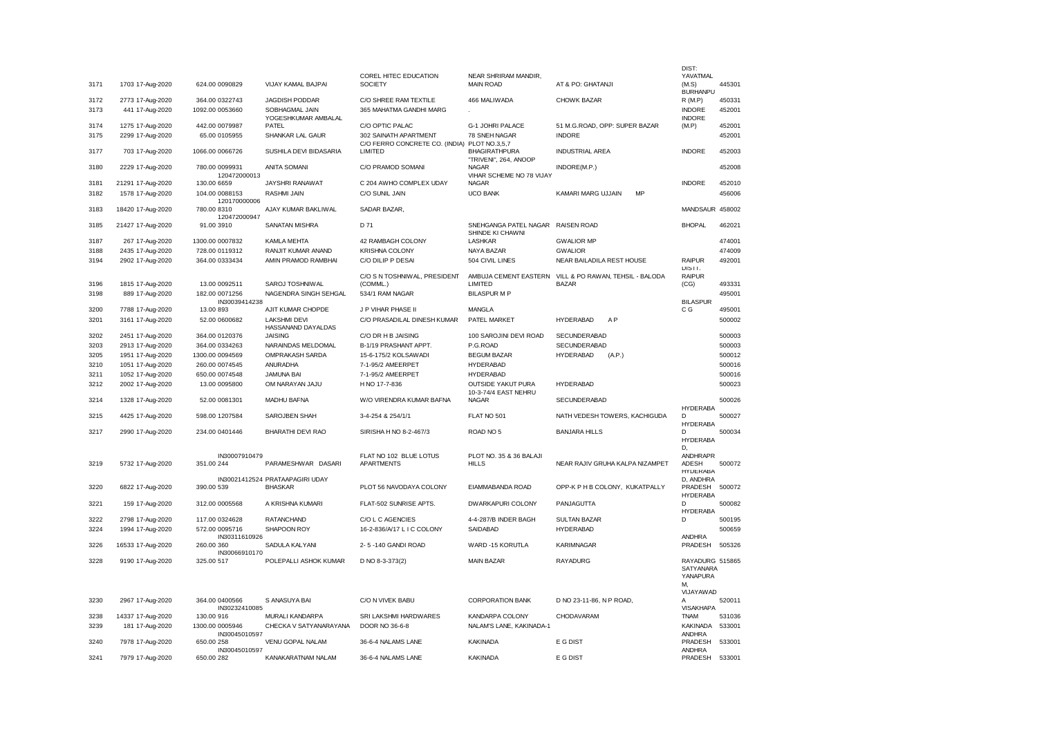|      |                   |                             |                                 |                                              |                                                       |                                                        | DIST                         |        |
|------|-------------------|-----------------------------|---------------------------------|----------------------------------------------|-------------------------------------------------------|--------------------------------------------------------|------------------------------|--------|
| 3171 | 1703 17-Aug-2020  | 624.00 0090829              | VIJAY KAMAL BAJPAI              | COREL HITEC EDUCATION<br><b>SOCIETY</b>      | NEAR SHRIRAM MANDIR,<br><b>MAIN ROAD</b>              | AT & PO: GHATANJI                                      | YAVATMAL<br>(M.S)            | 445301 |
|      |                   |                             |                                 |                                              |                                                       |                                                        | <b>BURHANPU</b>              |        |
| 3172 | 2773 17-Aug-2020  | 364.00 0322743              | <b>JAGDISH PODDAR</b>           | C/O SHREE RAM TEXTILE                        | 466 MALIWADA                                          | <b>CHOWK BAZAR</b>                                     | R(M.P)                       | 450331 |
| 3173 | 441 17-Aug-2020   | 1092.00 0053660             | SOBHAGMAL JAIN                  | 365 MAHATMA GANDHI MARG                      |                                                       |                                                        | <b>INDORE</b>                | 452001 |
|      |                   |                             | YOGESHKUMAR AMBALAL             |                                              |                                                       |                                                        | <b>INDORE</b>                |        |
| 3174 | 1275 17-Aug-2020  | 442.00 0079987              | PATEL                           | C/O OPTIC PALAC                              | G-1 JOHRI PALACE                                      | 51 M.G.ROAD, OPP: SUPER BAZAR                          | (M.P)                        | 452001 |
| 3175 | 2299 17-Aug-2020  | 65.00 0105955               | SHANKAR LAL GAUR                | 302 SAINATH APARTMENT                        | 78 SNEH NAGAR                                         | <b>INDORE</b>                                          |                              | 452001 |
|      |                   |                             |                                 | C/O FERRO CONCRETE CO. (INDIA) PLOT NO.3,5,7 |                                                       |                                                        |                              |        |
| 3177 | 703 17-Aug-2020   | 1066.00 0066726             | SUSHILA DEVI BIDASARIA          | LIMITED                                      | <b>BHAGIRATHPURA</b>                                  | <b>INDUSTRIAL AREA</b>                                 | <b>INDORE</b>                | 452003 |
|      |                   |                             |                                 |                                              | "TRIVENI", 264, ANOOP                                 |                                                        |                              |        |
| 3180 | 2229 17-Aug-2020  | 780.00 0099931              | ANITA SOMANI                    | C/O PRAMOD SOMANI                            | <b>NAGAR</b>                                          | INDORE(M.P.)                                           |                              | 452008 |
|      |                   | 120472000013                |                                 |                                              | VIHAR SCHEME NO 78 VIJAY                              |                                                        |                              |        |
| 3181 | 21291 17-Aug-2020 | 130.00 6659                 | JAYSHRI RANAWAT                 | C 204 AWHO COMPLEX UDAY                      | <b>NAGAR</b>                                          |                                                        | <b>INDORE</b>                | 452010 |
| 3182 | 1578 17-Aug-2020  | 104.00 0088153              | RASHMI JAIN                     | C/O SUNIL JAIN                               | <b>UCO BANK</b>                                       | KAMARI MARG UJJAIN<br>MP                               |                              | 456006 |
|      |                   | 120170000006                |                                 |                                              |                                                       |                                                        |                              |        |
| 3183 | 18420 17-Aug-2020 | 780.00 8310                 | AJAY KUMAR BAKLIWAL             | SADAR BAZAR,                                 |                                                       |                                                        | MANDSAUR 458002              |        |
|      |                   | 120472000947                |                                 |                                              |                                                       |                                                        |                              |        |
| 3185 | 21427 17-Aug-2020 | 91.00 3910                  | SANATAN MISHRA                  | D 71                                         | SNEHGANGA PATEL NAGAR RAISEN ROAD<br>SHINDE KI CHAWNI |                                                        | <b>BHOPAL</b>                | 462021 |
| 3187 | 267 17-Aug-2020   | 1300.00 0007832             | KAMLA MEHTA                     | 42 RAMBAGH COLONY                            | <b>LASHKAR</b>                                        | <b>GWALIOR MP</b>                                      |                              | 474001 |
|      |                   | 728.00 0119312              | RANJIT KUMAR ANAND              | <b>KRISHNA COLONY</b>                        | NAYA BAZAR                                            | <b>GWALIOR</b>                                         |                              | 474009 |
| 3188 | 2435 17-Aug-2020  |                             |                                 |                                              |                                                       |                                                        |                              |        |
| 3194 | 2902 17-Aug-2020  | 364.00 0333434              | AMIN PRAMOD RAMBHAI             | C/O DILIP P DESAI                            | 504 CIVIL LINES                                       | NEAR BAILADILA REST HOUSE                              | <b>RAIPUR</b><br>DISTT.      | 492001 |
|      |                   |                             |                                 | C/O S N TOSHNIWAL, PRESIDENT                 |                                                       | AMBUJA CEMENT EASTERN VILL & PO RAWAN, TEHSIL - BALODA | <b>RAIPUR</b>                |        |
| 3196 | 1815 17-Aug-2020  | 13.00 0092511               | SAROJ TOSHNIWAL                 | (COMML.)                                     | LIMITED                                               | <b>BAZAR</b>                                           | (CG)                         | 493331 |
| 3198 | 889 17-Aug-2020   | 182.00 0071256              | NAGENDRA SINGH SEHGAL           | 534/1 RAM NAGAR                              | <b>BILASPUR M P</b>                                   |                                                        |                              | 495001 |
|      |                   | IN30039414238               |                                 |                                              |                                                       |                                                        | <b>BILASPUR</b>              |        |
| 3200 | 7788 17-Aug-2020  | 13.00 893                   | AJIT KUMAR CHOPDE               | J P VIHAR PHASE II                           | <b>MANGLA</b>                                         |                                                        | C G                          | 495001 |
| 3201 | 3161 17-Aug-2020  | 52.00 0600682               | LAKSHMI DEVI                    | C/O PRASADILAL DINESH KUMAR                  | PATEL MARKET                                          | <b>HYDERABAD</b><br>A <sub>P</sub>                     |                              | 500002 |
|      |                   |                             | HASSANAND DAYALDAS              |                                              |                                                       |                                                        |                              |        |
| 3202 | 2451 17-Aug-2020  | 364.00 0120376              | <b>JAISING</b>                  | C/O DR H B JAISING                           | 100 SAROJINI DEVI ROAD                                | SECUNDERABAD                                           |                              | 500003 |
| 3203 | 2913 17-Aug-2020  | 364.00 0334263              | NARAINDAS MELDOMAL              | B-1/19 PRASHANT APPT.                        | P.G.ROAD                                              | SECUNDERABAD                                           |                              | 500003 |
| 3205 | 1951 17-Aug-2020  | 1300.00 0094569             | OMPRAKASH SARDA                 | 15-6-175/2 KOLSAWADI                         | <b>BEGUM BAZAR</b>                                    | <b>HYDERABAD</b><br>(A.P.)                             |                              | 500012 |
| 3210 | 1051 17-Aug-2020  | 260.00 0074545              | <b>ANURADHA</b>                 | 7-1-95/2 AMEERPET                            | <b>HYDERABAD</b>                                      |                                                        |                              | 500016 |
|      |                   |                             |                                 |                                              |                                                       |                                                        |                              |        |
| 3211 | 1052 17-Aug-2020  | 650.00 0074548              | <b>JAMUNA BAI</b>               | 7-1-95/2 AMEERPET                            | <b>HYDERABAD</b>                                      |                                                        |                              | 500016 |
| 3212 | 2002 17-Aug-2020  | 13.00 0095800               | OM NARAYAN JAJU                 | H NO 17-7-836                                | <b>OUTSIDE YAKUT PURA</b><br>10-3-74/4 EAST NEHRU     | <b>HYDERABAD</b>                                       |                              | 500023 |
| 3214 | 1328 17-Aug-2020  | 52.00 0081301               | <b>MADHU BAFNA</b>              | W/O VIRENDRA KUMAR BAFNA                     | <b>NAGAR</b>                                          | <b>SECUNDERABAD</b>                                    |                              | 500026 |
|      |                   |                             |                                 |                                              |                                                       |                                                        | <b>HYDERABA</b>              |        |
| 3215 | 4425 17-Aug-2020  | 598.00 1207584              | SAROJBEN SHAH                   | 3-4-254 & 254/1/1                            | FLAT NO 501                                           | NATH VEDESH TOWERS, KACHIGUDA                          | <sup>D</sup>                 | 500027 |
|      |                   |                             |                                 |                                              |                                                       |                                                        | <b>HYDERABA</b>              |        |
| 3217 | 2990 17-Aug-2020  | 234.00 0401446              | <b>BHARATHI DEVI RAO</b>        | SIRISHA H NO 8-2-467/3                       | ROAD NO 5                                             | <b>BANJARA HILLS</b>                                   | D.                           | 500034 |
|      |                   |                             |                                 |                                              |                                                       |                                                        | <b>HYDERABA</b>              |        |
|      |                   |                             |                                 |                                              |                                                       |                                                        | D.                           |        |
| 3219 | 5732 17-Aug-2020  | IN30007910479<br>351.00 244 | PARAMESHWAR DASARI              | FLAT NO 102 BLUE LOTUS<br><b>APARTMENTS</b>  | PLOT NO. 35 & 36 BALAJI<br><b>HILLS</b>               | NEAR RAJIV GRUHA KALPA NIZAMPET                        | <b>ANDHRAPR</b><br>ADESH     | 500072 |
|      |                   |                             |                                 |                                              |                                                       |                                                        | <b>HYDERABA</b>              |        |
|      |                   |                             | IN30021412524 PRATAAPAGIRI UDAY |                                              |                                                       |                                                        | D, ANDHRA                    |        |
| 3220 | 6822 17-Aug-2020  | 390.00 539                  | <b>BHASKAR</b>                  | PLOT 56 NAVODAYA COLONY                      | EIAMMABANDA ROAD                                      | OPP-K P H B COLONY, KUKATPALLY                         | PRADESH                      | 500072 |
|      |                   |                             |                                 |                                              |                                                       |                                                        | <b>HYDERABA</b>              |        |
| 3221 | 159 17-Aug-2020   | 312.00 0005568              | A KRISHNA KUMARI                | FLAT-502 SUNRISE APTS.                       | DWARKAPURI COLONY                                     | PANJAGUTTA                                             | D                            | 500082 |
|      |                   |                             |                                 |                                              |                                                       |                                                        | <b>HYDERABA</b>              |        |
| 3222 | 2798 17-Aug-2020  | 117.00 0324628              | <b>RATANCHAND</b>               | C/O L C AGENCIES                             | 4-4-287/B INDER BAGH                                  | <b>SULTAN BAZAR</b>                                    | D                            | 500195 |
| 3224 | 1994 17-Aug-2020  | 572.00 0095716              | SHAPOON ROY                     | 16-2-836/A/17 L I C COLONY                   | SAIDABAD                                              | <b>HYDERABAD</b>                                       |                              | 500659 |
|      |                   | IN30311610926               |                                 |                                              |                                                       |                                                        | <b>ANDHRA</b>                |        |
| 3226 | 16533 17-Aug-2020 | 260.00 360                  | SADULA KALYANI                  | 2-5-140 GANDI ROAD                           | WARD -15 KORUTLA                                      | KARIMNAGAR                                             | PRADESH                      | 505326 |
|      |                   | IN30066910170               |                                 |                                              |                                                       |                                                        |                              |        |
| 3228 | 9190 17-Aug-2020  | 325.00 517                  | POLEPALLI ASHOK KUMAR           | D NO 8-3-373(2)                              | <b>MAIN BAZAR</b>                                     | <b>RAYADURG</b>                                        | RAYADURG 515865<br>SAIYANAKA |        |
|      |                   |                             |                                 |                                              |                                                       |                                                        | YANAPURA                     |        |
|      |                   |                             |                                 |                                              |                                                       |                                                        | M.                           |        |
|      |                   |                             |                                 |                                              |                                                       |                                                        | VIJAYAWAD                    |        |
| 3230 | 2967 17-Aug-2020  | 364.00 0400566              | S ANASUYA BAI                   | C/O N VIVEK BABU                             | <b>CORPORATION BANK</b>                               | D NO 23-11-86, N P ROAD,                               | Α                            | 520011 |
|      |                   | IN30232410085               |                                 |                                              |                                                       |                                                        | <b>VISAKHAPA</b>             |        |
| 3238 | 14337 17-Aug-2020 | 130.00 916                  | MURALI KANDARPA                 | SRI LAKSHMI HARDWARES                        | KANDARPA COLONY                                       | CHODAVARAM                                             | <b>TNAM</b>                  | 531036 |
| 3239 | 181 17-Aug-2020   | 1300.00 0005946             | CHECKA V SATYANARAYANA          | DOOR NO 36-6-8                               | NALAM'S LANE, KAKINADA-1                              |                                                        | KAKINADA                     | 533001 |
|      |                   | IN30045010597               |                                 |                                              |                                                       |                                                        | <b>ANDHRA</b>                |        |
| 3240 | 7978 17-Aug-2020  | 650.00 258                  | VENU GOPAL NALAM                | 36-6-4 NALAMS LANE                           | <b>KAKINADA</b>                                       | E G DIST                                               | PRADESH                      | 533001 |
| 3241 | 7979 17-Aug-2020  | IN30045010597<br>650.00 282 | KANAKARATNAM NALAM              | 36-6-4 NALAMS LANE                           | <b>KAKINADA</b>                                       | E G DIST                                               | <b>ANDHRA</b><br>PRADESH     | 533001 |
|      |                   |                             |                                 |                                              |                                                       |                                                        |                              |        |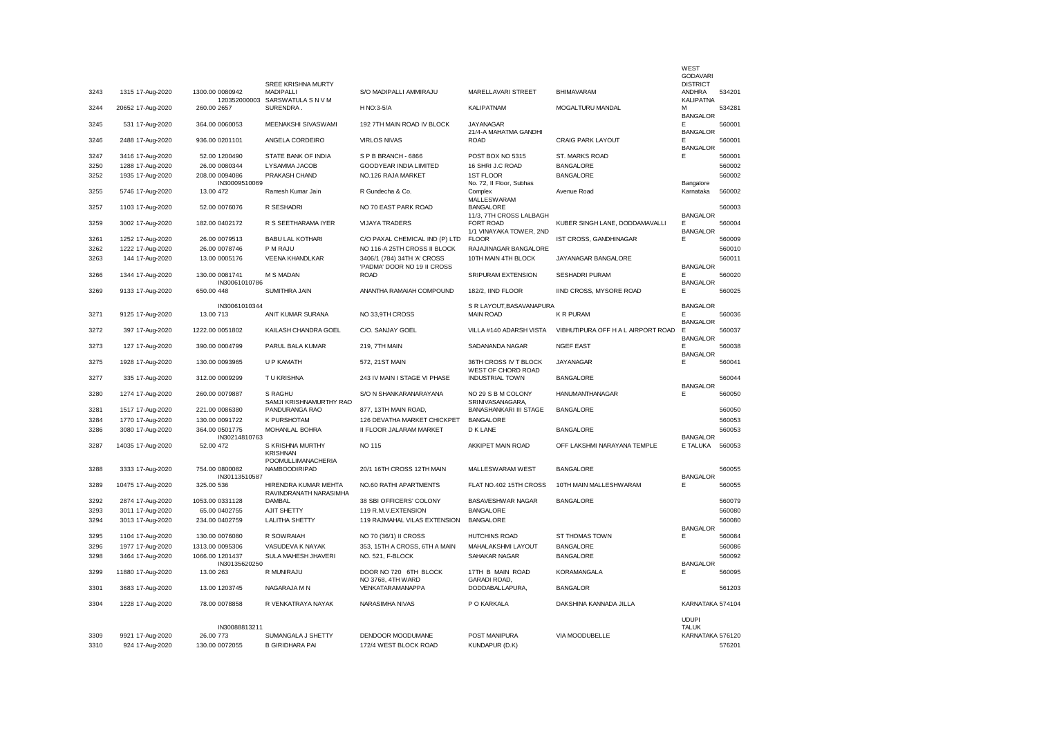|              |                                       |                                  |                                                                 |                                                          |                                                    |                                            | WEST<br><b>GODAVARI</b>                 |                  |
|--------------|---------------------------------------|----------------------------------|-----------------------------------------------------------------|----------------------------------------------------------|----------------------------------------------------|--------------------------------------------|-----------------------------------------|------------------|
| 3243         | 1315 17-Aug-2020                      | 1300.00 0080942                  | SREE KRISHNA MURTY<br><b>MADIPALLI</b>                          | S/O MADIPALLI AMMIRAJU                                   | MARELLAVARI STREET                                 | <b>BHIMAVARAM</b>                          | <b>DISTRICT</b><br>ANDHRA               | 534201           |
| 3244         | 20652 17-Aug-2020                     | 120352000003<br>260.00 2657      | SARSWATULA S N V M<br>SURENDRA.                                 | H NO:3-5/A                                               | KALIPATNAM                                         | MOGALTURU MANDAL                           | <b>KALIPATNA</b><br>м                   | 534281           |
| 3245         | 531 17-Aug-2020                       | 364.00 0060053                   | MEENAKSHI SIVASWAMI                                             | 192 7TH MAIN ROAD IV BLOCK                               | <b>JAYANAGAR</b><br>21/4-A MAHATMA GANDHI          |                                            | <b>BANGALOR</b><br>E<br><b>BANGALOR</b> | 560001           |
| 3246         | 2488 17-Aug-2020                      | 936.00 0201101                   | ANGELA CORDEIRO                                                 | <b>VIRLOS NIVAS</b>                                      | <b>ROAD</b>                                        | CRAIG PARK LAYOUT                          | E<br><b>BANGALOR</b>                    | 560001           |
| 3247         | 3416 17-Aug-2020                      | 52.00 1200490                    | STATE BANK OF INDIA                                             | SPB BRANCH - 6866                                        | POST BOX NO 5315                                   | ST. MARKS ROAD                             | E                                       | 560001           |
| 3250         | 1288 17-Aug-2020                      | 26.00 0080344                    | LYSAMMA JACOB                                                   | <b>GOODYEAR INDIA LIMITED</b>                            | 16 SHRI J.C ROAD                                   | <b>BANGALORE</b>                           |                                         | 560002           |
| 3252         | 1935 17-Aug-2020                      | 208.00 0094086<br>IN30009510069  | PRAKASH CHAND                                                   | NO.126 RAJA MARKET                                       | <b>1ST FLOOR</b><br>No. 72, Il Floor, Subhas       | <b>BANGALORE</b>                           | Bangalore                               | 560002           |
| 3255         | 5746 17-Aug-2020                      | 13.00 472                        | Ramesh Kumar Jain                                               | R Gundecha & Co.                                         | Complex<br><b>MALLESWARAM</b>                      | Avenue Road                                | Karnataka                               | 560002           |
| 3257         | 1103 17-Aug-2020                      | 52.00 0076076                    | R SESHADRI                                                      | NO 70 EAST PARK ROAD                                     | <b>BANGALORE</b><br>11/3, 7TH CROSS LALBAGH        |                                            | <b>BANGALOR</b>                         | 560003           |
| 3259         | 3002 17-Aug-2020                      | 182.00 0402172                   | R S SEETHARAMA IYER                                             | <b>VIJAYA TRADERS</b>                                    | FORT ROAD<br>1/1 VINAYAKA TOWER, 2ND               | KUBER SINGH LANE, DODDAMAVALLI             | Е<br><b>BANGALOR</b>                    | 560004           |
| 3261         | 1252 17-Aug-2020                      | 26.00 0079513                    | <b>BABU LAL KOTHARI</b>                                         | C/O PAXAL CHEMICAL IND (P) LTD                           | <b>FLOOR</b>                                       | IST CROSS, GANDHINAGAR                     | E                                       | 560009           |
| 3262         | 1222 17-Aug-2020                      | 26.00 0078746                    | P M RAJU                                                        | NO 116-A 25TH CROSS II BLOCK                             | RAJAJINAGAR BANGALORE                              |                                            |                                         | 560010           |
| 3263         | 144 17-Aug-2020                       | 13.00 0005176                    | VEENA KHANDLKAR                                                 | 3406/1 (784) 34TH 'A' CROSS                              | 10TH MAIN 4TH BLOCK                                | JAYANAGAR BANGALORE                        |                                         | 560011           |
| 3266         | 1344 17-Aug-2020                      | 130.00 0081741                   | M S MADAN                                                       | 'PADMA' DOOR NO 19 II CROSS<br><b>ROAD</b>               | SRIPURAM EXTENSION                                 | <b>SESHADRI PURAM</b>                      | <b>BANGALOR</b><br>F                    | 560020           |
| 3269         |                                       | IN30061010786<br>650.00 448      | SUMITHRA JAIN                                                   | ANANTHA RAMAIAH COMPOUND                                 | 182/2, IIND FLOOR                                  | IIND CROSS, MYSORE ROAD                    | <b>BANGALOR</b><br>E                    | 560025           |
|              | 9133 17-Aug-2020                      | IN30061010344                    |                                                                 |                                                          | S R LAYOUT, BASAVANAPURA                           |                                            | <b>BANGALOR</b>                         |                  |
| 3271         | 9125 17-Aug-2020                      | 13.00 713                        | ANIT KUMAR SURANA                                               | NO 33,9TH CROSS                                          | <b>MAIN ROAD</b>                                   | <b>K R PURAM</b>                           | Е<br><b>BANGALOR</b>                    | 560036           |
| 3272         | 397 17-Aug-2020                       | 1222.00 0051802                  | KAILASH CHANDRA GOEL                                            | C/O. SANJAY GOEL                                         | VILLA #140 ADARSH VISTA                            | VIBHUTIPURA OFF HAL AIRPORT ROAD           | E<br><b>BANGALOR</b>                    | 560037           |
| 3273         | 127 17-Aug-2020                       | 390.00 0004799                   | PARUL BALA KUMAR                                                | 219, 7TH MAIN                                            | SADANANDA NAGAR                                    | <b>NGEF EAST</b>                           | F<br><b>BANGALOR</b>                    | 560038           |
| 3275         | 1928 17-Aug-2020                      | 130.00 0093965                   | U P KAMATH                                                      | 572, 21ST MAIN                                           | 36TH CROSS IV T BLOCK<br>WEST OF CHORD ROAD        | <b>JAYANAGAR</b>                           | E                                       | 560041           |
| 3277         | 335 17-Aug-2020                       | 312.00 0009299                   | T U KRISHNA                                                     | 243 IV MAIN I STAGE VI PHASE                             | <b>INDUSTRIAL TOWN</b>                             | <b>BANGALORE</b>                           | <b>BANGALOR</b>                         | 560044           |
| 3280         | 1274 17-Aug-2020                      | 260.00 0079887                   | S RAGHU<br>SAMJI KRISHNAMURTHY RAO                              | S/O N SHANKARANARAYANA                                   | NO 29 S B M COLONY<br>SRINIVASANAGARA,             | HANUMANTHANAGAR                            | E                                       | 560050           |
| 3281         | 1517 17-Aug-2020                      | 221.00 0086380                   | PANDURANGA RAO                                                  | 877, 13TH MAIN ROAD,                                     | <b>BANASHANKARI III STAGE</b>                      | <b>BANGALORE</b>                           |                                         | 560050           |
| 3284         | 1770 17-Aug-2020                      | 130.00 0091722                   | <b>K PURSHOTAM</b>                                              | 126 DEVATHA MARKET CHICKPET                              | <b>BANGALORE</b>                                   |                                            |                                         | 560053           |
| 3286         | 3080 17-Aug-2020                      | 364.00 0501775<br>IN30214810763  | MOHANLAL BOHRA                                                  | II FLOOR JALARAM MARKET                                  | D K LANE                                           | <b>BANGALORE</b>                           | <b>BANGALOR</b>                         | 560053           |
| 3287         | 14035 17-Aug-2020                     | 52.00 472                        | S KRISHNA MURTHY<br><b>KRISHNAN</b>                             | <b>NO 115</b>                                            | AKKIPET MAIN ROAD                                  | OFF LAKSHMI NARAYANA TEMPLE                | E TALUKA                                | 560053           |
| 3288         | 3333 17-Aug-2020                      | 754.00 0800082                   | POOMULLIMANACHERIA<br>NAMBOODIRIPAD                             | 20/1 16TH CROSS 12TH MAIN                                | MALLESWARAM WEST                                   | <b>BANGALORE</b>                           |                                         | 560055           |
|              |                                       | IN30113510587                    |                                                                 |                                                          |                                                    |                                            | <b>BANGALOR</b>                         |                  |
| 3289<br>3292 | 10475 17-Aug-2020<br>2874 17-Aug-2020 | 325.00 536<br>1053.00 0331128    | HIRENDRA KUMAR MEHTA<br>RAVINDRANATH NARASIMHA<br><b>DAMBAL</b> | <b>NO.60 RATHI APARTMENTS</b><br>38 SBI OFFICERS' COLONY | FLAT NO.402 15TH CROSS<br><b>BASAVESHWAR NAGAR</b> | 10TH MAIN MALLESHWARAM<br><b>BANGALORE</b> | E                                       | 560055<br>560079 |
|              |                                       |                                  |                                                                 |                                                          |                                                    |                                            |                                         |                  |
| 3293         | 3011 17-Aug-2020                      | 65.00 0402755                    | <b>AJIT SHETTY</b>                                              | 119 R.M.V.EXTENSION                                      | <b>BANGALORE</b>                                   |                                            |                                         | 560080           |
| 3294         | 3013 17-Aug-2020                      | 234.00 0402759                   | <b>LALITHA SHETTY</b>                                           | 119 RAJMAHAL VILAS EXTENSION                             | <b>BANGALORE</b>                                   |                                            | <b>BANGALOR</b>                         | 560080           |
| 3295         | 1104 17-Aug-2020                      | 130.00 0076080                   | R SOWRAIAH                                                      | NO 70 (36/1) II CROSS                                    | <b>HUTCHINS ROAD</b>                               | ST THOMAS TOWN                             | Е                                       | 560084           |
| 3296         | 1977 17-Aug-2020                      | 1313.00 0095306                  | VASUDEVA K NAYAK                                                | 353, 15TH A CROSS, 6TH A MAIN                            | MAHALAKSHMI LAYOUT                                 | <b>BANGALORE</b>                           |                                         | 560086           |
| 3298         | 3464 17-Aug-2020                      | 1066.00 1201437<br>IN30135620250 | <b>SULA MAHESH JHAVERI</b>                                      | NO. 521, F-BLOCK                                         | SAHAKAR NAGAR                                      | <b>BANGALORE</b>                           | <b>BANGALOR</b>                         | 560092           |
| 3299         | 11880 17-Aug-2020                     | 13.00 263                        | R MUNIRAJU                                                      | DOOR NO 720 6TH BLOCK<br>NO 3768, 4TH WARD               | 17TH B MAIN ROAD<br><b>GARADI ROAD.</b>            | <b>KORAMANGALA</b>                         | Е                                       | 560095           |
| 3301         | 3683 17-Aug-2020                      | 13.00 1203745                    | NAGARAJA M N                                                    | VENKATARAMANAPPA                                         | DODDABALLAPURA,                                    | <b>BANGALOR</b>                            |                                         | 561203           |
| 3304         | 1228 17-Aug-2020                      | 78.00 0078858                    | R VENKATRAYA NAYAK                                              | NARASIMHA NIVAS                                          | P O KARKALA                                        | DAKSHINA KANNADA JILLA                     | KARNATAKA 574104                        |                  |
|              |                                       |                                  |                                                                 |                                                          |                                                    |                                            | <b>UDUPI</b>                            |                  |
| 3309         | 9921 17-Aug-2020                      | IN30088813211<br>26.00 773       | SUMANGALA J SHETTY                                              | DENDOOR MOODUMANE                                        | POST MANIPURA                                      | VIA MOODUBELLE                             | <b>TALUK</b><br>KARNATAKA 576120        |                  |
| 3310         |                                       | 130.00 0072055                   | <b>B GIRIDHARA PAI</b>                                          | 172/4 WEST BLOCK ROAD                                    | KUNDAPUR (D.K)                                     |                                            |                                         | 576201           |
|              | 924 17-Aug-2020                       |                                  |                                                                 |                                                          |                                                    |                                            |                                         |                  |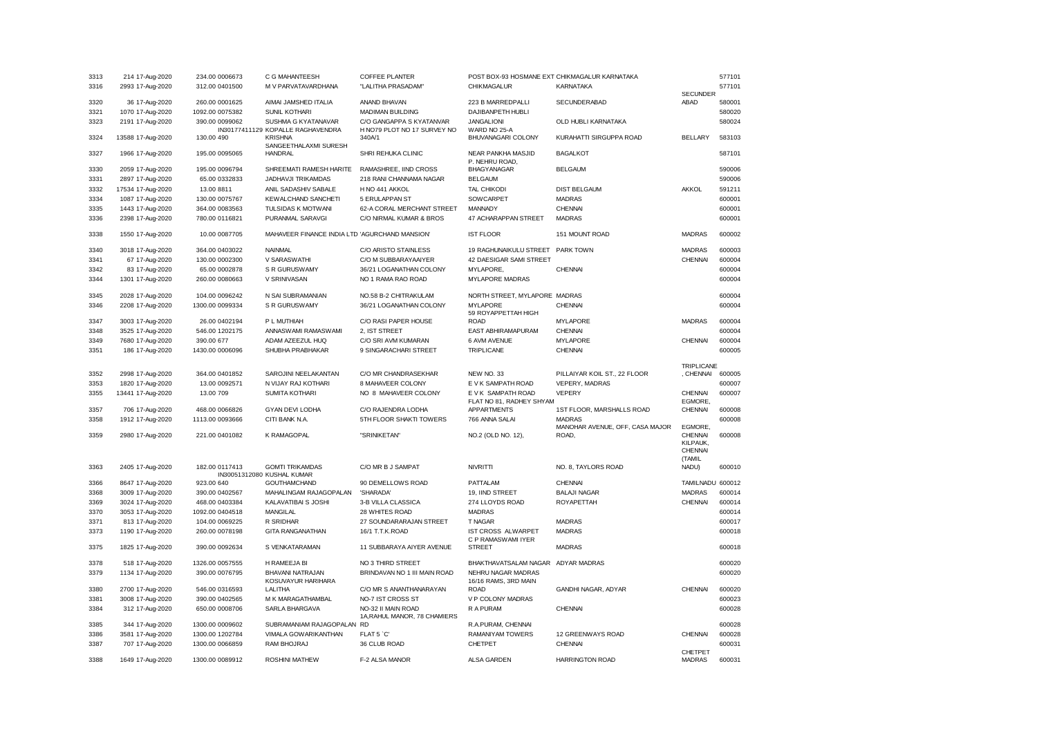| 3313 | 214 17-Aug-2020   | 234.00 0006673  | C G MAHANTEESH                                           | COFFEE PLANTER                                          | POST BOX-93 HOSMANE EXT CHIKMAGALUR KARNATAKA  |                                 |                                 | 577101 |
|------|-------------------|-----------------|----------------------------------------------------------|---------------------------------------------------------|------------------------------------------------|---------------------------------|---------------------------------|--------|
| 3316 | 2993 17-Aug-2020  | 312.00 0401500  | M V PARVATAVARDHANA                                      | "LALITHA PRASADAM"                                      | CHIKMAGALUR                                    | KARNATAKA                       |                                 | 577101 |
|      |                   |                 |                                                          |                                                         |                                                |                                 | <b>SECUNDER</b>                 |        |
| 3320 | 36 17-Aug-2020    | 260.00 0001625  | AIMAI JAMSHED ITALIA                                     | ANAND BHAVAN                                            | 223 B MARREDPALLI                              | SECUNDERABAD                    | ABAD                            | 580001 |
| 3321 | 1070 17-Aug-2020  | 1092.00 0075382 | SUNIL KOTHARI                                            | <b>MADIMAN BUILDING</b>                                 | DAJIBANPETH HUBLI                              |                                 |                                 | 580020 |
| 3323 | 2191 17-Aug-2020  | 390.00 0099062  | SUSHMA G KYATANAVAR<br>IN30177411129 KOPALLE RAGHAVENDRA | C/O GANGAPPA S KYATANVAR<br>H NO79 PLOT NO 17 SURVEY NO | <b>JANGALIONI</b><br>WARD NO 25-A              | OLD HUBLI KARNATAKA             |                                 | 580024 |
| 3324 | 13588 17-Aug-2020 | 130.00 490      | <b>KRISHNA</b><br>SANGEETHALAXMI SURESH                  | 340A/1                                                  | BHUVANAGARI COLONY                             | KURAHATTI SIRGUPPA ROAD         | <b>BELLARY</b>                  | 583103 |
| 3327 | 1966 17-Aug-2020  | 195.00 0095065  | <b>HANDRAL</b>                                           | SHRI REHUKA CLINIC                                      | NEAR PANKHA MASJID<br>P. NEHRU ROAD,           | <b>BAGALKOT</b>                 |                                 | 587101 |
| 3330 | 2059 17-Aug-2020  | 195.00 0096794  | SHREEMATI RAMESH HARITE                                  | RAMASHREE, IIND CROSS                                   | <b>BHAGYANAGAR</b>                             | <b>BELGAUM</b>                  |                                 | 590006 |
| 3331 | 2897 17-Aug-2020  | 65.00 0332833   | JADHAVJI TRIKAMDAS                                       | 218 RANI CHANNAMA NAGAR                                 | <b>BELGAUM</b>                                 |                                 |                                 | 590006 |
| 3332 | 17534 17-Aug-2020 | 13.00 8811      | ANIL SADASHIV SABALE                                     | H NO 441 AKKOL                                          | <b>TAL CHIKODI</b>                             | <b>DIST BELGAUM</b>             | AKKOL                           | 591211 |
| 3334 | 1087 17-Aug-2020  | 130.00 0075767  | KEWALCHAND SANCHETI                                      | 5 ERULAPPAN ST                                          | SOWCARPET                                      | <b>MADRAS</b>                   |                                 | 600001 |
| 3335 | 1443 17-Aug-2020  | 364.00 0083563  | TULSIDAS K MOTWANI                                       | 62-A CORAL MERCHANT STREET                              | <b>MANNADY</b>                                 | CHENNAI                         |                                 | 600001 |
|      |                   |                 |                                                          |                                                         |                                                |                                 |                                 |        |
| 3336 | 2398 17-Aug-2020  | 780.00 0116821  | PURANMAL SARAVGI                                         | C/O NIRMAL KUMAR & BROS                                 | 47 ACHARAPPAN STREET                           | <b>MADRAS</b>                   |                                 | 600001 |
| 3338 | 1550 17-Aug-2020  | 10.00 0087705   | MAHAVEER FINANCE INDIA LTD 'AGURCHAND MANSION'           |                                                         | <b>IST FLOOR</b>                               | 151 MOUNT ROAD                  | <b>MADRAS</b>                   | 600002 |
| 3340 | 3018 17-Aug-2020  | 364.00 0403022  | <b>NAINMAL</b>                                           | C/O ARISTO STAINLESS                                    | 19 RAGHUNAIKULU STREET                         | <b>PARK TOWN</b>                | <b>MADRAS</b>                   | 600003 |
| 3341 | 67 17-Aug-2020    | 130.00 0002300  | V SARASWATHI                                             | C/O M SUBBARAYAAIYER                                    | 42 DAESIGAR SAMI STREET                        |                                 | CHENNAI                         | 600004 |
| 3342 | 83 17-Aug-2020    | 65.00 0002878   | S R GURUSWAMY                                            | 36/21 LOGANATHAN COLONY                                 | MYLAPORE.                                      | <b>CHENNAI</b>                  |                                 | 600004 |
| 3344 | 1301 17-Aug-2020  | 260.00 0080663  | V SRINIVASAN                                             | NO 1 RAMA RAO ROAD                                      | MYLAPORE MADRAS                                |                                 |                                 | 600004 |
| 3345 | 2028 17-Aug-2020  | 104.00 0096242  | N SAI SUBRAMANIAN                                        | NO.58 B-2 CHITRAKULAM                                   | NORTH STREET, MYLAPORE MADRAS                  |                                 |                                 | 600004 |
| 3346 | 2208 17-Aug-2020  | 1300.00 0099334 | S R GURUSWAMY                                            | 36/21 LOGANATHAN COLONY                                 | <b>MYLAPORE</b>                                | <b>CHENNAI</b>                  |                                 | 600004 |
| 3347 | 3003 17-Aug-2020  | 26.00 0402194   | P L MUTHIAH                                              | C/O RASI PAPER HOUSE                                    | 59 ROYAPPETTAH HIGH<br><b>ROAD</b>             | <b>MYLAPORE</b>                 | <b>MADRAS</b>                   | 600004 |
| 3348 |                   | 546.00 1202175  | ANNASWAMI RAMASWAMI                                      | 2. IST STREET                                           |                                                | <b>CHENNAI</b>                  |                                 | 600004 |
|      | 3525 17-Aug-2020  |                 |                                                          |                                                         | EAST ABHIRAMAPURAM                             |                                 |                                 |        |
| 3349 | 7680 17-Aug-2020  | 390.00 677      | ADAM AZEEZUL HUQ                                         | C/O SRI AVM KUMARAN                                     | 6 AVM AVENUE                                   | <b>MYLAPORE</b>                 | CHENNAI                         | 600004 |
| 3351 | 186 17-Aug-2020   | 1430.00 0006096 | SHUBHA PRABHAKAR                                         | 9 SINGARACHARI STREET                                   | <b>TRIPLICANE</b>                              | <b>CHENNAI</b>                  |                                 | 600005 |
|      |                   |                 |                                                          |                                                         |                                                |                                 | TRIPLICANE                      |        |
| 3352 | 2998 17-Aug-2020  | 364.00 0401852  | SAROJINI NEELAKANTAN                                     | C/O MR CHANDRASEKHAR                                    | NEW NO. 33                                     | PILLAIYAR KOIL ST., 22 FLOOR    | , CHENNAI                       | 600005 |
| 3353 | 1820 17-Aug-2020  | 13.00 0092571   | N VIJAY RAJ KOTHARI                                      | 8 MAHAVEER COLONY                                       | E V K SAMPATH ROAD                             | VEPERY, MADRAS                  |                                 | 600007 |
| 3355 | 13441 17-Aug-2020 | 13.00 709       | <b>SUMITA KOTHARI</b>                                    | NO 8 MAHAVEER COLONY                                    | E V K SAMPATH ROAD<br>FLAT NO 81, RADHEY SHYAM | VEPERY                          | CHENNAI<br>EGMORE.              | 600007 |
| 3357 | 706 17-Aug-2020   | 468.00 0066826  | GYAN DEVI LODHA                                          | C/O RAJENDRA LODHA                                      | <b>APPARTMENTS</b>                             | 1ST FLOOR, MARSHALLS ROAD       | CHENNAI                         | 600008 |
| 3358 | 1912 17-Aug-2020  | 1113.00 0093666 | CITI BANK N.A.                                           | 5TH FLOOR SHAKTI TOWERS                                 | 766 ANNA SALAI                                 | <b>MADRAS</b>                   |                                 | 600008 |
|      |                   |                 |                                                          |                                                         |                                                | MANOHAR AVENUE, OFF, CASA MAJOR | EGMORE,                         |        |
| 3359 | 2980 17-Aug-2020  | 221.00 0401082  | K RAMAGOPAL                                              | "SRINIKETAN"                                            | NO.2 (OLD NO. 12),                             | ROAD.                           | CHENNAI<br>KILPAUK,             | 600008 |
|      |                   |                 |                                                          |                                                         |                                                |                                 | CHENNAI<br>(TAMIL               |        |
| 3363 | 2405 17-Aug-2020  | 182.00 0117413  | <b>GOMTI TRIKAMDAS</b><br>IN30051312080 KUSHAL KUMAR     | C/O MR B J SAMPAT                                       | <b>NIVRITTI</b>                                | NO. 8, TAYLORS ROAD             | NADU)                           | 600010 |
| 3366 | 8647 17-Aug-2020  | 923.00 640      | GOUTHAMCHAND                                             | 90 DEMELLOWS ROAD                                       | PATTALAM                                       | <b>CHENNAI</b>                  | TAMILNADU 600012                |        |
| 3368 | 3009 17-Aug-2020  | 390.00 0402567  | MAHALINGAM RAJAGOPALAN                                   | 'SHARADA'                                               | 19, IIND STREET                                | <b>BALAJI NAGAR</b>             | <b>MADRAS</b>                   | 600014 |
| 3369 | 3024 17-Aug-2020  | 468.00 0403384  | KALAVATIBAI S JOSHI                                      | 3-B VILLA CLASSICA                                      | 274 LLOYDS ROAD                                | <b>ROYAPETTAH</b>               | CHENNAI                         | 600014 |
| 3370 | 3053 17-Aug-2020  | 1092.00 0404518 | <b>MANGILAL</b>                                          | 28 WHITES ROAD                                          | <b>MADRAS</b>                                  |                                 |                                 | 600014 |
| 3371 | 813 17-Aug-2020   | 104.00 0069225  | R SRIDHAR                                                | 27 SOUNDARARAJAN STREET                                 | <b>T NAGAR</b>                                 | <b>MADRAS</b>                   |                                 | 600017 |
| 3373 | 1190 17-Aug-2020  | 260.00 0078198  | GITA RANGANATHAN                                         | 16/1 T.T.K.ROAD                                         | IST CROSS ALWARPET                             | <b>MADRAS</b>                   |                                 | 600018 |
| 3375 | 1825 17-Aug-2020  | 390.00 0092634  | S VENKATARAMAN                                           | 11 SUBBARAYA AIYER AVENUE                               | C P RAMASWAMI IYER<br><b>STREET</b>            | <b>MADRAS</b>                   |                                 | 600018 |
| 3378 | 518 17-Aug-2020   | 1326.00 0057555 | H RAMEEJA BI                                             | NO 3 THIRD STREET                                       | BHAKTHAVATSALAM NAGAR ADYAR MADRAS             |                                 |                                 | 600020 |
| 3379 | 1134 17-Aug-2020  | 390.00 0076795  | BHAVANI NATRAJAN                                         | BRINDAVAN NO 1 III MAIN ROAD                            | NEHRU NAGAR MADRAS                             |                                 |                                 | 600020 |
|      |                   |                 | KOSUVAYUR HARIHARA                                       |                                                         | 16/16 RAMS, 3RD MAIN                           |                                 |                                 |        |
| 3380 | 2700 17-Aug-2020  | 546.00 0316593  | LALITHA                                                  | C/O MR S ANANTHANARAYAN                                 | <b>ROAD</b>                                    | GANDHI NAGAR, ADYAR             | CHENNAI                         | 600020 |
| 3381 | 3008 17-Aug-2020  | 390.00 0402565  | M K MARAGATHAMBAL                                        | NO-7 IST CROSS ST                                       | V P COLONY MADRAS                              |                                 |                                 | 600023 |
| 3384 | 312 17-Aug-2020   | 650.00 0008706  | SARLA BHARGAVA                                           | NO-32 II MAIN ROAD<br>1A, RAHUL MANOR, 78 CHAMIERS      | R A PURAM                                      | <b>CHENNAI</b>                  |                                 | 600028 |
| 3385 | 344 17-Aug-2020   | 1300.00 0009602 | SUBRAMANIAM RAJAGOPALAN RD                               |                                                         | R.A.PURAM, CHENNAI                             |                                 |                                 | 600028 |
| 3386 | 3581 17-Aug-2020  | 1300.00 1202784 | VIMALA GOWARIKANTHAN                                     | FLAT 5 °C'                                              | RAMANIYAM TOWERS                               | 12 GREENWAYS ROAD               | CHENNAI                         | 600028 |
| 3387 | 707 17-Aug-2020   | 1300.00 0066859 | RAM BHOJRAJ                                              | 36 CLUB ROAD                                            | CHETPET                                        | <b>CHENNAI</b>                  |                                 | 600031 |
| 3388 | 1649 17-Aug-2020  | 1300.00 0089912 | <b>ROSHINI MATHEW</b>                                    | F-2 ALSA MANOR                                          | ALSA GARDEN                                    | <b>HARRINGTON ROAD</b>          | <b>CHETPET</b><br><b>MADRAS</b> | 600031 |
|      |                   |                 |                                                          |                                                         |                                                |                                 |                                 |        |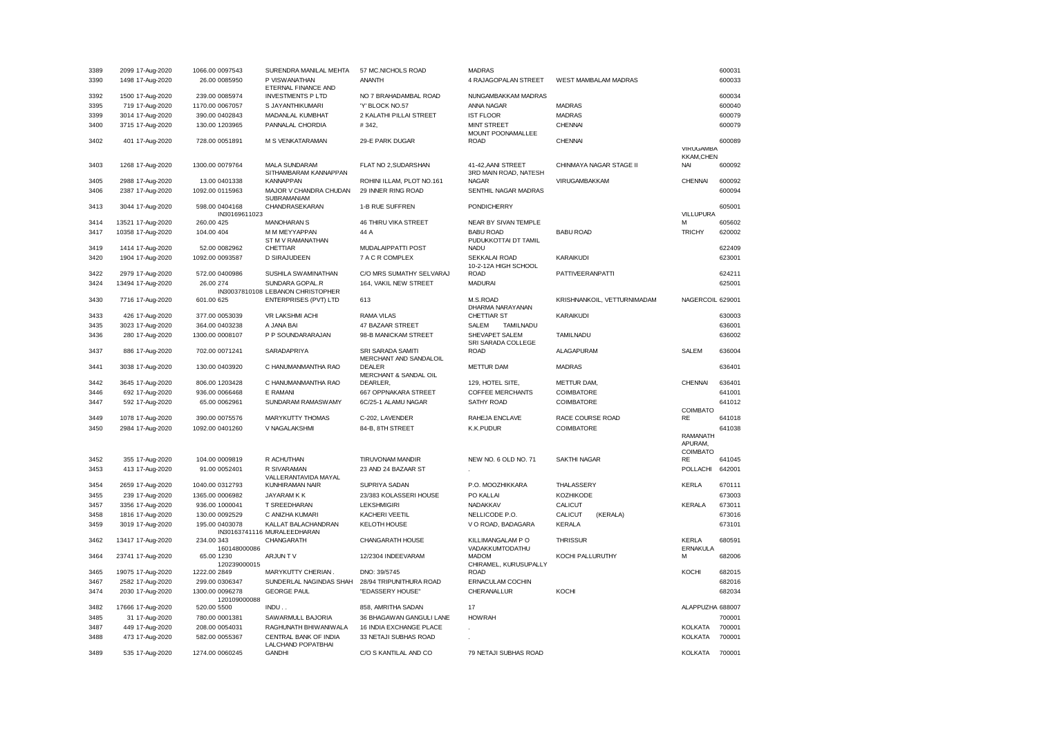| 3389 | 2099 17-Aug-2020  | 1066.00 0097543                 | SURENDRA MANILAL MEHTA                               | 57 MC.NICHOLS ROAD                                 | <b>MADRAS</b>                           |                             |                                        | 600031 |
|------|-------------------|---------------------------------|------------------------------------------------------|----------------------------------------------------|-----------------------------------------|-----------------------------|----------------------------------------|--------|
| 3390 | 1498 17-Aug-2020  | 26.00 0085950                   | P VISWANATHAN<br>ETERNAL FINANCE AND                 | <b>ANANTH</b>                                      | 4 RAJAGOPALAN STREET                    | WEST MAMBALAM MADRAS        |                                        | 600033 |
| 3392 | 1500 17-Aug-2020  | 239.00 0085974                  | <b>INVESTMENTS P LTD</b>                             | NO 7 BRAHADAMBAL ROAD                              | NUNGAMBAKKAM MADRAS                     |                             |                                        | 600034 |
| 3395 | 719 17-Aug-2020   | 1170.00 0067057                 | S JAYANTHIKUMARI                                     | 'Y' BLOCK NO.57                                    | ANNA NAGAR                              | <b>MADRAS</b>               |                                        | 600040 |
| 3399 | 3014 17-Aug-2020  | 390.00 0402843                  | MADANLAL KUMBHAT                                     | 2 KALATHI PILLAI STREET                            | <b>IST FLOOR</b>                        | <b>MADRAS</b>               |                                        | 600079 |
| 3400 | 3715 17-Aug-2020  | 130.00 1203965                  | PANNALAL CHORDIA                                     | #342,                                              | <b>MINT STREET</b><br>MOUNT POONAMALLEE | <b>CHENNAI</b>              |                                        | 600079 |
| 3402 | 401 17-Aug-2020   | 728.00 0051891                  | M S VENKATARAMAN                                     | 29-E PARK DUGAR                                    | <b>ROAD</b>                             | <b>CHENNAI</b>              | VIRUGAMBA                              | 600089 |
| 3403 | 1268 17-Aug-2020  | 1300.00 0079764                 | <b>MALA SUNDARAM</b>                                 | FLAT NO 2, SUDARSHAN                               | 41-42, AANI STREET                      | CHINMAYA NAGAR STAGE II     | <b>KKAM,CHEN</b><br><b>NAI</b>         | 600092 |
| 3405 | 2988 17-Aug-2020  | 13.00 0401338                   | SITHAMBARAM KANNAPPAN<br><b>KANNAPPAN</b>            | ROHINI ILLAM, PLOT NO.161                          | 3RD MAIN ROAD, NATESH<br><b>NAGAR</b>   | VIRUGAMBAKKAM               | CHENNAI                                | 600092 |
| 3406 | 2387 17-Aug-2020  | 1092.00 0115963                 | MAJOR V CHANDRA CHUDAN                               | 29 INNER RING ROAD                                 | SENTHIL NAGAR MADRAS                    |                             |                                        | 600094 |
| 3413 | 3044 17-Aug-2020  | 598.00 0404168                  | SUBRAMANIAM<br>CHANDRASEKARAN                        | 1-B RUE SUFFREN                                    | <b>PONDICHERRY</b>                      |                             |                                        | 605001 |
|      |                   | IN30169611023                   |                                                      |                                                    |                                         |                             | VILLUPURA                              |        |
| 3414 | 13521 17-Aug-2020 | 260.00 425                      | <b>MANOHARAN S</b>                                   | 46 THIRU VIKA STREET                               | NEAR BY SIVAN TEMPLE                    |                             | м                                      | 605602 |
| 3417 | 10358 17-Aug-2020 | 104.00 404                      | M M MEYYAPPAN                                        | 44 A                                               | <b>BABU ROAD</b>                        | <b>BABU ROAD</b>            | <b>TRICHY</b>                          | 620002 |
| 3419 | 1414 17-Aug-2020  | 52.00 0082962                   | ST M V RAMANATHAN<br>CHETTIAR                        | MUDALAIPPATTI POST                                 | PUDUKKOTTAI DT TAMIL<br><b>NADU</b>     |                             |                                        | 622409 |
| 3420 | 1904 17-Aug-2020  | 1092.00 0093587                 | <b>D SIRAJUDEEN</b>                                  | 7 A C R COMPLEX                                    | <b>SEKKALAI ROAD</b>                    | KARAIKUDI                   |                                        | 623001 |
|      |                   |                                 |                                                      |                                                    | 10-2-12A HIGH SCHOOL                    |                             |                                        |        |
| 3422 | 2979 17-Aug-2020  | 572.00 0400986                  | SUSHILA SWAMINATHAN                                  | C/O MRS SUMATHY SELVARAJ                           | <b>ROAD</b>                             | <b>PATTIVEERANPATTI</b>     |                                        | 624211 |
| 3424 | 13494 17-Aug-2020 | 26.00 274                       | SUNDARA GOPAL.R<br>IN30037810108 LEBANON CHRISTOPHER | 164, VAKIL NEW STREET                              | <b>MADURAI</b>                          |                             |                                        | 625001 |
| 3430 | 7716 17-Aug-2020  | 601.00 625                      | <b>ENTERPRISES (PVT) LTD</b>                         | 613                                                | M.S.ROAD<br>DHARMA NARAYANAN            | KRISHNANKOIL, VETTURNIMADAM | NAGERCOIL 629001                       |        |
| 3433 | 426 17-Aug-2020   | 377.00 0053039                  | <b>VR LAKSHMI ACHI</b>                               | <b>RAMA VILAS</b>                                  | CHETTIAR ST                             | <b>KARAIKUDI</b>            |                                        | 630003 |
| 3435 | 3023 17-Aug-2020  | 364.00 0403238                  | A JANA BAI                                           | 47 BAZAAR STREET                                   | <b>SALEM</b><br><b>TAMILNADU</b>        |                             |                                        | 636001 |
| 3436 | 280 17-Aug-2020   | 1300.00 0008107                 | P P SOUNDARARAJAN                                    | 98-B MANICKAM STREET                               | SHEVAPET SALEM<br>SRI SARADA COLLEGE    | TAMILNADU                   |                                        | 636002 |
| 3437 | 886 17-Aug-2020   | 702.00 0071241                  | SARADAPRIYA                                          | <b>SRI SARADA SAMITI</b><br>MERCHANT AND SANDALOIL | <b>ROAD</b>                             | ALAGAPURAM                  | <b>SALEM</b>                           | 636004 |
| 3441 | 3038 17-Aug-2020  | 130.00 0403920                  | C HANUMANMANTHA RAO                                  | <b>DEALER</b><br>MERCHANT & SANDAL OIL             | <b>METTUR DAM</b>                       | <b>MADRAS</b>               |                                        | 636401 |
| 3442 | 3645 17-Aug-2020  | 806.00 1203428                  | C HANUMANMANTHA RAO                                  | DEARLER,                                           | 129, HOTEL SITE,                        | METTUR DAM,                 | CHENNAI                                | 636401 |
| 3446 | 692 17-Aug-2020   | 936.00 0066468                  | E RAMANI                                             | 667 OPPNAKARA STREET                               | <b>COFFEE MERCHANTS</b>                 | COIMBATORE                  |                                        | 641001 |
| 3447 | 592 17-Aug-2020   | 65.00 0062961                   | SUNDARAM RAMASWAMY                                   | 6C/25-1 ALAMU NAGAR                                | <b>SATHY ROAD</b>                       | COIMBATORE                  |                                        | 641012 |
|      |                   |                                 |                                                      |                                                    |                                         |                             | COIMBATO                               |        |
| 3449 | 1078 17-Aug-2020  | 390.00 0075576                  | MARYKUTTY THOMAS                                     | C-202, LAVENDER                                    | RAHEJA ENCLAVE                          | RACE COURSE ROAD            | RE                                     | 641018 |
| 3450 | 2984 17-Aug-2020  | 1092.00 0401260                 | V NAGALAKSHMI                                        | 84-B, 8TH STREET                                   | K.K.PUDUR                               | COIMBATORE                  | <b>RAMANATH</b><br>APURAM,<br>COIMBATO | 641038 |
| 3452 | 355 17-Aug-2020   | 104.00 0009819                  | R ACHUTHAN                                           | <b>TIRUVONAM MANDIR</b>                            | NEW NO. 6 OLD NO. 71                    | <b>SAKTHI NAGAR</b>         | <b>RE</b>                              | 641045 |
| 3453 | 413 17-Aug-2020   | 91.00 0052401                   | R SIVARAMAN<br>VALLERANTAVIDA MAYAL                  | 23 AND 24 BAZAAR ST                                |                                         |                             | POLLACHI                               | 642001 |
| 3454 | 2659 17-Aug-2020  | 1040.00 0312793                 | KUNHIRAMAN NAIR                                      | SUPRIYA SADAN                                      | P.O. MOOZHIKKARA                        | THALASSERY                  | <b>KERLA</b>                           | 670111 |
| 3455 | 239 17-Aug-2020   | 1365.00 0006982                 | <b>JAYARAMKK</b>                                     | 23/383 KOLASSERI HOUSE                             | PO KALLAI                               | KOZHIKODE                   |                                        | 673003 |
| 3457 | 3356 17-Aug-2020  | 936.00 1000041                  | T SREEDHARAN                                         | <b>LEKSHMIGIRI</b>                                 | NADAKKAV                                | <b>CALICUT</b>              | KERALA                                 | 673011 |
| 3458 | 1816 17-Aug-2020  | 130.00 0092529                  | C ANIZHA KUMARI                                      | KACHERI VEETIL                                     | NELLICODE P.O.                          | <b>CALICUT</b><br>(KERALA)  |                                        | 673016 |
| 3459 | 3019 17-Aug-2020  | 195.00 0403078                  | KALLAT BALACHANDRAN<br>IN30163741116 MURALEEDHARAN   | <b>KELOTH HOUSE</b>                                | V O ROAD, BADAGARA                      | <b>KERALA</b>               |                                        | 673101 |
| 3462 | 13417 17-Aug-2020 | 234.00 343<br>160148000086      | CHANGARATH                                           | CHANGARATH HOUSE                                   | KILLIMANGALAM P O<br>VADAKKUMTODATHU    | <b>THRISSUR</b>             | <b>KERLA</b><br>ERNAKULA               | 680591 |
| 3464 | 23741 17-Aug-2020 | 65.00 1230<br>120239000015      | ARJUNT V                                             | 12/2304 INDEEVARAM                                 | <b>MADOM</b><br>CHIRAMEL, KURUSUPALLY   | KOCHI PALLURUTHY            | М                                      | 682006 |
| 3465 | 19075 17-Aug-2020 | 1222.00 2849                    | MARYKUTTY CHERIAN.                                   | DNO: 39/5745                                       | <b>ROAD</b>                             |                             | KOCHI                                  | 682015 |
| 3467 | 2582 17-Aug-2020  | 299.00 0306347                  | SUNDERLAL NAGINDAS SHAH                              | 28/94 TRIPUNITHURA ROAD                            | ERNACULAM COCHIN                        |                             |                                        | 682016 |
| 3474 | 2030 17-Aug-2020  | 1300.00 0096278<br>120109000088 | <b>GEORGE PAUL</b>                                   | "EDASSERY HOUSE"                                   | CHERANALLUR                             | KOCHI                       |                                        | 682034 |
| 3482 | 17666 17-Aug-2020 | 520.00 5500                     | INDU.                                                | 858, AMRITHA SADAN                                 | 17                                      |                             | ALAPPUZHA 688007                       |        |
| 3485 | 31 17-Aug-2020    | 780.00 0001381                  | SAWARMULL BAJORIA                                    | 36 BHAGAWAN GANGULI LANE                           | <b>HOWRAH</b>                           |                             |                                        | 700001 |
| 3487 | 449 17-Aug-2020   | 208.00 0054031                  | RAGHUNATH BHIWANIWALA                                | 16 INDIA EXCHANGE PLACE                            |                                         |                             | <b>KOLKATA</b>                         | 700001 |
| 3488 | 473 17-Aug-2020   | 582.00 0055367                  | CENTRAL BANK OF INDIA                                | 33 NETAJI SUBHAS ROAD                              |                                         |                             | <b>KOLKATA</b>                         | 700001 |
| 3489 | 535 17-Aug-2020   | 1274.00 0060245                 | LALCHAND POPATBHAI<br><b>GANDHI</b>                  | C/O S KANTILAL AND CO                              | 79 NETAJI SUBHAS ROAD                   |                             | <b>KOLKATA</b>                         | 700001 |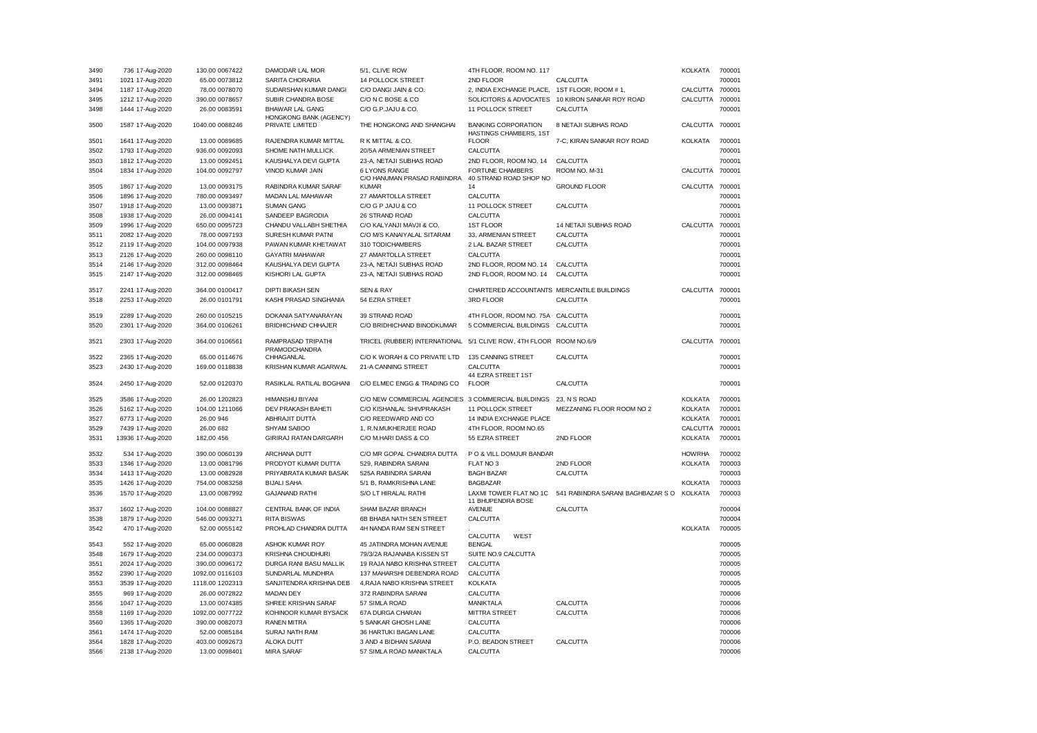| 3490 | 736 17-Aug-2020                     | 130.00 0067422                  | DAMODAR LAL MOR                                  | 5/1, CLIVE ROW                                     | 4TH FLOOR, ROOM NO. 117                              |                                   | KOLKATA         | 700001 |
|------|-------------------------------------|---------------------------------|--------------------------------------------------|----------------------------------------------------|------------------------------------------------------|-----------------------------------|-----------------|--------|
| 3491 | 1021 17-Aug-2020                    | 65.00 0073812                   | SARITA CHORARIA                                  | 14 POLLOCK STREET                                  | 2ND FLOOR                                            | CALCUTTA                          |                 | 700001 |
| 3494 | 1187 17-Aug-2020                    | 78.00 0078070                   | SUDARSHAN KUMAR DANGI                            | C/O DANGI JAIN & CO.                               | 2, INDIA EXCHANGE PLACE, 1ST FLOOR, ROOM #1,         |                                   | CALCUTTA 700001 |        |
| 3495 | 1212 17-Aug-2020                    | 390.00 0078657                  | SUBIR CHANDRA BOSE                               | C/O N C BOSE & CO                                  | SOLICITORS & ADVOCATES                               | 10 KIRON SANKAR ROY ROAD          | CALCUTTA 700001 |        |
| 3498 | 1444 17-Aug-2020                    | 26.00 0083591                   | <b>BHAWAR LAL GANG</b><br>HONGKONG BANK (AGENCY) | C/O G.P.JAJU & CO.                                 | 11 POLLOCK STREET                                    | CALCUTTA                          |                 | 700001 |
| 3500 | 1587 17-Aug-2020                    | 1040.00 0088246                 | PRIVATE LIMITED                                  | THE HONGKONG AND SHANGHAI                          | <b>BANKING CORPORATION</b><br>HASTINGS CHAMBERS, 1ST | 8 NETAJI SUBHAS ROAD              | CALCUTTA 700001 |        |
| 3501 | 1641 17-Aug-2020                    | 13.00 0089685                   | RAJENDRA KUMAR MITTAL                            | R K MITTAL & CO.                                   | <b>FLOOR</b>                                         | 7-C, KIRAN SANKAR ROY ROAD        | <b>KOLKATA</b>  | 700001 |
| 3502 | 1793 17-Aug-2020                    | 936.00 0092093                  | SHOME NATH MULLICK                               | 20/5A ARMENIAN STREET                              | CALCUTTA                                             |                                   |                 | 700001 |
| 3503 | 1812 17-Aug-2020                    | 13.00 0092451                   | KAUSHALYA DEVI GUPTA                             | 23-A, NETAJI SUBHAS ROAD                           | 2ND FLOOR, ROOM NO. 14                               | CALCUTTA                          |                 | 700001 |
| 3504 | 1834 17-Aug-2020                    | 104.00 0092797                  | VINOD KUMAR JAIN                                 | <b>6 LYONS RANGE</b>                               | <b>FORTUNE CHAMBERS</b>                              | ROOM NO. M-31                     | CALCUTTA 700001 |        |
| 3505 | 1867 17-Aug-2020                    | 13.00 0093175                   | RABINDRA KUMAR SARAF                             | C/O HANUMAN PRASAD RABINDRA<br><b>KIMAR</b>        | 40 STRAND ROAD SHOP NO<br>14                         | <b>GROUND FLOOR</b>               | CALCUTTA 700001 |        |
| 3506 | 1896 17-Aug-2020                    | 780.00 0093497                  | MADAN LAL MAHAWAR                                | 27 AMARTOLLA STREET                                | CALCUTTA                                             |                                   |                 | 700001 |
| 3507 | 1918 17-Aug-2020                    | 13.00 0093871                   | <b>SUMAN GANG</b>                                | C/O G P JAJU & CO                                  | 11 POLLOCK STREET                                    | CALCUTTA                          |                 | 700001 |
| 3508 | 1938 17-Aug-2020                    | 26.00 0094141                   | SANDEEP BAGRODIA                                 | 26 STRAND ROAD                                     | <b>CALCUTTA</b>                                      |                                   |                 | 700001 |
| 3509 | 1996 17-Aug-2020                    | 650.00 0095723                  | CHANDU VALLABH SHETHIA                           | C/O KALYANJI MAVJI & CO.                           | <b>1ST FLOOR</b>                                     | 14 NETAJI SUBHAS ROAD             | CALCUTTA        | 700001 |
| 3511 | 2082 17-Aug-2020                    | 78.00 0097193                   | SURESH KUMAR PATNI                               | C/O M/S KANAIYALAL SITARAM                         | 33, ARMENIAN STREET                                  | CALCUTTA                          |                 | 700001 |
| 3512 | 2119 17-Aug-2020                    | 104.00 0097938                  | PAWAN KUMAR KHETAWAT                             | 310 TODICHAMBERS                                   | 2 LAL BAZAR STREET                                   | CALCUTTA                          |                 | 700001 |
|      |                                     |                                 |                                                  |                                                    | <b>CALCUTTA</b>                                      |                                   |                 |        |
| 3513 | 2126 17-Aug-2020                    | 260.00 0098110                  | <b>GAYATRI MAHAWAR</b>                           | 27 AMARTOLLA STREET                                |                                                      |                                   |                 | 700001 |
| 3514 | 2146 17-Aug-2020                    | 312.00 0098464                  | KAUSHALYA DEVI GUPTA                             | 23-A, NETAJI SUBHAS ROAD                           | 2ND FLOOR, ROOM NO. 14                               | CALCUTTA                          |                 | 700001 |
| 3515 | 2147 17-Aug-2020                    | 312.00 0098465                  | KISHORI LAL GUPTA                                | 23-A, NETAJI SUBHAS ROAD                           | 2ND FLOOR, ROOM NO. 14                               | CALCUTTA                          |                 | 700001 |
| 3517 | 2241 17-Aug-2020                    | 364.00 0100417                  | <b>DIPTI BIKASH SEN</b>                          | <b>SEN &amp; RAY</b>                               | CHARTERED ACCOUNTANTS MERCANTILE BUILDINGS           |                                   | CALCUTTA 700001 |        |
| 3518 | 2253 17-Aug-2020                    | 26.00 0101791                   | KASHI PRASAD SINGHANIA                           | 54 EZRA STREET                                     | 3RD FLOOR                                            | CALCUTTA                          |                 | 700001 |
| 3519 | 2289 17-Aug-2020                    | 260.00 0105215                  | DOKANIA SATYANARAYAN                             | 39 STRAND ROAD                                     | 4TH FLOOR, ROOM NO. 75A CALCUTTA                     |                                   |                 | 700001 |
| 3520 | 2301 17-Aug-2020                    | 364.00 0106261                  | <b>BRIDHICHAND CHHAJER</b>                       | C/O BRIDHICHAND BINODKUMAR                         | 5 COMMERCIAL BUILDINGS CALCUTTA                      |                                   |                 | 700001 |
| 3521 | 2303 17-Aug-2020                    | 364.00 0106561                  | RAMPRASAD TRIPATHI<br>PRAMODCHANDRA              | TRICEL (RUBBER) INTERNATIONAL                      | 5/1 CLIVE ROW, 4TH FLOOR ROOM NO.6/9                 |                                   | CALCUTTA 700001 |        |
| 3522 | 2365 17-Aug-2020                    | 65.00 0114676                   | CHHAGANLAL                                       | C/O K WORAH & CO PRIVATE LTD                       | 135 CANNING STREET                                   | CALCUTTA                          |                 | 700001 |
| 3523 | 2430 17-Aug-2020                    | 169.00 0118838                  | KRISHAN KUMAR AGARWAL                            | 21-A CANNING STREET                                | CALCUTTA<br>44 EZRA STREET 1ST                       |                                   |                 | 700001 |
| 3524 | 2450 17-Aug-2020                    | 52.00 0120370                   | RASIKLAL RATILAL BOGHANI                         | C/O ELMEC ENGG & TRADING CO                        | <b>FLOOR</b>                                         | CALCUTTA                          |                 | 700001 |
| 3525 | 3586 17-Aug-2020                    | 26.00 1202823                   | <b>HIMANSHU BIYANI</b>                           | C/O NEW COMMERCIAL AGENCIES 3 COMMERCIAL BUILDINGS |                                                      | 23, N S ROAD                      | KOLKATA         | 700001 |
| 3526 | 5162 17-Aug-2020                    | 104.00 1211066                  | DEV PRAKASH BAHETI                               | C/O KISHANLAL SHIVPRAKASH                          | 11 POLLOCK STREET                                    | MEZZANING FLOOR ROOM NO 2         | <b>KOLKATA</b>  | 700001 |
| 3527 | 6773 17-Aug-2020                    | 26.00 946                       | ABHRAJIT DUTTA                                   | C/O REEDWARD AND CO                                | 14 INDIA EXCHANGE PLACE                              |                                   | <b>KOLKATA</b>  | 700001 |
| 3529 | 7439 17-Aug-2020                    | 26.00 682                       | SHYAM SABOO                                      | 1, R.N.MUKHERJEE ROAD                              | 4TH FLOOR, ROOM NO.65                                |                                   | CALCUTTA 700001 |        |
| 3531 | 13936 17-Aug-2020                   | 182.00 456                      | GIRIRAJ RATAN DARGARH                            | C/O M.HARI DASS & CO                               | 55 EZRA STREET                                       | 2ND FLOOR                         | <b>KOLKATA</b>  | 700001 |
| 3532 | 534 17-Aug-2020                     | 390.00 0060139                  | ARCHANA DUTT                                     | C/O MR GOPAL CHANDRA DUTTA                         | P O & VILL DOMJUR BANDAR                             |                                   | <b>HOWRHA</b>   | 700002 |
| 3533 | 1346 17-Aug-2020                    | 13.00 0081796                   | PRODYOT KUMAR DUTTA                              | 529, RABINDRA SARANI                               | FLAT NO 3                                            | 2ND FLOOR                         | <b>KOLKATA</b>  | 700003 |
| 3534 | 1413 17-Aug-2020                    | 13.00 0082928                   | PRIYABRATA KUMAR BASAK                           | 525A RABINDRA SARANI                               | <b>BAGH BAZAR</b>                                    | CALCUTTA                          |                 | 700003 |
| 3535 | 1426 17-Aug-2020                    | 754.00 0083258                  | <b>BIJALI SAHA</b>                               | 5/1 B, RAMKRISHNA LANE                             | <b>BAGBAZAR</b>                                      |                                   | <b>KOLKATA</b>  | 700003 |
| 3536 | 1570 17-Aug-2020                    | 13.00 0087992                   | <b>GAJANAND RATHI</b>                            | S/O LT HIRALAL RATHI                               | LAXMI TOWER FLAT NO 1C                               | 541 RABINDRA SARANI BAGHBAZAR S O | <b>KOLKATA</b>  | 700003 |
| 3537 | 1602 17-Aug-2020                    | 104.00 0088827                  | CENTRAL BANK OF INDIA                            | SHAM BAZAR BRANCH                                  | 11 BHUPENDRA BOSE<br><b>AVENUE</b>                   | CALCUTTA                          |                 | 700004 |
| 3538 | 1879 17-Aug-2020                    | 546.00 0093271                  | <b>RITA BISWAS</b>                               | 6B BHABA NATH SEN STREET                           | CALCUTTA                                             |                                   |                 | 700004 |
| 3542 | 470 17-Aug-2020                     | 52.00 0055142                   | PROHLAD CHANDRA DUTTA                            | 4H NANDA RAM SEN STREET                            |                                                      |                                   | <b>KOLKATA</b>  | 700005 |
| 3543 |                                     |                                 | ASHOK KUMAR ROY                                  | 45 JATINDRA MOHAN AVENUE                           | CALCUTTA<br>WEST<br><b>BENGAL</b>                    |                                   |                 | 700005 |
| 3548 | 552 17-Aug-2020<br>1679 17-Aug-2020 | 65.00 0060828<br>234.00 0090373 | <b>KRISHNA CHOUDHURI</b>                         | 79/3/2A RAJANABA KISSEN ST                         | SUITE NO.9 CALCUTTA                                  |                                   |                 | 700005 |
|      |                                     |                                 |                                                  |                                                    |                                                      |                                   |                 |        |
| 3551 | 2024 17-Aug-2020                    | 390.00 0096172                  | DURGA RANI BASU MALLIK                           | 19 RAJA NABO KRISHNA STREET                        | <b>CALCUTTA</b>                                      |                                   |                 | 700005 |
| 3552 | 2390 17-Aug-2020                    | 1092.00 0116103                 | SUNDARLAL MUNDHRA                                | 137 MAHARSHI DEBENDRA ROAD                         | CALCUTTA                                             |                                   |                 | 700005 |
| 3553 | 3539 17-Aug-2020                    | 1118.00 1202313                 | SANJITENDRA KRISHNA DEB                          | 4, RAJA NABO KRISHNA STREET                        | <b>KOLKATA</b>                                       |                                   |                 | 700005 |
| 3555 | 969 17-Aug-2020                     | 26.00 0072822                   | <b>MADAN DEY</b>                                 | 372 RABINDRA SARANI                                | <b>CALCUTTA</b>                                      |                                   |                 | 700006 |
| 3556 | 1047 17-Aug-2020                    | 13.00 0074385                   | SHREE KRISHAN SARAF                              | 57 SIMLA ROAD                                      | <b>MANIKTALA</b>                                     | CALCUTTA                          |                 | 700006 |
| 3558 | 1169 17-Aug-2020                    | 1092.00 0077722                 | KOHINOOR KUMAR BYSACK                            | 67A DURGA CHARAN                                   | <b>MITTRA STREET</b>                                 | CALCUTTA                          |                 | 700006 |
| 3560 | 1365 17-Aug-2020                    | 390.00 0082073                  | <b>RANEN MITRA</b>                               | 5 SANKAR GHOSH LANE                                | CALCUTTA                                             |                                   |                 | 700006 |
| 3561 | 1474 17-Aug-2020                    | 52.00 0085184                   | SURAJ NATH RAM                                   | 36 HARTUKI BAGAN LANE                              | CALCUTTA                                             |                                   |                 | 700006 |
| 3564 | 1828 17-Aug-2020                    | 403.00 0092673                  | ALOKA DUTT                                       | 3 AND 4 BIDHAN SARANI                              | P.O. BEADON STREET                                   | CALCUTTA                          |                 | 700006 |
| 3566 | 2138 17-Aug-2020                    | 13.00 0098401                   | <b>MIRA SARAF</b>                                | 57 SIMLA ROAD MANIKTALA                            | CALCUTTA                                             |                                   |                 | 700006 |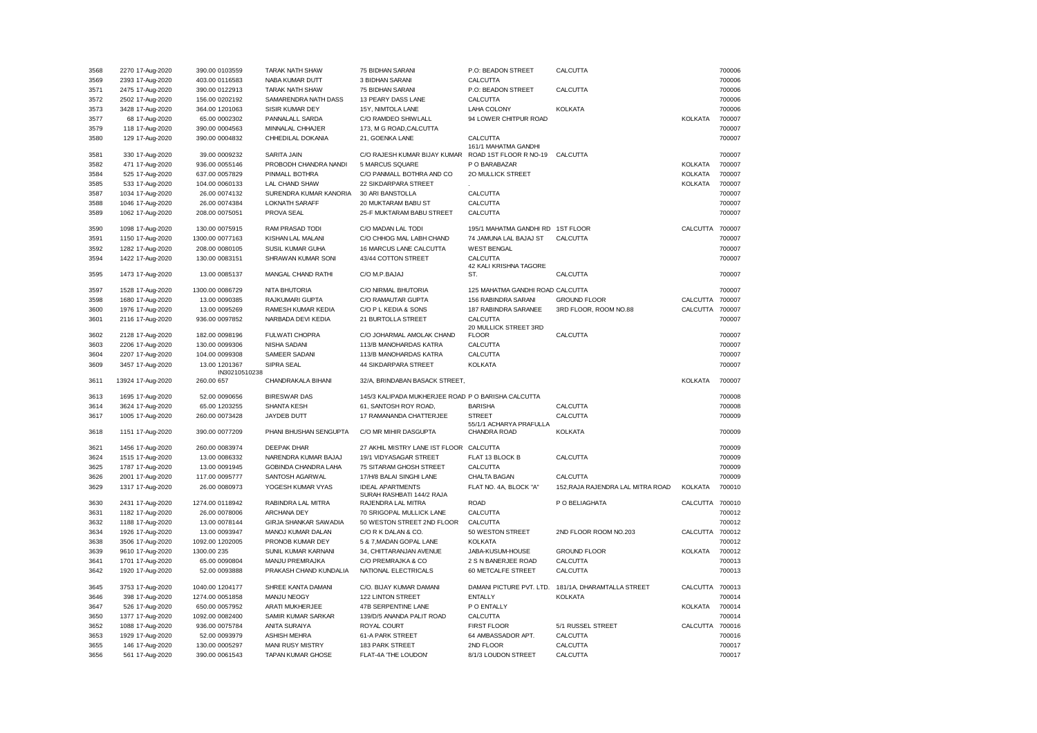| 3568         | 2270 17-Aug-2020                   | 390.00 0103559                   | <b>TARAK NATH SHAW</b>                       | 75 BIDHAN SARANI                                     | P.O: BEADON STREET                       | CALCUTTA                          |                 | 700006           |
|--------------|------------------------------------|----------------------------------|----------------------------------------------|------------------------------------------------------|------------------------------------------|-----------------------------------|-----------------|------------------|
| 3569         | 2393 17-Aug-2020                   | 403.00 0116583                   | NABA KUMAR DUTT                              | 3 BIDHAN SARANI                                      | CALCUTTA                                 |                                   |                 | 700006           |
| 3571         | 2475 17-Aug-2020                   | 390.00 0122913                   | TARAK NATH SHAW                              | 75 BIDHAN SARANI                                     | P.O: BEADON STREET                       | CALCUTTA                          |                 | 700006           |
| 3572         | 2502 17-Aug-2020                   | 156.00 0202192                   | SAMARENDRA NATH DASS                         | 13 PEARY DASS LANE                                   | CALCUTTA                                 |                                   |                 | 700006           |
| 3573         | 3428 17-Aug-2020                   | 364.00 1201063                   | SISIR KUMAR DEY                              | 15Y, NIMTOLA LANE                                    | LAHA COLONY                              | <b>KOLKATA</b>                    |                 | 700006           |
| 3577         | 68 17-Aug-2020                     | 65.00 0002302                    | PANNALALL SARDA                              | C/O RAMDEO SHIWLALL                                  | 94 LOWER CHITPUR ROAD                    |                                   | <b>KOLKATA</b>  | 700007           |
| 3579         | 118 17-Aug-2020                    | 390.00 0004563                   | MINNALAL CHHAJER                             | 173, M G ROAD, CALCUTTA                              |                                          |                                   |                 | 700007           |
| 3580         | 129 17-Aug-2020                    | 390.00 0004832                   | CHHEDILAL DOKANIA                            | 21, GOENKA LANE                                      | CALCUTTA<br>161/1 MAHATMA GANDHI         |                                   |                 | 700007           |
| 3581         | 330 17-Aug-2020                    | 39.00 0009232                    | SARITA JAIN                                  | C/O RAJESH KUMAR BIJAY KUMAR                         | ROAD 1ST FLOOR R NO-19 CALCUTTA          |                                   |                 | 700007           |
| 3582         | 471 17-Aug-2020                    | 936.00 0055146                   | PROBODH CHANDRA NANDI                        | 5 MARCUS SQUARE                                      | P O BARABAZAR                            |                                   | KOLKATA         | 700007           |
| 3584         | 525 17-Aug-2020                    | 637.00 0057829                   | PINMALL BOTHRA                               | C/O PANMALL BOTHRA AND CO                            | 20 MULLICK STREET                        |                                   | <b>KOLKATA</b>  | 700007           |
| 3585         | 533 17-Aug-2020                    | 104.00 0060133                   | LAL CHAND SHAW                               | 22 SIKDARPARA STREET                                 |                                          |                                   | <b>KOLKATA</b>  | 700007           |
| 3587         | 1034 17-Aug-2020                   | 26.00 0074132                    | SURENDRA KUMAR KANORIA                       | 30 ARI BANSTOLLA                                     | CALCUTTA                                 |                                   |                 | 700007           |
| 3588         | 1046 17-Aug-2020                   | 26.00 0074384                    | <b>LOKNATH SARAFF</b>                        | 20 MUKTARAM BABU ST                                  | CALCUTTA                                 |                                   |                 | 700007           |
| 3589         | 1062 17-Aug-2020                   | 208.00 0075051                   | PROVA SEAL                                   | 25-F MUKTARAM BABU STREET                            | CALCUTTA                                 |                                   |                 | 700007           |
| 3590         | 1098 17-Aug-2020                   | 130.00 0075915                   | RAM PRASAD TODI                              | C/O MADAN LAL TODI                                   | 195/1 MAHATMA GANDHI RD 1ST FLOOR        |                                   | CALCUTTA 700007 |                  |
| 3591         | 1150 17-Aug-2020                   | 1300.00 0077163                  | KISHAN LAL MALANI                            | C/O CHHOG MAL LABH CHAND                             | 74 JAMUNA LAL BAJAJ ST                   | CALCUTTA                          |                 | 700007           |
| 3592         | 1282 17-Aug-2020                   | 208.00 0080105                   | SUSIL KUMAR GUHA                             | 16 MARCUS LANE CALCUTTA                              | <b>WEST BENGAL</b>                       |                                   |                 | 700007           |
| 3594         | 1422 17-Aug-2020                   | 130.00 0083151                   | SHRAWAN KUMAR SONI                           | 43/44 COTTON STREET                                  | CALCUTTA                                 |                                   |                 | 700007           |
| 3595         | 1473 17-Aug-2020                   | 13.00 0085137                    | MANGAL CHAND RATHI                           | C/O M.P.BAJAJ                                        | 42 KALI KRISHNA TAGORE<br>ST.            | CALCUTTA                          |                 | 700007           |
| 3597         | 1528 17-Aug-2020                   | 1300.00 0086729                  | NITA BHUTORIA                                | C/O NIRMAL BHUTORIA                                  | 125 MAHATMA GANDHI ROAD CALCUTTA         |                                   |                 | 700007           |
| 3598         | 1680 17-Aug-2020                   | 13.00 0090385                    | RAJKUMARI GUPTA                              | C/O RAMAUTAR GUPTA                                   | 156 RABINDRA SARANI                      | <b>GROUND FLOOR</b>               | CALCUTTA 700007 |                  |
| 3600         | 1976 17-Aug-2020                   | 13.00 0095269                    | RAMESH KUMAR KEDIA                           | C/O P L KEDIA & SONS                                 | 187 RABINDRA SARANEE                     | 3RD FLOOR, ROOM NO.88             | CALCUTTA        | 700007           |
| 3601         | 2116 17-Aug-2020                   | 936.00 0097852                   | NARBADA DEVI KEDIA                           | 21 BURTOLLA STREET                                   | CALCUTTA                                 |                                   |                 | 700007           |
| 3602         | 2128 17-Aug-2020                   | 182.00 0098196                   | <b>FULWATI CHOPRA</b>                        | C/O JOHARMAL AMOLAK CHAND                            | 20 MULLICK STREET 3RD<br><b>FLOOR</b>    | CALCUTTA                          |                 | 700007           |
| 3603         | 2206 17-Aug-2020                   | 130.00 0099306                   | NISHA SADANI                                 | 113/B MANOHARDAS KATRA                               | CALCUTTA                                 |                                   |                 | 700007           |
| 3604         | 2207 17-Aug-2020                   | 104.00 0099308                   | SAMEER SADANI                                | 113/B MANOHARDAS KATRA                               | CALCUTTA                                 |                                   |                 | 700007           |
| 3609         | 3457 17-Aug-2020                   | 13.00 1201367                    | SIPRA SEAL                                   | 44 SIKDARPARA STREET                                 | <b>KOLKATA</b>                           |                                   |                 | 700007           |
|              |                                    | IN30210510238                    |                                              |                                                      |                                          |                                   |                 |                  |
| 3611         | 13924 17-Aug-2020                  | 260.00 657                       | CHANDRAKALA BIHANI                           | 32/A, BRINDABAN BASACK STREET,                       |                                          |                                   | <b>KOLKATA</b>  | 700007           |
| 3613         | 1695 17-Aug-2020                   | 52.00 0090656                    | <b>BIRESWAR DAS</b>                          | 145/3 KALIPADA MUKHERJEE ROAD P O BARISHA CALCUTTA   |                                          |                                   |                 | 700008           |
| 3614         | 3624 17-Aug-2020                   | 65.00 1203255                    | SHANTA KESH                                  | 61, SANTOSH ROY ROAD,                                | <b>BARISHA</b>                           | CALCUTTA                          |                 | 700008           |
| 3617         | 1005 17-Aug-2020                   | 260.00 0073428                   | JAYDEB DUTT                                  | 17 RAMANANDA CHATTERJEE                              | <b>STREET</b><br>55/1/1 ACHARYA PRAFULLA | CALCUTTA                          |                 | 700009           |
| 3618         | 1151 17-Aug-2020                   | 390.00 0077209                   | PHANI BHUSHAN SENGUPTA                       | C/O MR MIHIR DASGUPTA                                | CHANDRA ROAD                             | <b>KOLKATA</b>                    |                 | 700009           |
| 3621         | 1456 17-Aug-2020                   | 260.00 0083974                   | <b>DEEPAK DHAR</b>                           | 27 AKHIL MISTRY LANE IST FLOOR                       | CALCUTTA                                 |                                   |                 | 700009           |
| 3624         | 1515 17-Aug-2020                   | 13.00 0086332                    | NARENDRA KUMAR BAJAJ                         | 19/1 VIDYASAGAR STREET                               | FLAT 13 BLOCK B                          | CALCUTTA                          |                 | 700009           |
| 3625         | 1787 17-Aug-2020                   | 13.00 0091945                    | GOBINDA CHANDRA LAHA                         | 75 SITARAM GHOSH STREET                              | CALCUTTA                                 |                                   |                 | 700009           |
| 3626         | 2001 17-Aug-2020                   | 117.00 0095777                   | SANTOSH AGARWAL                              | 17/H/8 BALAI SINGHI LANE                             | CHALTA BAGAN                             | CALCUTTA                          |                 | 700009           |
| 3629         | 1317 17-Aug-2020                   | 26.00 0080973                    | YOGESH KUMAR VYAS                            | <b>IDEAL APARTMENTS</b><br>SURAH RASHBATI 144/2 RAJA | FLAT NO. 4A, BLOCK "A"                   | 152, RAJA RAJENDRA LAL MITRA ROAD | <b>KOLKATA</b>  | 700010           |
| 3630         | 2431 17-Aug-2020                   | 1274.00 0118942                  | RABINDRA LAL MITRA                           | RAJENDRA LAL MITRA                                   | <b>ROAD</b>                              | P O BELIAGHATA                    | CALCUTTA 700010 |                  |
| 3631         | 1182 17-Aug-2020                   | 26.00 0078006                    | ARCHANA DEY                                  | 70 SRIGOPAL MULLICK LANE                             | CALCUTTA                                 |                                   |                 | 700012           |
| 3632         | 1188 17-Aug-2020                   | 13.00 0078144                    | GIRJA SHANKAR SAWADIA                        | 50 WESTON STREET 2ND FLOOR                           | CALCUTTA                                 |                                   |                 | 700012           |
| 3634         | 1926 17-Aug-2020                   | 13.00 0093947                    | MANOJ KUMAR DALAN                            | C/O R K DALAN & CO.                                  | 50 WESTON STREET                         | 2ND FLOOR ROOM NO.203             | CALCUTTA 700012 |                  |
| 3638         | 3506 17-Aug-2020                   | 1092.00 1202005                  | PRONOB KUMAR DEY                             | 5 & 7, MADAN GOPAL LANE                              | <b>KOLKATA</b>                           |                                   |                 | 700012           |
| 3639         | 9610 17-Aug-2020                   | 1300.00 235                      | SUNIL KUMAR KARNANI                          | 34, CHITTARANJAN AVENUE                              | JABA-KUSUM-HOUSE                         | <b>GROUND FLOOR</b>               | KOLKATA         | 700012           |
| 3641         | 1701 17-Aug-2020                   | 65.00 0090804                    | MANJU PREMRAJKA                              | C/O PREMRAJKA & CO                                   | 2 S N BANERJEE ROAD                      | CALCUTTA                          |                 | 700013           |
| 3642         | 1920 17-Aug-2020                   | 52.00 0093888                    | PRAKASH CHAND KUNDALIA                       | NATIONAL ELECTRICALS                                 | 60 METCALFE STREET                       | CALCUTTA                          |                 | 700013           |
| 3645         | 3753 17-Aug-2020                   | 1040.00 1204177                  | SHREE KANTA DAMANI                           | C/O. BIJAY KUMAR DAMANI                              | DAMANI PICTURE PVT. LTD.                 | 181/1A, DHARAMTALLA STREET        | CALCUTTA 700013 |                  |
| 3646         | 398 17-Aug-2020                    | 1274.00 0051858                  | MANJU NEOGY                                  | 122 LINTON STREET                                    | <b>ENTALLY</b>                           | <b>KOLKATA</b>                    |                 | 700014           |
| 3647         | 526 17-Aug-2020                    | 650.00 0057952                   | ARATI MUKHERJEE                              | 47B SERPENTINE LANE                                  | P O ENTALLY                              |                                   | <b>KOLKATA</b>  | 700014           |
|              |                                    |                                  | SAMIR KUMAR SARKAR                           | 139/D/5 ANANDA PALIT ROAD                            | CALCUTTA                                 |                                   |                 | 700014           |
| 3650         | 1377 17-Aug-2020                   | 1092.00 0082400                  |                                              |                                                      |                                          |                                   |                 |                  |
| 3652         | 1088 17-Aug-2020                   | 936.00 0075784                   | ANITA SURAIYA                                | ROYAL COURT                                          | <b>FIRST FLOOR</b>                       | 5/1 RUSSEL STREET                 | CALCUTTA 700016 |                  |
| 3653         | 1929 17-Aug-2020                   | 52.00 0093979                    | <b>ASHISH MEHRA</b>                          | 61-A PARK STREET                                     | 64 AMBASSADOR APT.                       | CALCUTTA                          |                 | 700016           |
| 3655<br>3656 | 146 17-Aug-2020<br>561 17-Aug-2020 | 130.00 0005297<br>390.00 0061543 | <b>MANI RUSY MISTRY</b><br>TAPAN KUMAR GHOSE | 183 PARK STREET<br>FLAT-4A 'THE LOUDON'              | 2ND FLOOR<br>8/1/3 LOUDON STREET         | CALCUTTA<br>CALCUTTA              |                 | 700017<br>700017 |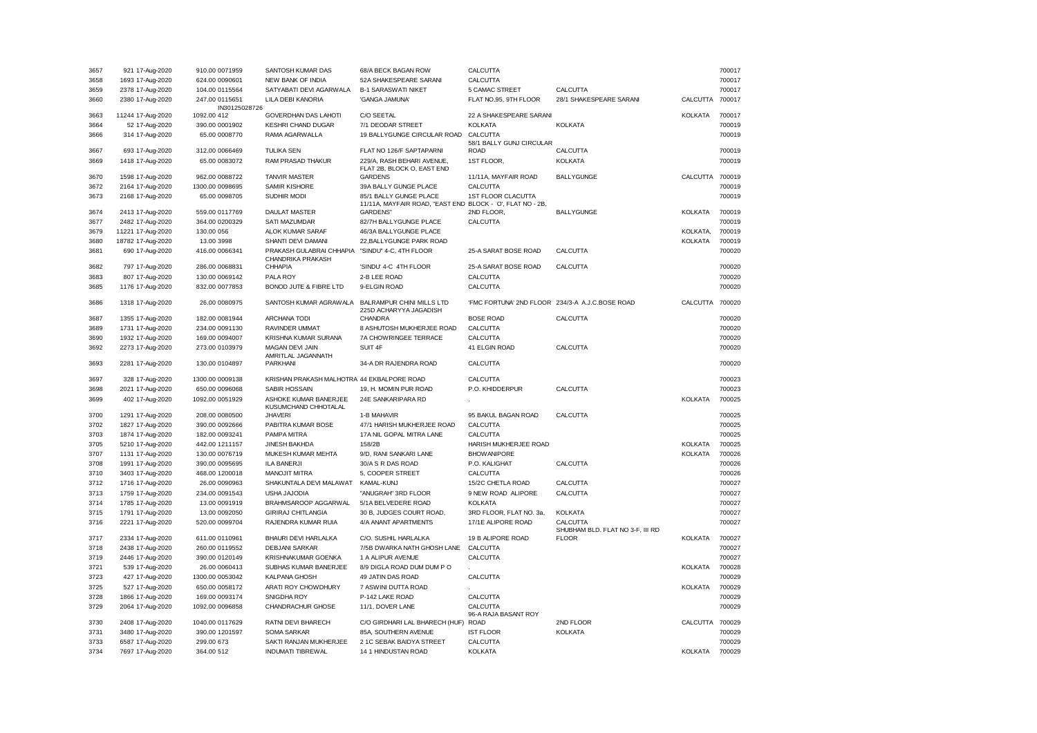| 3657         | 921 17-Aug-2020                      | 910.00 0071959                  | SANTOSH KUMAR DAS                                                    | 68/A BECK BAGAN ROW                                                                  | CALCUTTA                                        |                                  |                 | 700017           |
|--------------|--------------------------------------|---------------------------------|----------------------------------------------------------------------|--------------------------------------------------------------------------------------|-------------------------------------------------|----------------------------------|-----------------|------------------|
| 3658         | 1693 17-Aug-2020                     | 624.00 0090601                  | NEW BANK OF INDIA                                                    | 52A SHAKESPEARE SARANI                                                               | CALCUTTA                                        |                                  |                 | 700017           |
| 3659         | 2378 17-Aug-2020                     | 104.00 0115564                  | SATYABATI DEVI AGARWALA                                              | <b>B-1 SARASWATI NIKET</b>                                                           | 5 CAMAC STREET                                  | CALCUTTA                         |                 | 700017           |
| 3660         | 2380 17-Aug-2020                     | 247.00 0115651<br>IN30125028726 | LILA DEBI KANORIA                                                    | 'GANGA JAMUNA'                                                                       | FLAT NO.95, 9TH FLOOR                           | 28/1 SHAKESPEARE SARANI          | CALCUTTA 700017 |                  |
| 3663         | 11244 17-Aug-2020                    | 1092.00 412                     | GOVERDHAN DAS LAHOTI                                                 | C/O SEETAL                                                                           | 22 A SHAKESPEARE SARANI                         |                                  | <b>KOLKATA</b>  | 700017           |
| 3664         | 52 17-Aug-2020                       | 390.00 0001902                  | <b>KESHRI CHAND DUGAR</b>                                            | 7/1 DEODAR STREET                                                                    | <b>KOLKATA</b>                                  | <b>KOLKATA</b>                   |                 | 700019           |
| 3666         | 314 17-Aug-2020                      | 65.00 0008770                   | RAMA AGARWALLA                                                       | 19 BALLYGUNGE CIRCULAR ROAD                                                          | CALCUTTA<br>58/1 BALLY GUNJ CIRCULAR            |                                  |                 | 700019           |
| 3667         | 693 17-Aug-2020                      | 312.00 0066469                  | <b>TULIKA SEN</b>                                                    | FLAT NO 126/F SAPTAPARNI                                                             | <b>ROAD</b>                                     | CALCUTTA                         |                 | 700019           |
| 3669         | 1418 17-Aug-2020                     | 65.00 0083072                   | RAM PRASAD THAKUR                                                    | 229/A, RASH BEHARI AVENUE,                                                           | 1ST FLOOR,                                      | <b>KOLKATA</b>                   |                 | 700019           |
|              |                                      |                                 |                                                                      | FLAT 2B, BLOCK O, EAST END                                                           |                                                 |                                  |                 |                  |
| 3670         | 1598 17-Aug-2020                     | 962.00 0088722                  | <b>TANVIR MASTER</b>                                                 | <b>GARDENS</b>                                                                       | 11/11A, MAYFAIR ROAD                            | <b>BALLYGUNGE</b>                | CALCUTTA        | 700019           |
| 3672         | 2164 17-Aug-2020                     | 1300.00 0098695                 | SAMIR KISHORE                                                        | 39A BALLY GUNGE PLACE                                                                | CALCUTTA                                        |                                  |                 | 700019           |
| 3673         | 2168 17-Aug-2020                     | 65.00 0098705                   | SUDHIR MODI                                                          | 85/1 BALLY GUNGE PLACE<br>11/11A, MAYFAIR ROAD, "EAST END BLOCK - `O', FLAT NO - 2B, | 1ST FLOOR CLACUTTA                              |                                  |                 | 700019           |
| 3674         | 2413 17-Aug-2020                     | 559.00 0117769                  | <b>DAULAT MASTER</b>                                                 | <b>GARDENS'</b>                                                                      | 2ND FLOOR,                                      | <b>BALLYGUNGE</b>                | <b>KOLKATA</b>  | 700019           |
| 3677         | 2482 17-Aug-2020                     | 364.00 0200329                  | SATI MAZUMDAR                                                        | 82/7H BALLYGUNGE PLACE                                                               | CALCUTTA                                        |                                  |                 | 700019           |
| 3679         | 11221 17-Aug-2020                    | 130.00 056                      | ALOK KUMAR SARAF                                                     | 46/3A BALLYGUNGE PLACE                                                               |                                                 |                                  | KOLKATA,        | 700019           |
| 3680         | 18782 17-Aug-2020                    | 13.00 3998                      | SHANTI DEVI DAMANI                                                   | 22, BALLY GUNGE PARK ROAD                                                            |                                                 |                                  | <b>KOLKATA</b>  | 700019           |
| 3681         | 690 17-Aug-2020                      | 416.00 0066341                  | PRAKASH GULABRAI CHHAPIA "SINDU" 4-C, 4TH FLOOR<br>CHANDRIKA PRAKASH |                                                                                      | 25-A SARAT BOSE ROAD                            | CALCUTTA                         |                 | 700020           |
| 3682         | 797 17-Aug-2020                      | 286.00 0068831                  | CHHAPIA                                                              | 'SINDU' 4-C 4TH FLOOR                                                                | 25-A SARAT BOSE ROAD                            | CALCUTTA                         |                 | 700020           |
| 3683         | 807 17-Aug-2020                      | 130.00 0069142                  | PALA ROY                                                             | 2-B LEE ROAD                                                                         | CALCUTTA                                        |                                  |                 | 700020           |
| 3685         | 1176 17-Aug-2020                     | 832.00 0077853                  | BONOD JUTE & FIBRE LTD                                               | 9-ELGIN ROAD                                                                         | CALCUTTA                                        |                                  |                 | 700020           |
| 3686         | 1318 17-Aug-2020                     | 26.00 0080975                   | SANTOSH KUMAR AGRAWALA                                               | BALRAMPUR CHINI MILLS LTD                                                            | 'FMC FORTUNA' 2ND FLOOR 234/3-A A.J.C.BOSE ROAD |                                  | CALCUTTA 700020 |                  |
| 3687         | 1355 17-Aug-2020                     | 182.00 0081944                  | <b>ARCHANA TODI</b>                                                  | 225D ACHARYYA JAGADISH<br>CHANDRA                                                    | <b>BOSE ROAD</b>                                | CALCUTTA                         |                 | 700020           |
| 3689         | 1731 17-Aug-2020                     | 234.00 0091130                  | RAVINDER UMMAT                                                       | 8 ASHUTOSH MUKHERJEE ROAD                                                            | CALCUTTA                                        |                                  |                 | 700020           |
|              |                                      |                                 |                                                                      |                                                                                      |                                                 |                                  |                 |                  |
| 3690         | 1932 17-Aug-2020                     | 169.00 0094007                  | KRISHNA KUMAR SURANA                                                 | 7A CHOWRINGEE TERRACE                                                                | CALCUTTA                                        |                                  |                 | 700020           |
| 3692         | 2273 17-Aug-2020                     | 273.00 0103979                  | MAGAN DEVI JAIN<br>AMRITLAL JAGANNATH                                | SUIT 4F                                                                              | 41 ELGIN ROAD                                   | CALCUTTA                         |                 | 700020           |
| 3693         | 2281 17-Aug-2020                     | 130.00 0104897                  | PARKHANI                                                             | 34-A DR RAJENDRA ROAD                                                                | CALCUTTA                                        |                                  |                 | 700020           |
| 3697         | 328 17-Aug-2020                      | 1300.00 0009138                 | KRISHAN PRAKASH MALHOTRA 44 EKBALPORE ROAD                           |                                                                                      | CALCUTTA                                        |                                  |                 | 700023           |
| 3698         | 2021 17-Aug-2020                     | 650.00 0096068                  | <b>SABIR HOSSAIN</b>                                                 | 19, H. MOMIN PUR ROAD                                                                | P.O. KHIDDERPUR                                 | CALCUTTA                         |                 | 700023           |
| 3699         | 402 17-Aug-2020                      | 1092.00 0051929                 | ASHOKE KUMAR BANERJEE<br>KUSUMCHAND CHHOTALAL                        | 24E SANKARIPARA RD                                                                   |                                                 |                                  | <b>KOLKATA</b>  | 700025           |
| 3700         | 1291 17-Aug-2020                     | 208.00 0080500                  | <b>JHAVERI</b>                                                       | 1-B MAHAVIR                                                                          | 95 BAKUL BAGAN ROAD                             | CALCUTTA                         |                 | 700025           |
| 3702         | 1827 17-Aug-2020                     | 390.00 0092666                  | PABITRA KUMAR BOSE                                                   | 47/1 HARISH MUKHERJEE ROAD                                                           | CALCUTTA                                        |                                  |                 | 700025           |
| 3703         | 1874 17-Aug-2020                     | 182.00 0093241                  | PAMPA MITRA                                                          | 17A NIL GOPAL MITRA LANE                                                             | CALCUTTA                                        |                                  |                 | 700025           |
| 3705         | 5210 17-Aug-2020                     | 442.00 1211157                  | JINESH BAKHDA                                                        | 158/2B                                                                               | HARISH MUKHERJEE ROAD                           |                                  | <b>KOLKATA</b>  | 700025           |
| 3707         | 1131 17-Aug-2020                     | 130.00 0076719                  | MUKESH KUMAR MEHTA                                                   | 9/D, RANI SANKARI LANE                                                               | <b>BHOW ANIPORE</b>                             |                                  | <b>KOLKATA</b>  | 700026           |
| 3708         | 1991 17-Aug-2020                     | 390.00 0095695                  | <b>ILA BANERJI</b>                                                   | 30/A S R DAS ROAD                                                                    | P.O. KALIGHAT                                   | CALCUTTA                         |                 | 700026           |
| 3710         | 3403 17-Aug-2020                     | 468.00 1200018                  | <b>MANOJIT MITRA</b>                                                 | 5, COOPER STREET                                                                     | CALCUTTA                                        |                                  |                 | 700026           |
|              |                                      |                                 | SHAKUNTALA DEVI MALAWAT                                              |                                                                                      | 15/2C CHETLA ROAD                               | CALCUTTA                         |                 | 700027           |
| 3712         | 1716 17-Aug-2020                     | 26.00 0090963                   |                                                                      | KAMAL-KUNJ                                                                           |                                                 |                                  |                 |                  |
| 3713         | 1759 17-Aug-2020                     | 234.00 0091543                  | USHA JAJODIA                                                         | "ANUGRAH" 3RD FLOOR                                                                  | 9 NEW ROAD ALIPORE                              | CALCUTTA                         |                 | 700027           |
| 3714         | 1785 17-Aug-2020                     | 13.00 0091919                   | BRAHMSAROOP AGGARWAL                                                 | 5/1A BELVEDERE ROAD                                                                  | <b>KOLKATA</b>                                  |                                  |                 | 700027           |
| 3715<br>3716 | 1791 17-Aug-2020<br>2221 17-Aug-2020 | 13.00 0092050<br>520.00 0099704 | <b>GIRIRAJ CHITLANGIA</b><br>RAJENDRA KUMAR RUIA                     | 30 B, JUDGES COURT ROAD,<br>4/A ANANT APARTMENTS                                     | 3RD FLOOR, FLAT NO. 3a,<br>17/1E ALIPORE ROAD   | <b>KOLKATA</b><br>CALCUTTA       |                 | 700027<br>700027 |
|              |                                      |                                 |                                                                      |                                                                                      |                                                 | SHUBHAM BLD. FLAT NO 3-F, III RD |                 |                  |
| 3717         | 2334 17-Aug-2020                     | 611.00 0110961                  | BHAURI DEVI HARLALKA                                                 | C/O. SUSHIL HARLALKA                                                                 | 19 B ALIPORE ROAD                               | <b>FLOOR</b>                     | <b>KOLKATA</b>  | 700027           |
| 3718         | 2438 17-Aug-2020                     | 260.00 0119552                  | DEBJANI SARKAR                                                       | 7/5B DWARKA NATH GHOSH LANE                                                          | CALCUTTA                                        |                                  |                 | 700027           |
| 3719         | 2446 17-Aug-2020                     | 390.00 0120149                  | KRISHNAKUMAR GOENKA                                                  | 1 A ALIPUR AVENUE                                                                    | CALCUTTA                                        |                                  |                 | 700027           |
| 3721         | 539 17-Aug-2020                      | 26.00 0060413                   | SUBHAS KUMAR BANERJEE                                                | 8/9 DIGLA ROAD DUM DUM PO                                                            |                                                 |                                  | <b>KOLKATA</b>  | 700028           |
| 3723         | 427 17-Aug-2020                      | 1300.00 0053042                 | <b>KALPANA GHOSH</b>                                                 | 49 JATIN DAS ROAD                                                                    | CALCUTTA                                        |                                  |                 | 700029           |
| 3725         | 527 17-Aug-2020                      | 650.00 0058172                  | ARATI ROY CHOWDHURY                                                  | 7 ASWINI DUTTA ROAD                                                                  |                                                 |                                  | <b>KOLKATA</b>  | 700029           |
| 3728         | 1866 17-Aug-2020                     | 169.00 0093174                  | SNIGDHA ROY                                                          | P-142 LAKE ROAD                                                                      | CALCUTTA                                        |                                  |                 | 700029           |
| 3729         | 2064 17-Aug-2020                     | 1092.00 0096858                 | CHANDRACHUR GHOSE                                                    | 11/1, DOVER LANE                                                                     | CALCUTTA<br>96-A RAJA BASANT ROY                |                                  |                 | 700029           |
| 3730         | 2408 17-Aug-2020                     | 1040.00 0117629                 | RATNI DEVI BHARECH                                                   | C/O GIRDHARI LAL BHARECH (HUF)                                                       | <b>ROAD</b>                                     | 2ND FLOOR                        | CALCUTTA 700029 |                  |
| 3731         | 3480 17-Aug-2020                     | 390.00 1201597                  | <b>SOMA SARKAR</b>                                                   | 85A, SOUTHERN AVENUE                                                                 | <b>IST FLOOR</b>                                | <b>KOLKATA</b>                   |                 | 700029           |
| 3733         | 6587 17-Aug-2020                     | 299.00 673                      | SAKTI RANJAN MUKHERJEE                                               | 2 1C SEBAK BAIDYA STREET                                                             | CALCUTTA                                        |                                  |                 | 700029           |
| 3734         | 7697 17-Aug-2020                     | 364.00 512                      | <b>INDUMATI TIBREWAL</b>                                             | 14 1 HINDUSTAN ROAD                                                                  | <b>KOLKATA</b>                                  |                                  | <b>KOLKATA</b>  | 700029           |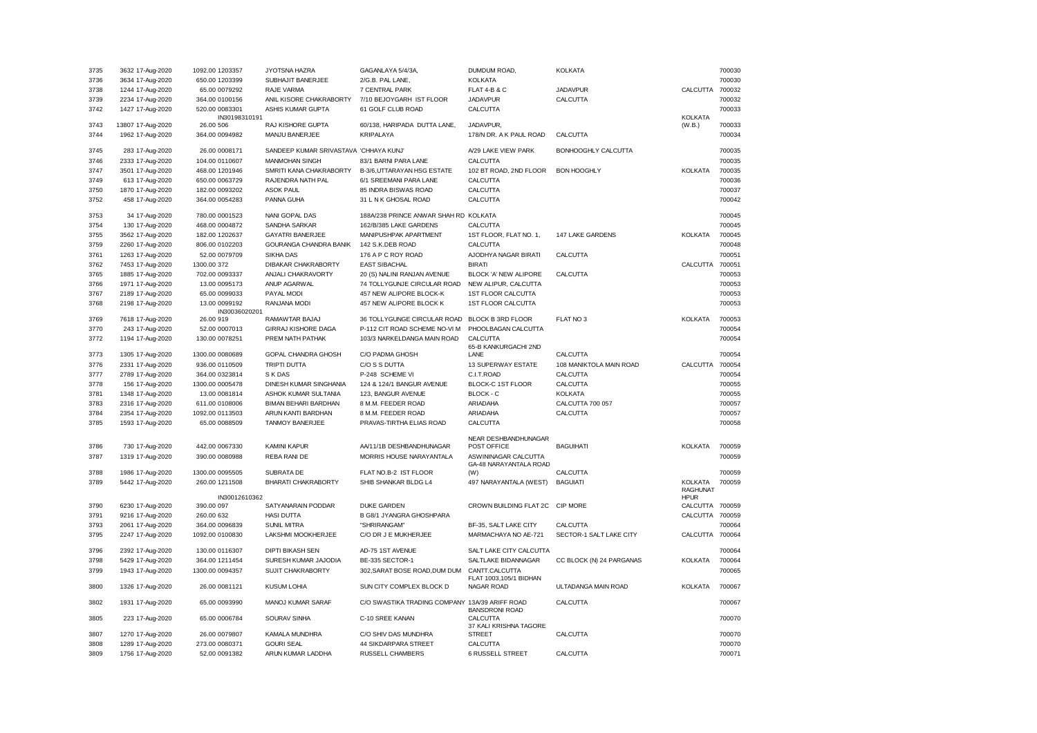| 3735         | 3632 17-Aug-2020  | 1092.00 1203357            | JYOTSNA HAZRA                                                   | GAGANLAYA 5/4/3A,                              | DUMDUM ROAD,                                | <b>KOLKATA</b>           |                 | 700030           |
|--------------|-------------------|----------------------------|-----------------------------------------------------------------|------------------------------------------------|---------------------------------------------|--------------------------|-----------------|------------------|
| 3736         | 3634 17-Aug-2020  | 650.00 1203399             | SUBHAJIT BANERJEE                                               | 2/G.B. PAL LANE,                               | <b>KOLKATA</b>                              |                          |                 | 700030           |
| 3738         | 1244 17-Aug-2020  | 65.00 0079292              | RAJE VARMA                                                      | 7 CENTRAL PARK                                 | <b>FLAT 4-B &amp; C</b>                     | <b>JADAVPUR</b>          | CALCUTTA        | 700032           |
| 3739         | 2234 17-Aug-2020  | 364.00 0100156             | ANIL KISORE CHAKRABORTY                                         | 7/10 BEJOYGARH IST FLOOR                       | <b>JADAVPUR</b>                             | CALCUTTA                 |                 | 700032           |
| 3742         | 1427 17-Aug-2020  | 520.00 0083301             | ASHIS KUMAR GUPTA                                               | 61 GOLF CLUB ROAD                              | CALCUTTA                                    |                          |                 | 700033           |
|              |                   | IN30198310191              |                                                                 |                                                |                                             |                          | KOLKATA         |                  |
| 3743         | 13807 17-Aug-2020 | 26.00 506                  | RAJ KISHORE GUPTA                                               | 60/138, HARIPADA DUTTA LANE.                   | JADAVPUR.                                   |                          | (W.B.)          | 700033           |
| 3744         | 1962 17-Aug-2020  | 364.00 0094982             | MANJU BANERJEE                                                  | KRIPALAYA                                      | 178/N DR. A K PAUL ROAD                     | CALCUTTA                 |                 | 700034           |
|              |                   |                            |                                                                 |                                                |                                             |                          |                 |                  |
| 3745         | 283 17-Aug-2020   | 26.00 0008171              | SANDEEP KUMAR SRIVASTAVA 'CHHAYA KUNJ'<br><b>MANMOHAN SINGH</b> |                                                | A/29 LAKE VIEW PARK                         | BONHOOGHLY CALCUTTA      |                 | 700035<br>700035 |
| 3746         | 2333 17-Aug-2020  | 104.00 0110607             |                                                                 | 83/1 BARNI PARA LANE                           | CALCUTTA                                    |                          |                 |                  |
| 3747         | 3501 17-Aug-2020  | 468.00 1201946             | SMRITI KANA CHAKRABORTY                                         | B-3/6, UTTARAYAN HSG ESTATE                    | 102 BT ROAD, 2ND FLOOR                      | <b>BON HOOGHLY</b>       | KOLKATA         | 700035           |
| 3749         | 613 17-Aug-2020   | 650.00 0063729             | RAJENDRA NATH PAL                                               | 6/1 SREEMANI PARA LANE                         | CALCUTTA                                    |                          |                 | 700036           |
| 3750         | 1870 17-Aug-2020  | 182.00 0093202             | <b>ASOK PAUL</b>                                                | 85 INDRA BISWAS ROAD                           | CALCUTTA                                    |                          |                 | 700037           |
| 3752         | 458 17-Aug-2020   | 364.00 0054283             | PANNA GUHA                                                      | 31 L N K GHOSAL ROAD                           | CALCUTTA                                    |                          |                 | 700042           |
| 3753         | 34 17-Aug-2020    | 780.00 0001523             | NANI GOPAL DAS                                                  | 188A/238 PRINCE ANWAR SHAH RD KOLKATA          |                                             |                          |                 | 700045           |
| 3754         | 130 17-Aug-2020   | 468.00 0004872             | SANDHA SARKAR                                                   | 162/B/385 LAKE GARDENS                         | CALCUTTA                                    |                          |                 | 700045           |
| 3755         | 3562 17-Aug-2020  | 182.00 1202637             | <b>GAYATRI BANERJEE</b>                                         | MANIPUSHPAK APARTMENT                          | 1ST FLOOR, FLAT NO. 1,                      | 147 LAKE GARDENS         | <b>KOLKATA</b>  | 700045           |
| 3759         | 2260 17-Aug-2020  | 806.00 0102203             | GOURANGA CHANDRA BANIK                                          | 142 S.K.DEB ROAD                               | CALCUTTA                                    |                          |                 | 700048           |
| 3761         | 1263 17-Aug-2020  | 52.00 0079709              | <b>SIKHA DAS</b>                                                | 176 A P C ROY ROAD                             | AJODHYA NAGAR BIRATI                        | CALCUTTA                 |                 | 700051           |
| 3762         |                   |                            |                                                                 | <b>EAST SIBACHAL</b>                           | <b>BIRATI</b>                               |                          |                 |                  |
|              | 7453 17-Aug-2020  | 1300.00 372                | DIBAKAR CHAKRABORTY                                             |                                                |                                             |                          | CALCUTTA        | 700051           |
| 3765         | 1885 17-Aug-2020  | 702.00 0093337             | ANJALI CHAKRAVORTY                                              | 20 (S) NALINI RANJAN AVENUE                    | BLOCK 'A' NEW ALIPORE                       | CALCUTTA                 |                 | 700053           |
| 3766         | 1971 17-Aug-2020  | 13.00 0095173              | ANUP AGARWAL                                                    | 74 TOLLYGUNJE CIRCULAR ROAD                    | NEW ALIPUR, CALCUTTA                        |                          |                 | 700053           |
| 3767         | 2189 17-Aug-2020  | 65.00 0099033              | PAYAL MODI                                                      | 457 NEW ALIPORE BLOCK-K                        | 1ST FLOOR CALCUTTA                          |                          |                 | 700053           |
| 3768         | 2198 17-Aug-2020  | 13.00 0099192              | RANJANA MODI                                                    | 457 NEW ALIPORE BLOCK K                        | 1ST FLOOR CALCUTTA                          |                          |                 | 700053           |
| 3769         | 7618 17-Aug-2020  | IN30036020201<br>26.00 919 | RAMAWTAR BAJAJ                                                  | 36 TOLLYGUNGE CIRCULAR ROAD                    | BLOCK B 3RD FLOOR                           | FLAT NO <sub>3</sub>     | KOLKATA         | 700053           |
| 3770         | 243 17-Aug-2020   | 52.00 0007013              | GIRRAJ KISHORE DAGA                                             | P-112 CIT ROAD SCHEME NO-VI M                  | PHOOLBAGAN CALCUTTA                         |                          |                 | 700054           |
| 3772         | 1194 17-Aug-2020  | 130.00 0078251             | PREM NATH PATHAK                                                | 103/3 NARKELDANGA MAIN ROAD                    | CALCUTTA                                    |                          |                 | 700054           |
|              |                   |                            |                                                                 |                                                | 65-B KANKURGACHI 2ND                        |                          |                 |                  |
| 3773         | 1305 17-Aug-2020  | 1300.00 0080689            | GOPAL CHANDRA GHOSH                                             | C/O PADMA GHOSH                                | LANE                                        | CALCUTTA                 |                 | 700054           |
| 3776         | 2331 17-Aug-2020  | 936.00 0110509             | <b>TRIPTI DUTTA</b>                                             | C/O S S DUTTA                                  | 13 SUPERWAY ESTATE                          | 108 MANIKTOLA MAIN ROAD  | CALCUTTA        | 700054           |
| 3777         | 2789 17-Aug-2020  | 364.00 0323814             | S K DAS                                                         | P-248 SCHEME VI                                | C.I.T.ROAD                                  | CALCUTTA                 |                 | 700054           |
| 3778         | 156 17-Aug-2020   | 1300.00 0005478            | DINESH KUMAR SINGHANIA                                          | 124 & 124/1 BANGUR AVENUE                      | BLOCK-C 1ST FLOOR                           | CALCUTTA                 |                 | 700055           |
| 3781         | 1348 17-Aug-2020  | 13.00 0081814              | ASHOK KUMAR SULTANIA                                            | 123, BANGUR AVENUE                             | BLOCK - C                                   | <b>KOLKATA</b>           |                 | 700055           |
| 3783         | 2316 17-Aug-2020  | 611.00 0108006             | <b>BIMAN BEHARI BARDHAN</b>                                     | 8 M.M. FEEDER ROAD                             | ARIADAHA                                    | CALCUTTA 700 057         |                 | 700057           |
| 3784         | 2354 17-Aug-2020  | 1092.00 0113503            | ARUN KANTI BARDHAN                                              | 8 M.M. FEEDER ROAD                             | ARIADAHA                                    | CALCUTTA                 |                 | 700057           |
| 3785         | 1593 17-Aug-2020  | 65.00 0088509              | <b>TANMOY BANERJEE</b>                                          | PRAVAS-TIRTHA ELIAS ROAD                       | CALCUTTA                                    |                          |                 | 700058           |
|              |                   |                            |                                                                 |                                                |                                             |                          |                 |                  |
|              |                   |                            |                                                                 |                                                | NEAR DESHBANDHUNAGAR                        |                          |                 |                  |
| 3786         | 730 17-Aug-2020   | 442.00 0067330             | <b>KAMINI KAPUR</b>                                             | AA/11/1B DESHBANDHUNAGAR                       | POST OFFICE                                 | <b>BAGUIHATI</b>         | <b>KOLKATA</b>  | 700059           |
| 3787         | 1319 17-Aug-2020  | 390.00 0080988             | REBA RANI DE                                                    | MORRIS HOUSE NARAYANTALA                       | ASWININAGAR CALCUTTA                        |                          |                 | 700059           |
| 3788         | 1986 17-Aug-2020  | 1300.00 0095505            | SUBRATA DE                                                      | FLAT NO.B-2 IST FLOOR                          | GA-48 NARAYANTALA ROAD<br>(W)               | CALCUTTA                 |                 | 700059           |
| 3789         | 5442 17-Aug-2020  | 260.00 1211508             | BHARATI CHAKRABORTY                                             | SHIB SHANKAR BLDG L4                           | 497 NARAYANTALA (WEST)                      | <b>BAGUIATI</b>          | <b>KOLKATA</b>  | 700059           |
|              |                   |                            |                                                                 |                                                |                                             |                          | <b>RAGHUNAT</b> |                  |
|              |                   | IN30012610362              |                                                                 |                                                |                                             |                          | <b>HPUR</b>     |                  |
| 3790         | 6230 17-Aug-2020  | 390.00 097                 | SATYANARAIN PODDAR                                              | <b>DUKE GARDEN</b>                             | CROWN BUILDING FLAT 2C CIP MORE             |                          | CALCUTTA        | 700059           |
| 3791         | 9216 17-Aug-2020  | 260.00 632                 | <b>HASI DUTTA</b>                                               | B G8/1 JYANGRA GHOSHPARA                       |                                             |                          | CALCUTTA        | 700059           |
| 3793         | 2061 17-Aug-2020  | 364.00 0096839             | <b>SUNIL MITRA</b>                                              | "SHRIRANGAM"                                   | BF-35, SALT LAKE CITY                       | CALCUTTA                 |                 | 700064           |
| 3795         | 2247 17-Aug-2020  | 1092.00 0100830            | LAKSHMI MOOKHERJEE                                              | C/O DR J E MUKHERJEE                           | MARMACHAYA NO AE-721                        | SECTOR-1 SALT LAKE CITY  | CALCUTTA        | 700064           |
|              |                   |                            |                                                                 |                                                |                                             |                          |                 |                  |
| 3796         | 2392 17-Aug-2020  | 130.00 0116307             | <b>DIPTI BIKASH SEN</b>                                         | AD-75 1ST AVENUE                               | SALT LAKE CITY CALCUTTA                     |                          |                 | 700064           |
| 3798         | 5429 17-Aug-2020  | 364.00 1211454             | SURESH KUMAR JAJODIA                                            | BE-335 SECTOR-1                                | SALTLAKE BIDANNAGAR                         | CC BLOCK (N) 24 PARGANAS | <b>KOLKATA</b>  | 700064           |
| 3799         | 1943 17-Aug-2020  | 1300.00 0094357            | SUJIT CHAKRABORTY                                               | 302, SARAT BOSE ROAD, DUM DUM                  | CANTT.CALCUTTA                              |                          |                 | 700065           |
| 3800         | 1326 17-Aug-2020  | 26.00 0081121              | <b>KUSUM LOHIA</b>                                              | SUN CITY COMPLEX BLOCK D                       | FLAT 1003,105/1 BIDHAN<br><b>NAGAR ROAD</b> | ULTADANGA MAIN ROAD      | <b>KOLKATA</b>  | 700067           |
|              |                   |                            |                                                                 |                                                |                                             |                          |                 |                  |
| 3802         | 1931 17-Aug-2020  | 65.00 0093990              | MANOJ KUMAR SARAF                                               | C/O SWASTIKA TRADING COMPANY 13A/39 ARIFF ROAD |                                             | CALCUTTA                 |                 | 700067           |
|              |                   |                            |                                                                 |                                                | <b>BANSDRONI ROAD</b>                       |                          |                 |                  |
| 3805         | 223 17-Aug-2020   | 65.00 0006784              | SOURAV SINHA                                                    | C-10 SREE KANAN                                | CALCUTTA                                    |                          |                 | 700070           |
| 3807         | 1270 17-Aug-2020  | 26.00 0079807              | KAMALA MUNDHRA                                                  | C/O SHIV DAS MUNDHRA                           | 37 KALI KRISHNA TAGORE<br><b>STREET</b>     | CALCUTTA                 |                 | 700070           |
|              |                   |                            | <b>GOURI SEAL</b>                                               | 44 SIKDARPARA STREET                           |                                             |                          |                 | 700070           |
| 3808<br>3809 | 1289 17-Aug-2020  | 273.00 0080371             | ARUN KUMAR LADDHA                                               | RUSSELL CHAMBERS                               | CALCUTTA                                    | CALCUTTA                 |                 | 700071           |
|              | 1756 17-Aug-2020  | 52.00 0091382              |                                                                 |                                                | <b>6 RUSSELL STREET</b>                     |                          |                 |                  |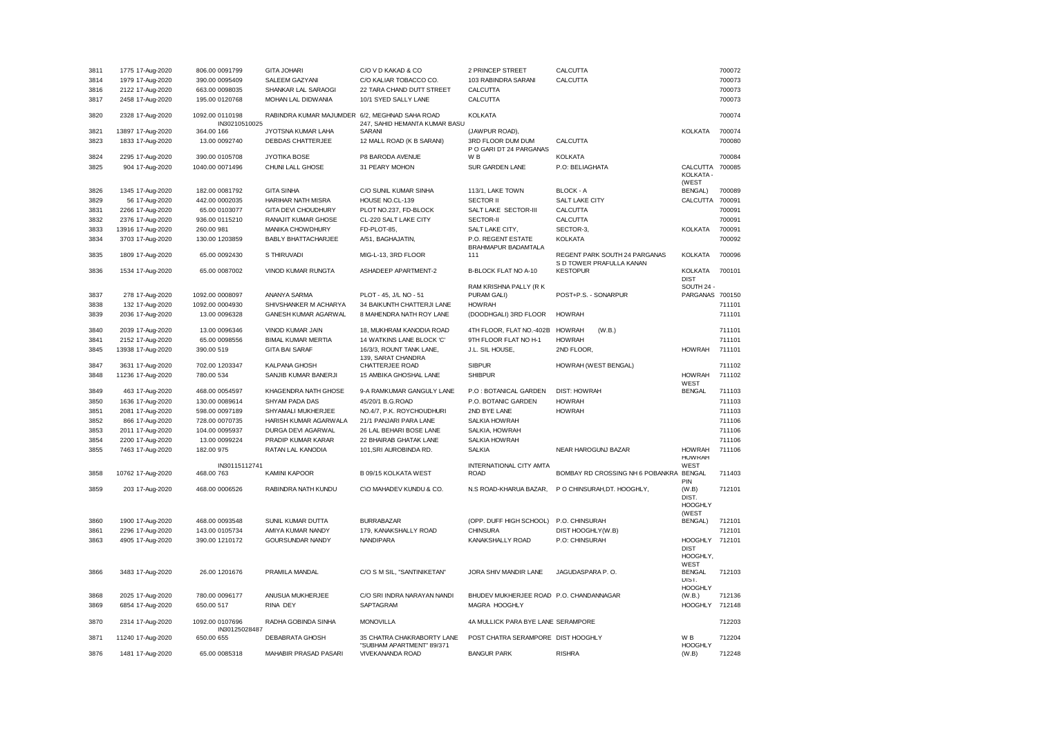| 3811 | 1775 17-Aug-2020  | 806.00 0091799              | <b>GITA JOHARI</b>                             | C/O V D KAKAD & CO            | 2 PRINCEP STREET                        | CALCUTTA                                    |                                | 700072 |
|------|-------------------|-----------------------------|------------------------------------------------|-------------------------------|-----------------------------------------|---------------------------------------------|--------------------------------|--------|
| 3814 | 1979 17-Aug-2020  | 390.00 0095409              | SALEEM GAZYANI                                 | C/O KALIAR TOBACCO CO.        | 103 RABINDRA SARANI                     | CALCUTTA                                    |                                | 700073 |
| 3816 | 2122 17-Aug-2020  | 663.00 0098035              | SHANKAR LAL SARAOGI                            | 22 TARA CHAND DUTT STREET     | CALCUTTA                                |                                             |                                | 700073 |
| 3817 | 2458 17-Aug-2020  | 195.00 0120768              | MOHAN LAL DIDWANIA                             | 10/1 SYED SALLY LANE          | CALCUTTA                                |                                             |                                | 700073 |
|      |                   |                             |                                                |                               |                                         |                                             |                                |        |
| 3820 | 2328 17-Aug-2020  | 1092.00 0110198             | RABINDRA KUMAR MAJUMDER 6/2, MEGHNAD SAHA ROAD |                               | <b>KOLKATA</b>                          |                                             |                                | 700074 |
|      |                   | IN30210510025               |                                                | 247, SAHID HEMANTA KUMAR BASU |                                         |                                             |                                |        |
| 3821 | 13897 17-Aug-2020 | 364.00 166                  | JYOTSNA KUMAR LAHA                             | SARANI                        | (JAWPUR ROAD),                          |                                             | KOLKATA                        | 700074 |
| 3823 | 1833 17-Aug-2020  | 13.00 0092740               | DEBDAS CHATTERJEE                              | 12 MALL ROAD (K B SARANI)     | 3RD FLOOR DUM DUM                       | CALCUTTA                                    |                                | 700080 |
|      |                   |                             |                                                |                               | P O GARI DT 24 PARGANAS                 |                                             |                                |        |
| 3824 | 2295 17-Aug-2020  | 390.00 0105708              | <b>JYOTIKA BOSE</b>                            | P8 BARODA AVENUE              | W <sub>B</sub>                          | <b>KOLKATA</b>                              |                                | 700084 |
| 3825 | 904 17-Aug-2020   | 1040.00 0071496             | CHUNI LALL GHOSE                               | 31 PEARY MOHON                | SUR GARDEN LANE                         | P.O: BELIAGHATA                             | CALCUTTA<br>KOLKATA -          | 700085 |
|      |                   |                             |                                                |                               |                                         |                                             | (WEST                          |        |
| 3826 | 1345 17-Aug-2020  | 182.00 0081792              | <b>GITA SINHA</b>                              | C/O SUNIL KUMAR SINHA         | 113/1, LAKE TOWN                        | BLOCK - A                                   | <b>BENGAL)</b>                 | 700089 |
| 3829 | 56 17-Aug-2020    | 442.00 0002035              | HARIHAR NATH MISRA                             | HOUSE NO.CL-139               | <b>SECTOR II</b>                        | SALT LAKE CITY                              | CALCUTTA                       | 700091 |
| 3831 | 2266 17-Aug-2020  | 65.00 0103077               | GITA DEVI CHOUDHURY                            | PLOT NO.237, FD-BLOCK         | SALT LAKE SECTOR-III                    | CALCUTTA                                    |                                | 700091 |
| 3832 | 2376 17-Aug-2020  | 936.00 0115210              | RANAJIT KUMAR GHOSE                            | CL-220 SALT LAKE CITY         | <b>SECTOR-II</b>                        | CALCUTTA                                    |                                | 700091 |
| 3833 | 13916 17-Aug-2020 | 260.00 981                  | MANIKA CHOW DHURY                              | FD-PLOT-85                    | SALT LAKE CITY,                         | SECTOR-3,                                   | KOLKATA                        | 700091 |
| 3834 | 3703 17-Aug-2020  | 130.00 1203859              | <b>BABLY BHATTACHARJEE</b>                     | A/51, BAGHAJATIN,             | P.O. REGENT ESTATE                      | <b>KOLKATA</b>                              |                                | 700092 |
|      |                   |                             |                                                |                               | BRAHMAPUR BADAMTALA                     |                                             |                                |        |
| 3835 | 1809 17-Aug-2020  | 65.00.0092430               | S THIRUVADI                                    | MIG-L-13, 3RD FLOOR           | 111                                     | REGENT PARK SOUTH 24 PARGANAS               | <b>KOLKATA</b>                 | 700096 |
| 3836 | 1534 17-Aug-2020  | 65.00 0087002               | VINOD KUMAR RUNGTA                             | ASHADEEP APARTMENT-2          | B-BLOCK FLAT NO A-10                    | S D TOWER PRAFULLA KANAN<br><b>KESTOPUR</b> | <b>KOLKATA</b>                 | 700101 |
|      |                   |                             |                                                |                               |                                         |                                             | <b>DIST</b>                    |        |
|      |                   |                             |                                                |                               | RAM KRISHNA PALLY (RK                   |                                             | SOUTH 24 -                     |        |
| 3837 | 278 17-Aug-2020   | 1092.00 0008097             | ANANYA SARMA                                   | PLOT - 45, J/L NO - 51        | PURAM GALI)                             | POST+P.S. - SONARPUR                        | PARGANAS 700150                |        |
| 3838 | 132 17-Aug-2020   | 1092.00 0004930             | SHIVSHANKER M ACHARYA                          | 34 BAIKUNTH CHATTERJI LANE    | <b>HOWRAH</b>                           |                                             |                                | 711101 |
| 3839 | 2036 17-Aug-2020  | 13.00 0096328               | <b>GANESH KUMAR AGARWAL</b>                    | 8 MAHENDRA NATH ROY LANE      | (DOODHGALI) 3RD FLOOR                   | <b>HOWRAH</b>                               |                                | 711101 |
| 3840 | 2039 17-Aug-2020  | 13.00 0096346               | VINOD KUMAR JAIN                               | 18, MUKHRAM KANODIA ROAD      | 4TH FLOOR, FLAT NO.-402B                | <b>HOWRAH</b><br>(W.B.)                     |                                | 711101 |
| 3841 | 2152 17-Aug-2020  | 65.00 0098556               | <b>BIMAL KUMAR MERTIA</b>                      | 14 WATKINS LANE BLOCK 'C'     | 9TH FLOOR FLAT NO H-1                   | <b>HOWRAH</b>                               |                                | 711101 |
| 3845 | 13938 17-Aug-2020 | 390.00 519                  | <b>GITA BAI SARAF</b>                          | 16/3/3, ROUNT TANK LANE,      | J.L. SIL HOUSE,                         | 2ND FLOOR.                                  | <b>HOWRAH</b>                  | 711101 |
| 3847 |                   |                             | <b>KALPANA GHOSH</b>                           | 139, SARAT CHANDRA            |                                         |                                             |                                | 711102 |
|      | 3631 17-Aug-2020  | 702.00 1203347              |                                                | CHATTERJEE ROAD               | <b>SIBPUR</b>                           | HOWRAH (WEST BENGAL)                        |                                |        |
| 3848 | 11236 17-Aug-2020 | 780.00 534                  | SANJIB KUMAR BANERJI                           | 15 AMBIKA GHOSHAL LANE        | <b>SHIBPUR</b>                          |                                             | <b>HOWRAH</b><br>WEST          | 711102 |
| 3849 | 463 17-Aug-2020   | 468.00 0054597              | KHAGENDRA NATH GHOSE                           | 9-A RAMKUMAR GANGULY LANE     | P.O : BOTANICAL GARDEN                  | <b>DIST: HOWRAH</b>                         | <b>BENGAL</b>                  | 711103 |
| 3850 | 1636 17-Aug-2020  | 130.00 0089614              | SHYAM PADA DAS                                 | 45/20/1 B.G.ROAD              | P.O. BOTANIC GARDEN                     | <b>HOWRAH</b>                               |                                | 711103 |
| 3851 | 2081 17-Aug-2020  | 598.00 0097189              | SHYAMALI MUKHERJEE                             | NO.4/7, P.K. ROYCHOUDHURI     | 2ND BYE LANE                            | <b>HOWRAH</b>                               |                                | 711103 |
| 3852 | 866 17-Aug-2020   | 728.00 0070735              | HARISH KUMAR AGARWALA                          | 21/1 PANJARI PARA LANE        | SALKIA HOWRAH                           |                                             |                                | 711106 |
| 3853 | 2011 17-Aug-2020  | 104.00 0095937              | DURGA DEVI AGARWAL                             | 26 LAL BEHARI BOSE LANE       | SALKIA, HOWRAH                          |                                             |                                | 711106 |
|      |                   |                             |                                                |                               |                                         |                                             |                                |        |
| 3854 | 2200 17-Aug-2020  | 13.00 0099224               | PRADIP KUMAR KARAR                             | 22 BHAIRAB GHATAK LANE        | SALKIA HOWRAH                           |                                             |                                | 711106 |
| 3855 | 7463 17-Aug-2020  | 182.00 975                  | RATAN LAL KANODIA                              | 101, SRI AUROBINDA RD.        | <b>SALKIA</b>                           | NEAR HAROGUNJ BAZAR                         | <b>HOWRAH</b><br><b>HOWRAH</b> | 711106 |
|      |                   | IN30115112741               |                                                |                               | INTERNATIONAL CITY AMTA                 |                                             | WEST                           |        |
| 3858 | 10762 17-Aug-2020 | 468.00 763                  | <b>KAMINI KAPOOR</b>                           | B 09/15 KOLKATA WEST          | <b>ROAD</b>                             | BOMBAY RD CROSSING NH 6 POBANKRA BENGAL     | PIN                            | 711403 |
| 3859 | 203 17-Aug-2020   | 468.00 0006526              | RABINDRA NATH KUNDU                            | C\O MAHADEV KUNDU & CO.       | N.S ROAD-KHARUA BAZAR,                  | P O CHINSURAH, DT. HOOGHLY,                 | (W.B)                          | 712101 |
|      |                   |                             |                                                |                               |                                         |                                             | DIST.                          |        |
|      |                   |                             |                                                |                               |                                         |                                             | <b>HOOGHLY</b>                 |        |
|      |                   |                             |                                                |                               |                                         |                                             | (WEST                          |        |
| 3860 | 1900 17-Aug-2020  | 468.00 0093548              | SUNIL KUMAR DUTTA                              | <b>BURRABAZAR</b>             | (OPP. DUFF HIGH SCHOOL)                 | P.O. CHINSURAH                              | BENGAL)                        | 712101 |
| 3861 | 2296 17-Aug-2020  | 143.00 0105734              | AMIYA KUMAR NANDY                              | 179, KANAKSHALLY ROAD         | <b>CHINSURA</b>                         | DIST HOOGHLY(W.B)                           |                                | 712101 |
| 3863 | 4905 17-Aug-2020  | 390.00 1210172              | <b>GOURSUNDAR NANDY</b>                        | <b>NANDIPARA</b>              | KANAKSHALLY ROAD                        | P.O: CHINSURAH                              | <b>HOOGHLY</b>                 | 712101 |
|      |                   |                             |                                                |                               |                                         |                                             | <b>DIST</b><br>HOOGHLY,        |        |
|      |                   |                             |                                                |                               |                                         |                                             | WEST                           |        |
| 3866 | 3483 17-Aug-2020  | 26.00 1201676               | PRAMILA MANDAL                                 | C/O S M SIL, "SANTINIKETAN"   | JORA SHIV MANDIR LANE                   | JAGUDASPARA P.O.                            | <b>BENGAL</b>                  | 712103 |
|      |                   |                             |                                                |                               |                                         |                                             | DIST.                          |        |
|      |                   |                             |                                                |                               |                                         |                                             | <b>HOOGHLY</b>                 |        |
| 3868 | 2025 17-Aug-2020  | 780.00 0096177              | ANUSUA MUKHERJEE                               | C/O SRI INDRA NARAYAN NANDI   | BHUDEV MUKHERJEE ROAD P.O. CHANDANNAGAR |                                             | (W.B.)                         | 712136 |
| 3869 | 6854 17-Aug-2020  | 650.00 517                  | RINA DEY                                       | SAPTAGRAM                     | MAGRA HOOGHLY                           |                                             | <b>HOOGHLY</b>                 | 712148 |
|      |                   |                             |                                                |                               |                                         |                                             |                                |        |
| 3870 | 2314 17-Aug-2020  | 1092.00 0107696             | RADHA GOBINDA SINHA                            | <b>MONOVILLA</b>              | 4A MULLICK PARA BYE LANE SERAMPORE      |                                             |                                | 712203 |
| 3871 | 11240 17-Aug-2020 | IN30125028487<br>650.00 655 | DEBABRATA GHOSH                                | 35 CHATRA CHAKRABORTY LANE    | POST CHATRA SERAMPORE DIST HOOGHLY      |                                             | W <sub>B</sub>                 | 712204 |
|      |                   |                             |                                                | "SUBHAM APARTMENT" 89/371     |                                         |                                             | <b>HOOGHLY</b>                 |        |
| 3876 | 1481 17-Aug-2020  | 65.00 0085318               | MAHABIR PRASAD PASARI                          | VIVEKANANDA ROAD              | <b>BANGUR PARK</b>                      | <b>RISHRA</b>                               | (W.B)                          | 712248 |
|      |                   |                             |                                                |                               |                                         |                                             |                                |        |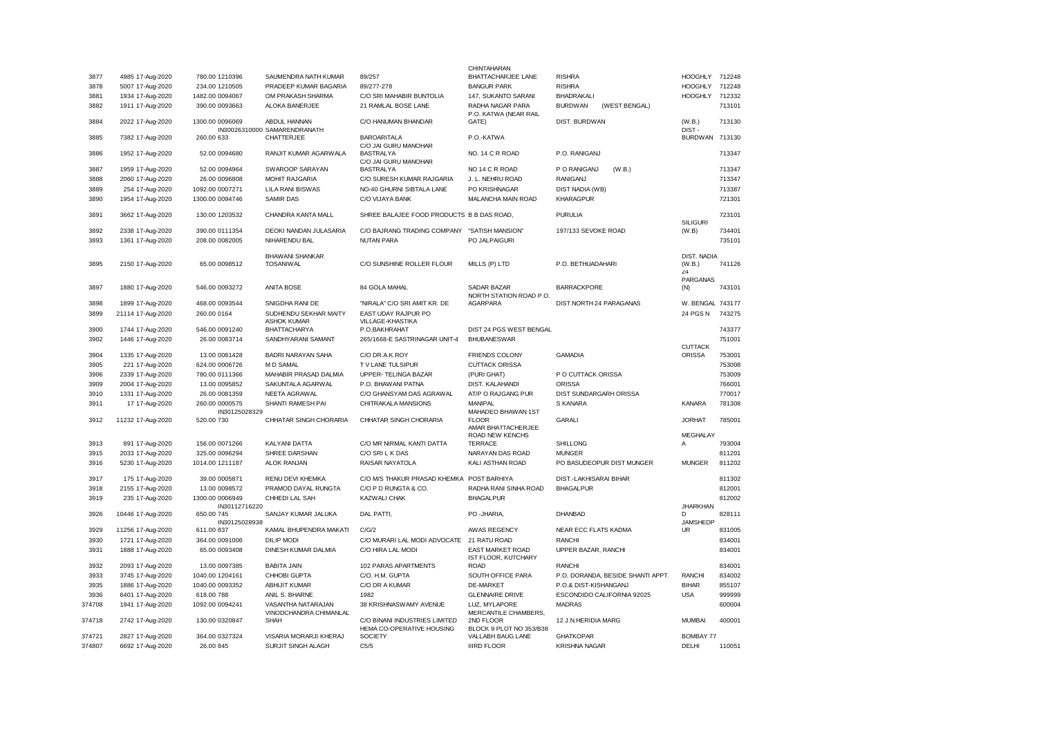|        |                   |                             |                                              |                                                            | CHINTAHARAN                                    |                                   |                              |        |
|--------|-------------------|-----------------------------|----------------------------------------------|------------------------------------------------------------|------------------------------------------------|-----------------------------------|------------------------------|--------|
| 3877   | 4985 17-Aug-2020  | 780.00 1210396              | SAUMENDRA NATH KUMAR                         | 89/257                                                     | <b>BHATTACHARJEE LANE</b>                      | <b>RISHRA</b>                     | HOOGHLY 712248               |        |
| 3878   | 5007 17-Aug-2020  | 234.00 1210505              | PRADEEP KUMAR BAGARIA                        | 89/277-278                                                 | <b>BANGUR PARK</b>                             | <b>RISHRA</b>                     | <b>HOOGHLY</b>               | 712248 |
| 3881   | 1934 17-Aug-2020  | 1482.00 0094067             | OM PRAKASH SHARMA                            | C/O SRI MAHABIR BUNTOLIA                                   | 147, SUKANTO SARANI                            | BHADRAKALI                        | <b>HOOGHLY</b>               | 712332 |
| 3882   | 1911 17-Aug-2020  | 390.00 0093663              | ALOKA BANERJEE                               | 21 RAMLAL BOSE LANE                                        | RADHA NAGAR PARA<br>P.O. KATWA (NEAR RAIL      | <b>BURDWAN</b><br>(WEST BENGAL)   |                              | 713101 |
| 3884   | 2022 17-Aug-2020  | 1300.00 0096069             | ABDUL HANNAN<br>IN30026310000 SAMARENDRANATH | C/O HANUMAN BHANDAR                                        | GATE)                                          | DIST. BURDWAN                     | (W.B.)<br>DIST-              | 713130 |
| 3885   | 7382 17-Aug-2020  | 260.00 633                  | CHATTERJEE                                   | <b>BAROARITALA</b><br>C/O JAI GURU MANOHAR                 | P.O.-KATWA                                     |                                   | <b>BURDWAN</b>               | 713130 |
| 3886   | 1952 17-Aug-2020  | 52.00 0094680               | RANJIT KUMAR AGARWALA                        | <b>BASTRALYA</b><br>C/O JAI GURU MANOHAR                   | NO. 14 C R ROAD                                | P.O. RANIGANJ                     |                              | 713347 |
| 3887   | 1959 17-Aug-2020  | 52.00 0094964               | SWAROOP SARAYAN                              | <b>BASTRALYA</b>                                           | NO 14 C R ROAD                                 | P O RANIGANJ<br>(W.B.)            |                              | 713347 |
| 3888   | 2060 17-Aug-2020  | 26.00 0096808               | <b>MOHIT RAJGARIA</b>                        | C/O SURESH KUMAR RAJGARIA                                  | J. L. NEHRU ROAD                               | <b>RANIGANJ</b>                   |                              | 713347 |
| 3889   | 254 17-Aug-2020   | 1092.00 0007271             | LILA RANI BISWAS                             | NO-40 GHURNI SIBTALA LANE                                  | PO KRISHNAGAR                                  | DIST NADIA (WB)                   |                              | 713387 |
| 3890   | 1954 17-Aug-2020  | 1300.00 0094746             | <b>SAMIR DAS</b>                             | C/O VIJAYA BANK                                            | MALANCHA MAIN ROAD                             | <b>KHARAGPUR</b>                  |                              | 721301 |
| 3891   | 3662 17-Aug-2020  | 130.00 1203532              | CHANDRA KANTA MALL                           | SHREE BALAJEE FOOD PRODUCTS B B DAS ROAD,                  |                                                | <b>PURULIA</b>                    | <b>SILIGURI</b>              | 723101 |
| 3892   | 2338 17-Aug-2020  | 390.00 0111354              | <b>DEOKI NANDAN JULASARIA</b>                | C/O BAJRANG TRADING COMPANY "SATISH MANSION"               |                                                | 197/133 SEVOKE ROAD               | (W.B)                        | 734401 |
| 3893   | 1361 17-Aug-2020  | 208.00 0082005              | NIHARENDU BAL                                | <b>NUTAN PARA</b>                                          | PO JALPAIGURI                                  |                                   |                              | 735101 |
|        |                   |                             | <b>BHAWANI SHANKAR</b>                       |                                                            |                                                |                                   | <b>DIST, NADIA</b>           |        |
| 3895   | 2150 17-Aug-2020  | 65.00 0098512               | <b>TOSANIWAL</b>                             | C/O SUNSHINE ROLLER FLOUR                                  | MILLS (P) LTD                                  | P.O. BETHUADAHARI                 | (W.B.)                       | 741126 |
|        |                   |                             |                                              |                                                            |                                                |                                   | 24                           |        |
| 3897   | 1880 17-Aug-2020  | 546.00 0093272              | <b>ANITA BOSE</b>                            | 84 GOLA MAHAL                                              | <b>SADAR BAZAR</b><br>NORTH STATION ROAD P.O.  | <b>BARRACKPORE</b>                | PARGANAS<br>(N)              | 743101 |
| 3898   | 1899 17-Aug-2020  | 468.00 0093544              | SNIGDHA RANI DE                              | "NIRALA" C/O SRI AMIT KR. DE                               | AGARPARA                                       | DIST.NORTH 24 PARAGANAS           | W. BENGAL 743177             |        |
| 3899   | 21114 17-Aug-2020 | 260.00 0164                 | SUDHENDU SEKHAR MAITY<br><b>ASHOK KUMAR</b>  | EAST UDAY RAJPUR PO<br>VILLAGE-KHASTIKA                    |                                                |                                   | 24 PGS N                     | 743275 |
| 3900   | 1744 17-Aug-2020  | 546.00 0091240              | <b>BHATTACHARYA</b>                          | P.O.BAKHRAHAT                                              | DIST 24 PGS WEST BENGAL                        |                                   |                              | 743377 |
| 3902   | 1446 17-Aug-2020  | 26.00 0083714               | SANDHYARANI SAMANT                           | 265/1668-E SASTRINAGAR UNIT-4                              | <b>BHUBANESWAR</b>                             |                                   | <b>CUTTACK</b>               | 751001 |
| 3904   | 1335 17-Aug-2020  | 13.00 0081428               | <b>BADRI NARAYAN SAHA</b>                    | C/O DR.A.K.ROY                                             | <b>FRIENDS COLONY</b>                          | <b>GAMADIA</b>                    | <b>ORISSA</b>                | 753001 |
| 3905   | 221 17-Aug-2020   | 624.00 0006726              | M D SAMAL                                    | TV LANE TULSIPUR                                           | <b>CUTTACK ORISSA</b>                          |                                   |                              | 753008 |
| 3906   | 2339 17-Aug-2020  | 780.00 0111366              | MAHABIR PRASAD DALMIA                        | UPPER- TELINGA BAZAR                                       | (PURI GHAT)                                    | P O CUTTACK ORISSA                |                              | 753009 |
| 3909   | 2004 17-Aug-2020  | 13.00 0095852               | SAKUNTALA AGARWAL                            | P.O. BHAWANI PATNA                                         | DIST. KALAHANDI                                | <b>ORISSA</b>                     |                              | 766001 |
| 3910   |                   | 26.00 0081359               | NEETA AGRAWAL                                | C/O GHANSYAM DAS AGRAWAL                                   | AT/P O RAJGANG PUR                             | DIST SUNDARGARH ORISSA            |                              | 770017 |
| 3911   | 1331 17-Aug-2020  | 260.00 0000575              | SHANTI RAMESH PAI                            | CHITRAKALA MANSIONS                                        | <b>MANIPAL</b>                                 | S KANARA                          | <b>KANARA</b>                | 781308 |
|        | 17 17-Aug-2020    | IN30125028329               |                                              |                                                            | MAHADEO BHAWAN 1ST                             |                                   |                              |        |
| 3912   | 11232 17-Aug-2020 | 520.00 730                  | CHHATAR SINGH CHORARIA                       | CHHATAR SINGH CHORARIA                                     | <b>FLOOR</b><br>AMAR BHATTACHERJEE             | <b>GARALI</b>                     | <b>JORHAT</b>                | 785001 |
| 3913   | 891 17-Aug-2020   | 156.00 0071266              | KALYANI DATTA                                | C/O MR NIRMAL KANTI DATTA                                  | ROAD NEW KENCHS<br><b>TERRACE</b>              | <b>SHILLONG</b>                   | MEGHALAY<br>Α                | 793004 |
| 3915   |                   | 325.00 0096294              | SHREE DARSHAN                                | C/O SRI L K DAS                                            | NARAYAN DAS ROAD                               | <b>MUNGER</b>                     |                              | 811201 |
|        | 2033 17-Aug-2020  |                             |                                              |                                                            |                                                |                                   |                              |        |
| 3916   | 5230 17-Aug-2020  | 1014.00 1211187             | ALOK RANJAN                                  | RAISAR NAYATOLA                                            | KALI ASTHAN ROAD                               | PO BASUDEOPUR DIST MUNGER         | <b>MUNGER</b>                | 811202 |
| 3917   | 175 17-Aug-2020   | 39.00 0005871               | RENU DEVI KHEMKA                             | C/O M/S THAKUR PRASAD KHEMKA POST BARHIYA                  |                                                | DIST.-LAKHISARAI BIHAR            |                              | 811302 |
| 3918   | 2155 17-Aug-2020  | 13.00 0098572               | PRAMOD DAYAL RUNGTA                          | C/O P D RUNGTA & CO.                                       | RADHA RANI SINHA ROAD                          | <b>BHAGALPUR</b>                  |                              | 812001 |
| 3919   | 235 17-Aug-2020   | 1300.00 0006949             | CHHEDI LAL SAH                               | <b>KAZWALI CHAK</b>                                        | <b>BHAGALPUR</b>                               |                                   |                              | 812002 |
| 3926   | 10446 17-Aug-2020 | IN30112716220<br>650.00 745 | SANJAY KUMAR JALUKA                          | DAL PATTI,                                                 | PO -JHARIA,                                    | DHANBAD                           | <b>JHARKHAN</b><br>D         | 828111 |
| 3929   | 11256 17-Aug-2020 | IN30125028938<br>611.00 837 | KAMAL BHUPENDRA MAKATI                       | C/G/2                                                      | AWAS REGENCY                                   | NEAR ECC FLATS KADMA              | <b>JAMSHEDP</b><br><b>UR</b> | 831005 |
| 3930   | 1721 17-Aug-2020  |                             | <b>DILIP MODI</b>                            | C/O MURARI LAL MODI ADVOCATE                               | 21 RATU ROAD                                   | <b>RANCHI</b>                     |                              | 834001 |
|        |                   | 364.00 0091006              |                                              |                                                            |                                                |                                   |                              |        |
| 3931   | 1888 17-Aug-2020  | 65.00 0093408               | DINESH KUMAR DALMIA                          | C/O HIRA LAL MODI                                          | <b>EAST MARKET ROAD</b><br>IST FLOOR, KUTCHARY | UPPER BAZAR, RANCHI               |                              | 834001 |
| 3932   | 2093 17-Aug-2020  | 13.00 0097385               | <b>BABITA JAIN</b>                           | 102 PARAS APARTMENTS                                       | <b>ROAD</b>                                    | <b>RANCHI</b>                     |                              | 834001 |
| 3933   | 3745 17-Aug-2020  | 1040.00 1204161             | CHHOBI GUPTA                                 | C/O. H.M. GUPTA                                            | SOUTH OFFICE PARA                              | P.O. DORANDA, BESIDE SHANTI APPT. | <b>RANCHI</b>                | 834002 |
| 3935   | 1886 17-Aug-2020  | 1040.00 0093352             | ABHIJIT KUMAR                                | C/O DR A KUMAR                                             | DE-MARKET                                      | P.O.& DIST-KISHANGANJ             | <b>BIHAR</b>                 | 855107 |
| 3936   | 6401 17-Aug-2020  | 618.00 788                  | ANIL S. BHARNE                               | 1982                                                       | <b>GLENNAIRE DRIVE</b>                         | ESCONDIDO CALIFORNIA 92025        | <b>USA</b>                   | 999999 |
| 374708 | 1941 17-Aug-2020  | 1092.00 0094241             | VASANTHA NATARAJAN<br>VINODCHANDRA CHIMANLAL | 38 KRISHNASWAMY AVENUE                                     | LUZ, MYLAPORE<br>MERCANTILE CHAMBERS,          | <b>MADRAS</b>                     |                              | 600004 |
| 374718 | 2742 17-Aug-2020  | 130.00 0320847              | SHAH                                         | C/O BINANI INDUSTRIES LIMITED<br>HEMA CO-OPERATIVE HOUSING | 2ND FLOOR<br>BLOCK 9 PLOT NO 353/B38           | 12 J.N.HERIDIA MARG               | <b>MUMBAI</b>                | 400001 |
| 374721 | 2827 17-Aug-2020  | 364.00 0327324              | VISARIA MORARJI KHERAJ                       | <b>SOCIETY</b>                                             | VALLABH BAUG LANE                              | <b>GHATKOPAR</b>                  | <b>BOMBAY 77</b>             |        |
| 374807 | 6692 17-Aug-2020  | 26.00 845                   | SURJIT SINGH ALAGH                           | C5/5                                                       | <b>IIIRD FLOOR</b>                             | <b>KRISHNA NAGAR</b>              | DELHI                        | 110051 |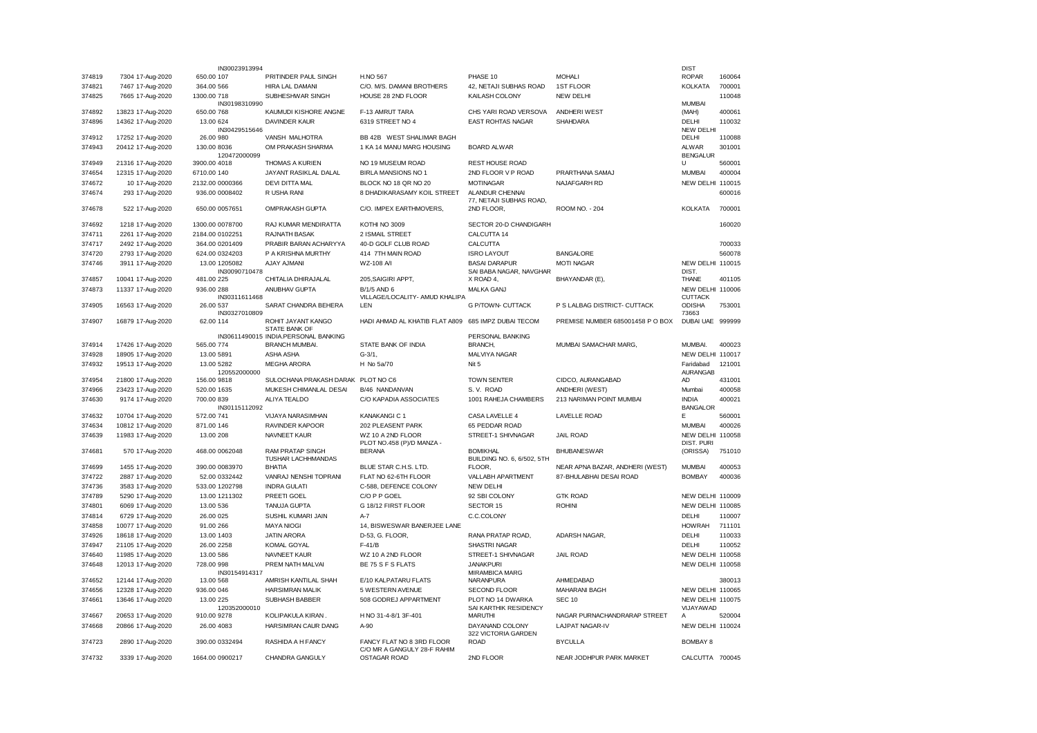|                  |                                      | IN30023913994                   |                                                               |                                                     |                                         |                                  | <b>DIST</b>                     |        |
|------------------|--------------------------------------|---------------------------------|---------------------------------------------------------------|-----------------------------------------------------|-----------------------------------------|----------------------------------|---------------------------------|--------|
| 374819           | 7304 17-Aug-2020                     | 650.00 107                      | PRITINDER PAUL SINGH                                          | H.NO 567                                            | PHASE 10                                | <b>MOHALI</b>                    | <b>ROPAR</b>                    | 160064 |
| 374821           | 7467 17-Aug-2020                     | 364.00 566                      | HIRA LAL DAMANI                                               | C/O. M/S. DAMANI BROTHERS                           | 42, NETAJI SUBHAS ROAD                  | <b>1ST FLOOR</b>                 | <b>KOLKATA</b>                  | 700001 |
| 374825           | 7665 17-Aug-2020                     | 1300.00.718<br>IN30198310990    | SUBHESHWAR SINGH                                              | HOUSE 28 2ND FLOOR                                  | KAILASH COLONY                          | NEW DELHI                        | <b>MUMBAI</b>                   | 110048 |
| 374892           | 13823 17-Aug-2020                    | 650.00 768                      | KAUMUDI KISHORE ANGNE                                         | F-13 AMRUT TARA                                     | CHS YARI ROAD VERSOVA                   | <b>ANDHERI WEST</b>              | (MAH)                           | 400061 |
| 374896           | 14362 17-Aug-2020                    | 13.00 624                       | <b>DAVINDER KAUR</b>                                          | 6319 STREET NO 4                                    | <b>EAST ROHTAS NAGAR</b>                | <b>SHAHDARA</b>                  | DELHI                           | 110032 |
|                  |                                      | IN30429515646                   |                                                               |                                                     |                                         |                                  | <b>NEW DELHI</b>                |        |
| 374912           | 17252 17-Aug-2020                    | 26.00 980                       | VANSH MALHOTRA                                                | BB 42B WEST SHALIMAR BAGH                           |                                         |                                  | DELHI                           | 110088 |
| 374943           | 20412 17-Aug-2020                    | 130.00 8036                     | OM PRAKASH SHARMA                                             | 1 KA 14 MANU MARG HOUSING                           | <b>BOARD ALWAR</b>                      |                                  | <b>ALWAR</b>                    | 301001 |
| 374949           | 21316 17-Aug-2020                    | 120472000099<br>3900.00 4018    | <b>THOMAS A KURIEN</b>                                        | NO 19 MUSEUM ROAD                                   | <b>REST HOUSE ROAD</b>                  |                                  | <b>BENGALUR</b><br>$\cup$       | 560001 |
| 374654           | 12315 17-Aug-2020                    | 6710.00 140                     | JAYANT RASIKLAL DALAL                                         | BIRLA MANSIONS NO 1                                 | 2ND FLOOR V P ROAD                      | PRARTHANA SAMAJ                  | <b>MUMBAI</b>                   | 400004 |
| 374672           | 10 17-Aug-2020                       | 2132.00 0000366                 | DEVI DITTA MAL                                                | BLOCK NO 18 QR NO 20                                | <b>MOTINAGAR</b>                        | NAJAFGARH RD                     | NEW DELHI                       | 110015 |
| 374674           | 293 17-Aug-2020                      | 936.00 0008402                  | R USHA RANI                                                   | 8 DHADIKARASAMY KOIL STREET                         | ALANDUR CHENNAI                         |                                  |                                 | 600016 |
|                  |                                      |                                 |                                                               |                                                     | 77, NETAJI SUBHAS ROAD,                 |                                  |                                 |        |
| 374678           | 522 17-Aug-2020                      | 650.00 0057651                  | OMPRAKASH GUPTA                                               | C/O. IMPEX EARTHMOVERS,                             | 2ND FLOOR,                              | ROOM NO. - 204                   | <b>KOLKATA</b>                  | 700001 |
| 374692           | 1218 17-Aug-2020                     | 1300.00 0078700                 | RAJ KUMAR MENDIRATTA                                          | KOTHI NO 3009                                       | SECTOR 20-D CHANDIGARH                  |                                  |                                 | 160020 |
| 374711           | 2261 17-Aug-2020                     | 2184.00 0102251                 | <b>RAJNATH BASAK</b>                                          | 2 ISMAIL STREET                                     | CALCUTTA 14                             |                                  |                                 |        |
| 374717           | 2492 17-Aug-2020                     | 364.00 0201409                  | PRABIR BARAN ACHARYYA                                         | 40-D GOLF CLUB ROAD                                 | CALCUTTA                                |                                  |                                 | 700033 |
| 374720           | 2793 17-Aug-2020                     | 624.00 0324203                  | P A KRISHNA MURTHY                                            | 414 7TH MAIN ROAD                                   | <b>ISRO LAYOUT</b>                      | <b>BANGALORE</b>                 |                                 | 560078 |
| 374746           | 3911 17-Aug-2020                     | 13.00 1205082                   | AJAY AJMANI                                                   | WZ-108 A/I                                          | <b>BASAI DARAPUR</b>                    | <b>MOTI NAGAR</b>                | NEW DELHI 110015                |        |
|                  |                                      | IN30090710478                   |                                                               |                                                     | SAI BABA NAGAR, NAVGHAR                 |                                  | DIST.                           |        |
| 374857           | 10041 17-Aug-2020                    | 481.00 225                      | CHITALIA DHIRAJALAL                                           | 205, SAIGIRI APPT,                                  | X ROAD 4,                               | BHAYANDAR (E),                   | <b>THANE</b>                    | 401105 |
| 374873           | 11337 17-Aug-2020                    | 936.00 288                      | ANUBHAV GUPTA                                                 | B/1/5 AND 6                                         | MALKA GANJ                              |                                  | NEW DELHI 110006                |        |
| 374905           | 16563 17-Aug-2020                    | IN30311611468<br>26.00 537      | SARAT CHANDRA BEHERA                                          | VILLAGE/LOCALITY- AMUD KHALIPA<br>LEN               | G P/TOWN- CUTTACK                       | P S LALBAG DISTRICT- CUTTACK     | <b>CUTTACK</b><br><b>ODISHA</b> | 753001 |
|                  |                                      | IN30327010809                   |                                                               |                                                     |                                         |                                  | 73663                           |        |
| 374907           | 16879 17-Aug-2020                    | 62.00 114                       | ROHIT JAYANT KANGO                                            | HADI AHMAD AL KHATIB FLAT A809 685 IMPZ DUBAI TECOM |                                         | PREMISE NUMBER 685001458 P O BOX | DUBAI UAE 999999                |        |
|                  |                                      |                                 | STATE BANK OF                                                 |                                                     |                                         |                                  |                                 |        |
| 374914           | 17426 17-Aug-2020                    | 565.00 774                      | IN30611490015 INDIA.PERSONAL BANKING<br><b>BRANCH MUMBAI.</b> | STATE BANK OF INDIA                                 | PERSONAL BANKING<br>BRANCH,             | MUMBAI SAMACHAR MARG,            | MUMBAI.                         | 400023 |
| 374928           | 18905 17-Aug-2020                    | 13.00 5891                      | ASHA ASHA                                                     | $G - 3/1,$                                          | MALVIYA NAGAR                           |                                  | NEW DELHI 110017                |        |
| 374932           | 19513 17-Aug-2020                    | 13.00 5282                      | MEGHA ARORA                                                   | H No 5a/70                                          | Nit 5                                   |                                  | Faridabad                       | 121001 |
|                  |                                      | 120552000000                    |                                                               |                                                     |                                         |                                  | <b>AURANGAB</b>                 |        |
| 374954           | 21800 17-Aug-2020                    | 156.00 9818                     | SULOCHANA PRAKASH DARAK PLOT NO C6                            |                                                     | <b>TOWN SENTER</b>                      | CIDCO, AURANGABAD                | <b>AD</b>                       | 431001 |
| 374966           | 23423 17-Aug-2020                    | 520.00 1635                     | MUKESH CHIMANLAL DESAI                                        | B/46 NANDANVAN                                      | S.V. ROAD                               | ANDHERI (WEST)                   | Mumbai                          | 400058 |
| 374630           | 9174 17-Aug-2020                     | 700.00 839                      | ALIYA TEALDO                                                  | C/O KAPADIA ASSOCIATES                              | 1001 RAHEJA CHAMBERS                    | 213 NARIMAN POINT MUMBAI         | <b>INDIA</b>                    | 400021 |
| 374632           | 10704 17-Aug-2020                    | IN30115112092<br>572.00 741     | VIJAYA NARASIMHAN                                             | KANAKANGI C 1                                       | CASA LAVELLE 4                          | <b>LAVELLE ROAD</b>              | <b>BANGALOR</b><br>Е            | 560001 |
| 374634           | 10812 17-Aug-2020                    | 871.00 146                      | <b>RAVINDER KAPOOR</b>                                        | 202 PLEASENT PARK                                   | 65 PEDDAR ROAD                          |                                  | <b>MUMBAI</b>                   | 400026 |
| 374639           | 11983 17-Aug-2020                    | 13.00 208                       | NAVNEET KAUR                                                  | WZ 10 A 2ND FLOOR                                   | STREET-1 SHIVNAGAR                      | <b>JAIL ROAD</b>                 | NEW DELHI 110058                |        |
|                  |                                      |                                 |                                                               | PLOT NO.458 (P)/D MANZA -                           |                                         |                                  | <b>DIST. PURI</b>               |        |
| 374681           | 570 17-Aug-2020                      | 468.00 0062048                  | <b>RAM PRATAP SINGH</b>                                       | <b>BERANA</b>                                       | <b>BOMIKHAL</b>                         | <b>BHUBANESWAR</b>               | (ORISSA)                        | 751010 |
|                  |                                      |                                 | TUSHAR LACHHMANDAS                                            |                                                     | BUILDING NO. 6, 6/502, 5TH              |                                  |                                 |        |
| 374699           | 1455 17-Aug-2020                     | 390.00 0083970                  | BHATIA                                                        | BLUE STAR C.H.S. LTD.                               | FLOOR,                                  | NEAR APNA BAZAR, ANDHERI (WEST)  | <b>MUMBAI</b>                   | 400053 |
| 374722<br>374736 | 2887 17-Aug-2020                     | 52.00 0332442<br>533.00 1202798 | VANRAJ NENSHI TOPRANI<br><b>INDRA GULATI</b>                  | FLAT NO 62-6TH FLOOR                                | VALLABH APARTMENT<br><b>NEW DELHI</b>   | 87-BHULABHAI DESAI ROAD          | <b>BOMBAY</b>                   | 400036 |
| 374789           | 3583 17-Aug-2020<br>5290 17-Aug-2020 | 13.00 1211302                   | PREETI GOEL                                                   | C-588, DEFENCE COLONY<br>C/O P P GOEL               | 92 SBI COLONY                           | <b>GTK ROAD</b>                  | NEW DELHI 110009                |        |
| 374801           | 6069 17-Aug-2020                     | 13.00 536                       | <b>TANUJA GUPTA</b>                                           | G 18/12 FIRST FLOOR                                 | SECTOR 15                               | <b>ROHINI</b>                    | NEW DELHI 110085                |        |
| 374814           | 6729 17-Aug-2020                     | 26.00 025                       | SUSHIL KUMARI JAIN                                            | $A-7$                                               | C.C.COLONY                              |                                  | DELHI                           | 110007 |
| 374858           | 10077 17-Aug-2020                    | 91.00 266                       | <b>MAYA NIOGI</b>                                             | 14, BISWESWAR BANERJEE LANE                         |                                         |                                  | <b>HOWRAH</b>                   | 711101 |
| 374926           | 18618 17-Aug-2020                    | 13.00 1403                      | <b>JATIN ARORA</b>                                            | D-53, G. FLOOR,                                     | RANA PRATAP ROAD,                       | ADARSH NAGAR,                    | DELHI                           | 110033 |
| 374947           | 21105 17-Aug-2020                    | 26.00 2258                      | <b>KOMAL GOYAL</b>                                            | $F-41/B$                                            | SHASTRI NAGAR                           |                                  | DELHI                           | 110052 |
| 374640           | 11985 17-Aug-2020                    | 13.00 586                       | NAVNEET KAUR                                                  | WZ 10 A 2ND FLOOR                                   | STREET-1 SHIVNAGAR                      | JAIL ROAD                        | NEW DELHI 110058                |        |
| 374648           | 12013 17-Aug-2020                    | 728.00 998                      | PREM NATH MALVAI                                              | BE 75 S F S FLATS                                   | <b>JANAKPURI</b>                        |                                  | NEW DELHI 110058                |        |
|                  |                                      | IN30154914317                   |                                                               |                                                     | MIRAMBICA MARG                          |                                  |                                 |        |
| 374652           | 12144 17-Aug-2020                    | 13.00 568                       | AMRISH KANTILAL SHAH                                          | E/10 KALPATARU FLATS                                | NARANPURA                               | AHMEDABAD                        |                                 | 380013 |
| 374656           | 12328 17-Aug-2020                    | 936.00 046                      | <b>HARSIMRAN MALIK</b>                                        | 5 WESTERN AVENUE                                    | SECOND FLOOR                            | <b>MAHARANI BAGH</b>             | <b>NEW DELHI 110065</b>         |        |
| 374661           | 13646 17-Aug-2020                    | 13.00 225                       | SUBHASH BABBER                                                | 508 GODREJ APPARTMENT                               | PLOT NO 14 DWARKA                       | <b>SEC 10</b>                    | NEW DELHI 110075                |        |
| 374667           | 20653 17-Aug-2020                    | 120352000010<br>910.00 9278     | KOLIPAKULA KIRAN.                                             | H NO 31-4-8/1 3F-401                                | SAI KARTHIK RESIDENCY<br><b>MARUTHI</b> | NAGAR PURNACHANDRARAP STREET     | <b>VIJAYAWAD</b><br>A           | 520004 |
| 374668           | 20866 17-Aug-2020                    | 26.00 4083                      | HARSIMRAN CAUR DANG                                           | $A-90$                                              | DAYANAND COLONY                         | <b>LAJPAT NAGAR-IV</b>           | NEW DELHI 110024                |        |
|                  |                                      |                                 |                                                               |                                                     | 322 VICTORIA GARDEN                     |                                  |                                 |        |
| 374723           | 2890 17-Aug-2020                     | 390.00 0332494                  | RASHIDA A H FANCY                                             | FANCY FLAT NO 8 3RD FLOOR                           | <b>ROAD</b>                             | <b>BYCULLA</b>                   | <b>BOMBAY 8</b>                 |        |
|                  |                                      |                                 |                                                               | C/O MR A GANGULY 28-F RAHIM                         |                                         |                                  |                                 |        |
| 374732           | 3339 17-Aug-2020                     | 1664.00 0900217                 | CHANDRA GANGULY                                               | OSTAGAR ROAD                                        | 2ND FLOOR                               | NEAR JODHPUR PARK MARKET         | CALCUTTA 700045                 |        |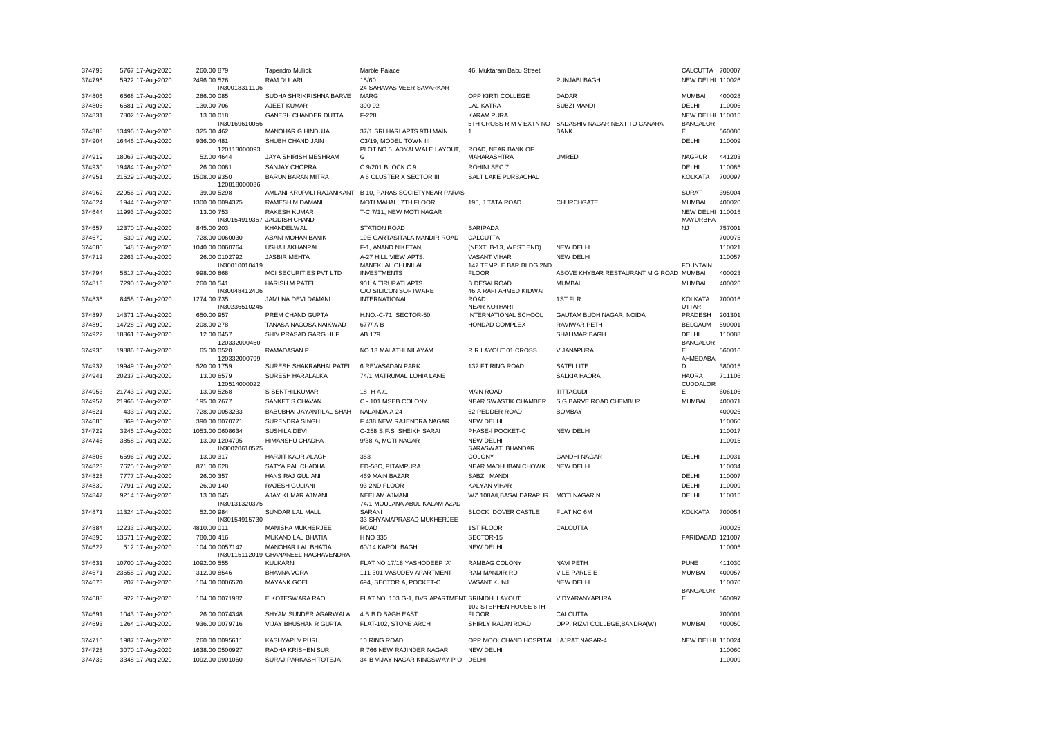| 374793 | 5767 17-Aug-2020  | 260.00 879                     | <b>Tapendro Mullick</b>                                          | Marble Palace                                        | 46, Muktaram Babu Street                       |                                  | CALCUTTA 700007                     |        |
|--------|-------------------|--------------------------------|------------------------------------------------------------------|------------------------------------------------------|------------------------------------------------|----------------------------------|-------------------------------------|--------|
| 374796 | 5922 17-Aug-2020  | 2496.00 526                    | RAM DULARI                                                       | 15/60                                                |                                                | PUNJABI BAGH                     | NEW DELHI 110026                    |        |
| 374805 |                   | IN30018311106                  | SUDHA SHRIKRISHNA BARVE                                          | 24 SAHAVAS VEER SAVARKAR<br>MARG                     | OPP KIRTI COLLEGE                              | <b>DADAR</b>                     |                                     |        |
| 374806 | 6568 17-Aug-2020  | 286.00 085<br>130.00 706       | AJEET KUMAR                                                      | 390 92                                               | <b>LAL KATRA</b>                               | <b>SUBZI MANDI</b>               | <b>MUMBAI</b><br><b>DELHI</b>       | 400028 |
|        | 6681 17-Aug-2020  |                                |                                                                  |                                                      |                                                |                                  |                                     | 110006 |
| 374831 | 7802 17-Aug-2020  | 13.00 018<br>IN30169610056     | GANESH CHANDER DUTTA                                             | $F-228$                                              | <b>KARAM PURA</b><br>5TH CROSS R M V EXTN NO   | SADASHIV NAGAR NEXT TO CANARA    | NEW DELHI 110015<br><b>BANGALOR</b> |        |
| 374888 | 13496 17-Aug-2020 | 325.00 462                     | MANOHAR.G.HINDUJA                                                | 37/1 SRI HARI APTS 9TH MAIN                          | 1                                              | <b>BANK</b>                      | E                                   | 560080 |
| 374904 | 16446 17-Aug-2020 | 936.00 481                     | SHUBH CHAND JAIN                                                 | C3/19, MODEL TOWN III                                |                                                |                                  | DELHI                               | 110009 |
|        |                   | 120113000093                   |                                                                  | PLOT NO 5, ADYALWALE LAYOUT,                         | ROAD, NEAR BANK OF                             |                                  |                                     |        |
| 374919 | 18067 17-Aug-2020 | 52.00 4644                     | JAYA SHIRISH MESHRAM                                             | G                                                    | <b>MAHARASHTRA</b>                             | <b>UMRED</b>                     | <b>NAGPUR</b>                       | 441203 |
| 374930 | 19484 17-Aug-2020 | 26.00 0081                     | SANJAY CHOPRA                                                    | C 9/201 BLOCK C 9                                    | ROHINI SEC 7                                   |                                  | DELHI                               | 110085 |
| 374951 | 21529 17-Aug-2020 | 1508.00 9350<br>120818000036   | <b>BARUN BARAN MITRA</b>                                         | A 6 CLUSTER X SECTOR III                             | SALT LAKE PURBACHAL                            |                                  | <b>KOLKATA</b>                      | 700097 |
| 374962 | 22956 17-Aug-2020 | 39.00 5298                     | AMLANI KRUPALI RAJANIKANT                                        | B 10, PARAS SOCIETYNEAR PARAS                        |                                                |                                  | <b>SURAT</b>                        | 395004 |
| 374624 | 1944 17-Aug-2020  | 1300.00 0094375                | RAMESH M DAMANI                                                  | MOTI MAHAL, 7TH FLOOR                                | 195, J TATA ROAD                               | <b>CHURCHGATE</b>                | <b>MUMBAI</b>                       | 400020 |
| 374644 | 11993 17-Aug-2020 | 13.00 753                      | <b>RAKESH KUMAR</b>                                              | T-C 7/11, NEW MOTI NAGAR                             |                                                |                                  | NEW DELHI 110015                    |        |
| 374657 | 12370 17-Aug-2020 | IN30154919357<br>845.00 203    | JAGDISH CHAND<br><b>KHANDELWAL</b>                               | <b>STATION ROAD</b>                                  | <b>BARIPADA</b>                                |                                  | <b>MAYURBHA</b><br>N <sub>1</sub>   | 757001 |
|        |                   |                                |                                                                  |                                                      |                                                |                                  |                                     |        |
| 374679 | 530 17-Aug-2020   | 728.00 0060030                 | ABANI MOHAN BANIK                                                | 19E GARTASITALA MANDIR ROAD                          | CALCUTTA                                       |                                  |                                     | 700075 |
| 374680 | 548 17-Aug-2020   | 1040.00 0060764                | <b>USHA LAKHANPAL</b>                                            | F-1, ANAND NIKETAN,                                  | (NEXT, B-13, WEST END)                         | NEW DELHI                        |                                     | 110021 |
| 374712 | 2263 17-Aug-2020  | 26.00 0102792<br>IN30010010419 | <b>JASBIR MEHTA</b>                                              | A-27 HILL VIEW APTS.<br>MANEKLAL CHUNILAL            | <b>VASANT VIHAR</b><br>147 TEMPLE BAR BLDG 2ND | <b>NEW DELHI</b>                 | <b>FOUNTAIN</b>                     | 110057 |
| 374794 | 5817 17-Aug-2020  | 998.00 868                     | MCI SECURITIES PVT LTD                                           | <b>INVESTMENTS</b>                                   | <b>FLOOR</b>                                   | ABOVE KHYBAR RESTAURANT M G ROAD | <b>MUMBAI</b>                       | 400023 |
| 374818 | 7290 17-Aug-2020  | 260.00 541                     | <b>HARISH M PATEL</b>                                            | 901 A TIRUPATI APTS                                  | <b>B DESAI ROAD</b>                            | <b>MUMBAI</b>                    | <b>MUMBAI</b>                       | 400026 |
|        |                   | IN30048412406                  |                                                                  | C/O SILICON SOFTWARE                                 | 46 A RAFI AHMED KIDWAI                         |                                  |                                     |        |
| 374835 | 8458 17-Aug-2020  | 1274.00 735                    | JAMUNA DEVI DAMANI                                               | <b>INTERNATIONAL</b>                                 | <b>ROAD</b>                                    | 1ST FLR                          | <b>KOLKATA</b>                      | 700016 |
|        |                   | IN30236510245                  |                                                                  |                                                      | NEAR KOTHARI                                   |                                  | <b>UTTAR</b>                        |        |
| 374897 | 14371 17-Aug-2020 | 650.00 957                     | PREM CHAND GUPTA                                                 | H.NO.-C-71, SECTOR-50<br>677/AB                      | INTERNATIONAL SCHOOL                           | GAUTAM BUDH NAGAR, NOIDA         | PRADESH                             | 201301 |
| 374899 | 14728 17-Aug-2020 | 208.00 278<br>12.00.0457       | TANASA NAGOSA NAIKWAD                                            |                                                      | HONDAD COMPLEX                                 | RAVIWAR PETH                     | <b>BELGAUM</b><br>DELHI             | 590001 |
| 374922 | 18361 17-Aug-2020 | 120332000450                   | SHIV PRASAD GARG HUF                                             | AB 179                                               |                                                | SHALIMAR BAGH                    | <b>BANGALOR</b>                     | 110088 |
| 374936 | 19886 17-Aug-2020 | 65.00 0520<br>120332000799     | <b>RAMADASAN P</b>                                               | NO 13 MALATHI NILAYAM                                | R R LAYOUT 01 CROSS                            | VIJANAPURA                       | E<br>AHMEDABA                       | 560016 |
| 374937 | 19949 17-Aug-2020 | 520.00 1759                    | SURESH SHAKRABHAI PATEL                                          | 6 REVASADAN PARK                                     | 132 FT RING ROAD                               | <b>SATELLITE</b>                 | D                                   | 380015 |
| 374941 | 20237 17-Aug-2020 | 13.00 6579                     | SURESH HARALALKA                                                 | 74/1 MATRUMAL LOHIA LANE                             |                                                | <b>SALKIA HAORA</b>              | <b>HAORA</b>                        | 711106 |
|        |                   | 120514000022                   |                                                                  |                                                      |                                                |                                  | <b>CUDDALOR</b>                     |        |
| 374953 | 21743 17-Aug-2020 | 13.00 5268                     | S SENTHILKUMAR                                                   | 18-HA/1                                              | <b>MAIN ROAD</b>                               | TITTAGUDI                        | F                                   | 606106 |
| 374957 | 21966 17-Aug-2020 | 195.00 7677                    | SANKET S CHAVAN                                                  | C - 101 MSEB COLONY                                  | <b>NEAR SWASTIK CHAMBER</b>                    | S G BARVE ROAD CHEMBUR           | <b>MUMBAI</b>                       | 400071 |
| 374621 | 433 17-Aug-2020   | 728.00 0053233                 | BABUBHAI JAYANTILAL SHAH                                         | NALANDA A-24                                         | 62 PEDDER ROAD                                 | <b>BOMBAY</b>                    |                                     | 400026 |
| 374686 | 869 17-Aug-2020   | 390.00 0070771                 | SURENDRA SINGH                                                   | F 438 NEW RAJENDRA NAGAR                             | <b>NEW DELHI</b>                               |                                  |                                     | 110060 |
| 374729 | 3245 17-Aug-2020  | 1053.00 0608634                | <b>SUSHILA DEVI</b>                                              | C-258 S.F.S SHEIKH SARAI                             | PHASE-I POCKET-C                               | <b>NEW DELHI</b>                 |                                     | 110017 |
| 374745 | 3858 17-Aug-2020  | 13.00 1204795<br>IN30020610575 | HIMANSHU CHADHA                                                  | 9/38-A, MOTI NAGAR                                   | <b>NEW DELHI</b><br>SARASWATI BHANDAR          |                                  |                                     | 110015 |
| 374808 | 6696 17-Aug-2020  | 13.00 317                      | <b>HARJIT KAUR ALAGH</b>                                         | 353                                                  | COLONY                                         | <b>GANDHI NAGAR</b>              | <b>DELHI</b>                        | 110031 |
| 374823 | 7625 17-Aug-2020  | 871.00 628                     | SATYA PAL CHADHA                                                 | ED-58C. PITAMPURA                                    | <b>NEAR MADHUBAN CHOWK</b>                     | <b>NEW DELHI</b>                 |                                     | 110034 |
| 374828 | 7777 17-Aug-2020  | 26.00 357                      | HANS RAJ GULIANI                                                 | 469 MAIN BAZAR                                       | SABZI MANDI                                    |                                  | DELHI                               | 110007 |
| 374830 | 7791 17-Aug-2020  | 26.00 140                      | RAJESH GULIANI                                                   | 93 2ND FLOOR                                         | <b>KALYAN VIHAR</b>                            |                                  | DELHI                               | 110009 |
| 374847 | 9214 17-Aug-2020  | 13.00 045<br>IN30131320375     | AJAY KUMAR AJMANI                                                | <b>NEELAM AJMANI</b><br>74/1 MOULANA ABUL KALAM AZAD | WZ 108A/I, BASAI DARAPUR                       | <b>MOTI NAGAR, N</b>             | DELHI                               | 110015 |
| 374871 | 11324 17-Aug-2020 | 52.00 984<br>IN30154915730     | SUNDAR LAL MALL                                                  | SARANI<br>33 SHYAMAPRASAD MUKHERJEE                  | BLOCK DOVER CASTLE                             | FLAT NO 6M                       | <b>KOLKATA</b>                      | 700054 |
| 374884 | 12233 17-Aug-2020 | 4810.00 011                    | MANISHA MUKHERJEE                                                | <b>ROAD</b>                                          | <b>1ST FLOOR</b>                               | CALCUTTA                         |                                     | 700025 |
| 374890 | 13571 17-Aug-2020 | 780.00 416                     | MUKAND LAL BHATIA                                                | H NO 335                                             | SECTOR-15                                      |                                  | FARIDABAD 121007                    |        |
| 374622 | 512 17-Aug-2020   | 104.00 0057142                 | <b>MANOHAR LAL BHATIA</b><br>IN30115112019 GHANANEEL RAGHAVENDRA | 60/14 KAROL BAGH                                     | <b>NEW DELHI</b>                               |                                  |                                     | 110005 |
| 374631 | 10700 17-Aug-2020 | 1092.00 555                    | <b>KULKARNI</b>                                                  | FLAT NO 17/18 YASHODEEP 'A'                          | <b>RAMBAG COLONY</b>                           | <b>NAVI PETH</b>                 | <b>PUNE</b>                         | 411030 |
| 374671 | 23555 17-Aug-2020 | 312.00 8546                    | <b>BHAVNA VORA</b>                                               | 111 301 VASUDEV APARTMENT                            | RAM MANDIR RD                                  | VILE PARLE E                     | <b>MUMBAI</b>                       | 400057 |
| 374673 | 207 17-Aug-2020   | 104.00 0006570                 | <b>MAYANK GOEL</b>                                               | 694, SECTOR A, POCKET-C                              | <b>VASANT KUNJ.</b>                            | <b>NEW DELHI</b>                 |                                     | 110070 |
| 374688 | 922 17-Aug-2020   | 104.00 0071982                 | E KOTESWARA RAO                                                  | FLAT NO. 103 G-1, BVR APARTMENT SRINIDHI LAYOUT      |                                                | VIDYARANYAPURA                   | <b>BANGALOR</b><br>Е                | 560097 |
| 374691 | 1043 17-Aug-2020  | 26.00 0074348                  | SHYAM SUNDER AGARWALA                                            | 4 B B D BAGH EAST                                    | 102 STEPHEN HOUSE 6TH<br><b>FLOOR</b>          | CALCUTTA                         |                                     | 700001 |
| 374693 | 1264 17-Aug-2020  | 936.00 0079716                 | VIJAY BHUSHAN R GUPTA                                            | FLAT-102, STONE ARCH                                 | SHIRLY RAJAN ROAD                              | OPP. RIZVI COLLEGE, BANDRA(W)    | <b>MUMBAI</b>                       | 400050 |
| 374710 | 1987 17-Aug-2020  | 260.00 0095611                 | <b>KASHYAPI V PURI</b>                                           | 10 RING ROAD                                         | OPP MOOLCHAND HOSPITAL LAJPAT NAGAR-4          |                                  | NEW DELHI 110024                    |        |
| 374728 | 3070 17-Aug-2020  | 1638.00 0500927                | RADHA KRISHEN SURI                                               | R 766 NEW RAJINDER NAGAR                             | <b>NEW DELHI</b>                               |                                  |                                     | 110060 |
| 374733 | 3348 17-Aug-2020  | 1092.00 0901060                | SURAJ PARKASH TOTEJA                                             | 34-B VIJAY NAGAR KINGSWAY P O                        | DELHI                                          |                                  |                                     | 110009 |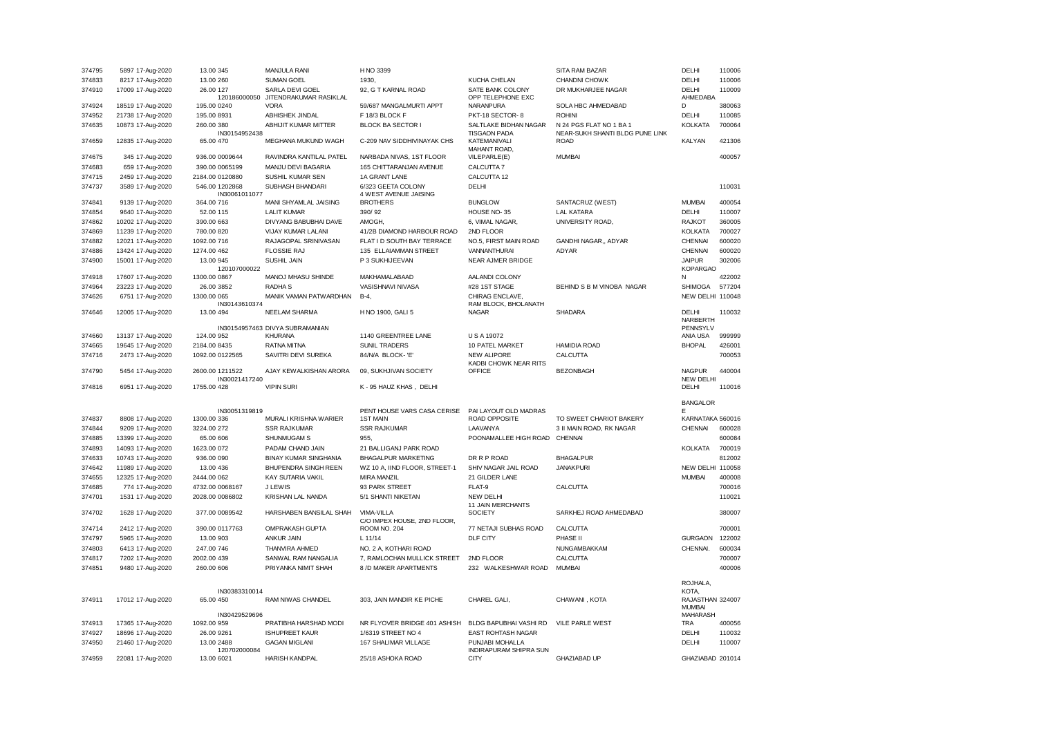| 374795           | 5897 17-Aug-2020                       | 13.00 345                                | MANJULA RANI                                  | H NO 3399                                           |                                                          | SITA RAM BAZAR                                             | DELHI                                      | 110006 |
|------------------|----------------------------------------|------------------------------------------|-----------------------------------------------|-----------------------------------------------------|----------------------------------------------------------|------------------------------------------------------------|--------------------------------------------|--------|
| 374833           | 8217 17-Aug-2020                       | 13.00 260                                | <b>SUMAN GOEL</b>                             | 1930.                                               | KUCHA CHELAN                                             | <b>CHANDNI CHOWK</b>                                       | <b>DELHI</b>                               | 110006 |
| 374910           | 17009 17-Aug-2020                      | 26.00 127<br>120186000050                | SARLA DEVI GOEL<br>JITENDRAKUMAR RASIKLAL     | 92, G T KARNAL ROAD                                 | SATE BANK COLONY<br>OPP TELEPHONE EXC                    | DR MUKHARJEE NAGAR                                         | <b>DELHI</b><br>AHMEDABA                   | 110009 |
| 374924           | 18519 17-Aug-2020                      | 195.00 0240                              | <b>VORA</b>                                   | 59/687 MANGALMURTI APPT                             | NARANPURA                                                | SOLA HBC AHMEDABAD                                         | D                                          | 380063 |
| 374952           | 21738 17-Aug-2020                      | 195.00 8931                              | ABHISHEK JINDAL                               | F 18/3 BLOCK F                                      | PKT-18 SECTOR-8                                          | <b>ROHINI</b>                                              | DELHI                                      | 110085 |
| 374635           | 10873 17-Aug-2020                      | 260.00 380<br>IN30154952438              | ABHIJIT KUMAR MITTER                          | <b>BLOCK BA SECTOR I</b>                            | SALTLAKE BIDHAN NAGAR<br><b>TISGAON PADA</b>             | N 24 PGS FLAT NO 1 BA 1<br>NEAR-SUKH SHANTI BLDG PUNE LINK | KOLKATA                                    | 700064 |
| 374659           | 12835 17-Aug-2020                      | 65.00 470                                | MEGHANA MUKUND WAGH                           | C-209 NAV SIDDHIVINAYAK CHS                         | KATEMANIVALI<br>MAHANT ROAD,                             | <b>ROAD</b>                                                | <b>KALYAN</b>                              | 421306 |
| 374675           | 345 17-Aug-2020                        | 936.00 0009644                           | RAVINDRA KANTILAL PATEL                       | NARBADA NIVAS, 1ST FLOOR                            | VILEPARLE(E)                                             | <b>MUMBAI</b>                                              |                                            | 400057 |
| 374683           | 659 17-Aug-2020                        | 390.00 0065199                           | MANJU DEVI BAGARIA                            | 165 CHITTARANJAN AVENUE                             | CALCUTTA 7                                               |                                                            |                                            |        |
| 374715           | 2459 17-Aug-2020                       | 2184.00 0120880                          | SUSHIL KUMAR SEN                              | 1A GRANT LANE                                       | CALCUTTA 12                                              |                                                            |                                            |        |
| 374737           | 3589 17-Aug-2020                       | 546.00 1202868<br>IN30061011077          | SUBHASH BHANDARI                              | 6/323 GEETA COLONY<br>4 WEST AVENUE JAISING         | DELHI                                                    |                                                            |                                            | 110031 |
| 374841           | 9139 17-Aug-2020                       | 364.00 716                               | MANI SHYAMLAL JAISING                         | <b>BROTHERS</b>                                     | <b>BUNGLOW</b>                                           | SANTACRUZ (WEST)                                           | <b>MUMBAI</b>                              | 400054 |
| 374854           | 9640 17-Aug-2020                       | 52.00 115                                | <b>LALIT KUMAR</b>                            | 390/92                                              | HOUSE NO-35                                              | <b>LAL KATARA</b>                                          | DELHI                                      | 110007 |
| 374862           | 10202 17-Aug-2020                      | 390.00 663                               | DIVYANG BABUBHAI DAVE                         | AMOGH.                                              | 6. VIMAL NAGAR.                                          | UNIVERSITY ROAD.                                           | <b>RAJKOT</b>                              | 360005 |
| 374869           | 11239 17-Aug-2020                      | 780.00 820                               | VIJAY KUMAR LALANI                            | 41/2B DIAMOND HARBOUR ROAD                          | 2ND FLOOR                                                |                                                            | <b>KOLKATA</b>                             | 700027 |
| 374882           | 12021 17-Aug-2020                      | 1092.00 716                              | RAJAGOPAL SRINIVASAN                          | FLAT I D SOUTH BAY TERRACE                          | NO.5, FIRST MAIN ROAD                                    | GANDHI NAGAR,, ADYAR                                       | <b>CHENNAI</b>                             | 600020 |
| 374886           | 13424 17-Aug-2020                      | 1274.00 462                              | <b>FLOSSIE RAJ</b>                            | 135 ELLAIAMMAN STREET                               | VANNANTHURAI                                             | ADYAR                                                      | CHENNAI                                    | 600020 |
| 374900           | 15001 17-Aug-2020                      | 13.00 945<br>120107000022                | SUSHIL JAIN                                   | P 3 SUKHIJEEVAN                                     | NEAR AJMER BRIDGE                                        |                                                            | <b>JAIPUR</b><br><b>KOPARGAO</b>           | 302006 |
| 374918           | 17607 17-Aug-2020                      | 1300.00 0867                             | MANOJ MHASU SHINDE                            | MAKHAMALABAAD                                       | AALANDI COLONY                                           |                                                            | N                                          | 422002 |
| 374964           | 23223 17-Aug-2020                      | 26.00 3852                               | <b>RADHA S</b>                                | VASISHNAVI NIVASA                                   | #28 1ST STAGE                                            | BEHIND S B M VINOBA NAGAR                                  | <b>SHIMOGA</b>                             | 577204 |
| 374626           | 6751 17-Aug-2020                       | 1300.00 065<br>IN30143610374             | MANIK VAMAN PATWARDHAN                        | B-4,                                                | CHIRAG ENCLAVE,<br>RAM BLOCK, BHOLANATH                  |                                                            | NEW DELHI 110048                           |        |
| 374646           | 12005 17-Aug-2020                      | 13.00 494                                | NEELAM SHARMA                                 | H NO 1900, GALI 5                                   | <b>NAGAR</b>                                             | SHADARA                                                    | <b>DELHI</b>                               | 110032 |
|                  |                                        |                                          | IN30154957463 DIVYA SUBRAMANIAN               |                                                     |                                                          |                                                            | NARBERTH<br>PENNSYLV                       |        |
| 374660           | 13137 17-Aug-2020                      | 124.00 952                               | <b>KHURANA</b>                                | 1140 GREENTREE LANE                                 | <b>USA 19072</b>                                         |                                                            | ANIA USA                                   | 999999 |
| 374665           | 19645 17-Aug-2020                      | 2184.00 8435                             | RATNA MITNA                                   | <b>SUNIL TRADERS</b>                                | 10 PATEL MARKET                                          | <b>HAMIDIA ROAD</b>                                        | <b>BHOPAL</b>                              | 426001 |
| 374716           | 2473 17-Aug-2020                       | 1092.00 0122565                          | SAVITRI DEVI SUREKA                           | 84/N/A BLOCK-'E'                                    | <b>NEW ALIPORE</b><br>KADBI CHOWK NEAR RITS              | CALCUTTA                                                   |                                            | 700053 |
|                  |                                        |                                          |                                               |                                                     |                                                          |                                                            |                                            |        |
| 374790           | 5454 17-Aug-2020                       | 2600.00 1211522<br>IN30021417240         | AJAY KEWALKISHAN ARORA                        | 09, SUKHJIVAN SOCIETY                               | <b>OFFICE</b>                                            | <b>BEZONBAGH</b>                                           | <b>NAGPUR</b><br><b>NEW DELHI</b>          | 440004 |
| 374816           | 6951 17-Aug-2020                       | 1755.00 428                              | <b>VIPIN SURI</b>                             | K - 95 HAUZ KHAS, DELHI                             |                                                          |                                                            | DELHI                                      | 110016 |
|                  |                                        | IN30051319819                            |                                               | PENT HOUSE VARS CASA CERISE                         | PAI LAYOUT OLD MADRAS                                    |                                                            | <b>BANGALOR</b><br>F                       |        |
| 374837           | 8808 17-Aug-2020                       | 1300.00 336                              | MURALI KRISHNA WARIER                         | 1ST MAIN                                            | ROAD OPPOSITE                                            | TO SWEET CHARIOT BAKERY                                    | KARNATAKA 560016                           |        |
| 374844           | 9209 17-Aug-2020                       | 3224.00 272                              | <b>SSR RAJKUMAR</b>                           | <b>SSR RAJKUMAR</b>                                 | LAAVANYA                                                 | 3 II MAIN ROAD, RK NAGAR                                   | <b>CHENNAI</b>                             | 600028 |
| 374885           | 13399 17-Aug-2020                      | 65.00 606                                | SHUNMUGAM S                                   | 955                                                 | POONAMALLEE HIGH ROAD                                    | CHENNAI                                                    |                                            | 600084 |
| 374893           | 14093 17-Aug-2020                      | 1623.00 072                              | PADAM CHAND JAIN                              | 21 BALLIGANJ PARK ROAD                              |                                                          |                                                            | <b>KOLKATA</b>                             | 700019 |
| 374633           |                                        | 936.00 090                               | <b>BINAY KUMAR SINGHANIA</b>                  |                                                     | DR R P ROAD                                              | <b>BHAGALPUR</b>                                           |                                            | 812002 |
|                  | 10743 17-Aug-2020                      | 13.00 436                                | BHUPENDRA SINGH REEN                          | <b>BHAGALPUR MARKETING</b>                          | SHIV NAGAR JAIL ROAD                                     | <b>JANAKPURI</b>                                           |                                            |        |
| 374642<br>374655 | 11989 17-Aug-2020<br>12325 17-Aug-2020 |                                          | KAY SUTARIA VAKIL                             | WZ 10 A, IIND FLOOR, STREET-1<br><b>MIRA MANZIL</b> | 21 GILDER LANE                                           |                                                            | NEW DELHI 110058<br><b>MUMBAI</b>          | 400008 |
| 374685           |                                        | 2444.00 062<br>4732.00 0068167           | J LEWIS                                       | 93 PARK STREET                                      | FLAT-9                                                   | CALCUTTA                                                   |                                            | 700016 |
| 374701           | 774 17-Aug-2020<br>1531 17-Aug-2020    | 2028.00 0086802                          | KRISHAN LAL NANDA                             | 5/1 SHANTI NIKETAN                                  | <b>NEW DELHI</b>                                         |                                                            |                                            | 110021 |
| 374702           | 1628 17-Aug-2020                       | 377.00 0089542                           | HARSHABEN BANSILAL SHAH                       | VIMA-VILLA<br>C/O IMPEX HOUSE, 2ND FLOOR,           | 11 JAIN MERCHANTS<br><b>SOCIETY</b>                      | SARKHEJ ROAD AHMEDABAD                                     |                                            | 380007 |
| 374714           | 2412 17-Aug-2020                       | 390.00 0117763                           | OMPRAKASH GUPTA                               | ROOM NO. 204                                        | 77 NETAJI SUBHAS ROAD                                    | CALCUTTA                                                   |                                            | 700001 |
| 374797           | 5965 17-Aug-2020                       | 13.00 903                                | ANKUR JAIN                                    | $L$ 11/14                                           | DLF CITY                                                 | PHASE II                                                   | <b>GURGAON</b>                             | 122002 |
| 374803           | 6413 17-Aug-2020                       | 247.00 746                               | THANVIRA AHMED                                | NO. 2 A, KOTHARI ROAD                               |                                                          | NUNGAMBAKKAM                                               | CHENNAI.                                   | 600034 |
| 374817           | 7202 17-Aug-2020                       | 2002.00 439                              | SANWAL RAM NANGALIA                           | 7, RAMLOCHAN MULLICK STREET                         | 2ND FLOOR                                                | CALCUTTA                                                   |                                            | 700007 |
| 374851           | 9480 17-Aug-2020                       | 260.00 606                               | PRIYANKA NIMIT SHAH                           | 8 /D MAKER APARTMENTS                               | 232 WALKESHWAR ROAD                                      | <b>MUMBAI</b>                                              |                                            | 400006 |
|                  |                                        |                                          |                                               |                                                     |                                                          |                                                            | ROJHALA,                                   |        |
| 374911           | 17012 17-Aug-2020                      | IN30383310014<br>65.00 450               | <b>RAM NIWAS CHANDEL</b>                      | 303, JAIN MANDIR KE PICHE                           | CHAREL GALI,                                             | CHAWANI, KOTA                                              | KOTA,<br>RAJASTHAN 324007<br><b>MUMBAI</b> |        |
|                  |                                        | IN30429529696                            |                                               |                                                     |                                                          |                                                            | <b>MAHARASH</b>                            |        |
| 374913           | 17365 17-Aug-2020                      | 1092.00 959                              | PRATIBHA HARSHAD MODI                         | NR FLYOVER BRIDGE 401 ASHISH                        | <b>BLDG BAPUBHAI VASHI RD</b>                            | <b>VILE PARLE WEST</b>                                     | <b>TRA</b>                                 | 400056 |
| 374927           | 18696 17-Aug-2020                      | 26.00 9261                               | <b>ISHUPREET KAUR</b>                         | 1/6319 STREET NO 4                                  | EAST ROHTASH NAGAR                                       |                                                            | DELHI                                      | 110032 |
| 374950<br>374959 | 21460 17-Aug-2020<br>22081 17-Aug-2020 | 13.00 2488<br>120702000084<br>13.00 6021 | <b>GAGAN MIGLANI</b><br><b>HARISH KANDPAL</b> | 167 SHALIMAR VILLAGE<br>25/18 ASHOKA ROAD           | PUNJABI MOHALLA<br>INDIRAPURAM SHIPRA SUN<br><b>CITY</b> | <b>GHAZIABAD UP</b>                                        | DELHI<br>GHAZIABAD 201014                  | 110007 |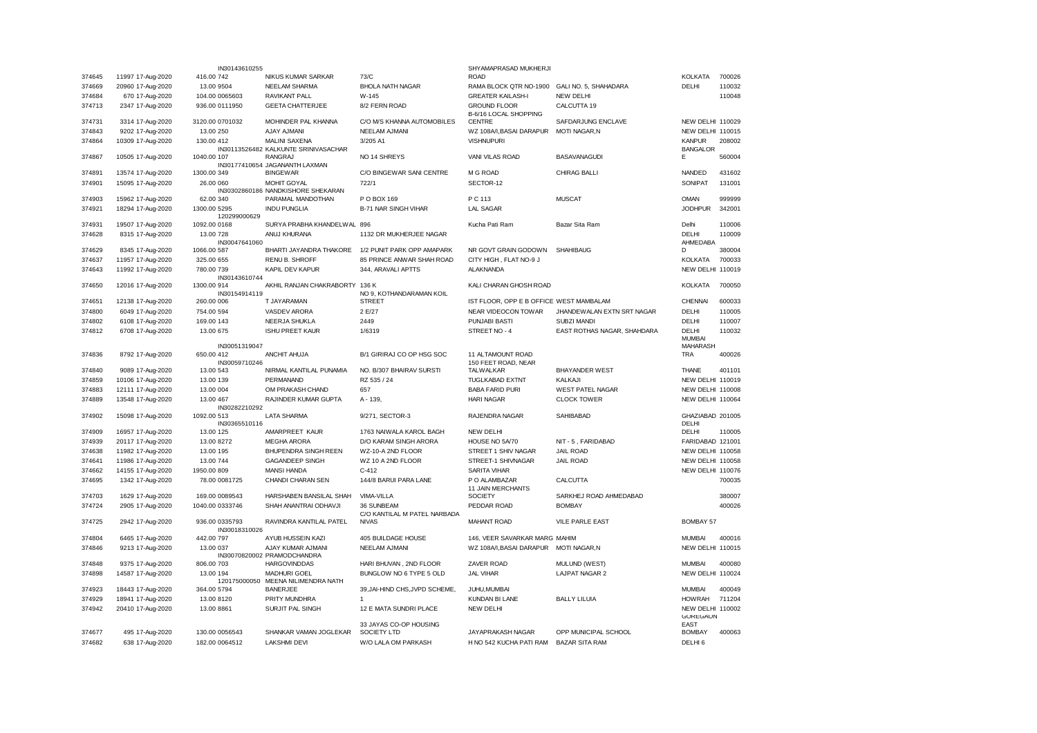|        |                   | IN30143610255                   |                                                              |                                            | SHYAMAPRASAD MUKHERJI                        |                             |                                     |        |
|--------|-------------------|---------------------------------|--------------------------------------------------------------|--------------------------------------------|----------------------------------------------|-----------------------------|-------------------------------------|--------|
| 374645 | 11997 17-Aug-2020 | 416.00 742                      | NIKUS KUMAR SARKAR                                           | 73/C                                       | <b>ROAD</b>                                  |                             | KOLKATA                             | 700026 |
| 374669 | 20960 17-Aug-2020 | 13.00 9504                      | NEELAM SHARMA                                                | <b>BHOLA NATH NAGAR</b>                    | RAMA BLOCK QTR NO-1900                       | GALI NO. 5, SHAHADARA       | DELHI                               | 110032 |
| 374684 | 670 17-Aug-2020   | 104.00 0065603                  | RAVIKANT PALL                                                | W-145                                      | <b>GREATER KAILASH-I</b>                     | <b>NEW DELHI</b>            |                                     | 110048 |
| 374713 | 2347 17-Aug-2020  | 936.00 0111950                  | <b>GEETA CHATTERJEE</b>                                      | 8/2 FERN ROAD                              | <b>GROUND FLOOR</b><br>B-6/16 LOCAL SHOPPING | CALCUTTA 19                 |                                     |        |
| 374731 | 3314 17-Aug-2020  | 3120.00 0701032                 | MOHINDER PAL KHANNA                                          | C/O M/S KHANNA AUTOMOBILES                 | <b>CENTRE</b>                                | SAFDARJUNG ENCLAVE          | NEW DELHI 110029                    |        |
| 374843 | 9202 17-Aug-2020  | 13.00 250                       | <b>AJAY AJMANI</b>                                           | <b>NEELAM AJMANI</b>                       | WZ 108A/I, BASAI DARAPUR                     | MOTI NAGAR, N               | NEW DELHI 110015                    |        |
| 374864 | 10309 17-Aug-2020 | 130.00 412                      | <b>MALINI SAXENA</b><br>IN30113526482 KALKUNTE SRINIVASACHAR | 3/205 A1                                   | <b>VISHNUPURI</b>                            |                             | <b>KANPUR</b><br><b>BANGALOR</b>    | 208002 |
| 374867 | 10505 17-Aug-2020 | 1040.00 107                     | <b>RANGRAJ</b><br>IN30177410654 JAGANANTH LAXMAN             | NO 14 SHREYS                               | VANI VILAS ROAD                              | <b>BASAVANAGUDI</b>         | Е                                   | 560004 |
| 374891 | 13574 17-Aug-2020 | 1300.00 349                     | <b>BINGEWAR</b>                                              | C/O BINGEWAR SANI CENTRE                   | M G ROAD                                     | <b>CHIRAG BALLI</b>         | <b>NANDED</b>                       | 431602 |
| 374901 | 15095 17-Aug-2020 | 26,00 060                       | MOHIT GOYAL                                                  | 722/1                                      | SECTOR-12                                    |                             | SONIPAT                             | 131001 |
| 374903 | 15962 17-Aug-2020 | 62.00 340                       | IN30302860186 NANDKISHORE SHEKARAN<br>PARAMAL MANDOTHAN      | P O BOX 169                                | P C 113                                      | <b>MUSCAT</b>               | <b>OMAN</b>                         | 999999 |
| 374921 | 18294 17-Aug-2020 | 1300.00 5295                    | <b>INDU PUNGLIA</b>                                          | <b>B-71 NAR SINGH VIHAR</b>                | <b>LAL SAGAR</b>                             |                             | <b>JODHPUR</b>                      | 342001 |
|        |                   | 120299000629                    |                                                              |                                            |                                              |                             |                                     |        |
| 374931 | 19507 17-Aug-2020 | 1092.00 0168                    | SURYA PRABHA KHANDELWAL 896                                  |                                            | Kucha Pati Ram                               | Bazar Sita Ram              | Delhi                               | 110006 |
| 374628 | 8315 17-Aug-2020  | 13.00 728<br>IN30047641060      | ANUJ KHURANA                                                 | 1132 DR MUKHERJEE NAGAR                    |                                              |                             | <b>DELHI</b><br>AHMEDABA            | 110009 |
| 374629 | 8345 17-Aug-2020  | 1066.00 587                     | BHARTI JAYANDRA THAKORE                                      | 1/2 PUNIT PARK OPP AMAPARK                 | NR GOVT GRAIN GODOWN                         | <b>SHAHIBAUG</b>            | D                                   | 380004 |
| 374637 | 11957 17-Aug-2020 | 325.00 655                      | <b>RENU B. SHROFF</b>                                        | 85 PRINCE ANWAR SHAH ROAD                  | CITY HIGH, FLAT NO-9 J                       |                             | KOLKATA                             | 700033 |
| 374643 | 11992 17-Aug-2020 | 780.00 739<br>IN30143610744     | KAPIL DEV KAPUR                                              | 344, ARAVALI APTTS                         | ALAKNANDA                                    |                             | NEW DELHI 110019                    |        |
| 374650 | 12016 17-Aug-2020 | 1300.00 914<br>IN30154914119    | AKHIL RANJAN CHAKRABORTY 136 K                               | NO 9, KOTHANDARAMAN KOIL                   | KALI CHARAN GHOSH ROAD                       |                             | <b>KOLKATA</b>                      | 700050 |
| 374651 | 12138 17-Aug-2020 | 260.00 006                      | T JAYARAMAN                                                  | <b>STREET</b>                              | IST FLOOR, OPP E B OFFICE WEST MAMBALAM      |                             | <b>CHENNAI</b>                      | 600033 |
| 374800 | 6049 17-Aug-2020  | 754.00 594                      | VASDEV ARORA                                                 | 2 E/27                                     | NEAR VIDEOCON TOWAR                          | JHANDEWALAN EXTN SRT NAGAR  | DELHI                               | 110005 |
| 374802 | 6108 17-Aug-2020  | 169.00 143                      | NEERJA SHUKLA                                                | 2449                                       | PUNJABI BASTI                                | <b>SUBZI MANDI</b>          | DELHI                               | 110007 |
| 374812 | 6708 17-Aug-2020  | 13.00 675                       | <b>ISHU PREET KAUR</b>                                       | 1/6319                                     | STREET NO - 4                                | EAST ROTHAS NAGAR, SHAHDARA | DELHI                               | 110032 |
|        |                   |                                 |                                                              |                                            |                                              |                             | <b>MUMBAI</b><br><b>MAHARASH</b>    |        |
| 374836 | 8792 17-Aug-2020  | IN30051319047<br>650.00 412     | ANCHIT AHUJA                                                 | B/1 GIRIRAJ CO OP HSG SOC                  | 11 ALTAMOUNT ROAD                            |                             | <b>TRA</b>                          | 400026 |
|        |                   | IN30059710246                   |                                                              |                                            | 150 FEET ROAD, NEAR                          |                             |                                     |        |
| 374840 | 9089 17-Aug-2020  | 13.00 543                       | NIRMAL KANTILAL PUNAMIA                                      | NO. B/307 BHAIRAV SURSTI                   | <b>TALWALKAR</b>                             | <b>BHAYANDER WEST</b>       | <b>THANE</b>                        | 401101 |
| 374859 | 10106 17-Aug-2020 | 13.00 139                       | PERMANAND                                                    | RZ 535 / 24                                | <b>TUGLKABAD EXTNT</b>                       | KALKAJI                     | <b>NEW DELHI 110019</b>             |        |
| 374883 | 12111 17-Aug-2020 | 13.00 004                       | OM PRAKASH CHAND                                             | 657                                        | <b>BABA FARID PURI</b>                       | <b>WEST PATEL NAGAR</b>     | NEW DELHI 110008                    |        |
| 374889 | 13548 17-Aug-2020 | 13.00 467<br>IN30282210292      | RAJINDER KUMAR GUPTA                                         | A - 139,                                   | <b>HARI NAGAR</b>                            | <b>CLOCK TOWER</b>          | NEW DELHI 110064                    |        |
| 374902 | 15098 17-Aug-2020 | 1092.00 513<br>IN30365510116    | <b>LATA SHARMA</b>                                           | 9/271, SECTOR-3                            | RAJENDRA NAGAR                               | SAHIBABAD                   | GHAZIABAD 201005<br>DELHI           |        |
| 374909 | 16957 17-Aug-2020 | 13.00 125                       | AMARPREET KAUR                                               | 1763 NAIWALA KAROL BAGH                    | <b>NEW DELHI</b>                             |                             | DELHI                               | 110005 |
| 374939 | 20117 17-Aug-2020 | 13.00 8272                      | <b>MEGHA ARORA</b>                                           | D/O KARAM SINGH ARORA                      | HOUSE NO 5A/70                               | NIT - 5, FARIDABAD          | FARIDABAD 121001                    |        |
| 374638 | 11982 17-Aug-2020 | 13.00 195                       | <b>BHUPENDRA SINGH REEN</b>                                  | WZ-10-A 2ND FLOOR                          | STREET 1 SHIV NAGAR                          | JAIL ROAD                   | NEW DELHI 110058                    |        |
| 374641 | 11986 17-Aug-2020 | 13.00 744                       | <b>GAGANDEEP SINGH</b>                                       | WZ 10 A 2ND FLOOR                          | STREET-1 SHIVNAGAR                           | <b>JAIL ROAD</b>            | NEW DELHI 110058                    |        |
| 374662 | 14155 17-Aug-2020 | 1950.00 809                     | <b>MANSI HANDA</b>                                           | $C-412$                                    | <b>SARITA VIHAR</b>                          |                             | NEW DELHI 110076                    |        |
| 374695 | 1342 17-Aug-2020  | 78.00 0081725                   | CHANDI CHARAN SEN                                            | 144/8 BARUI PARA LANE                      | P O ALAMBAZAR<br>11 JAIN MERCHANTS           | CALCUTTA                    |                                     | 700035 |
| 374703 | 1629 17-Aug-2020  | 169.00 0089543                  | HARSHABEN BANSILAL SHAH                                      | VIMA-VILLA                                 | SOCIETY                                      | SARKHEJ ROAD AHMEDABAD      |                                     | 380007 |
| 374724 | 2905 17-Aug-2020  | 1040.00 0333746                 | SHAH ANANTRAI ODHAVJI                                        | 36 SUNBEAM<br>C/O KANTILAL M PATEL NARBADA | PEDDAR ROAD                                  | <b>BOMBAY</b>               |                                     | 400026 |
| 374725 | 2942 17-Aug-2020  | 936.00 0335793<br>IN30018310026 | RAVINDRA KANTILAL PATEL                                      | <b>NIVAS</b>                               | <b>MAHANT ROAD</b>                           | <b>VILE PARLE EAST</b>      | <b>BOMBAY 57</b>                    |        |
| 374804 | 6465 17-Aug-2020  | 442.00 797                      | AYUB HUSSEIN KAZI                                            | 405 BUILDAGE HOUSE                         | 146, VEER SAVARKAR MARG MAHIM                |                             | <b>MUMBAI</b>                       | 400016 |
| 374846 | 9213 17-Aug-2020  | 13.00 037                       | AJAY KUMAR AJMANI<br>IN30070820002 PRAMODCHANDRA             | <b>NEELAM AJMANI</b>                       | WZ 108A/I, BASAI DARAPUR                     | <b>MOTI NAGAR,N</b>         | NEW DELHI 110015                    |        |
| 374848 | 9375 17-Aug-2020  | 806.00 703                      | <b>HARGOVINDDAS</b>                                          | HARI BHUVAN, 2ND FLOOR                     | ZAVER ROAD                                   | MULUND (WEST)               | <b>MUMBAI</b>                       | 400080 |
| 374898 | 14587 17-Aug-2020 | 13.00 194                       | <b>MADHURI GOEL</b><br>120175000050 MEENA NILIMENDRA NATH    | BUNGLOW NO 6 TYPE 5 OLD                    | <b>JAL VIHAR</b>                             | <b>LAJPAT NAGAR 2</b>       | NEW DELHI 110024                    |        |
| 374923 | 18443 17-Aug-2020 | 364.00 5794                     | <b>BANERJEE</b>                                              | 39, JAI-HIND CHS, JVPD SCHEME,             | JUHU, MUMBAI                                 |                             | <b>MUMBAI</b>                       | 400049 |
| 374929 | 18941 17-Aug-2020 | 13.00 8120                      | PRITY MUNDHRA                                                | 1                                          | KUNDAN BI LANE                               | <b>BALLY LILUIA</b>         | <b>HOWRAH</b>                       | 711204 |
| 374942 | 20410 17-Aug-2020 | 13.00 8861                      | SURJIT PAL SINGH                                             | 12 E MATA SUNDRI PLACE                     | NEW DELHI                                    |                             | NEW DELHI 110002<br><b>GUREGAUN</b> |        |
| 374677 | 495 17-Aug-2020   | 130.00 0056543                  | SHANKAR VAMAN JOGLEKAR                                       | 33 JAYAS CO-OP HOUSING<br>SOCIETY LTD      | JAYAPRAKASH NAGAR                            | OPP MUNICIPAL SCHOOL        | <b>EAST</b><br><b>BOMBAY</b>        | 400063 |
| 374682 | 638 17-Aug-2020   | 182.00 0064512                  | <b>LAKSHMI DEVI</b>                                          | W/O LALA OM PARKASH                        | H NO 542 KUCHA PATI RAM                      | <b>BAZAR SITA RAM</b>       | DELHI <sub>6</sub>                  |        |